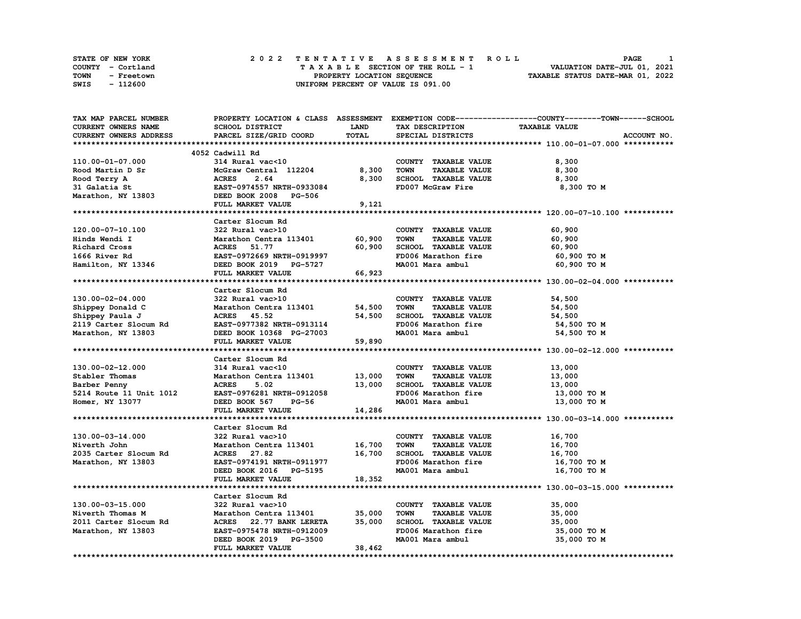| <b>STATE OF NEW YORK</b> | 2022 TENTATIVE ASSESSMENT ROLL     | PAGE                             |
|--------------------------|------------------------------------|----------------------------------|
| COUNTY - Cortland        | TAXABLE SECTION OF THE ROLL - 1    | VALUATION DATE-JUL 01, 2021      |
| TOWN<br>- Freetown       | PROPERTY LOCATION SEQUENCE         | TAXABLE STATUS DATE-MAR 01, 2022 |
| - 112600<br>SWIS         | UNIFORM PERCENT OF VALUE IS 091.00 |                                  |

| TAX MAP PARCEL NUMBER         |                                                                        |             |                                     | PROPERTY LOCATION & CLASS ASSESSMENT EXEMPTION CODE----------------COUNTY-------TOWN------SCHOOL |
|-------------------------------|------------------------------------------------------------------------|-------------|-------------------------------------|--------------------------------------------------------------------------------------------------|
| <b>CURRENT OWNERS NAME</b>    | SCHOOL DISTRICT                                                        | <b>LAND</b> | TAX DESCRIPTION                     | <b>TAXABLE VALUE</b>                                                                             |
| <b>CURRENT OWNERS ADDRESS</b> | PARCEL SIZE/GRID COORD                                                 | TOTAL       | SPECIAL DISTRICTS                   | ACCOUNT NO.                                                                                      |
|                               |                                                                        |             |                                     |                                                                                                  |
|                               | 4052 Cadwill Rd                                                        |             |                                     |                                                                                                  |
| 110.00-01-07.000              | 314 Rural vac<10                                                       |             | COUNTY TAXABLE VALUE                | 8,300                                                                                            |
|                               | McGraw Central 112204 8,300                                            |             | <b>TOWN</b><br><b>TAXABLE VALUE</b> | 8,300                                                                                            |
|                               |                                                                        | 8,300       | SCHOOL TAXABLE VALUE                | 8,300                                                                                            |
|                               | EAST-0974557 NRTH-0933084                                              |             | FD007 McGraw Fire                   | 8,300 то м                                                                                       |
|                               |                                                                        |             |                                     |                                                                                                  |
|                               |                                                                        |             |                                     |                                                                                                  |
|                               | FULL MARKET VALUE                                                      | 9,121       |                                     |                                                                                                  |
|                               |                                                                        |             |                                     |                                                                                                  |
|                               | Carter Slocum Rd                                                       |             |                                     |                                                                                                  |
| 120.00-07-10.100              | 322 Rural vac>10                                                       |             | COUNTY TAXABLE VALUE                | 60,900                                                                                           |
| Hinds Wendi I                 | Marathon Centra 113401                                                 | 60,900      | <b>TOWN</b><br><b>TAXABLE VALUE</b> | 60,900                                                                                           |
| Richard Cross                 |                                                                        | 60,900      | SCHOOL TAXABLE VALUE                | 60,900                                                                                           |
| 1666 River Rd                 |                                                                        |             | FD006 Marathon fire                 | 60,900 то м                                                                                      |
| Hamilton, NY 13346            | <b>ACRES 51.77<br/>EAST-0972669 NRTH-0919997<br/>CACT 2019 PG-5727</b> |             | MA001 Mara ambul                    | 60,900 то м                                                                                      |
|                               | FULL MARKET VALUE                                                      | 66,923      |                                     |                                                                                                  |
|                               |                                                                        |             |                                     |                                                                                                  |
|                               | Carter Slocum Rd                                                       |             |                                     |                                                                                                  |
| 130.00-02-04.000              | 322 Rural vac>10                                                       |             | COUNTY TAXABLE VALUE                | 54,500                                                                                           |
| Shippey Donald C              | Marathon Centra 113401                                                 | 54,500      | <b>TOWN</b><br><b>TAXABLE VALUE</b> | 54,500                                                                                           |
| Shippey Paula J               | ACRES 45.52                                                            | 54,500      | SCHOOL TAXABLE VALUE                | 54,500                                                                                           |
| 2119 Carter Slocum Rd         | EAST-0977382 NRTH-0913114                                              |             | FD006 Marathon fire                 | 54,500 TO M                                                                                      |
| Marathon, NY 13803            | DEED BOOK 10368 PG-27003                                               |             | MA001 Mara ambul                    | 54,500 TO M                                                                                      |
|                               | FULL MARKET VALUE                                                      | 59,890      |                                     |                                                                                                  |
|                               |                                                                        |             |                                     |                                                                                                  |
|                               | Carter Slocum Rd                                                       |             |                                     |                                                                                                  |
| 130.00-02-12.000              | 314 Rural vac<10                                                       |             | COUNTY TAXABLE VALUE                | 13,000                                                                                           |
| Stabler Thomas                | Marathon Centra 113401 13,000                                          |             | <b>TAXABLE VALUE</b><br><b>TOWN</b> | 13,000                                                                                           |
|                               | <b>ACRES</b>                                                           |             | SCHOOL TAXABLE VALUE                |                                                                                                  |
| Barber Penny                  | 5.02                                                                   | 13,000      |                                     | 13,000                                                                                           |
| 5214 Route 11 Unit 1012       | EAST-0976281 NRTH-0912058                                              |             | FD006 Marathon fire                 | 13,000 то м                                                                                      |
| Homer, NY 13077               | DEED BOOK 567<br>PG-56                                                 |             | MA001 Mara ambul                    | 13,000 TO M                                                                                      |
|                               | FULL MARKET VALUE                                                      | 14,286      |                                     |                                                                                                  |
|                               |                                                                        |             |                                     |                                                                                                  |
|                               | Carter Slocum Rd                                                       |             |                                     |                                                                                                  |
| 130.00-03-14.000              | 322 Rural vac>10                                                       |             | COUNTY TAXABLE VALUE                | 16,700                                                                                           |
| Niverth John                  | Marathon Centra 113401 16,700                                          |             | <b>TOWN</b><br><b>TAXABLE VALUE</b> | 16,700                                                                                           |
| 2035 Carter Slocum Rd         | ACRES 27.82                                                            | 16,700      | SCHOOL TAXABLE VALUE                | 16,700                                                                                           |
| Marathon, NY 13803            | EAST-0974191 NRTH-0911977                                              |             | FD006 Marathon fire                 | 16,700 TO M                                                                                      |
|                               | DEED BOOK 2016 PG-5195                                                 |             | MA001 Mara ambul                    | 16,700 то м                                                                                      |
|                               | FULL MARKET VALUE                                                      | 18,352      |                                     |                                                                                                  |
|                               |                                                                        |             |                                     |                                                                                                  |
|                               | Carter Slocum Rd                                                       |             |                                     |                                                                                                  |
| 130.00-03-15.000              | 322 Rural vac>10                                                       |             | COUNTY TAXABLE VALUE                | 35,000                                                                                           |
| Niverth Thomas M              | Marathon Centra 113401                                                 | 35,000      | <b>TOWN</b><br><b>TAXABLE VALUE</b> | 35,000                                                                                           |
| 2011 Carter Slocum Rd         | ACRES 22.77 BANK LERETA                                                | 35,000      | SCHOOL TAXABLE VALUE                | 35,000                                                                                           |
| Marathon, NY 13803            |                                                                        |             |                                     |                                                                                                  |
|                               |                                                                        |             |                                     |                                                                                                  |
|                               | EAST-0975478 NRTH-0912009                                              |             | FD006 Marathon fire                 | 35,000 TO M                                                                                      |
|                               | DEED BOOK 2019 PG-3500<br>FULL MARKET VALUE                            | 38,462      | MA001 Mara ambul                    | 35,000 TO M                                                                                      |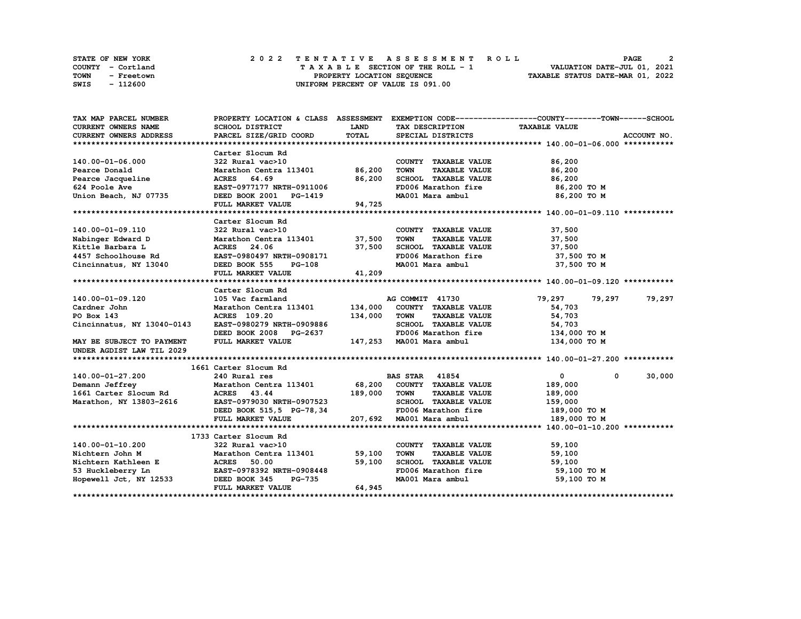|      | <b>STATE OF NEW YORK</b> | 2022 TENTATIVE ASSESSMENT ROLL          | <b>PAGE</b>                      |
|------|--------------------------|-----------------------------------------|----------------------------------|
|      | COUNTY - Cortland        | $T A X A B L E$ SECTION OF THE ROLL - 1 | VALUATION DATE-JUL 01, 2021      |
| TOWN | - Freetown               | PROPERTY LOCATION SEQUENCE              | TAXABLE STATUS DATE-MAR 01, 2022 |
| SWIS | - 112600                 | UNIFORM PERCENT OF VALUE IS 091.00      |                                  |

| TAX MAP PARCEL NUMBER                                                                                                                                                          |                                                                                                                                               |             |                                             | PROPERTY LOCATION & CLASS ASSESSMENT EXEMPTION CODE----------------COUNTY-------TOWN-----SCHOOL |             |
|--------------------------------------------------------------------------------------------------------------------------------------------------------------------------------|-----------------------------------------------------------------------------------------------------------------------------------------------|-------------|---------------------------------------------|-------------------------------------------------------------------------------------------------|-------------|
| CURRENT OWNERS NAME                                                                                                                                                            | SCHOOL DISTRICT                                                                                                                               | <b>LAND</b> | TAX DESCRIPTION                             | <b>TAXABLE VALUE</b>                                                                            |             |
| CURRENT OWNERS ADDRESS                                                                                                                                                         | PARCEL SIZE/GRID COORD                                                                                                                        | TOTAL       | SPECIAL DISTRICTS                           |                                                                                                 | ACCOUNT NO. |
|                                                                                                                                                                                |                                                                                                                                               |             |                                             |                                                                                                 |             |
|                                                                                                                                                                                | Carter Slocum Rd                                                                                                                              |             |                                             |                                                                                                 |             |
| 140.00-01-06.000                                                                                                                                                               | 322 Rural vac>10                                                                                                                              |             | COUNTY TAXABLE VALUE                        | 86,200                                                                                          |             |
| Pearce Donald                                                                                                                                                                  | Marathon Centra 113401 86,200                                                                                                                 |             | <b>TOWN</b><br><b>TAXABLE VALUE</b>         | 86,200                                                                                          |             |
| Pearce Jacqueline                                                                                                                                                              | ACRES 64.69                                                                                                                                   | 86,200      | SCHOOL TAXABLE VALUE                        | 86,200                                                                                          |             |
| 624 Poole Ave                                                                                                                                                                  | EAST-0977177 NRTH-0911006                                                                                                                     |             | FD006 Marathon fire                         | 86,200 то м                                                                                     |             |
| Union Beach, NJ 07735                                                                                                                                                          | DEED BOOK 2001 PG-1419                                                                                                                        |             | MA001 Mara ambul                            | 86,200 то м                                                                                     |             |
|                                                                                                                                                                                | FULL MARKET VALUE                                                                                                                             | 94,725      |                                             |                                                                                                 |             |
|                                                                                                                                                                                |                                                                                                                                               |             |                                             |                                                                                                 |             |
|                                                                                                                                                                                | Carter Slocum Rd                                                                                                                              |             |                                             |                                                                                                 |             |
| 140.00-01-09.110                                                                                                                                                               | 322 Rural vac>10                                                                                                                              |             | COUNTY TAXABLE VALUE                        | 37,500                                                                                          |             |
| Nabinger Edward D                                                                                                                                                              | Marathon Centra 113401 37,500                                                                                                                 |             | <b>TOWN</b><br>TAXABLE VALUE                | 37,500                                                                                          |             |
| Kittle Barbara L                                                                                                                                                               |                                                                                                                                               |             |                                             | 37,500                                                                                          |             |
| 4457 Schoolhouse Rd                                                                                                                                                            |                                                                                                                                               |             | SCHOOL TAXABLE VALUE<br>FD006 Marathon fire | 37,500 TO M                                                                                     |             |
| Cincinnatus, NY 13040 DEED BOOK 555                                                                                                                                            | $PG-108$                                                                                                                                      |             | MA001 Mara ambul 37,500 TO M                |                                                                                                 |             |
|                                                                                                                                                                                | FULL MARKET VALUE                                                                                                                             | 41,209      |                                             |                                                                                                 |             |
|                                                                                                                                                                                |                                                                                                                                               |             |                                             |                                                                                                 |             |
|                                                                                                                                                                                | Carter Slocum Rd                                                                                                                              |             |                                             |                                                                                                 |             |
| 140.00-01-09.120                                                                                                                                                               |                                                                                                                                               |             |                                             | 79,297<br>79,297                                                                                | 79,297      |
| Cardner John                                                                                                                                                                   | 105 Vac farmland                                     AG COMMIT   41730<br>Marathon Centra 113401             134,000   COUNTY   TAXABLE VALUE |             |                                             | 54,703                                                                                          |             |
| PO Box 143                                                                                                                                                                     | <b>ACRES</b> 109.20                                                                                                                           | 134,000     | <b>TOWN</b><br><b>TAXABLE VALUE</b>         | 54,703                                                                                          |             |
| Cincinnatus, NY 13040-0143                                                                                                                                                     | EAST-0980279 NRTH-0909886                                                                                                                     |             | SCHOOL TAXABLE VALUE                        |                                                                                                 |             |
|                                                                                                                                                                                | DEED BOOK 2008 PG-2637                                                                                                                        |             | FD006 Marathon fire                         | 54,703<br>134,000 то м                                                                          |             |
| MAY BE SUBJECT TO PAYMENT                                                                                                                                                      | FULL MARKET VALUE                                                                                                                             |             | 147,253 MA001 Mara ambul                    | 134,000 TO M                                                                                    |             |
| UNDER AGDIST LAW TIL 2029                                                                                                                                                      |                                                                                                                                               |             |                                             |                                                                                                 |             |
|                                                                                                                                                                                |                                                                                                                                               |             |                                             |                                                                                                 |             |
|                                                                                                                                                                                | 1661 Carter Slocum Rd                                                                                                                         |             |                                             |                                                                                                 |             |
| 140.00-01-27.200                                                                                                                                                               | 240 Rural res                                                                                                                                 |             | <b>BAS STAR 41854</b>                       | $\mathbf{0}$<br>$^{\circ}$                                                                      | 30,000      |
| Demann Jeffrey                                                                                                                                                                 | Marathon Centra 113401 68,200 COUNTY TAXABLE VALUE                                                                                            |             |                                             | 189,000                                                                                         |             |
| 1661 Carter Slocum Rd ACRES 43.44                                                                                                                                              |                                                                                                                                               | 189,000     | TOWN<br><b>TAXABLE VALUE</b>                | 189,000                                                                                         |             |
| Marathon, NY 13803-2616                                                                                                                                                        | EAST-0979030 NRTH-0907523                                                                                                                     |             | SCHOOL TAXABLE VALUE                        | 159,000                                                                                         |             |
|                                                                                                                                                                                | DEED BOOK 515,5 PG-78,34                                                                                                                      |             | FD006 Marathon fire                         | 189,000 TO M                                                                                    |             |
|                                                                                                                                                                                | FULL MARKET VALUE                                                                                                                             |             | 207,692 MA001 Mara ambul                    | 189,000 TO M                                                                                    |             |
|                                                                                                                                                                                |                                                                                                                                               |             |                                             |                                                                                                 |             |
|                                                                                                                                                                                | 1733 Carter Slocum Rd                                                                                                                         |             |                                             |                                                                                                 |             |
| 140.00-01-10.200                                                                                                                                                               | 322 Rural vac>10                                                                                                                              |             | COUNTY TAXABLE VALUE                        | 59,100                                                                                          |             |
| Nichtern John M Marathon Centra 113401 59,100<br>Nichtern Kathleen E ACRES 50.00 53<br>Huckleberry Ln EAST-0978392 NRTH-0908448<br>Hopewell Jct, NY 12533 DEED BOOK 345 PG-735 |                                                                                                                                               |             | <b>TOWN</b><br><b>TAXABLE VALUE</b>         | 59,100                                                                                          |             |
|                                                                                                                                                                                |                                                                                                                                               |             |                                             | 59,100                                                                                          |             |
|                                                                                                                                                                                |                                                                                                                                               |             | SCHOOL TAXABLE VALUE<br>FD006 Marathon fire | 59,100 TO M                                                                                     |             |
|                                                                                                                                                                                |                                                                                                                                               |             | MA001 Mara ambul                            | 59,100 TO M                                                                                     |             |
|                                                                                                                                                                                | FULL MARKET VALUE                                                                                                                             | 64,945      |                                             |                                                                                                 |             |
|                                                                                                                                                                                |                                                                                                                                               |             |                                             |                                                                                                 |             |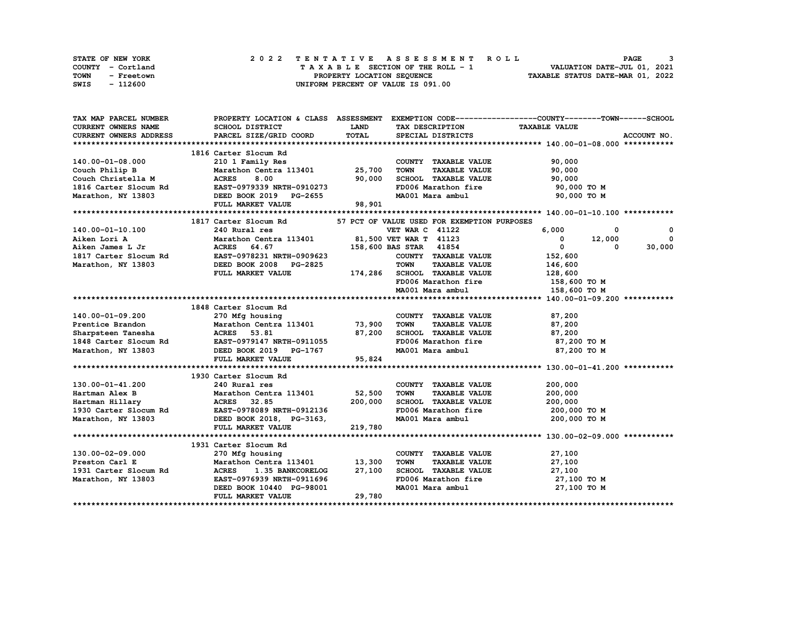| <b>STATE OF NEW YORK</b> | 2022 TENTATIVE ASSESSMENT ROLL     | PAGE                             |
|--------------------------|------------------------------------|----------------------------------|
| COUNTY - Cortland        | TAXABLE SECTION OF THE ROLL - 1    | VALUATION DATE-JUL 01, 2021      |
| TOWN<br>- Freetown       | PROPERTY LOCATION SEOUENCE         | TAXABLE STATUS DATE-MAR 01, 2022 |
| SWIS<br>- 112600         | UNIFORM PERCENT OF VALUE IS 091.00 |                                  |

| TAX MAP PARCEL NUMBER                      |                                                                                                                                                                                                                                           |              |                                     | PROPERTY LOCATION & CLASS ASSESSMENT EXEMPTION CODE----------------COUNTY-------TOWN------SCHOOL |
|--------------------------------------------|-------------------------------------------------------------------------------------------------------------------------------------------------------------------------------------------------------------------------------------------|--------------|-------------------------------------|--------------------------------------------------------------------------------------------------|
| <b>CURRENT OWNERS NAME</b>                 | SCHOOL DISTRICT                                                                                                                                                                                                                           | <b>LAND</b>  | TAX DESCRIPTION TAXABLE VALUE       |                                                                                                  |
| <b>CURRENT OWNERS ADDRESS</b>              | PARCEL SIZE/GRID COORD                                                                                                                                                                                                                    | <b>TOTAL</b> | SPECIAL DISTRICTS                   | ACCOUNT NO.                                                                                      |
|                                            |                                                                                                                                                                                                                                           |              |                                     |                                                                                                  |
|                                            | 1816 Carter Slocum Rd                                                                                                                                                                                                                     |              |                                     |                                                                                                  |
| 140.00-01-08.000                           | 210 1 Family Res                                                                                                                                                                                                                          |              | COUNTY TAXABLE VALUE                | 90,000                                                                                           |
| Couch Philip B                             | Marathon Centra 113401 25,700                                                                                                                                                                                                             |              | <b>TOWN</b><br><b>TAXABLE VALUE</b> | 90,000                                                                                           |
|                                            |                                                                                                                                                                                                                                           |              | SCHOOL TAXABLE VALUE                | 90,000                                                                                           |
|                                            |                                                                                                                                                                                                                                           |              | FD006 Marathon fire                 | 90,000 TO M                                                                                      |
|                                            | Couch Christella M (ACRES 8.00 90,000<br>1816 Carter Slocum Rd (EAST-0979339 NRTH-0910273<br>Marathon, NY 13803 (DEED BOOK 2019 PG-2655                                                                                                   |              |                                     | MA001 Mara ambul 90,000 TO M                                                                     |
|                                            | FULL MARKET VALUE                                                                                                                                                                                                                         | 98,901       |                                     |                                                                                                  |
|                                            |                                                                                                                                                                                                                                           |              |                                     |                                                                                                  |
|                                            | 1817 Carter Slocum Rd 57 PCT OF VALUE USED FOR EXEMPTION PURPOSES                                                                                                                                                                         |              |                                     |                                                                                                  |
|                                            | 140.00-01-10.100 181/2<br>Aiken Lori A Marathon Centra 113401 81,500 VET WAR C 41122 6,000<br>Aiken James L Jr ACRES 64.67<br>1817 Carter Slocum Rd EAST-099623<br>Marathon, NY 13803 DEED BOOK 2008 PG-2825<br>FULL MARKET VALUE<br>FULL |              |                                     | 0<br>$\mathbf 0$                                                                                 |
|                                            |                                                                                                                                                                                                                                           |              |                                     | $0$ 12,000<br>$\Omega$                                                                           |
|                                            |                                                                                                                                                                                                                                           |              |                                     | $\overline{0}$<br>30,000<br>$^{\circ}$                                                           |
|                                            |                                                                                                                                                                                                                                           |              |                                     |                                                                                                  |
|                                            |                                                                                                                                                                                                                                           |              |                                     |                                                                                                  |
|                                            |                                                                                                                                                                                                                                           |              |                                     |                                                                                                  |
|                                            |                                                                                                                                                                                                                                           |              | FD006 Marathon fire                 |                                                                                                  |
|                                            |                                                                                                                                                                                                                                           |              |                                     | 158,600 то м                                                                                     |
|                                            |                                                                                                                                                                                                                                           |              | MA001 Mara ambul                    | 158,600 TO M                                                                                     |
|                                            | 1848 Carter Slocum Rd                                                                                                                                                                                                                     |              |                                     |                                                                                                  |
| 140.00-01-09.200                           | 270 Mfg housing                                                                                                                                                                                                                           |              |                                     | 87,200                                                                                           |
| Prentice Brandon                           |                                                                                                                                                                                                                                           |              | COUNTY TAXABLE VALUE<br><b>TOWN</b> |                                                                                                  |
|                                            | Marathon Centra 113401 73,900<br>27,200 ACRES 53.81                                                                                                                                                                                       |              | SCHOOL TAXABLE VALUE                | TAXABLE VALUE 87,200                                                                             |
|                                            |                                                                                                                                                                                                                                           |              |                                     | 87,200<br>FD006 Marathon fire 87,200 TO M                                                        |
|                                            |                                                                                                                                                                                                                                           |              |                                     |                                                                                                  |
| Marathon, NY 13803                         | DEED BOOK 2019 PG-1767                                                                                                                                                                                                                    |              |                                     | MA001 Mara ambul 87,200 TO M                                                                     |
|                                            | FULL MARKET VALUE                                                                                                                                                                                                                         | 95,824       |                                     |                                                                                                  |
|                                            |                                                                                                                                                                                                                                           |              |                                     |                                                                                                  |
|                                            | 1930 Carter Slocum Rd                                                                                                                                                                                                                     |              |                                     |                                                                                                  |
| 130.00-01-41.200                           | 240 Rural res                                                                                                                                                                                                                             |              | COUNTY TAXABLE VALUE                | 200,000                                                                                          |
|                                            |                                                                                                                                                                                                                                           |              | <b>TOWN</b><br><b>TAXABLE VALUE</b> | 200,000                                                                                          |
|                                            |                                                                                                                                                                                                                                           |              | SCHOOL TAXABLE VALUE                | 200,000                                                                                          |
|                                            |                                                                                                                                                                                                                                           |              | FD006 Marathon fire                 | 200,000 TO M                                                                                     |
|                                            | Fartman Alex B<br>Hartman Alex B<br>Hartman Hillary<br>200,000<br>1930 Carter Slocum Rd<br>Marathon, NY 13803<br>Marathon, NY 13803<br>PULL MARKET VALUE<br>219,780                                                                       |              |                                     | MA001 Mara ambul 200,000 TO M                                                                    |
|                                            |                                                                                                                                                                                                                                           |              |                                     |                                                                                                  |
|                                            |                                                                                                                                                                                                                                           |              |                                     |                                                                                                  |
|                                            | 1931 Carter Slocum Rd                                                                                                                                                                                                                     |              |                                     |                                                                                                  |
| 130.00-02-09.000                           | 270 Mfg housing                                                                                                                                                                                                                           |              | COUNTY TAXABLE VALUE                | 27,100                                                                                           |
| Preston Carl E                             | Marathon Centra 113401 13,300                                                                                                                                                                                                             |              | <b>TOWN</b><br><b>TAXABLE VALUE</b> | 27,100                                                                                           |
| 1931 Carter Slocum Rd<br>Marathon NY 13803 | ACRES 1.35 BANKCORELOG 27,100                                                                                                                                                                                                             |              | SCHOOL TAXABLE VALUE 27,100         |                                                                                                  |
| Marathon, NY 13803                         | EAST-0976939 NRTH-0911696                                                                                                                                                                                                                 |              | FD006 Marathon fire                 | 27,100 TO M                                                                                      |
|                                            | DEED BOOK 10440 PG-98001                                                                                                                                                                                                                  |              | MA001 Mara ambul                    | 27,100 TO M                                                                                      |
|                                            | FULL MARKET VALUE                                                                                                                                                                                                                         | 29,780       |                                     |                                                                                                  |
|                                            |                                                                                                                                                                                                                                           |              |                                     |                                                                                                  |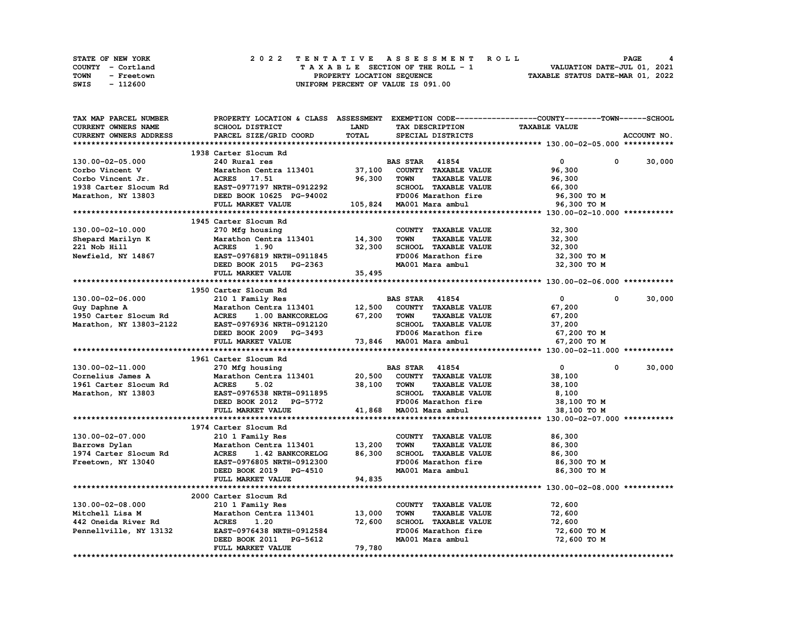|             | STATE OF NEW YORK | 2022 TENTATIVE ASSESSMENT ROLL     | PAGE                             |
|-------------|-------------------|------------------------------------|----------------------------------|
|             | COUNTY - Cortland | TAXABLE SECTION OF THE ROLL - 1    | VALUATION DATE-JUL 01, 2021      |
| <b>TOWN</b> | - Freetown        | PROPERTY LOCATION SEQUENCE         | TAXABLE STATUS DATE-MAR 01, 2022 |
| SWIS        | - 112600          | UNIFORM PERCENT OF VALUE IS 091.00 |                                  |

| TAX MAP PARCEL NUMBER                       |                                  |              |                                     | PROPERTY LOCATION & CLASS ASSESSMENT EXEMPTION CODE-----------------COUNTY-------TOWN------SCHOOL |
|---------------------------------------------|----------------------------------|--------------|-------------------------------------|---------------------------------------------------------------------------------------------------|
| <b>CURRENT OWNERS NAME</b>                  | SCHOOL DISTRICT                  | <b>LAND</b>  | TAX DESCRIPTION                     | <b>TAXABLE VALUE</b>                                                                              |
| CURRENT OWNERS ADDRESS                      | PARCEL SIZE/GRID COORD           | <b>TOTAL</b> | SPECIAL DISTRICTS                   | ACCOUNT NO.                                                                                       |
|                                             |                                  |              |                                     |                                                                                                   |
|                                             | 1938 Carter Slocum Rd            |              |                                     |                                                                                                   |
| 130.00-02-05.000                            | 240 Rural res                    |              | <b>BAS STAR 41854</b>               | $\mathbf{0}$<br>0<br>30,000                                                                       |
| Corbo Vincent V                             | Marathon Centra 113401 37,100    |              | COUNTY TAXABLE VALUE                | 96,300                                                                                            |
| Corbo Vincent Jr.                           | ACRES 17.51                      | 96,300       | <b>TOWN</b><br><b>TAXABLE VALUE</b> | 96,300                                                                                            |
|                                             | EAST-0977197 NRTH-0912292        |              | SCHOOL TAXABLE VALUE                |                                                                                                   |
| 1938 Carter Slocum Rd<br>Marathon, NY 13803 |                                  |              |                                     | 66,300                                                                                            |
| Marathon, NY 13803                          | DEED BOOK 10625 PG-94002         |              | FD006 Marathon fire                 | 96,300 то м                                                                                       |
|                                             | FULL MARKET VALUE                |              | 105,824 MA001 Mara ambul            | 96,300 TO M                                                                                       |
|                                             |                                  |              |                                     |                                                                                                   |
|                                             | 1945 Carter Slocum Rd            |              |                                     |                                                                                                   |
| 130.00-02-10.000                            | 270 Mfg housing                  |              | COUNTY TAXABLE VALUE                | 32,300                                                                                            |
| Shepard Marilyn K                           | Marathon Centra 113401           | 14,300       | <b>TOWN</b><br><b>TAXABLE VALUE</b> | 32,300                                                                                            |
| 221 Nob Hill                                | <b>ACRES</b><br>1.90             | 32,300       | SCHOOL TAXABLE VALUE                | 32,300                                                                                            |
| Newfield, NY 14867                          | <b>EAST-0976819 NRTH-0911845</b> |              | FD006 Marathon fire                 | 32,300 TO M                                                                                       |
|                                             | DEED BOOK 2015 PG-2363           |              | MA001 Mara ambul                    | 32,300 TO M                                                                                       |
|                                             | FULL MARKET VALUE                | 35,495       |                                     |                                                                                                   |
|                                             |                                  |              |                                     |                                                                                                   |
|                                             | 1950 Carter Slocum Rd            |              |                                     |                                                                                                   |
| 130.00-02-06.000                            | 210 1 Family Res                 |              | <b>BAS STAR 41854</b>               | $\overline{0}$<br>30,000<br>$\mathbf{0}$                                                          |
|                                             |                                  |              |                                     |                                                                                                   |
| Guy Daphne A                                | Marathon Centra 113401           | 12,500       | COUNTY TAXABLE VALUE                | 67,200                                                                                            |
| 1950 Carter Slocum Rd                       | ACRES 1.00 BANKCORELOG           | 67,200       | TOWN<br><b>TAXABLE VALUE</b>        | 67,200                                                                                            |
| Marathon, NY 13803-2122                     | EAST-0976936 NRTH-0912120        |              | SCHOOL TAXABLE VALUE                | 37,200                                                                                            |
|                                             | DEED BOOK 2009 PG-3493           |              | FD006 Marathon fire                 | 67,200 TO M                                                                                       |
|                                             | FULL MARKET VALUE                |              | 73,846 MA001 Mara ambul             | 67,200 TO M                                                                                       |
|                                             |                                  |              |                                     |                                                                                                   |
|                                             | 1961 Carter Slocum Rd            |              |                                     |                                                                                                   |
| 130.00-02-11.000                            | 270 Mfg housing                  |              | <b>BAS STAR</b> 41854               | 30,000<br>$\overline{\mathbf{0}}$<br>$^{\circ}$                                                   |
| Cornelius James A                           | Marathon Centra 113401 20,500    |              | COUNTY TAXABLE VALUE                | 38,100                                                                                            |
| 1961 Carter Slocum Rd                       | <b>ACRES</b><br>5.02             | 38,100       | <b>TAXABLE VALUE</b><br><b>TOWN</b> | 38,100                                                                                            |
| Marathon, NY 13803                          | EAST-0976538 NRTH-0911895        |              | SCHOOL TAXABLE VALUE                | 8,100                                                                                             |
|                                             | DEED BOOK 2012 PG-5772           |              | FD006 Marathon fire                 | 38,100 TO M                                                                                       |
|                                             | FULL MARKET VALUE                | 41,868       | MA001 Mara ambul                    | 38,100 TO M                                                                                       |
|                                             |                                  |              |                                     |                                                                                                   |
|                                             | 1974 Carter Slocum Rd            |              |                                     |                                                                                                   |
| 130.00-02-07.000                            | 210 1 Family Res                 |              | COUNTY TAXABLE VALUE                | 86,300                                                                                            |
|                                             | Marathon Centra 113401           | 13,200       | <b>TOWN</b><br><b>TAXABLE VALUE</b> | 86,300                                                                                            |
| Barrows Dylan                               |                                  |              |                                     |                                                                                                   |
| 1974 Carter Slocum Rd                       | <b>ACRES</b><br>1.42 BANKCORELOG | 86,300       | SCHOOL TAXABLE VALUE                | 86,300                                                                                            |
| Freetown, NY 13040                          | EAST-0976805 NRTH-0912300        |              | FD006 Marathon fire                 | 86,300 то м                                                                                       |
|                                             | DEED BOOK 2019 PG-4510           |              | MA001 Mara ambul                    | 86,300 TO M                                                                                       |
|                                             | FULL MARKET VALUE                | 94,835       |                                     |                                                                                                   |
|                                             |                                  |              |                                     |                                                                                                   |
|                                             | 2000 Carter Slocum Rd            |              |                                     |                                                                                                   |
| 130.00-02-08.000                            | 210 1 Family Res                 |              | COUNTY TAXABLE VALUE                | 72,600                                                                                            |
| Mitchell Lisa M                             | Marathon Centra 113401           | 13,000       | <b>TOWN</b><br><b>TAXABLE VALUE</b> | 72,600                                                                                            |
| 442 Oneida River Rd                         | <b>ACRES</b><br>1.20             | 72,600       | SCHOOL TAXABLE VALUE                | 72,600                                                                                            |
| Pennellville, NY 13132                      | EAST-0976438 NRTH-0912584        |              | FD006 Marathon fire                 | 72,600 TO M                                                                                       |
|                                             | DEED BOOK 2011 PG-5612           |              | MA001 Mara ambul                    | 72,600 TO M                                                                                       |
|                                             | FULL MARKET VALUE                | 79,780       |                                     |                                                                                                   |
|                                             |                                  |              |                                     |                                                                                                   |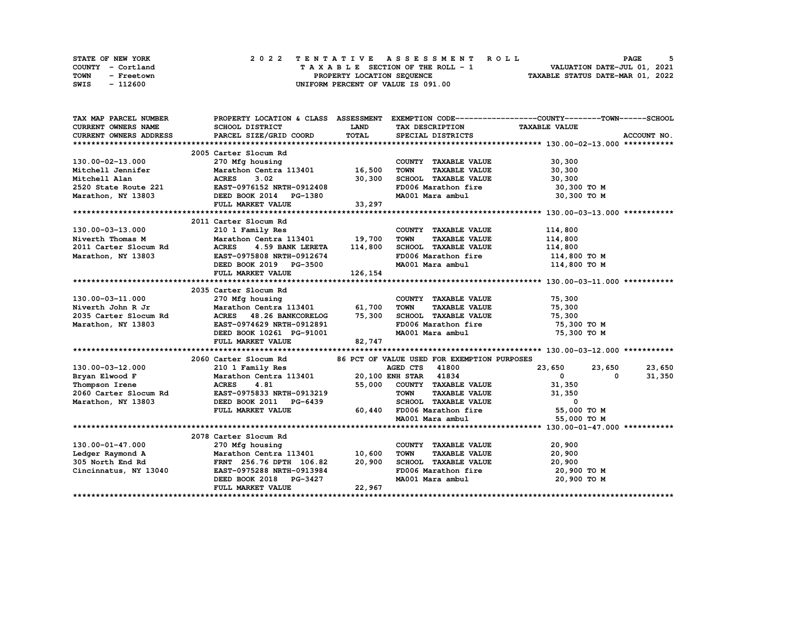| STATE OF NEW YORK  | 2022 TENTATIVE ASSESSMENT ROLL     | <b>PAGE</b>                      |
|--------------------|------------------------------------|----------------------------------|
| COUNTY - Cortland  | TAXABLE SECTION OF THE ROLL - 1    | VALUATION DATE-JUL 01, 2021      |
| TOWN<br>- Freetown | PROPERTY LOCATION SEOUENCE         | TAXABLE STATUS DATE-MAR 01, 2022 |
| SWIS<br>- 112600   | UNIFORM PERCENT OF VALUE IS 091.00 |                                  |

| TAX MAP PARCEL NUMBER      |                                                                   |          |                                     | PROPERTY LOCATION & CLASS ASSESSMENT EXEMPTION CODE----------------COUNTY-------TOWN------SCHOOL |
|----------------------------|-------------------------------------------------------------------|----------|-------------------------------------|--------------------------------------------------------------------------------------------------|
| <b>CURRENT OWNERS NAME</b> | <b>SCHOOL DISTRICT</b>                                            | LAND     | TAX DESCRIPTION                     | <b>TAXABLE VALUE</b>                                                                             |
| CURRENT OWNERS ADDRESS     | PARCEL SIZE/GRID COORD                                            | TOTAL    | SPECIAL DISTRICTS                   | ACCOUNT NO.                                                                                      |
|                            |                                                                   |          |                                     |                                                                                                  |
|                            | 2005 Carter Slocum Rd                                             |          |                                     |                                                                                                  |
| 130.00-02-13.000           | 270 Mfg housing                                                   |          | COUNTY TAXABLE VALUE                | 30,300                                                                                           |
| Mitchell Jennifer          | Marathon Centra 113401 16,500                                     |          | <b>TOWN</b><br><b>TAXABLE VALUE</b> | 30,300                                                                                           |
| Mitchell Alan              | <b>ACRES</b><br>3.02                                              | 30,300   | SCHOOL TAXABLE VALUE                | 30,300                                                                                           |
| 2520 State Route 221       | EAST-0976152 NRTH-0912408                                         |          | FD006 Marathon fire                 | 30,300 то м                                                                                      |
| Marathon, NY 13803         | DEED BOOK 2014 PG-1380                                            |          | MA001 Mara ambul                    | 30,300 TO M                                                                                      |
|                            | FULL MARKET VALUE                                                 | 33,297   |                                     |                                                                                                  |
|                            |                                                                   |          |                                     |                                                                                                  |
|                            | 2011 Carter Slocum Rd                                             |          |                                     |                                                                                                  |
| 130.00-03-13.000           | 210 1 Family Res                                                  |          | COUNTY TAXABLE VALUE                | 114,800                                                                                          |
| Niverth Thomas M           | Marathon Centra 113401 19,700                                     |          | <b>TOWN</b><br><b>TAXABLE VALUE</b> | 114,800                                                                                          |
| 2011 Carter Slocum Rd      | ACRES 4.59 BANK LERETA                                            | 114,800  | SCHOOL TAXABLE VALUE                | 114,800                                                                                          |
| Marathon, NY 13803         | EAST-0975808 NRTH-0912674                                         |          | FD006 Marathon fire                 | 114,800 TO M                                                                                     |
|                            | DEED BOOK 2019 PG-3500                                            |          |                                     | MA001 Mara ambul 114,800 TO M                                                                    |
|                            | FULL MARKET VALUE                                                 | 126, 154 |                                     |                                                                                                  |
|                            |                                                                   |          |                                     |                                                                                                  |
|                            | 2035 Carter Slocum Rd                                             |          |                                     |                                                                                                  |
| 130.00-03-11.000           |                                                                   |          | COUNTY TAXABLE VALUE                | 75,300                                                                                           |
| Niverth John R Jr          | 270 Mfg housing<br>Marathon Centra 113401 61,700                  |          | <b>TAXABLE VALUE</b><br><b>TOWN</b> | 75,300                                                                                           |
| 2035 Carter Slocum Rd      | ACRES 48.26 BANKCORELOG                                           | 75,300   | SCHOOL TAXABLE VALUE                | 75,300                                                                                           |
| Marathon, NY 13803         | EAST-0974629 NRTH-0912891                                         |          | FD006 Marathon fire                 | 75,300 TO M                                                                                      |
|                            | DEED BOOK 10261 PG-91001                                          |          | MA001 Mara ambul                    | 75,300 TO M                                                                                      |
|                            | FULL MARKET VALUE                                                 | 82,747   |                                     |                                                                                                  |
|                            |                                                                   |          |                                     |                                                                                                  |
|                            | 2060 Carter Slocum Rd 36 PCT OF VALUE USED FOR EXEMPTION PURPOSES |          |                                     |                                                                                                  |
| 130.00-03-12.000           | 210 1 Family Res                                                  |          | AGED CTS<br>41800                   | 23,650<br>23,650<br>23,650                                                                       |
| Bryan Elwood F             | Marathon Centra 113401 20,100 ENH STAR 41834                      |          |                                     | 31,350<br>$\mathbf{0}$<br>0                                                                      |
| Thompson Irene             | <b>ACRES</b><br>4.81                                              | 55,000   | COUNTY TAXABLE VALUE                | 31,350                                                                                           |
| 2060 Carter Slocum Rd      | EAST-0975833 NRTH-0913219                                         |          | <b>TOWN</b><br><b>TAXABLE VALUE</b> | 31,350                                                                                           |
| Marathon, NY 13803         | DEED BOOK 2011 PG-6439                                            |          | SCHOOL TAXABLE VALUE                | 0                                                                                                |
|                            | FULL MARKET VALUE                                                 |          | 60,440 FD006 Marathon fire          | 55,000 TO M                                                                                      |
|                            |                                                                   |          | MA001 Mara ambul                    | 55,000 TO M                                                                                      |
|                            |                                                                   |          |                                     |                                                                                                  |
|                            | 2078 Carter Slocum Rd                                             |          |                                     |                                                                                                  |
| 130.00-01-47.000           | 270 Mfg housing                                                   |          | COUNTY TAXABLE VALUE                | 20,900                                                                                           |
| Ledger Raymond A           | Marathon Centra 113401 10,600                                     |          | <b>TOWN</b><br>TAXABLE VALUE        | 20,900                                                                                           |
| 305 North End Rd           | FRNT 256.76 DPTH 106.82                                           | 20,900   | SCHOOL TAXABLE VALUE                | 20,900                                                                                           |
| Cincinnatus, NY 13040      | EAST-0975288 NRTH-0913984                                         |          |                                     | FD006 Marathon fire 20,900 TO M                                                                  |
|                            | DEED BOOK 2018 PG-3427                                            |          | MA001 Mara ambul                    | 20,900 то м                                                                                      |
|                            | FULL MARKET VALUE                                                 | 22,967   |                                     |                                                                                                  |
|                            |                                                                   |          |                                     |                                                                                                  |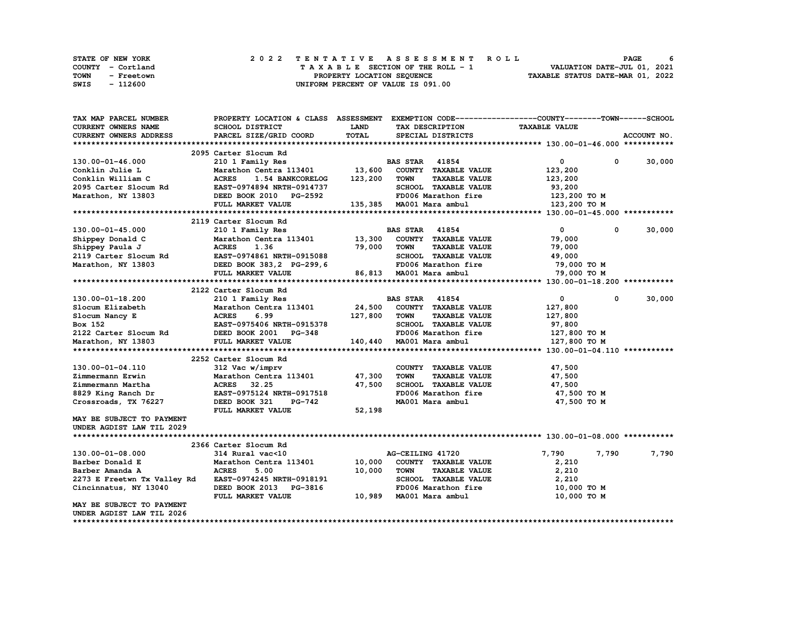|      | <b>STATE OF NEW YORK</b> | 2022 TENTATIVE ASSESSMENT ROLL          | PAGE                             | 6 |
|------|--------------------------|-----------------------------------------|----------------------------------|---|
|      | COUNTY - Cortland        | $T A X A B L E$ SECTION OF THE ROLL - 1 | VALUATION DATE-JUL 01, 2021      |   |
| TOWN | - Freetown               | PROPERTY LOCATION SEQUENCE              | TAXABLE STATUS DATE-MAR 01, 2022 |   |
| SWIS | - 112600                 | UNIFORM PERCENT OF VALUE IS 091.00      |                                  |   |

| TAX MAP PARCEL NUMBER                       |                                  |             |                                     | PROPERTY LOCATION & CLASS ASSESSMENT EXEMPTION CODE-----------------COUNTY-------TOWN------SCHOOL |             |
|---------------------------------------------|----------------------------------|-------------|-------------------------------------|---------------------------------------------------------------------------------------------------|-------------|
| <b>CURRENT OWNERS NAME</b>                  | <b>SCHOOL DISTRICT</b>           | <b>LAND</b> | TAX DESCRIPTION                     | <b>TAXABLE VALUE</b>                                                                              |             |
| <b>CURRENT OWNERS ADDRESS</b>               | PARCEL SIZE/GRID COORD           | TOTAL       | SPECIAL DISTRICTS                   |                                                                                                   | ACCOUNT NO. |
|                                             |                                  |             |                                     |                                                                                                   |             |
|                                             | 2095 Carter Slocum Rd            |             |                                     |                                                                                                   |             |
| 130.00-01-46.000                            | 210 1 Family Res                 |             | <b>BAS STAR 41854</b>               | 0<br>0                                                                                            | 30,000      |
| Conklin Julie L                             | Marathon Centra 113401           | 13,600      | COUNTY TAXABLE VALUE                | 123,200                                                                                           |             |
| Conklin William C                           | <b>ACRES</b><br>1.54 BANKCORELOG | 123,200     | <b>TOWN</b><br><b>TAXABLE VALUE</b> |                                                                                                   |             |
|                                             |                                  |             |                                     | 123,200                                                                                           |             |
| 2095 Carter Slocum Rd                       | EAST-0974894 NRTH-0914737        |             | SCHOOL TAXABLE VALUE                | 93,200                                                                                            |             |
| Marathon, NY 13803                          | DEED BOOK 2010 PG-2592           |             | FD006 Marathon fire                 | 123,200 TO M                                                                                      |             |
|                                             | FULL MARKET VALUE                |             | 135,385 MA001 Mara ambul            | 123,200 TO M                                                                                      |             |
|                                             |                                  |             |                                     |                                                                                                   |             |
|                                             | 2119 Carter Slocum Rd            |             |                                     |                                                                                                   |             |
| 130.00-01-45.000                            | 210 1 Family Res                 |             | <b>BAS STAR 41854</b>               | $\mathbf{0}$<br>$\mathbf{0}$                                                                      | 30,000      |
| Shippey Donald C                            | Marathon Centra 113401 13,300    |             | COUNTY TAXABLE VALUE                | 79,000                                                                                            |             |
| Shippey Paula J                             | <b>ACRES</b><br>1.36             | 79,000      | <b>TOWN</b><br><b>TAXABLE VALUE</b> | 79,000                                                                                            |             |
| 2119 Carter Slocum Rd                       | EAST-0974861 NRTH-0915088        |             | SCHOOL TAXABLE VALUE                | 49,000                                                                                            |             |
| Marathon, NY 13803                          | DEED BOOK 383, 2 PG-299, 6       |             | FD006 Marathon fire                 | 79,000 TO M                                                                                       |             |
|                                             | FULL MARKET VALUE                |             | 86,813 MA001 Mara ambul             | 79,000 TO M                                                                                       |             |
|                                             |                                  |             |                                     |                                                                                                   |             |
|                                             | 2122 Carter Slocum Rd            |             |                                     |                                                                                                   |             |
| 130.00-01-18.200                            | 210 1 Family Res                 |             | <b>BAS STAR 41854</b>               | 0<br>0                                                                                            | 30,000      |
| Slocum Elizabeth                            | Marathon Centra 113401           |             | 24,500 COUNTY TAXABLE VALUE         | 127,800                                                                                           |             |
| Slocum Nancy E                              | 6.99<br><b>ACRES</b>             | 127,800     | TOWN<br><b>TAXABLE VALUE</b>        | 127,800                                                                                           |             |
| Box 152                                     |                                  |             | SCHOOL TAXABLE VALUE                |                                                                                                   |             |
| 2122 Carter Slocum Rd DEED BOOK 2001 PG-348 | EAST-0975406 NRTH-0915378        |             |                                     | 97,800                                                                                            |             |
|                                             |                                  |             | FD006 Marathon fire                 | 127,800 TO M                                                                                      |             |
| Marathon, NY 13803                          | FULL MARKET VALUE                |             | 140,440 MA001 Mara ambul            | 127,800 TO M                                                                                      |             |
|                                             |                                  |             |                                     |                                                                                                   |             |
|                                             | 2252 Carter Slocum Rd            |             |                                     |                                                                                                   |             |
| 130.00-01-04.110                            | 312 Vac w/imprv                  |             | COUNTY TAXABLE VALUE                | 47,500                                                                                            |             |
| Zimmermann Erwin                            | Marathon Centra 113401           | 47,300      | <b>TOWN</b><br><b>TAXABLE VALUE</b> | 47,500                                                                                            |             |
| Zimmermann Martha                           | ACRES 32.25                      | 47,500      | SCHOOL TAXABLE VALUE                | 47,500                                                                                            |             |
| 8829 King Ranch Dr                          | EAST-0975124 NRTH-0917518        |             | FD006 Marathon fire                 | 47,500 TO M                                                                                       |             |
| Crossroads, TX 76227                        | DEED BOOK 321<br>PG-742          |             | MA001 Mara ambul                    | 47,500 TO M                                                                                       |             |
|                                             | FULL MARKET VALUE                | 52,198      |                                     |                                                                                                   |             |
| MAY BE SUBJECT TO PAYMENT                   |                                  |             |                                     |                                                                                                   |             |
| UNDER AGDIST LAW TIL 2029                   |                                  |             |                                     |                                                                                                   |             |
|                                             |                                  |             |                                     |                                                                                                   |             |
|                                             | 2366 Carter Slocum Rd            |             |                                     |                                                                                                   |             |
| 130.00-01-08.000                            | 314 Rural vac<10                 |             | AG-CEILING 41720                    | 7,790<br>7,790                                                                                    | 7,790       |
| Barber Donald E                             | Marathon Centra 113401           | 10,000      | COUNTY TAXABLE VALUE                | 2,210                                                                                             |             |
| Barber Amanda A                             | <b>ACRES</b><br>5.00             | 10,000      | <b>TOWN</b><br><b>TAXABLE VALUE</b> | 2,210                                                                                             |             |
| 2273 E Freetwn Tx Valley Rd                 | EAST-0974245 NRTH-0918191        |             | SCHOOL TAXABLE VALUE                | 2,210                                                                                             |             |
| Cincinnatus, NY 13040                       | DEED BOOK 2013 PG-3816           |             | FD006 Marathon fire                 | 10,000 TO M                                                                                       |             |
|                                             | FULL MARKET VALUE                | 10,989      | MA001 Mara ambul                    | 10,000 TO M                                                                                       |             |
|                                             |                                  |             |                                     |                                                                                                   |             |
| MAY BE SUBJECT TO PAYMENT                   |                                  |             |                                     |                                                                                                   |             |
| UNDER AGDIST LAW TIL 2026                   |                                  |             |                                     |                                                                                                   |             |
|                                             |                                  |             |                                     |                                                                                                   |             |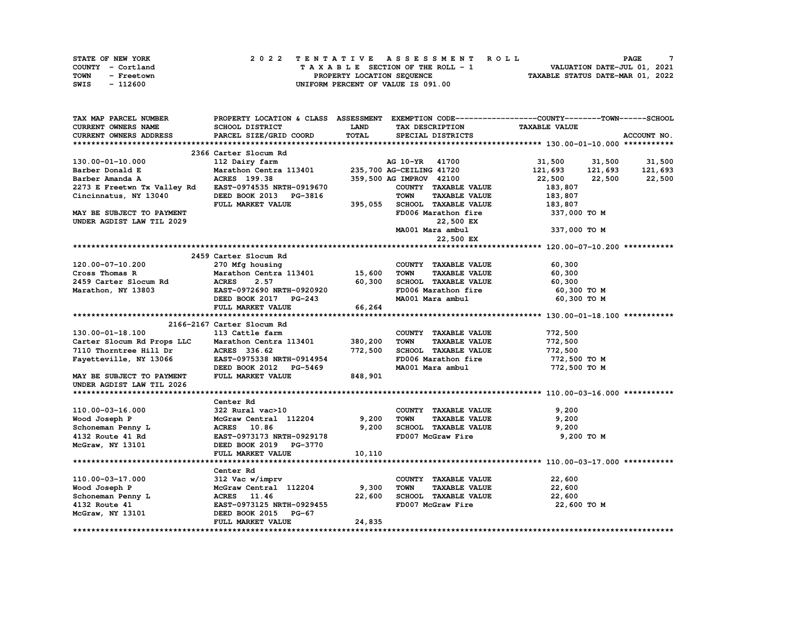| <b>STATE OF NEW YORK</b> | 2022 TENTATIVE ASSESSMENT ROLL     | <b>PAGE</b>                      |
|--------------------------|------------------------------------|----------------------------------|
| COUNTY - Cortland        | TAXABLE SECTION OF THE ROLL - 1    | VALUATION DATE-JUL 01, 2021      |
| TOWN<br>- Freetown       | PROPERTY LOCATION SEQUENCE         | TAXABLE STATUS DATE-MAR 01, 2022 |
| SWIS<br>- 112600         | UNIFORM PERCENT OF VALUE IS 091.00 |                                  |

| TAX MAP PARCEL NUMBER       |                               |              | PROPERTY LOCATION & CLASS ASSESSMENT EXEMPTION CODE----------------COUNTY-------TOWN-----SCHOOL |                      |             |
|-----------------------------|-------------------------------|--------------|-------------------------------------------------------------------------------------------------|----------------------|-------------|
| CURRENT OWNERS NAME         | SCHOOL DISTRICT               | <b>LAND</b>  | TAX DESCRIPTION                                                                                 | <b>TAXABLE VALUE</b> |             |
| CURRENT OWNERS ADDRESS      | PARCEL SIZE/GRID COORD        | <b>TOTAL</b> | SPECIAL DISTRICTS                                                                               |                      | ACCOUNT NO. |
|                             |                               |              |                                                                                                 |                      |             |
|                             | 2366 Carter Slocum Rd         |              |                                                                                                 |                      |             |
| 130.00-01-10.000            | 112 Dairy farm                |              | AG 10-YR 41700                                                                                  | 31,500 31,500        | 31,500      |
| Barber Donald E             | Marathon Centra 113401        |              | 235,700 AG-CEILING 41720                                                                        | 121,693 121,693      | 121,693     |
| Barber Amanda A             | <b>ACRES</b> 199.38           |              | 359,500 AG IMPROV 42100                                                                         | 22,500<br>22,500     | 22,500      |
| 2273 E Freetwn Tx Valley Rd | EAST-0974535 NRTH-0919670     |              | COUNTY TAXABLE VALUE                                                                            | 183,807              |             |
| Cincinnatus, NY 13040       | DEED BOOK 2013 PG-3816        |              | <b>TOWN</b><br><b>TAXABLE VALUE</b>                                                             | 183,807              |             |
|                             | FULL MARKET VALUE             | 395,055      | SCHOOL TAXABLE VALUE                                                                            | 183,807              |             |
| MAY BE SUBJECT TO PAYMENT   |                               |              | FD006 Marathon fire                                                                             | 337,000 TO M         |             |
| UNDER AGDIST LAW TIL 2029   |                               |              | 22,500 EX                                                                                       |                      |             |
|                             |                               |              | MA001 Mara ambul                                                                                | 337,000 TO M         |             |
|                             |                               |              | 22,500 EX                                                                                       |                      |             |
|                             |                               |              |                                                                                                 |                      |             |
|                             |                               |              |                                                                                                 |                      |             |
|                             | 2459 Carter Slocum Rd         |              |                                                                                                 |                      |             |
| 120.00-07-10.200            | 270 Mfg housing               |              | COUNTY TAXABLE VALUE                                                                            | 60,300               |             |
| Cross Thomas R              | Marathon Centra 113401 15,600 |              | <b>TOWN</b><br><b>TAXABLE VALUE</b>                                                             | 60,300               |             |
| 2459 Carter Slocum Rd       | <b>ACRES</b><br>2.57          | 60,300       | SCHOOL TAXABLE VALUE                                                                            | 60,300               |             |
| Marathon, NY 13803          | EAST-0972690 NRTH-0920920     |              | FD006 Marathon fire                                                                             | 60,300 то м          |             |
|                             | DEED BOOK 2017 PG-243         |              | MA001 Mara ambul                                                                                | 60,300 TO M          |             |
|                             | FULL MARKET VALUE             | 66,264       |                                                                                                 |                      |             |
|                             |                               |              |                                                                                                 |                      |             |
|                             | 2166-2167 Carter Slocum Rd    |              |                                                                                                 |                      |             |
| 130.00-01-18.100            | 113 Cattle farm               |              | COUNTY TAXABLE VALUE                                                                            | 772,500              |             |
| Carter Slocum Rd Props LLC  | Marathon Centra 113401        | 380,200      | <b>TOWN</b><br><b>TAXABLE VALUE</b>                                                             | 772,500              |             |
| 7110 Thorntree Hill Dr      | ACRES 336.62                  | 772,500      | SCHOOL TAXABLE VALUE                                                                            | 772,500              |             |
| Fayetteville, NY 13066      | EAST-0975338 NRTH-0914954     |              | FD006 Marathon fire                                                                             | 772,500 TO M         |             |
|                             | DEED BOOK 2012 PG-5469        |              | MA001 Mara ambul                                                                                | 772,500 TO M         |             |
| MAY BE SUBJECT TO PAYMENT   | FULL MARKET VALUE             | 848,901      |                                                                                                 |                      |             |
| UNDER AGDIST LAW TIL 2026   |                               |              |                                                                                                 |                      |             |
|                             |                               |              |                                                                                                 |                      |             |
|                             | Center Rd                     |              |                                                                                                 |                      |             |
| 110.00-03-16.000            | 322 Rural vac>10              |              | COUNTY TAXABLE VALUE                                                                            | 9,200                |             |
| Wood Joseph P               | McGraw Central 112204         | 9,200        | <b>TAXABLE VALUE</b><br><b>TOWN</b>                                                             | 9,200                |             |
| Schoneman Penny L           | ACRES 10.86                   | 9,200        | SCHOOL TAXABLE VALUE                                                                            | 9,200                |             |
| 4132 Route 41 Rd            | EAST-0973173 NRTH-0929178     |              | FD007 McGraw Fire                                                                               | 9,200 TO M           |             |
| McGraw, NY 13101            | DEED BOOK 2019 PG-3770        |              |                                                                                                 |                      |             |
|                             | FULL MARKET VALUE             | 10,110       |                                                                                                 |                      |             |
|                             |                               |              |                                                                                                 |                      |             |
|                             | Center Rd                     |              |                                                                                                 |                      |             |
| 110.00-03-17.000            | 312 Vac w/imprv               |              | COUNTY TAXABLE VALUE                                                                            | 22,600               |             |
| Wood Joseph P               | McGraw Central 112204         | 9,300        | <b>TOWN</b><br><b>TAXABLE VALUE</b>                                                             | 22,600               |             |
| Schoneman Penny L           | ACRES 11.46                   | 22,600       | SCHOOL TAXABLE VALUE                                                                            | 22,600               |             |
| 4132 Route 41               | EAST-0973125 NRTH-0929455     |              | FD007 McGraw Fire                                                                               | 22,600 TO M          |             |
| McGraw, NY 13101            | DEED BOOK 2015 PG-67          |              |                                                                                                 |                      |             |
|                             | FULL MARKET VALUE             | 24,835       |                                                                                                 |                      |             |
|                             |                               |              |                                                                                                 |                      |             |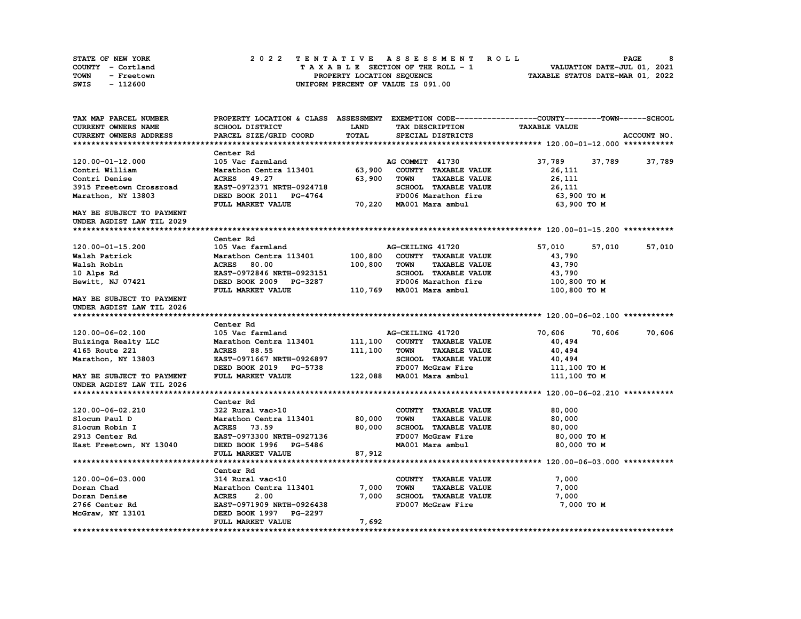| STATE OF NEW YORK  | 2022 TENTATIVE ASSESSMENT ROLL     | PAGE                             |
|--------------------|------------------------------------|----------------------------------|
| COUNTY - Cortland  | TAXABLE SECTION OF THE ROLL - 1    | VALUATION DATE-JUL 01, 2021      |
| TOWN<br>- Freetown | PROPERTY LOCATION SEQUENCE         | TAXABLE STATUS DATE-MAR 01, 2022 |
| - 112600<br>SWIS   | UNIFORM PERCENT OF VALUE IS 091.00 |                                  |

| TAX MAP PARCEL NUMBER     |                                             |             |                                     | PROPERTY LOCATION & CLASS ASSESSMENT EXEMPTION CODE----------------COUNTY-------TOWN-----SCHOOL |             |
|---------------------------|---------------------------------------------|-------------|-------------------------------------|-------------------------------------------------------------------------------------------------|-------------|
| CURRENT OWNERS NAME       | <b>SCHOOL DISTRICT</b>                      | <b>LAND</b> | TAX DESCRIPTION                     | <b>TAXABLE VALUE</b>                                                                            |             |
| CURRENT OWNERS ADDRESS    | PARCEL SIZE/GRID COORD                      | TOTAL       | SPECIAL DISTRICTS                   |                                                                                                 | ACCOUNT NO. |
|                           |                                             |             |                                     |                                                                                                 |             |
|                           | Center Rd                                   |             |                                     |                                                                                                 |             |
| 120.00-01-12.000          | 105 Vac farmland                            |             | AG COMMIT 41730                     | 37,789<br>37,789                                                                                | 37,789      |
| Contri William            | Marathon Centra 113401                      | 63,900      | COUNTY TAXABLE VALUE                | 26,111                                                                                          |             |
| Contri Denise             | ACRES 49.27                                 | 63,900      | TOWN<br><b>TAXABLE VALUE</b>        | 26,111                                                                                          |             |
| 3915 Freetown Crossroad   | EAST-0972371 NRTH-0924718                   |             | SCHOOL TAXABLE VALUE                | 26,111                                                                                          |             |
| Marathon, NY 13803        | DEED BOOK 2011 PG-4764                      |             | FD006 Marathon fire                 | 63,900 то м                                                                                     |             |
|                           | FULL MARKET VALUE                           |             | 70,220 MA001 Mara ambul             | 63,900 TO M                                                                                     |             |
| MAY BE SUBJECT TO PAYMENT |                                             |             |                                     |                                                                                                 |             |
| UNDER AGDIST LAW TIL 2029 |                                             |             |                                     |                                                                                                 |             |
|                           |                                             |             |                                     |                                                                                                 |             |
|                           | Center Rd                                   |             |                                     |                                                                                                 |             |
| 120.00-01-15.200          | 105 Vac farmland                            |             | AG-CEILING 41720                    | 57,010<br>57,010                                                                                | 57,010      |
| Walsh Patrick             |                                             | 100,800     |                                     |                                                                                                 |             |
|                           | Marathon Centra 113401                      |             | COUNTY TAXABLE VALUE                | 43,790                                                                                          |             |
| Walsh Robin               | ACRES 80.00                                 | 100,800     | TOWN<br><b>TAXABLE VALUE</b>        | 43,790                                                                                          |             |
| 10 Alps Rd                | EAST-0972846 NRTH-0923151                   |             | SCHOOL TAXABLE VALUE                | 43,790                                                                                          |             |
| Hewitt, NJ 07421          | DEED BOOK 2009 PG-3287                      |             | FD006 Marathon fire                 | 100,800 TO M                                                                                    |             |
|                           | FULL MARKET VALUE                           |             | 110,769 MA001 Mara ambul            | 100,800 TO M                                                                                    |             |
| MAY BE SUBJECT TO PAYMENT |                                             |             |                                     |                                                                                                 |             |
| UNDER AGDIST LAW TIL 2026 |                                             |             |                                     |                                                                                                 |             |
|                           |                                             |             |                                     |                                                                                                 |             |
|                           | Center Rd                                   |             |                                     |                                                                                                 |             |
| 120.00-06-02.100          | 105 Vac farmland                            |             | AG-CEILING 41720                    | 70,606<br>70,606                                                                                | 70,606      |
|                           |                                             |             |                                     |                                                                                                 |             |
| Huizinga Realty LLC       | Marathon Centra 113401                      | 111,100     | COUNTY TAXABLE VALUE                | 40,494                                                                                          |             |
| 4165 Route 221            | <b>ACRES</b><br>88.55                       | 111,100     | <b>TOWN</b><br><b>TAXABLE VALUE</b> | 40,494                                                                                          |             |
| Marathon, NY 13803        | EAST-0971667 NRTH-0926897                   |             | SCHOOL TAXABLE VALUE                | 40,494                                                                                          |             |
|                           | DEED BOOK 2019 PG-5738                      |             | FD007 McGraw Fire                   | 111,100 TO M                                                                                    |             |
| MAY BE SUBJECT TO PAYMENT | FULL MARKET VALUE                           |             | 122,088 MA001 Mara ambul            | 111,100 TO M                                                                                    |             |
| UNDER AGDIST LAW TIL 2026 |                                             |             |                                     |                                                                                                 |             |
|                           |                                             |             |                                     |                                                                                                 |             |
|                           | Center Rd                                   |             |                                     |                                                                                                 |             |
| 120.00-06-02.210          | 322 Rural vac>10                            |             | COUNTY TAXABLE VALUE                | 80,000                                                                                          |             |
| Slocum Paul D             | Marathon Centra 113401                      | 80,000      | <b>TOWN</b><br><b>TAXABLE VALUE</b> | 80,000                                                                                          |             |
| Slocum Robin I            | ACRES 73.59                                 | 80,000      | SCHOOL TAXABLE VALUE                | 80,000                                                                                          |             |
| 2913 Center Rd            | EAST-0973300 NRTH-0927136                   |             | FD007 McGraw Fire                   | 80,000 TO M                                                                                     |             |
|                           | DEED BOOK 1996 PG-5486                      |             | MA001 Mara ambul                    | 80,000 TO M                                                                                     |             |
| East Freetown, NY 13040   | FULL MARKET VALUE                           | 87,912      |                                     |                                                                                                 |             |
|                           |                                             |             |                                     |                                                                                                 |             |
|                           | Center Rd                                   |             |                                     |                                                                                                 |             |
| 120.00-06-03.000          | 314 Rural vac<10                            |             |                                     |                                                                                                 |             |
| Doran Chad                |                                             |             | COUNTY TAXABLE VALUE<br>TOWN        | 7,000                                                                                           |             |
|                           | Marathon Centra 113401                      | 7,000       | <b>TAXABLE VALUE</b>                | 7,000                                                                                           |             |
| Doran Denise              | <b>ACRES</b><br>2.00                        | 7,000       | SCHOOL TAXABLE VALUE                | 7,000                                                                                           |             |
| 2766 Center Rd            | EAST-0971909 NRTH-0926438                   |             | FD007 McGraw Fire                   | 7,000 TO M                                                                                      |             |
| McGraw, NY 13101          | DEED BOOK 1997 PG-2297<br>FULL MARKET VALUE | 7,692       |                                     |                                                                                                 |             |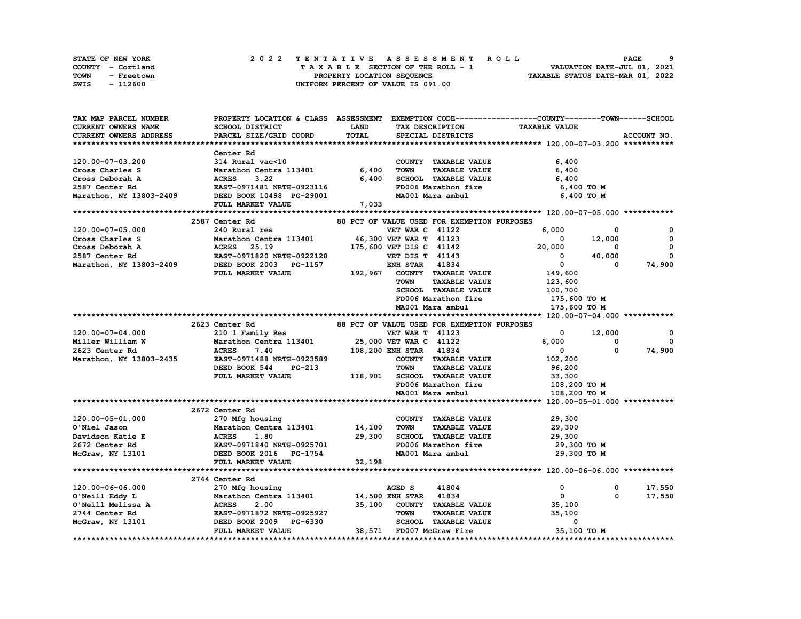| STATE OF NEW YORK  | 2022 TENTATIVE ASSESSMENT ROLL     | PAGE                             |
|--------------------|------------------------------------|----------------------------------|
| COUNTY - Cortland  | TAXABLE SECTION OF THE ROLL - 1    | VALUATION DATE-JUL 01, 2021      |
| TOWN<br>- Freetown | PROPERTY LOCATION SEOUENCE         | TAXABLE STATUS DATE-MAR 01, 2022 |
| - 112600<br>SWIS   | UNIFORM PERCENT OF VALUE IS 091.00 |                                  |

| TAX MAP PARCEL NUMBER                                                                            | PROPERTY LOCATION & CLASS ASSESSMENT                                                               |             |                          |                                             | EXEMPTION CODE------------------COUNTY-------TOWN------SCHOOL |              |
|--------------------------------------------------------------------------------------------------|----------------------------------------------------------------------------------------------------|-------------|--------------------------|---------------------------------------------|---------------------------------------------------------------|--------------|
| CURRENT OWNERS NAME                                                                              | SCHOOL DISTRICT                                                                                    | <b>LAND</b> | TAX DESCRIPTION          |                                             | <b>TAXABLE VALUE</b>                                          |              |
| <b>CURRENT OWNERS ADDRESS</b>                                                                    | PARCEL SIZE/GRID COORD                                                                             | TOTAL       |                          | SPECIAL DISTRICTS                           |                                                               | ACCOUNT NO.  |
|                                                                                                  |                                                                                                    |             |                          |                                             |                                                               |              |
|                                                                                                  | Center Rd                                                                                          |             |                          |                                             |                                                               |              |
| 120.00-07-03.200                                                                                 | 314 Rural vac<10                                                                                   |             |                          | COUNTY TAXABLE VALUE                        | 6,400                                                         |              |
| Cross Charles S                                                                                  | Marathon Centra 113401                                                                             | 6,400       | <b>TOWN</b>              | <b>TAXABLE VALUE</b>                        | 6,400                                                         |              |
| Cross Deborah A                                                                                  | <b>ACRES</b><br>3.22                                                                               | 6,400       |                          | SCHOOL TAXABLE VALUE                        | 6,400                                                         |              |
| 2587 Center Rd                                                                                   | <b>ACRES       3.22</b><br>EAST-0971481  NRTH-0923116                                              |             |                          | FD006 Marathon fire                         | 6,400 TO M                                                    |              |
| Marathon, NY 13803-2409                                                                          | DEED BOOK 10498 PG-29001                                                                           |             |                          | MA001 Mara ambul                            | 6,400 TO M                                                    |              |
|                                                                                                  | FULL MARKET VALUE                                                                                  | 7,033       |                          |                                             |                                                               |              |
|                                                                                                  |                                                                                                    |             |                          |                                             |                                                               |              |
|                                                                                                  | 2587 Center Rd                                                                                     |             |                          | 80 PCT OF VALUE USED FOR EXEMPTION PURPOSES |                                                               |              |
| 120.00-07-05.000                                                                                 | 240 Rural res                                                                                      |             | <b>VET WAR C 41122</b>   |                                             | 6,000<br>0                                                    | 0            |
| Cross Charles S                                                                                  | Marathon Centra 113401 46,300 VET WAR T 41123                                                      |             |                          |                                             | $\mathbf 0$<br>12,000                                         | 0            |
| Cross Deborah A                                                                                  |                                                                                                    |             |                          | 175,600 VET DIS C 41142                     | 20,000<br>0                                                   | $\mathbf{0}$ |
| 2587 Center Rd                                                                                   |                                                                                                    |             | <b>VET DIS T 41143</b>   |                                             | $\overline{0}$ and $\overline{0}$<br>40,000                   | 0            |
| Marathon, NY 13803-2409 DEED BOOK 2003 PG-1157                                                   | -<br>ACRES 25.19<br>EAST-0971820 NRTH-0922120<br>---- POOK 2003 PG-1157                            |             | <b>ENH STAR 41834</b>    |                                             | $\mathbf{0}$<br>0                                             | 74,900       |
|                                                                                                  | FULL MARKET VALUE                                                                                  |             |                          | 192,967 COUNTY TAXABLE VALUE                | 149,600                                                       |              |
|                                                                                                  |                                                                                                    |             | <b>TOWN</b>              | <b>TAXABLE VALUE</b>                        | 123,600                                                       |              |
|                                                                                                  |                                                                                                    |             |                          | SCHOOL TAXABLE VALUE                        | 100,700                                                       |              |
|                                                                                                  |                                                                                                    |             |                          | FD006 Marathon fire                         | 175,600 то м                                                  |              |
|                                                                                                  |                                                                                                    |             |                          | MA001 Mara ambul                            | 175,600 TO M                                                  |              |
|                                                                                                  |                                                                                                    |             |                          |                                             |                                                               |              |
|                                                                                                  | 2623 Center Rd                                                                                     |             |                          | 88 PCT OF VALUE USED FOR EXEMPTION PURPOSES |                                                               |              |
| 120.00-07-04.000                                                                                 | 210 1 Family Res                                                                                   |             | <b>VET WAR T 41123</b>   |                                             | 12,000<br>$^{\circ}$                                          | $\mathbf 0$  |
| Miller William W                                                                                 |                                                                                                    |             |                          |                                             | 6,000<br>$\mathbf 0$                                          | 0            |
| 2623 Center Rd                                                                                   | Marathon Centra 113401 25,000 VET WAR C 41122<br>ACRES 7.40 108,200 ENH STAR 41834<br><b>ACRES</b> |             | 108,200 ENH STAR 41834   |                                             | $\Omega$<br>$\mathbf{0}$                                      | 74,900       |
| Marathon, NY 13803-2435                                                                          | EAST-0971488 NRTH-0923589                                                                          |             |                          | COUNTY TAXABLE VALUE                        | 102,200                                                       |              |
|                                                                                                  | DEED BOOK 544<br><b>PG-213</b>                                                                     |             | <b>TOWN</b>              | <b>TAXABLE VALUE</b>                        | 96,200                                                        |              |
|                                                                                                  | FULL MARKET VALUE                                                                                  |             |                          | 118,901 SCHOOL TAXABLE VALUE                | 33,300                                                        |              |
|                                                                                                  |                                                                                                    |             |                          | FD006 Marathon fire                         | 108,200 TO M                                                  |              |
|                                                                                                  |                                                                                                    |             |                          | MA001 Mara ambul                            | 108,200 TO M                                                  |              |
|                                                                                                  |                                                                                                    |             |                          |                                             |                                                               |              |
|                                                                                                  | 2672 Center Rd                                                                                     |             |                          |                                             |                                                               |              |
| 120.00-05-01.000                                                                                 | 270 Mfg housing                                                                                    |             |                          | COUNTY TAXABLE VALUE                        | 29,300                                                        |              |
| O'Niel Jason                                                                                     | Marathon Centra 113401                                                                             | 14,100      | TOWN                     | <b>TAXABLE VALUE</b>                        | 29,300                                                        |              |
| Davidson Katie E                                                                                 | Maratl<br>ACRES<br>1.80                                                                            | 29,300      |                          | SCHOOL TAXABLE VALUE                        | 29,300                                                        |              |
| 2672 Center Rd                                                                                   | EAST-0971840 NRTH-0925701                                                                          |             |                          | FD006 Marathon fire                         | 29,300 TO M                                                   |              |
| McGraw, NY 13101                                                                                 | DEED BOOK 2016 PG-1754                                                                             |             |                          | MA001 Mara ambul                            | 29,300 TO M                                                   |              |
|                                                                                                  | FULL MARKET VALUE                                                                                  | 32,198      |                          |                                             |                                                               |              |
|                                                                                                  |                                                                                                    |             |                          |                                             |                                                               |              |
|                                                                                                  | 2744 Center Rd                                                                                     |             |                          |                                             |                                                               |              |
| 120.00-06-06.000                                                                                 | 270 Mfg housing                                                                                    |             | AGED S                   | 41804                                       | 0<br>0                                                        | 17,550       |
|                                                                                                  | Marathon Centra 113401 14,500 ENH STAR 41834                                                       |             |                          |                                             | $\mathbf 0$<br>$\mathbf 0$                                    | 17,550       |
|                                                                                                  |                                                                                                    | 35,100      |                          | COUNTY TAXABLE VALUE                        | 35,100                                                        |              |
|                                                                                                  |                                                                                                    |             | <b>TOWN</b>              | <b>TAXABLE VALUE</b>                        | 35,100                                                        |              |
| 0'Neill Eddy L<br>0'Neill Melissa A<br>2744 Center Rd<br>McGraw, NY 13101 DEED BOOK 2009 PG-6330 |                                                                                                    |             |                          | SCHOOL TAXABLE VALUE                        | $\mathbf{o}$                                                  |              |
|                                                                                                  | FULL MARKET VALUE                                                                                  |             | 38,571 FD007 McGraw Fire |                                             | 35,100 TO M                                                   |              |
|                                                                                                  |                                                                                                    |             |                          |                                             |                                                               |              |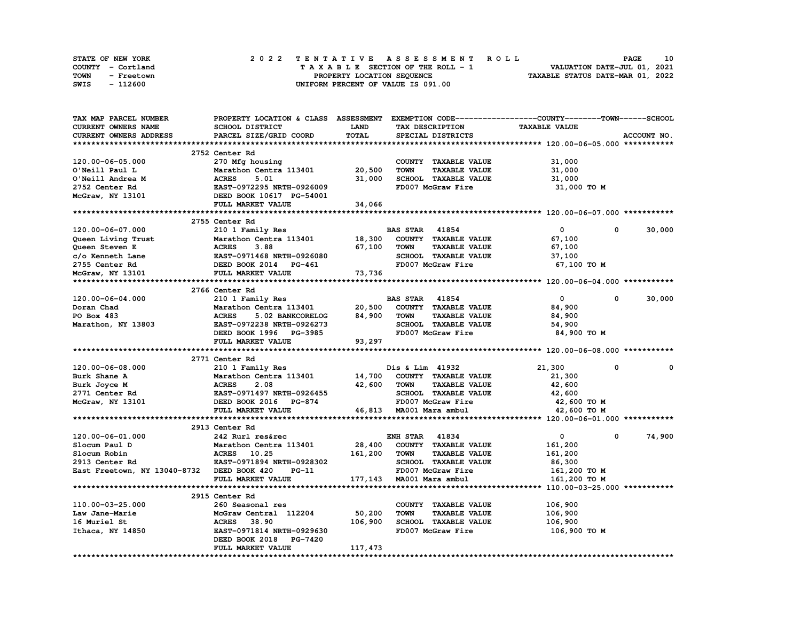| <b>STATE OF NEW YORK</b> |            |  |  |  |  |  |                                    |  |  |  |  |  | 2022 TENTATIVE ASSESSMENT ROLL |                                  |  | <b>PAGE</b> | 10 |
|--------------------------|------------|--|--|--|--|--|------------------------------------|--|--|--|--|--|--------------------------------|----------------------------------|--|-------------|----|
| COUNTY - Cortland        |            |  |  |  |  |  | TAXABLE SECTION OF THE ROLL - 1    |  |  |  |  |  |                                | VALUATION DATE-JUL 01, 2021      |  |             |    |
| TOWN                     | - Freetown |  |  |  |  |  | PROPERTY LOCATION SEOUENCE         |  |  |  |  |  |                                | TAXABLE STATUS DATE-MAR 01, 2022 |  |             |    |
| SWIS                     | - 112600   |  |  |  |  |  | UNIFORM PERCENT OF VALUE IS 091.00 |  |  |  |  |  |                                |                                  |  |             |    |

| TAX MAP PARCEL NUMBER                      | PROPERTY LOCATION & CLASS ASSESSMENT EXEMPTION CODE----------------COUNTY-------TOWN-----SCHOOL      |             |                                     |                              |             |
|--------------------------------------------|------------------------------------------------------------------------------------------------------|-------------|-------------------------------------|------------------------------|-------------|
| <b>CURRENT OWNERS NAME</b>                 | SCHOOL DISTRICT                                                                                      | <b>LAND</b> | TAX DESCRIPTION                     | <b>TAXABLE VALUE</b>         |             |
| CURRENT OWNERS ADDRESS                     | PARCEL SIZE/GRID COORD                                                                               | TOTAL       | SPECIAL DISTRICTS                   |                              | ACCOUNT NO. |
|                                            |                                                                                                      |             |                                     |                              |             |
|                                            | 2752 Center Rd                                                                                       |             |                                     |                              |             |
| 120.00-06-05.000                           | 270 Mfg housing                                                                                      |             | COUNTY TAXABLE VALUE                | 31,000                       |             |
| O'Neill Paul L                             | Marathon Centra 113401                                                                               | 20,500      | <b>TAXABLE VALUE</b><br><b>TOWN</b> | 31,000                       |             |
| O'Neill Andrea M                           | <b>ACRES</b><br>5.01                                                                                 | 31,000      | SCHOOL TAXABLE VALUE                | 31,000                       |             |
| 2752 Center Rd                             | EAST-0972295 NRTH-0926009                                                                            |             | FD007 McGraw Fire                   | 31,000 TO M                  |             |
| McGraw, NY 13101                           | DEED BOOK 10617 PG-54001                                                                             |             |                                     |                              |             |
|                                            | FULL MARKET VALUE                                                                                    | 34,066      |                                     |                              |             |
|                                            |                                                                                                      |             |                                     |                              |             |
|                                            |                                                                                                      |             |                                     |                              |             |
|                                            | 2755 Center Rd                                                                                       |             |                                     |                              |             |
| 120.00-06-07.000                           | 210 1 Family Res                                                                                     |             | <b>BAS STAR 41854</b>               | $\mathbf{0}$<br>0            | 30,000      |
| Queen Living Trust                         | <b>Marathon Centra 113401<br/>ACRES 3.88<br/>EAST-0971468 NRTH-0926080<br/>DEED BOOK 2014 PG-461</b> |             | 18,300 COUNTY TAXABLE VALUE         | 67,100                       |             |
| Queen Steven E                             |                                                                                                      | 67,100      | <b>TAXABLE VALUE</b><br>TOWN        | 67,100                       |             |
| c/o Kenneth Lane                           |                                                                                                      |             | SCHOOL TAXABLE VALUE                | 37,100                       |             |
| 2755 Center Rd                             |                                                                                                      |             | FD007 McGraw Fire                   | 67,100 TO M                  |             |
| McGraw, NY 13101                           | FULL MARKET VALUE                                                                                    | 73,736      |                                     |                              |             |
|                                            |                                                                                                      |             |                                     |                              |             |
|                                            | 2766 Center Rd                                                                                       |             |                                     |                              |             |
| 120.00-06-04.000                           | 210 1 Family Res                                                                                     |             | <b>BAS STAR 41854</b>               | $\mathbf{0}$<br>$\mathbf{0}$ | 30,000      |
| Doran Chad                                 | Marathon Centra 113401                                                                               | 20,500      | COUNTY TAXABLE VALUE                | 84,900                       |             |
| PO Box 483                                 | <b>ACRES</b><br>5.02 BANKCORELOG                                                                     | 84,900      | <b>TOWN</b><br><b>TAXABLE VALUE</b> | 84,900                       |             |
| Marathon, NY 13803                         | EAST-0972238 NRTH-0926273                                                                            |             | SCHOOL TAXABLE VALUE                | 54,900                       |             |
|                                            | DEED BOOK 1996 PG-3985                                                                               |             | FD007 McGraw Fire                   | 84,900 то м                  |             |
|                                            | FULL MARKET VALUE                                                                                    | 93,297      |                                     |                              |             |
|                                            |                                                                                                      |             |                                     |                              |             |
|                                            | 2771 Center Rd                                                                                       |             |                                     |                              |             |
| 120.00-06-08.000                           | 210 1 Family Res                                                                                     |             | Dis & Lim 41932                     | 21,300<br>0                  | $\Omega$    |
| Burk Shane A                               | Marathon Centra 113401                                                                               |             | <b>14,700 COUNTY TAXABLE VALUE</b>  | 21,300                       |             |
| Burk Joyce M                               | <b>ACRES</b><br>2.08                                                                                 | 42,600      | <b>TAXABLE VALUE</b><br><b>TOWN</b> | 42,600                       |             |
| 2771 Center Rd                             | <b>EAST-0971497 NRTH-0926455</b>                                                                     |             | SCHOOL TAXABLE VALUE                | 42,600                       |             |
| McGraw, NY 13101                           | DEED BOOK 2016 PG-874                                                                                |             | FD007 McGraw Fire                   | 42,600 TO M                  |             |
|                                            | FULL MARKET VALUE                                                                                    |             | 46,813 MA001 Mara ambul             | 42,600 TO M                  |             |
|                                            |                                                                                                      |             |                                     |                              |             |
|                                            | 2913 Center Rd                                                                                       |             |                                     |                              |             |
| 120.00-06-01.000                           | 242 Rurl res&rec                                                                                     |             | <b>ENH STAR 41834</b>               | $\mathbf{0}$<br>0            | 74,900      |
| Slocum Paul D                              | Marathon Centra 113401                                                                               | 28,400      | COUNTY TAXABLE VALUE                | 161,200                      |             |
| Slocum Robin                               | ACRES 10.25                                                                                          | 161,200     | <b>TOWN</b><br><b>TAXABLE VALUE</b> | 161,200                      |             |
| $2913$ Center Rd                           | EAST-0971894 NRTH-0928302                                                                            |             | SCHOOL TAXABLE VALUE                | 86,300                       |             |
| East Freetown, NY 13040-8732 DEED BOOK 420 | PG-11                                                                                                |             | FD007 McGraw Fire                   | 161,200 TO M                 |             |
|                                            | FULL MARKET VALUE                                                                                    |             | 177,143 MA001 Mara ambul            | 161,200 TO M                 |             |
|                                            |                                                                                                      |             |                                     |                              |             |
|                                            | 2915 Center Rd                                                                                       |             |                                     |                              |             |
| 110.00-03-25.000                           | 260 Seasonal res                                                                                     |             | COUNTY TAXABLE VALUE                | 106,900                      |             |
| Law Jane-Marie                             | McGraw Central 112204                                                                                | 50,200      | <b>TOWN</b><br><b>TAXABLE VALUE</b> | 106,900                      |             |
| 16 Muriel St                               | 38.90<br><b>ACRES</b>                                                                                | 106,900     | <b>SCHOOL TAXABLE VALUE</b>         | 106,900                      |             |
|                                            | EAST-0971814 NRTH-0929630                                                                            |             | FD007 McGraw Fire                   | 106,900 то м                 |             |
| Ithaca, NY 14850                           | DEED BOOK 2018 PG-7420                                                                               |             |                                     |                              |             |
|                                            | FULL MARKET VALUE                                                                                    | 117,473     |                                     |                              |             |
|                                            |                                                                                                      |             |                                     |                              |             |
|                                            |                                                                                                      |             |                                     |                              |             |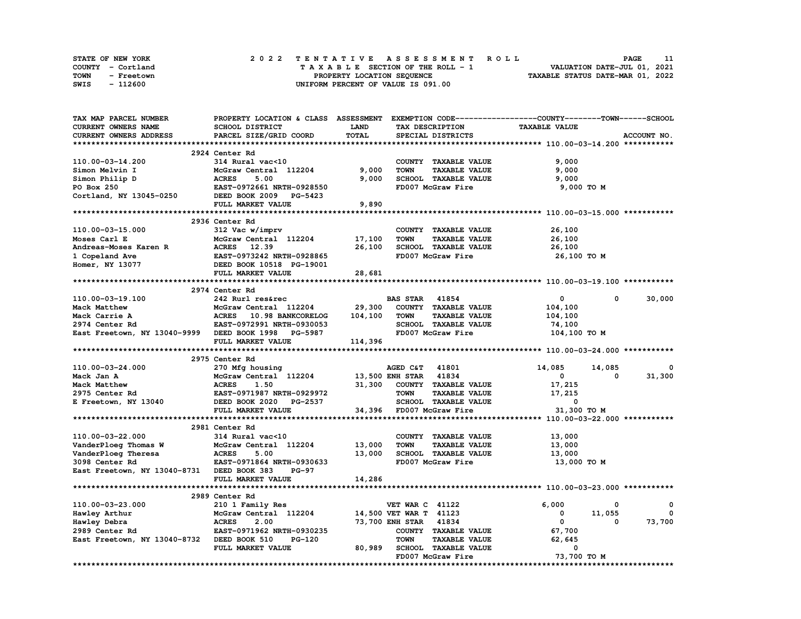| <b>STATE OF NEW YORK</b> | 2022 TENTATIVE ASSESSMENT ROLL     | 11<br>PAGE                       |
|--------------------------|------------------------------------|----------------------------------|
| COUNTY - Cortland        | TAXABLE SECTION OF THE ROLL - 1    | VALUATION DATE-JUL 01, 2021      |
| TOWN<br>- Freetown       | PROPERTY LOCATION SEQUENCE         | TAXABLE STATUS DATE-MAR 01, 2022 |
| - 112600<br>SWIS         | UNIFORM PERCENT OF VALUE IS 091.00 |                                  |

| <b>TAX MAP PARCEL NUMBER</b>                        | PROPERTY LOCATION & CLASS ASSESSMENT |         |                                           | EXEMPTION CODE-----------------COUNTY-------TOWN------SCHOOL |              |
|-----------------------------------------------------|--------------------------------------|---------|-------------------------------------------|--------------------------------------------------------------|--------------|
| CURRENT OWNERS NAME                                 | SCHOOL DISTRICT                      | LAND    | TAX DESCRIPTION                           | <b>TAXABLE VALUE</b>                                         |              |
| CURRENT OWNERS ADDRESS                              | PARCEL SIZE/GRID COORD               | TOTAL   | SPECIAL DISTRICTS                         |                                                              | ACCOUNT NO.  |
|                                                     |                                      |         |                                           |                                                              |              |
|                                                     | 2924 Center Rd                       |         |                                           |                                                              |              |
| 110.00-03-14.200                                    | 314 Rural vac<10                     |         | COUNTY TAXABLE VALUE                      | 9,000                                                        |              |
| Simon Melvin I                                      | McGraw Central 112204                | 9,000   | <b>TAXABLE VALUE</b><br><b>TOWN</b>       | 9,000                                                        |              |
| Simon Philip D                                      | <b>ACRES</b><br>5.00                 | 9,000   | SCHOOL TAXABLE VALUE                      | 9,000                                                        |              |
| PO Box 250                                          | EAST-0972661 NRTH-0928550            |         | FD007 McGraw Fire                         | 9,000 TO M                                                   |              |
| Cortland, NY 13045-0250                             | DEED BOOK 2009 PG-5423               |         |                                           |                                                              |              |
|                                                     | FULL MARKET VALUE                    | 9,890   |                                           |                                                              |              |
|                                                     |                                      |         |                                           |                                                              |              |
|                                                     | 2936 Center Rd                       |         |                                           |                                                              |              |
|                                                     | 312 Vac w/imprv                      |         | COUNTY TAXABLE VALUE                      | 26,100                                                       |              |
| 110.00-03-15.000<br>Moses Carl E                    | McGraw Central 112204                | 17,100  | <b>TOWN</b><br><b>TAXABLE VALUE</b>       |                                                              |              |
|                                                     |                                      |         |                                           | 26,100                                                       |              |
| Andreas-Moses Karen R                               | ACRES 12.39                          | 26,100  | SCHOOL TAXABLE VALUE                      | 26,100                                                       |              |
| 1 Copeland Ave                                      | EAST-0973242 NRTH-0928865            |         | FD007 McGraw Fire                         | 26,100 TO M                                                  |              |
| Homer, NY 13077                                     | DEED BOOK 10518 PG-19001             |         |                                           |                                                              |              |
|                                                     | FULL MARKET VALUE                    | 28,681  |                                           |                                                              |              |
|                                                     |                                      |         |                                           |                                                              |              |
|                                                     | 2974 Center Rd                       |         |                                           |                                                              |              |
| 110.00-03-19.100                                    | 242 Rurl res&rec                     |         | <b>BAS STAR 41854</b>                     | 0<br>0                                                       | 30,000       |
| Mack Matthew                                        | McGraw Central 112204                | 29,300  | COUNTY TAXABLE VALUE                      | 104,100                                                      |              |
| Mack Carrie A                                       | ACRES 10.98 BANKCORELOG              | 104,100 | <b>TOWN</b><br><b>TAXABLE VALUE</b>       | 104,100                                                      |              |
| 2974 Center Rd                                      | EAST-0972991 NRTH-0930053            |         | SCHOOL TAXABLE VALUE                      | 74,100                                                       |              |
| East Freetown, NY 13040-9999 DEED BOOK 1998 PG-5987 |                                      |         | FD007 McGraw Fire                         | 104,100 TO M                                                 |              |
|                                                     | FULL MARKET VALUE                    | 114,396 |                                           |                                                              |              |
|                                                     |                                      |         |                                           |                                                              |              |
|                                                     |                                      |         |                                           |                                                              |              |
|                                                     | 2975 Center Rd                       |         |                                           |                                                              |              |
| 110.00-03-24.000                                    | 270 Mfg housing                      |         | AGED C&T 41801                            | 14,085<br>14,085                                             | 0            |
| Mack Jan A                                          | McGraw Central 112204                |         | 13,500 ENH STAR 41834                     | 0<br>$\Omega$                                                | 31,300       |
| Mack Matthew                                        | <b>ACRES</b><br>1.50                 | 31,300  | COUNTY TAXABLE VALUE                      | 17,215                                                       |              |
| 2975 Center Rd                                      | EAST-0971987 NRTH-0929972            |         | <b>TOWN</b><br><b>TAXABLE VALUE</b>       | 17,215                                                       |              |
| E Freetown, NY 13040                                | DEED BOOK 2020 PG-2537               |         | SCHOOL TAXABLE VALUE                      | 0                                                            |              |
|                                                     | FULL MARKET VALUE                    |         | 34,396 FD007 McGraw Fire                  | 31,300 TO M                                                  |              |
|                                                     |                                      |         |                                           |                                                              |              |
|                                                     | 2981 Center Rd                       |         |                                           |                                                              |              |
| 110.00-03-22.000                                    | 314 Rural vac<10                     |         | COUNTY TAXABLE VALUE                      | 13,000                                                       |              |
|                                                     |                                      |         | <b>TOWN</b>                               |                                                              |              |
| VanderPloeg Thomas W                                | McGraw Central 112204                | 13,000  | <b>TAXABLE VALUE</b>                      | 13,000                                                       |              |
| VanderPloeg Theresa                                 | <b>ACRES</b><br>5.00                 | 13,000  | SCHOOL TAXABLE VALUE                      | 13,000                                                       |              |
| 3098 Center Rd                                      | EAST-0971864 NRTH-0930633            |         | FD007 McGraw Fire                         | 13,000 TO M                                                  |              |
| East Freetown, NY 13040-8731 DEED BOOK 383          | <b>PG-97</b>                         |         |                                           |                                                              |              |
|                                                     | FULL MARKET VALUE                    | 14,286  |                                           |                                                              |              |
|                                                     |                                      |         |                                           |                                                              |              |
|                                                     | 2989 Center Rd                       |         |                                           |                                                              |              |
| 110.00-03-23.000                                    | 210 1 Family Res                     |         | <b>VET WAR C 41122</b>                    | 6.000<br>0                                                   | 0            |
| Hawley Arthur                                       | McGraw Central 112204                |         | 14,500 VET WAR T 41123                    | 11,055<br>0                                                  | $\mathbf{0}$ |
| Hawley Debra                                        | <b>ACRES</b><br>2.00                 |         | 73,700 ENH STAR 41834                     | $\mathbf 0$<br>$\mathbf{o}$                                  | 73,700       |
| 2989 Center Rd                                      | EAST-0971962 NRTH-0930235            |         | COUNTY TAXABLE VALUE                      | 67,700                                                       |              |
| East Freetown, NY 13040-8732 DEED BOOK 510          | <b>PG-120</b>                        |         | <b>TOWN</b><br><b>TAXABLE VALUE</b>       | 62,645                                                       |              |
|                                                     | FULL MARKET VALUE                    | 80,989  | SCHOOL TAXABLE VALUE<br>FD007 McGraw Fire | 0<br>73,700 TO M                                             |              |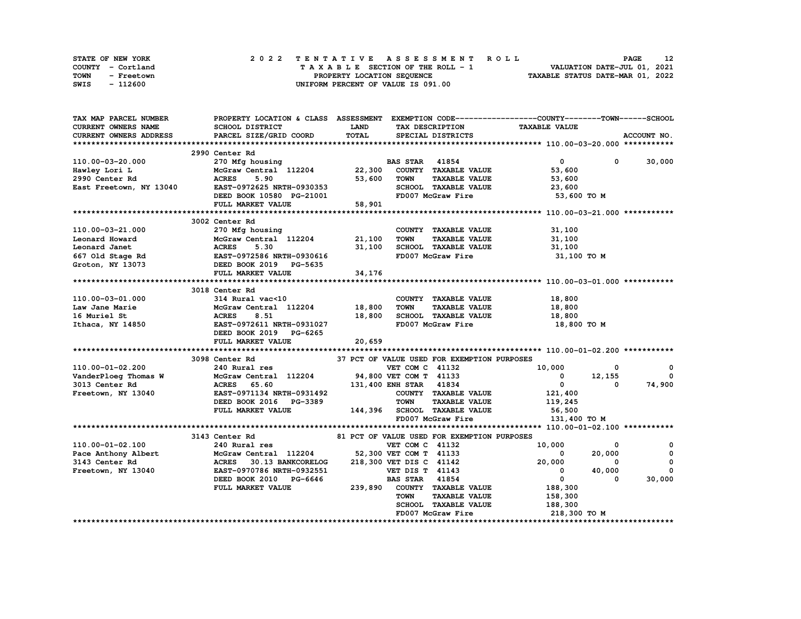| STATE OF NEW YORK  | 2022 TENTATIVE ASSESSMENT ROLL     | 12<br><b>PAGE</b>                |
|--------------------|------------------------------------|----------------------------------|
| COUNTY - Cortland  | TAXABLE SECTION OF THE ROLL - 1    | VALUATION DATE-JUL 01, 2021      |
| TOWN<br>- Freetown | PROPERTY LOCATION SEOUENCE         | TAXABLE STATUS DATE-MAR 01, 2022 |
| - 112600<br>SWIS   | UNIFORM PERCENT OF VALUE IS 091.00 |                                  |

| TAX MAP PARCEL NUMBER                                                               |                                                                                                                                                                                                                                                      |              |                                                   | PROPERTY LOCATION & CLASS ASSESSMENT EXEMPTION CODE----------------COUNTY-------TOWN-----SCHOOL |                        |
|-------------------------------------------------------------------------------------|------------------------------------------------------------------------------------------------------------------------------------------------------------------------------------------------------------------------------------------------------|--------------|---------------------------------------------------|-------------------------------------------------------------------------------------------------|------------------------|
| <b>CURRENT OWNERS NAME</b>                                                          | SCHOOL DISTRICT                                                                                                                                                                                                                                      | LAND         | TAX DESCRIPTION                                   | <b>TAXABLE VALUE</b>                                                                            |                        |
| CURRENT OWNERS ADDRESS                                                              | PARCEL SIZE/GRID COORD                                                                                                                                                                                                                               | <b>TOTAL</b> | SPECIAL DISTRICTS                                 |                                                                                                 | ACCOUNT NO.            |
|                                                                                     |                                                                                                                                                                                                                                                      |              |                                                   |                                                                                                 |                        |
|                                                                                     | 2990 Center Rd                                                                                                                                                                                                                                       |              |                                                   |                                                                                                 |                        |
| 110.00-03-20.000                                                                    |                                                                                                                                                                                                                                                      |              |                                                   | $\mathbf{0}$<br>$^{\circ}$                                                                      | 30,000                 |
| Hawley Lori L                                                                       |                                                                                                                                                                                                                                                      |              |                                                   | 53,600                                                                                          |                        |
| 2990 Center Rd                                                                      | <b>ACRES</b><br>5.90                                                                                                                                                                                                                                 | 53,600       | <b>TAXABLE VALUE</b><br>TOWN                      | 53,600                                                                                          |                        |
| East Freetown, NY 13040                                                             | EAST-0972625 NRTH-0930353                                                                                                                                                                                                                            |              | SCHOOL TAXABLE VALUE                              | 23,600                                                                                          |                        |
|                                                                                     | EASI-09/2025 NRTH-0930353<br>DEED BOOK 10580 PG-21001                                                                                                                                                                                                |              | FD007 McGraw Fire                                 | 53,600 TO M                                                                                     |                        |
|                                                                                     | FULL MARKET VALUE                                                                                                                                                                                                                                    | 58,901       |                                                   |                                                                                                 |                        |
|                                                                                     |                                                                                                                                                                                                                                                      |              |                                                   |                                                                                                 |                        |
|                                                                                     | 3002 Center Rd                                                                                                                                                                                                                                       |              |                                                   |                                                                                                 |                        |
| 110.00-03-21.000                                                                    | 270 Mfg housing                                                                                                                                                                                                                                      |              | COUNTY TAXABLE VALUE                              | 31,100                                                                                          |                        |
|                                                                                     | 110.00-03-21.000<br>Leonard Howard Howard March MCGraw Central 112204<br>Leonard Janet MCGraw Central 112204<br>Leonard Janet ACRES 5.30<br>CRES 5.30<br>CRES 5.30<br>CRES 5.30<br>CRES 5.30<br>CRES 5.30<br>CRES 31,100<br>CRES 5.30<br>CRES 31,100 |              |                                                   |                                                                                                 |                        |
|                                                                                     |                                                                                                                                                                                                                                                      |              |                                                   |                                                                                                 |                        |
|                                                                                     |                                                                                                                                                                                                                                                      |              |                                                   |                                                                                                 |                        |
|                                                                                     |                                                                                                                                                                                                                                                      |              |                                                   | 31,100 TO M                                                                                     |                        |
|                                                                                     |                                                                                                                                                                                                                                                      |              |                                                   |                                                                                                 |                        |
|                                                                                     | FULL MARKET VALUE                                                                                                                                                                                                                                    | 34,176       |                                                   |                                                                                                 |                        |
|                                                                                     |                                                                                                                                                                                                                                                      |              |                                                   |                                                                                                 |                        |
|                                                                                     | 3018 Center Rd                                                                                                                                                                                                                                       |              |                                                   |                                                                                                 |                        |
| 110.00-03-01.000                                                                    | 314 Rural vac<10                                                                                                                                                                                                                                     |              | COUNTY TAXABLE VALUE                              | 18,800                                                                                          |                        |
| Law Jane Marie                                                                      | McGraw Central 112204 18,800<br>McGrav<br>ACRES                                                                                                                                                                                                      |              | <b>TOWN</b><br><b>TAXABLE VALUE</b>               | 18,800                                                                                          |                        |
| 16 Muriel St                                                                        | 8.51                                                                                                                                                                                                                                                 | 18,800       | SCHOOL TAXABLE VALUE                              | 18,800                                                                                          |                        |
|                                                                                     | Ithaca, NY 14850 EAST-0972611 NRTH-0931027                                                                                                                                                                                                           |              | FD007 McGraw Fire                                 | 18,800 TO M                                                                                     |                        |
|                                                                                     | DEED BOOK 2019 PG-6265                                                                                                                                                                                                                               |              |                                                   |                                                                                                 |                        |
|                                                                                     | FULL MARKET VALUE                                                                                                                                                                                                                                    | 20,659       |                                                   |                                                                                                 |                        |
|                                                                                     |                                                                                                                                                                                                                                                      |              |                                                   |                                                                                                 |                        |
|                                                                                     | 3098 Center Rd                                                                                                                                                                                                                                       |              | 37 PCT OF VALUE USED FOR EXEMPTION PURPOSES       |                                                                                                 |                        |
|                                                                                     |                                                                                                                                                                                                                                                      |              |                                                   | $10,000$<br>0 $12,155$<br>0                                                                     | $\mathbf{o}$           |
|                                                                                     |                                                                                                                                                                                                                                                      |              |                                                   |                                                                                                 | $^{\circ}$             |
|                                                                                     |                                                                                                                                                                                                                                                      |              |                                                   | $\overline{0}$                                                                                  | $\mathbf{0}$<br>74,900 |
|                                                                                     |                                                                                                                                                                                                                                                      |              | COUNTY TAXABLE VALUE                              | 121,400                                                                                         |                        |
|                                                                                     | DEED BOOK 2016 PG-3389                                                                                                                                                                                                                               |              | <b>TOWN</b><br><b>TAXABLE VALUE</b>               | 119,245                                                                                         |                        |
|                                                                                     | FULL MARKET VALUE                                                                                                                                                                                                                                    |              | 144,396 SCHOOL TAXABLE VALUE                      | 56,500                                                                                          |                        |
|                                                                                     |                                                                                                                                                                                                                                                      |              | FD007 McGraw Fire                                 | 131,400 TO M                                                                                    |                        |
|                                                                                     |                                                                                                                                                                                                                                                      |              |                                                   |                                                                                                 |                        |
|                                                                                     | 3143 Center Rd                                                                                                                                                                                                                                       |              | 81 PCT OF VALUE USED FOR EXEMPTION PURPOSES       |                                                                                                 |                        |
| 110.00-01-02.100                                                                    |                                                                                                                                                                                                                                                      |              | VET COM C 41132                                   | 10,000<br>0                                                                                     | 0                      |
|                                                                                     | 240 Rural res<br>McGraw Central 112204 52,30                                                                                                                                                                                                         |              |                                                   | $\overline{0}$<br>20,000                                                                        | $\mathbf 0$            |
|                                                                                     | 30.13 BANKCORELOG                                                                                                                                                                                                                                    |              | 52,300 VET COM T 41133<br>218,300 VET DIS C 41142 | $^{\circ}$                                                                                      | 0                      |
| Pace Anthony Albert McGraw C<br>3143 Center Rd ACRES<br>Freetown, NY 13040 EAST-097 | EAST-0970786 NRTH-0932551                                                                                                                                                                                                                            |              | <b>VET DIS T 41143</b>                            | $20,000$<br>0<br>40,000                                                                         | $\mathbf 0$            |
|                                                                                     | DEED BOOK 2010 PG-6646                                                                                                                                                                                                                               |              | <b>BAS STAR</b> 41854                             | $\overline{\mathbf{0}}$<br>$\Omega$                                                             | 30,000                 |
|                                                                                     | FULL MARKET VALUE                                                                                                                                                                                                                                    |              | 239,890 COUNTY TAXABLE VALUE                      | 188,300                                                                                         |                        |
|                                                                                     |                                                                                                                                                                                                                                                      |              |                                                   |                                                                                                 |                        |
|                                                                                     |                                                                                                                                                                                                                                                      |              | <b>TOWN</b><br><b>TAXABLE VALUE</b>               | 158,300                                                                                         |                        |
|                                                                                     |                                                                                                                                                                                                                                                      |              | SCHOOL TAXABLE VALUE                              | 188,300                                                                                         |                        |
|                                                                                     |                                                                                                                                                                                                                                                      |              | FD007 McGraw Fire                                 | 218,300 то м                                                                                    |                        |
|                                                                                     |                                                                                                                                                                                                                                                      |              |                                                   |                                                                                                 |                        |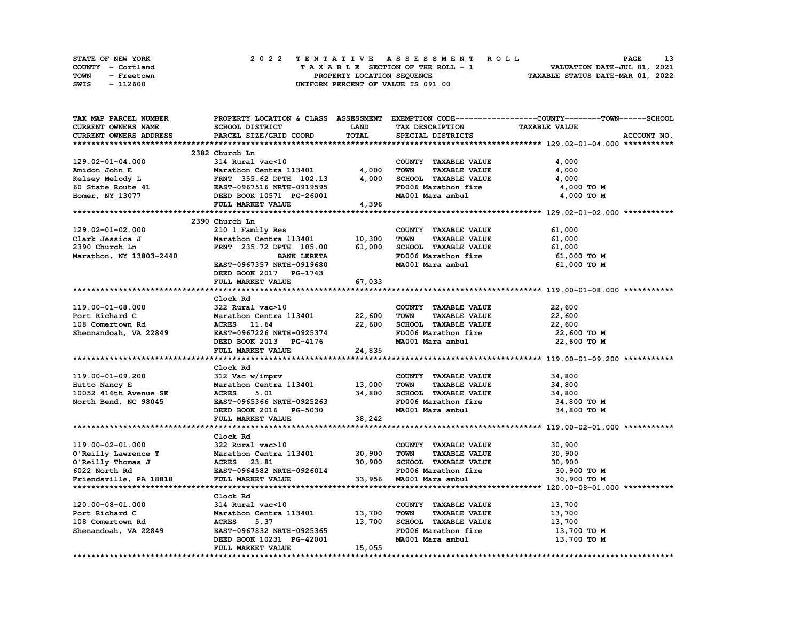| STATE OF NEW YORK  | 2022 TENTATIVE ASSESSMENT ROLL     | <b>PAGE</b>                      |
|--------------------|------------------------------------|----------------------------------|
| COUNTY - Cortland  | TAXABLE SECTION OF THE ROLL - 1    | VALUATION DATE-JUL 01, 2021      |
| TOWN<br>- Freetown | PROPERTY LOCATION SEOUENCE         | TAXABLE STATUS DATE-MAR 01, 2022 |
| - 112600<br>SWIS   | UNIFORM PERCENT OF VALUE IS 091.00 |                                  |

| <b>CURRENT OWNERS NAME</b><br>SCHOOL DISTRICT<br><b>LAND</b><br>TAX DESCRIPTION<br><b>TAXABLE VALUE</b><br>TOTAL<br>CURRENT OWNERS ADDRESS<br>PARCEL SIZE/GRID COORD<br>SPECIAL DISTRICTS<br>ACCOUNT NO.<br>2382 Church Ln<br>129.02-01-04.000<br>314 Rural vac<10<br>COUNTY TAXABLE VALUE<br>4,000<br>4,000<br>Amidon John E<br>Marathon Centra 113401<br><b>TOWN</b><br><b>TAXABLE VALUE</b><br>4,000<br>4,000<br>SCHOOL TAXABLE VALUE<br>4,000<br>Kelsey Melody L<br>FRNT 355.62 DPTH 102.13<br>60 State Route 41<br>FD006 Marathon fire<br>EAST-0967516 NRTH-0919595<br>4,000 TO M<br>MA001 Mara ambul<br>Homer, NY 13077<br>DEED BOOK 10571 PG-26001<br>4,000 TO M<br>FULL MARKET VALUE<br>4,396<br>2390 Church Ln<br>129.02-01-02.000<br>210 1 Family Res<br>COUNTY TAXABLE VALUE<br>61,000<br>Clark Jessica J<br>Marathon Centra 113401<br>10,300<br><b>TOWN</b><br><b>TAXABLE VALUE</b><br>61,000<br>FRNT 235.72 DPTH 105.00<br>61,000<br>SCHOOL TAXABLE VALUE<br>2390 Church Ln<br>61,000<br>Marathon, NY 13803-2440<br>FD006 Marathon fire<br><b>BANK LERETA</b><br>61,000 TO M<br>MA001 Mara ambul<br>EAST-0967357 NRTH-0919680<br>61,000 TO M<br>DEED BOOK 2017 PG-1743<br>67,033<br>FULL MARKET VALUE<br>Clock Rd<br>322 Rural vac>10<br>22,600<br>119.00-01-08.000<br>COUNTY TAXABLE VALUE<br>Marathon Centra 113401<br>22,600<br><b>TOWN</b><br><b>TAXABLE VALUE</b><br>22,600<br>Port Richard C<br>22,600<br>SCHOOL TAXABLE VALUE<br>108 Comertown Rd<br>ACRES 11.64<br>22,600<br>FD006 Marathon fire<br>Shennandoah, VA 22849<br>EAST-0967226 NRTH-0925374<br>22,600 TO M<br>MA001 Mara ambul<br>DEED BOOK 2013 PG-4176<br>22,600 TO M<br>FULL MARKET VALUE<br>24,835<br>Clock Rd<br>119.00-01-09.200<br>312 Vac w/imprv<br>COUNTY TAXABLE VALUE<br>34,800<br>Marathon Centra 113401<br>13,000<br>Hutto Nancy E<br>TOWN<br><b>TAXABLE VALUE</b><br>34,800<br>34,800<br>10052 416th Avenue SE<br><b>ACRES</b><br>5.01<br>SCHOOL TAXABLE VALUE<br>34,800<br>North Bend, NC 98045<br>FD006 Marathon fire<br>EAST-0965366 NRTH-0925263<br>34,800 TO M<br>MA001 Mara ambul<br>DEED BOOK 2016 PG-5030<br>34,800 TO M<br>FULL MARKET VALUE<br>38,242<br>Clock Rd<br>119.00-02-01.000<br>322 Rural vac>10<br>30,900<br>COUNTY TAXABLE VALUE<br>O'Reilly Lawrence T<br>Marathon Centra 113401 30,900<br><b>TOWN</b><br><b>TAXABLE VALUE</b><br>30,900<br>O'Reilly Thomas J<br>ACRES 23.81<br>30,900<br>SCHOOL TAXABLE VALUE<br>30,900<br>EAST-0964582 NRTH-0926014<br>6022 North Rd<br>FD006 Marathon fire<br>30,900 то м<br>33,956<br>Friendsville, PA 18818<br>FULL MARKET VALUE<br>MA001 Mara ambul<br>30,900 TO M<br>Clock Rd<br>120.00-08-01.000<br>314 Rural vac<10<br>COUNTY TAXABLE VALUE<br>13,700<br>Marathon Centra 113401<br>Port Richard C<br>13,700<br><b>TOWN</b><br><b>TAXABLE VALUE</b><br>13,700<br><b>ACRES</b><br>5.37<br>13,700<br>SCHOOL TAXABLE VALUE<br>13,700<br>108 Comertown Rd<br>FD006 Marathon fire<br>Shenandoah, VA 22849<br>EAST-0967832 NRTH-0925365<br>13,700 TO M<br>MA001 Mara ambul<br>DEED BOOK 10231 PG-42001<br>13,700 TO M<br>FULL MARKET VALUE<br>15,055 | TAX MAP PARCEL NUMBER |  | PROPERTY LOCATION & CLASS ASSESSMENT EXEMPTION CODE-----------------COUNTY-------TOWN-----SCHOOL |
|-------------------------------------------------------------------------------------------------------------------------------------------------------------------------------------------------------------------------------------------------------------------------------------------------------------------------------------------------------------------------------------------------------------------------------------------------------------------------------------------------------------------------------------------------------------------------------------------------------------------------------------------------------------------------------------------------------------------------------------------------------------------------------------------------------------------------------------------------------------------------------------------------------------------------------------------------------------------------------------------------------------------------------------------------------------------------------------------------------------------------------------------------------------------------------------------------------------------------------------------------------------------------------------------------------------------------------------------------------------------------------------------------------------------------------------------------------------------------------------------------------------------------------------------------------------------------------------------------------------------------------------------------------------------------------------------------------------------------------------------------------------------------------------------------------------------------------------------------------------------------------------------------------------------------------------------------------------------------------------------------------------------------------------------------------------------------------------------------------------------------------------------------------------------------------------------------------------------------------------------------------------------------------------------------------------------------------------------------------------------------------------------------------------------------------------------------------------------------------------------------------------------------------------------------------------------------------------------------------------------------------------------------------------------------------------------------------------------------------------------------------------------------------------------------------------------------------------------------------------------------------------------------------------------------------------------------------------------------------------------------------------------------------------------------------------------------------------------------------------|-----------------------|--|--------------------------------------------------------------------------------------------------|
|                                                                                                                                                                                                                                                                                                                                                                                                                                                                                                                                                                                                                                                                                                                                                                                                                                                                                                                                                                                                                                                                                                                                                                                                                                                                                                                                                                                                                                                                                                                                                                                                                                                                                                                                                                                                                                                                                                                                                                                                                                                                                                                                                                                                                                                                                                                                                                                                                                                                                                                                                                                                                                                                                                                                                                                                                                                                                                                                                                                                                                                                                                             |                       |  |                                                                                                  |
|                                                                                                                                                                                                                                                                                                                                                                                                                                                                                                                                                                                                                                                                                                                                                                                                                                                                                                                                                                                                                                                                                                                                                                                                                                                                                                                                                                                                                                                                                                                                                                                                                                                                                                                                                                                                                                                                                                                                                                                                                                                                                                                                                                                                                                                                                                                                                                                                                                                                                                                                                                                                                                                                                                                                                                                                                                                                                                                                                                                                                                                                                                             |                       |  |                                                                                                  |
|                                                                                                                                                                                                                                                                                                                                                                                                                                                                                                                                                                                                                                                                                                                                                                                                                                                                                                                                                                                                                                                                                                                                                                                                                                                                                                                                                                                                                                                                                                                                                                                                                                                                                                                                                                                                                                                                                                                                                                                                                                                                                                                                                                                                                                                                                                                                                                                                                                                                                                                                                                                                                                                                                                                                                                                                                                                                                                                                                                                                                                                                                                             |                       |  |                                                                                                  |
|                                                                                                                                                                                                                                                                                                                                                                                                                                                                                                                                                                                                                                                                                                                                                                                                                                                                                                                                                                                                                                                                                                                                                                                                                                                                                                                                                                                                                                                                                                                                                                                                                                                                                                                                                                                                                                                                                                                                                                                                                                                                                                                                                                                                                                                                                                                                                                                                                                                                                                                                                                                                                                                                                                                                                                                                                                                                                                                                                                                                                                                                                                             |                       |  |                                                                                                  |
|                                                                                                                                                                                                                                                                                                                                                                                                                                                                                                                                                                                                                                                                                                                                                                                                                                                                                                                                                                                                                                                                                                                                                                                                                                                                                                                                                                                                                                                                                                                                                                                                                                                                                                                                                                                                                                                                                                                                                                                                                                                                                                                                                                                                                                                                                                                                                                                                                                                                                                                                                                                                                                                                                                                                                                                                                                                                                                                                                                                                                                                                                                             |                       |  |                                                                                                  |
|                                                                                                                                                                                                                                                                                                                                                                                                                                                                                                                                                                                                                                                                                                                                                                                                                                                                                                                                                                                                                                                                                                                                                                                                                                                                                                                                                                                                                                                                                                                                                                                                                                                                                                                                                                                                                                                                                                                                                                                                                                                                                                                                                                                                                                                                                                                                                                                                                                                                                                                                                                                                                                                                                                                                                                                                                                                                                                                                                                                                                                                                                                             |                       |  |                                                                                                  |
|                                                                                                                                                                                                                                                                                                                                                                                                                                                                                                                                                                                                                                                                                                                                                                                                                                                                                                                                                                                                                                                                                                                                                                                                                                                                                                                                                                                                                                                                                                                                                                                                                                                                                                                                                                                                                                                                                                                                                                                                                                                                                                                                                                                                                                                                                                                                                                                                                                                                                                                                                                                                                                                                                                                                                                                                                                                                                                                                                                                                                                                                                                             |                       |  |                                                                                                  |
|                                                                                                                                                                                                                                                                                                                                                                                                                                                                                                                                                                                                                                                                                                                                                                                                                                                                                                                                                                                                                                                                                                                                                                                                                                                                                                                                                                                                                                                                                                                                                                                                                                                                                                                                                                                                                                                                                                                                                                                                                                                                                                                                                                                                                                                                                                                                                                                                                                                                                                                                                                                                                                                                                                                                                                                                                                                                                                                                                                                                                                                                                                             |                       |  |                                                                                                  |
|                                                                                                                                                                                                                                                                                                                                                                                                                                                                                                                                                                                                                                                                                                                                                                                                                                                                                                                                                                                                                                                                                                                                                                                                                                                                                                                                                                                                                                                                                                                                                                                                                                                                                                                                                                                                                                                                                                                                                                                                                                                                                                                                                                                                                                                                                                                                                                                                                                                                                                                                                                                                                                                                                                                                                                                                                                                                                                                                                                                                                                                                                                             |                       |  |                                                                                                  |
|                                                                                                                                                                                                                                                                                                                                                                                                                                                                                                                                                                                                                                                                                                                                                                                                                                                                                                                                                                                                                                                                                                                                                                                                                                                                                                                                                                                                                                                                                                                                                                                                                                                                                                                                                                                                                                                                                                                                                                                                                                                                                                                                                                                                                                                                                                                                                                                                                                                                                                                                                                                                                                                                                                                                                                                                                                                                                                                                                                                                                                                                                                             |                       |  |                                                                                                  |
|                                                                                                                                                                                                                                                                                                                                                                                                                                                                                                                                                                                                                                                                                                                                                                                                                                                                                                                                                                                                                                                                                                                                                                                                                                                                                                                                                                                                                                                                                                                                                                                                                                                                                                                                                                                                                                                                                                                                                                                                                                                                                                                                                                                                                                                                                                                                                                                                                                                                                                                                                                                                                                                                                                                                                                                                                                                                                                                                                                                                                                                                                                             |                       |  |                                                                                                  |
|                                                                                                                                                                                                                                                                                                                                                                                                                                                                                                                                                                                                                                                                                                                                                                                                                                                                                                                                                                                                                                                                                                                                                                                                                                                                                                                                                                                                                                                                                                                                                                                                                                                                                                                                                                                                                                                                                                                                                                                                                                                                                                                                                                                                                                                                                                                                                                                                                                                                                                                                                                                                                                                                                                                                                                                                                                                                                                                                                                                                                                                                                                             |                       |  |                                                                                                  |
|                                                                                                                                                                                                                                                                                                                                                                                                                                                                                                                                                                                                                                                                                                                                                                                                                                                                                                                                                                                                                                                                                                                                                                                                                                                                                                                                                                                                                                                                                                                                                                                                                                                                                                                                                                                                                                                                                                                                                                                                                                                                                                                                                                                                                                                                                                                                                                                                                                                                                                                                                                                                                                                                                                                                                                                                                                                                                                                                                                                                                                                                                                             |                       |  |                                                                                                  |
|                                                                                                                                                                                                                                                                                                                                                                                                                                                                                                                                                                                                                                                                                                                                                                                                                                                                                                                                                                                                                                                                                                                                                                                                                                                                                                                                                                                                                                                                                                                                                                                                                                                                                                                                                                                                                                                                                                                                                                                                                                                                                                                                                                                                                                                                                                                                                                                                                                                                                                                                                                                                                                                                                                                                                                                                                                                                                                                                                                                                                                                                                                             |                       |  |                                                                                                  |
|                                                                                                                                                                                                                                                                                                                                                                                                                                                                                                                                                                                                                                                                                                                                                                                                                                                                                                                                                                                                                                                                                                                                                                                                                                                                                                                                                                                                                                                                                                                                                                                                                                                                                                                                                                                                                                                                                                                                                                                                                                                                                                                                                                                                                                                                                                                                                                                                                                                                                                                                                                                                                                                                                                                                                                                                                                                                                                                                                                                                                                                                                                             |                       |  |                                                                                                  |
|                                                                                                                                                                                                                                                                                                                                                                                                                                                                                                                                                                                                                                                                                                                                                                                                                                                                                                                                                                                                                                                                                                                                                                                                                                                                                                                                                                                                                                                                                                                                                                                                                                                                                                                                                                                                                                                                                                                                                                                                                                                                                                                                                                                                                                                                                                                                                                                                                                                                                                                                                                                                                                                                                                                                                                                                                                                                                                                                                                                                                                                                                                             |                       |  |                                                                                                  |
|                                                                                                                                                                                                                                                                                                                                                                                                                                                                                                                                                                                                                                                                                                                                                                                                                                                                                                                                                                                                                                                                                                                                                                                                                                                                                                                                                                                                                                                                                                                                                                                                                                                                                                                                                                                                                                                                                                                                                                                                                                                                                                                                                                                                                                                                                                                                                                                                                                                                                                                                                                                                                                                                                                                                                                                                                                                                                                                                                                                                                                                                                                             |                       |  |                                                                                                  |
|                                                                                                                                                                                                                                                                                                                                                                                                                                                                                                                                                                                                                                                                                                                                                                                                                                                                                                                                                                                                                                                                                                                                                                                                                                                                                                                                                                                                                                                                                                                                                                                                                                                                                                                                                                                                                                                                                                                                                                                                                                                                                                                                                                                                                                                                                                                                                                                                                                                                                                                                                                                                                                                                                                                                                                                                                                                                                                                                                                                                                                                                                                             |                       |  |                                                                                                  |
|                                                                                                                                                                                                                                                                                                                                                                                                                                                                                                                                                                                                                                                                                                                                                                                                                                                                                                                                                                                                                                                                                                                                                                                                                                                                                                                                                                                                                                                                                                                                                                                                                                                                                                                                                                                                                                                                                                                                                                                                                                                                                                                                                                                                                                                                                                                                                                                                                                                                                                                                                                                                                                                                                                                                                                                                                                                                                                                                                                                                                                                                                                             |                       |  |                                                                                                  |
|                                                                                                                                                                                                                                                                                                                                                                                                                                                                                                                                                                                                                                                                                                                                                                                                                                                                                                                                                                                                                                                                                                                                                                                                                                                                                                                                                                                                                                                                                                                                                                                                                                                                                                                                                                                                                                                                                                                                                                                                                                                                                                                                                                                                                                                                                                                                                                                                                                                                                                                                                                                                                                                                                                                                                                                                                                                                                                                                                                                                                                                                                                             |                       |  |                                                                                                  |
|                                                                                                                                                                                                                                                                                                                                                                                                                                                                                                                                                                                                                                                                                                                                                                                                                                                                                                                                                                                                                                                                                                                                                                                                                                                                                                                                                                                                                                                                                                                                                                                                                                                                                                                                                                                                                                                                                                                                                                                                                                                                                                                                                                                                                                                                                                                                                                                                                                                                                                                                                                                                                                                                                                                                                                                                                                                                                                                                                                                                                                                                                                             |                       |  |                                                                                                  |
|                                                                                                                                                                                                                                                                                                                                                                                                                                                                                                                                                                                                                                                                                                                                                                                                                                                                                                                                                                                                                                                                                                                                                                                                                                                                                                                                                                                                                                                                                                                                                                                                                                                                                                                                                                                                                                                                                                                                                                                                                                                                                                                                                                                                                                                                                                                                                                                                                                                                                                                                                                                                                                                                                                                                                                                                                                                                                                                                                                                                                                                                                                             |                       |  |                                                                                                  |
|                                                                                                                                                                                                                                                                                                                                                                                                                                                                                                                                                                                                                                                                                                                                                                                                                                                                                                                                                                                                                                                                                                                                                                                                                                                                                                                                                                                                                                                                                                                                                                                                                                                                                                                                                                                                                                                                                                                                                                                                                                                                                                                                                                                                                                                                                                                                                                                                                                                                                                                                                                                                                                                                                                                                                                                                                                                                                                                                                                                                                                                                                                             |                       |  |                                                                                                  |
|                                                                                                                                                                                                                                                                                                                                                                                                                                                                                                                                                                                                                                                                                                                                                                                                                                                                                                                                                                                                                                                                                                                                                                                                                                                                                                                                                                                                                                                                                                                                                                                                                                                                                                                                                                                                                                                                                                                                                                                                                                                                                                                                                                                                                                                                                                                                                                                                                                                                                                                                                                                                                                                                                                                                                                                                                                                                                                                                                                                                                                                                                                             |                       |  |                                                                                                  |
|                                                                                                                                                                                                                                                                                                                                                                                                                                                                                                                                                                                                                                                                                                                                                                                                                                                                                                                                                                                                                                                                                                                                                                                                                                                                                                                                                                                                                                                                                                                                                                                                                                                                                                                                                                                                                                                                                                                                                                                                                                                                                                                                                                                                                                                                                                                                                                                                                                                                                                                                                                                                                                                                                                                                                                                                                                                                                                                                                                                                                                                                                                             |                       |  |                                                                                                  |
|                                                                                                                                                                                                                                                                                                                                                                                                                                                                                                                                                                                                                                                                                                                                                                                                                                                                                                                                                                                                                                                                                                                                                                                                                                                                                                                                                                                                                                                                                                                                                                                                                                                                                                                                                                                                                                                                                                                                                                                                                                                                                                                                                                                                                                                                                                                                                                                                                                                                                                                                                                                                                                                                                                                                                                                                                                                                                                                                                                                                                                                                                                             |                       |  |                                                                                                  |
|                                                                                                                                                                                                                                                                                                                                                                                                                                                                                                                                                                                                                                                                                                                                                                                                                                                                                                                                                                                                                                                                                                                                                                                                                                                                                                                                                                                                                                                                                                                                                                                                                                                                                                                                                                                                                                                                                                                                                                                                                                                                                                                                                                                                                                                                                                                                                                                                                                                                                                                                                                                                                                                                                                                                                                                                                                                                                                                                                                                                                                                                                                             |                       |  |                                                                                                  |
|                                                                                                                                                                                                                                                                                                                                                                                                                                                                                                                                                                                                                                                                                                                                                                                                                                                                                                                                                                                                                                                                                                                                                                                                                                                                                                                                                                                                                                                                                                                                                                                                                                                                                                                                                                                                                                                                                                                                                                                                                                                                                                                                                                                                                                                                                                                                                                                                                                                                                                                                                                                                                                                                                                                                                                                                                                                                                                                                                                                                                                                                                                             |                       |  |                                                                                                  |
|                                                                                                                                                                                                                                                                                                                                                                                                                                                                                                                                                                                                                                                                                                                                                                                                                                                                                                                                                                                                                                                                                                                                                                                                                                                                                                                                                                                                                                                                                                                                                                                                                                                                                                                                                                                                                                                                                                                                                                                                                                                                                                                                                                                                                                                                                                                                                                                                                                                                                                                                                                                                                                                                                                                                                                                                                                                                                                                                                                                                                                                                                                             |                       |  |                                                                                                  |
|                                                                                                                                                                                                                                                                                                                                                                                                                                                                                                                                                                                                                                                                                                                                                                                                                                                                                                                                                                                                                                                                                                                                                                                                                                                                                                                                                                                                                                                                                                                                                                                                                                                                                                                                                                                                                                                                                                                                                                                                                                                                                                                                                                                                                                                                                                                                                                                                                                                                                                                                                                                                                                                                                                                                                                                                                                                                                                                                                                                                                                                                                                             |                       |  |                                                                                                  |
|                                                                                                                                                                                                                                                                                                                                                                                                                                                                                                                                                                                                                                                                                                                                                                                                                                                                                                                                                                                                                                                                                                                                                                                                                                                                                                                                                                                                                                                                                                                                                                                                                                                                                                                                                                                                                                                                                                                                                                                                                                                                                                                                                                                                                                                                                                                                                                                                                                                                                                                                                                                                                                                                                                                                                                                                                                                                                                                                                                                                                                                                                                             |                       |  |                                                                                                  |
|                                                                                                                                                                                                                                                                                                                                                                                                                                                                                                                                                                                                                                                                                                                                                                                                                                                                                                                                                                                                                                                                                                                                                                                                                                                                                                                                                                                                                                                                                                                                                                                                                                                                                                                                                                                                                                                                                                                                                                                                                                                                                                                                                                                                                                                                                                                                                                                                                                                                                                                                                                                                                                                                                                                                                                                                                                                                                                                                                                                                                                                                                                             |                       |  |                                                                                                  |
|                                                                                                                                                                                                                                                                                                                                                                                                                                                                                                                                                                                                                                                                                                                                                                                                                                                                                                                                                                                                                                                                                                                                                                                                                                                                                                                                                                                                                                                                                                                                                                                                                                                                                                                                                                                                                                                                                                                                                                                                                                                                                                                                                                                                                                                                                                                                                                                                                                                                                                                                                                                                                                                                                                                                                                                                                                                                                                                                                                                                                                                                                                             |                       |  |                                                                                                  |
|                                                                                                                                                                                                                                                                                                                                                                                                                                                                                                                                                                                                                                                                                                                                                                                                                                                                                                                                                                                                                                                                                                                                                                                                                                                                                                                                                                                                                                                                                                                                                                                                                                                                                                                                                                                                                                                                                                                                                                                                                                                                                                                                                                                                                                                                                                                                                                                                                                                                                                                                                                                                                                                                                                                                                                                                                                                                                                                                                                                                                                                                                                             |                       |  |                                                                                                  |
|                                                                                                                                                                                                                                                                                                                                                                                                                                                                                                                                                                                                                                                                                                                                                                                                                                                                                                                                                                                                                                                                                                                                                                                                                                                                                                                                                                                                                                                                                                                                                                                                                                                                                                                                                                                                                                                                                                                                                                                                                                                                                                                                                                                                                                                                                                                                                                                                                                                                                                                                                                                                                                                                                                                                                                                                                                                                                                                                                                                                                                                                                                             |                       |  |                                                                                                  |
|                                                                                                                                                                                                                                                                                                                                                                                                                                                                                                                                                                                                                                                                                                                                                                                                                                                                                                                                                                                                                                                                                                                                                                                                                                                                                                                                                                                                                                                                                                                                                                                                                                                                                                                                                                                                                                                                                                                                                                                                                                                                                                                                                                                                                                                                                                                                                                                                                                                                                                                                                                                                                                                                                                                                                                                                                                                                                                                                                                                                                                                                                                             |                       |  |                                                                                                  |
|                                                                                                                                                                                                                                                                                                                                                                                                                                                                                                                                                                                                                                                                                                                                                                                                                                                                                                                                                                                                                                                                                                                                                                                                                                                                                                                                                                                                                                                                                                                                                                                                                                                                                                                                                                                                                                                                                                                                                                                                                                                                                                                                                                                                                                                                                                                                                                                                                                                                                                                                                                                                                                                                                                                                                                                                                                                                                                                                                                                                                                                                                                             |                       |  |                                                                                                  |
|                                                                                                                                                                                                                                                                                                                                                                                                                                                                                                                                                                                                                                                                                                                                                                                                                                                                                                                                                                                                                                                                                                                                                                                                                                                                                                                                                                                                                                                                                                                                                                                                                                                                                                                                                                                                                                                                                                                                                                                                                                                                                                                                                                                                                                                                                                                                                                                                                                                                                                                                                                                                                                                                                                                                                                                                                                                                                                                                                                                                                                                                                                             |                       |  |                                                                                                  |
|                                                                                                                                                                                                                                                                                                                                                                                                                                                                                                                                                                                                                                                                                                                                                                                                                                                                                                                                                                                                                                                                                                                                                                                                                                                                                                                                                                                                                                                                                                                                                                                                                                                                                                                                                                                                                                                                                                                                                                                                                                                                                                                                                                                                                                                                                                                                                                                                                                                                                                                                                                                                                                                                                                                                                                                                                                                                                                                                                                                                                                                                                                             |                       |  |                                                                                                  |
|                                                                                                                                                                                                                                                                                                                                                                                                                                                                                                                                                                                                                                                                                                                                                                                                                                                                                                                                                                                                                                                                                                                                                                                                                                                                                                                                                                                                                                                                                                                                                                                                                                                                                                                                                                                                                                                                                                                                                                                                                                                                                                                                                                                                                                                                                                                                                                                                                                                                                                                                                                                                                                                                                                                                                                                                                                                                                                                                                                                                                                                                                                             |                       |  |                                                                                                  |
|                                                                                                                                                                                                                                                                                                                                                                                                                                                                                                                                                                                                                                                                                                                                                                                                                                                                                                                                                                                                                                                                                                                                                                                                                                                                                                                                                                                                                                                                                                                                                                                                                                                                                                                                                                                                                                                                                                                                                                                                                                                                                                                                                                                                                                                                                                                                                                                                                                                                                                                                                                                                                                                                                                                                                                                                                                                                                                                                                                                                                                                                                                             |                       |  |                                                                                                  |
|                                                                                                                                                                                                                                                                                                                                                                                                                                                                                                                                                                                                                                                                                                                                                                                                                                                                                                                                                                                                                                                                                                                                                                                                                                                                                                                                                                                                                                                                                                                                                                                                                                                                                                                                                                                                                                                                                                                                                                                                                                                                                                                                                                                                                                                                                                                                                                                                                                                                                                                                                                                                                                                                                                                                                                                                                                                                                                                                                                                                                                                                                                             |                       |  |                                                                                                  |
|                                                                                                                                                                                                                                                                                                                                                                                                                                                                                                                                                                                                                                                                                                                                                                                                                                                                                                                                                                                                                                                                                                                                                                                                                                                                                                                                                                                                                                                                                                                                                                                                                                                                                                                                                                                                                                                                                                                                                                                                                                                                                                                                                                                                                                                                                                                                                                                                                                                                                                                                                                                                                                                                                                                                                                                                                                                                                                                                                                                                                                                                                                             |                       |  |                                                                                                  |
|                                                                                                                                                                                                                                                                                                                                                                                                                                                                                                                                                                                                                                                                                                                                                                                                                                                                                                                                                                                                                                                                                                                                                                                                                                                                                                                                                                                                                                                                                                                                                                                                                                                                                                                                                                                                                                                                                                                                                                                                                                                                                                                                                                                                                                                                                                                                                                                                                                                                                                                                                                                                                                                                                                                                                                                                                                                                                                                                                                                                                                                                                                             |                       |  |                                                                                                  |
|                                                                                                                                                                                                                                                                                                                                                                                                                                                                                                                                                                                                                                                                                                                                                                                                                                                                                                                                                                                                                                                                                                                                                                                                                                                                                                                                                                                                                                                                                                                                                                                                                                                                                                                                                                                                                                                                                                                                                                                                                                                                                                                                                                                                                                                                                                                                                                                                                                                                                                                                                                                                                                                                                                                                                                                                                                                                                                                                                                                                                                                                                                             |                       |  |                                                                                                  |
|                                                                                                                                                                                                                                                                                                                                                                                                                                                                                                                                                                                                                                                                                                                                                                                                                                                                                                                                                                                                                                                                                                                                                                                                                                                                                                                                                                                                                                                                                                                                                                                                                                                                                                                                                                                                                                                                                                                                                                                                                                                                                                                                                                                                                                                                                                                                                                                                                                                                                                                                                                                                                                                                                                                                                                                                                                                                                                                                                                                                                                                                                                             |                       |  |                                                                                                  |
|                                                                                                                                                                                                                                                                                                                                                                                                                                                                                                                                                                                                                                                                                                                                                                                                                                                                                                                                                                                                                                                                                                                                                                                                                                                                                                                                                                                                                                                                                                                                                                                                                                                                                                                                                                                                                                                                                                                                                                                                                                                                                                                                                                                                                                                                                                                                                                                                                                                                                                                                                                                                                                                                                                                                                                                                                                                                                                                                                                                                                                                                                                             |                       |  |                                                                                                  |
|                                                                                                                                                                                                                                                                                                                                                                                                                                                                                                                                                                                                                                                                                                                                                                                                                                                                                                                                                                                                                                                                                                                                                                                                                                                                                                                                                                                                                                                                                                                                                                                                                                                                                                                                                                                                                                                                                                                                                                                                                                                                                                                                                                                                                                                                                                                                                                                                                                                                                                                                                                                                                                                                                                                                                                                                                                                                                                                                                                                                                                                                                                             |                       |  |                                                                                                  |
|                                                                                                                                                                                                                                                                                                                                                                                                                                                                                                                                                                                                                                                                                                                                                                                                                                                                                                                                                                                                                                                                                                                                                                                                                                                                                                                                                                                                                                                                                                                                                                                                                                                                                                                                                                                                                                                                                                                                                                                                                                                                                                                                                                                                                                                                                                                                                                                                                                                                                                                                                                                                                                                                                                                                                                                                                                                                                                                                                                                                                                                                                                             |                       |  |                                                                                                  |
|                                                                                                                                                                                                                                                                                                                                                                                                                                                                                                                                                                                                                                                                                                                                                                                                                                                                                                                                                                                                                                                                                                                                                                                                                                                                                                                                                                                                                                                                                                                                                                                                                                                                                                                                                                                                                                                                                                                                                                                                                                                                                                                                                                                                                                                                                                                                                                                                                                                                                                                                                                                                                                                                                                                                                                                                                                                                                                                                                                                                                                                                                                             |                       |  |                                                                                                  |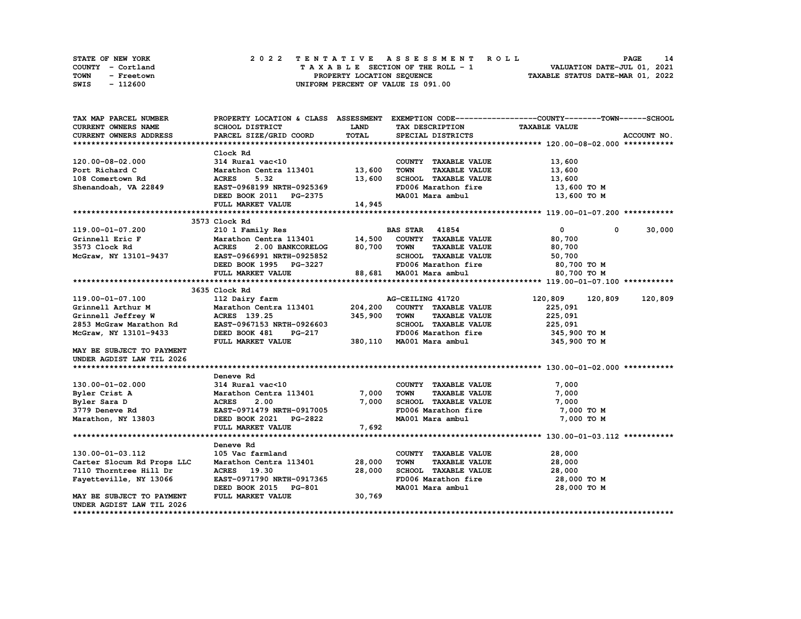|      | <b>STATE OF NEW YORK</b> | 2022 TENTATIVE ASSESSMENT ROLL     | 14<br>PAGE                       |
|------|--------------------------|------------------------------------|----------------------------------|
|      | COUNTY - Cortland        | TAXABLE SECTION OF THE ROLL - 1    | VALUATION DATE-JUL 01, 2021      |
| TOWN | - Freetown               | PROPERTY LOCATION SEQUENCE         | TAXABLE STATUS DATE-MAR 01, 2022 |
| SWIS | - 112600                 | UNIFORM PERCENT OF VALUE IS 091.00 |                                  |

| TAX MAP PARCEL NUMBER                           |                                                                |              |                                                             | PROPERTY LOCATION & CLASS ASSESSMENT EXEMPTION CODE----------------COUNTY-------TOWN-----SCHOOL |
|-------------------------------------------------|----------------------------------------------------------------|--------------|-------------------------------------------------------------|-------------------------------------------------------------------------------------------------|
| <b>CURRENT OWNERS NAME</b>                      | SCHOOL DISTRICT                                                | <b>LAND</b>  | TAX DESCRIPTION                                             | <b>TAXABLE VALUE</b>                                                                            |
| <b>CURRENT OWNERS ADDRESS</b>                   | PARCEL SIZE/GRID COORD                                         | <b>TOTAL</b> | SPECIAL DISTRICTS                                           | ACCOUNT NO.                                                                                     |
|                                                 |                                                                |              |                                                             |                                                                                                 |
|                                                 | Clock Rd                                                       |              |                                                             |                                                                                                 |
| 120.00-08-02.000                                | 314 Rural vac<10                                               |              | COUNTY TAXABLE VALUE                                        | 13,600                                                                                          |
| Port Richard C                                  | Marathon Centra 113401 13,600                                  |              | <b>TOWN</b><br><b>TAXABLE VALUE</b>                         | 13,600                                                                                          |
| 108 Comertown Rd                                | <b>ACRES</b><br>5.32                                           | 13,600       | SCHOOL TAXABLE VALUE                                        | 13,600                                                                                          |
| Shenandoah, VA 22849                            | EAST-0968199 NRTH-0925369                                      |              | FD006 Marathon fire                                         | 13,600 то м                                                                                     |
|                                                 | DEED BOOK 2011 PG-2375                                         |              | MA001 Mara ambul 13,600 TO M                                |                                                                                                 |
|                                                 | FULL MARKET VALUE                                              | 14,945       |                                                             |                                                                                                 |
|                                                 |                                                                |              |                                                             |                                                                                                 |
|                                                 | 3573 Clock Rd                                                  |              |                                                             |                                                                                                 |
| 119.00-01-07.200                                | 210 1 Family Res                                               |              | <b>BAS STAR</b> 41854                                       | 30,000<br>$\mathbf{0}$<br>$^{\circ}$                                                            |
| Grinnell Eric F                                 | Marathon Centra 113401 14,500<br>ACRES 2.00 BANKCORELOG 80,700 |              | COUNTY TAXABLE VALUE                                        | 80,700                                                                                          |
| 3573 Clock Rd                                   |                                                                | 80,700 TOWN  | <b>TAXABLE VALUE</b>                                        | 80,700                                                                                          |
| McGraw, NY 13101-9437 EAST-0966991 NRTH-0925852 |                                                                |              | SCHOOL TAXABLE VALUE                                        | 50,700                                                                                          |
|                                                 | DEED BOOK 1995 PG-3227                                         |              | FD006 Marathon fire<br>FD006 Marathon fire                  | 80,700 TO M                                                                                     |
|                                                 | FULL MARKET VALUE                                              |              | 88,681 MA001 Mara ambul                                     | 80,700 TO M                                                                                     |
|                                                 |                                                                |              |                                                             |                                                                                                 |
|                                                 | 3635 Clock Rd                                                  |              |                                                             |                                                                                                 |
| 119.00-01-07.100                                | 112 Dairy farm                                                 |              | AG-CEILING 41720                                            | 120,809<br>120,809<br>120,809                                                                   |
| Grinnell Arthur M                               | Marathon Centra 113401 204, 200 COUNTY TAXABLE VALUE           |              |                                                             | 225,091                                                                                         |
| Grinnell Jeffrey W                              | ACRES 139.25                                                   | 345,900      | TOWN<br><b>TAXABLE VALUE</b>                                | 225,091                                                                                         |
| 2853 McGraw Marathon Rd                         | EAST-0967153 NRTH-0926603                                      |              | SCHOOL TAXABLE VALUE                                        | 225,091                                                                                         |
| McGraw, NY 13101-9433                           | DEED BOOK 481<br><b>PG-217</b>                                 |              | FD006 Marathon fire                                         | 345,900 TO M                                                                                    |
|                                                 | FULL MARKET VALUE                                              |              | 380,110 MA001 Mara ambul                                    | 345,900 TO M                                                                                    |
| MAY BE SUBJECT TO PAYMENT                       |                                                                |              |                                                             |                                                                                                 |
| UNDER AGDIST LAW TIL 2026                       |                                                                |              |                                                             |                                                                                                 |
|                                                 |                                                                |              |                                                             |                                                                                                 |
|                                                 | Deneve Rd                                                      |              |                                                             |                                                                                                 |
| 130.00-01-02.000                                | 314 Rural vac<10                                               |              | COUNTY TAXABLE VALUE                                        | 7,000                                                                                           |
| Byler Crist A                                   | Marathon Centra 113401 7,000                                   |              | <b>TOWN</b><br>TAXABLE VALUE                                | 7,000                                                                                           |
| Byler Sara D                                    | <b>ACRES</b><br>2.00                                           | 7,000        | SCHOOL TAXABLE VALUE                                        | 7,000                                                                                           |
| 3779 Deneve Rd                                  | EAST-0971479 NRTH-0917005                                      |              | FD006 Marathon fire                                         | 7,000 TO M                                                                                      |
| Marathon, NY 13803                              | DEED BOOK 2021 PG-2822                                         |              | MA001 Mara ambul                                            | 7,000 TO M                                                                                      |
|                                                 | FULL MARKET VALUE                                              | 7,692        |                                                             |                                                                                                 |
|                                                 |                                                                |              |                                                             |                                                                                                 |
|                                                 | Deneve Rd                                                      |              |                                                             |                                                                                                 |
| 130.00-01-03.112                                | 105 Vac farmland<br>Marathon Centra 113401                     | 28,000       | COUNTY TAXABLE VALUE<br><b>TOWN</b><br><b>TAXABLE VALUE</b> | 28,000                                                                                          |
| Carter Slocum Rd Props LLC                      | ACRES 19.30                                                    |              | SCHOOL TAXABLE VALUE                                        | 28,000                                                                                          |
| 7110 Thorntree Hill Dr                          |                                                                | 28,000       |                                                             | 28,000                                                                                          |
| Fayetteville, NY 13066                          | EAST-0971790 NRTH-0917365                                      |              | FD006 Marathon fire<br>MA001 Mara ambul                     | 28,000 TO M                                                                                     |
|                                                 | DEED BOOK 2015 PG-801<br>FULL MARKET VALUE                     |              |                                                             | 28,000 TO M                                                                                     |
| MAY BE SUBJECT TO PAYMENT                       |                                                                | 30,769       |                                                             |                                                                                                 |
| UNDER AGDIST LAW TIL 2026                       |                                                                |              |                                                             |                                                                                                 |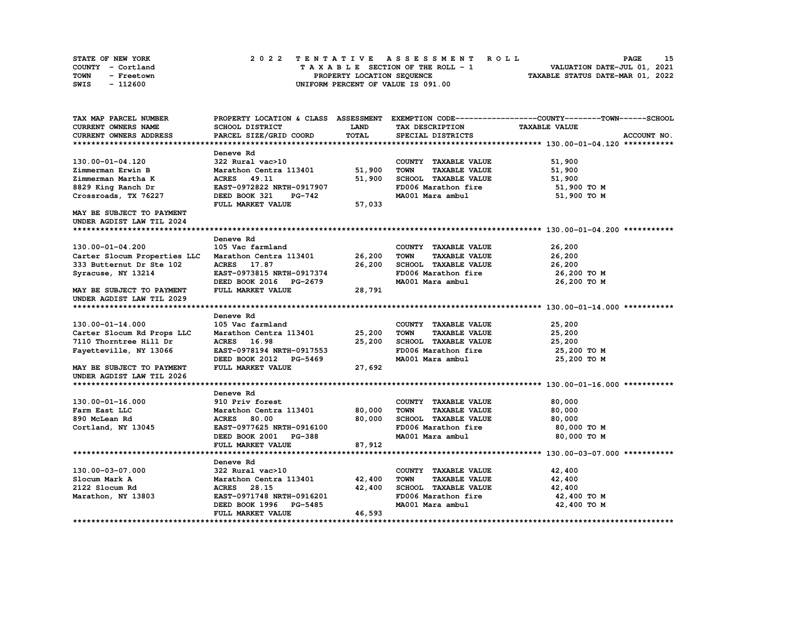| STATE OF NEW YORK |            |  |  |  |                                    |  |  |  | 2022 TENTATIVE ASSESSMENT ROLL |                                  | <b>PAGE</b>                 | 15 |
|-------------------|------------|--|--|--|------------------------------------|--|--|--|--------------------------------|----------------------------------|-----------------------------|----|
| COUNTY - Cortland |            |  |  |  | TAXABLE SECTION OF THE ROLL - 1    |  |  |  |                                |                                  | VALUATION DATE-JUL 01, 2021 |    |
| <b>TOWN</b>       | - Freetown |  |  |  | PROPERTY LOCATION SEQUENCE         |  |  |  |                                | TAXABLE STATUS DATE-MAR 01, 2022 |                             |    |
| SWIS              | - 112600   |  |  |  | UNIFORM PERCENT OF VALUE IS 091.00 |  |  |  |                                |                                  |                             |    |

| TAX MAP PARCEL NUMBER                               |                           |        |                                     | PROPERTY LOCATION & CLASS ASSESSMENT EXEMPTION CODE----------------COUNTY-------TOWN------SCHOOL |
|-----------------------------------------------------|---------------------------|--------|-------------------------------------|--------------------------------------------------------------------------------------------------|
| CURRENT OWNERS NAME                                 | SCHOOL DISTRICT           | LAND   | TAX DESCRIPTION                     | <b>TAXABLE VALUE</b>                                                                             |
| <b>CURRENT OWNERS ADDRESS</b>                       | PARCEL SIZE/GRID COORD    | TOTAL  | SPECIAL DISTRICTS                   | ACCOUNT NO.                                                                                      |
|                                                     |                           |        |                                     |                                                                                                  |
|                                                     | Deneve Rd                 |        |                                     |                                                                                                  |
| 130.00-01-04.120                                    | 322 Rural vac>10          |        | COUNTY TAXABLE VALUE                | 51,900                                                                                           |
| Zimmerman Erwin B                                   | Marathon Centra 113401    | 51,900 | <b>TOWN</b><br><b>TAXABLE VALUE</b> | 51,900                                                                                           |
| Zimmerman Martha K                                  | <b>ACRES</b> 49.11        | 51,900 | SCHOOL TAXABLE VALUE                | 51,900                                                                                           |
| 8829 King Ranch Dr                                  | EAST-0972822 NRTH-0917907 |        | FD006 Marathon fire                 | 51,900 TO M                                                                                      |
| Crossroads, TX 76227                                | DEED BOOK 321<br>PG-742   |        | MA001 Mara ambul                    | 51,900 TO M                                                                                      |
|                                                     | FULL MARKET VALUE         | 57,033 |                                     |                                                                                                  |
| MAY BE SUBJECT TO PAYMENT                           |                           |        |                                     |                                                                                                  |
| UNDER AGDIST LAW TIL 2024                           |                           |        |                                     |                                                                                                  |
|                                                     |                           |        |                                     |                                                                                                  |
|                                                     | Deneve Rd                 |        |                                     |                                                                                                  |
| 130.00-01-04.200                                    | 105 Vac farmland          |        | COUNTY TAXABLE VALUE                | 26,200                                                                                           |
| Carter Slocum Properties LLC Marathon Centra 113401 |                           | 26,200 | <b>TOWN</b><br><b>TAXABLE VALUE</b> | 26,200                                                                                           |
| 333 Butternut Dr Ste 102                            | ACRES 17.87               | 26,200 | SCHOOL TAXABLE VALUE                | 26,200                                                                                           |
| Syracuse, NY 13214                                  | EAST-0973815 NRTH-0917374 |        | FD006 Marathon fire                 | 26,200 TO M                                                                                      |
|                                                     | DEED BOOK 2016 PG-2679    |        | MA001 Mara ambul                    | 26,200 TO M                                                                                      |
| MAY BE SUBJECT TO PAYMENT                           | FULL MARKET VALUE         | 28,791 |                                     |                                                                                                  |
| UNDER AGDIST LAW TIL 2029                           |                           |        |                                     |                                                                                                  |
|                                                     |                           |        |                                     |                                                                                                  |
|                                                     | Deneve Rd                 |        |                                     |                                                                                                  |
| 130.00-01-14.000                                    | 105 Vac farmland          |        | COUNTY TAXABLE VALUE                | 25,200                                                                                           |
| Carter Slocum Rd Props LLC                          | Marathon Centra 113401    | 25,200 | <b>TOWN</b><br><b>TAXABLE VALUE</b> | 25,200                                                                                           |
| 7110 Thorntree Hill Dr                              | ACRES 16.98               | 25,200 | SCHOOL TAXABLE VALUE                | 25,200                                                                                           |
| Fayetteville, NY 13066                              | EAST-0978194 NRTH-0917553 |        | FD006 Marathon fire                 | 25,200 TO M                                                                                      |
|                                                     | DEED BOOK 2012 PG-5469    |        | MA001 Mara ambul                    | 25,200 TO M                                                                                      |
| MAY BE SUBJECT TO PAYMENT                           | FULL MARKET VALUE         | 27,692 |                                     |                                                                                                  |
| UNDER AGDIST LAW TIL 2026                           |                           |        |                                     |                                                                                                  |
|                                                     |                           |        |                                     |                                                                                                  |
|                                                     | Deneve Rd                 |        |                                     |                                                                                                  |
| 130.00-01-16.000                                    | 910 Priv forest           |        | COUNTY TAXABLE VALUE                | 80,000                                                                                           |
| Farm East LLC                                       | Marathon Centra 113401    | 80,000 | <b>TOWN</b><br><b>TAXABLE VALUE</b> | 80,000                                                                                           |
| 890 McLean Rd                                       | <b>ACRES</b> 80.00        | 80,000 | SCHOOL TAXABLE VALUE                | 80,000                                                                                           |
| Cortland, NY 13045                                  | EAST-0977625 NRTH-0916100 |        | FD006 Marathon fire                 | 80,000 TO M                                                                                      |
|                                                     | DEED BOOK 2001 PG-388     |        | MA001 Mara ambul                    | 80,000 TO M                                                                                      |
|                                                     | FULL MARKET VALUE         | 87,912 |                                     |                                                                                                  |
|                                                     |                           |        |                                     |                                                                                                  |
|                                                     | Deneve Rd                 |        |                                     |                                                                                                  |
| 130.00-03-07.000                                    | 322 Rural vac>10          |        | COUNTY TAXABLE VALUE                | 42,400                                                                                           |
| Slocum Mark A                                       | Marathon Centra 113401    | 42,400 | <b>TOWN</b><br><b>TAXABLE VALUE</b> | 42,400                                                                                           |
| 2122 Slocum Rd                                      | ACRES 28.15               | 42,400 | SCHOOL TAXABLE VALUE                | 42,400                                                                                           |
| Marathon, NY 13803                                  | EAST-0971748 NRTH-0916201 |        | FD006 Marathon fire                 | 42,400 TO M                                                                                      |
|                                                     | DEED BOOK 1996 PG-5485    |        | MA001 Mara ambul                    | 42,400 TO M                                                                                      |
|                                                     | FULL MARKET VALUE         | 46,593 |                                     |                                                                                                  |
|                                                     |                           |        |                                     |                                                                                                  |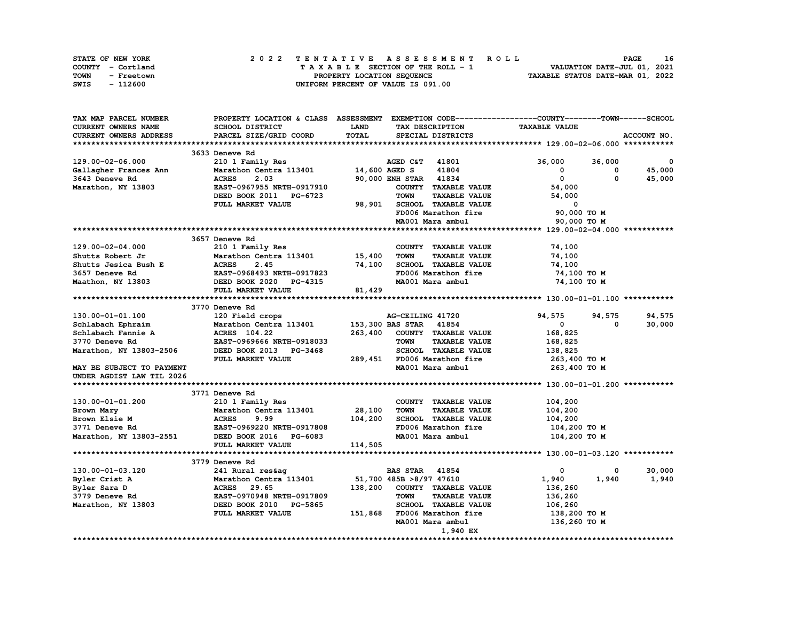| <b>STATE OF NEW YORK</b> | 2022 TENTATIVE ASSESSMENT ROLL          | 16<br><b>PAGE</b>                |
|--------------------------|-----------------------------------------|----------------------------------|
| COUNTY - Cortland        | $T A X A B L E$ SECTION OF THE ROLL - 1 | VALUATION DATE-JUL 01, 2021      |
| TOWN<br>- Freetown       | PROPERTY LOCATION SEQUENCE              | TAXABLE STATUS DATE-MAR 01, 2022 |
| - 112600<br>SWIS         | UNIFORM PERCENT OF VALUE IS 091.00      |                                  |

| TAX MAP PARCEL NUMBER     |                           |              |                                     | PROPERTY LOCATION & CLASS ASSESSMENT EXEMPTION CODE----------------COUNTY-------TOWN-----SCHOOL |             |
|---------------------------|---------------------------|--------------|-------------------------------------|-------------------------------------------------------------------------------------------------|-------------|
| CURRENT OWNERS NAME       | SCHOOL DISTRICT           | <b>LAND</b>  | TAX DESCRIPTION                     | <b>TAXABLE VALUE</b>                                                                            |             |
| CURRENT OWNERS ADDRESS    | PARCEL SIZE/GRID COORD    | <b>TOTAL</b> | SPECIAL DISTRICTS                   |                                                                                                 | ACCOUNT NO. |
|                           |                           |              |                                     |                                                                                                 |             |
|                           | 3633 Deneve Rd            |              |                                     |                                                                                                 |             |
| 129.00-02-06.000          | 210 1 Family Res          |              | AGED C&T 41801                      | 36,000<br>36,000                                                                                | 0           |
| Gallagher Frances Ann     | Marathon Centra 113401    |              | 14,600 AGED S<br>41804              | 0<br>0                                                                                          | 45,000      |
| 3643 Deneve Rd            | <b>ACRES</b><br>2.03      |              | 90,000 ENH STAR 41834               | $\mathbf{o}$<br>$\mathbf 0$                                                                     | 45,000      |
| Marathon, NY 13803        | EAST-0967955 NRTH-0917910 |              | COUNTY TAXABLE VALUE                | 54,000                                                                                          |             |
|                           | DEED BOOK 2011 PG-6723    |              | <b>TOWN</b><br><b>TAXABLE VALUE</b> | 54,000                                                                                          |             |
|                           | FULL MARKET VALUE         | 98,901       | SCHOOL TAXABLE VALUE                | $^{\circ}$                                                                                      |             |
|                           |                           |              | FD006 Marathon fire                 | 90,000 TO M                                                                                     |             |
|                           |                           |              |                                     |                                                                                                 |             |
|                           |                           |              | MA001 Mara ambul                    | 90,000 TO M                                                                                     |             |
|                           |                           |              |                                     |                                                                                                 |             |
|                           | 3657 Deneve Rd            |              |                                     |                                                                                                 |             |
| 129.00-02-04.000          | 210 1 Family Res          |              | COUNTY TAXABLE VALUE                | 74,100                                                                                          |             |
| Shutts Robert Jr          | Marathon Centra 113401    | 15,400       | <b>TAXABLE VALUE</b><br><b>TOWN</b> | 74,100                                                                                          |             |
| Shutts Jesica Bush E      | <b>ACRES</b><br>2.45      | 74,100       | SCHOOL TAXABLE VALUE                | 74,100                                                                                          |             |
| 3657 Deneve Rd            | EAST-0968493 NRTH-0917823 |              | FD006 Marathon fire                 | 74,100 TO M                                                                                     |             |
| Maathon, NY 13803         | DEED BOOK 2020 PG-4315    |              | MA001 Mara ambul                    | 74,100 TO M                                                                                     |             |
|                           | FULL MARKET VALUE         | 81,429       |                                     |                                                                                                 |             |
|                           |                           |              |                                     |                                                                                                 |             |
|                           | 3770 Deneve Rd            |              |                                     |                                                                                                 |             |
| 130.00-01-01.100          | 120 Field crops           |              | AG-CEILING 41720                    | 94,575<br>94,575                                                                                | 94,575      |
| Schlabach Ephraim         | Marathon Centra 113401    |              | 153,300 BAS STAR 41854              | 0<br>0                                                                                          | 30,000      |
| Schlabach Fannie A        | ACRES 104.22              | 263,400      | COUNTY TAXABLE VALUE                | 168,825                                                                                         |             |
| 3770 Deneve Rd            | EAST-0969666 NRTH-0918033 |              | <b>TOWN</b><br><b>TAXABLE VALUE</b> | 168,825                                                                                         |             |
| Marathon, NY 13803-2506   | DEED BOOK 2013 PG-3468    |              | SCHOOL TAXABLE VALUE                | 138,825                                                                                         |             |
|                           | FULL MARKET VALUE         | 289,451      | FD006 Marathon fire                 | 263,400 то м                                                                                    |             |
| MAY BE SUBJECT TO PAYMENT |                           |              | MA001 Mara ambul                    | 263,400 TO M                                                                                    |             |
| UNDER AGDIST LAW TIL 2026 |                           |              |                                     |                                                                                                 |             |
|                           |                           |              |                                     |                                                                                                 |             |
|                           | 3771 Deneve Rd            |              |                                     |                                                                                                 |             |
| 130.00-01-01.200          | 210 1 Family Res          |              | COUNTY TAXABLE VALUE                | 104,200                                                                                         |             |
| Brown Mary                | Marathon Centra 113401    | 28,100       | <b>TOWN</b><br><b>TAXABLE VALUE</b> | 104,200                                                                                         |             |
| Brown Elsie M             | <b>ACRES</b><br>9.99      | 104,200      | SCHOOL TAXABLE VALUE                | 104,200                                                                                         |             |
| 3771 Deneve Rd            | EAST-0969220 NRTH-0917808 |              | FD006 Marathon fire                 | 104,200 то м                                                                                    |             |
| Marathon, NY 13803-2551   | DEED BOOK 2016 PG-6083    |              | MA001 Mara ambul                    | 104,200 TO M                                                                                    |             |
|                           | FULL MARKET VALUE         | 114,505      |                                     |                                                                                                 |             |
|                           |                           |              |                                     |                                                                                                 |             |
|                           | 3779 Deneve Rd            |              |                                     |                                                                                                 |             |
| 130.00-01-03.120          | 241 Rural res&aq          |              | <b>BAS STAR 41854</b>               | 0<br>0                                                                                          | 30,000      |
|                           |                           |              | 51,700 485B >8/97 47610             | 1,940<br>1,940                                                                                  | 1,940       |
| Byler Crist A             | Marathon Centra 113401    |              |                                     |                                                                                                 |             |
| Byler Sara D              | ACRES 29.65               | 138,200      | COUNTY TAXABLE VALUE                | 136,260                                                                                         |             |
| 3779 Deneve Rd            | EAST-0970948 NRTH-0917809 |              | <b>TOWN</b><br><b>TAXABLE VALUE</b> | 136,260                                                                                         |             |
| Marathon, NY 13803        | DEED BOOK 2010 PG-5865    |              | SCHOOL TAXABLE VALUE                | 106,260                                                                                         |             |
|                           | FULL MARKET VALUE         | 151,868      | FD006 Marathon fire                 | 138,200 то м                                                                                    |             |
|                           |                           |              | MA001 Mara ambul                    | 136,260 TO M                                                                                    |             |
|                           |                           |              | 1,940 EX                            |                                                                                                 |             |
|                           |                           |              |                                     |                                                                                                 |             |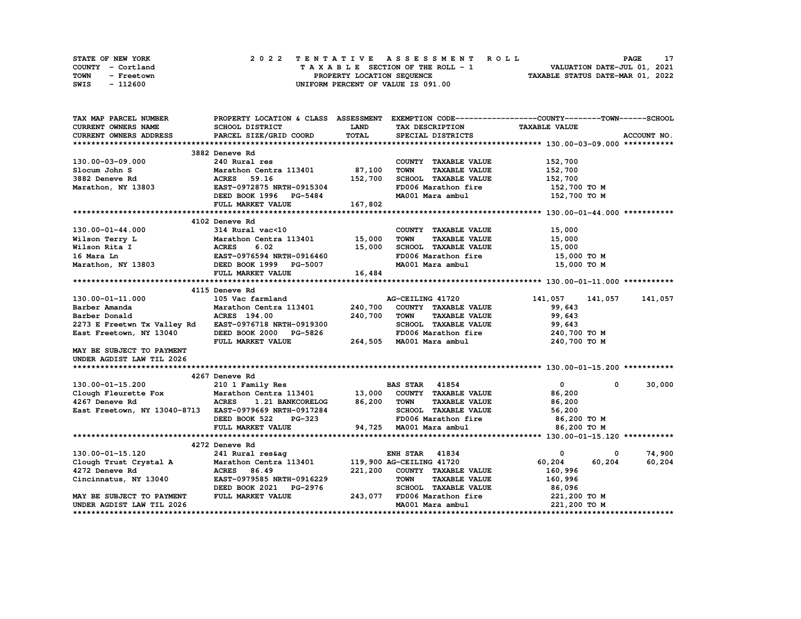| <b>STATE OF NEW YORK</b> | 2022 TENTATIVE ASSESSMENT ROLL          | PAGE                             |
|--------------------------|-----------------------------------------|----------------------------------|
| COUNTY - Cortland        | $T A X A B L E$ SECTION OF THE ROLL - 1 | VALUATION DATE-JUL 01, 2021      |
| TOWN<br>- Freetown       | PROPERTY LOCATION SEOUENCE              | TAXABLE STATUS DATE-MAR 01, 2022 |
| - 112600<br>SWIS         | UNIFORM PERCENT OF VALUE IS 091.00      |                                  |

| TAX MAP PARCEL NUMBER                                                                                                                                                         | PROPERTY LOCATION & CLASS ASSESSMENT EXEMPTION CODE----------------COUNTY-------TOWN------SCHOOL                                                              |             |                                                                 |                      |                      |
|-------------------------------------------------------------------------------------------------------------------------------------------------------------------------------|---------------------------------------------------------------------------------------------------------------------------------------------------------------|-------------|-----------------------------------------------------------------|----------------------|----------------------|
| CURRENT OWNERS NAME                                                                                                                                                           | SCHOOL DISTRICT                                                                                                                                               | <b>LAND</b> | TAX DESCRIPTION                                                 | <b>TAXABLE VALUE</b> |                      |
| <b>CURRENT OWNERS ADDRESS</b>                                                                                                                                                 | PARCEL SIZE/GRID COORD                                                                                                                                        | TOTAL       | SPECIAL DISTRICTS                                               |                      | ACCOUNT NO.          |
|                                                                                                                                                                               |                                                                                                                                                               |             |                                                                 |                      |                      |
|                                                                                                                                                                               | 3882 Deneve Rd                                                                                                                                                |             |                                                                 |                      |                      |
| 130.00-03-09.000                                                                                                                                                              | 240 Rural res                                                                                                                                                 |             | COUNTY TAXABLE VALUE                                            | 152,700              |                      |
| Slocum John S                                                                                                                                                                 | Marathon Centra 113401 87,100                                                                                                                                 |             | <b>TOWN</b><br><b>TAXABLE VALUE</b>                             | 152,700              |                      |
|                                                                                                                                                                               |                                                                                                                                                               |             | SCHOOL TAXABLE VALUE                                            | 152,700              |                      |
|                                                                                                                                                                               |                                                                                                                                                               |             | FD006 Marathon fire                                             | 152,700 TO M         |                      |
|                                                                                                                                                                               |                                                                                                                                                               |             | MA001 Mara ambul 152,700 TO M                                   |                      |                      |
|                                                                                                                                                                               | DEED BOOK 1996 PG-5484<br>FULL MARKET VALUE 167,802                                                                                                           |             |                                                                 |                      |                      |
|                                                                                                                                                                               |                                                                                                                                                               |             |                                                                 |                      |                      |
|                                                                                                                                                                               | 4102 Deneve Rd                                                                                                                                                |             |                                                                 |                      |                      |
| $130.00 - 01 - 44.000$                                                                                                                                                        | 314 Rural vac<10                                                                                                                                              |             | COUNTY TAXABLE VALUE                                            | 15,000               |                      |
|                                                                                                                                                                               |                                                                                                                                                               |             | <b>TOWN</b><br>TAXABLE VALUE                                    | 15,000               |                      |
| Wilson Terry L<br>Wilson Terry L<br>Marathon Centra 113401 15,000<br>Wilson Rita I ACRES 6.02 15,000<br>16 Marathon, NY 13803 DEED BOOK 1999 PG-5007<br>THE DOOK 1999 PG-5007 |                                                                                                                                                               |             | SCHOOL TAXABLE VALUE                                            | 15,000               |                      |
|                                                                                                                                                                               |                                                                                                                                                               |             | FD006 Marathon fire                                             | 15,000 TO M          |                      |
|                                                                                                                                                                               |                                                                                                                                                               |             | MA001 Mara ambul                                                | 15,000 TO M          |                      |
|                                                                                                                                                                               | FULL MARKET VALUE                                                                                                                                             | 16,484      |                                                                 |                      |                      |
|                                                                                                                                                                               |                                                                                                                                                               |             |                                                                 |                      |                      |
|                                                                                                                                                                               | 4115 Deneve Rd                                                                                                                                                |             |                                                                 |                      |                      |
| 130.00-01-11.000                                                                                                                                                              | 105 Vac farmland                                                                                                                                              |             | AG-CEILING 41720                                                | 141,057 141,057      | 141,057              |
| Barber Amanda                                                                                                                                                                 |                                                                                                                                                               |             |                                                                 | 99,643               |                      |
| Barber Donald                                                                                                                                                                 | Marathon Centra 113401                240,700    COUNTY   TAXABLE VALUE<br>ACRES   194.00                                 240,700     TOWN      TAXABLE VALUE |             |                                                                 | 99,643               |                      |
|                                                                                                                                                                               |                                                                                                                                                               |             | SCHOOL TAXABLE VALUE 99,643                                     |                      |                      |
| 2273 E Freetwn Tx Valley Rd EAST-0976718 NRTH-0919300<br>East Freetown, NY 13040 DEED BOOK 2000 PG-5826                                                                       |                                                                                                                                                               |             | FD006 Marathon fire                                             | 240,700 TO M         |                      |
|                                                                                                                                                                               | FULL MARKET VALUE                                                                                                                                             |             | 264,505 MA001 Mara ambul                                        | 240,700 TO M         |                      |
| MAY BE SUBJECT TO PAYMENT                                                                                                                                                     |                                                                                                                                                               |             |                                                                 |                      |                      |
| UNDER AGDIST LAW TIL 2026                                                                                                                                                     |                                                                                                                                                               |             |                                                                 |                      |                      |
|                                                                                                                                                                               |                                                                                                                                                               |             |                                                                 |                      |                      |
|                                                                                                                                                                               | 4267 Deneve Rd                                                                                                                                                |             |                                                                 |                      |                      |
| 130.00-01-15.200                                                                                                                                                              | 210 1 Family Res                                                                                                                                              |             | <b>BAS STAR</b> 41854                                           | $\mathbf{0}$         | 30,000<br>$^{\circ}$ |
| Clough Fleurette Fox Marathon Centra 113401 13,000 COUNTY TAXABLE VALUE<br>4267 Deneve Rd                   ACRES   1.21 BANKCORELOG       86.200   TOWN     TAXARLE VALUE    |                                                                                                                                                               |             |                                                                 | 86,200               |                      |
|                                                                                                                                                                               |                                                                                                                                                               |             | <b>TAXABLE VALUE</b>                                            | 86,200               |                      |
|                                                                                                                                                                               |                                                                                                                                                               |             | SCHOOL TAXABLE VALUE 56,200                                     |                      |                      |
|                                                                                                                                                                               |                                                                                                                                                               |             |                                                                 |                      |                      |
|                                                                                                                                                                               |                                                                                                                                                               |             | FD006 Marathon fire 36,200 TO M<br>MA001 Mara ambul 36,200 TO M |                      |                      |
|                                                                                                                                                                               |                                                                                                                                                               |             |                                                                 |                      |                      |
|                                                                                                                                                                               | 4272 Deneve Rd                                                                                                                                                |             |                                                                 |                      |                      |
| 130.00-01-15.120                                                                                                                                                              | 241 Rural res&aq                                                                                                                                              |             | <b>ENH STAR 41834</b>                                           | 0                    | 74,900<br>0          |
| Clough Trust Crystal A Marathon Centra 113401 119,900 AG-CEILING 41720                                                                                                        |                                                                                                                                                               |             |                                                                 | 60,204<br>60,204     | 60,204               |
| 4272 Deneve Rd                                                                                                                                                                | <b>ACRES</b> 86.49                                                                                                                                            |             | 221,200 COUNTY TAXABLE VALUE                                    | 160,996              |                      |
| Cincinnatus, NY 13040                                                                                                                                                         | EAST-0979585 NRTH-0916229                                                                                                                                     |             | <b>TOWN</b><br><b>TAXABLE VALUE</b>                             | 160,996              |                      |
|                                                                                                                                                                               | DEED BOOK 2021 PG-2976                                                                                                                                        |             | SCHOOL TAXABLE VALUE                                            | 86,096               |                      |
| MAY BE SUBJECT TO PAYMENT                                                                                                                                                     | FULL MARKET VALUE                                                                                                                                             |             | 243,077 FD006 Marathon fire                                     | 221,200 TO M         |                      |
| UNDER AGDIST LAW TIL 2026                                                                                                                                                     |                                                                                                                                                               |             | MA001 Mara ambul                                                | 221,200 TO M         |                      |
|                                                                                                                                                                               |                                                                                                                                                               |             |                                                                 |                      |                      |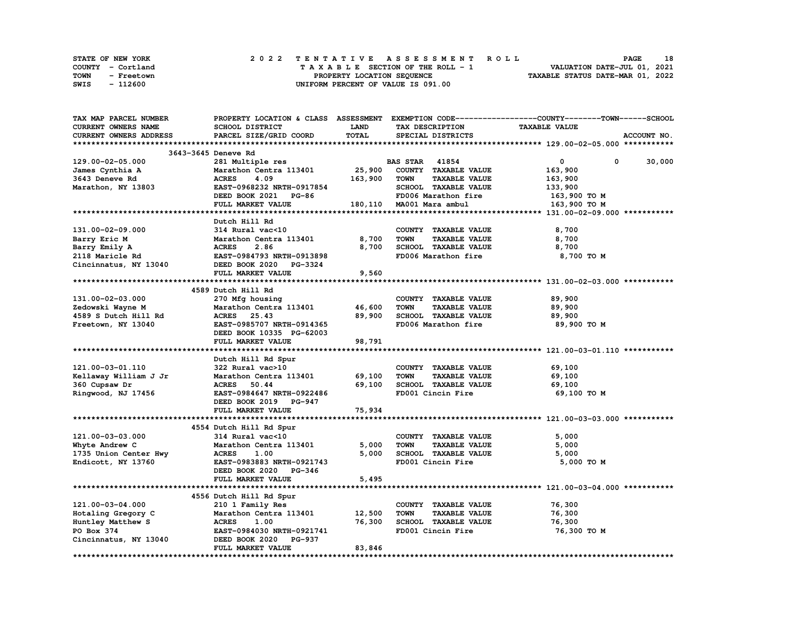| <b>STATE OF NEW YORK</b> | 2022 TENTATIVE ASSESSMENT ROLL     | 18<br><b>PAGE</b>                |
|--------------------------|------------------------------------|----------------------------------|
| COUNTY - Cortland        | TAXABLE SECTION OF THE ROLL - 1    | VALUATION DATE-JUL 01, 2021      |
| TOWN<br>- Freetown       | PROPERTY LOCATION SEQUENCE         | TAXABLE STATUS DATE-MAR 01, 2022 |
| - 112600<br>SWIS         | UNIFORM PERCENT OF VALUE IS 091.00 |                                  |

| TAX MAP PARCEL NUMBER  |                           |             |                                     | PROPERTY LOCATION & CLASS ASSESSMENT EXEMPTION CODE-----------------COUNTY-------TOWN------SCHOOL |
|------------------------|---------------------------|-------------|-------------------------------------|---------------------------------------------------------------------------------------------------|
| CURRENT OWNERS NAME    | SCHOOL DISTRICT           | <b>LAND</b> | TAX DESCRIPTION                     | <b>TAXABLE VALUE</b>                                                                              |
| CURRENT OWNERS ADDRESS | PARCEL SIZE/GRID COORD    | TOTAL       | SPECIAL DISTRICTS                   | ACCOUNT NO.                                                                                       |
|                        |                           |             |                                     |                                                                                                   |
|                        | 3643-3645 Deneve Rd       |             |                                     |                                                                                                   |
| 129.00-02-05.000       | 281 Multiple res          |             | <b>BAS STAR</b> 41854               | $\mathbf 0$<br>0<br>30,000                                                                        |
| James Cynthia A        | Marathon Centra 113401    | 25,900      | COUNTY TAXABLE VALUE                | 163,900                                                                                           |
| 3643 Deneve Rd         | <b>ACRES</b><br>4.09      | 163,900     | <b>TOWN</b><br><b>TAXABLE VALUE</b> | 163,900                                                                                           |
| Marathon, NY 13803     | EAST-0968232 NRTH-0917854 |             | SCHOOL TAXABLE VALUE                | 133,900                                                                                           |
|                        |                           |             | FD006 Marathon fire                 |                                                                                                   |
|                        | DEED BOOK 2021 PG-86      |             |                                     | 163,900 то м                                                                                      |
|                        | FULL MARKET VALUE         |             | 180,110 MA001 Mara ambul            | 163,900 TO M                                                                                      |
|                        |                           |             |                                     |                                                                                                   |
|                        | Dutch Hill Rd             |             |                                     |                                                                                                   |
| 131.00-02-09.000       | 314 Rural vac<10          |             | COUNTY TAXABLE VALUE                | 8,700                                                                                             |
| Barry Eric M           | Marathon Centra 113401    | 8,700       | <b>TOWN</b><br><b>TAXABLE VALUE</b> | 8,700                                                                                             |
| Barry Emily A          | <b>ACRES</b><br>2.86      | 8,700       | SCHOOL TAXABLE VALUE                | 8,700                                                                                             |
| 2118 Maricle Rd        | EAST-0984793 NRTH-0913898 |             | FD006 Marathon fire                 | 8,700 TO M                                                                                        |
| Cincinnatus, NY 13040  | DEED BOOK 2020 PG-3324    |             |                                     |                                                                                                   |
|                        | FULL MARKET VALUE         | 9,560       |                                     |                                                                                                   |
|                        |                           |             |                                     |                                                                                                   |
|                        | 4589 Dutch Hill Rd        |             |                                     |                                                                                                   |
| 131.00-02-03.000       | 270 Mfg housing           |             | COUNTY TAXABLE VALUE                | 89,900                                                                                            |
| Zedowski Wayne M       | Marathon Centra 113401    | 46,600      | <b>TAXABLE VALUE</b><br><b>TOWN</b> | 89,900                                                                                            |
| 4589 S Dutch Hill Rd   | ACRES 25.43               | 89,900      | SCHOOL TAXABLE VALUE                | 89,900                                                                                            |
| Freetown, NY 13040     | EAST-0985707 NRTH-0914365 |             | FD006 Marathon fire                 | 89,900 TO M                                                                                       |
|                        | DEED BOOK 10335 PG-62003  |             |                                     |                                                                                                   |
|                        | FULL MARKET VALUE         | 98,791      |                                     |                                                                                                   |
|                        |                           |             |                                     |                                                                                                   |
|                        |                           |             |                                     |                                                                                                   |
|                        | Dutch Hill Rd Spur        |             |                                     |                                                                                                   |
| 121.00-03-01.110       | 322 Rural vac>10          |             | COUNTY TAXABLE VALUE                | 69,100                                                                                            |
| Kellaway William J Jr  | Marathon Centra 113401    | 69,100      | <b>TOWN</b><br><b>TAXABLE VALUE</b> | 69,100                                                                                            |
| 360 Cupsaw Dr          | <b>ACRES</b><br>50.44     | 69,100      | SCHOOL TAXABLE VALUE                | 69,100                                                                                            |
| Ringwood, NJ 17456     | EAST-0984647 NRTH-0922486 |             | FD001 Cincin Fire                   | 69,100 TO M                                                                                       |
|                        | DEED BOOK 2019 PG-947     |             |                                     |                                                                                                   |
|                        | FULL MARKET VALUE         | 75,934      |                                     |                                                                                                   |
|                        |                           |             |                                     |                                                                                                   |
|                        | 4554 Dutch Hill Rd Spur   |             |                                     |                                                                                                   |
| 121.00-03-03.000       | 314 Rural vac<10          |             | COUNTY TAXABLE VALUE                | 5,000                                                                                             |
| Whyte Andrew C         | Marathon Centra 113401    | 5,000       | <b>TOWN</b><br><b>TAXABLE VALUE</b> | 5,000                                                                                             |
| 1735 Union Center Hwy  | <b>ACRES</b><br>1.00      | 5,000       | SCHOOL TAXABLE VALUE                | 5,000                                                                                             |
| Endicott, NY 13760     | EAST-0983883 NRTH-0921743 |             | FD001 Cincin Fire                   | 5,000 TO M                                                                                        |
|                        | DEED BOOK 2020 PG-346     |             |                                     |                                                                                                   |
|                        | FULL MARKET VALUE         | 5,495       |                                     |                                                                                                   |
|                        |                           |             |                                     |                                                                                                   |
|                        | 4556 Dutch Hill Rd Spur   |             |                                     |                                                                                                   |
| 121.00-03-04.000       | 210 1 Family Res          |             | COUNTY TAXABLE VALUE                | 76,300                                                                                            |
| Hotaling Gregory C     | Marathon Centra 113401    | 12,500      | <b>TOWN</b><br><b>TAXABLE VALUE</b> | 76,300                                                                                            |
| Huntley Matthew S      | <b>ACRES</b><br>1.00      | 76,300      | SCHOOL TAXABLE VALUE                | 76,300                                                                                            |
| PO Box 374             | EAST-0984030 NRTH-0921741 |             | FD001 Cincin Fire                   | 76,300 TO M                                                                                       |
|                        |                           |             |                                     |                                                                                                   |
| Cincinnatus, NY 13040  | DEED BOOK 2020 PG-937     |             |                                     |                                                                                                   |
|                        | FULL MARKET VALUE         | 83,846      |                                     |                                                                                                   |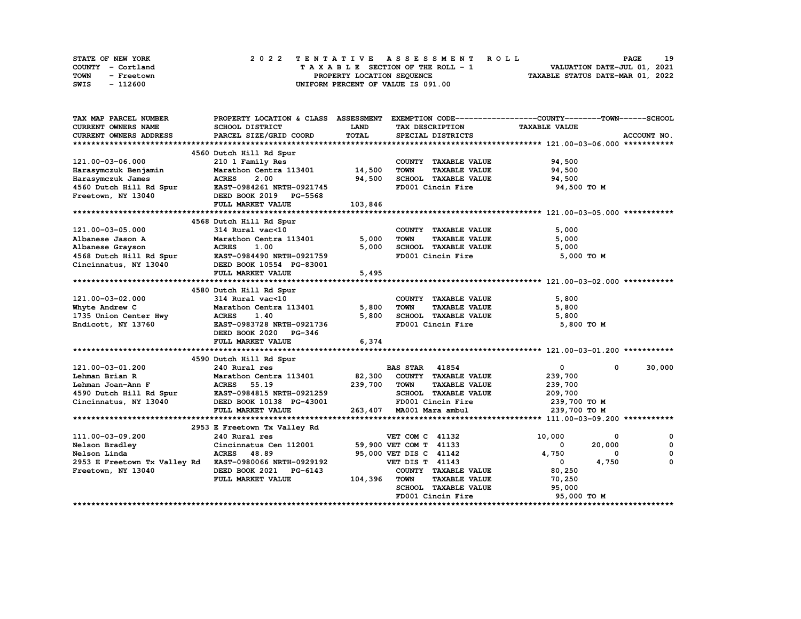| STATE OF NEW YORK  | 2022 TENTATIVE ASSESSMENT ROLL          | 19<br><b>PAGE</b>                |
|--------------------|-----------------------------------------|----------------------------------|
| COUNTY - Cortland  | $T A X A B L E$ SECTION OF THE ROLL - 1 | VALUATION DATE-JUL 01, 2021      |
| TOWN<br>- Freetown | PROPERTY LOCATION SEQUENCE              | TAXABLE STATUS DATE-MAR 01, 2022 |
| - 112600<br>SWIS   | UNIFORM PERCENT OF VALUE IS 091.00      |                                  |

| TAX MAP PARCEL NUMBER                                                                                                                                                                            | PROPERTY LOCATION & CLASS ASSESSMENT                |              |                                     | EXEMPTION CODE-----------------COUNTY-------TOWN-----SCHOOL |             |
|--------------------------------------------------------------------------------------------------------------------------------------------------------------------------------------------------|-----------------------------------------------------|--------------|-------------------------------------|-------------------------------------------------------------|-------------|
| CURRENT OWNERS NAME                                                                                                                                                                              | SCHOOL DISTRICT                                     | <b>LAND</b>  | TAX DESCRIPTION                     | <b>TAXABLE VALUE</b>                                        |             |
| CURRENT OWNERS ADDRESS                                                                                                                                                                           | PARCEL SIZE/GRID COORD                              | <b>TOTAL</b> | SPECIAL DISTRICTS                   |                                                             | ACCOUNT NO. |
|                                                                                                                                                                                                  |                                                     |              |                                     |                                                             |             |
|                                                                                                                                                                                                  | 4560 Dutch Hill Rd Spur                             |              |                                     |                                                             |             |
| 121.00-03-06.000                                                                                                                                                                                 | 210 1 Family Res                                    |              | COUNTY TAXABLE VALUE                | 94,500                                                      |             |
| Harasymczuk Benjamin                                                                                                                                                                             | Marathon Centra 113401 14,500                       |              | <b>TOWN</b><br><b>TAXABLE VALUE</b> | 94,500                                                      |             |
|                                                                                                                                                                                                  |                                                     |              | SCHOOL TAXABLE VALUE                | 94,500                                                      |             |
|                                                                                                                                                                                                  |                                                     |              | FD001 Cincin Fire                   | 94,500 TO M                                                 |             |
|                                                                                                                                                                                                  |                                                     |              |                                     |                                                             |             |
|                                                                                                                                                                                                  | FULL MARKET VALUE                                   | 103,846      |                                     |                                                             |             |
|                                                                                                                                                                                                  |                                                     |              |                                     |                                                             |             |
|                                                                                                                                                                                                  | 4568 Dutch Hill Rd Spur                             |              |                                     |                                                             |             |
| 121.00-03-05.000                                                                                                                                                                                 | $314$ Rural vac<10                                  |              | COUNTY TAXABLE VALUE                | 5,000                                                       |             |
| Albanese Jason A                                                                                                                                                                                 | 314 Rural vac<10<br>Marathon Centra 113401          | 5,000        | TAXABLE VALUE<br><b>TOWN</b>        | 5,000                                                       |             |
|                                                                                                                                                                                                  |                                                     | 5,000        | SCHOOL TAXABLE VALUE                | 5,000                                                       |             |
| Albanese Grayson                       ACRES     1.00<br>4568 Dutch Hill Rd Spur           EAST-0984490 NRTH-0921759<br>Cincinnatus, NY 13040                         DEED BOOK 10554   PG-83001 |                                                     |              | FD001 Cincin Fire                   | 5,000 TO M                                                  |             |
|                                                                                                                                                                                                  |                                                     |              |                                     |                                                             |             |
|                                                                                                                                                                                                  |                                                     |              |                                     |                                                             |             |
|                                                                                                                                                                                                  | FULL MARKET VALUE                                   | 5,495        |                                     |                                                             |             |
|                                                                                                                                                                                                  |                                                     |              |                                     |                                                             |             |
|                                                                                                                                                                                                  | 4580 Dutch Hill Rd Spur                             |              |                                     |                                                             |             |
| 121.00-03-02.000                                                                                                                                                                                 | 314 Rural vac<10                                    |              | COUNTY TAXABLE VALUE                | 5,800                                                       |             |
| Whyte Andrew C                                                                                                                                                                                   | Marathon Centra 113401                              | 5,800        | TOWN<br><b>TAXABLE VALUE</b>        | 5,800                                                       |             |
| 1735 Union Center Hwy                                                                                                                                                                            | <b>ACRES</b><br>1.40                                | 5,800        | SCHOOL TAXABLE VALUE                | 5,800                                                       |             |
| Endicott, NY 13760                                                                                                                                                                               | EAST-0983728 NRTH-0921736                           |              | FD001 Cincin Fire                   | 5,800 TO M                                                  |             |
|                                                                                                                                                                                                  | DEED BOOK 2020 PG-346                               |              |                                     |                                                             |             |
|                                                                                                                                                                                                  | FULL MARKET VALUE                                   | 6,374        |                                     |                                                             |             |
|                                                                                                                                                                                                  |                                                     |              |                                     |                                                             |             |
|                                                                                                                                                                                                  | 4590 Dutch Hill Rd Spur                             |              |                                     |                                                             |             |
| 121.00-03-01.200                                                                                                                                                                                 |                                                     |              |                                     | $\bullet$<br>$^{\circ}$                                     | 30,000      |
| Lehman Brian R                                                                                                                                                                                   |                                                     |              |                                     | 239,700                                                     |             |
| Lehman Joan-Ann F                                                                                                                                                                                |                                                     |              | <b>TAXABLE VALUE</b>                | 239,700                                                     |             |
|                                                                                                                                                                                                  |                                                     |              | SCHOOL TAXABLE VALUE                | 209,700                                                     |             |
| 4590 Dutch Hill Rd Spur EAST-0984815 NRTH-0921259<br>Cincinnatus, NY 13040 DEED BOOK 10138 PG-43001                                                                                              |                                                     |              | FD001 Cincin Fire                   | 239,700 то м                                                |             |
|                                                                                                                                                                                                  | FULL MARKET VALUE                                   |              | 263, 407 MA001 Mara ambul           | 239,700 TO M                                                |             |
|                                                                                                                                                                                                  |                                                     |              |                                     |                                                             |             |
|                                                                                                                                                                                                  | 2953 E Freetown Tx Valley Rd                        |              |                                     |                                                             |             |
| 111.00-03-09.200                                                                                                                                                                                 | 240 Rural res                                       |              | VET COM C 41132                     | 10,000<br>0                                                 | 0           |
|                                                                                                                                                                                                  | Cincinnatus Cen 112001 59,900 VET COM T 41133       |              |                                     | $\overline{\mathbf{0}}$<br>20,000                           | 0           |
| Nelson Bradley<br>Nelson Linda<br>Nelson Linda                                                                                                                                                   | ACRES 48.89                                         |              | 95,000 VET DIS C 41142              | 4,750<br>$\Omega$                                           | $\mathbf 0$ |
| 2953 E Freetown Tx Valley Rd EAST-0980066 NRTH-0929192                                                                                                                                           |                                                     |              | <b>VET DIS T 41143</b>              | 4,750<br>$\mathbf{0}$                                       | 0           |
| Freetown, NY 13040                                                                                                                                                                               |                                                     |              | COUNTY TAXABLE VALUE                | 80,250                                                      |             |
|                                                                                                                                                                                                  | DEED BOOK 2021 PG-6143<br>FULL MARKET VALUE 104,396 |              | <b>TAXABLE VALUE</b><br>TOWN        | 70,250                                                      |             |
|                                                                                                                                                                                                  |                                                     |              | SCHOOL TAXABLE VALUE 95,000         |                                                             |             |
|                                                                                                                                                                                                  |                                                     |              | FD001 Cincin Fire                   | 95,000 TO M                                                 |             |
|                                                                                                                                                                                                  |                                                     |              |                                     |                                                             |             |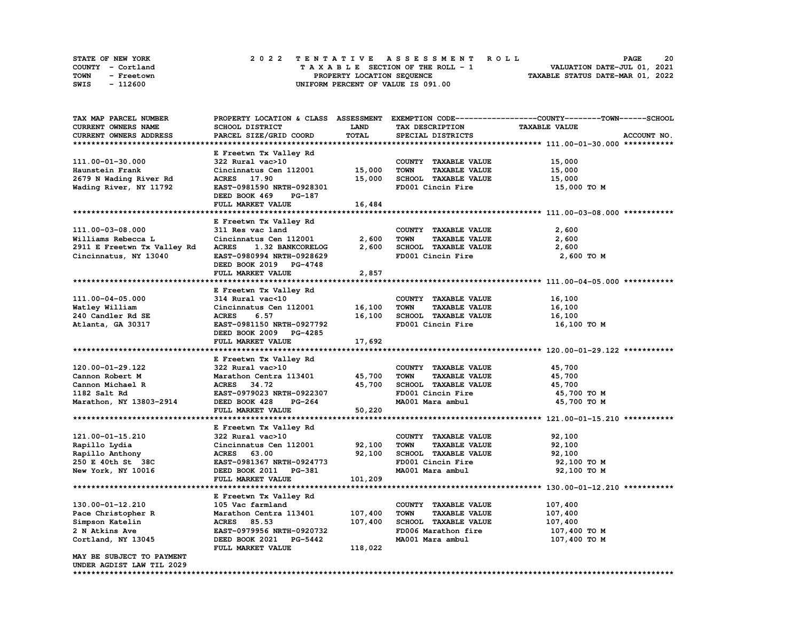| STATE OF NEW YORK  | 2022 TENTATIVE ASSESSMENT ROLL     | 20<br><b>PAGE</b>                |
|--------------------|------------------------------------|----------------------------------|
| COUNTY - Cortland  | TAXABLE SECTION OF THE ROLL - 1    | VALUATION DATE-JUL 01, 2021      |
| TOWN<br>- Freetown | PROPERTY LOCATION SEQUENCE         | TAXABLE STATUS DATE-MAR 01, 2022 |
| - 112600<br>SWIS   | UNIFORM PERCENT OF VALUE IS 091.00 |                                  |

| TAX MAP PARCEL NUMBER       |                               |             |                                     | PROPERTY LOCATION & CLASS ASSESSMENT EXEMPTION CODE----------------COUNTY-------TOWN------SCHOOL |
|-----------------------------|-------------------------------|-------------|-------------------------------------|--------------------------------------------------------------------------------------------------|
| CURRENT OWNERS NAME         | SCHOOL DISTRICT               | <b>LAND</b> | TAX DESCRIPTION                     | <b>TAXABLE VALUE</b>                                                                             |
| CURRENT OWNERS ADDRESS      | PARCEL SIZE/GRID COORD        | TOTAL       | SPECIAL DISTRICTS                   | ACCOUNT NO.                                                                                      |
|                             |                               |             |                                     |                                                                                                  |
|                             | E Freetwn Tx Valley Rd        |             |                                     |                                                                                                  |
| 111.00-01-30.000            | 322 Rural vac>10              |             | COUNTY TAXABLE VALUE                | 15,000                                                                                           |
| Haunstein Frank             | Cincinnatus Cen 112001        | 15,000      | <b>TAXABLE VALUE</b><br><b>TOWN</b> | 15,000                                                                                           |
|                             |                               |             |                                     |                                                                                                  |
| 2679 N Wading River Rd      | ACRES 17.90                   | 15,000      | SCHOOL TAXABLE VALUE                | 15,000                                                                                           |
| Wading River, NY 11792      | EAST-0981590 NRTH-0928301     |             | FD001 Cincin Fire                   | 15,000 TO M                                                                                      |
|                             | DEED BOOK 469<br>PG-187       |             |                                     |                                                                                                  |
|                             | FULL MARKET VALUE             | 16,484      |                                     |                                                                                                  |
|                             |                               |             |                                     |                                                                                                  |
|                             | E Freetwn Tx Valley Rd        |             |                                     |                                                                                                  |
| 111.00-03-08.000            | 311 Res vac land              |             | COUNTY TAXABLE VALUE                | 2,600                                                                                            |
| Williams Rebecca L          | Cincinnatus Cen 112001        | 2,600       | TOWN<br><b>TAXABLE VALUE</b>        | 2,600                                                                                            |
| 2911 E Freetwn Tx Valley Rd | ACRES 1.32 BANKCORELOG        | 2,600       | SCHOOL TAXABLE VALUE                | 2,600                                                                                            |
| Cincinnatus, NY 13040       | EAST-0980994 NRTH-0928629     |             | FD001 Cincin Fire                   | 2,600 то м                                                                                       |
|                             | DEED BOOK 2019 PG-4748        |             |                                     |                                                                                                  |
|                             |                               |             |                                     |                                                                                                  |
|                             | FULL MARKET VALUE             | 2,857       |                                     |                                                                                                  |
|                             |                               |             |                                     |                                                                                                  |
|                             | E Freetwn Tx Valley Rd        |             |                                     |                                                                                                  |
| 111.00-04-05.000            | 314 Rural vac<10              |             | COUNTY TAXABLE VALUE                | 16,100                                                                                           |
| Watley William              | Cincinnatus Cen 112001        | 16,100      | <b>TAXABLE VALUE</b><br><b>TOWN</b> | 16,100                                                                                           |
| 240 Candler Rd SE           | <b>ACRES</b><br>6.57          | 16,100      | SCHOOL TAXABLE VALUE                | 16,100                                                                                           |
| Atlanta, GA 30317           | EAST-0981150 NRTH-0927792     |             | FD001 Cincin Fire                   | 16,100 TO M                                                                                      |
|                             | DEED BOOK 2009 PG-4285        |             |                                     |                                                                                                  |
|                             | FULL MARKET VALUE             | 17,692      |                                     |                                                                                                  |
|                             |                               |             |                                     |                                                                                                  |
|                             | E Freetwn Tx Valley Rd        |             |                                     |                                                                                                  |
| 120.00-01-29.122            | 322 Rural vac>10              |             | COUNTY TAXABLE VALUE                | 45,700                                                                                           |
|                             |                               |             |                                     |                                                                                                  |
| Cannon Robert M             | Marathon Centra 113401 45,700 |             | <b>TOWN</b><br><b>TAXABLE VALUE</b> | 45,700                                                                                           |
| Cannon Michael R            | ACRES 34.72                   | 45,700      | SCHOOL TAXABLE VALUE                | 45,700                                                                                           |
| 1182 Salt Rd                | EAST-0979023 NRTH-0922307     |             | FD001 Cincin Fire                   | 45,700 TO M                                                                                      |
| Marathon, NY 13803-2914     | DEED BOOK 428<br>PG-264       |             | MA001 Mara ambul                    | 45,700 TO M                                                                                      |
|                             | FULL MARKET VALUE             | 50,220      |                                     |                                                                                                  |
|                             |                               |             |                                     |                                                                                                  |
|                             | E Freetwn Tx Valley Rd        |             |                                     |                                                                                                  |
| 121.00-01-15.210            | 322 Rural vac>10              |             | COUNTY TAXABLE VALUE                | 92,100                                                                                           |
| Rapillo Lydia               | Cincinnatus Cen 112001 92,100 |             | <b>TOWN</b><br><b>TAXABLE VALUE</b> | 92,100                                                                                           |
| Rapillo Anthony             | <b>ACRES</b> 63.00            | 92,100      | SCHOOL TAXABLE VALUE                | 92,100                                                                                           |
| 250 E 40th St 38C           | EAST-0981367 NRTH-0924773     |             | FD001 Cincin Fire                   | 92,100 TO M                                                                                      |
|                             |                               |             |                                     |                                                                                                  |
| New York, NY 10016          | DEED BOOK 2011 PG-381         |             | MA001 Mara ambul                    | 92,100 TO M                                                                                      |
|                             | FULL MARKET VALUE             | 101,209     |                                     |                                                                                                  |
|                             |                               |             |                                     |                                                                                                  |
|                             | E Freetwn Tx Valley Rd        |             |                                     |                                                                                                  |
| 130.00-01-12.210            | 105 Vac farmland              |             | COUNTY TAXABLE VALUE                | 107,400                                                                                          |
| Pace Christopher R          | Marathon Centra 113401        | 107,400     | TOWN<br><b>TAXABLE VALUE</b>        | 107,400                                                                                          |
| Simpson Katelin             | ACRES 85.53                   | 107,400     | SCHOOL TAXABLE VALUE                | 107,400                                                                                          |
| 2 N Atkins Ave              | EAST-0979956 NRTH-0920732     |             | FD006 Marathon fire                 | 107,400 то м                                                                                     |
| Cortland, NY 13045          | DEED BOOK 2021 PG-5442        |             | MA001 Mara ambul                    | 107,400 то м                                                                                     |
|                             | FULL MARKET VALUE             | 118,022     |                                     |                                                                                                  |
| MAY BE SUBJECT TO PAYMENT   |                               |             |                                     |                                                                                                  |
| UNDER AGDIST LAW TIL 2029   |                               |             |                                     |                                                                                                  |
|                             |                               |             |                                     |                                                                                                  |
|                             |                               |             |                                     |                                                                                                  |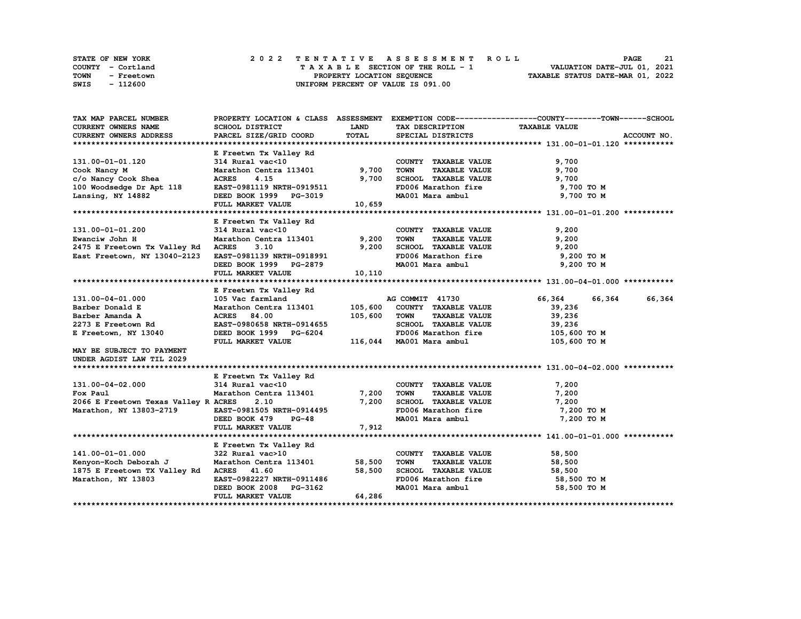| STATE OF NEW YORK  | 2022 TENTATIVE ASSESSMENT ROLL     | 21<br><b>PAGE</b>                |
|--------------------|------------------------------------|----------------------------------|
| COUNTY - Cortland  | TAXABLE SECTION OF THE ROLL - 1    | VALUATION DATE-JUL 01, 2021      |
| TOWN<br>- Freetown | PROPERTY LOCATION SEQUENCE         | TAXABLE STATUS DATE-MAR 01, 2022 |
| SWIS<br>- 112600   | UNIFORM PERCENT OF VALUE IS 091.00 |                                  |

| TAX MAP PARCEL NUMBER                    |                                                                                         |             |                                                                                                | PROPERTY LOCATION & CLASS ASSESSMENT EXEMPTION CODE----------------COUNTY-------TOWN------SCHOOL |             |
|------------------------------------------|-----------------------------------------------------------------------------------------|-------------|------------------------------------------------------------------------------------------------|--------------------------------------------------------------------------------------------------|-------------|
| CURRENT OWNERS NAME                      | SCHOOL DISTRICT                                                                         | <b>LAND</b> | TAX DESCRIPTION TAXABLE VALUE                                                                  |                                                                                                  |             |
| CURRENT OWNERS ADDRESS                   | PARCEL SIZE/GRID COORD                                                                  | TOTAL       | SPECIAL DISTRICTS                                                                              |                                                                                                  | ACCOUNT NO. |
|                                          |                                                                                         |             |                                                                                                |                                                                                                  |             |
|                                          | E Freetwn Tx Valley Rd                                                                  |             |                                                                                                |                                                                                                  |             |
| 131.00-01-01.120                         | 314 Rural vac<10                                                                        |             | COUNTY TAXABLE VALUE                                                                           | 9,700                                                                                            |             |
| Cook Nancy M                             | Marathon Centra 113401                                                                  | 9,700       | TAXABLE VALUE<br><b>TOWN</b>                                                                   | 9,700                                                                                            |             |
| c/o Nancy Cook Shea                      | <b>ACRES</b><br>4.15                                                                    | 9,700       | SCHOOL TAXABLE VALUE                                                                           | 9,700                                                                                            |             |
| 100 Woodsedge Dr Apt 118                 | EAST-0981119 NRTH-0919511                                                               |             |                                                                                                |                                                                                                  |             |
| Lansing, NY 14882                        | DEED BOOK 1999 PG-3019                                                                  |             | FD006 Marathon fire 9,700 TO M<br>MA001 Mara ambul 9,700 TO M                                  |                                                                                                  |             |
|                                          | FULL MARKET VALUE                                                                       | 10,659      |                                                                                                |                                                                                                  |             |
|                                          |                                                                                         |             |                                                                                                |                                                                                                  |             |
|                                          | E Freetwn Tx Valley Rd                                                                  |             |                                                                                                |                                                                                                  |             |
| 131.00-01-01.200                         |                                                                                         |             | COUNTY TAXABLE VALUE                                                                           | 9,200                                                                                            |             |
| Ewanciw John H                           | 314 Rural vac<10<br>Marathon Centra 113401 9,200                                        |             | TAXABLE VALUE<br><b>TOWN</b>                                                                   | 9,200                                                                                            |             |
| 2475 E Freetown Tx Valley Rd             | <b>ACRES</b><br>3.10                                                                    | 9,200       | SCHOOL TAXABLE VALUE                                                                           | 9,200                                                                                            |             |
| East Freetown, NY 13040-2123             | EAST-0981139 NRTH-0918991                                                               |             | FD006 Marathon fire                                                                            | 9,200 TO M                                                                                       |             |
|                                          | DEED BOOK 1999 PG-2879                                                                  |             | MA001 Mara ambul                                                                               | 9,200 TO M                                                                                       |             |
|                                          | FULL MARKET VALUE                                                                       | 10, 110     |                                                                                                |                                                                                                  |             |
|                                          |                                                                                         |             |                                                                                                |                                                                                                  |             |
|                                          | E Freetwn Tx Valley Rd                                                                  |             |                                                                                                |                                                                                                  |             |
| 131.00-04-01.000                         |                                                                                         |             | AG COMMIT 41730                                                                                | 66,364<br>66,364                                                                                 | 66,364      |
| Barber Donald E                          | 105 Vac farmland 13401 105,600<br>Marathon Centra 113401 105,600<br>ACRES 84.00 105.600 |             | COUNTY TAXABLE VALUE                                                                           | 39,236                                                                                           |             |
| Barber Amanda A                          | <b>ACRES</b><br>84.00                                                                   | 105,600     | TOWN<br><b>TAXABLE VALUE</b>                                                                   | 39,236                                                                                           |             |
| 2273 E Freetown Rd                       | EAST-0980658 NRTH-0914655                                                               |             |                                                                                                |                                                                                                  |             |
|                                          |                                                                                         |             | SCHOOL TAXABLE VALUE                                                                           | 39,236                                                                                           |             |
| E Freetown, NY 13040                     | DEED BOOK 1999 PG-6204                                                                  |             | FD006 Marathon fire<br>116,044 MA001 Mara ambul                                                | 105,600 то м<br>105,600 то м                                                                     |             |
| MAY BE SUBJECT TO PAYMENT                | FULL MARKET VALUE                                                                       |             |                                                                                                |                                                                                                  |             |
|                                          |                                                                                         |             |                                                                                                |                                                                                                  |             |
| UNDER AGDIST LAW TIL 2029                |                                                                                         |             |                                                                                                |                                                                                                  |             |
|                                          | E Freetwn Tx Valley Rd                                                                  |             |                                                                                                |                                                                                                  |             |
| 131.00-04-02.000 314 Rural vac<10        |                                                                                         |             | COUNTY TAXABLE VALUE                                                                           | 7,200                                                                                            |             |
| Fox Paul                                 | Marathon Centra 113401 7,200                                                            |             | <b>TOWN</b><br><b>TAXABLE VALUE</b>                                                            | 7,200                                                                                            |             |
|                                          |                                                                                         |             |                                                                                                |                                                                                                  |             |
| 2066 E Freetown Texas Valley R ACRES     | 2.10                                                                                    | 7,200       | SCHOOL TAXABLE VALUE                                                                           | 7,200<br>7,200 TO M                                                                              |             |
| Marathon, NY 13803-2719                  | EAST-0981505 NRTH-0914495                                                               |             | FD006 Marathon fire                                                                            |                                                                                                  |             |
|                                          | <b>PG-48</b><br>DEED BOOK 479                                                           |             | MA001 Mara ambul                                                                               | 7,200 TO M                                                                                       |             |
|                                          | FULL MARKET VALUE                                                                       | 7,912       |                                                                                                |                                                                                                  |             |
|                                          |                                                                                         |             |                                                                                                |                                                                                                  |             |
|                                          | E Freetwn Tx Valley Rd                                                                  |             |                                                                                                |                                                                                                  |             |
| 141.00-01-01.000                         | 322 Rural vac>10                                                                        |             | COUNTY TAXABLE VALUE                                                                           | 58,500                                                                                           |             |
| Kenyon-Koch Deborah J                    | Marathon Centra 113401 58,500                                                           |             | TAXABLE VALUE<br><b>TOWN</b>                                                                   | 58,500                                                                                           |             |
| 1875 E Freetown TX Valley Rd ACRES 41.60 |                                                                                         | 58,500      |                                                                                                |                                                                                                  |             |
| Marathon, NY 13803                       | EAST-0982227 NRTH-0911486                                                               |             | SCHOOL TAXABLE VALUE 58,500<br>FD006 Marathon fire 58,500 TO M<br>MA001 Mara ambul 58,500 TO M |                                                                                                  |             |
|                                          | DEED BOOK 2008 PG-3162                                                                  |             |                                                                                                |                                                                                                  |             |
|                                          | FULL MARKET VALUE                                                                       | 64,286      |                                                                                                |                                                                                                  |             |
|                                          |                                                                                         |             |                                                                                                |                                                                                                  |             |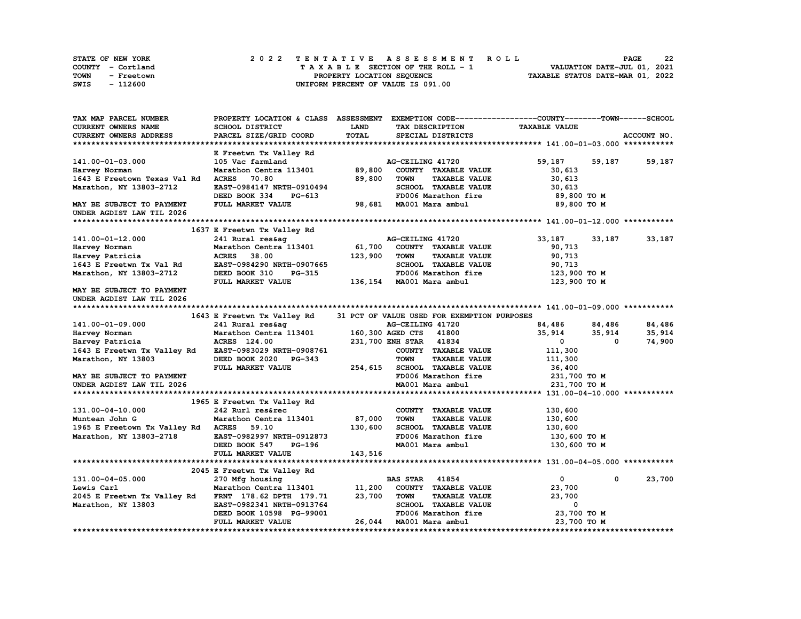| STATE OF NEW YORK  | 2022 TENTATIVE ASSESSMENT ROLL     | 22<br><b>PAGE</b>                |
|--------------------|------------------------------------|----------------------------------|
| COUNTY - Cortland  | TAXABLE SECTION OF THE ROLL - 1    | VALUATION DATE-JUL 01, 2021      |
| TOWN<br>- Freetown | PROPERTY LOCATION SEQUENCE         | TAXABLE STATUS DATE-MAR 01, 2022 |
| - 112600<br>SWIS   | UNIFORM PERCENT OF VALUE IS 091.00 |                                  |

| TAX MAP PARCEL NUMBER                    | PROPERTY LOCATION & CLASS ASSESSMENT |              |                                             | EXEMPTION CODE-----------------COUNTY-------TOWN-----SCHOOL |             |
|------------------------------------------|--------------------------------------|--------------|---------------------------------------------|-------------------------------------------------------------|-------------|
| <b>CURRENT OWNERS NAME</b>               | SCHOOL DISTRICT                      | <b>LAND</b>  | TAX DESCRIPTION                             | <b>TAXABLE VALUE</b>                                        |             |
| CURRENT OWNERS ADDRESS                   | PARCEL SIZE/GRID COORD               | <b>TOTAL</b> | SPECIAL DISTRICTS                           |                                                             | ACCOUNT NO. |
|                                          |                                      |              |                                             |                                                             |             |
|                                          | E Freetwn Tx Valley Rd               |              |                                             |                                                             |             |
| 141.00-01-03.000                         | 105 Vac farmland                     |              | AG-CEILING 41720                            | 59,187<br>59,187                                            | 59,187      |
| Harvey Norman                            | Marathon Centra 113401               | 89,800       | COUNTY TAXABLE VALUE                        | 30,613                                                      |             |
| 1643 E Freetown Texas Val Rd             | <b>ACRES</b><br>70.80                | 89,800       | <b>TOWN</b><br><b>TAXABLE VALUE</b>         | 30,613                                                      |             |
| Marathon, NY 13803-2712                  | EAST-0984147 NRTH-0910494            |              | SCHOOL TAXABLE VALUE                        | 30,613                                                      |             |
|                                          | DEED BOOK 334<br>PG-613              |              | FD006 Marathon fire                         | 89,800 TO M                                                 |             |
| MAY BE SUBJECT TO PAYMENT                | FULL MARKET VALUE                    |              | 98,681 MA001 Mara ambul                     | 89,800 TO M                                                 |             |
| UNDER AGDIST LAW TIL 2026                |                                      |              |                                             |                                                             |             |
|                                          |                                      |              |                                             |                                                             |             |
|                                          | 1637 E Freetwn Tx Valley Rd          |              |                                             |                                                             |             |
| 141.00-01-12.000                         | 241 Rural res&ag                     |              | AG-CEILING 41720                            | 33,187<br>33,187                                            | 33,187      |
| Harvey Norman                            | Marathon Centra 113401               | 61,700       | COUNTY TAXABLE VALUE                        | 90,713                                                      |             |
| Harvey Patricia                          | <b>ACRES</b><br>38.00                | 123,900      | <b>TOWN</b><br><b>TAXABLE VALUE</b>         | 90,713                                                      |             |
| 1643 E Freetwn Tx Val Rd                 | EAST-0984290 NRTH-0907665            |              | SCHOOL TAXABLE VALUE                        | 90,713                                                      |             |
| Marathon, NY 13803-2712                  | DEED BOOK 310<br><b>PG-315</b>       |              | FD006 Marathon fire                         | 123,900 то м                                                |             |
|                                          | FULL MARKET VALUE                    |              | 136,154 MA001 Mara ambul                    | 123,900 TO M                                                |             |
| MAY BE SUBJECT TO PAYMENT                |                                      |              |                                             |                                                             |             |
| UNDER AGDIST LAW TIL 2026                |                                      |              |                                             |                                                             |             |
|                                          |                                      |              |                                             |                                                             |             |
|                                          |                                      |              | 31 PCT OF VALUE USED FOR EXEMPTION PURPOSES |                                                             |             |
|                                          | 1643 E Freetwn Tx Valley Rd          |              |                                             |                                                             |             |
| 141.00-01-09.000                         | 241 Rural res&ag                     |              | AG-CEILING 41720                            | 84,486<br>84,486                                            | 84,486      |
| Harvey Norman                            | Marathon Centra 113401               |              | 160,300 AGED CTS 41800                      | 35,914<br>35,914<br>0                                       | 35,914      |
| Harvey Patricia                          | ACRES 124.00                         |              | 231,700 ENH STAR 41834                      | $\mathbf{0}$                                                | 74,900      |
| 1643 E Freetwn Tx Valley Rd              | EAST-0983029 NRTH-0908761            |              | COUNTY TAXABLE VALUE                        | 111,300                                                     |             |
| Marathon, NY 13803                       | DEED BOOK 2020 PG-343                |              | <b>TOWN</b><br><b>TAXABLE VALUE</b>         | 111,300                                                     |             |
|                                          | FULL MARKET VALUE                    | 254,615      | SCHOOL TAXABLE VALUE                        | 36,400                                                      |             |
| MAY BE SUBJECT TO PAYMENT                |                                      |              | FD006 Marathon fire                         | 231,700 TO M                                                |             |
| UNDER AGDIST LAW TIL 2026                |                                      |              | MA001 Mara ambul                            | 231,700 TO M                                                |             |
|                                          |                                      |              |                                             |                                                             |             |
|                                          | 1965 E Freetwn Tx Valley Rd          |              |                                             |                                                             |             |
| 131.00-04-10.000                         | 242 Rurl res&rec                     |              | COUNTY TAXABLE VALUE                        | 130,600                                                     |             |
| Muntean John G                           | Marathon Centra 113401               | 87,000       | <b>TOWN</b><br><b>TAXABLE VALUE</b>         | 130,600                                                     |             |
| 1965 E Freetown Tx Valley Rd ACRES 59.10 |                                      | 130,600      | SCHOOL TAXABLE VALUE                        | 130,600                                                     |             |
| Marathon, NY 13803-2718                  | EAST-0982997 NRTH-0912873            |              | FD006 Marathon fire                         | 130,600 то м                                                |             |
|                                          | DEED BOOK 547<br>PG-196              |              | MA001 Mara ambul                            | 130,600 то м                                                |             |
|                                          | FULL MARKET VALUE                    | 143,516      |                                             |                                                             |             |
|                                          |                                      |              |                                             |                                                             |             |
|                                          | 2045 E Freetwn Tx Valley Rd          |              |                                             |                                                             |             |
| 131.00-04-05.000                         | 270 Mfg housing                      |              | <b>BAS STAR</b> 41854                       | $\mathbf{0}$<br>0                                           | 23,700      |
| Lewis Carl                               | Marathon Centra 113401               | 11,200       | COUNTY TAXABLE VALUE                        | 23,700                                                      |             |
| 2045 E Freetwn Tx Valley Rd              | FRNT 178.62 DPTH 179.71              | 23,700       | TOWN<br><b>TAXABLE VALUE</b>                | 23,700                                                      |             |
| Marathon, NY 13803                       | EAST-0982341 NRTH-0913764            |              | SCHOOL TAXABLE VALUE                        | 0                                                           |             |
|                                          | DEED BOOK 10598 PG-99001             |              | FD006 Marathon fire                         | 23,700 TO M                                                 |             |
|                                          | FULL MARKET VALUE                    |              | 26,044 MA001 Mara ambul                     | 23,700 TO M                                                 |             |
|                                          |                                      |              |                                             |                                                             |             |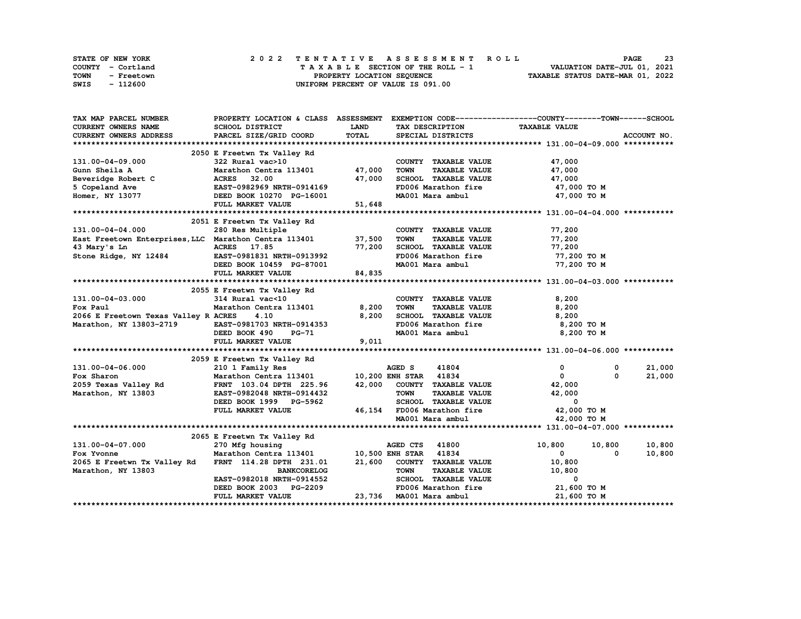| <b>STATE OF NEW YORK</b> | 2022 TENTATIVE ASSESSMENT ROLL     | 23<br><b>PAGE</b>                |
|--------------------------|------------------------------------|----------------------------------|
| COUNTY - Cortland        | TAXABLE SECTION OF THE ROLL - 1    | VALUATION DATE-JUL 01, 2021      |
| TOWN<br>- Freetown       | PROPERTY LOCATION SEQUENCE         | TAXABLE STATUS DATE-MAR 01, 2022 |
| - 112600<br>SWIS         | UNIFORM PERCENT OF VALUE IS 091.00 |                                  |

| TAX MAP PARCEL NUMBER                                                                             | PROPERTY LOCATION & CLASS ASSESSMENT EXEMPTION CODE-----------------COUNTY-------TOWN------SCHOOL |              |                                                                                                                            |                      |             |
|---------------------------------------------------------------------------------------------------|---------------------------------------------------------------------------------------------------|--------------|----------------------------------------------------------------------------------------------------------------------------|----------------------|-------------|
| CURRENT OWNERS NAME                                                                               | SCHOOL DISTRICT                                                                                   | <b>LAND</b>  | TAX DESCRIPTION TAXABLE VALUE                                                                                              |                      |             |
| CURRENT OWNERS ADDRESS                                                                            | PARCEL SIZE/GRID COORD                                                                            | <b>TOTAL</b> | SPECIAL DISTRICTS                                                                                                          |                      | ACCOUNT NO. |
|                                                                                                   |                                                                                                   |              |                                                                                                                            |                      |             |
|                                                                                                   | 2050 E Freetwn Tx Valley Rd<br>322 Rural vac>10<br>Marathon Centra 113401 47,000                  |              |                                                                                                                            |                      |             |
| 131.00-04-09.000                                                                                  |                                                                                                   |              | COUNTY TAXABLE VALUE                                                                                                       | 47,000               |             |
| Gunn Sheila A                                                                                     |                                                                                                   |              | <b>TOWN</b>                                                                                                                | TAXABLE VALUE 47,000 |             |
|                                                                                                   |                                                                                                   |              | SCHOOL TAXABLE VALUE                                                                                                       | 47,000               |             |
|                                                                                                   |                                                                                                   |              | FD006 Marathon fire                                                                                                        | 47,000 TO M          |             |
|                                                                                                   |                                                                                                   |              | MA001 Mara ambul 47,000 TO M                                                                                               |                      |             |
|                                                                                                   | FULL MARKET VALUE                                                                                 | 51,648       |                                                                                                                            |                      |             |
|                                                                                                   |                                                                                                   |              |                                                                                                                            |                      |             |
|                                                                                                   | 2051 E Freetwn Tx Valley Rd                                                                       |              |                                                                                                                            |                      |             |
|                                                                                                   |                                                                                                   |              | COUNTY TAXABLE VALUE                                                                                                       | 77,200               |             |
| 131.00-04-04.000 280 Res Multiple<br>East Freetown Enterprises, LLC Marathon Centra 113401 37,500 |                                                                                                   |              | TAXABLE VALUE<br><b>TOWN</b>                                                                                               | 77,200               |             |
|                                                                                                   |                                                                                                   | 77,200       | TOWN TAAADDE VALUE<br>SCHOOL TAXABLE VALUE 77,200<br>TRAAS Marsthan fire 77,200 TO M                                       |                      |             |
|                                                                                                   |                                                                                                   |              |                                                                                                                            |                      |             |
| 43 Mary's Ln<br>Stone Ridge, NY 12484 EAST-0981831 NRTH-0913992<br>DEED BOOK 10459 PG-87001       |                                                                                                   |              | MA001 Mara ambul                                                                                                           | 77,200 TO M          |             |
|                                                                                                   | FULL MARKET VALUE                                                                                 | 84,835       |                                                                                                                            |                      |             |
|                                                                                                   |                                                                                                   |              |                                                                                                                            |                      |             |
|                                                                                                   | 2055 E Freetwn Tx Valley Rd                                                                       |              |                                                                                                                            |                      |             |
| 131.00-04-03.000                                                                                  | 314 Rural vac<10                                                                                  |              | COUNTY TAXABLE VALUE                                                                                                       | 8,200                |             |
| Fox Paul                                                                                          |                                                                                                   |              | <b>TAXABLE VALUE</b><br>TOWN                                                                                               | 8,200                |             |
| 2066 E Freetown Texas Valley R ACRES                                                              |                                                                                                   |              | SCHOOL TAXABLE VALUE                                                                                                       | 8,200                |             |
|                                                                                                   |                                                                                                   |              |                                                                                                                            |                      |             |
| Marathon, NY 13803-2719 EAST-0981703 NRTH-0914353                                                 |                                                                                                   |              | FD006 Marathon fire 3,200 TO M<br>MA001 Mara ambul 3,200 TO M                                                              |                      |             |
|                                                                                                   | DEED BOOK 490 PG-71                                                                               |              |                                                                                                                            |                      |             |
|                                                                                                   | FULL MARKET VALUE                                                                                 | 9,011        |                                                                                                                            |                      |             |
|                                                                                                   |                                                                                                   |              |                                                                                                                            |                      |             |
|                                                                                                   | 2059 E Freetwn Tx Valley Rd                                                                       |              |                                                                                                                            |                      |             |
| 131.00-04-06.000                                                                                  | 210 1 Family Res                                                                                  |              | AGED S<br>41804                                                                                                            | $^{\circ}$<br>0      | 21,000      |
|                                                                                                   |                                                                                                   |              |                                                                                                                            | $\mathbf{0}$         | 21,000      |
|                                                                                                   |                                                                                                   |              |                                                                                                                            |                      |             |
| Marathon, NY 13803                                                                                | EAST-0982048 NRTH-0914432                                                                         |              | <b>TOWN</b>                                                                                                                | TAXABLE VALUE 42,000 |             |
|                                                                                                   | DEED BOOK 1999 PG-5962                                                                            |              | SCHOOL TAXABLE VALUE                                                                                                       | $\Omega$             |             |
|                                                                                                   | FULL MARKET VALUE                                                                                 |              | 46,154 FD006 Marathon fire $\begin{array}{ccc} 46,154 & 50006 & 42,000 & 70 M \\ 1,000 & 70 M & 42,000 & 70 M \end{array}$ |                      |             |
|                                                                                                   |                                                                                                   |              | MA001 Mara ambul                                                                                                           | 42,000 TO M          |             |
|                                                                                                   |                                                                                                   |              |                                                                                                                            |                      |             |
|                                                                                                   | 2065 E Freetwn Tx Valley Rd                                                                       |              |                                                                                                                            |                      |             |
| 131.00-04-07.000                                                                                  | 270 Mfg housing                                                                                   |              | AGED CTS 41800                                                                                                             | 10,800<br>10,800     | 10,800      |
| Fox Yvonne                                                                                        | Marathon Centra 113401 10,500 ENH STAR 41834                                                      |              |                                                                                                                            | $\mathbf{0}$<br>0    | 10,800      |
| 2065 E Freetwn Tx Valley Rd                                                                       | FRNT 114.28 DPTH 231.01 21,600 COUNTY TAXABLE VALUE                                               |              |                                                                                                                            | 10,800               |             |
| Marathon, NY 13803                                                                                | BANKCORELOG<br>EAST-0982018 NRTH-0914552                                                          |              | <b>TOWN</b><br>TAXABLE VALUE                                                                                               | 10,800               |             |
|                                                                                                   |                                                                                                   |              | SCHOOL TAXABLE VALUE                                                                                                       | $\mathbf{0}$         |             |
|                                                                                                   | DEED BOOK 2003 PG-2209                                                                            |              | FD006 Marathon fire 21,600 TO M                                                                                            |                      |             |
|                                                                                                   | FULL MARKET VALUE                                                                                 |              | 23,736 MA001 Mara ambul                                                                                                    | 21,600 TO M          |             |
|                                                                                                   |                                                                                                   |              |                                                                                                                            |                      |             |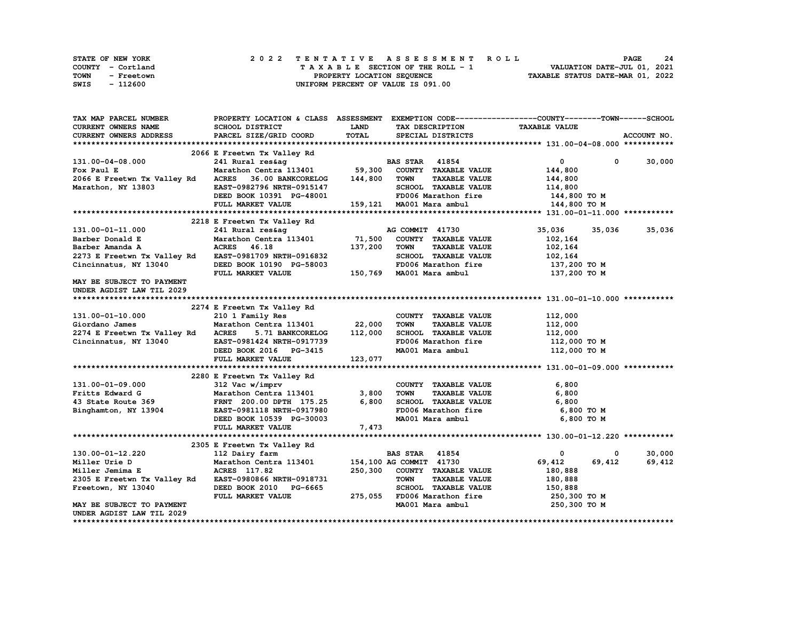| STATE OF NEW YORK  | 2022 TENTATIVE ASSESSMENT ROLL     | 24<br><b>PAGE</b>                |
|--------------------|------------------------------------|----------------------------------|
| COUNTY - Cortland  | TAXABLE SECTION OF THE ROLL - 1    | VALUATION DATE-JUL 01, 2021      |
| TOWN<br>- Freetown | PROPERTY LOCATION SEQUENCE         | TAXABLE STATUS DATE-MAR 01, 2022 |
| SWIS<br>- 112600   | UNIFORM PERCENT OF VALUE IS 091.00 |                                  |

| TAX MAP PARCEL NUMBER       |                                                    |             |                                      | PROPERTY LOCATION & CLASS ASSESSMENT EXEMPTION CODE----------------COUNTY-------TOWN-----SCHOOL |             |
|-----------------------------|----------------------------------------------------|-------------|--------------------------------------|-------------------------------------------------------------------------------------------------|-------------|
| <b>CURRENT OWNERS NAME</b>  | SCHOOL DISTRICT                                    | <b>LAND</b> | TAX DESCRIPTION                      | <b>TAXABLE VALUE</b>                                                                            |             |
| CURRENT OWNERS ADDRESS      | PARCEL SIZE/GRID COORD                             | TOTAL       | SPECIAL DISTRICTS                    |                                                                                                 | ACCOUNT NO. |
|                             |                                                    |             |                                      |                                                                                                 |             |
|                             | 2066 E Freetwn Tx Valley Rd                        |             |                                      |                                                                                                 |             |
| 131.00-04-08.000            | 241 Rural res&ag                                   |             | <b>BAS STAR</b> 41854                | 0<br>$^{\circ}$                                                                                 | 30,000      |
| Fox Paul E                  | Marathon Centra 113401 59,300 COUNTY TAXABLE VALUE |             |                                      | 144,800                                                                                         |             |
| 2066 E Freetwn Tx Valley Rd | 36.00 BANKCORELOG<br><b>ACRES</b>                  | 144,800     | <b>TAXABLE VALUE</b><br>TOWN         | 144,800                                                                                         |             |
| Marathon, NY 13803          | EAST-0982796 NRTH-0915147                          |             | SCHOOL TAXABLE VALUE                 | 114,800                                                                                         |             |
|                             | DEED BOOK 10391 PG-48001                           |             | FD006 Marathon fire                  | 144,800 TO M                                                                                    |             |
|                             |                                                    |             |                                      |                                                                                                 |             |
|                             | FULL MARKET VALUE                                  |             | 159,121 MA001 Mara ambul             | 144,800 TO M                                                                                    |             |
|                             |                                                    |             |                                      |                                                                                                 |             |
|                             | 2218 E Freetwn Tx Valley Rd                        |             |                                      |                                                                                                 |             |
| 131.00-01-11.000            | 241 Rural res&ag                                   |             | AG COMMIT 41730                      | 35,036<br>35,036                                                                                | 35,036      |
| Barber Donald E             | Marathon Centra 113401 71,500                      |             | COUNTY TAXABLE VALUE                 | 102,164                                                                                         |             |
| Barber Amanda A             | ACRES 46.18                                        | 137,200     | TOWN<br><b>TAXABLE VALUE</b>         | 102,164                                                                                         |             |
| 2273 E Freetwn Tx Valley Rd | EAST-0981709 NRTH-0916832                          |             | SCHOOL TAXABLE VALUE                 | 102,164                                                                                         |             |
| Cincinnatus, NY 13040       | DEED BOOK 10190 PG-58003                           |             | FD006 Marathon fire                  | 137,200 то м                                                                                    |             |
|                             | FULL MARKET VALUE                                  |             | 150,769 MA001 Mara ambul             | 137,200 то м                                                                                    |             |
| MAY BE SUBJECT TO PAYMENT   |                                                    |             |                                      |                                                                                                 |             |
| UNDER AGDIST LAW TIL 2029   |                                                    |             |                                      |                                                                                                 |             |
|                             |                                                    |             |                                      |                                                                                                 |             |
|                             | 2274 E Freetwn Tx Valley Rd                        |             |                                      |                                                                                                 |             |
| 131.00-01-10.000            | 210 1 Family Res                                   |             | COUNTY TAXABLE VALUE                 | 112,000                                                                                         |             |
| Giordano James              | Marathon Centra 113401 22,000                      |             | <b>TOWN</b><br><b>TAXABLE VALUE</b>  | 112,000                                                                                         |             |
|                             | 5.71 BANKCORELOG 112,000<br><b>ACRES</b>           |             | SCHOOL TAXABLE VALUE                 |                                                                                                 |             |
| 2274 E Freetwn Tx Valley Rd |                                                    |             |                                      | 112,000                                                                                         |             |
| Cincinnatus, NY 13040       | EAST-0981424 NRTH-0917739                          |             | FD006 Marathon fire                  | 112,000 TO M                                                                                    |             |
|                             | DEED BOOK 2016 PG-3415                             |             | MA001 Mara ambul                     | 112,000 TO M                                                                                    |             |
|                             | FULL MARKET VALUE                                  | 123,077     |                                      |                                                                                                 |             |
|                             |                                                    |             |                                      |                                                                                                 |             |
|                             | 2280 E Freetwn Tx Valley Rd                        |             |                                      |                                                                                                 |             |
| 131.00-01-09.000            | 312 Vac w/imprv                                    |             | COUNTY TAXABLE VALUE                 | 6,800                                                                                           |             |
| Fritts Edward G             | Marathon Centra 113401                             | 3,800       | <b>TAXABLE VALUE</b><br><b>TOWN</b>  | 6,800                                                                                           |             |
| 43 State Route 369          | FRNT 200.00 DPTH 175.25                            | 6,800       | SCHOOL TAXABLE VALUE                 | 6,800                                                                                           |             |
| Binghamton, NY 13904        | EAST-0981118 NRTH-0917980                          |             | ECHOOL INCOME<br>FD006 Marathon fire | 6,800 то м                                                                                      |             |
|                             | DEED BOOK 10539 PG-30003                           |             |                                      | 6,800 то м                                                                                      |             |
|                             | <b>FULL MARKET VALUE</b>                           | 7,473       |                                      |                                                                                                 |             |
|                             |                                                    |             |                                      |                                                                                                 |             |
|                             | 2305 E Freetwn Tx Valley Rd                        |             |                                      |                                                                                                 |             |
| 130.00-01-12.220            | 112 Dairy farm                                     |             | <b>BAS STAR 41854</b>                | 0<br>0                                                                                          | 30,000      |
| Miller Urie D               | Marathon Centra 113401                             |             | 154,100 AG COMMIT 41730              | 69,412<br>69,412                                                                                | 69,412      |
| Miller Jemima E             | ACRES 117.82                                       | 250,300     | COUNTY TAXABLE VALUE                 | 180,888                                                                                         |             |
|                             | EAST-0980866 NRTH-0918731                          |             | <b>TOWN</b><br><b>TAXABLE VALUE</b>  |                                                                                                 |             |
| 2305 E Freetwn Tx Valley Rd |                                                    |             |                                      | 180,888                                                                                         |             |
| Freetown, NY 13040          | DEED BOOK 2010 PG-6665                             |             | SCHOOL TAXABLE VALUE                 | 150,888                                                                                         |             |
|                             | FULL MARKET VALUE                                  |             | 275,055 FD006 Marathon fire          | 250,300 то м                                                                                    |             |
| MAY BE SUBJECT TO PAYMENT   |                                                    |             | MA001 Mara ambul                     | 250,300 то м                                                                                    |             |
| UNDER AGDIST LAW TIL 2029   |                                                    |             |                                      |                                                                                                 |             |
|                             |                                                    |             |                                      |                                                                                                 |             |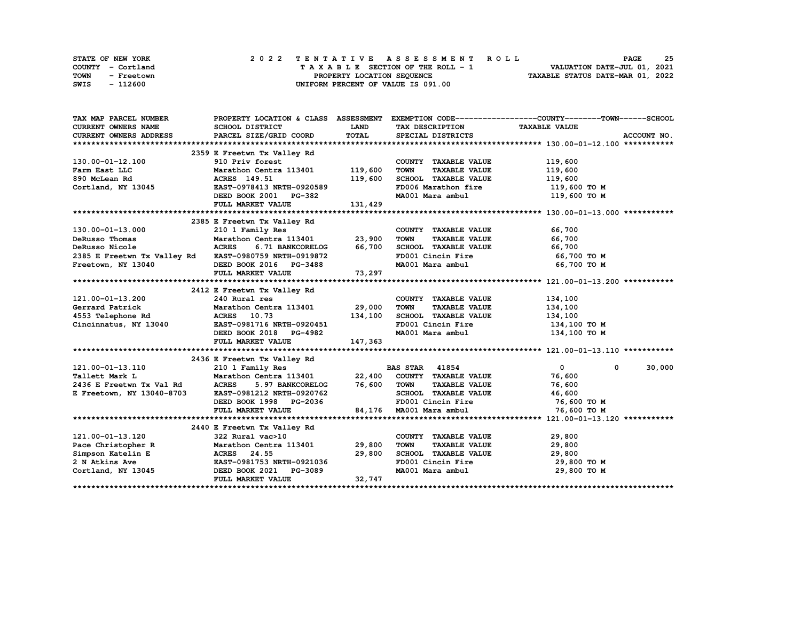| <b>STATE OF NEW YORK</b> | 2022 TENTATIVE ASSESSMENT ROLL     | 25<br><b>PAGE</b>                |
|--------------------------|------------------------------------|----------------------------------|
| COUNTY - Cortland        | TAXABLE SECTION OF THE ROLL - 1    | VALUATION DATE-JUL 01, 2021      |
| TOWN<br>- Freetown       | PROPERTY LOCATION SEQUENCE         | TAXABLE STATUS DATE-MAR 01, 2022 |
| - 112600<br>SWIS         | UNIFORM PERCENT OF VALUE IS 091.00 |                                  |

| TAX MAP PARCEL NUMBER                                                                                                                                                                                                                |                                                                        |             |                                                      | PROPERTY LOCATION & CLASS ASSESSMENT EXEMPTION CODE----------------COUNTY-------TOWN------SCHOOL |
|--------------------------------------------------------------------------------------------------------------------------------------------------------------------------------------------------------------------------------------|------------------------------------------------------------------------|-------------|------------------------------------------------------|--------------------------------------------------------------------------------------------------|
| <b>CURRENT OWNERS NAME</b>                                                                                                                                                                                                           | SCHOOL DISTRICT                                                        | <b>LAND</b> | TAX DESCRIPTION TAXABLE VALUE                        |                                                                                                  |
| CURRENT OWNERS ADDRESS                                                                                                                                                                                                               | PARCEL SIZE/GRID COORD                                                 | TOTAL       | SPECIAL DISTRICTS                                    | ACCOUNT NO.                                                                                      |
|                                                                                                                                                                                                                                      |                                                                        |             |                                                      |                                                                                                  |
|                                                                                                                                                                                                                                      | 2359 E Freetwn Tx Valley Rd                                            |             |                                                      |                                                                                                  |
| 130.00-01-12.100                                                                                                                                                                                                                     |                                                                        |             | COUNTY TAXABLE VALUE                                 | 119,600                                                                                          |
| Farm East LLC                                                                                                                                                                                                                        | 910 Priv forest<br>Marathon Centra 113401 119,600<br>NGC 110 51 110 52 |             | TOWN<br><b>TAXABLE VALUE</b>                         | 119,600                                                                                          |
|                                                                                                                                                                                                                                      | Marathon Cent:<br>ACRES 149.51                                         | 119,600     | SCHOOL TAXABLE VALUE                                 | 119,600                                                                                          |
| Farm East EEC<br>890 McLean Rd<br>Cortland, NY 13045<br>EAST-0978413 NRTH-0920589                                                                                                                                                    |                                                                        |             | FD006 Marathon fire 119,600 TO M                     |                                                                                                  |
|                                                                                                                                                                                                                                      | DEED BOOK 2001 PG-382                                                  |             | MA001 Mara ambul                                     | 119,600 TO M                                                                                     |
|                                                                                                                                                                                                                                      | FULL MARKET VALUE                                                      | 131,429     |                                                      |                                                                                                  |
|                                                                                                                                                                                                                                      |                                                                        |             |                                                      |                                                                                                  |
|                                                                                                                                                                                                                                      | 2385 E Freetwn Tx Valley Rd                                            |             |                                                      |                                                                                                  |
| 130.00-01-13.000                                                                                                                                                                                                                     |                                                                        |             | COUNTY TAXABLE VALUE                                 | 66,700                                                                                           |
| DeRusso Thomas                                                                                                                                                                                                                       |                                                                        |             | <b>TAXABLE VALUE</b><br>TOWN                         | 66,700                                                                                           |
| <b>ACRES</b><br>DeRusso Nicole                                                                                                                                                                                                       | 6.71 BANKCORELOG 66,700                                                |             | SCHOOL TAXABLE VALUE 66,700                          |                                                                                                  |
| 2385 E Freetwn Tx Valley Rd<br>Freetown, NY 13040 DEED BOOK 2016 PG-3488                                                                                                                                                             |                                                                        |             | FD001 Cincin Fire                                    | 66,700 TO M                                                                                      |
| Freetown, NY 13040                                                                                                                                                                                                                   |                                                                        |             | MA001 Mara ambul                                     | 66,700 TO M                                                                                      |
|                                                                                                                                                                                                                                      | FULL MARKET VALUE                                                      | 73,297      |                                                      |                                                                                                  |
|                                                                                                                                                                                                                                      |                                                                        |             |                                                      |                                                                                                  |
|                                                                                                                                                                                                                                      | 2412 E Freetwn Tx Valley Rd                                            |             |                                                      |                                                                                                  |
| 121.00-01-13.200                                                                                                                                                                                                                     | 240 Rural res                                                          |             | COUNTY TAXABLE VALUE 134,100                         |                                                                                                  |
| Gerrard Patrick                                                                                                                                                                                                                      | Marathon Centra 113401 29,000                                          |             | <b>TOWN</b><br><b>TAXABLE VALUE</b>                  | 134,100                                                                                          |
| 4553 Telephone Rd                                                                                                                                                                                                                    | ACRES 10.73 134,100<br>EAST-0981716 NRTH-0920451                       |             | SCHOOL TAXABLE VALUE 134,100                         |                                                                                                  |
| Cincinnatus, NY 13040                                                                                                                                                                                                                |                                                                        |             | FD001 Cincin Fire<br>MA001 Mara ambul                | 134,100 то м                                                                                     |
|                                                                                                                                                                                                                                      | 1-0320451 DEED BOOK 2018 PG-4982                                       |             |                                                      | 134,100 TO M                                                                                     |
|                                                                                                                                                                                                                                      | FULL MARKET VALUE                                                      | 147,363     |                                                      |                                                                                                  |
|                                                                                                                                                                                                                                      |                                                                        |             |                                                      |                                                                                                  |
|                                                                                                                                                                                                                                      | 2436 E Freetwn Tx Valley Rd                                            |             |                                                      |                                                                                                  |
| 121.00-01-13.110                                                                                                                                                                                                                     | 210 1 Family Res                                                       |             | <b>BAS STAR 41854</b>                                | 30,000<br>$\overline{0}$<br>$^{\circ}$                                                           |
| Tallett Mark L<br>2436 E Freetwn Tx Val Rd (ACRES 5.97 BANKCORELOG 76,600 TOWN TAXABLE VALUE 76,600<br>2436 E Freetwn Tx Val Rd (ACRES 5.97 BANKCORELOG 76,600 TOWN TAXABLE VALUE 76,600 76,600 E Freetown, NY 13040-8703 EAST-09812 |                                                                        |             |                                                      |                                                                                                  |
|                                                                                                                                                                                                                                      |                                                                        |             |                                                      |                                                                                                  |
|                                                                                                                                                                                                                                      |                                                                        |             |                                                      |                                                                                                  |
|                                                                                                                                                                                                                                      | DEED BOOK 1998 PG-2036                                                 |             | FD001 Cincin Fire 76,600 TO M                        |                                                                                                  |
|                                                                                                                                                                                                                                      | FULL MARKET VALUE                                                      |             | 84,176 MA001 Mara ambul                              | 76,600 TO M                                                                                      |
|                                                                                                                                                                                                                                      |                                                                        |             |                                                      |                                                                                                  |
|                                                                                                                                                                                                                                      | 2440 E Freetwn Tx Valley Rd                                            |             |                                                      |                                                                                                  |
| 121.00-01-13.120                                                                                                                                                                                                                     | 322 Rural vac>10                                                       |             | COUNTY TAXABLE VALUE                                 | 29,800                                                                                           |
| Pace Christopher R Marathon Centra 113401 29,800<br>Simpson Katelin E ACRES 24.55 29,800<br>2 N Atkins Ave EAST-0981753 NRTH-0921036                                                                                                 |                                                                        |             | TOWN      TAXABLE  VALUE<br>SCHOOL    TAXABLE  VALUE | 29,800                                                                                           |
|                                                                                                                                                                                                                                      |                                                                        |             |                                                      | 29,800                                                                                           |
|                                                                                                                                                                                                                                      |                                                                        |             | FD001 Cincin Fire 29,800 TO M                        |                                                                                                  |
| Cortland, NY 13045                                                                                                                                                                                                                   | DEED BOOK 2021 PG-3089                                                 |             | MA001 Mara ambul                                     | 29,800 то м                                                                                      |
|                                                                                                                                                                                                                                      | FULL MARKET VALUE                                                      | 32,747      |                                                      |                                                                                                  |
|                                                                                                                                                                                                                                      |                                                                        |             |                                                      |                                                                                                  |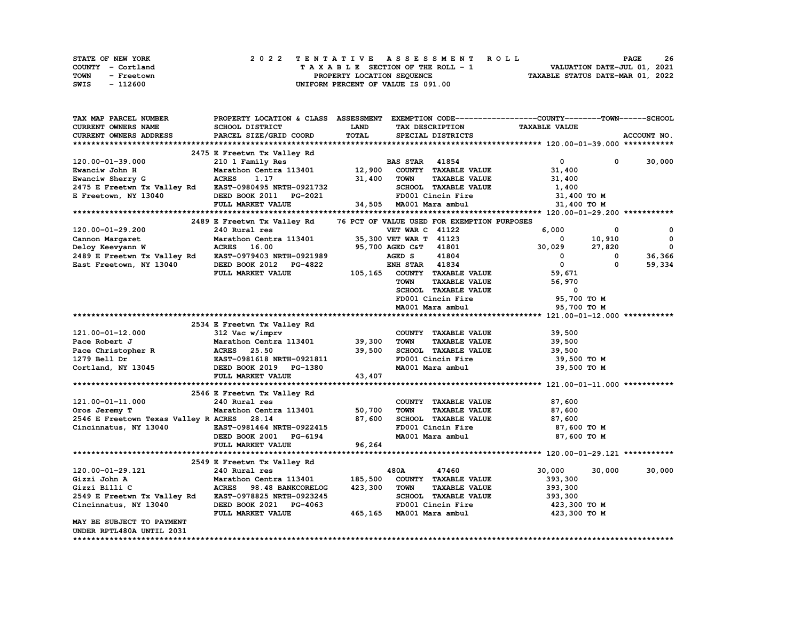| STATE OF NEW YORK  | 2022 TENTATIVE ASSESSMENT ROLL     | 26<br><b>PAGE</b>                |
|--------------------|------------------------------------|----------------------------------|
| COUNTY - Cortland  | TAXABLE SECTION OF THE ROLL - 1    | VALUATION DATE-JUL 01, 2021      |
| TOWN<br>- Freetown | PROPERTY LOCATION SEQUENCE         | TAXABLE STATUS DATE-MAR 01, 2022 |
| - 112600<br>SWIS   | UNIFORM PERCENT OF VALUE IS 091.00 |                                  |

| CURRENT OWNERS NAME<br>SCHOOL DISTRICT<br><b>LAND</b><br><b>TAXABLE VALUE</b><br>TAX DESCRIPTION<br>TOTAL<br><b>CURRENT OWNERS ADDRESS</b><br>PARCEL SIZE/GRID COORD<br>SPECIAL DISTRICTS<br>ACCOUNT NO.<br>2475 E Freetwn Tx Valley Rd<br>$^{\circ}$<br>$\mathbf{0}$<br>120.00-01-39.000<br>210 1 Family Res<br><b>BAS STAR</b> 41854<br>Marathon Centra 113401 12,900<br>COUNTY TAXABLE VALUE<br>Ewanciw John H<br>31,400<br><b>ACRES</b><br>31,400<br>TOWN<br><b>TAXABLE VALUE</b><br>Ewanciw Sherry G<br>1.17<br>31,400<br>2475 E Freetwn Tx Valley Rd EAST-0980495 NRTH-0921732<br>SCHOOL TAXABLE VALUE<br>1,400<br>E Freetown, NY 13040<br>FD001 Cincin Fire<br>DEED BOOK 2011 PG-2021<br>31,400 TO M<br>34,505 MA001 Mara ambul<br>31,400 TO M<br>FULL MARKET VALUE<br>2489 E Freetwn Tx Valley Rd 76 PCT OF VALUE USED FOR EXEMPTION PURPOSES<br>6,000<br>120.00-01-29.200<br>240 Rural res<br><b>VET WAR C 41122</b><br>0<br>0<br>Marathon Centra 113401<br>Marathon -<br>ACRES 16.00<br>-- - - - 0979403<br>10,910<br>$\mathbf{0}$<br>35,300 VET WAR T 41123<br>Cannon Margaret<br>$^{\circ}$<br>$\overline{\mathbf{0}}$<br>95,700 AGED C&T 41801<br>27,820<br>Deloy Keevyann W<br>30,029<br>2489 E Freetwn Tx Valley Rd EAST-0979403 NRTH-0921989<br>41804<br>AGED S<br>$\mathbf{0}$<br>$\mathbf 0$<br>36,366<br><b>ENH STAR 41834</b><br>$\mathbf{0}$<br>$\Omega$<br>59,334<br>East Freetown, NY 13040<br>DEED BOOK 2012 PG-4822 ENH STAR 41834<br>FULL MARKET VALUE 105,165 COUNTY TAXABLE VALUE<br>59,671<br><b>TOWN</b><br><b>TAXABLE VALUE</b><br>56,970<br>SCHOOL TAXABLE VALUE<br>$\overline{\phantom{a}}$<br>FD001 Cincin Fire<br>95,700 TO M<br>MA001 Mara ambul<br>95,700 TO M<br>2534 E Freetwn Tx Valley Rd<br>121.00-01-12.000<br>312 Vac w/imprv<br>COUNTY TAXABLE VALUE<br>39,500<br>Marathon Centra 113401 39,300<br>39,500<br>Pace Robert J<br>TOWN<br><b>TAXABLE VALUE</b><br>39,500<br>SCHOOL TAXABLE VALUE<br>39,500<br>FD001 Cincin Fire<br>39,500 TO M<br>DEED BOOK 2019 PG-1380<br>MA001 Mara ambul<br>39,500 TO M<br>FULL MARKET VALUE<br>43,407<br>2546 E Freetwn Tx Valley Rd<br>121.00-01-11.000<br>87,600<br>240 Rural res<br>COUNTY TAXABLE VALUE<br>Marathon Centra 113401 50,700<br>87,600<br><b>TAXABLE VALUE</b><br>Oros Jeremy T<br><b>TOWN</b><br>2546 E Freetown Texas Valley R ACRES 28.14<br>87,600<br>SCHOOL TAXABLE VALUE<br>FD001 Cincin Fire<br>87,600<br>Cincinnatus, NY 13040 EAST-0981464 NRTH-0922415<br>87,600 то м<br>DEED BOOK 2001 PG-6194<br>MA001 Mara ambul<br>87,600 TO M<br>96,264<br>FULL MARKET VALUE<br>2549 E Freetwn Tx Valley Rd<br>120.00-01-29.121<br>480A<br>47460<br>30,000<br>30,000<br>240 Kurai ies<br>Marathon Centra 113401<br>ACRES 98.48 BANKCORELOG<br>113 III 0000245<br>185,500<br>COUNTY TAXABLE VALUE<br>393,300<br>Gizzi John A<br>423,300<br>TOWN<br><b>TAXABLE VALUE</b><br>Gizzi Billi C<br>393,300<br>2549 E Freetwn Tx Valley Rd EAST-0978825 NRTH-0923245<br>SCHOOL TAXABLE VALUE<br>393,300<br>Cincinnatus, NY 13040<br>DEED BOOK 2021 PG-4063<br>423,300 то м<br>465,165 MA001 Mara ambul<br>423,300 то м<br>FULL MARKET VALUE<br>MAY BE SUBJECT TO PAYMENT<br>UNDER RPTL480A UNTIL 2031 | TAX MAP PARCEL NUMBER | PROPERTY LOCATION & CLASS ASSESSMENT EXEMPTION CODE----------------COUNTY-------TOWN------SCHOOL |  |  |        |
|-------------------------------------------------------------------------------------------------------------------------------------------------------------------------------------------------------------------------------------------------------------------------------------------------------------------------------------------------------------------------------------------------------------------------------------------------------------------------------------------------------------------------------------------------------------------------------------------------------------------------------------------------------------------------------------------------------------------------------------------------------------------------------------------------------------------------------------------------------------------------------------------------------------------------------------------------------------------------------------------------------------------------------------------------------------------------------------------------------------------------------------------------------------------------------------------------------------------------------------------------------------------------------------------------------------------------------------------------------------------------------------------------------------------------------------------------------------------------------------------------------------------------------------------------------------------------------------------------------------------------------------------------------------------------------------------------------------------------------------------------------------------------------------------------------------------------------------------------------------------------------------------------------------------------------------------------------------------------------------------------------------------------------------------------------------------------------------------------------------------------------------------------------------------------------------------------------------------------------------------------------------------------------------------------------------------------------------------------------------------------------------------------------------------------------------------------------------------------------------------------------------------------------------------------------------------------------------------------------------------------------------------------------------------------------------------------------------------------------------------------------------------------------------------------------------------------------------------------------------------------------------------------------------------------------------------------------------------------------------------------------------------------------------------------------------------------------------------------------------------------------------------------------------------------------------------|-----------------------|--------------------------------------------------------------------------------------------------|--|--|--------|
| Pace Christopher R<br>1279 Bell Dr<br>1279 Bell Dr<br>1279 Bell Dr<br>1279 Bell Dr<br>1380 Bell Dr<br>1380 DEED BOOK 2019 PG-1380                                                                                                                                                                                                                                                                                                                                                                                                                                                                                                                                                                                                                                                                                                                                                                                                                                                                                                                                                                                                                                                                                                                                                                                                                                                                                                                                                                                                                                                                                                                                                                                                                                                                                                                                                                                                                                                                                                                                                                                                                                                                                                                                                                                                                                                                                                                                                                                                                                                                                                                                                                                                                                                                                                                                                                                                                                                                                                                                                                                                                                                         |                       |                                                                                                  |  |  |        |
|                                                                                                                                                                                                                                                                                                                                                                                                                                                                                                                                                                                                                                                                                                                                                                                                                                                                                                                                                                                                                                                                                                                                                                                                                                                                                                                                                                                                                                                                                                                                                                                                                                                                                                                                                                                                                                                                                                                                                                                                                                                                                                                                                                                                                                                                                                                                                                                                                                                                                                                                                                                                                                                                                                                                                                                                                                                                                                                                                                                                                                                                                                                                                                                           |                       |                                                                                                  |  |  |        |
|                                                                                                                                                                                                                                                                                                                                                                                                                                                                                                                                                                                                                                                                                                                                                                                                                                                                                                                                                                                                                                                                                                                                                                                                                                                                                                                                                                                                                                                                                                                                                                                                                                                                                                                                                                                                                                                                                                                                                                                                                                                                                                                                                                                                                                                                                                                                                                                                                                                                                                                                                                                                                                                                                                                                                                                                                                                                                                                                                                                                                                                                                                                                                                                           |                       |                                                                                                  |  |  |        |
|                                                                                                                                                                                                                                                                                                                                                                                                                                                                                                                                                                                                                                                                                                                                                                                                                                                                                                                                                                                                                                                                                                                                                                                                                                                                                                                                                                                                                                                                                                                                                                                                                                                                                                                                                                                                                                                                                                                                                                                                                                                                                                                                                                                                                                                                                                                                                                                                                                                                                                                                                                                                                                                                                                                                                                                                                                                                                                                                                                                                                                                                                                                                                                                           |                       |                                                                                                  |  |  |        |
|                                                                                                                                                                                                                                                                                                                                                                                                                                                                                                                                                                                                                                                                                                                                                                                                                                                                                                                                                                                                                                                                                                                                                                                                                                                                                                                                                                                                                                                                                                                                                                                                                                                                                                                                                                                                                                                                                                                                                                                                                                                                                                                                                                                                                                                                                                                                                                                                                                                                                                                                                                                                                                                                                                                                                                                                                                                                                                                                                                                                                                                                                                                                                                                           |                       |                                                                                                  |  |  | 30,000 |
|                                                                                                                                                                                                                                                                                                                                                                                                                                                                                                                                                                                                                                                                                                                                                                                                                                                                                                                                                                                                                                                                                                                                                                                                                                                                                                                                                                                                                                                                                                                                                                                                                                                                                                                                                                                                                                                                                                                                                                                                                                                                                                                                                                                                                                                                                                                                                                                                                                                                                                                                                                                                                                                                                                                                                                                                                                                                                                                                                                                                                                                                                                                                                                                           |                       |                                                                                                  |  |  |        |
|                                                                                                                                                                                                                                                                                                                                                                                                                                                                                                                                                                                                                                                                                                                                                                                                                                                                                                                                                                                                                                                                                                                                                                                                                                                                                                                                                                                                                                                                                                                                                                                                                                                                                                                                                                                                                                                                                                                                                                                                                                                                                                                                                                                                                                                                                                                                                                                                                                                                                                                                                                                                                                                                                                                                                                                                                                                                                                                                                                                                                                                                                                                                                                                           |                       |                                                                                                  |  |  |        |
|                                                                                                                                                                                                                                                                                                                                                                                                                                                                                                                                                                                                                                                                                                                                                                                                                                                                                                                                                                                                                                                                                                                                                                                                                                                                                                                                                                                                                                                                                                                                                                                                                                                                                                                                                                                                                                                                                                                                                                                                                                                                                                                                                                                                                                                                                                                                                                                                                                                                                                                                                                                                                                                                                                                                                                                                                                                                                                                                                                                                                                                                                                                                                                                           |                       |                                                                                                  |  |  |        |
|                                                                                                                                                                                                                                                                                                                                                                                                                                                                                                                                                                                                                                                                                                                                                                                                                                                                                                                                                                                                                                                                                                                                                                                                                                                                                                                                                                                                                                                                                                                                                                                                                                                                                                                                                                                                                                                                                                                                                                                                                                                                                                                                                                                                                                                                                                                                                                                                                                                                                                                                                                                                                                                                                                                                                                                                                                                                                                                                                                                                                                                                                                                                                                                           |                       |                                                                                                  |  |  |        |
|                                                                                                                                                                                                                                                                                                                                                                                                                                                                                                                                                                                                                                                                                                                                                                                                                                                                                                                                                                                                                                                                                                                                                                                                                                                                                                                                                                                                                                                                                                                                                                                                                                                                                                                                                                                                                                                                                                                                                                                                                                                                                                                                                                                                                                                                                                                                                                                                                                                                                                                                                                                                                                                                                                                                                                                                                                                                                                                                                                                                                                                                                                                                                                                           |                       |                                                                                                  |  |  |        |
|                                                                                                                                                                                                                                                                                                                                                                                                                                                                                                                                                                                                                                                                                                                                                                                                                                                                                                                                                                                                                                                                                                                                                                                                                                                                                                                                                                                                                                                                                                                                                                                                                                                                                                                                                                                                                                                                                                                                                                                                                                                                                                                                                                                                                                                                                                                                                                                                                                                                                                                                                                                                                                                                                                                                                                                                                                                                                                                                                                                                                                                                                                                                                                                           |                       |                                                                                                  |  |  |        |
|                                                                                                                                                                                                                                                                                                                                                                                                                                                                                                                                                                                                                                                                                                                                                                                                                                                                                                                                                                                                                                                                                                                                                                                                                                                                                                                                                                                                                                                                                                                                                                                                                                                                                                                                                                                                                                                                                                                                                                                                                                                                                                                                                                                                                                                                                                                                                                                                                                                                                                                                                                                                                                                                                                                                                                                                                                                                                                                                                                                                                                                                                                                                                                                           |                       |                                                                                                  |  |  |        |
|                                                                                                                                                                                                                                                                                                                                                                                                                                                                                                                                                                                                                                                                                                                                                                                                                                                                                                                                                                                                                                                                                                                                                                                                                                                                                                                                                                                                                                                                                                                                                                                                                                                                                                                                                                                                                                                                                                                                                                                                                                                                                                                                                                                                                                                                                                                                                                                                                                                                                                                                                                                                                                                                                                                                                                                                                                                                                                                                                                                                                                                                                                                                                                                           |                       |                                                                                                  |  |  |        |
|                                                                                                                                                                                                                                                                                                                                                                                                                                                                                                                                                                                                                                                                                                                                                                                                                                                                                                                                                                                                                                                                                                                                                                                                                                                                                                                                                                                                                                                                                                                                                                                                                                                                                                                                                                                                                                                                                                                                                                                                                                                                                                                                                                                                                                                                                                                                                                                                                                                                                                                                                                                                                                                                                                                                                                                                                                                                                                                                                                                                                                                                                                                                                                                           |                       |                                                                                                  |  |  |        |
|                                                                                                                                                                                                                                                                                                                                                                                                                                                                                                                                                                                                                                                                                                                                                                                                                                                                                                                                                                                                                                                                                                                                                                                                                                                                                                                                                                                                                                                                                                                                                                                                                                                                                                                                                                                                                                                                                                                                                                                                                                                                                                                                                                                                                                                                                                                                                                                                                                                                                                                                                                                                                                                                                                                                                                                                                                                                                                                                                                                                                                                                                                                                                                                           |                       |                                                                                                  |  |  |        |
|                                                                                                                                                                                                                                                                                                                                                                                                                                                                                                                                                                                                                                                                                                                                                                                                                                                                                                                                                                                                                                                                                                                                                                                                                                                                                                                                                                                                                                                                                                                                                                                                                                                                                                                                                                                                                                                                                                                                                                                                                                                                                                                                                                                                                                                                                                                                                                                                                                                                                                                                                                                                                                                                                                                                                                                                                                                                                                                                                                                                                                                                                                                                                                                           |                       |                                                                                                  |  |  |        |
|                                                                                                                                                                                                                                                                                                                                                                                                                                                                                                                                                                                                                                                                                                                                                                                                                                                                                                                                                                                                                                                                                                                                                                                                                                                                                                                                                                                                                                                                                                                                                                                                                                                                                                                                                                                                                                                                                                                                                                                                                                                                                                                                                                                                                                                                                                                                                                                                                                                                                                                                                                                                                                                                                                                                                                                                                                                                                                                                                                                                                                                                                                                                                                                           |                       |                                                                                                  |  |  |        |
|                                                                                                                                                                                                                                                                                                                                                                                                                                                                                                                                                                                                                                                                                                                                                                                                                                                                                                                                                                                                                                                                                                                                                                                                                                                                                                                                                                                                                                                                                                                                                                                                                                                                                                                                                                                                                                                                                                                                                                                                                                                                                                                                                                                                                                                                                                                                                                                                                                                                                                                                                                                                                                                                                                                                                                                                                                                                                                                                                                                                                                                                                                                                                                                           |                       |                                                                                                  |  |  |        |
|                                                                                                                                                                                                                                                                                                                                                                                                                                                                                                                                                                                                                                                                                                                                                                                                                                                                                                                                                                                                                                                                                                                                                                                                                                                                                                                                                                                                                                                                                                                                                                                                                                                                                                                                                                                                                                                                                                                                                                                                                                                                                                                                                                                                                                                                                                                                                                                                                                                                                                                                                                                                                                                                                                                                                                                                                                                                                                                                                                                                                                                                                                                                                                                           |                       |                                                                                                  |  |  |        |
|                                                                                                                                                                                                                                                                                                                                                                                                                                                                                                                                                                                                                                                                                                                                                                                                                                                                                                                                                                                                                                                                                                                                                                                                                                                                                                                                                                                                                                                                                                                                                                                                                                                                                                                                                                                                                                                                                                                                                                                                                                                                                                                                                                                                                                                                                                                                                                                                                                                                                                                                                                                                                                                                                                                                                                                                                                                                                                                                                                                                                                                                                                                                                                                           |                       |                                                                                                  |  |  |        |
|                                                                                                                                                                                                                                                                                                                                                                                                                                                                                                                                                                                                                                                                                                                                                                                                                                                                                                                                                                                                                                                                                                                                                                                                                                                                                                                                                                                                                                                                                                                                                                                                                                                                                                                                                                                                                                                                                                                                                                                                                                                                                                                                                                                                                                                                                                                                                                                                                                                                                                                                                                                                                                                                                                                                                                                                                                                                                                                                                                                                                                                                                                                                                                                           |                       |                                                                                                  |  |  |        |
|                                                                                                                                                                                                                                                                                                                                                                                                                                                                                                                                                                                                                                                                                                                                                                                                                                                                                                                                                                                                                                                                                                                                                                                                                                                                                                                                                                                                                                                                                                                                                                                                                                                                                                                                                                                                                                                                                                                                                                                                                                                                                                                                                                                                                                                                                                                                                                                                                                                                                                                                                                                                                                                                                                                                                                                                                                                                                                                                                                                                                                                                                                                                                                                           |                       |                                                                                                  |  |  |        |
|                                                                                                                                                                                                                                                                                                                                                                                                                                                                                                                                                                                                                                                                                                                                                                                                                                                                                                                                                                                                                                                                                                                                                                                                                                                                                                                                                                                                                                                                                                                                                                                                                                                                                                                                                                                                                                                                                                                                                                                                                                                                                                                                                                                                                                                                                                                                                                                                                                                                                                                                                                                                                                                                                                                                                                                                                                                                                                                                                                                                                                                                                                                                                                                           |                       |                                                                                                  |  |  |        |
|                                                                                                                                                                                                                                                                                                                                                                                                                                                                                                                                                                                                                                                                                                                                                                                                                                                                                                                                                                                                                                                                                                                                                                                                                                                                                                                                                                                                                                                                                                                                                                                                                                                                                                                                                                                                                                                                                                                                                                                                                                                                                                                                                                                                                                                                                                                                                                                                                                                                                                                                                                                                                                                                                                                                                                                                                                                                                                                                                                                                                                                                                                                                                                                           |                       |                                                                                                  |  |  |        |
|                                                                                                                                                                                                                                                                                                                                                                                                                                                                                                                                                                                                                                                                                                                                                                                                                                                                                                                                                                                                                                                                                                                                                                                                                                                                                                                                                                                                                                                                                                                                                                                                                                                                                                                                                                                                                                                                                                                                                                                                                                                                                                                                                                                                                                                                                                                                                                                                                                                                                                                                                                                                                                                                                                                                                                                                                                                                                                                                                                                                                                                                                                                                                                                           |                       |                                                                                                  |  |  |        |
|                                                                                                                                                                                                                                                                                                                                                                                                                                                                                                                                                                                                                                                                                                                                                                                                                                                                                                                                                                                                                                                                                                                                                                                                                                                                                                                                                                                                                                                                                                                                                                                                                                                                                                                                                                                                                                                                                                                                                                                                                                                                                                                                                                                                                                                                                                                                                                                                                                                                                                                                                                                                                                                                                                                                                                                                                                                                                                                                                                                                                                                                                                                                                                                           |                       |                                                                                                  |  |  |        |
|                                                                                                                                                                                                                                                                                                                                                                                                                                                                                                                                                                                                                                                                                                                                                                                                                                                                                                                                                                                                                                                                                                                                                                                                                                                                                                                                                                                                                                                                                                                                                                                                                                                                                                                                                                                                                                                                                                                                                                                                                                                                                                                                                                                                                                                                                                                                                                                                                                                                                                                                                                                                                                                                                                                                                                                                                                                                                                                                                                                                                                                                                                                                                                                           |                       |                                                                                                  |  |  |        |
|                                                                                                                                                                                                                                                                                                                                                                                                                                                                                                                                                                                                                                                                                                                                                                                                                                                                                                                                                                                                                                                                                                                                                                                                                                                                                                                                                                                                                                                                                                                                                                                                                                                                                                                                                                                                                                                                                                                                                                                                                                                                                                                                                                                                                                                                                                                                                                                                                                                                                                                                                                                                                                                                                                                                                                                                                                                                                                                                                                                                                                                                                                                                                                                           |                       |                                                                                                  |  |  |        |
|                                                                                                                                                                                                                                                                                                                                                                                                                                                                                                                                                                                                                                                                                                                                                                                                                                                                                                                                                                                                                                                                                                                                                                                                                                                                                                                                                                                                                                                                                                                                                                                                                                                                                                                                                                                                                                                                                                                                                                                                                                                                                                                                                                                                                                                                                                                                                                                                                                                                                                                                                                                                                                                                                                                                                                                                                                                                                                                                                                                                                                                                                                                                                                                           |                       |                                                                                                  |  |  |        |
|                                                                                                                                                                                                                                                                                                                                                                                                                                                                                                                                                                                                                                                                                                                                                                                                                                                                                                                                                                                                                                                                                                                                                                                                                                                                                                                                                                                                                                                                                                                                                                                                                                                                                                                                                                                                                                                                                                                                                                                                                                                                                                                                                                                                                                                                                                                                                                                                                                                                                                                                                                                                                                                                                                                                                                                                                                                                                                                                                                                                                                                                                                                                                                                           |                       |                                                                                                  |  |  |        |
|                                                                                                                                                                                                                                                                                                                                                                                                                                                                                                                                                                                                                                                                                                                                                                                                                                                                                                                                                                                                                                                                                                                                                                                                                                                                                                                                                                                                                                                                                                                                                                                                                                                                                                                                                                                                                                                                                                                                                                                                                                                                                                                                                                                                                                                                                                                                                                                                                                                                                                                                                                                                                                                                                                                                                                                                                                                                                                                                                                                                                                                                                                                                                                                           |                       |                                                                                                  |  |  |        |
|                                                                                                                                                                                                                                                                                                                                                                                                                                                                                                                                                                                                                                                                                                                                                                                                                                                                                                                                                                                                                                                                                                                                                                                                                                                                                                                                                                                                                                                                                                                                                                                                                                                                                                                                                                                                                                                                                                                                                                                                                                                                                                                                                                                                                                                                                                                                                                                                                                                                                                                                                                                                                                                                                                                                                                                                                                                                                                                                                                                                                                                                                                                                                                                           |                       |                                                                                                  |  |  |        |
|                                                                                                                                                                                                                                                                                                                                                                                                                                                                                                                                                                                                                                                                                                                                                                                                                                                                                                                                                                                                                                                                                                                                                                                                                                                                                                                                                                                                                                                                                                                                                                                                                                                                                                                                                                                                                                                                                                                                                                                                                                                                                                                                                                                                                                                                                                                                                                                                                                                                                                                                                                                                                                                                                                                                                                                                                                                                                                                                                                                                                                                                                                                                                                                           |                       |                                                                                                  |  |  |        |
|                                                                                                                                                                                                                                                                                                                                                                                                                                                                                                                                                                                                                                                                                                                                                                                                                                                                                                                                                                                                                                                                                                                                                                                                                                                                                                                                                                                                                                                                                                                                                                                                                                                                                                                                                                                                                                                                                                                                                                                                                                                                                                                                                                                                                                                                                                                                                                                                                                                                                                                                                                                                                                                                                                                                                                                                                                                                                                                                                                                                                                                                                                                                                                                           |                       |                                                                                                  |  |  |        |
|                                                                                                                                                                                                                                                                                                                                                                                                                                                                                                                                                                                                                                                                                                                                                                                                                                                                                                                                                                                                                                                                                                                                                                                                                                                                                                                                                                                                                                                                                                                                                                                                                                                                                                                                                                                                                                                                                                                                                                                                                                                                                                                                                                                                                                                                                                                                                                                                                                                                                                                                                                                                                                                                                                                                                                                                                                                                                                                                                                                                                                                                                                                                                                                           |                       |                                                                                                  |  |  |        |
|                                                                                                                                                                                                                                                                                                                                                                                                                                                                                                                                                                                                                                                                                                                                                                                                                                                                                                                                                                                                                                                                                                                                                                                                                                                                                                                                                                                                                                                                                                                                                                                                                                                                                                                                                                                                                                                                                                                                                                                                                                                                                                                                                                                                                                                                                                                                                                                                                                                                                                                                                                                                                                                                                                                                                                                                                                                                                                                                                                                                                                                                                                                                                                                           |                       |                                                                                                  |  |  |        |
|                                                                                                                                                                                                                                                                                                                                                                                                                                                                                                                                                                                                                                                                                                                                                                                                                                                                                                                                                                                                                                                                                                                                                                                                                                                                                                                                                                                                                                                                                                                                                                                                                                                                                                                                                                                                                                                                                                                                                                                                                                                                                                                                                                                                                                                                                                                                                                                                                                                                                                                                                                                                                                                                                                                                                                                                                                                                                                                                                                                                                                                                                                                                                                                           |                       |                                                                                                  |  |  |        |
|                                                                                                                                                                                                                                                                                                                                                                                                                                                                                                                                                                                                                                                                                                                                                                                                                                                                                                                                                                                                                                                                                                                                                                                                                                                                                                                                                                                                                                                                                                                                                                                                                                                                                                                                                                                                                                                                                                                                                                                                                                                                                                                                                                                                                                                                                                                                                                                                                                                                                                                                                                                                                                                                                                                                                                                                                                                                                                                                                                                                                                                                                                                                                                                           |                       |                                                                                                  |  |  |        |
|                                                                                                                                                                                                                                                                                                                                                                                                                                                                                                                                                                                                                                                                                                                                                                                                                                                                                                                                                                                                                                                                                                                                                                                                                                                                                                                                                                                                                                                                                                                                                                                                                                                                                                                                                                                                                                                                                                                                                                                                                                                                                                                                                                                                                                                                                                                                                                                                                                                                                                                                                                                                                                                                                                                                                                                                                                                                                                                                                                                                                                                                                                                                                                                           |                       |                                                                                                  |  |  |        |
|                                                                                                                                                                                                                                                                                                                                                                                                                                                                                                                                                                                                                                                                                                                                                                                                                                                                                                                                                                                                                                                                                                                                                                                                                                                                                                                                                                                                                                                                                                                                                                                                                                                                                                                                                                                                                                                                                                                                                                                                                                                                                                                                                                                                                                                                                                                                                                                                                                                                                                                                                                                                                                                                                                                                                                                                                                                                                                                                                                                                                                                                                                                                                                                           |                       |                                                                                                  |  |  |        |
|                                                                                                                                                                                                                                                                                                                                                                                                                                                                                                                                                                                                                                                                                                                                                                                                                                                                                                                                                                                                                                                                                                                                                                                                                                                                                                                                                                                                                                                                                                                                                                                                                                                                                                                                                                                                                                                                                                                                                                                                                                                                                                                                                                                                                                                                                                                                                                                                                                                                                                                                                                                                                                                                                                                                                                                                                                                                                                                                                                                                                                                                                                                                                                                           |                       |                                                                                                  |  |  |        |
|                                                                                                                                                                                                                                                                                                                                                                                                                                                                                                                                                                                                                                                                                                                                                                                                                                                                                                                                                                                                                                                                                                                                                                                                                                                                                                                                                                                                                                                                                                                                                                                                                                                                                                                                                                                                                                                                                                                                                                                                                                                                                                                                                                                                                                                                                                                                                                                                                                                                                                                                                                                                                                                                                                                                                                                                                                                                                                                                                                                                                                                                                                                                                                                           |                       |                                                                                                  |  |  | 30,000 |
|                                                                                                                                                                                                                                                                                                                                                                                                                                                                                                                                                                                                                                                                                                                                                                                                                                                                                                                                                                                                                                                                                                                                                                                                                                                                                                                                                                                                                                                                                                                                                                                                                                                                                                                                                                                                                                                                                                                                                                                                                                                                                                                                                                                                                                                                                                                                                                                                                                                                                                                                                                                                                                                                                                                                                                                                                                                                                                                                                                                                                                                                                                                                                                                           |                       |                                                                                                  |  |  |        |
|                                                                                                                                                                                                                                                                                                                                                                                                                                                                                                                                                                                                                                                                                                                                                                                                                                                                                                                                                                                                                                                                                                                                                                                                                                                                                                                                                                                                                                                                                                                                                                                                                                                                                                                                                                                                                                                                                                                                                                                                                                                                                                                                                                                                                                                                                                                                                                                                                                                                                                                                                                                                                                                                                                                                                                                                                                                                                                                                                                                                                                                                                                                                                                                           |                       |                                                                                                  |  |  |        |
|                                                                                                                                                                                                                                                                                                                                                                                                                                                                                                                                                                                                                                                                                                                                                                                                                                                                                                                                                                                                                                                                                                                                                                                                                                                                                                                                                                                                                                                                                                                                                                                                                                                                                                                                                                                                                                                                                                                                                                                                                                                                                                                                                                                                                                                                                                                                                                                                                                                                                                                                                                                                                                                                                                                                                                                                                                                                                                                                                                                                                                                                                                                                                                                           |                       |                                                                                                  |  |  |        |
|                                                                                                                                                                                                                                                                                                                                                                                                                                                                                                                                                                                                                                                                                                                                                                                                                                                                                                                                                                                                                                                                                                                                                                                                                                                                                                                                                                                                                                                                                                                                                                                                                                                                                                                                                                                                                                                                                                                                                                                                                                                                                                                                                                                                                                                                                                                                                                                                                                                                                                                                                                                                                                                                                                                                                                                                                                                                                                                                                                                                                                                                                                                                                                                           |                       |                                                                                                  |  |  |        |
|                                                                                                                                                                                                                                                                                                                                                                                                                                                                                                                                                                                                                                                                                                                                                                                                                                                                                                                                                                                                                                                                                                                                                                                                                                                                                                                                                                                                                                                                                                                                                                                                                                                                                                                                                                                                                                                                                                                                                                                                                                                                                                                                                                                                                                                                                                                                                                                                                                                                                                                                                                                                                                                                                                                                                                                                                                                                                                                                                                                                                                                                                                                                                                                           |                       |                                                                                                  |  |  |        |
|                                                                                                                                                                                                                                                                                                                                                                                                                                                                                                                                                                                                                                                                                                                                                                                                                                                                                                                                                                                                                                                                                                                                                                                                                                                                                                                                                                                                                                                                                                                                                                                                                                                                                                                                                                                                                                                                                                                                                                                                                                                                                                                                                                                                                                                                                                                                                                                                                                                                                                                                                                                                                                                                                                                                                                                                                                                                                                                                                                                                                                                                                                                                                                                           |                       |                                                                                                  |  |  |        |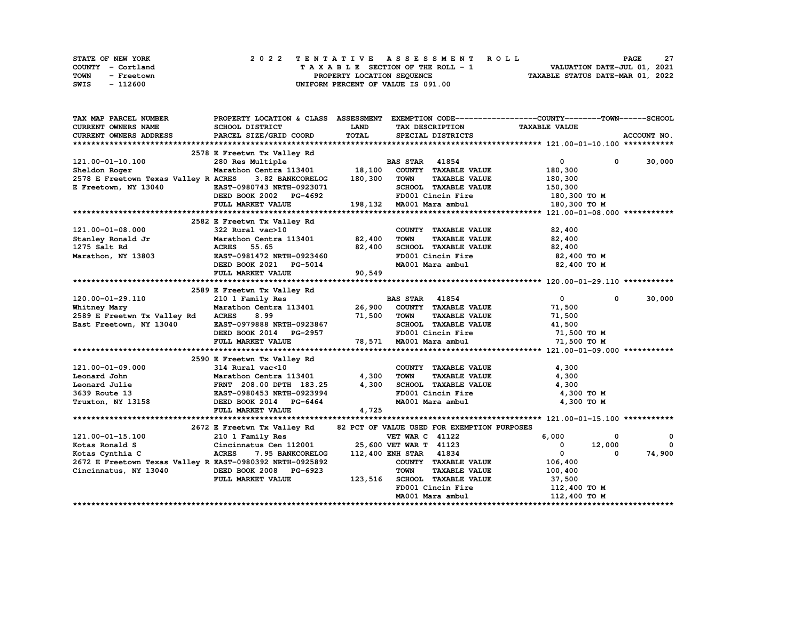| STATE OF NEW YORK  | 2022 TENTATIVE ASSESSMENT ROLL     | -27<br><b>PAGE</b>               |
|--------------------|------------------------------------|----------------------------------|
| COUNTY - Cortland  | TAXABLE SECTION OF THE ROLL - 1    | VALUATION DATE-JUL 01, 2021      |
| TOWN<br>- Freetown | PROPERTY LOCATION SEQUENCE         | TAXABLE STATUS DATE-MAR 01, 2022 |
| SWIS<br>- 112600   | UNIFORM PERCENT OF VALUE IS 091.00 |                                  |

| TAX MAP PARCEL NUMBER                                              | PROPERTY LOCATION & CLASS ASSESSMENT EXEMPTION CODE---------------COUNTY-------TOWN------SCHOOL                    |              |                        |                                                          |              |                                   |               |
|--------------------------------------------------------------------|--------------------------------------------------------------------------------------------------------------------|--------------|------------------------|----------------------------------------------------------|--------------|-----------------------------------|---------------|
| <b>CURRENT OWNERS NAME</b>                                         | SCHOOL DISTRICT                                                                                                    | <b>LAND</b>  |                        | TAX DESCRIPTION TAXABLE VALUE                            |              |                                   |               |
| CURRENT OWNERS ADDRESS                                             | PARCEL SIZE/GRID COORD                                                                                             | <b>TOTAL</b> | SPECIAL DISTRICTS      |                                                          |              |                                   | ACCOUNT NO.   |
|                                                                    |                                                                                                                    |              |                        |                                                          |              |                                   |               |
|                                                                    |                                                                                                                    |              |                        |                                                          |              |                                   |               |
| 121.00-01-10.100                                                   | 2578 E Freetwn Tx Valley Rd<br>280 Res Multiple BAS STAR 41854<br>Marathon Centra 113401 18,100 COUNTY TAXABLE     |              |                        |                                                          |              | $\overline{0}$                    | $0 \t 30,000$ |
| Sheldon Roger                                                      |                                                                                                                    |              |                        | COUNTY TAXABLE VALUE                                     |              | 180,300                           |               |
| 2578 E Freetown Texas Valley R ACRES 3.82 BANKCORELOG 180,300 TOWN |                                                                                                                    |              |                        | <b>TAXABLE VALUE</b>                                     |              | 180,300                           |               |
| E Freetown, NY 13040 EAST-0980743 NRTH-0923071                     |                                                                                                                    |              |                        | SCHOOL TAXABLE VALUE                                     |              | 150,300                           |               |
|                                                                    | DEED BOOK 2002 PG-4692                                                                                             |              |                        | FD001 Cincin Fire                                        |              | 180,300 то м                      |               |
|                                                                    | FULL MARKET VALUE                                                                                                  |              |                        | G-4692 FD001 Cincin Fire<br>198,132 MA001 Mara ambul     |              | 180,300 то м                      |               |
|                                                                    |                                                                                                                    |              |                        |                                                          |              |                                   |               |
|                                                                    | 2582 E Freetwn Tx Valley Rd                                                                                        |              |                        |                                                          |              |                                   |               |
| 121.00-01-08.000                                                   | 322 Rural vac>10                                                                                                   |              |                        | COUNTY TAXABLE VALUE                                     |              | 82,400                            |               |
| Stanley Ronald Jr                                                  |                                                                                                                    |              | TOWN                   | <b>TAXABLE VALUE</b>                                     | 82,400       |                                   |               |
| 1275 Salt Rd                                                       |                                                                                                                    | 82,400       |                        | SCHOOL TAXABLE VALUE 82,400                              |              |                                   |               |
| Marathon, NY 13803                                                 | <b>ACRES     55.65<br/>EAST-0981472  NRTH-0923460</b>                                                              |              |                        | FD001 Cincin Fire                                        |              | 82,400 TO M                       |               |
|                                                                    | DEED BOOK 2021 PG-5014                                                                                             |              |                        | MA001 Mara ambul                                         |              | 82,400 TO M                       |               |
|                                                                    | FULL MARKET VALUE                                                                                                  | 90,549       |                        |                                                          |              |                                   |               |
|                                                                    |                                                                                                                    |              |                        |                                                          |              |                                   |               |
|                                                                    | 2589 E Freetwn Tx Valley Rd                                                                                        |              |                        |                                                          |              |                                   |               |
| 120.00-01-29.110                                                   |                                                                                                                    |              |                        |                                                          |              | $\mathbf{0}$<br>$^{\circ}$        | 30,000        |
|                                                                    |                                                                                                                    |              |                        |                                                          |              |                                   |               |
| Whitney Mary<br>2589 E Freetwn Tx Valley Rd                        | <b>ACRES</b><br>8.99                                                                                               | 71,500 TOWN  |                        | <b>TAXABLE VALUE</b>                                     |              | 71,500                            |               |
| East Freetown, NY 13040                                            |                                                                                                                    |              |                        |                                                          |              | 71,500                            |               |
|                                                                    | EAST-0979888 NRTH-0923867<br>DEED BOOK 2014 PG-2957                                                                |              |                        | SCHOOL TAXABLE VALUE<br>FD001 Cincin Fire                |              | 41,500                            |               |
|                                                                    |                                                                                                                    |              |                        | 78,571 MA001 Mara ambul                                  |              | 71,500 TO M                       |               |
|                                                                    | FULL MARKET VALUE                                                                                                  |              |                        |                                                          |              | 71,500 TO M                       |               |
|                                                                    |                                                                                                                    |              |                        |                                                          |              |                                   |               |
|                                                                    | 2590 E Freetwn Tx Valley Rd                                                                                        |              |                        |                                                          |              |                                   |               |
| 121.00-01-09.000                                                   |                                                                                                                    |              |                        | COUNTY TAXABLE VALUE                                     |              | 4,300                             |               |
| Leonard John                                                       | <b>Marathon Centra 113401<br/>FRNT 208.00 DPTH 183.25<br/>EAST-0980453 NRTH-0923994<br/>DEED BOOK 2014 PG-6464</b> |              |                        | TOWN         TAXABLE  VALUE<br>SCHOOL     TAXABLE  VALUE |              | 4,300                             |               |
| Leonard Julie                                                      |                                                                                                                    | 4,300        |                        |                                                          |              | 4,300                             |               |
| 3639 Route 13                                                      |                                                                                                                    |              |                        | FD001 Cincin Fire                                        |              | 4,300 TO M                        |               |
| Truxton, NY 13158                                                  | DEED BOOK 2014 PG-6464                                                                                             |              |                        | MA001 Mara ambul                                         |              | 4,300 TO M                        |               |
|                                                                    | FULL MARKET VALUE                                                                                                  | 4,725        |                        |                                                          |              |                                   |               |
|                                                                    |                                                                                                                    |              |                        |                                                          |              |                                   |               |
|                                                                    | 2672 E Freetwn Tx Valley Rd 82 PCT OF VALUE USED FOR EXEMPTION PURPOSES                                            |              |                        |                                                          |              |                                   |               |
| 121.00-01-15.100                                                   | 210 1 Family Res                                                                                                   |              | <b>VET WAR C 41122</b> |                                                          | 6,000        | 0                                 | 0             |
| Kotas Ronald S                                                     | Cincinnatus Cen 112001 25,600 VET WAR T 41123                                                                      |              |                        |                                                          |              | $\overline{\mathbf{0}}$<br>12,000 | $\Omega$      |
| Kotas Cynthia C                                                    | <b>ACRES</b><br>7.95 BANKCORELOG                                                                                   |              | 112,400 ENH STAR 41834 |                                                          |              | $\mathbf{0}$<br>0                 | 74,900        |
| 2672 E Freetown Texas Valley R EAST-0980392 NRTH-0925892           |                                                                                                                    |              |                        | COUNTY TAXABLE VALUE                                     |              | 106,400                           |               |
| Cincinnatus, NY 13040 DEED BOOK 2008 PG-6923                       |                                                                                                                    |              | <b>TOWN</b>            | <b>TAXABLE VALUE</b>                                     |              | 100,400                           |               |
|                                                                    | FULL MARKET VALUE                                                                                                  |              |                        | 123,516 SCHOOL TAXABLE VALUE                             | 37,500       |                                   |               |
|                                                                    |                                                                                                                    |              | FD001 Cincin Fire      |                                                          | 112,400 TO M |                                   |               |
|                                                                    |                                                                                                                    |              | MA001 Mara ambul       |                                                          |              | 112,400 TO M                      |               |
|                                                                    |                                                                                                                    |              |                        |                                                          |              |                                   |               |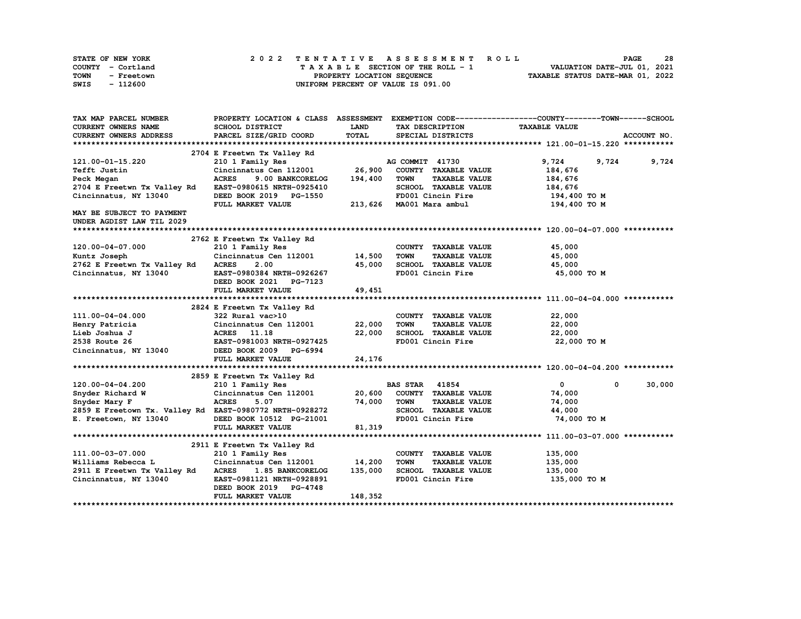| STATE OF NEW YORK  | 2022 TENTATIVE ASSESSMENT ROLL     | 28<br><b>PAGE</b>                |
|--------------------|------------------------------------|----------------------------------|
| COUNTY - Cortland  | TAXABLE SECTION OF THE ROLL - 1    | VALUATION DATE-JUL 01, 2021      |
| TOWN<br>- Freetown | PROPERTY LOCATION SEQUENCE         | TAXABLE STATUS DATE-MAR 01, 2022 |
| - 112600<br>SWIS   | UNIFORM PERCENT OF VALUE IS 091.00 |                                  |

| CURRENT OWNERS NAME<br><b>SCHOOL DISTRICT</b><br><b>LAND</b><br>TAX DESCRIPTION<br><b>TAXABLE VALUE</b><br><b>TOTAL</b><br>CURRENT OWNERS ADDRESS<br>PARCEL SIZE/GRID COORD<br>ACCOUNT NO.<br>SPECIAL DISTRICTS<br>2704 E Freetwn Tx Valley Rd<br>AG COMMIT 41730<br>9,724<br>9,724<br>9,724<br>121.00-01-15.220<br>210 1 Family Res<br>26,900<br>Cincinnatus Cen 112001<br>COUNTY TAXABLE VALUE<br>184,676<br>Tefft Justin<br><b>ACRES</b><br>9.00 BANKCORELOG<br>194,400<br><b>TOWN</b><br><b>TAXABLE VALUE</b><br>184,676<br>Peck Megan<br>2704 E Freetwn Tx Valley Rd<br>SCHOOL TAXABLE VALUE<br>EAST-0980615 NRTH-0925410<br>184,676 |  |
|-------------------------------------------------------------------------------------------------------------------------------------------------------------------------------------------------------------------------------------------------------------------------------------------------------------------------------------------------------------------------------------------------------------------------------------------------------------------------------------------------------------------------------------------------------------------------------------------------------------------------------------------|--|
|                                                                                                                                                                                                                                                                                                                                                                                                                                                                                                                                                                                                                                           |  |
|                                                                                                                                                                                                                                                                                                                                                                                                                                                                                                                                                                                                                                           |  |
|                                                                                                                                                                                                                                                                                                                                                                                                                                                                                                                                                                                                                                           |  |
|                                                                                                                                                                                                                                                                                                                                                                                                                                                                                                                                                                                                                                           |  |
|                                                                                                                                                                                                                                                                                                                                                                                                                                                                                                                                                                                                                                           |  |
|                                                                                                                                                                                                                                                                                                                                                                                                                                                                                                                                                                                                                                           |  |
|                                                                                                                                                                                                                                                                                                                                                                                                                                                                                                                                                                                                                                           |  |
|                                                                                                                                                                                                                                                                                                                                                                                                                                                                                                                                                                                                                                           |  |
| Cincinnatus, NY 13040<br>FD001 Cincin Fire<br>194,400 то м<br>DEED BOOK 2019 PG-1550                                                                                                                                                                                                                                                                                                                                                                                                                                                                                                                                                      |  |
| 213,626 MA001 Mara ambul<br>FULL MARKET VALUE<br>194,400 TO M                                                                                                                                                                                                                                                                                                                                                                                                                                                                                                                                                                             |  |
| <b>MAY BE SUBJECT TO PAYMENT</b>                                                                                                                                                                                                                                                                                                                                                                                                                                                                                                                                                                                                          |  |
| UNDER AGDIST LAW TIL 2029                                                                                                                                                                                                                                                                                                                                                                                                                                                                                                                                                                                                                 |  |
|                                                                                                                                                                                                                                                                                                                                                                                                                                                                                                                                                                                                                                           |  |
| 2762 E Freetwn Tx Valley Rd                                                                                                                                                                                                                                                                                                                                                                                                                                                                                                                                                                                                               |  |
| 120.00-04-07.000<br>210 1 Family Res<br>COUNTY TAXABLE VALUE<br>45,000                                                                                                                                                                                                                                                                                                                                                                                                                                                                                                                                                                    |  |
| Cincinnatus Cen 112001<br>14,500<br><b>TOWN</b><br><b>TAXABLE VALUE</b><br>45,000<br>Kuntz Joseph                                                                                                                                                                                                                                                                                                                                                                                                                                                                                                                                         |  |
| 2762 E Freetwn Tx Valley Rd<br><b>ACRES</b><br>2.00<br>45,000<br>SCHOOL TAXABLE VALUE<br>45,000                                                                                                                                                                                                                                                                                                                                                                                                                                                                                                                                           |  |
| Cincinnatus, NY 13040<br>EAST-0980384 NRTH-0926267<br>FD001 Cincin Fire<br>45,000 TO M                                                                                                                                                                                                                                                                                                                                                                                                                                                                                                                                                    |  |
| DEED BOOK 2021 PG-7123                                                                                                                                                                                                                                                                                                                                                                                                                                                                                                                                                                                                                    |  |
| 49,451<br><b>FULL MARKET VALUE</b>                                                                                                                                                                                                                                                                                                                                                                                                                                                                                                                                                                                                        |  |
|                                                                                                                                                                                                                                                                                                                                                                                                                                                                                                                                                                                                                                           |  |
| 2824 E Freetwn Tx Valley Rd                                                                                                                                                                                                                                                                                                                                                                                                                                                                                                                                                                                                               |  |
| 22,000<br>111.00-04-04.000<br>322 Rural vac>10<br>COUNTY TAXABLE VALUE                                                                                                                                                                                                                                                                                                                                                                                                                                                                                                                                                                    |  |
| Henry Patricia<br>Cincinnatus Cen 112001<br>22,000<br><b>TOWN</b><br><b>TAXABLE VALUE</b><br>22,000                                                                                                                                                                                                                                                                                                                                                                                                                                                                                                                                       |  |
| 22,000<br>SCHOOL TAXABLE VALUE<br>Lieb Joshua J<br>ACRES 11.18<br>22,000                                                                                                                                                                                                                                                                                                                                                                                                                                                                                                                                                                  |  |
| FD001 Cincin Fire<br>22,000 TO M<br>2538 Route 26<br>EAST-0981003 NRTH-0927425                                                                                                                                                                                                                                                                                                                                                                                                                                                                                                                                                            |  |
| Cincinnatus, NY 13040<br>DEED BOOK 2009 PG-6994                                                                                                                                                                                                                                                                                                                                                                                                                                                                                                                                                                                           |  |
| 24,176<br>FULL MARKET VALUE                                                                                                                                                                                                                                                                                                                                                                                                                                                                                                                                                                                                               |  |
|                                                                                                                                                                                                                                                                                                                                                                                                                                                                                                                                                                                                                                           |  |
| 2859 E Freetwn Tx Valley Rd                                                                                                                                                                                                                                                                                                                                                                                                                                                                                                                                                                                                               |  |
| $\Omega$<br>30,000<br>120.00-04-04.200<br><b>BAS STAR</b> 41854<br>$^{\circ}$<br>210 1 Family Res                                                                                                                                                                                                                                                                                                                                                                                                                                                                                                                                         |  |
| Cincinnatus Cen 112001<br>20,600<br>COUNTY TAXABLE VALUE<br>Snyder Richard W<br>74,000                                                                                                                                                                                                                                                                                                                                                                                                                                                                                                                                                    |  |
| Snyder Mary F<br><b>ACRES</b><br>5.07<br>74,000<br><b>TOWN</b><br><b>TAXABLE VALUE</b><br>74,000                                                                                                                                                                                                                                                                                                                                                                                                                                                                                                                                          |  |
| 2859 E Freetown Tx. Valley Rd EAST-0980772 NRTH-0928272<br>SCHOOL TAXABLE VALUE<br>44,000                                                                                                                                                                                                                                                                                                                                                                                                                                                                                                                                                 |  |
| E. Freetown, NY 13040<br>FD001 Cincin Fire<br>74,000 TO M<br>DEED BOOK 10512 PG-21001                                                                                                                                                                                                                                                                                                                                                                                                                                                                                                                                                     |  |
| 81,319<br>FULL MARKET VALUE                                                                                                                                                                                                                                                                                                                                                                                                                                                                                                                                                                                                               |  |
|                                                                                                                                                                                                                                                                                                                                                                                                                                                                                                                                                                                                                                           |  |
| 2911 E Freetwn Tx Valley Rd                                                                                                                                                                                                                                                                                                                                                                                                                                                                                                                                                                                                               |  |
| 135,000<br>111.00-03-07.000<br>210 1 Family Res<br>COUNTY TAXABLE VALUE                                                                                                                                                                                                                                                                                                                                                                                                                                                                                                                                                                   |  |
| 14,200<br>Williams Rebecca L<br>Cincinnatus Cen 112001<br><b>TOWN</b><br><b>TAXABLE VALUE</b><br>135,000                                                                                                                                                                                                                                                                                                                                                                                                                                                                                                                                  |  |
| 135,000<br>SCHOOL TAXABLE VALUE<br>135,000<br>2911 E Freetwn Tx Valley Rd<br><b>ACRES</b><br>1.85 BANKCORELOG                                                                                                                                                                                                                                                                                                                                                                                                                                                                                                                             |  |
| FD001 Cincin Fire<br>Cincinnatus, NY 13040<br>EAST-0981121 NRTH-0928891<br>135,000 TO M                                                                                                                                                                                                                                                                                                                                                                                                                                                                                                                                                   |  |
| DEED BOOK 2019 PG-4748                                                                                                                                                                                                                                                                                                                                                                                                                                                                                                                                                                                                                    |  |
| 148,352<br>FULL MARKET VALUE                                                                                                                                                                                                                                                                                                                                                                                                                                                                                                                                                                                                              |  |
|                                                                                                                                                                                                                                                                                                                                                                                                                                                                                                                                                                                                                                           |  |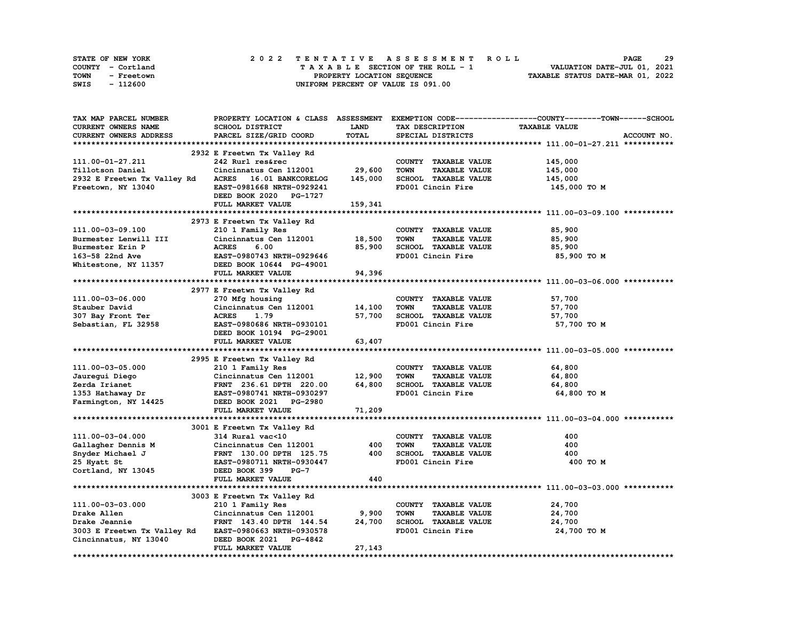| STATE OF NEW YORK  | 2022 TENTATIVE ASSESSMENT ROLL     | 29<br><b>PAGE</b>                |
|--------------------|------------------------------------|----------------------------------|
| COUNTY - Cortland  | TAXABLE SECTION OF THE ROLL - 1    | VALUATION DATE-JUL 01, 2021      |
| TOWN<br>- Freetown | PROPERTY LOCATION SEQUENCE         | TAXABLE STATUS DATE-MAR 01, 2022 |
| - 112600<br>SWIS   | UNIFORM PERCENT OF VALUE IS 091.00 |                                  |

| TAX MAP PARCEL NUMBER       |                             |             |                                     | PROPERTY LOCATION & CLASS ASSESSMENT EXEMPTION CODE----------------COUNTY-------TOWN-----SCHOOL |
|-----------------------------|-----------------------------|-------------|-------------------------------------|-------------------------------------------------------------------------------------------------|
| <b>CURRENT OWNERS NAME</b>  | SCHOOL DISTRICT             | <b>LAND</b> | TAX DESCRIPTION                     | <b>TAXABLE VALUE</b>                                                                            |
| CURRENT OWNERS ADDRESS      | PARCEL SIZE/GRID COORD      | TOTAL       | SPECIAL DISTRICTS                   | ACCOUNT NO.                                                                                     |
|                             |                             |             |                                     |                                                                                                 |
|                             | 2932 E Freetwn Tx Valley Rd |             |                                     |                                                                                                 |
| 111.00-01-27.211            | 242 Rurl res&rec            |             | COUNTY TAXABLE VALUE                | 145,000                                                                                         |
| Tillotson Daniel            | Cincinnatus Cen 112001      | 29,600      | <b>TOWN</b><br><b>TAXABLE VALUE</b> | 145,000                                                                                         |
| 2932 E Freetwn Tx Valley Rd | ACRES 16.01 BANKCORELOG     | 145,000     | SCHOOL TAXABLE VALUE                | 145,000                                                                                         |
| Freetown, NY 13040          | EAST-0981668 NRTH-0929241   |             | FD001 Cincin Fire                   | 145,000 TO M                                                                                    |
|                             | DEED BOOK 2020 PG-1727      |             |                                     |                                                                                                 |
|                             |                             |             |                                     |                                                                                                 |
|                             | FULL MARKET VALUE           | 159,341     |                                     |                                                                                                 |
|                             |                             |             |                                     |                                                                                                 |
|                             | 2973 E Freetwn Tx Valley Rd |             |                                     |                                                                                                 |
| 111.00-03-09.100            | 210 1 Family Res            |             | COUNTY TAXABLE VALUE                | 85,900                                                                                          |
| Burmester Lenwill III       | Cincinnatus Cen 112001      | 18,500      | <b>TOWN</b><br><b>TAXABLE VALUE</b> | 85,900                                                                                          |
| Burmester Erin P            | 6.00<br><b>ACRES</b>        | 85,900      | SCHOOL TAXABLE VALUE                | 85,900                                                                                          |
| 163-58 22nd Ave             | EAST-0980743 NRTH-0929646   |             | FD001 Cincin Fire                   | 85,900 то м                                                                                     |
| Whitestone, NY 11357        | DEED BOOK 10644 PG-49001    |             |                                     |                                                                                                 |
|                             | FULL MARKET VALUE           | 94,396      |                                     |                                                                                                 |
|                             |                             |             |                                     |                                                                                                 |
|                             | 2977 E Freetwn Tx Valley Rd |             |                                     |                                                                                                 |
| 111.00-03-06.000            | 270 Mfg housing             |             | COUNTY TAXABLE VALUE                | 57,700                                                                                          |
| Stauber David               | Cincinnatus Cen 112001      | 14,100      | TOWN<br><b>TAXABLE VALUE</b>        | 57,700                                                                                          |
| 307 Bay Front Ter           | <b>ACRES</b><br>1.79        | 57,700      | SCHOOL TAXABLE VALUE                | 57,700                                                                                          |
| Sebastian, FL 32958         | EAST-0980686 NRTH-0930101   |             | FD001 Cincin Fire                   | 57,700 TO M                                                                                     |
|                             | DEED BOOK 10194 PG-29001    |             |                                     |                                                                                                 |
|                             | FULL MARKET VALUE           | 63,407      |                                     |                                                                                                 |
|                             |                             |             |                                     |                                                                                                 |
|                             | 2995 E Freetwn Tx Valley Rd |             |                                     |                                                                                                 |
| 111.00-03-05.000            | 210 1 Family Res            |             | COUNTY TAXABLE VALUE                | 64,800                                                                                          |
| Jauregui Diego              | Cincinnatus Cen 112001      | 12,900      | <b>TOWN</b><br><b>TAXABLE VALUE</b> | 64,800                                                                                          |
| Zerda Irianet               | FRNT 236.61 DPTH 220.00     | 64,800      | SCHOOL TAXABLE VALUE                | 64,800                                                                                          |
| 1353 Hathaway Dr            | EAST-0980741 NRTH-0930297   |             | FD001 Cincin Fire                   | 64,800 TO M                                                                                     |
| Farmington, NY 14425        | DEED BOOK 2021 PG-2980      |             |                                     |                                                                                                 |
|                             | FULL MARKET VALUE           | 71,209      |                                     |                                                                                                 |
|                             |                             |             |                                     |                                                                                                 |
|                             | 3001 E Freetwn Tx Valley Rd |             |                                     |                                                                                                 |
| 111.00-03-04.000            | 314 Rural vac<10            |             | COUNTY TAXABLE VALUE                | 400                                                                                             |
| Gallagher Dennis M          | Cincinnatus Cen 112001      | 400         | <b>TOWN</b><br><b>TAXABLE VALUE</b> | 400                                                                                             |
| Snyder Michael J            | FRNT 130.00 DPTH 125.75     | 400         | SCHOOL TAXABLE VALUE                | 400                                                                                             |
| 25 Hyatt St                 | EAST-0980711 NRTH-0930447   |             | FD001 Cincin Fire                   | 400 TO M                                                                                        |
| Cortland, NY 13045          | $PG-7$<br>DEED BOOK 399     |             |                                     |                                                                                                 |
|                             | FULL MARKET VALUE           | 440         |                                     |                                                                                                 |
|                             |                             |             |                                     |                                                                                                 |
|                             | 3003 E Freetwn Tx Valley Rd |             |                                     |                                                                                                 |
| 111.00-03-03.000            | 210 1 Family Res            |             | COUNTY TAXABLE VALUE                | 24,700                                                                                          |
| Drake Allen                 | Cincinnatus Cen 112001      | 9,900       | TOWN<br><b>TAXABLE VALUE</b>        | 24,700                                                                                          |
|                             |                             | 24,700      | SCHOOL TAXABLE VALUE                |                                                                                                 |
| Drake Jeannie               | FRNT 143.40 DPTH 144.54     |             |                                     | 24,700                                                                                          |
| 3003 E Freetwn Tx Valley Rd | EAST-0980663 NRTH-0930578   |             | FD001 Cincin Fire                   | 24,700 TO M                                                                                     |
| Cincinnatus, NY 13040       | DEED BOOK 2021 PG-4842      |             |                                     |                                                                                                 |
|                             | FULL MARKET VALUE           | 27,143      |                                     |                                                                                                 |
|                             |                             |             |                                     |                                                                                                 |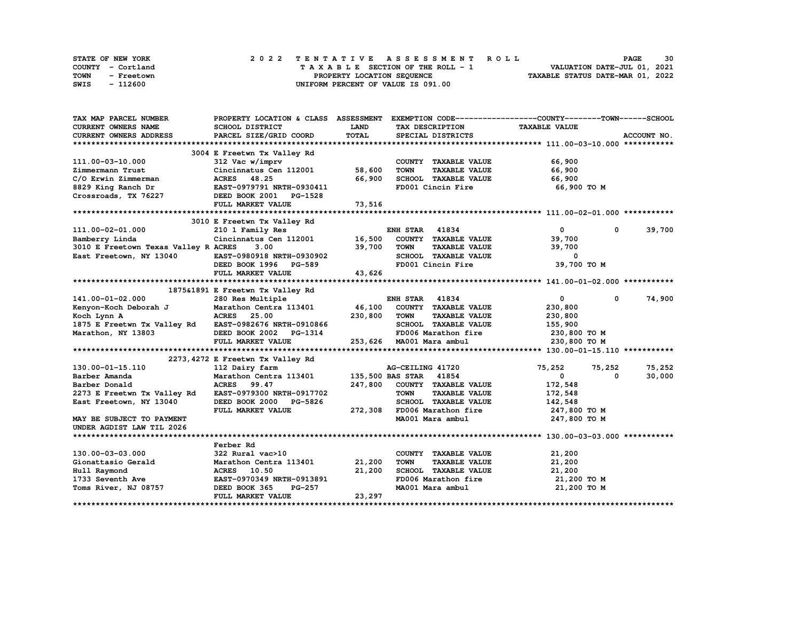| STATE OF NEW YORK  | 2022 TENTATIVE ASSESSMENT ROLL     | 30<br><b>PAGE</b>                |
|--------------------|------------------------------------|----------------------------------|
| COUNTY - Cortland  | TAXABLE SECTION OF THE ROLL - 1    | VALUATION DATE-JUL 01, 2021      |
| TOWN<br>- Freetown | PROPERTY LOCATION SEQUENCE         | TAXABLE STATUS DATE-MAR 01, 2022 |
| SWIS<br>- 112600   | UNIFORM PERCENT OF VALUE IS 091.00 |                                  |

| TAX MAP PARCEL NUMBER                                 | PROPERTY LOCATION & CLASS ASSESSMENT      |         | EXEMPTION CODE-----------------COUNTY-------TOWN------SCHOOL |                      |                       |
|-------------------------------------------------------|-------------------------------------------|---------|--------------------------------------------------------------|----------------------|-----------------------|
| <b>CURRENT OWNERS NAME</b>                            | SCHOOL DISTRICT                           | LAND    | TAX DESCRIPTION                                              | <b>TAXABLE VALUE</b> |                       |
| CURRENT OWNERS ADDRESS                                | PARCEL SIZE/GRID COORD                    | TOTAL   | SPECIAL DISTRICTS                                            |                      | ACCOUNT NO.           |
|                                                       |                                           |         |                                                              |                      |                       |
|                                                       | 3004 E Freetwn Tx Valley Rd               |         |                                                              |                      |                       |
| 111.00-03-10.000                                      | 312 Vac w/imprv                           |         | COUNTY TAXABLE VALUE                                         | 66,900               |                       |
| Zimmermann Trust                                      | Cincinnatus Cen 112001                    | 58,600  | <b>TOWN</b><br><b>TAXABLE VALUE</b>                          | 66,900               |                       |
| C/O Erwin Zimmerman                                   | ACRES 48.25                               | 66,900  | SCHOOL TAXABLE VALUE                                         | 66,900               |                       |
| 8829 King Ranch Dr                                    | ACRES - ----<br>EAST-0979791 NRTH-0930411 |         | FD001 Cincin Fire                                            | 66,900 то м          |                       |
| Crossroads, TX 76227                                  | DEED BOOK 2001 PG-1528                    |         |                                                              |                      |                       |
|                                                       | FULL MARKET VALUE                         | 73,516  |                                                              |                      |                       |
|                                                       |                                           |         |                                                              |                      |                       |
|                                                       | 3010 E Freetwn Tx Valley Rd               |         |                                                              |                      |                       |
| 111.00-02-01.000                                      | 210 1 Family Res                          |         | <b>ENH STAR 41834</b>                                        | $\mathbf{0}$         | $\mathbf 0$<br>39,700 |
| Bamberry Linda                                        | Cincinnatus Cen $112001$ 16,500           |         | COUNTY TAXABLE VALUE                                         | 39,700               |                       |
| 3010 E Freetown Texas Valley R ACRES                  | 3.00                                      | 39,700  | <b>TOWN</b><br><b>TAXABLE VALUE</b>                          | 39,700               |                       |
|                                                       |                                           |         |                                                              |                      |                       |
| East Freetown, NY 13040                               | EAST-0980918 NRTH-0930902                 |         | SCHOOL TAXABLE VALUE                                         | 0                    |                       |
|                                                       | DEED BOOK 1996 PG-589                     |         | FD001 Cincin Fire                                            | 39,700 TO M          |                       |
|                                                       | FULL MARKET VALUE                         | 43,626  |                                                              |                      |                       |
|                                                       |                                           |         |                                                              |                      |                       |
|                                                       | 1875&1891 E Freetwn Tx Valley Rd          |         |                                                              |                      |                       |
| 141.00-01-02.000                                      | 280 Res Multiple                          |         | <b>ENH STAR 41834</b>                                        | $\mathbf{0}$         | 74,900<br>$\mathbf 0$ |
| Kenyon-Koch Deborah J Marathon Centra 113401 46,100   |                                           |         | COUNTY TAXABLE VALUE                                         | 230,800              |                       |
| Koch Lynn A                                           | <b>ACRES</b><br>25.00                     | 230,800 | <b>TOWN</b><br><b>TAXABLE VALUE</b>                          | 230,800              |                       |
| 1875 E Freetwn Tx Valley Rd EAST-0982676 NRTH-0910866 |                                           |         | SCHOOL TAXABLE VALUE                                         | 155,900              |                       |
| Marathon, NY 13803                                    | DEED BOOK 2002 PG-1314                    |         | FD006 Marathon fire                                          | 230,800 то м         |                       |
|                                                       | FULL MARKET VALUE                         |         | 253,626 MA001 Mara ambul                                     | 230,800 TO M         |                       |
|                                                       |                                           |         |                                                              |                      |                       |
|                                                       | 2273, 4272 E Freetwn Tx Valley Rd         |         |                                                              |                      |                       |
| 130.00-01-15.110                                      | 112 Dairy farm                            |         | AG-CEILING 41720                                             | 75,252<br>75,252     | 75,252                |
| Barber Amanda                                         | Marathon Centra 113401                    |         | 135,500 BAS STAR 41854                                       | $\mathbf 0$          | 30,000<br>0           |
| Barber Donald                                         | <b>ACRES</b><br>99.47                     | 247,800 | COUNTY TAXABLE VALUE                                         | 172,548              |                       |
| 2273 E Freetwn Tx Valley Rd                           | EAST-0979300 NRTH-0917702                 |         | <b>TOWN</b><br><b>TAXABLE VALUE</b>                          | 172,548              |                       |
| East Freetown, NY 13040                               | DEED BOOK 2000 PG-5826                    |         | SCHOOL TAXABLE VALUE                                         | 142,548              |                       |
|                                                       | FULL MARKET VALUE                         | 272,308 | FD006 Marathon fire                                          | 247,800 TO M         |                       |
| MAY BE SUBJECT TO PAYMENT                             |                                           |         | MA001 Mara ambul                                             | 247,800 TO M         |                       |
| UNDER AGDIST LAW TIL 2026                             |                                           |         |                                                              |                      |                       |
|                                                       |                                           |         |                                                              |                      |                       |
|                                                       | Ferber Rd                                 |         |                                                              |                      |                       |
| 130.00-03-03.000                                      | 322 Rural vac>10                          |         | COUNTY TAXABLE VALUE                                         | 21,200               |                       |
| Gionattasio Gerald                                    | Marathon Centra 113401                    | 21,200  | <b>TOWN</b><br><b>TAXABLE VALUE</b>                          | 21,200               |                       |
| Hull Raymond                                          | ACRES 10.50                               | 21,200  | SCHOOL TAXABLE VALUE                                         | 21,200               |                       |
| 1733 Seventh Ave                                      | EAST-0970349 NRTH-0913891                 |         | FD006 Marathon fire                                          | 21,200 TO M          |                       |
| Toms River, NJ 08757                                  | DEED BOOK 365<br><b>PG-257</b>            |         | MA001 Mara ambul                                             | 21,200 TO M          |                       |
|                                                       | FULL MARKET VALUE                         | 23,297  |                                                              |                      |                       |
|                                                       |                                           |         |                                                              |                      |                       |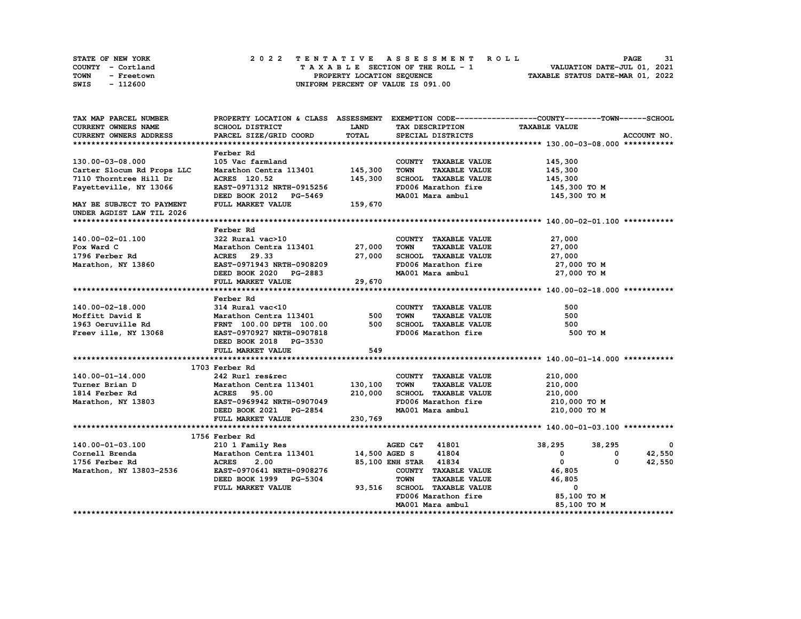| STATE OF NEW YORK  | 2022 TENTATIVE ASSESSMENT ROLL     | 31<br><b>PAGE</b>                |
|--------------------|------------------------------------|----------------------------------|
| COUNTY - Cortland  | TAXABLE SECTION OF THE ROLL - 1    | VALUATION DATE-JUL 01, 2021      |
| TOWN<br>- Freetown | PROPERTY LOCATION SEQUENCE         | TAXABLE STATUS DATE-MAR 01, 2022 |
| - 112600<br>SWIS   | UNIFORM PERCENT OF VALUE IS 091.00 |                                  |

| TAX MAP PARCEL NUMBER                                                                                                                                                                         | PROPERTY LOCATION & CLASS ASSESSMENT EXEMPTION CODE----------------COUNTY-------TOWN------SCHOOL |             |                                     |                      |                          |
|-----------------------------------------------------------------------------------------------------------------------------------------------------------------------------------------------|--------------------------------------------------------------------------------------------------|-------------|-------------------------------------|----------------------|--------------------------|
| CURRENT OWNERS NAME                                                                                                                                                                           | SCHOOL DISTRICT                                                                                  | <b>LAND</b> | TAX DESCRIPTION                     | <b>TAXABLE VALUE</b> |                          |
| <b>CURRENT OWNERS ADDRESS</b>                                                                                                                                                                 | PARCEL SIZE/GRID COORD                                                                           | TOTAL       | SPECIAL DISTRICTS                   |                      | ACCOUNT NO.              |
|                                                                                                                                                                                               |                                                                                                  |             |                                     |                      |                          |
|                                                                                                                                                                                               | Ferber Rd                                                                                        |             |                                     |                      |                          |
| 130.00-03-08.000                                                                                                                                                                              | 105 Vac farmland                                                                                 |             | COUNTY TAXABLE VALUE                | 145,300              |                          |
| Carter Slocum Rd Props LLC                                                                                                                                                                    | Marathon Centra 113401 145,300                                                                   |             | TOWN<br><b>TAXABLE VALUE</b>        | 145,300              |                          |
| 7110 Thorntree Hill Dr                                                                                                                                                                        | ACRES 120.52                                                                                     | 145,300     | SCHOOL TAXABLE VALUE                | 145,300              |                          |
| Fayetteville, NY 13066                                                                                                                                                                        | EAST-0971312 NRTH-0915256                                                                        |             | FD006 Marathon fire                 | 145,300 TO M         |                          |
|                                                                                                                                                                                               | DEED BOOK 2012 PG-5469                                                                           |             | MA001 Mara ambul                    | 145,300 TO M         |                          |
| MAY BE SUBJECT TO PAYMENT<br>UNDER AGDIST LAW TIL 2026                                                                                                                                        | FULL MARKET VALUE 159,670                                                                        |             |                                     |                      |                          |
|                                                                                                                                                                                               |                                                                                                  |             |                                     |                      |                          |
|                                                                                                                                                                                               | Ferber Rd                                                                                        |             |                                     |                      |                          |
| 140.00-02-01.100                                                                                                                                                                              | 322 Rural vac>10                                                                                 |             | COUNTY TAXABLE VALUE                | 27,000               |                          |
| Fox Ward C                                                                                                                                                                                    | Marathon Centra 113401 27,000                                                                    |             | <b>TAXABLE VALUE</b><br>TOWN        |                      |                          |
|                                                                                                                                                                                               | ACRES 29.33                                                                                      |             | SCHOOL TAXABLE VALUE                | 27,000<br>27,000     |                          |
| 1796 Ferber Rd                                                                                                                                                                                | EAST-0971943 NRTH-0908209                                                                        | 27,000      |                                     |                      |                          |
| Marathon, NY 13860                                                                                                                                                                            |                                                                                                  |             | FD006 Marathon fire                 | 27,000 TO M          |                          |
|                                                                                                                                                                                               | DEED BOOK 2020 PG-2883                                                                           |             | MA001 Mara ambul                    | 27,000 TO M          |                          |
|                                                                                                                                                                                               | FULL MARKET VALUE                                                                                | 29,670      |                                     |                      |                          |
|                                                                                                                                                                                               |                                                                                                  |             |                                     |                      |                          |
|                                                                                                                                                                                               | Ferber Rd                                                                                        |             |                                     |                      |                          |
|                                                                                                                                                                                               |                                                                                                  |             |                                     | 500                  |                          |
| 140.00-02-18.000 314 Rural vac<10 COUNTY TAXABLE VALUE<br>Moffitt David E Marathon Centra 113401 500 TOWN TAXABLE VALUE<br>1963 Oeruville Rd FRNT 100.00 DPTH 100.00 500 SCHOOL TAXABLE VALUE |                                                                                                  |             |                                     | 500                  |                          |
|                                                                                                                                                                                               |                                                                                                  |             |                                     | 500                  |                          |
| Freev ille, NY 13068                                                                                                                                                                          | <b>EAST-0970927 NRTH-0907818</b>                                                                 |             | FD006 Marathon fire                 | 500 TO M             |                          |
|                                                                                                                                                                                               | DEED BOOK 2018 PG-3530                                                                           |             |                                     |                      |                          |
|                                                                                                                                                                                               | FULL MARKET VALUE                                                                                | 549         |                                     |                      |                          |
|                                                                                                                                                                                               |                                                                                                  |             |                                     |                      |                          |
|                                                                                                                                                                                               | 1703 Ferber Rd                                                                                   |             |                                     |                      |                          |
| 140.00-01-14.000                                                                                                                                                                              | 242 Rurl res&rec                                                                                 |             | COUNTY TAXABLE VALUE                | 210,000              |                          |
| Turner Brian D                                                                                                                                                                                | Marathon Centra 113401 130,100                                                                   |             | <b>TAXABLE VALUE</b><br>TOWN        | 210,000              |                          |
| 1814 Ferber Rd                                                                                                                                                                                | ACRES 95.00<br>EAST-0969942                                                                      | 210,000     | SCHOOL TAXABLE VALUE                | 210,000              |                          |
| Marathon, NY 13803                                                                                                                                                                            | EAST-0969942 NRTH-0907049                                                                        |             | FD006 Marathon fire                 | 210,000 TO M         |                          |
|                                                                                                                                                                                               | DEED BOOK 2021 PG-2854                                                                           |             | MA001 Mara ambul                    | 210,000 TO M         |                          |
|                                                                                                                                                                                               | FULL MARKET VALUE                                                                                | 230,769     |                                     |                      |                          |
|                                                                                                                                                                                               |                                                                                                  |             |                                     |                      |                          |
|                                                                                                                                                                                               | 1756 Ferber Rd                                                                                   |             |                                     |                      |                          |
| 140.00-01-03.100                                                                                                                                                                              |                                                                                                  |             |                                     | 38,295 38,295        | $\overline{\phantom{0}}$ |
| Cornell Brenda                                                                                                                                                                                |                                                                                                  |             |                                     | $\mathbf{0}$         | 42,550<br>0              |
| 1756 Ferber Rd<br>Marathon, NY 13803-2536                                                                                                                                                     |                                                                                                  |             |                                     | $\mathbf{0}$         | 42,550<br>$\Omega$       |
|                                                                                                                                                                                               | EAST-0970641 NRTH-0908276                                                                        |             | COUNTY TAXABLE VALUE                | 46,805               |                          |
|                                                                                                                                                                                               | DEED BOOK 1999 PG-5304                                                                           |             | <b>TOWN</b><br><b>TAXABLE VALUE</b> | 46,805               |                          |
|                                                                                                                                                                                               | FULL MARKET VALUE                                                                                |             | 93,516 SCHOOL TAXABLE VALUE         | 0                    |                          |
|                                                                                                                                                                                               |                                                                                                  |             | FD006 Marathon fire                 | 85,100 TO M          |                          |
|                                                                                                                                                                                               |                                                                                                  |             | MA001 Mara ambul                    | 85,100 TO M          |                          |
|                                                                                                                                                                                               |                                                                                                  |             |                                     |                      |                          |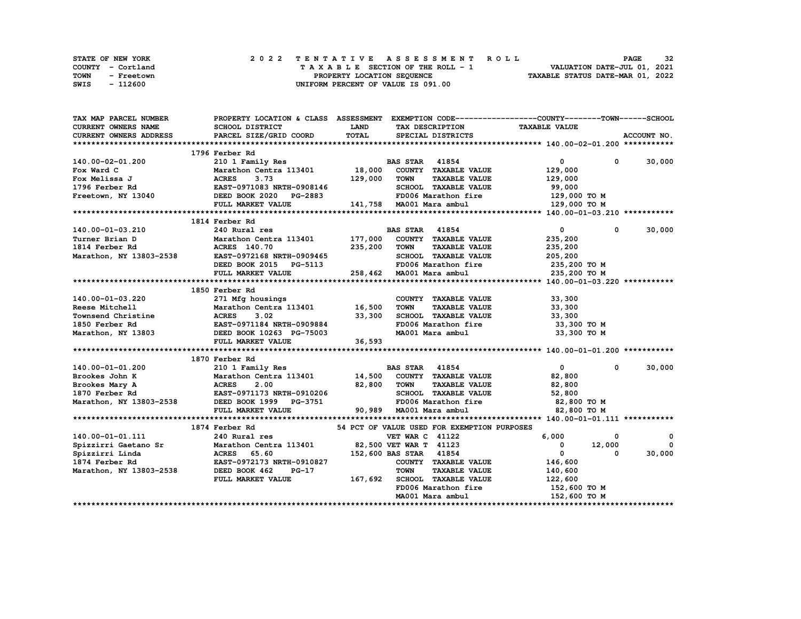|             | STATE OF NEW YORK | 2022 TENTATIVE ASSESSMENT ROLL          | 32<br><b>PAGE</b>                |
|-------------|-------------------|-----------------------------------------|----------------------------------|
|             | COUNTY - Cortland | $T A X A B L E$ SECTION OF THE ROLL - 1 | VALUATION DATE-JUL 01, 2021      |
| <b>TOWN</b> | - Freetown        | PROPERTY LOCATION SEOUENCE              | TAXABLE STATUS DATE-MAR 01, 2022 |
| SWIS        | - 112600          | UNIFORM PERCENT OF VALUE IS 091.00      |                                  |

| TAX MAP PARCEL NUMBER                                                                                                                                                                                                                                                                                                                                                                                              |                                                                                                     |              |                                             | PROPERTY LOCATION & CLASS ASSESSMENT EXEMPTION CODE-----------------COUNTY-------TOWN------SCHOOL |               |
|--------------------------------------------------------------------------------------------------------------------------------------------------------------------------------------------------------------------------------------------------------------------------------------------------------------------------------------------------------------------------------------------------------------------|-----------------------------------------------------------------------------------------------------|--------------|---------------------------------------------|---------------------------------------------------------------------------------------------------|---------------|
| CURRENT OWNERS NAME                                                                                                                                                                                                                                                                                                                                                                                                | SCHOOL DISTRICT                                                                                     | <b>LAND</b>  |                                             | TAX DESCRIPTION TAXABLE VALUE                                                                     |               |
| <b>CURRENT OWNERS ADDRESS</b>                                                                                                                                                                                                                                                                                                                                                                                      | PARCEL SIZE/GRID COORD                                                                              | TOTAL        | SPECIAL DISTRICTS                           |                                                                                                   | ACCOUNT NO.   |
|                                                                                                                                                                                                                                                                                                                                                                                                                    |                                                                                                     |              |                                             |                                                                                                   |               |
|                                                                                                                                                                                                                                                                                                                                                                                                                    | 1796 Ferber Rd                                                                                      |              |                                             |                                                                                                   |               |
| 140.00-02-01.200                                                                                                                                                                                                                                                                                                                                                                                                   | 210 1 Family Res                                                                                    |              | <b>BAS STAR</b> 41854                       | $\overline{0}$                                                                                    | $0 \t 30,000$ |
|                                                                                                                                                                                                                                                                                                                                                                                                                    | Marathon Centra 113401 18,000 COUNTY TAXABLE VALUE                                                  |              |                                             | 129,000                                                                                           |               |
|                                                                                                                                                                                                                                                                                                                                                                                                                    |                                                                                                     |              | <b>TAXABLE VALUE</b>                        | 129,000                                                                                           |               |
|                                                                                                                                                                                                                                                                                                                                                                                                                    |                                                                                                     |              | SCHOOL TAXABLE VALUE                        | 99,000                                                                                            |               |
| Fox Ward C<br>Fox Melissa J<br>Fox Melissa J<br>Rox Melissa J<br>Rox Melissa J<br>Rox Melissa J<br>Rox Melissa J<br>ROX Melissa J<br>ROX Melissa J<br>ROX Melissa J<br>ROX Melissa J<br>ROX Melissa J<br>ROX Melissa J<br>ROX Melissa J<br>ROX Melissa J<br>                                                                                                                                                       |                                                                                                     |              |                                             | FD006 Marathon fire 129,000 TO M                                                                  |               |
|                                                                                                                                                                                                                                                                                                                                                                                                                    | FULL MARKET VALUE 141,758 MA001 Mara ambul                                                          |              |                                             | 129,000 TO M                                                                                      |               |
|                                                                                                                                                                                                                                                                                                                                                                                                                    |                                                                                                     |              |                                             |                                                                                                   |               |
|                                                                                                                                                                                                                                                                                                                                                                                                                    | 1814 Ferber Rd                                                                                      |              |                                             |                                                                                                   |               |
| 140.00-01-03.210                                                                                                                                                                                                                                                                                                                                                                                                   | 240 Rural res                                                                                       |              | <b>BAS STAR</b> 41854                       | $\overline{0}$<br>$\mathbf{0}$                                                                    | 30,000        |
| Turner Brian D                                                                                                                                                                                                                                                                                                                                                                                                     | Marathon Centra 113401 177,000 COUNTY TAXABLE VALUE                                                 |              |                                             | 235,200                                                                                           |               |
| 1814 Ferber Rd                                                                                                                                                                                                                                                                                                                                                                                                     |                                                                                                     | 235,200 TOWN | <b>TAXABLE VALUE</b>                        | 235,200                                                                                           |               |
| Marathon, NY 13803-2538                                                                                                                                                                                                                                                                                                                                                                                            |                                                                                                     |              | SCHOOL TAXABLE VALUE                        | 205,200                                                                                           |               |
|                                                                                                                                                                                                                                                                                                                                                                                                                    |                                                                                                     |              |                                             | FD006 Marathon fire 235,200 TO M                                                                  |               |
|                                                                                                                                                                                                                                                                                                                                                                                                                    | FULL MARKET VALUE                                                                                   |              | 258,462 MA001 Mara ambul                    | 235,200 то м                                                                                      |               |
|                                                                                                                                                                                                                                                                                                                                                                                                                    |                                                                                                     |              |                                             |                                                                                                   |               |
|                                                                                                                                                                                                                                                                                                                                                                                                                    | 1850 Ferber Rd                                                                                      |              |                                             |                                                                                                   |               |
|                                                                                                                                                                                                                                                                                                                                                                                                                    |                                                                                                     |              | COUNTY TAXABLE VALUE                        | 33,300                                                                                            |               |
|                                                                                                                                                                                                                                                                                                                                                                                                                    |                                                                                                     |              | <b>TAXABLE VALUE</b>                        | 33,300                                                                                            |               |
| $\begin{tabular}{lllllllllllllllllll} \multicolumn{3}{l}{} & 140.00-01-03.220 & 271\;\text{Mfg} \; \text{housing} & \text{COUNT} \cr \text{Reese Mitchell} & \text{Marchon Centra 113401} & 16,500\;\; \text{TOWN} \cr \text{Townsend Christine} & \text{ACRES} & 3.02 & 33,300\;\; \text{SCHOO} \cr \text{1850 Ferber Rd} & \text{EAST}-0971184\;\; \text{NRTH}-0909884 & \text{FD006} \cr \text{Marathon, NY 13$ |                                                                                                     |              |                                             | SCHOOL TAXABLE VALUE 33,300                                                                       |               |
|                                                                                                                                                                                                                                                                                                                                                                                                                    |                                                                                                     |              |                                             | 33,300 TO M                                                                                       |               |
|                                                                                                                                                                                                                                                                                                                                                                                                                    |                                                                                                     |              |                                             | 33,300 то м                                                                                       |               |
|                                                                                                                                                                                                                                                                                                                                                                                                                    | FULL MARKET VALUE                                                                                   | 36,593       |                                             |                                                                                                   |               |
|                                                                                                                                                                                                                                                                                                                                                                                                                    |                                                                                                     |              |                                             |                                                                                                   |               |
|                                                                                                                                                                                                                                                                                                                                                                                                                    | 1870 Ferber Rd                                                                                      |              |                                             |                                                                                                   |               |
|                                                                                                                                                                                                                                                                                                                                                                                                                    |                                                                                                     |              |                                             | $\mathbf{0}$<br>$\mathbf{0}$                                                                      | 30,000        |
|                                                                                                                                                                                                                                                                                                                                                                                                                    |                                                                                                     |              |                                             | 82,800                                                                                            |               |
|                                                                                                                                                                                                                                                                                                                                                                                                                    |                                                                                                     |              | <b>TAXABLE VALUE</b>                        | 82,800                                                                                            |               |
|                                                                                                                                                                                                                                                                                                                                                                                                                    |                                                                                                     |              |                                             | 52,800                                                                                            |               |
| 140.00-01-01.200 210 1 Family Res<br>Brookes John K Marathon Centra 113401 14,500 COUNTY TAXABLE VALUE<br>Brookes Mary A ACRES 2.00 82,800 TOWN TAXABLE VALUE<br>1870 Ferber Rd EAST-0971173 NRTH-0910206 SCHOOL TAXABLE VALUE<br>Mara                                                                                                                                                                             |                                                                                                     |              |                                             | 82,800 TO M                                                                                       |               |
|                                                                                                                                                                                                                                                                                                                                                                                                                    | FULL MARKET VALUE                                                                                   |              | 90,989 MA001 Mara ambul                     | 82,800 TO M                                                                                       |               |
|                                                                                                                                                                                                                                                                                                                                                                                                                    |                                                                                                     |              |                                             |                                                                                                   |               |
|                                                                                                                                                                                                                                                                                                                                                                                                                    | 1874 Ferber Rd                                                                                      |              | 54 PCT OF VALUE USED FOR EXEMPTION PURPOSES |                                                                                                   |               |
| 140.00-01-01.111                                                                                                                                                                                                                                                                                                                                                                                                   | 240 Rural res                                                                                       |              | <b>VET WAR C 41122</b>                      | 6,000<br>0                                                                                        | 0             |
| Spizzirri Gaetano Sr                                                                                                                                                                                                                                                                                                                                                                                               | Marathon Centra 113401 82,500 VET WAR T 41123                                                       |              |                                             | $\overline{0}$<br>12,000                                                                          | $^{\circ}$    |
| Spizzirri Linda                                                                                                                                                                                                                                                                                                                                                                                                    | <b>Marathon Centra 113401<br/>ACRES 65.60<br/>EAST-0972173 NRTH-0910827<br/>DEED BOOK 462 PG-17</b> |              | 152,600 BAS STAR 41854                      | $\mathbf{0}$<br>$\Omega$                                                                          | 30,000        |
| 1874 Ferber Rd                                                                                                                                                                                                                                                                                                                                                                                                     |                                                                                                     |              | COUNTY TAXABLE VALUE                        | 146,600                                                                                           |               |
| Marathon, NY 13803-2538                                                                                                                                                                                                                                                                                                                                                                                            |                                                                                                     |              | <b>TOWN</b><br><b>TAXABLE VALUE</b>         | 140,600                                                                                           |               |
|                                                                                                                                                                                                                                                                                                                                                                                                                    | FULL MARKET VALUE                                                                                   |              | 167,692 SCHOOL TAXABLE VALUE                | 122,600                                                                                           |               |
|                                                                                                                                                                                                                                                                                                                                                                                                                    |                                                                                                     |              | FD006 Marathon fire                         | 152,600 TO M                                                                                      |               |
|                                                                                                                                                                                                                                                                                                                                                                                                                    |                                                                                                     |              | MA001 Mara ambul                            | 152,600 TO M                                                                                      |               |
|                                                                                                                                                                                                                                                                                                                                                                                                                    |                                                                                                     |              |                                             |                                                                                                   |               |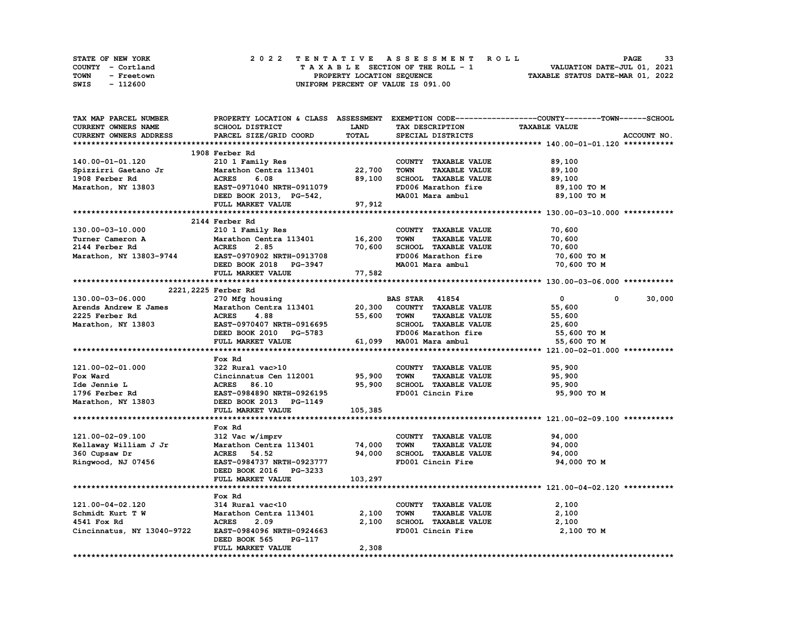| <b>STATE OF NEW YORK</b> | 2022 TENTATIVE ASSESSMENT ROLL     | 33<br><b>PAGE</b>                |
|--------------------------|------------------------------------|----------------------------------|
| COUNTY - Cortland        | TAXABLE SECTION OF THE ROLL - 1    | VALUATION DATE-JUL 01, 2021      |
| TOWN<br>- Freetown       | PROPERTY LOCATION SEQUENCE         | TAXABLE STATUS DATE-MAR 01, 2022 |
| - 112600<br>SWIS         | UNIFORM PERCENT OF VALUE IS 091.00 |                                  |

| TAX MAP PARCEL NUMBER                                            |                                                                   |             |                                     | PROPERTY LOCATION & CLASS ASSESSMENT EXEMPTION CODE-----------------COUNTY-------TOWN-----SCHOOL |
|------------------------------------------------------------------|-------------------------------------------------------------------|-------------|-------------------------------------|--------------------------------------------------------------------------------------------------|
| CURRENT OWNERS NAME                                              | SCHOOL DISTRICT                                                   | <b>LAND</b> | TAX DESCRIPTION                     | <b>TAXABLE VALUE</b>                                                                             |
| CURRENT OWNERS ADDRESS                                           | PARCEL SIZE/GRID COORD                                            | TOTAL       | SPECIAL DISTRICTS                   | ACCOUNT NO.                                                                                      |
|                                                                  |                                                                   |             |                                     |                                                                                                  |
|                                                                  | 1908 Ferber Rd                                                    |             |                                     |                                                                                                  |
| 140.00-01-01.120                                                 | 210 1 Family Res                                                  |             | COUNTY TAXABLE VALUE                | 89,100                                                                                           |
|                                                                  |                                                                   |             | <b>TOWN</b><br><b>TAXABLE VALUE</b> | 89,100                                                                                           |
|                                                                  |                                                                   |             | SCHOOL TAXABLE VALUE                | 89,100                                                                                           |
| Marathon, NY 13803                                               | EAST-0971040 NRTH-0911079                                         |             | FD006 Marathon fire                 | 89,100 то м                                                                                      |
|                                                                  | DEED BOOK 2013, PG-542,<br>FULJ. MADEEM *******                   |             | MA001 Mara ambul                    | 89,100 то м                                                                                      |
|                                                                  |                                                                   |             |                                     |                                                                                                  |
|                                                                  | FULL MARKET VALUE 97, 912                                         |             |                                     |                                                                                                  |
|                                                                  |                                                                   |             |                                     |                                                                                                  |
|                                                                  | 2144 Ferber Rd                                                    |             |                                     |                                                                                                  |
| 130.00-03-10.000                                                 | 210 1 Family Res                                                  |             | COUNTY TAXABLE VALUE                | 70,600                                                                                           |
| Turner Cameron A                                                 | Marathon Centra 113401<br>ACRES 2.85<br>EAST-0970902 NRTH-0913708 | 16,200      | <b>TOWN</b><br><b>TAXABLE VALUE</b> | 70,600                                                                                           |
| 2144 Ferber Rd                                                   |                                                                   | 70,600      | SCHOOL TAXABLE VALUE                | 70,600                                                                                           |
| Marathon, NY 13803-9744                                          |                                                                   |             | FD006 Marathon fire                 | 70,600 TO M                                                                                      |
|                                                                  |                                                                   |             | MA001 Mara ambul                    | 70,600 TO M                                                                                      |
|                                                                  |                                                                   |             |                                     |                                                                                                  |
|                                                                  |                                                                   |             |                                     |                                                                                                  |
|                                                                  | 2221, 2225 Ferber Rd                                              |             |                                     |                                                                                                  |
| 130.00-03-06.000                                                 | 270 Mfg housing                                                   |             | <b>BAS STAR 41854</b>               | 30,000<br>$\bullet$<br>$^{\circ}$                                                                |
| Arends Andrew E James Marathon Centra 113401 20,300              |                                                                   |             | COUNTY TAXABLE VALUE                | 55,600                                                                                           |
| 2225 Ferber Rd                                                   | <b>ACRES</b><br>4.88                                              |             | 55,600 TOWN<br><b>TAXABLE VALUE</b> | 55,600                                                                                           |
| Marathon, NY 13803 EAST-0970407 NRTH-0916695                     |                                                                   |             | SCHOOL TAXABLE VALUE                | 25,600                                                                                           |
|                                                                  | DEED BOOK 2010 PG-5783                                            |             | FD006 Marathon fire                 | 55,600 TO M                                                                                      |
|                                                                  | FULL MARKET VALUE                                                 |             | 61,099 MA001 Mara ambul             | 55,600 TO M                                                                                      |
|                                                                  |                                                                   |             |                                     |                                                                                                  |
|                                                                  |                                                                   |             |                                     |                                                                                                  |
|                                                                  | Fox Rd                                                            |             |                                     |                                                                                                  |
| 121.00-02-01.000                                                 | 322 Rural vac>10                                                  |             | COUNTY TAXABLE VALUE                | 95,900                                                                                           |
|                                                                  | Cincinnatus Cen 112001 95,900                                     |             | <b>TOWN</b><br><b>TAXABLE VALUE</b> | 95,900                                                                                           |
|                                                                  | <b>ACRES</b> 86.10                                                | 95,900      | SCHOOL TAXABLE VALUE                | 95,900                                                                                           |
|                                                                  | EAST-0984890 NRTH-0926195                                         |             | FD001 Cincin Fire                   | 95,900 то м                                                                                      |
| Fox Ward<br>Ide Jennie L<br>1796 Ferber Rd<br>Marathon, NY 13803 | DEED BOOK 2013 PG-1149                                            |             |                                     |                                                                                                  |
|                                                                  | FULL MARKET VALUE                                                 | 105,385     |                                     |                                                                                                  |
|                                                                  |                                                                   |             |                                     |                                                                                                  |
|                                                                  | Fox Rd                                                            |             |                                     |                                                                                                  |
| 121.00-02-09.100                                                 | 312 Vac w/imprv                                                   |             | COUNTY TAXABLE VALUE                | 94,000                                                                                           |
| Kellaway William J Jr                                            | Marathon Centra 113401                                            | 74,000      | <b>TOWN</b><br><b>TAXABLE VALUE</b> | 94,000                                                                                           |
| 360 Cupsaw Dr                                                    | <b>ACRES</b> 54.52                                                | 94,000      | SCHOOL TAXABLE VALUE                | 94,000                                                                                           |
| Ringwood, NJ 07456                                               | EAST-0984737 NRTH-0923777                                         |             | FD001 Cincin Fire                   | 94,000 TO M                                                                                      |
|                                                                  | DEED BOOK 2016 PG-3233                                            |             |                                     |                                                                                                  |
|                                                                  | FULL MARKET VALUE                                                 | 103,297     |                                     |                                                                                                  |
|                                                                  |                                                                   |             |                                     |                                                                                                  |
|                                                                  | Fox Rd                                                            |             |                                     |                                                                                                  |
| 121.00-04-02.120                                                 |                                                                   |             | COUNTY TAXABLE VALUE                | 2,100                                                                                            |
|                                                                  |                                                                   |             |                                     |                                                                                                  |
| Schmidt Kurt T W                                                 |                                                                   |             | TOWN<br><b>TAXABLE VALUE</b>        | 2,100                                                                                            |
| 4541 Fox Rd                                                      |                                                                   | 2,100       | SCHOOL TAXABLE VALUE                | 2,100                                                                                            |
| Cincinnatus, NY 13040-9722                                       | EAST-0984096 NRTH-0924663                                         |             | FD001 Cincin Fire                   | 2,100 TO M                                                                                       |
|                                                                  | DEED BOOK 565<br>PG-117                                           |             |                                     |                                                                                                  |
|                                                                  | FULL MARKET VALUE                                                 | 2,308       |                                     |                                                                                                  |
|                                                                  |                                                                   |             |                                     |                                                                                                  |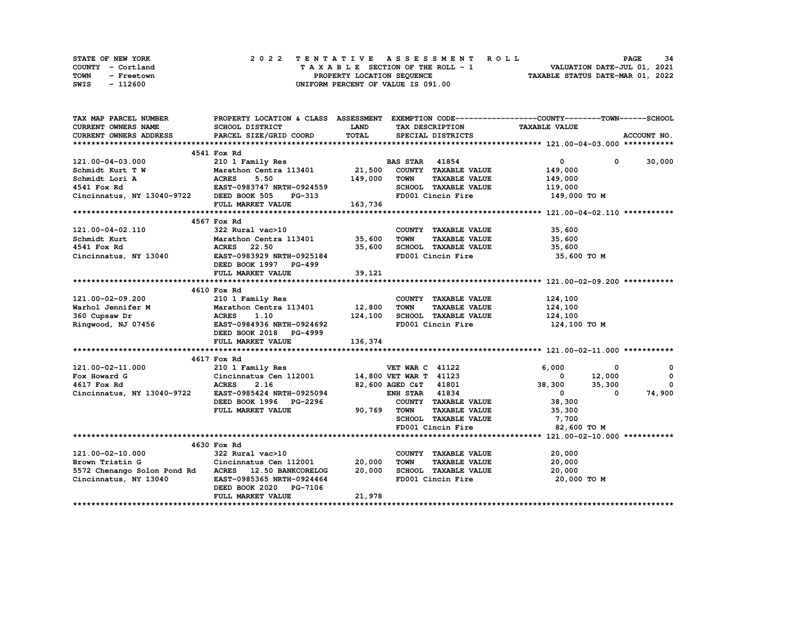| STATE OF NEW YORK  | 2022 TENTATIVE ASSESSMENT ROLL     | 34<br><b>PAGE</b>                |
|--------------------|------------------------------------|----------------------------------|
| COUNTY - Cortland  | TAXABLE SECTION OF THE ROLL - 1    | VALUATION DATE-JUL 01, 2021      |
| TOWN<br>- Freetown | PROPERTY LOCATION SEQUENCE         | TAXABLE STATUS DATE-MAR 01, 2022 |
| - 112600<br>SWIS   | UNIFORM PERCENT OF VALUE IS 091.00 |                                  |

| TAX MAP PARCEL NUMBER                                                                                                                                                    | PROPERTY LOCATION & CLASS ASSESSMENT EXEMPTION CODE-----------------COUNTY-------TOWN------SCHOOL |                |                                     |                                                  |               |
|--------------------------------------------------------------------------------------------------------------------------------------------------------------------------|---------------------------------------------------------------------------------------------------|----------------|-------------------------------------|--------------------------------------------------|---------------|
| CURRENT OWNERS NAME                                                                                                                                                      | SCHOOL DISTRICT                                                                                   | <b>LAND</b>    | TAX DESCRIPTION                     | <b>TAXABLE VALUE</b>                             |               |
| <b>CURRENT OWNERS ADDRESS</b>                                                                                                                                            | PARCEL SIZE/GRID COORD                                                                            | TOTAL          | SPECIAL DISTRICTS                   |                                                  | ACCOUNT NO.   |
|                                                                                                                                                                          |                                                                                                   |                |                                     |                                                  |               |
|                                                                                                                                                                          | 4541 Fox Rd                                                                                       |                |                                     |                                                  |               |
| 121.00-04-03.000                                                                                                                                                         | 210 1 Family Res                                                                                  |                | <b>BAS STAR</b> 41854               | $\overline{0}$                                   | $0 \t 30,000$ |
| Schmidt Kurt T W                                                                                                                                                         | Marathon Centra 113401 21,500 COUNTY TAXABLE VALUE                                                |                |                                     | 149,000                                          |               |
| Schmidt Lori A                                                                                                                                                           |                                                                                                   | $149,000$ TOWN | <b>TAXABLE VALUE</b>                | 149,000                                          |               |
| 4541 Fox Rd                                                                                                                                                              | ACRES 5.50<br>EAST-0983747 NRTH-0924559                                                           |                | SCHOOL TAXABLE VALUE                | 119,000                                          |               |
| 21100111121243337/Cincinnatus, NY 13040-9722                                                                                                                             |                                                                                                   |                | FD001 Cincin Fire                   | 149,000 TO M                                     |               |
|                                                                                                                                                                          | FULL MARKET VALUE 163,736                                                                         |                |                                     |                                                  |               |
|                                                                                                                                                                          |                                                                                                   |                |                                     |                                                  |               |
|                                                                                                                                                                          | 4567 Fox Rd                                                                                       |                |                                     |                                                  |               |
|                                                                                                                                                                          |                                                                                                   |                | COUNTY TAXABLE VALUE                | 35, J<br>35, 600<br>- 600                        |               |
|                                                                                                                                                                          |                                                                                                   |                | TAXABLE VALUE<br>TOWN               |                                                  |               |
|                                                                                                                                                                          |                                                                                                   |                | SCHOOL TAXABLE VALUE 35,600         |                                                  |               |
|                                                                                                                                                                          |                                                                                                   |                | FD001 Cincin Fire                   | 35,600 TO M                                      |               |
|                                                                                                                                                                          |                                                                                                   |                |                                     |                                                  |               |
|                                                                                                                                                                          | FULL MARKET VALUE                                                                                 | 39,121         |                                     |                                                  |               |
|                                                                                                                                                                          |                                                                                                   |                |                                     |                                                  |               |
|                                                                                                                                                                          | 4610 Fox Rd                                                                                       |                |                                     |                                                  |               |
|                                                                                                                                                                          |                                                                                                   |                | COUNTY TAXABLE VALUE                | 124,100                                          |               |
| 121.00-02-09.200<br>Warhol Jennifer M Marathon Centra 113401<br>360 Cupsaw Dr ACRES 1.10<br>Ringwood, NJ 07456<br>EAST-0984936 NRTH-0924692<br>EAST-0984936 NRTH-0924692 |                                                                                                   |                | <b>TOWN</b><br><b>TAXABLE VALUE</b> | 124,100                                          |               |
|                                                                                                                                                                          |                                                                                                   |                | SCHOOL TAXABLE VALUE 124,100        |                                                  |               |
|                                                                                                                                                                          |                                                                                                   |                | FD001 Cincin Fire                   | 124,100 TO M                                     |               |
|                                                                                                                                                                          | DEED BOOK 2018 PG-4999                                                                            |                |                                     |                                                  |               |
|                                                                                                                                                                          | FULL MARKET VALUE                                                                                 | 136,374        |                                     |                                                  |               |
|                                                                                                                                                                          |                                                                                                   |                |                                     |                                                  |               |
|                                                                                                                                                                          | 4617 Fox Rd                                                                                       |                |                                     |                                                  |               |
| 121.00-02-11.000                                                                                                                                                         | 210 1 Family Res                                                                                  |                | <b>VET WAR C 41122</b>              | 6,000<br>0                                       | $\Omega$      |
| Fox Howard G                                                                                                                                                             |                                                                                                   |                |                                     |                                                  | $\mathbf 0$   |
| 4617 Fox Rd                                                                                                                                                              | Cincinnatus Cen 112001 14,800 VET WAR T 11123<br>ACRES 2.16 82,600 AGED C&T 41801                 |                | 82,600 AGED C&T 41801               | $0$ $12,000$<br>38,300 $35,300$<br>$\frac{1}{2}$ | $^{\circ}$    |
| Cincinnatus, NY 13040-9722 EAST-0985424 NRTH-0925094                                                                                                                     |                                                                                                   |                | <b>ENH STAR 41834</b>               | $\overline{\mathbf{0}}$<br>$^{\circ}$            | 74,900        |
|                                                                                                                                                                          | DEED BOOK 1996 PG-2296                                                                            |                | COUNTY TAXABLE VALUE                | 38,300                                           |               |
|                                                                                                                                                                          | FULL MARKET VALUE                                                                                 | 90,769 TOWN    | <b>TAXABLE VALUE</b>                | 35,300                                           |               |
|                                                                                                                                                                          |                                                                                                   |                | SCHOOL TAXABLE VALUE 7,700          |                                                  |               |
|                                                                                                                                                                          |                                                                                                   |                | FD001 Cincin Fire                   | 82,600 TO M                                      |               |
|                                                                                                                                                                          |                                                                                                   |                |                                     |                                                  |               |
|                                                                                                                                                                          | 4630 Fox Rd                                                                                       |                |                                     |                                                  |               |
| 121.00-02-10.000                                                                                                                                                         | 322 Rural vac>10                                                                                  |                | COUNTY TAXABLE VALUE                | 20,000                                           |               |
| Brown Tristin G                                                                                                                                                          | Cincinnatus Cen 112001 20,000                                                                     |                | TAXABLE VALUE<br><b>TOWN</b>        | 20,000                                           |               |
| 5572 Chenango Solon Pond Rd ACRES 12.50 BANKCORELOG 20,000 SCHOOL TAXABLE VALUE 20,000                                                                                   |                                                                                                   |                |                                     |                                                  |               |
| Cincinnatus, NY 13040                                                                                                                                                    | EAST-0985365 NRTH-0924464                                                                         |                | FD001 Cincin Fire                   | 20,000 TO M                                      |               |
|                                                                                                                                                                          | DEED BOOK 2020 PG-7106                                                                            |                |                                     |                                                  |               |
|                                                                                                                                                                          | FULL MARKET VALUE                                                                                 | 21,978         |                                     |                                                  |               |
|                                                                                                                                                                          |                                                                                                   |                |                                     |                                                  |               |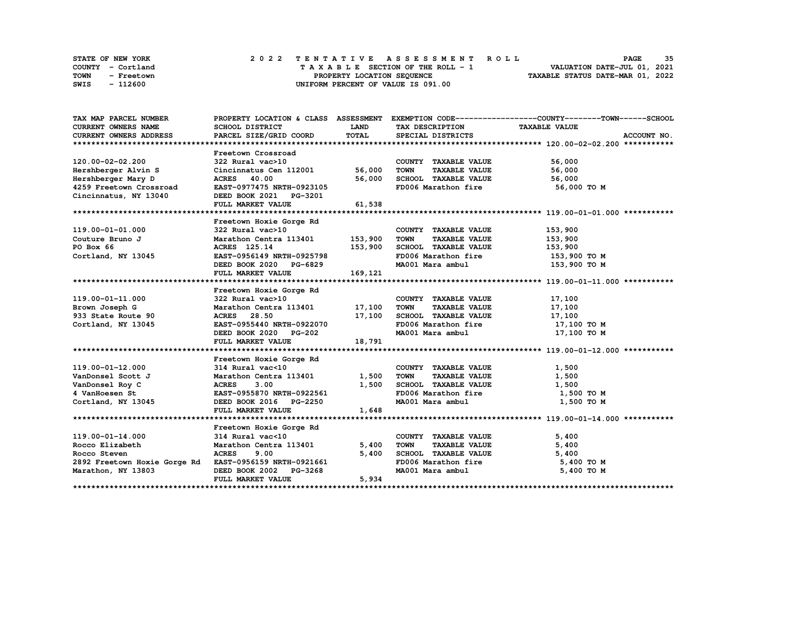| STATE OF NEW YORK  | 2022 TENTATIVE ASSESSMENT ROLL     | 35<br><b>PAGE</b>                |
|--------------------|------------------------------------|----------------------------------|
| COUNTY - Cortland  | TAXABLE SECTION OF THE ROLL - 1    | VALUATION DATE-JUL 01, 2021      |
| TOWN<br>- Freetown | PROPERTY LOCATION SEQUENCE         | TAXABLE STATUS DATE-MAR 01, 2022 |
| - 112600<br>SWIS   | UNIFORM PERCENT OF VALUE IS 091.00 |                                  |

| TAX MAP PARCEL NUMBER                                  |                                                                                 |             |                                             | PROPERTY LOCATION & CLASS ASSESSMENT EXEMPTION CODE----------------COUNTY-------TOWN------SCHOOL |
|--------------------------------------------------------|---------------------------------------------------------------------------------|-------------|---------------------------------------------|--------------------------------------------------------------------------------------------------|
| CURRENT OWNERS NAME                                    | SCHOOL DISTRICT                                                                 | <b>LAND</b> | TAX DESCRIPTION TAXABLE VALUE               |                                                                                                  |
| CURRENT OWNERS ADDRESS                                 | PARCEL SIZE/GRID COORD                                                          | TOTAL       | SPECIAL DISTRICTS                           | ACCOUNT NO.                                                                                      |
|                                                        |                                                                                 |             |                                             |                                                                                                  |
|                                                        | Freetown Crossroad                                                              |             |                                             |                                                                                                  |
| 120.00-02-02.200                                       | 322 Rural vac>10                                                                |             | COUNTY TAXABLE VALUE                        | 56,000                                                                                           |
| Hershberger Alvin S                                    | Cincinnatus Cen 112001 56,000                                                   |             | TOWN<br><b>TAXABLE VALUE</b>                | 56,000                                                                                           |
| Hershberger Mary D                                     | <b>ACRES</b> 40.00                                                              | 56,000      | SCHOOL TAXABLE VALUE                        | 56,000                                                                                           |
| 4259 Freetown Crossroad                                | EAST-0977475 NRTH-0923105                                                       |             | FD006 Marathon fire 56,000 TO M             |                                                                                                  |
| Cincinnatus, NY 13040                                  | DEED BOOK 2021 PG-3201                                                          |             |                                             |                                                                                                  |
|                                                        | FULL MARKET VALUE                                                               | 61,538      |                                             |                                                                                                  |
|                                                        |                                                                                 |             |                                             |                                                                                                  |
|                                                        | Freetown Hoxie Gorge Rd                                                         |             |                                             |                                                                                                  |
| 119.00-01-01.000                                       |                                                                                 |             | COUNTY TAXABLE VALUE                        | 153,900                                                                                          |
| Couture Bruno J                                        | 322 Rural vac>10<br>Marathon Centra 113401 153,900                              |             | TOWN<br><b>TAXABLE VALUE</b>                | 153,900                                                                                          |
| PO Box 66                                              | ACRES 125.14                                                                    | 153,900     | SCHOOL TAXABLE VALUE                        | 153,900                                                                                          |
| Cortland, NY 13045                                     | EAST-0956149 NRTH-0925798                                                       |             | FD006 Marathon fire 153,900 TO M            |                                                                                                  |
|                                                        | DEED BOOK 2020 PG-6829                                                          |             | MA001 Mara ambul                            | 153,900 то м                                                                                     |
|                                                        | FULL MARKET VALUE                                                               | 169, 121    |                                             |                                                                                                  |
|                                                        |                                                                                 |             |                                             |                                                                                                  |
|                                                        |                                                                                 |             |                                             |                                                                                                  |
| 119.00-01-11.000                                       |                                                                                 |             | COUNTY TAXABLE VALUE                        | 17,100                                                                                           |
| Brown Joseph G                                         | Marathon Centra 113401 17,100                                                   |             | <b>TOWN</b><br><b>TAXABLE VALUE</b>         | 17,100                                                                                           |
| 933 State Route 90                                     | ACRES 28.50 17,100<br>EAST-0955440 NRTH-0922070 17,100<br>DEED BOOK 2020 PG-202 |             | SCHOOL TAXABLE VALUE 17,100                 |                                                                                                  |
| Cortland, NY 13045                                     |                                                                                 |             |                                             | 17,100 TO M                                                                                      |
|                                                        |                                                                                 |             | MA001 Mara ambul                            | 17,100 TO M                                                                                      |
|                                                        | FULL MARKET VALUE                                                               | 18,791      |                                             |                                                                                                  |
|                                                        |                                                                                 |             |                                             |                                                                                                  |
|                                                        | Freetown Hoxie Gorge Rd                                                         |             |                                             |                                                                                                  |
| 119.00-01-12.000                                       | 314 Rural vac<10                                                                |             | COUNTY TAXABLE VALUE                        | 1,500                                                                                            |
| VanDonsel Scott J                                      | Marathon Centra 113401 1,500                                                    |             | TOWN<br>TAXABLE VALUE                       | 1,500                                                                                            |
| VanDonsel Roy C                                        |                                                                                 | 1,500       |                                             | 1,500                                                                                            |
| 4 VanHoesen St                                         | J<br>Marathon Centra 113401<br>ACRES 3.00<br>EAST-0955870 NRTH-0922561          |             | SCHOOL TAXABLE VALUE<br>FD006 Marathon fire | 1,500 TO M                                                                                       |
| Cortland, NY 13045                                     | DEED BOOK 2016 PG-2250                                                          |             | MA001 Mara ambul                            | 1,500 TO M                                                                                       |
|                                                        | FULL MARKET VALUE                                                               | 1,648       |                                             |                                                                                                  |
|                                                        |                                                                                 |             |                                             |                                                                                                  |
|                                                        | Freetown Hoxie Gorge Rd                                                         |             |                                             |                                                                                                  |
| 119.00-01-14.000                                       | 314 Rural vac<10                                                                |             | COUNTY TAXABLE VALUE                        | 5,400                                                                                            |
| Rocco Elizabeth                                        | Marathon Centra 113401                                                          | 5,400       | <b>TOWN</b><br>TAXABLE VALUE                | 5,400                                                                                            |
| Rocco Steven                                           | <b>ACRES</b><br>9.00                                                            | 5,400       | SCHOOL TAXABLE VALUE                        | 5,400                                                                                            |
| 2892 Freetown Hoxie Gorge Rd EAST-0956159 NRTH-0921661 |                                                                                 |             | FD006 Marathon fire 5,400 TO M              |                                                                                                  |
| Marathon, NY 13803                                     | DEED BOOK 2002 PG-3268                                                          |             | MA001 Mara ambul                            | 5,400 TO M                                                                                       |
|                                                        | FULL MARKET VALUE                                                               | 5,934       |                                             |                                                                                                  |
|                                                        |                                                                                 |             |                                             |                                                                                                  |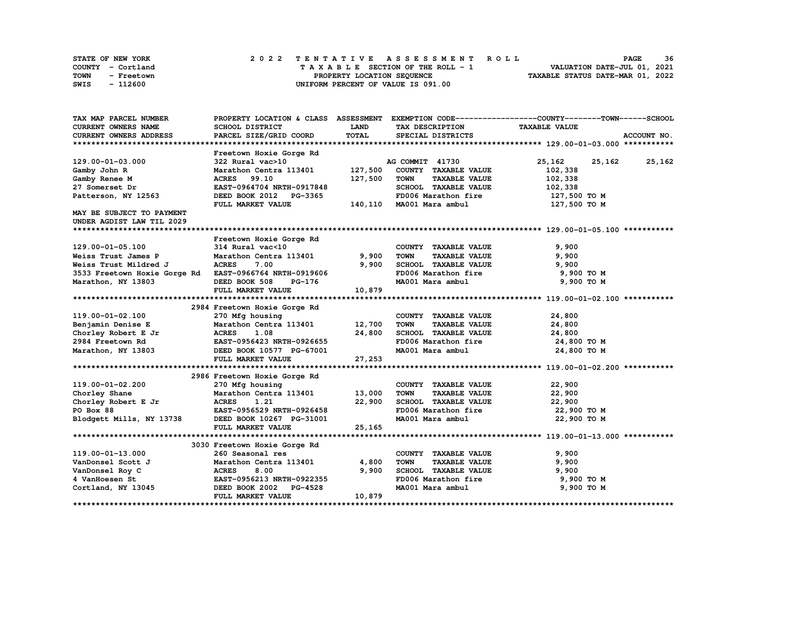| STATE OF NEW YORK  | 2022 TENTATIVE ASSESSMENT ROLL     | 36<br><b>PAGE</b>                |
|--------------------|------------------------------------|----------------------------------|
| COUNTY - Cortland  | TAXABLE SECTION OF THE ROLL - 1    | VALUATION DATE-JUL 01, 2021      |
| TOWN<br>- Freetown | PROPERTY LOCATION SEQUENCE         | TAXABLE STATUS DATE-MAR 01, 2022 |
| - 112600<br>SWIS   | UNIFORM PERCENT OF VALUE IS 091.00 |                                  |

| TAX MAP PARCEL NUMBER                                  | PROPERTY LOCATION & CLASS ASSESSMENT |         |                                     | EXEMPTION CODE-----------------COUNTY-------TOWN------SCHOOL |
|--------------------------------------------------------|--------------------------------------|---------|-------------------------------------|--------------------------------------------------------------|
| <b>CURRENT OWNERS NAME</b>                             | SCHOOL DISTRICT                      | LAND    | <b>TAX DESCRIPTION</b>              | <b>TAXABLE VALUE</b>                                         |
| <b>CURRENT OWNERS ADDRESS</b>                          | PARCEL SIZE/GRID COORD               | TOTAL   | SPECIAL DISTRICTS                   | ACCOUNT NO.                                                  |
|                                                        |                                      |         |                                     |                                                              |
|                                                        | Freetown Hoxie Gorge Rd              |         |                                     |                                                              |
| 129.00-01-03.000                                       | 322 Rural vac>10                     |         | AG COMMIT 41730                     | 25,162<br>25,162<br>25,162                                   |
| Gamby John R                                           | Marathon Centra 113401               | 127,500 | COUNTY TAXABLE VALUE                | 102,338                                                      |
| Gamby Renee M                                          | <b>ACRES</b><br>99.10                | 127,500 | <b>TAXABLE VALUE</b><br><b>TOWN</b> | 102,338                                                      |
| 27 Somerset Dr                                         | EAST-0964704 NRTH-0917848            |         | SCHOOL TAXABLE VALUE                | 102,338                                                      |
| Patterson, NY 12563                                    | DEED BOOK 2012 PG-3365               |         | FD006 Marathon fire                 | 127,500 TO M                                                 |
|                                                        | FULL MARKET VALUE                    |         | 140,110 MA001 Mara ambul            | 127,500 то м                                                 |
| MAY BE SUBJECT TO PAYMENT                              |                                      |         |                                     |                                                              |
| UNDER AGDIST LAW TIL 2029                              |                                      |         |                                     |                                                              |
|                                                        |                                      |         |                                     |                                                              |
|                                                        | Freetown Hoxie Gorge Rd              |         |                                     |                                                              |
| 129.00-01-05.100                                       | 314 Rural vac<10                     |         | COUNTY TAXABLE VALUE                | 9,900                                                        |
| Weiss Trust James P                                    | Marathon Centra 113401               | 9,900   | <b>TOWN</b><br><b>TAXABLE VALUE</b> | 9,900                                                        |
| Weiss Trust Mildred J                                  | <b>ACRES</b><br>7.00                 | 9,900   | SCHOOL TAXABLE VALUE                | 9,900                                                        |
| 3533 Freetown Hoxie Gorge Rd EAST-0966764 NRTH-0919606 |                                      |         | FD006 Marathon fire                 | 9,900 TO M                                                   |
| Marathon, NY 13803                                     | DEED BOOK 508<br>PG-176              |         | MA001 Mara ambul                    | 9,900 TO M                                                   |
|                                                        | FULL MARKET VALUE                    | 10,879  |                                     |                                                              |
|                                                        |                                      |         |                                     |                                                              |
|                                                        | 2984 Freetown Hoxie Gorge Rd         |         |                                     |                                                              |
| 119.00-01-02.100                                       | 270 Mfg housing                      |         | COUNTY TAXABLE VALUE                | 24,800                                                       |
| Benjamin Denise E                                      | Marathon Centra 113401 12,700        |         | <b>TOWN</b><br><b>TAXABLE VALUE</b> | 24,800                                                       |
| Chorley Robert E Jr                                    | <b>ACRES</b><br>1.08                 | 24,800  | SCHOOL TAXABLE VALUE                | 24,800                                                       |
| 2984 Freetown Rd                                       | EAST-0956423 NRTH-0926655            |         | FD006 Marathon fire                 | 24,800 TO M                                                  |
| Marathon, NY 13803                                     | DEED BOOK 10577 PG-67001             |         | MA001 Mara ambul                    | 24,800 TO M                                                  |
|                                                        | FULL MARKET VALUE                    | 27,253  |                                     |                                                              |
|                                                        |                                      |         |                                     |                                                              |
|                                                        | 2986 Freetown Hoxie Gorge Rd         |         |                                     |                                                              |
| 119.00-01-02.200                                       | 270 Mfg housing                      |         | COUNTY TAXABLE VALUE                | 22,900                                                       |
| Chorley Shane                                          | Marathon Centra 113401               | 13,000  | <b>TOWN</b><br><b>TAXABLE VALUE</b> | 22,900                                                       |
| Chorley Robert E Jr                                    | <b>ACRES</b><br>1.21                 | 22,900  | SCHOOL TAXABLE VALUE                | 22,900                                                       |
| PO Box 88                                              | EAST-0956529 NRTH-0926458            |         | FD006 Marathon fire                 | 22,900 то м                                                  |
| Blodgett Mills, NY 13738                               | DEED BOOK 10267 PG-31001             |         | MA001 Mara ambul                    | 22,900 TO M                                                  |
|                                                        | FULL MARKET VALUE                    | 25,165  |                                     |                                                              |
|                                                        |                                      |         |                                     |                                                              |
|                                                        | 3030 Freetown Hoxie Gorge Rd         |         |                                     |                                                              |
| 119.00-01-13.000                                       | 260 Seasonal res                     |         | COUNTY TAXABLE VALUE                | 9,900                                                        |
| VanDonsel Scott J                                      | Marathon Centra 113401               | 4,800   | <b>TOWN</b><br><b>TAXABLE VALUE</b> | 9,900                                                        |
| VanDonsel Roy C                                        | <b>ACRES</b><br>8.00                 | 9,900   | SCHOOL TAXABLE VALUE                | 9,900                                                        |
| 4 VanHoesen St                                         | EAST-0956213 NRTH-0922355            |         | FD006 Marathon fire                 | 9,900 TO M                                                   |
| Cortland, NY 13045                                     | DEED BOOK 2002 PG-4528               |         | MA001 Mara ambul                    | 9,900 TO M                                                   |
|                                                        | FULL MARKET VALUE                    | 10,879  |                                     |                                                              |
|                                                        |                                      |         |                                     |                                                              |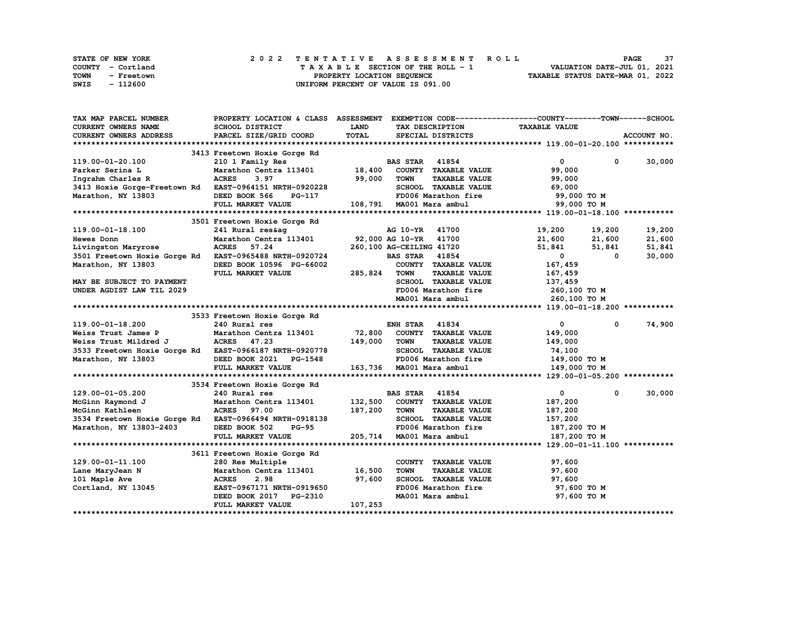| STATE OF NEW YORK  | 2022 TENTATIVE ASSESSMENT ROLL          | 37<br><b>PAGE</b>                |
|--------------------|-----------------------------------------|----------------------------------|
| COUNTY - Cortland  | $T$ A X A B L E SECTION OF THE ROLL - 1 | VALUATION DATE-JUL 01, 2021      |
| TOWN<br>- Freetown | PROPERTY LOCATION SEQUENCE              | TAXABLE STATUS DATE-MAR 01, 2022 |
| - 112600<br>SWIS   | UNIFORM PERCENT OF VALUE IS 091.00      |                                  |

| TAX MAP PARCEL NUMBER                                  |              | PROPERTY LOCATION & CLASS        | <b>ASSESSMENT</b> |                          |                             | EXEMPTION CODE-----------------COUNTY-------TOWN------SCHOOL |              |             |
|--------------------------------------------------------|--------------|----------------------------------|-------------------|--------------------------|-----------------------------|--------------------------------------------------------------|--------------|-------------|
| <b>CURRENT OWNERS NAME</b>                             |              | SCHOOL DISTRICT                  | <b>LAND</b>       |                          | TAX DESCRIPTION             | <b>TAXABLE VALUE</b>                                         |              |             |
| <b>CURRENT OWNERS ADDRESS</b>                          |              | PARCEL SIZE/GRID COORD           | <b>TOTAL</b>      |                          | SPECIAL DISTRICTS           |                                                              |              | ACCOUNT NO. |
|                                                        |              |                                  |                   |                          |                             |                                                              |              |             |
|                                                        |              | 3413 Freetown Hoxie Gorge Rd     |                   |                          |                             |                                                              |              |             |
| 119.00-01-20.100                                       |              | 210 1 Family Res                 |                   | <b>BAS STAR</b>          | 41854                       | 0                                                            | 0            | 30,000      |
| Parker Serina L                                        |              | Marathon Centra 113401           | 18,400            |                          | COUNTY TAXABLE VALUE        | 99,000                                                       |              |             |
|                                                        | <b>ACRES</b> | 3.97                             | 99,000            | <b>TOWN</b>              | <b>TAXABLE VALUE</b>        |                                                              |              |             |
| Ingrahm Charles R                                      |              |                                  |                   |                          |                             | 99,000                                                       |              |             |
| 3413 Hoxie Gorge-Freetown Rd                           |              | EAST-0964151 NRTH-0920228        |                   |                          | SCHOOL TAXABLE VALUE        | 69,000                                                       |              |             |
| Marathon, NY 13803                                     |              | DEED BOOK 566<br>PG-117          |                   |                          | FD006 Marathon fire         |                                                              | 99,000 TO M  |             |
|                                                        |              | FULL MARKET VALUE                |                   |                          | 108,791 MA001 Mara ambul    |                                                              | 99,000 TO M  |             |
|                                                        |              |                                  |                   |                          |                             |                                                              |              |             |
|                                                        |              | 3501 Freetown Hoxie Gorge Rd     |                   |                          |                             |                                                              |              |             |
| 119.00-01-18.100                                       |              | 241 Rural res&ag                 |                   | <b>AG 10-YR</b>          | 41700                       | 19,200                                                       | 19,200       | 19,200      |
| Hewes Donn                                             |              | Marathon Centra 113401           |                   | 92,000 AG 10-YR 41700    |                             | 21,600                                                       | 21,600       | 21,600      |
| Livingston Maryrose                                    | <b>ACRES</b> | 57.24                            |                   | 260,100 AG-CEILING 41720 |                             | 51,841                                                       | 51,841       | 51,841      |
| 3501 Freetown Hoxie Gorge Rd EAST-0965488 NRTH-0920724 |              |                                  |                   | <b>BAS STAR</b>          | 41854                       | $\mathbf{0}$                                                 | 0            | 30,000      |
| Marathon, NY 13803                                     |              | DEED BOOK 10596 PG-66002         |                   |                          | COUNTY TAXABLE VALUE        | 167,459                                                      |              |             |
|                                                        |              | FULL MARKET VALUE                | 285,824           | TOWN                     | <b>TAXABLE VALUE</b>        | 167,459                                                      |              |             |
| MAY BE SUBJECT TO PAYMENT                              |              |                                  |                   |                          | <b>SCHOOL TAXABLE VALUE</b> | 137,459                                                      |              |             |
| UNDER AGDIST LAW TIL 2029                              |              |                                  |                   |                          | FD006 Marathon fire         | 260,100 то м                                                 |              |             |
|                                                        |              |                                  |                   |                          | MA001 Mara ambul            |                                                              |              |             |
|                                                        |              |                                  |                   |                          |                             |                                                              | 260,100 ТО М |             |
|                                                        |              |                                  |                   |                          |                             |                                                              |              |             |
|                                                        |              | 3533 Freetown Hoxie Gorge Rd     |                   |                          |                             |                                                              |              |             |
| 119.00-01-18.200                                       |              | 240 Rural res                    |                   | <b>ENH STAR 41834</b>    |                             | $\mathbf 0$                                                  | 0            | 74,900      |
| Weiss Trust James P                                    |              | Marathon Centra 113401           | 72,800            |                          | COUNTY TAXABLE VALUE        | 149,000                                                      |              |             |
| Weiss Trust Mildred J                                  | ACRES 47.23  |                                  | 149,000           | <b>TOWN</b>              | <b>TAXABLE VALUE</b>        | 149,000                                                      |              |             |
| 3533 Freetown Hoxie Gorge Rd EAST-0966187 NRTH-0920778 |              |                                  |                   |                          | SCHOOL TAXABLE VALUE        | 74,100                                                       |              |             |
| Marathon, NY 13803                                     |              | DEED BOOK 2021<br><b>PG-1548</b> |                   |                          | FD006 Marathon fire         |                                                              | 149,000 TO M |             |
|                                                        |              | FULL MARKET VALUE                |                   |                          | 163,736 MA001 Mara ambul    |                                                              | 149,000 TO M |             |
|                                                        |              |                                  |                   |                          |                             |                                                              |              |             |
|                                                        |              | 3534 Freetown Hoxie Gorge Rd     |                   |                          |                             |                                                              |              |             |
| 129.00-01-05.200                                       |              | 240 Rural res                    |                   | <b>BAS STAR</b>          | 41854                       | 0                                                            | 0            | 30,000      |
| McGinn Raymond J                                       |              | Marathon Centra 113401           | 132,500           |                          | COUNTY TAXABLE VALUE        | 187,200                                                      |              |             |
| McGinn Kathleen                                        | <b>ACRES</b> | 97.00                            | 187,200           | <b>TOWN</b>              | <b>TAXABLE VALUE</b>        | 187,200                                                      |              |             |
| 3534 Freetown Hoxie Gorge Rd                           |              | EAST-0966494 NRTH-0918138        |                   |                          | SCHOOL TAXABLE VALUE        | 157,200                                                      |              |             |
| Marathon, NY 13803-2403                                |              | DEED BOOK 502<br><b>PG-95</b>    |                   |                          | FD006 Marathon fire         | 187,200 TO M                                                 |              |             |
|                                                        |              | FULL MARKET VALUE                | 205,714           |                          | MA001 Mara ambul            | 187,200 TO M                                                 |              |             |
|                                                        |              |                                  |                   |                          |                             |                                                              |              |             |
|                                                        |              |                                  |                   |                          |                             |                                                              |              |             |
|                                                        |              | 3611 Freetown Hoxie Gorge Rd     |                   |                          |                             |                                                              |              |             |
| 129.00-01-11.100                                       |              | 280 Res Multiple                 |                   |                          | COUNTY TAXABLE VALUE        | 97,600                                                       |              |             |
| Lane MaryJean N                                        |              | Marathon Centra 113401           | 16,500            | <b>TOWN</b>              | <b>TAXABLE VALUE</b>        | 97,600                                                       |              |             |
| 101 Maple Ave                                          | <b>ACRES</b> | 2.98                             | 97,600            |                          | SCHOOL TAXABLE VALUE        | 97,600                                                       |              |             |
| Cortland, NY 13045                                     |              | EAST-0967171 NRTH-0919650        |                   |                          | FD006 Marathon fire         |                                                              | 97,600 TO M  |             |
|                                                        |              | DEED BOOK 2017 PG-2310           |                   |                          | MA001 Mara ambul            |                                                              | 97,600 TO M  |             |
|                                                        |              | FULL MARKET VALUE                | 107,253           |                          |                             |                                                              |              |             |
|                                                        |              |                                  |                   |                          |                             |                                                              |              |             |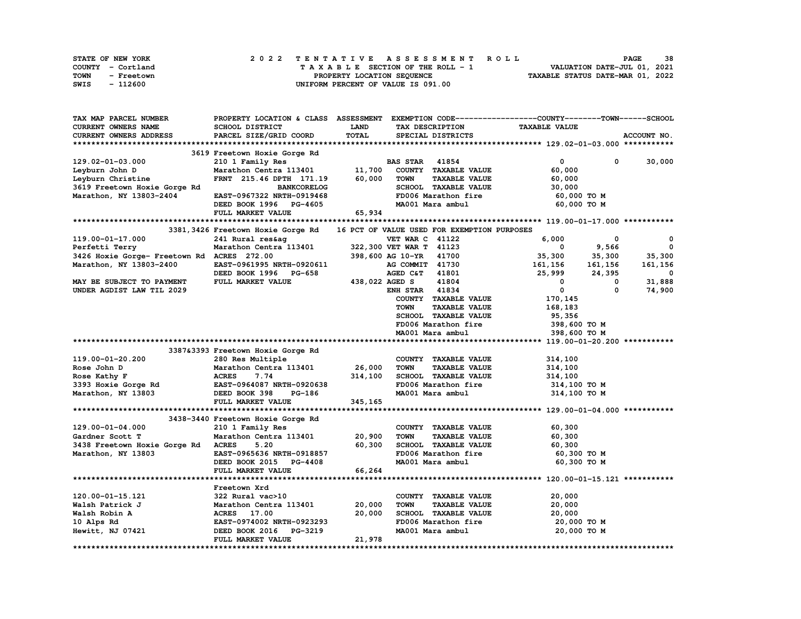| STATE OF NEW YORK  | 2022 TENTATIVE ASSESSMENT ROLL     | 38<br><b>PAGE</b>                |
|--------------------|------------------------------------|----------------------------------|
| COUNTY - Cortland  | TAXABLE SECTION OF THE ROLL - 1    | VALUATION DATE-JUL 01, 2021      |
| TOWN<br>- Freetown | PROPERTY LOCATION SEQUENCE         | TAXABLE STATUS DATE-MAR 01, 2022 |
| SWIS<br>- 112600   | UNIFORM PERCENT OF VALUE IS 091.00 |                                  |

| TAX MAP PARCEL NUMBER                      |                                            |                |                                             | PROPERTY LOCATION & CLASS ASSESSMENT EXEMPTION CODE-----------------COUNTY-------TOWN-----SCHOOL |                          |
|--------------------------------------------|--------------------------------------------|----------------|---------------------------------------------|--------------------------------------------------------------------------------------------------|--------------------------|
| CURRENT OWNERS NAME                        | SCHOOL DISTRICT                            | LAND           | TAX DESCRIPTION                             | <b>TAXABLE VALUE</b>                                                                             |                          |
| CURRENT OWNERS ADDRESS                     | PARCEL SIZE/GRID COORD                     | TOTAL          | SPECIAL DISTRICTS                           |                                                                                                  | ACCOUNT NO.              |
|                                            |                                            |                |                                             |                                                                                                  |                          |
|                                            | 3619 Freetown Hoxie Gorge Rd               |                |                                             |                                                                                                  |                          |
| 129.02-01-03.000                           | 210 1 Family Res                           |                | <b>BAS STAR 41854</b>                       | $\mathbf 0$<br>$^{\circ}$                                                                        | 30,000                   |
| Leyburn John D                             | Marathon Centra 113401                     | 11,700         | COUNTY TAXABLE VALUE                        | 60,000                                                                                           |                          |
| Leyburn Christine                          | FRNT 215.46 DPTH 171.19                    | 60,000         | <b>TAXABLE VALUE</b><br><b>TOWN</b>         | 60,000                                                                                           |                          |
|                                            |                                            |                |                                             |                                                                                                  |                          |
| 3619 Freetown Hoxie Gorge Rd               | <b>BANKCORELOG</b>                         |                | SCHOOL TAXABLE VALUE                        | 30,000                                                                                           |                          |
| Marathon, NY 13803-2404                    | EAST-0967322 NRTH-0919468                  |                | FD006 Marathon fire                         | 60,000 TO M                                                                                      |                          |
|                                            | DEED BOOK 1996 PG-4605                     |                | MA001 Mara ambul                            | 60,000 TO M                                                                                      |                          |
|                                            | FULL MARKET VALUE                          | 65,934         |                                             |                                                                                                  |                          |
|                                            |                                            |                |                                             |                                                                                                  |                          |
|                                            | 3381, 3426 Freetown Hoxie Gorge Rd         |                | 16 PCT OF VALUE USED FOR EXEMPTION PURPOSES |                                                                                                  |                          |
| 119.00-01-17.000                           | 241 Rural res&ag                           |                | <b>VET WAR C 41122</b>                      | 6,000<br>0                                                                                       | 0                        |
| Perfetti Terry                             | 241 Ruiai Itsaay<br>Marathon Centra 113401 |                | 322,300 VET WAR T 41123                     | $\sim$ 0<br>9,566                                                                                | $\mathbf 0$              |
| 3426 Hoxie Gorge- Freetown Rd ACRES 272.00 |                                            |                | 398,600 AG 10-YR 41700                      |                                                                                                  | 35,300                   |
| Marathon, NY 13803-2400                    | EAST-0961995 NRTH-0920611                  |                | AG COMMIT 41730                             | $35,300$ $35,300$<br>161,156 161.156                                                             | 161,156                  |
|                                            | DEED BOOK 1996 PG-658                      |                | AGED C&T 41801                              | 25,999 24,395                                                                                    | $\overline{\phantom{0}}$ |
| MAY BE SUBJECT TO PAYMENT                  | FULL MARKET VALUE                          | 438,022 AGED S | 41804                                       | $\mathbf{0}$<br>$\sim$ 0                                                                         | 31,888                   |
| UNDER AGDIST LAW TIL 2029                  |                                            |                | <b>ENH STAR 41834</b>                       | $\mathbf{0}$<br>$^{\circ}$                                                                       | 74,900                   |
|                                            |                                            |                | COUNTY TAXABLE VALUE                        | 170,145                                                                                          |                          |
|                                            |                                            |                |                                             |                                                                                                  |                          |
|                                            |                                            |                | <b>TAXABLE VALUE</b><br><b>TOWN</b>         | 168,183                                                                                          |                          |
|                                            |                                            |                | SCHOOL TAXABLE VALUE                        | 95,356                                                                                           |                          |
|                                            |                                            |                | FD006 Marathon fire                         | 398,600 то м                                                                                     |                          |
|                                            |                                            |                | MA001 Mara ambul                            | 398,600 TO M                                                                                     |                          |
|                                            |                                            |                |                                             |                                                                                                  |                          |
|                                            | 3387&3393 Freetown Hoxie Gorge Rd          |                |                                             |                                                                                                  |                          |
|                                            |                                            |                |                                             |                                                                                                  |                          |
| 119.00-01-20.200                           | 280 Res Multiple                           |                | COUNTY TAXABLE VALUE                        | 314,100                                                                                          |                          |
| Rose John D                                | Marathon Centra 113401                     | 26,000         | <b>TAXABLE VALUE</b><br><b>TOWN</b>         | 314,100                                                                                          |                          |
| Rose Kathy F                               | <b>ACRES</b><br>7.74                       | 314,100        | SCHOOL TAXABLE VALUE                        | 314,100                                                                                          |                          |
|                                            | EAST-0964087 NRTH-0920638                  |                | FD006 Marathon fire                         | 314,100 TO M                                                                                     |                          |
| 3393 Hoxie Gorge Rd                        | PG-186                                     |                |                                             |                                                                                                  |                          |
| Marathon, NY 13803                         | DEED BOOK 398                              |                | MA001 Mara ambul                            | 314,100 TO M                                                                                     |                          |
|                                            | FULL MARKET VALUE                          | 345,165        |                                             |                                                                                                  |                          |
|                                            |                                            |                |                                             |                                                                                                  |                          |
|                                            | 3438-3440 Freetown Hoxie Gorge Rd          |                |                                             |                                                                                                  |                          |
| 129.00-01-04.000                           | 210 1 Family Res                           |                | COUNTY TAXABLE VALUE                        | 60,300                                                                                           |                          |
| Gardner Scott T                            | Marathon Centra 113401 20,900              |                | <b>TOWN</b><br><b>TAXABLE VALUE</b>         | 60,300                                                                                           |                          |
| 3438 Freetown Hoxie Gorge Rd ACRES         | 5.20                                       | 60,300         | SCHOOL TAXABLE VALUE                        | 60,300                                                                                           |                          |
| Marathon, NY 13803                         | EAST-0965636 NRTH-0918857                  |                | FD006 Marathon fire                         | 60,300 TO M                                                                                      |                          |
|                                            | DEED BOOK 2015 PG-4408                     |                | MA001 Mara ambul                            | 60,300 TO M                                                                                      |                          |
|                                            | FULL MARKET VALUE                          | 66,264         |                                             |                                                                                                  |                          |
|                                            |                                            |                |                                             |                                                                                                  |                          |
|                                            | Freetown Xrd                               |                |                                             |                                                                                                  |                          |
| 120.00-01-15.121                           | 322 Rural vac>10                           |                | COUNTY TAXABLE VALUE                        | 20,000                                                                                           |                          |
| Walsh Patrick J                            | Marathon Centra 113401                     | 20,000         | <b>TAXABLE VALUE</b><br><b>TOWN</b>         | 20,000                                                                                           |                          |
| Walsh Robin A                              | 17.00<br><b>ACRES</b>                      | 20,000         | SCHOOL TAXABLE VALUE                        | 20,000                                                                                           |                          |
| 10 Alps Rd                                 | EAST-0974002 NRTH-0923293                  |                | FD006 Marathon fire                         | 20,000 TO M                                                                                      |                          |
|                                            | DEED BOOK 2016<br><b>PG-3219</b>           |                | MA001 Mara ambul                            | 20,000 TO M                                                                                      |                          |
| Hewitt, NJ 07421                           | FULL MARKET VALUE                          | 21,978         |                                             |                                                                                                  |                          |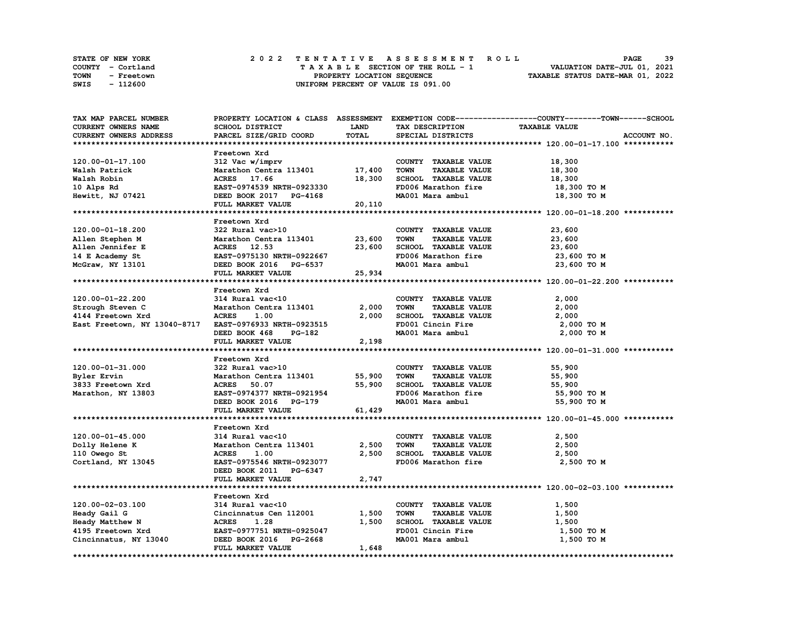|             | STATE OF NEW YORK |  | 2022 TENTATIVE ASSESSMENT ROLL                                 | PAGE                        | 39 |
|-------------|-------------------|--|----------------------------------------------------------------|-----------------------------|----|
|             | COUNTY - Cortland |  | TAXABLE SECTION OF THE ROLL - 1                                | VALUATION DATE-JUL 01, 2021 |    |
| <b>TOWN</b> | - Freetown        |  | TAXABLE STATUS DATE-MAR 01, 2022<br>PROPERTY LOCATION SEQUENCE |                             |    |
| SWIS        | - 112600          |  | UNIFORM PERCENT OF VALUE IS 091.00                             |                             |    |

| TAX MAP PARCEL NUMBER        |                                                |             |                                     | PROPERTY LOCATION & CLASS ASSESSMENT EXEMPTION CODE----------------COUNTY-------TOWN-----SCHOOL |
|------------------------------|------------------------------------------------|-------------|-------------------------------------|-------------------------------------------------------------------------------------------------|
| <b>CURRENT OWNERS NAME</b>   | SCHOOL DISTRICT                                | <b>LAND</b> | TAX DESCRIPTION                     | <b>TAXABLE VALUE</b>                                                                            |
| CURRENT OWNERS ADDRESS       | PARCEL SIZE/GRID COORD                         | TOTAL       | SPECIAL DISTRICTS                   | ACCOUNT NO.                                                                                     |
|                              |                                                |             |                                     |                                                                                                 |
|                              | Freetown Xrd                                   |             |                                     |                                                                                                 |
| 120.00-01-17.100             | 312 Vac w/imprv                                |             | COUNTY TAXABLE VALUE                | 18,300                                                                                          |
| Walsh Patrick                | Marathon Centra 113401                         | 17,400      | <b>TOWN</b><br><b>TAXABLE VALUE</b> | 18,300                                                                                          |
|                              |                                                |             |                                     |                                                                                                 |
| Walsh Robin                  | ACRES 17.66                                    | 18,300      | SCHOOL TAXABLE VALUE                | 18,300                                                                                          |
| 10 Alps Rd                   | EAST-0974539 NRTH-0923330                      |             | FD006 Marathon fire                 | 18,300 TO M                                                                                     |
| Hewitt, NJ 07421             | DEED BOOK 2017 PG-4168                         |             | MA001 Mara ambul                    | 18,300 TO M                                                                                     |
|                              | FULL MARKET VALUE                              | 20,110      |                                     |                                                                                                 |
|                              |                                                |             |                                     |                                                                                                 |
|                              | Freetown Xrd                                   |             |                                     |                                                                                                 |
| 120.00-01-18.200             | 322 Rural vac>10                               |             | COUNTY TAXABLE VALUE                | 23,600                                                                                          |
| Allen Stephen M              | Marathon Centra 113401                         | 23,600      | <b>TOWN</b><br><b>TAXABLE VALUE</b> | 23,600                                                                                          |
| Allen Jennifer E             | ACRES 12.53                                    | 23,600      | SCHOOL TAXABLE VALUE                | 23,600                                                                                          |
| 14 E Academy St              | EAST-0975130 NRTH-0922667                      |             | FD006 Marathon fire                 | 23,600 TO M                                                                                     |
| McGraw, NY 13101             | DEED BOOK 2016 PG-6537                         |             | MA001 Mara ambul                    | 23,600 TO M                                                                                     |
|                              | FULL MARKET VALUE                              | 25,934      |                                     |                                                                                                 |
|                              |                                                |             |                                     |                                                                                                 |
|                              | Freetown Xrd                                   |             |                                     |                                                                                                 |
| 120.00-01-22.200             | 314 Rural vac<10                               |             | COUNTY TAXABLE VALUE                | 2,000                                                                                           |
|                              |                                                |             |                                     |                                                                                                 |
| Strough Steven C             | Marathon Centra 113401                         | 2,000       | <b>TOWN</b><br><b>TAXABLE VALUE</b> | 2,000                                                                                           |
| 4144 Freetown Xrd            | <b>ACRES</b><br>1.00                           | 2,000       | SCHOOL TAXABLE VALUE                | 2,000                                                                                           |
| East Freetown, NY 13040-8717 | EAST-0976933 NRTH-0923515                      |             | FD001 Cincin Fire                   | 2,000 TO M                                                                                      |
|                              | DEED BOOK 468<br>PG-182                        |             | MA001 Mara ambul                    | 2,000 TO M                                                                                      |
|                              | FULL MARKET VALUE                              | 2,198       |                                     |                                                                                                 |
|                              |                                                |             |                                     |                                                                                                 |
|                              | Freetown Xrd                                   |             |                                     |                                                                                                 |
| 120.00-01-31.000             | 322 Rural vac>10                               |             | COUNTY TAXABLE VALUE                | 55,900                                                                                          |
| Byler Ervin                  | Marathon Centra 113401                         | 55,900      | <b>TOWN</b><br><b>TAXABLE VALUE</b> | 55,900                                                                                          |
| 3833 Freetown Xrd            | 50.07<br><b>ACRES</b>                          | 55,900      | SCHOOL TAXABLE VALUE                | 55,900                                                                                          |
| Marathon, NY 13803           | EAST-0974377 NRTH-0921954                      |             | FD006 Marathon fire                 | 55,900 TO M                                                                                     |
|                              | DEED BOOK 2016 PG-179                          |             | MA001 Mara ambul                    | 55,900 TO M                                                                                     |
|                              | FULL MARKET VALUE                              | 61,429      |                                     |                                                                                                 |
|                              |                                                |             |                                     |                                                                                                 |
|                              |                                                |             |                                     |                                                                                                 |
| 120.00-01-45.000             | Freetown Xrd<br>314 Rural vac<10               |             | COUNTY TAXABLE VALUE                | 2,500                                                                                           |
|                              |                                                |             |                                     |                                                                                                 |
|                              |                                                |             |                                     |                                                                                                 |
| Dolly Helene K               | Marathon Centra 113401                         | 2,500       | <b>TOWN</b><br><b>TAXABLE VALUE</b> | 2,500                                                                                           |
| 110 Owego St                 | <b>ACRES</b><br>1.00                           | 2,500       | SCHOOL TAXABLE VALUE                | 2,500                                                                                           |
| Cortland, NY 13045           | EAST-0975546 NRTH-0923077                      |             | FD006 Marathon fire                 | 2,500 TO M                                                                                      |
|                              | DEED BOOK 2011 PG-6347                         |             |                                     |                                                                                                 |
|                              | FULL MARKET VALUE                              | 2,747       |                                     |                                                                                                 |
|                              |                                                |             |                                     |                                                                                                 |
|                              | Freetown Xrd                                   |             |                                     |                                                                                                 |
| 120.00-02-03.100             | 314 Rural vac<10                               |             | COUNTY TAXABLE VALUE                | 1,500                                                                                           |
|                              |                                                |             | <b>TAXABLE VALUE</b><br><b>TOWN</b> |                                                                                                 |
| Heady Gail G                 | Cincinnatus Cen 112001<br><b>ACRES</b><br>1.28 | 1,500       |                                     | 1,500                                                                                           |
| Heady Matthew N              |                                                | 1,500       | SCHOOL TAXABLE VALUE                | 1,500                                                                                           |
| 4195 Freetown Xrd            | EAST-0977751 NRTH-0925047                      |             | FD001 Cincin Fire                   | 1,500 TO M                                                                                      |
| Cincinnatus, NY 13040        | DEED BOOK 2016 PG-2668<br>FULL MARKET VALUE    | 1,648       | MA001 Mara ambul                    | 1,500 TO M                                                                                      |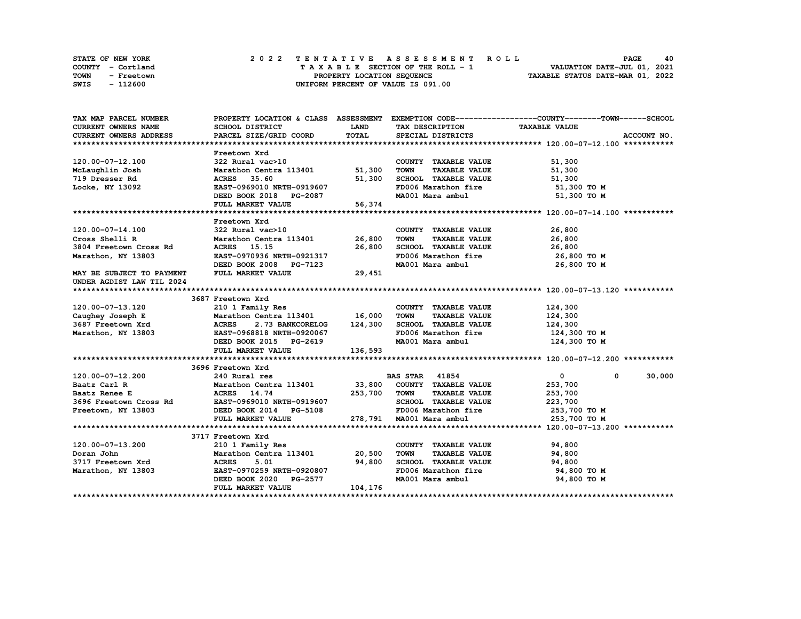| STATE OF NEW YORK         | 2022 TENTATIVE ASSESSMENT ROLL     | 40<br><b>PAGE</b>                |
|---------------------------|------------------------------------|----------------------------------|
| COUNTY - Cortland         | TAXABLE SECTION OF THE ROLL - 1    | VALUATION DATE-JUL 01, 2021      |
| <b>TOWN</b><br>- Freetown | PROPERTY LOCATION SEQUENCE         | TAXABLE STATUS DATE-MAR 01, 2022 |
| SWIS<br>- 112600          | UNIFORM PERCENT OF VALUE IS 091.00 |                                  |

| TAX MAP PARCEL NUMBER                                                                                                                                           |                                                    |              |                                     | PROPERTY LOCATION & CLASS ASSESSMENT EXEMPTION CODE----------------COUNTY-------TOWN-----SCHOOL |
|-----------------------------------------------------------------------------------------------------------------------------------------------------------------|----------------------------------------------------|--------------|-------------------------------------|-------------------------------------------------------------------------------------------------|
| <b>CURRENT OWNERS NAME</b>                                                                                                                                      | SCHOOL DISTRICT                                    | <b>LAND</b>  | TAX DESCRIPTION                     | <b>TAXABLE VALUE</b>                                                                            |
| CURRENT OWNERS ADDRESS                                                                                                                                          | PARCEL SIZE/GRID COORD                             | TOTAL        | SPECIAL DISTRICTS                   | ACCOUNT NO.                                                                                     |
|                                                                                                                                                                 |                                                    |              |                                     |                                                                                                 |
|                                                                                                                                                                 | Freetown Xrd                                       |              |                                     |                                                                                                 |
| 120.00-07-12.100                                                                                                                                                | 322 Rural vac>10                                   |              | COUNTY TAXABLE VALUE                | 51,300                                                                                          |
| McLaughlin Josh                                                                                                                                                 | Marathon Centra 113401 51,300                      |              | <b>TAXABLE VALUE</b><br><b>TOWN</b> | 51,300                                                                                          |
| 719 Dresser Rd                                                                                                                                                  | 35.60<br><b>ACRES</b>                              | 51,300       | SCHOOL TAXABLE VALUE                | 51,300                                                                                          |
| Locke, NY 13092                                                                                                                                                 | EAST-0969010 NRTH-0919607                          |              | FD006 Marathon fire                 | 51,300 TO M                                                                                     |
|                                                                                                                                                                 | DEED BOOK 2018 PG-2087                             |              | MA001 Mara ambul                    | 51,300 TO M                                                                                     |
|                                                                                                                                                                 | FULL MARKET VALUE                                  | 56,374       |                                     |                                                                                                 |
|                                                                                                                                                                 |                                                    |              |                                     |                                                                                                 |
|                                                                                                                                                                 | Freetown Xrd                                       |              |                                     |                                                                                                 |
| 120.00-07-14.100                                                                                                                                                | 322 Rural vac>10                                   |              | COUNTY TAXABLE VALUE                | 26,800                                                                                          |
| Cross Shelli R                                                                                                                                                  | Marathon Centra 113401 26,800                      |              | <b>TOWN</b><br><b>TAXABLE VALUE</b> | 26,800                                                                                          |
| 3804 Freetown Cross Rd                                                                                                                                          | ACRES 15.15                                        | 26,800       | SCHOOL TAXABLE VALUE                | 26,800                                                                                          |
| Marathon, NY 13803                                                                                                                                              | EAST-0970936 NRTH-0921317                          |              | FD006 Marathon fire                 | 26,800 то м                                                                                     |
|                                                                                                                                                                 | DEED BOOK 2008 PG-7123                             |              | MA001 Mara ambul                    | 26,800 TO M                                                                                     |
| MAY BE SUBJECT TO PAYMENT                                                                                                                                       | FULL MARKET VALUE                                  | 29,451       |                                     |                                                                                                 |
| UNDER AGDIST LAW TIL 2024                                                                                                                                       |                                                    |              |                                     |                                                                                                 |
|                                                                                                                                                                 |                                                    |              |                                     |                                                                                                 |
|                                                                                                                                                                 | 3687 Freetown Xrd                                  |              |                                     |                                                                                                 |
| 120.00-07-13.120                                                                                                                                                | 210 1 Family Res                                   |              | COUNTY TAXABLE VALUE                | 124,300                                                                                         |
|                                                                                                                                                                 |                                                    |              | <b>TOWN</b><br><b>TAXABLE VALUE</b> | 124,300                                                                                         |
| Caughey Joseph E<br>Caughey Joseph E<br>3687 Freetown Xrd<br>Marathon Centra 113401 16,000<br>3687 Freetown Xrd<br>Marathon, NY 13803 EAST-0968818 NRTH-0920067 |                                                    |              | SCHOOL TAXABLE VALUE                | 124,300                                                                                         |
|                                                                                                                                                                 |                                                    |              | FD006 Marathon fire                 | 124,300 то м                                                                                    |
|                                                                                                                                                                 | DEED BOOK 2015 PG-2619                             |              | MA001 Mara ambul                    | 124,300 TO M                                                                                    |
|                                                                                                                                                                 | FULL MARKET VALUE                                  | 136,593      |                                     |                                                                                                 |
|                                                                                                                                                                 |                                                    |              |                                     |                                                                                                 |
|                                                                                                                                                                 | 3696 Freetown Xrd                                  |              |                                     |                                                                                                 |
| 120.00-07-12.200                                                                                                                                                | 240 Rural res                                      |              | <b>BAS STAR 41854</b>               | $\mathbf{0}$<br>30,000<br>$^{\circ}$                                                            |
| Baatz Carl R                                                                                                                                                    | Marathon Centra 113401 33,800 COUNTY TAXABLE VALUE |              |                                     | 253,700                                                                                         |
| Baatz Renee E                                                                                                                                                   | ACRES 14.74                                        | 253,700 TOWN | <b>TAXABLE VALUE</b>                | 253,700                                                                                         |
|                                                                                                                                                                 |                                                    |              | SCHOOL TAXABLE VALUE                | 223,700                                                                                         |
| 3696 Freetown Cross Rd EAST-0969010 NRTH-0919607<br>Freetown, NY 13803 DEED BOOK 2014 PG-5108                                                                   |                                                    |              | FD006 Marathon fire                 | 253,700 TO M                                                                                    |
|                                                                                                                                                                 | FULL MARKET VALUE                                  |              | 278,791 MA001 Mara ambul            | 253,700 TO M                                                                                    |
|                                                                                                                                                                 |                                                    |              |                                     |                                                                                                 |
|                                                                                                                                                                 | 3717 Freetown Xrd                                  |              |                                     |                                                                                                 |
| 120.00-07-13.200                                                                                                                                                | 210 1 Family Res                                   |              | COUNTY TAXABLE VALUE                | 94,800                                                                                          |
| Doran John                                                                                                                                                      | Marathon Centra 113401 20,500                      |              | <b>TOWN</b><br><b>TAXABLE VALUE</b> | 94,800                                                                                          |
| 3717 Freetown Xrd                                                                                                                                               | <b>ACRES</b><br>5.01                               | 94,800       | SCHOOL TAXABLE VALUE                | 94,800                                                                                          |
| Marathon, NY 13803                                                                                                                                              | EAST-0970259 NRTH-0920807                          |              | FD006 Marathon fire                 | 94,800 TO M                                                                                     |
|                                                                                                                                                                 | DEED BOOK 2020 PG-2577                             |              | MA001 Mara ambul                    | 94,800 TO M                                                                                     |
|                                                                                                                                                                 | FULL MARKET VALUE                                  | 104,176      |                                     |                                                                                                 |
|                                                                                                                                                                 |                                                    |              |                                     |                                                                                                 |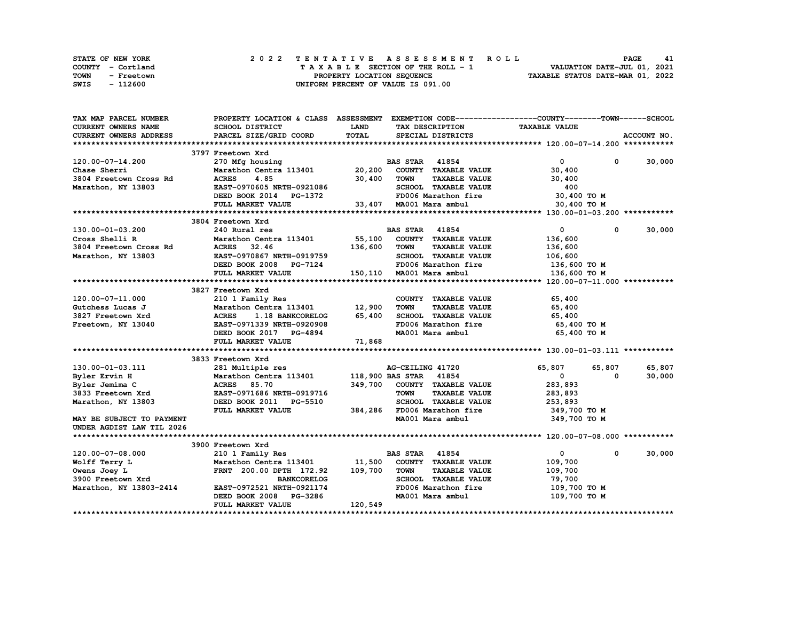| STATE OF NEW YORK         | 2022 TENTATIVE ASSESSMENT ROLL     | 41<br>PAGE                       |
|---------------------------|------------------------------------|----------------------------------|
| COUNTY - Cortland         | TAXABLE SECTION OF THE ROLL - 1    | VALUATION DATE-JUL 01, 2021      |
| <b>TOWN</b><br>- Freetown | PROPERTY LOCATION SEQUENCE         | TAXABLE STATUS DATE-MAR 01, 2022 |
| SWIS<br>- 112600          | UNIFORM PERCENT OF VALUE IS 091.00 |                                  |

| TAX MAP PARCEL NUMBER         | PROPERTY LOCATION & CLASS ASSESSMENT |              |                                     | EXEMPTION CODE-----------------COUNTY-------TOWN-----SCHOOL |                      |
|-------------------------------|--------------------------------------|--------------|-------------------------------------|-------------------------------------------------------------|----------------------|
| <b>CURRENT OWNERS NAME</b>    | <b>SCHOOL DISTRICT</b>               | <b>LAND</b>  | TAX DESCRIPTION                     | <b>TAXABLE VALUE</b>                                        |                      |
| <b>CURRENT OWNERS ADDRESS</b> | PARCEL SIZE/GRID COORD               | <b>TOTAL</b> | SPECIAL DISTRICTS                   |                                                             | ACCOUNT NO.          |
|                               |                                      |              |                                     |                                                             |                      |
|                               | 3797 Freetown Xrd                    |              |                                     |                                                             |                      |
| 120.00-07-14.200              | 270 Mfg housing                      |              | <b>BAS STAR 41854</b>               | $\mathbf 0$                                                 | 30,000<br>$^{\circ}$ |
| Chase Sherri                  | Marathon Centra 113401 20,200        |              | COUNTY TAXABLE VALUE                | 30,400                                                      |                      |
| 3804 Freetown Cross Rd        | <b>ACRES</b><br>4.85                 | 30,400       | <b>TOWN</b><br><b>TAXABLE VALUE</b> | 30,400                                                      |                      |
| Marathon, NY 13803            | EAST-0970605 NRTH-0921086            |              | SCHOOL TAXABLE VALUE                | 400                                                         |                      |
|                               | DEED BOOK 2014 PG-1372               |              | FD006 Marathon fire                 | 30,400 TO M                                                 |                      |
|                               | FULL MARKET VALUE                    |              |                                     |                                                             |                      |
|                               |                                      |              | 33,407 MA001 Mara ambul             | 30,400 TO M                                                 |                      |
|                               |                                      |              |                                     |                                                             |                      |
|                               | 3804 Freetown Xrd                    |              |                                     |                                                             |                      |
| 130.00-01-03.200              | 240 Rural res                        |              | <b>BAS STAR 41854</b>               | $\mathbf 0$                                                 | 30,000<br>0          |
| Cross Shelli R                | Marathon Centra 113401               | 55,100       | COUNTY TAXABLE VALUE                | 136,600                                                     |                      |
| 3804 Freetown Cross Rd        | <b>ACRES</b><br>32.46                | 136,600      | <b>TOWN</b><br><b>TAXABLE VALUE</b> | 136,600                                                     |                      |
| Marathon, NY 13803            | EAST-0970867 NRTH-0919759            |              | SCHOOL TAXABLE VALUE                | 106,600                                                     |                      |
|                               | DEED BOOK 2008 PG-7124               |              | FD006 Marathon fire                 | 136,600 то м                                                |                      |
|                               | FULL MARKET VALUE                    |              | 150,110 MA001 Mara ambul            | 136,600 TO M                                                |                      |
|                               |                                      |              |                                     |                                                             |                      |
|                               | 3827 Freetown Xrd                    |              |                                     |                                                             |                      |
| 120.00-07-11.000              | 210 1 Family Res                     |              | COUNTY TAXABLE VALUE                | 65,400                                                      |                      |
| Gutchess Lucas J              | Marathon Centra 113401               | 12,900       | <b>TOWN</b><br><b>TAXABLE VALUE</b> | 65,400                                                      |                      |
| 3827 Freetown Xrd             | <b>ACRES</b><br>1.18 BANKCORELOG     | 65,400       | SCHOOL TAXABLE VALUE                | 65,400                                                      |                      |
| Freetown, NY 13040            | EAST-0971339 NRTH-0920908            |              | FD006 Marathon fire                 | 65,400 то м                                                 |                      |
|                               | DEED BOOK 2017 PG-4894               |              | MA001 Mara ambul                    | 65,400 TO M                                                 |                      |
|                               | FULL MARKET VALUE                    | 71,868       |                                     |                                                             |                      |
|                               |                                      |              |                                     |                                                             |                      |
|                               | 3833 Freetown Xrd                    |              |                                     |                                                             |                      |
| 130.00-01-03.111              | 281 Multiple res                     |              | AG-CEILING 41720                    | 65,807<br>65,807                                            | 65,807               |
| Byler Ervin H                 | Marathon Centra 113401               |              | 118,900 BAS STAR 41854              | $\mathbf{0}$                                                | 30,000<br>$\Omega$   |
| Byler Jemima C                | <b>ACRES</b><br>85.70                | 349,700      | COUNTY TAXABLE VALUE                | 283,893                                                     |                      |
| 3833 Freetown Xrd             | EAST-0971686 NRTH-0919716            |              | <b>TOWN</b><br><b>TAXABLE VALUE</b> | 283,893                                                     |                      |
| Marathon, NY 13803            | DEED BOOK 2011 PG-5510               |              | SCHOOL TAXABLE VALUE                | 253,893                                                     |                      |
|                               |                                      |              |                                     |                                                             |                      |
|                               | FULL MARKET VALUE                    | 384,286      | FD006 Marathon fire                 | 349,700 TO M                                                |                      |
| MAY BE SUBJECT TO PAYMENT     |                                      |              | MA001 Mara ambul                    | 349,700 TO M                                                |                      |
| UNDER AGDIST LAW TIL 2026     |                                      |              |                                     |                                                             |                      |
|                               |                                      |              |                                     |                                                             |                      |
|                               | 3900 Freetown Xrd                    |              |                                     |                                                             |                      |
| 120.00-07-08.000              | 210 1 Family Res                     |              | 41854<br><b>BAS STAR</b>            | $\mathbf 0$                                                 | 30,000<br>0          |
| Wolff Terry L                 | Marathon Centra 113401               | 11,500       | COUNTY TAXABLE VALUE                | 109,700                                                     |                      |
| Owens Joey L                  | FRNT 200.00 DPTH 172.92              | 109,700      | <b>TOWN</b><br><b>TAXABLE VALUE</b> | 109,700                                                     |                      |
| 3900 Freetown Xrd             | <b>BANKCORELOG</b>                   |              | SCHOOL TAXABLE VALUE                | 79,700                                                      |                      |
| Marathon, NY 13803-2414       | EAST-0972521 NRTH-0921174            |              | FD006 Marathon fire                 | 109,700 TO M                                                |                      |
|                               | DEED BOOK 2008 PG-3286               |              | MA001 Mara ambul                    | 109,700 TO M                                                |                      |
|                               | FULL MARKET VALUE                    | 120,549      |                                     |                                                             |                      |
|                               |                                      |              |                                     |                                                             |                      |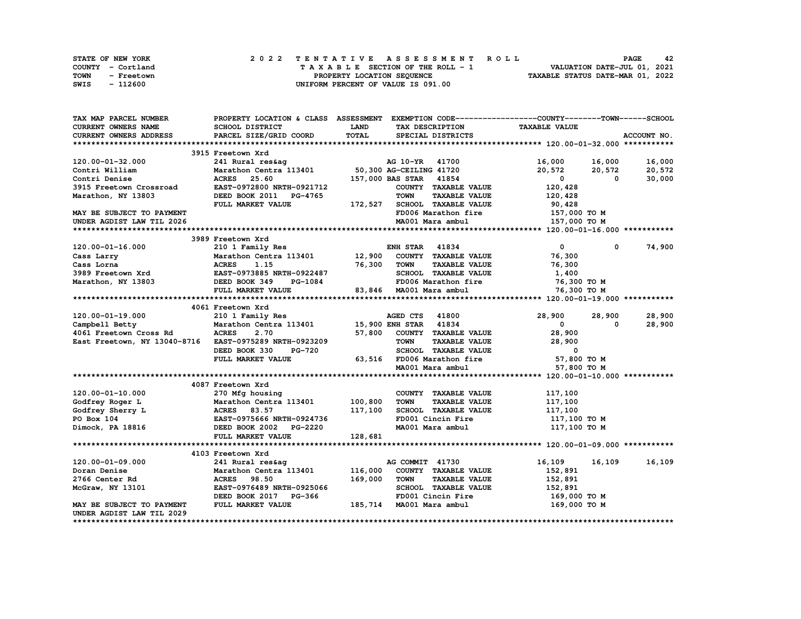| <b>STATE OF NEW YORK</b> | 2022 TENTATIVE ASSESSMENT ROLL     | 42<br><b>PAGE</b>                |
|--------------------------|------------------------------------|----------------------------------|
| COUNTY - Cortland        | TAXABLE SECTION OF THE ROLL - 1    | VALUATION DATE-JUL 01, 2021      |
| TOWN<br>- Freetown       | PROPERTY LOCATION SEQUENCE         | TAXABLE STATUS DATE-MAR 01, 2022 |
| SWIS<br>- 112600         | UNIFORM PERCENT OF VALUE IS 091.00 |                                  |

| TAX MAP PARCEL NUMBER        | PROPERTY LOCATION & CLASS ASSESSMENT EXEMPTION CODE----------------COUNTY-------TOWN-----SCHOOL |             |                                     |                         |                        |
|------------------------------|-------------------------------------------------------------------------------------------------|-------------|-------------------------------------|-------------------------|------------------------|
| <b>CURRENT OWNERS NAME</b>   | SCHOOL DISTRICT                                                                                 | <b>LAND</b> | TAX DESCRIPTION                     | <b>TAXABLE VALUE</b>    |                        |
| CURRENT OWNERS ADDRESS       | PARCEL SIZE/GRID COORD                                                                          | TOTAL       | SPECIAL DISTRICTS                   |                         | ACCOUNT NO.            |
|                              |                                                                                                 |             |                                     |                         |                        |
|                              | 3915 Freetown Xrd                                                                               |             |                                     |                         |                        |
| 120.00-01-32.000             | 241 Rural res&aq                                                                                |             | AG 10-YR 41700                      | 16,000<br>16,000        | 16,000                 |
| Contri William               | Marathon Centra 113401                                                                          |             | 50,300 AG-CEILING 41720             | 20,572<br>20,572        | 20,572                 |
| Contri Denise                | <b>ACRES</b><br>25.60                                                                           |             | 157,000 BAS STAR 41854              | $\mathbf{0}$            | $\mathbf{0}$<br>30,000 |
| 3915 Freetown Crossroad      | EAST-0972800 NRTH-0921712                                                                       |             | COUNTY TAXABLE VALUE                | 120,428                 |                        |
| Marathon, NY 13803           | DEED BOOK 2011 PG-4765                                                                          |             | <b>TOWN</b><br><b>TAXABLE VALUE</b> | 120,428                 |                        |
|                              | FULL MARKET VALUE                                                                               | 172,527     | SCHOOL TAXABLE VALUE                | 90,428                  |                        |
| MAY BE SUBJECT TO PAYMENT    |                                                                                                 |             | FD006 Marathon fire                 | 157,000 TO M            |                        |
| UNDER AGDIST LAW TIL 2026    |                                                                                                 |             | MA001 Mara ambul                    | 157,000 TO M            |                        |
|                              |                                                                                                 |             |                                     |                         |                        |
|                              | 3989 Freetown Xrd                                                                               |             |                                     |                         |                        |
| $120.00 - 01 - 16.000$       | 210 1 Family Res                                                                                |             | <b>ENH STAR 41834</b>               | $\mathbf{0}$            | 74,900<br>$^{\circ}$   |
| Cass Larry                   | Marathon Centra 113401                                                                          | 12,900      | COUNTY TAXABLE VALUE                | 76,300                  |                        |
| Cass Lorna                   | <b>ACRES</b><br>1.15                                                                            | 76,300      | <b>TOWN</b><br><b>TAXABLE VALUE</b> | 76,300                  |                        |
| 3989 Freetown Xrd            | EAST-0973885 NRTH-0922487                                                                       |             | SCHOOL TAXABLE VALUE                | 1,400                   |                        |
| Marathon, NY 13803           | DEED BOOK 349<br>PG-1084                                                                        |             | FD006 Marathon fire                 | 76,300 TO M             |                        |
|                              | FULL MARKET VALUE                                                                               |             | 83,846 MA001 Mara ambul             | 76,300 TO M             |                        |
|                              |                                                                                                 |             |                                     |                         |                        |
|                              | 4061 Freetown Xrd                                                                               |             |                                     |                         |                        |
| 120.00-01-19.000             | 210 1 Family Res                                                                                |             | AGED CTS 41800                      | 28,900<br>28,900        | 28,900                 |
| Campbell Betty               | Marathon Centra 113401                                                                          |             | 41834<br><b>15,900 ENH STAR</b>     | $\mathbf{0}$            | 28,900<br>$\Omega$     |
| 4061 Freetown Cross Rd       | <b>ACRES</b><br>2.70                                                                            |             | 57,800 COUNTY TAXABLE VALUE         | 28,900                  |                        |
| East Freetown, NY 13040-8716 | EAST-0975289 NRTH-0923209                                                                       |             | <b>TOWN</b><br><b>TAXABLE VALUE</b> | 28,900                  |                        |
|                              | DEED BOOK 330<br><b>PG-720</b>                                                                  |             | SCHOOL TAXABLE VALUE                | $\overline{\mathbf{0}}$ |                        |
|                              | FULL MARKET VALUE                                                                               |             |                                     |                         |                        |
|                              |                                                                                                 |             | 63,516 FD006 Marathon fire          | 57,800 TO M             |                        |
|                              |                                                                                                 |             | MA001 Mara ambul                    | 57,800 TO M             |                        |
|                              |                                                                                                 |             |                                     |                         |                        |
|                              | 4087 Freetown Xrd                                                                               |             |                                     |                         |                        |
| 120.00-01-10.000             | 270 Mfg housing                                                                                 |             | COUNTY TAXABLE VALUE                | 117,100                 |                        |
| Godfrey Roger L              | Marathon Centra 113401                                                                          | 100,800     | <b>TOWN</b><br><b>TAXABLE VALUE</b> | 117,100                 |                        |
| Godfrey Sherry L             | <b>ACRES</b> 83.57                                                                              | 117,100     | SCHOOL TAXABLE VALUE                | 117,100                 |                        |
| PO Box 104                   | EAST-0975666 NRTH-0924736                                                                       |             | FD001 Cincin Fire                   | 117,100 TO M            |                        |
| Dimock, PA 18816             | DEED BOOK 2002 PG-2220                                                                          |             | MA001 Mara ambul                    | 117,100 TO M            |                        |
|                              | FULL MARKET VALUE                                                                               | 128,681     |                                     |                         |                        |
|                              |                                                                                                 |             |                                     |                         |                        |
|                              | 4103 Freetown Xrd                                                                               |             |                                     |                         |                        |
| 120.00-01-09.000             | 241 Rural res&ag                                                                                |             | AG COMMIT 41730                     | 16,109<br>16,109        | 16,109                 |
| Doran Denise                 | Marathon Centra 113401                                                                          | 116,000     | COUNTY TAXABLE VALUE                | 152,891                 |                        |
| 2766 Center Rd               | <b>ACRES</b> 98.50                                                                              | 169,000     | <b>TAXABLE VALUE</b><br><b>TOWN</b> | 152,891                 |                        |
| McGraw, NY 13101             | EAST-0976489 NRTH-0925066                                                                       |             | SCHOOL TAXABLE VALUE                | 152,891                 |                        |
|                              | DEED BOOK 2017 PG-366                                                                           |             | FD001 Cincin Fire                   | 169,000 то м            |                        |
| MAY BE SUBJECT TO PAYMENT    | FULL MARKET VALUE                                                                               |             | 185,714 MA001 Mara ambul            | 169,000 то м            |                        |
| UNDER AGDIST LAW TIL 2029    |                                                                                                 |             |                                     |                         |                        |
|                              |                                                                                                 |             |                                     |                         |                        |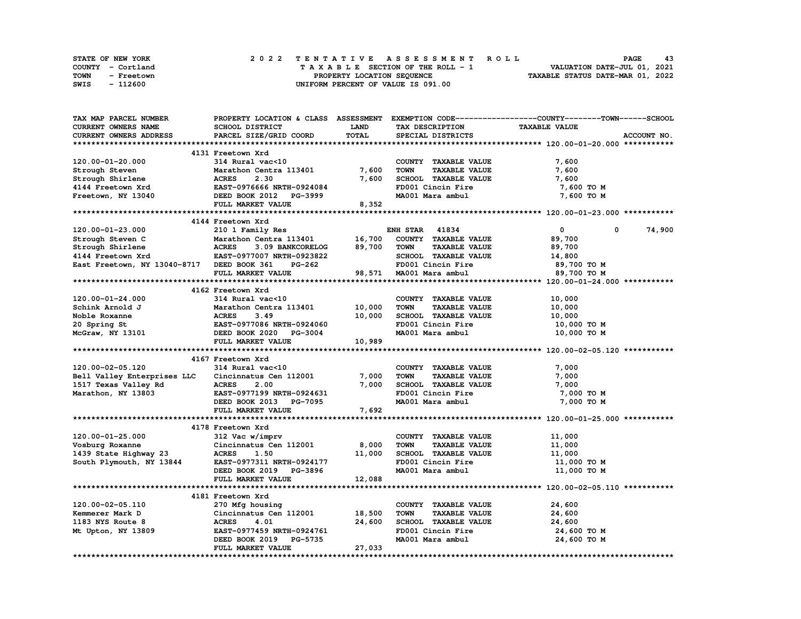| STATE OF NEW YORK  | 2022 TENTATIVE ASSESSMENT ROLL     | 43<br>PAGE                       |
|--------------------|------------------------------------|----------------------------------|
| COUNTY - Cortland  | TAXABLE SECTION OF THE ROLL - 1    | VALUATION DATE-JUL 01, 2021      |
| TOWN<br>- Freetown | PROPERTY LOCATION SEQUENCE         | TAXABLE STATUS DATE-MAR 01, 2022 |
| SWIS<br>- 112600   | UNIFORM PERCENT OF VALUE IS 091.00 |                                  |

| TAX MAP PARCEL NUMBER                      |                                                     |             |                                     | PROPERTY LOCATION & CLASS ASSESSMENT EXEMPTION CODE----------------COUNTY-------TOWN-----SCHOOL |
|--------------------------------------------|-----------------------------------------------------|-------------|-------------------------------------|-------------------------------------------------------------------------------------------------|
| <b>CURRENT OWNERS NAME</b>                 | SCHOOL DISTRICT                                     | <b>LAND</b> | TAX DESCRIPTION                     | <b>TAXABLE VALUE</b>                                                                            |
| CURRENT OWNERS ADDRESS                     | PARCEL SIZE/GRID COORD                              | TOTAL       | SPECIAL DISTRICTS                   | ACCOUNT NO.                                                                                     |
|                                            |                                                     |             |                                     |                                                                                                 |
|                                            | 4131 Freetown Xrd                                   |             |                                     |                                                                                                 |
| 120.00-01-20.000                           | 314 Rural vac<10                                    |             | COUNTY TAXABLE VALUE                | 7,600                                                                                           |
| Strough Steven                             | Marathon Centra 113401                              | 7,600       | <b>TAXABLE VALUE</b><br><b>TOWN</b> | 7,600                                                                                           |
| Strough Shirlene                           | 2.30<br><b>ACRES</b>                                | 7,600       | SCHOOL TAXABLE VALUE                | 7,600                                                                                           |
| 4144 Freetown Xrd                          | EAST-0976666 NRTH-0924084                           |             | FD001 Cincin Fire                   | 7,600 то м                                                                                      |
| Freetown, NY 13040                         | DEED BOOK 2012 PG-3999                              |             | MA001 Mara ambul                    |                                                                                                 |
|                                            |                                                     |             |                                     | 7,600 TO M                                                                                      |
|                                            | FULL MARKET VALUE                                   | 8,352       |                                     |                                                                                                 |
|                                            |                                                     |             |                                     |                                                                                                 |
|                                            | 4144 Freetown Xrd                                   |             |                                     |                                                                                                 |
| 120.00-01-23.000                           | 210 1 Family Res                                    |             | <b>ENH STAR 41834</b>               | $\mathbf{0}$<br>74,900<br>0                                                                     |
| Strough Steven C                           | Marathon Centra 113401                              | 16,700      | COUNTY TAXABLE VALUE                | 89,700                                                                                          |
| Strough Shirlene                           | <b>ACRES</b><br>3.09 BANKCORELOG                    | 89,700      | <b>TAXABLE VALUE</b><br><b>TOWN</b> | 89,700                                                                                          |
| 4144 Freetown Xrd                          | <b>EAST-0977007 NRTH-0923822</b>                    |             | SCHOOL TAXABLE VALUE                | 14,800                                                                                          |
| East Freetown, NY 13040-8717 DEED BOOK 361 | PG-262                                              |             | FD001 Cincin Fire                   | 89,700 TO M                                                                                     |
|                                            | FULL MARKET VALUE                                   |             | 98,571 MA001 Mara ambul             | 89,700 TO M                                                                                     |
|                                            |                                                     |             |                                     |                                                                                                 |
|                                            | 4162 Freetown Xrd                                   |             |                                     |                                                                                                 |
| $120.00 - 01 - 24.000$                     | 314 Rural vac<10                                    |             | COUNTY TAXABLE VALUE                | 10,000                                                                                          |
| Schink Arnold J                            | Marathon Centra 113401                              | 10,000      | <b>TOWN</b><br><b>TAXABLE VALUE</b> | 10,000                                                                                          |
| Noble Roxanne                              | <b>ACRES</b><br>3.49                                | 10,000      | SCHOOL TAXABLE VALUE                | 10,000                                                                                          |
| 20 Spring St                               |                                                     |             | FD001 Cincin Fire                   | 10,000 TO M                                                                                     |
| McGraw, NY 13101                           | EAST-0977086 NRTH-0924060<br>DEED BOOK 2020 PG-3004 |             | MA001 Mara ambul                    | 10,000 TO M                                                                                     |
|                                            | FULL MARKET VALUE                                   | 10,989      |                                     |                                                                                                 |
|                                            |                                                     |             |                                     |                                                                                                 |
|                                            |                                                     |             |                                     |                                                                                                 |
|                                            | 4167 Freetown Xrd<br>314 Rural vac<10               |             |                                     |                                                                                                 |
| 120.00-02-05.120                           |                                                     |             | COUNTY TAXABLE VALUE                | 7,000                                                                                           |
| Bell Valley Enterprises LLC                | Cincinnatus Cen 112001                              | 7,000       | <b>TAXABLE VALUE</b><br><b>TOWN</b> | 7,000                                                                                           |
| 1517 Texas Valley Rd<br>Marathon, NY 13803 | <b>ACRES</b><br>2.00                                | 7,000       | SCHOOL TAXABLE VALUE                | 7,000                                                                                           |
|                                            | EAST-0977199 NRTH-0924631                           |             | FD001 Cincin Fire                   | 7,000 TO M                                                                                      |
|                                            | DEED BOOK 2013 PG-7095                              |             | MA001 Mara ambul                    | 7,000 TO M                                                                                      |
|                                            | FULL MARKET VALUE                                   | 7,692       |                                     |                                                                                                 |
|                                            |                                                     |             |                                     |                                                                                                 |
|                                            | 4178 Freetown Xrd                                   |             |                                     |                                                                                                 |
| 120.00-01-25.000                           | 312 Vac w/imprv                                     |             | COUNTY TAXABLE VALUE                | 11,000                                                                                          |
| Vosburg Roxanne                            | Cincinnatus Cen 112001                              | 8,000       | <b>TOWN</b><br><b>TAXABLE VALUE</b> | 11,000                                                                                          |
| 1439 State Highway 23                      | <b>ACRES</b><br>1.50                                | 11,000      | SCHOOL TAXABLE VALUE                | 11,000                                                                                          |
| South Plymouth, NY 13844                   | EAST-0977311 NRTH-0924177                           |             | FD001 Cincin Fire                   | 11,000 TO M                                                                                     |
|                                            | DEED BOOK 2019 PG-3896                              |             | MA001 Mara ambul                    | 11,000 TO M                                                                                     |
|                                            | FULL MARKET VALUE                                   | 12,088      |                                     |                                                                                                 |
|                                            |                                                     |             |                                     |                                                                                                 |
|                                            | 4181 Freetown Xrd                                   |             |                                     |                                                                                                 |
| 120.00-02-05.110                           |                                                     |             | COUNTY TAXABLE VALUE                | 24,600                                                                                          |
|                                            | 270 Mfg housing<br>Cincinnatus Cen 112001 18,500    |             |                                     |                                                                                                 |
| Kemmerer Mark D                            |                                                     |             | <b>TOWN</b><br><b>TAXABLE VALUE</b> | 24,600                                                                                          |
| 1183 NYS Route 8                           | <b>ACRES</b><br>4.01                                | 24,600      | SCHOOL TAXABLE VALUE                | 24,600                                                                                          |
| Mt Upton, NY 13809                         | EAST-0977459 NRTH-0924761                           |             | FD001 Cincin Fire                   | 24,600 TO M                                                                                     |
|                                            | DEED BOOK 2019 PG-5735                              |             | MA001 Mara ambul                    | 24,600 TO M                                                                                     |
|                                            | FULL MARKET VALUE                                   | 27,033      |                                     |                                                                                                 |
|                                            |                                                     |             |                                     |                                                                                                 |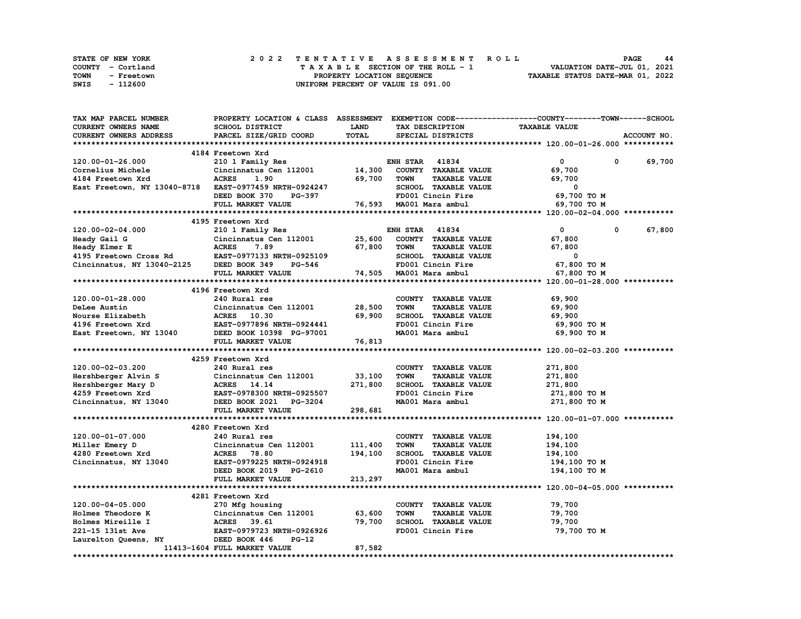| STATE OF NEW YORK |            |  | 2022 TENTATIVE ASSESSMENT ROLL |  |  |                                    |  |  |  |  |  |  |                                  |  | <b>PAGE</b> | 44 |
|-------------------|------------|--|--------------------------------|--|--|------------------------------------|--|--|--|--|--|--|----------------------------------|--|-------------|----|
| COUNTY - Cortland |            |  |                                |  |  | TAXABLE SECTION OF THE ROLL - 1    |  |  |  |  |  |  | VALUATION DATE-JUL 01, 2021      |  |             |    |
| TOWN              | - Freetown |  |                                |  |  | PROPERTY LOCATION SEQUENCE         |  |  |  |  |  |  | TAXABLE STATUS DATE-MAR 01, 2022 |  |             |    |
| SWIS              | - 112600   |  |                                |  |  | UNIFORM PERCENT OF VALUE IS 091.00 |  |  |  |  |  |  |                                  |  |             |    |

| <b>TAX MAP PARCEL NUMBER</b>                                      |                                                          |                                                           |                                     | PROPERTY LOCATION & CLASS ASSESSMENT EXEMPTION CODE----------------COUNTY-------TOWN------SCHOOL |
|-------------------------------------------------------------------|----------------------------------------------------------|-----------------------------------------------------------|-------------------------------------|--------------------------------------------------------------------------------------------------|
| CURRENT OWNERS NAME                                               | SCHOOL DISTRICT                                          | <b>LAND</b>                                               | TAX DESCRIPTION                     | <b>TAXABLE VALUE</b>                                                                             |
| CURRENT OWNERS ADDRESS                                            | PARCEL SIZE/GRID COORD                                   | TOTAL                                                     | SPECIAL DISTRICTS                   | ACCOUNT NO.                                                                                      |
|                                                                   |                                                          |                                                           |                                     |                                                                                                  |
|                                                                   | 4184 Freetown Xrd                                        |                                                           |                                     |                                                                                                  |
| 120.00-01-26.000                                                  | 210 1 Family Res                                         |                                                           | <b>ENH STAR 41834</b>               | $\mathbf{0}$<br>69,700<br>$\mathbf 0$                                                            |
| Cornelius Michele                                                 | Cincinnatus Cen 112001                                   | 14,300                                                    | COUNTY TAXABLE VALUE                | 69,700                                                                                           |
| 4184 Freetown Xrd                                                 | <b>ACRES</b><br>1.90                                     | 69,700                                                    | <b>TOWN</b><br><b>TAXABLE VALUE</b> | 69,700                                                                                           |
| East Freetown, NY 13040-8718 EAST-0977459 NRTH-0924247            |                                                          |                                                           | SCHOOL TAXABLE VALUE                | 0                                                                                                |
|                                                                   | DEED BOOK 370<br><b>PG-397</b>                           | $\mathcal{F}_{\text{max}}$ and $\mathcal{F}_{\text{max}}$ | FD001 Cincin Fire                   | 69,700 TO M                                                                                      |
|                                                                   | FULL MARKET VALUE                                        |                                                           | 76,593 MA001 Mara ambul             | 69,700 TO M                                                                                      |
|                                                                   |                                                          |                                                           |                                     |                                                                                                  |
|                                                                   | 4195 Freetown Xrd                                        |                                                           |                                     |                                                                                                  |
| 120.00-02-04.000                                                  | 210 1 Family Res                                         |                                                           | <b>ENH STAR 41834</b>               | $\mathbf{0}$<br>67,800<br>0                                                                      |
| Heady Gail G                                                      | Cincinnatus Cen 112001                                   | 25,600                                                    | COUNTY TAXABLE VALUE                | 67,800                                                                                           |
|                                                                   |                                                          | 67,800                                                    | TOWN<br><b>TAXABLE VALUE</b>        | 67,800                                                                                           |
| Heady Elmer E<br>4195 Freetown Cross Rd EAST-0977133 NRTH-0925109 |                                                          |                                                           | SCHOOL TAXABLE VALUE                | $\overline{\phantom{0}}$                                                                         |
| Cincinnatus, NY 13040-2125 DEED BOOK 349                          | PG-546                                                   |                                                           | FD001 Cincin Fire                   | 67,800 TO M                                                                                      |
|                                                                   |                                                          |                                                           |                                     |                                                                                                  |
|                                                                   | FULL MARKET VALUE                                        |                                                           | 74,505 MA001 Mara ambul             | 67,800 TO M                                                                                      |
|                                                                   |                                                          |                                                           |                                     |                                                                                                  |
|                                                                   | 4196 Freetown Xrd                                        |                                                           |                                     |                                                                                                  |
| 120.00-01-28.000                                                  | 240 Rural res                                            |                                                           | COUNTY TAXABLE VALUE                | 69,900                                                                                           |
| DeLee Austin                                                      | Cincinnatus Cen 112001                                   | 28,500                                                    | <b>TOWN</b><br><b>TAXABLE VALUE</b> | 69,900                                                                                           |
| Nourse Elizabeth                                                  | ACRES 10.30                                              | 69,900                                                    | SCHOOL TAXABLE VALUE                | 69,900                                                                                           |
| 4196 Freetown Xrd                                                 |                                                          |                                                           | FD001 Cincin Fire                   | 69,900 то м                                                                                      |
| East Freetown, NY 13040                                           |                                                          |                                                           | MA001 Mara ambul                    | 69,900 то м                                                                                      |
|                                                                   | FULL MARKET VALUE                                        | 76,813                                                    |                                     |                                                                                                  |
|                                                                   |                                                          |                                                           |                                     |                                                                                                  |
|                                                                   | 4259 Freetown Xrd                                        |                                                           |                                     |                                                                                                  |
| 120.00-02-03.200                                                  | 240 Rural res                                            |                                                           | COUNTY TAXABLE VALUE                | 271,800                                                                                          |
| Hershberger Alvin S<br>Hershberger Mary D                         | Cincinnatus Cen 112001                                   | 33,100                                                    | <b>TAXABLE VALUE</b><br><b>TOWN</b> | 271,800                                                                                          |
|                                                                   | Cincinnatus C<br>ACRES 14.14                             | 271,800                                                   | SCHOOL TAXABLE VALUE                | 271,800                                                                                          |
| 4259 Freetown Xrd<br>Cincinnatus, NY 13040                        | EAST-0978300 NRTH-0925507                                |                                                           | FD001 Cincin Fire                   | 271,800 то м                                                                                     |
|                                                                   | DEED BOOK 2021 PG-3204                                   |                                                           | MA001 Mara ambul                    | 271,800 TO M                                                                                     |
|                                                                   | FULL MARKET VALUE                                        | 298,681                                                   |                                     |                                                                                                  |
|                                                                   |                                                          |                                                           |                                     |                                                                                                  |
|                                                                   | 4280 Freetown Xrd                                        |                                                           |                                     |                                                                                                  |
| 120.00-01-07.000                                                  | 240 Rural res                                            |                                                           | COUNTY TAXABLE VALUE                | 194,100                                                                                          |
| Miller Emery D                                                    | Cincinnatus Cen 112001                                   | 111,400                                                   | <b>TOWN</b><br><b>TAXABLE VALUE</b> | 194,100                                                                                          |
|                                                                   |                                                          |                                                           |                                     |                                                                                                  |
|                                                                   |                                                          |                                                           |                                     |                                                                                                  |
| 4280 Freetown Xrd                                                 | <b>ACRES</b> 78.80                                       | 194,100                                                   | SCHOOL TAXABLE VALUE                | 194,100                                                                                          |
| Cincinnatus, NY 13040                                             | EAST-0979225 NRTH-0924918                                |                                                           | FD001 Cincin Fire                   | 194,100 то м                                                                                     |
|                                                                   | DEED BOOK 2019 PG-2610                                   |                                                           | MA001 Mara ambul                    | 194,100 то м                                                                                     |
|                                                                   | FULL MARKET VALUE                                        | 213,297                                                   |                                     |                                                                                                  |
|                                                                   |                                                          |                                                           |                                     |                                                                                                  |
|                                                                   | 4281 Freetown Xrd                                        |                                                           |                                     |                                                                                                  |
| 120.00-04-05.000                                                  | 270 Mfg housing                                          |                                                           | COUNTY TAXABLE VALUE                | 79,700                                                                                           |
| Holmes Theodore K                                                 | Cincinnatus Cen 112001 63,600                            |                                                           | <b>TOWN</b><br><b>TAXABLE VALUE</b> | 79,700                                                                                           |
| Holmes Mireille I                                                 | ACRES 39.61                                              | 79,700                                                    | SCHOOL TAXABLE VALUE                | 79,700                                                                                           |
| 221-15 131st Ave                                                  | EAST-0979723 NRTH-0926926                                |                                                           | FD001 Cincin Fire                   | 79,700 TO M                                                                                      |
| Laurelton Queens, NY                                              | DEED BOOK 446<br>$PG-12$<br>11413-1604 FULL MARKET VALUE | 87,582                                                    |                                     |                                                                                                  |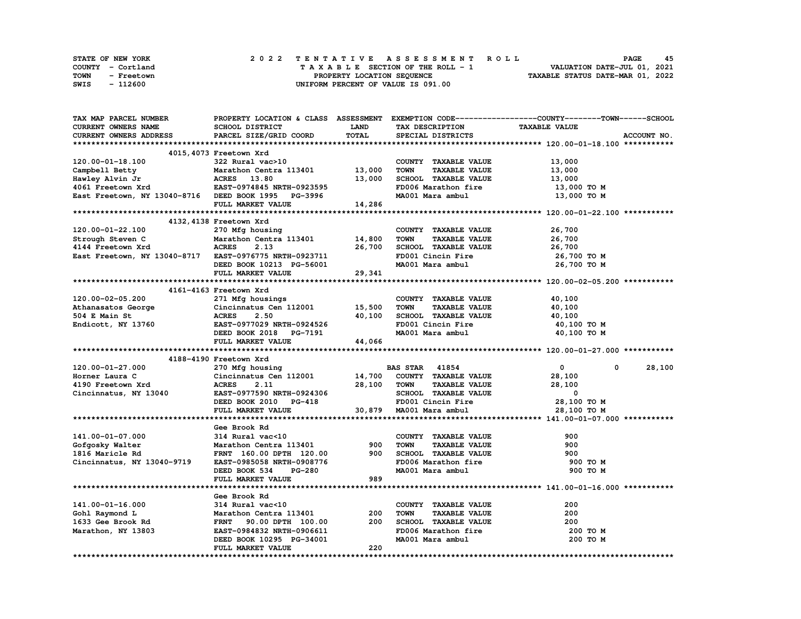| <b>STATE OF NEW YORK</b> | 2022 TENTATIVE ASSESSMENT ROLL     | 45<br>PAGE                       |
|--------------------------|------------------------------------|----------------------------------|
| COUNTY - Cortland        | TAXABLE SECTION OF THE ROLL - 1    | VALUATION DATE-JUL 01, 2021      |
| TOWN<br>- Freetown       | PROPERTY LOCATION SEOUENCE         | TAXABLE STATUS DATE-MAR 01, 2022 |
| SWIS<br>- 112600         | UNIFORM PERCENT OF VALUE IS 091.00 |                                  |

| TAX MAP PARCEL NUMBER                                  |                                                    |              |                                                             | PROPERTY LOCATION & CLASS ASSESSMENT EXEMPTION CODE----------------COUNTY-------TOWN------SCHOOL |
|--------------------------------------------------------|----------------------------------------------------|--------------|-------------------------------------------------------------|--------------------------------------------------------------------------------------------------|
| <b>CURRENT OWNERS NAME</b>                             | <b>SCHOOL DISTRICT</b>                             | <b>LAND</b>  | TAX DESCRIPTION                                             | <b>TAXABLE VALUE</b>                                                                             |
| <b>CURRENT OWNERS ADDRESS</b>                          | PARCEL SIZE/GRID COORD                             | <b>TOTAL</b> | SPECIAL DISTRICTS                                           | ACCOUNT NO.                                                                                      |
|                                                        |                                                    |              |                                                             |                                                                                                  |
|                                                        | 4015, 4073 Freetown Xrd                            |              |                                                             |                                                                                                  |
| 120.00-01-18.100                                       | 322 Rural vac>10                                   |              | COUNTY TAXABLE VALUE                                        | 13,000                                                                                           |
| Campbell Betty                                         | Marathon Centra 113401 13,000                      |              | <b>TAXABLE VALUE</b><br><b>TOWN</b>                         | 13,000                                                                                           |
| Hawley Alvin Jr                                        | ACRES 13.80                                        | 13,000       | SCHOOL TAXABLE VALUE                                        | 13,000                                                                                           |
| 4061 Freetown Xrd                                      | EAST-0974845 NRTH-0923595                          |              | FD006 Marathon fire                                         | 13,000 TO M                                                                                      |
|                                                        |                                                    |              | MA001 Mara ambul                                            |                                                                                                  |
| East Freetown, NY 13040-8716 DEED BOOK 1995 PG-3996    |                                                    |              |                                                             | 13,000 TO M                                                                                      |
|                                                        | FULL MARKET VALUE                                  | 14,286       |                                                             |                                                                                                  |
|                                                        |                                                    |              |                                                             |                                                                                                  |
|                                                        | 4132, 4138 Freetown Xrd                            |              |                                                             |                                                                                                  |
| 120.00-01-22.100                                       | 270 Mfg housing                                    |              | COUNTY TAXABLE VALUE                                        | 26,700                                                                                           |
| Strough Steven C                                       | Marathon Centra 113401                             | 14,800       | <b>TOWN</b><br><b>TAXABLE VALUE</b>                         | 26,700                                                                                           |
| 4144 Freetown Xrd                                      | <b>ACRES</b><br>2.13                               | 26,700       | SCHOOL TAXABLE VALUE                                        | 26,700                                                                                           |
| East Freetown, NY 13040-8717 EAST-0976775 NRTH-0923711 |                                                    |              | FD001 Cincin Fire                                           | 26,700 TO M                                                                                      |
|                                                        | DEED BOOK 10213 PG-56001                           |              | MA001 Mara ambul                                            | 26,700 TO M                                                                                      |
|                                                        | FULL MARKET VALUE                                  | 29,341       |                                                             |                                                                                                  |
|                                                        |                                                    |              |                                                             |                                                                                                  |
|                                                        | 4161-4163 Freetown Xrd                             |              |                                                             |                                                                                                  |
| 120.00-02-05.200                                       | 271 Mfg housings                                   |              | COUNTY TAXABLE VALUE                                        | 40,100                                                                                           |
| Athanasatos George                                     | Cincinnatus Cen 112001 15,500                      |              | <b>TOWN</b><br><b>TAXABLE VALUE</b>                         | 40,100                                                                                           |
| 504 E Main St                                          | <b>ACRES</b><br>2.50                               | 40,100       | SCHOOL TAXABLE VALUE                                        | 40,100                                                                                           |
|                                                        | EAST-0977029 NRTH-0924526                          |              |                                                             |                                                                                                  |
| Endicott, NY 13760                                     |                                                    |              | FD001 Cincin Fire                                           | 40,100 TO M                                                                                      |
|                                                        | DEED BOOK 2018 PG-7191                             |              | MA001 Mara ambul                                            | 40,100 TO M                                                                                      |
|                                                        |                                                    |              |                                                             |                                                                                                  |
|                                                        | FULL MARKET VALUE                                  | 44,066       |                                                             |                                                                                                  |
|                                                        |                                                    |              |                                                             |                                                                                                  |
|                                                        | 4188-4190 Freetown Xrd                             |              |                                                             |                                                                                                  |
| 120.00-01-27.000                                       | 270 Mfg housing                                    |              | <b>BAS STAR 41854</b>                                       | 28,100<br>$\mathbf{0}$<br>$^{\circ}$                                                             |
| Horner Laura C                                         | Cincinnatus Cen 112001 14,700 COUNTY TAXABLE VALUE |              |                                                             | 28,100                                                                                           |
| 4190 Freetown Xrd                                      | <b>ACRES</b><br>2.11                               | 28,100       | <b>TAXABLE VALUE</b><br>TOWN                                | 28,100                                                                                           |
| Cincinnatus, NY 13040                                  | EAST-0977590 NRTH-0924306                          |              | SCHOOL TAXABLE VALUE                                        | 0                                                                                                |
|                                                        | DEED BOOK 2010 PG-418                              |              | FD001 Cincin Fire                                           | 28,100 TO M                                                                                      |
|                                                        | FULL MARKET VALUE                                  |              | 30,879 MA001 Mara ambul                                     | 28,100 TO M                                                                                      |
|                                                        |                                                    |              |                                                             |                                                                                                  |
|                                                        | Gee Brook Rd                                       |              |                                                             |                                                                                                  |
| 141.00-01-07.000                                       |                                                    |              | COUNTY TAXABLE VALUE                                        | 900                                                                                              |
|                                                        | 314 Rural vac<10                                   |              |                                                             |                                                                                                  |
| Gofgosky Walter                                        | Marathon Centra 113401                             | 900          | <b>TOWN</b><br><b>TAXABLE VALUE</b>                         | 900                                                                                              |
| 1816 Maricle Rd                                        | FRNT 160.00 DPTH 120.00                            | 900          | SCHOOL TAXABLE VALUE                                        | 900                                                                                              |
| Cincinnatus, NY 13040-9719                             | EAST-0985058 NRTH-0908776                          |              | FD006 Marathon fire                                         | 900 TO M                                                                                         |
|                                                        | DEED BOOK 534<br>PG-280                            |              | MA001 Mara ambul                                            | 900 TO M                                                                                         |
|                                                        | FULL MARKET VALUE                                  | 989          |                                                             |                                                                                                  |
|                                                        |                                                    |              |                                                             |                                                                                                  |
|                                                        | Gee Brook Rd                                       |              |                                                             |                                                                                                  |
| 141.00-01-16.000                                       | 314 Rural vac<10                                   |              | COUNTY TAXABLE VALUE                                        | 200                                                                                              |
| Gohl Raymond L                                         | Marathon Centra 113401                             | 200          | <b>TOWN</b><br><b>TAXABLE VALUE</b>                         | 200                                                                                              |
| 1633 Gee Brook Rd                                      | FRNT 90.00 DPTH 100.00                             | 200          | SCHOOL TAXABLE VALUE                                        | 200                                                                                              |
| Marathon, NY 13803                                     | EAST-0984832 NRTH-0906611                          |              |                                                             | 200 то м                                                                                         |
|                                                        | DEED BOOK 10295 PG-34001                           |              | SCHOOD - -------<br>FD006 Marathon fire<br>MA001 Mara ambul | 200 TO M                                                                                         |
|                                                        | FULL MARKET VALUE                                  | 220          |                                                             |                                                                                                  |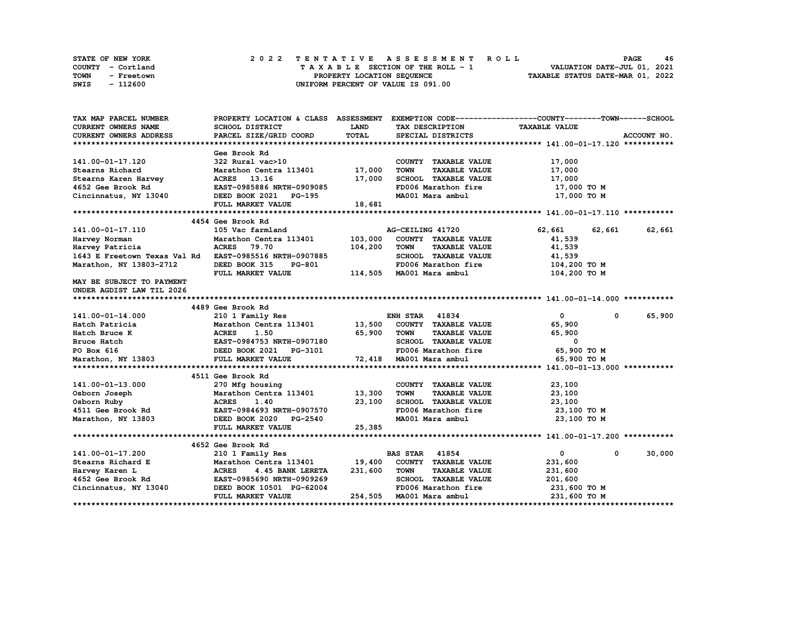| STATE OF NEW YORK         | 2022 TENTATIVE ASSESSMENT ROLL     | 46<br><b>PAGE</b>                |
|---------------------------|------------------------------------|----------------------------------|
| COUNTY - Cortland         | TAXABLE SECTION OF THE ROLL - 1    | VALUATION DATE-JUL 01, 2021      |
| <b>TOWN</b><br>- Freetown | PROPERTY LOCATION SEQUENCE         | TAXABLE STATUS DATE-MAR 01, 2022 |
| SWIS<br>- 112600          | UNIFORM PERCENT OF VALUE IS 091.00 |                                  |

| TAX MAP PARCEL NUMBER                                  | PROPERTY LOCATION & CLASS ASSESSMENT EXEMPTION CODE----------------COUNTY-------TOWN------SCHOOL |             |                                                                                                |                            |             |
|--------------------------------------------------------|--------------------------------------------------------------------------------------------------|-------------|------------------------------------------------------------------------------------------------|----------------------------|-------------|
| CURRENT OWNERS NAME                                    | SCHOOL DISTRICT                                                                                  | <b>LAND</b> | TAX DESCRIPTION                                                                                | <b>TAXABLE VALUE</b>       |             |
| CURRENT OWNERS ADDRESS                                 | PARCEL SIZE/GRID COORD                                                                           | TOTAL       | SPECIAL DISTRICTS                                                                              |                            | ACCOUNT NO. |
|                                                        |                                                                                                  |             |                                                                                                |                            |             |
|                                                        | Gee Brook Rd                                                                                     |             |                                                                                                |                            |             |
| 141.00-01-17.120                                       | 322 Rural vac>10                                                                                 |             | COUNTY TAXABLE VALUE                                                                           | 17,000                     |             |
| Stearns Richard                                        | Marathon Centra 113401 17,000                                                                    |             | <b>TOWN</b><br><b>TAXABLE VALUE</b>                                                            | 17,000                     |             |
| Stearns Karen Harvey                                   | ACRES 13.16                                                                                      | 17,000      | SCHOOL TAXABLE VALUE                                                                           | 17,000                     |             |
| 4652 Gee Brook Rd                                      | EAST-0985886 NRTH-0909085                                                                        |             | FD006 Marathon fire                                                                            | 17,000 TO M                |             |
| Cincinnatus, NY 13040                                  | DEED BOOK 2021 PG-195                                                                            |             | MA001 Mara ambul                                                                               | 17,000 TO M                |             |
|                                                        | FULL MARKET VALUE                                                                                | 18,681      |                                                                                                |                            |             |
|                                                        |                                                                                                  |             |                                                                                                |                            |             |
|                                                        | 4454 Gee Brook Rd                                                                                |             |                                                                                                |                            |             |
| 141.00-01-17.110                                       | 105 Vac farmland                                                                                 |             | AG-CEILING 41720                                                                               | 62,661<br>62,661           | 62,661      |
| Harvey Norman                                          | Marathon Centra 113401                                                                           | 103,000     | COUNTY TAXABLE VALUE                                                                           | 41,539                     |             |
| Harvey Patricia                                        | <b>ACRES</b><br>79.70                                                                            | 104,200     | <b>TOWN</b><br><b>TAXABLE VALUE</b>                                                            | 41,539                     |             |
| 1643 E Freetown Texas Val Rd EAST-0985516 NRTH-0907885 |                                                                                                  |             | SCHOOL TAXABLE VALUE                                                                           | 41,539                     |             |
| Marathon, NY 13803-2712                                | DEED BOOK 315<br><b>PG-801</b>                                                                   |             | FD006 Marathon fire                                                                            | 104,200 то м               |             |
|                                                        | FULL MARKET VALUE                                                                                |             | 114,505 MA001 Mara ambul                                                                       | 104,200 TO M               |             |
| MAY BE SUBJECT TO PAYMENT                              |                                                                                                  |             |                                                                                                |                            |             |
| UNDER AGDIST LAW TIL 2026                              |                                                                                                  |             |                                                                                                |                            |             |
|                                                        |                                                                                                  |             |                                                                                                |                            |             |
|                                                        | 4489 Gee Brook Rd                                                                                |             |                                                                                                |                            |             |
| 141.00-01-14.000                                       | 210 1 Family Res                                                                                 |             | <b>ENH STAR 41834</b>                                                                          | $\mathbf{0}$<br>$^{\circ}$ | 65,900      |
| Hatch Patricia                                         | Marathon Centra 113401 13,500                                                                    |             | COUNTY TAXABLE VALUE                                                                           | 65,900                     |             |
| Hatch Bruce K                                          | <b>ACRES</b><br>1.50                                                                             | 65,900      | TOWN<br><b>TAXABLE VALUE</b>                                                                   | 65,900                     |             |
| Bruce Hatch                                            | EAST-0984753 NRTH-0907180                                                                        |             | SCHOOL TAXABLE VALUE                                                                           | $\mathbf{o}$               |             |
| PO Box 616                                             | DEED BOOK 2021 PG-3101<br>FULL MARKET VALUE                                                      |             | FD006 Marathon fire 65,900 TO M                                                                |                            |             |
| Marathon, NY 13803                                     | FULL MARKET VALUE                                                                                |             | $-3101$ $\text{FDUU}$ Maloon Marachion iii.<br>$72,418$ $\text{MAD}01$ Mara ambul<br>iiiiiiiii | 65,900 TO M                |             |
|                                                        |                                                                                                  |             |                                                                                                |                            |             |
|                                                        | 4511 Gee Brook Rd                                                                                |             |                                                                                                |                            |             |
| 141.00-01-13.000                                       | 270 Mfg housing                                                                                  |             | COUNTY TAXABLE VALUE                                                                           | 23,100                     |             |
| Osborn Joseph                                          | Marathon Centra 113401 13,300                                                                    |             | <b>TOWN</b><br><b>TAXABLE VALUE</b>                                                            | 23,100                     |             |
|                                                        |                                                                                                  | 23,100      | SCHOOL TAXABLE VALUE                                                                           | 23,100                     |             |
|                                                        |                                                                                                  |             | FD006 Marathon fire                                                                            | 23,100 то м                |             |
| Marathon, NY 13803                                     | <b>PG-2540</b><br>DEED BOOK 2020                                                                 |             | MA001 Mara ambul                                                                               | 23,100 TO M                |             |
|                                                        | FULL MARKET VALUE                                                                                | 25,385      |                                                                                                |                            |             |
|                                                        |                                                                                                  |             |                                                                                                |                            |             |
|                                                        | 4652 Gee Brook Rd                                                                                |             |                                                                                                |                            |             |
| 141.00-01-17.200                                       | 210 1 Family Res                                                                                 |             | <b>BAS STAR 41854</b>                                                                          | $\mathbf{0}$<br>0          | 30,000      |
| Stearns Richard E                                      | Marathon Centra 113401                                                                           | 19,400      | COUNTY TAXABLE VALUE                                                                           | 231,600                    |             |
| Harvey Karen L                                         | <b>ACRES</b><br>4.45 BANK LERETA                                                                 | 231,600     | <b>TOWN</b><br><b>TAXABLE VALUE</b>                                                            | 231,600                    |             |
| 4652 Gee Brook Rd                                      | EAST-0985690 NRTH-0909269                                                                        |             | SCHOOL TAXABLE VALUE                                                                           | 201,600                    |             |
| Cincinnatus, NY 13040                                  | DEED BOOK 10501 PG-62004                                                                         |             | FD006 Marathon fire                                                                            | 231,600 то м               |             |
|                                                        | FULL MARKET VALUE                                                                                |             | 254,505 MA001 Mara ambul                                                                       | 231,600 TO M               |             |
|                                                        |                                                                                                  |             |                                                                                                |                            |             |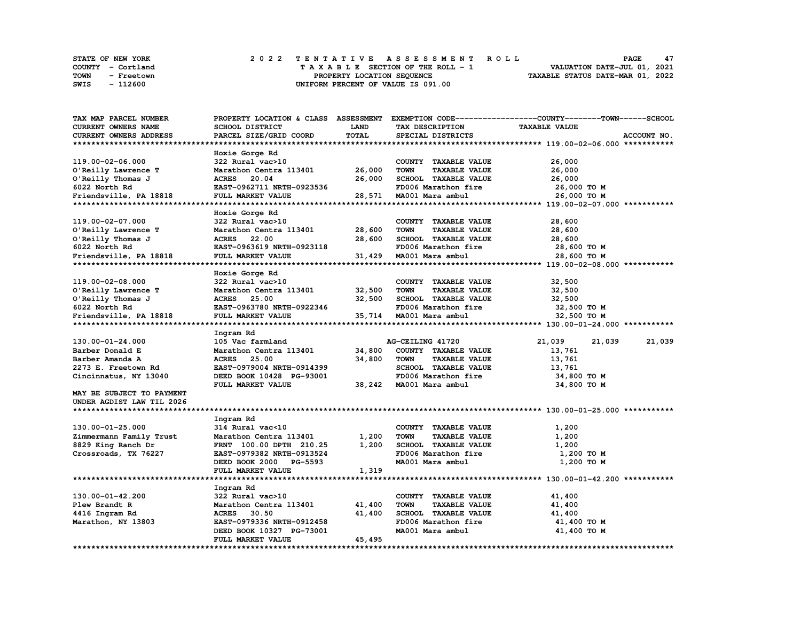| <b>STATE OF NEW YORK</b> | 2022 TENTATIVE ASSESSMENT ROLL     | 47<br><b>PAGE</b>                |  |
|--------------------------|------------------------------------|----------------------------------|--|
| COUNTY - Cortland        | TAXABLE SECTION OF THE ROLL - 1    | VALUATION DATE-JUL 01, 2021      |  |
| TOWN<br>- Freetown       | PROPERTY LOCATION SEOUENCE         | TAXABLE STATUS DATE-MAR 01, 2022 |  |
| SWIS<br>- 112600         | UNIFORM PERCENT OF VALUE IS 091.00 |                                  |  |

| TAX MAP PARCEL NUMBER     |                                                 |              |                                                             | PROPERTY LOCATION & CLASS ASSESSMENT EXEMPTION CODE----------------COUNTY-------TOWN-----SCHOOL |
|---------------------------|-------------------------------------------------|--------------|-------------------------------------------------------------|-------------------------------------------------------------------------------------------------|
| CURRENT OWNERS NAME       | SCHOOL DISTRICT                                 | LAND         | TAX DESCRIPTION                                             | <b>TAXABLE VALUE</b>                                                                            |
| CURRENT OWNERS ADDRESS    | PARCEL SIZE/GRID COORD                          | <b>TOTAL</b> | SPECIAL DISTRICTS                                           | ACCOUNT NO.                                                                                     |
|                           |                                                 |              |                                                             |                                                                                                 |
|                           | Hoxie Gorge Rd                                  |              |                                                             |                                                                                                 |
| 119.00-02-06.000          | 322 Rural vac>10                                |              | COUNTY TAXABLE VALUE                                        | 26,000                                                                                          |
| O'Reilly Lawrence T       | Marathon Centra 113401                          | 26,000       | <b>TOWN</b><br><b>TAXABLE VALUE</b>                         | 26,000                                                                                          |
| O'Reilly Thomas J         | ACRES 20.04                                     | 26,000       | SCHOOL TAXABLE VALUE                                        | 26,000                                                                                          |
| 6022 North Rd             | EAST-0962711 NRTH-0923536                       |              | FD006 Marathon fire                                         | 26,000 то м                                                                                     |
| Friendsville, PA 18818    | FULL MARKET VALUE                               | 28,571       | MA001 Mara ambul                                            | 26,000 TO M                                                                                     |
|                           |                                                 |              |                                                             |                                                                                                 |
|                           | Hoxie Gorge Rd                                  |              |                                                             |                                                                                                 |
| 119.00-02-07.000          | 322 Rural vac>10                                |              | COUNTY TAXABLE VALUE                                        | 28,600                                                                                          |
| O'Reilly Lawrence T       | Marathon Centra 113401                          | 28,600       | <b>TOWN</b><br><b>TAXABLE VALUE</b>                         | 28,600                                                                                          |
| O'Reilly Thomas J         | <b>ACRES</b> 22.00                              | 28,600       | SCHOOL TAXABLE VALUE                                        | 28,600                                                                                          |
| 6022 North Rd             | EAST-0963619 NRTH-0923118                       |              | FD006 Marathon fire                                         | 28,600 TO M                                                                                     |
| Friendsville, PA 18818    | FULL MARKET VALUE                               | 31,429       | MA001 Mara ambul                                            | 28,600 TO M                                                                                     |
|                           |                                                 |              |                                                             |                                                                                                 |
|                           | Hoxie Gorge Rd                                  |              |                                                             |                                                                                                 |
| 119.00-02-08.000          | 322 Rural vac>10                                |              | COUNTY TAXABLE VALUE                                        | 32,500                                                                                          |
| O'Reilly Lawrence T       | Marathon Centra 113401                          | 32,500       | <b>TOWN</b><br><b>TAXABLE VALUE</b>                         | 32,500                                                                                          |
| O'Reilly Thomas J         | ACRES 25.00                                     | 32,500       | SCHOOL TAXABLE VALUE                                        | 32,500                                                                                          |
| 6022 North Rd             | EAST-0963780 NRTH-0922346                       |              | FD006 Marathon fire                                         | 32,500 TO M                                                                                     |
| Friendsville, PA 18818    | FULL MARKET VALUE                               |              | 35,714 MA001 Mara ambul                                     | 32,500 TO M                                                                                     |
|                           |                                                 |              |                                                             |                                                                                                 |
|                           | Ingram Rd                                       |              |                                                             |                                                                                                 |
| 130.00-01-24.000          | 105 Vac farmland                                |              | AG-CEILING 41720                                            | 21,039<br>21,039<br>21,039                                                                      |
| Barber Donald E           | Marathon Centra 113401                          | 34,800       | COUNTY TAXABLE VALUE                                        | 13,761                                                                                          |
| Barber Amanda A           | <b>ACRES</b> 25.00<br>EAST-0979004 NRTH-0914399 | 34,800       | <b>TOWN</b><br><b>TAXABLE VALUE</b><br>SCHOOL TAXABLE VALUE | 13,761                                                                                          |
| 2273 E. Freetown Rd       | DEED BOOK 10428 PG-93001                        |              | FD006 Marathon fire                                         | 13,761<br>34,800 TO M                                                                           |
| Cincinnatus, NY 13040     | FULL MARKET VALUE                               | 38,242       | MA001 Mara ambul                                            | 34,800 TO M                                                                                     |
| MAY BE SUBJECT TO PAYMENT |                                                 |              |                                                             |                                                                                                 |
| UNDER AGDIST LAW TIL 2026 |                                                 |              |                                                             |                                                                                                 |
|                           |                                                 |              |                                                             |                                                                                                 |
|                           | Ingram Rd                                       |              |                                                             |                                                                                                 |
| 130.00-01-25.000          | 314 Rural vac<10                                |              | COUNTY TAXABLE VALUE                                        | 1,200                                                                                           |
| Zimmermann Family Trust   | Marathon Centra 113401                          | 1,200        | <b>TOWN</b><br><b>TAXABLE VALUE</b>                         | 1,200                                                                                           |
| 8829 King Ranch Dr        | FRNT 100.00 DPTH 210.25                         | 1,200        | SCHOOL TAXABLE VALUE                                        | 1,200                                                                                           |
| Crossroads, TX 76227      | EAST-0979382 NRTH-0913524                       |              | FD006 Marathon fire                                         | 1,200 TO M                                                                                      |
|                           | DEED BOOK 2000 PG-5593                          |              | MA001 Mara ambul                                            | 1,200 TO M                                                                                      |
|                           | FULL MARKET VALUE                               | 1,319        |                                                             |                                                                                                 |
|                           |                                                 |              |                                                             |                                                                                                 |
|                           | Ingram Rd                                       |              |                                                             |                                                                                                 |
| 130.00-01-42.200          | 322 Rural vac>10                                |              | COUNTY TAXABLE VALUE                                        | 41,400                                                                                          |
| Plew Brandt R             | Marathon Centra 113401                          | 41,400       | <b>TOWN</b><br><b>TAXABLE VALUE</b>                         | 41,400                                                                                          |
| 4416 Ingram Rd            | <b>ACRES</b><br>30.50                           | 41,400       | SCHOOL TAXABLE VALUE                                        | 41,400                                                                                          |
| Marathon, NY 13803        | EAST-0979336 NRTH-0912458                       |              | FD006 Marathon fire                                         | 41,400 TO M                                                                                     |
|                           | DEED BOOK 10327 PG-73001                        |              | MA001 Mara ambul                                            | 41,400 TO M                                                                                     |
|                           | FULL MARKET VALUE                               | 45,495       |                                                             |                                                                                                 |
|                           |                                                 |              |                                                             |                                                                                                 |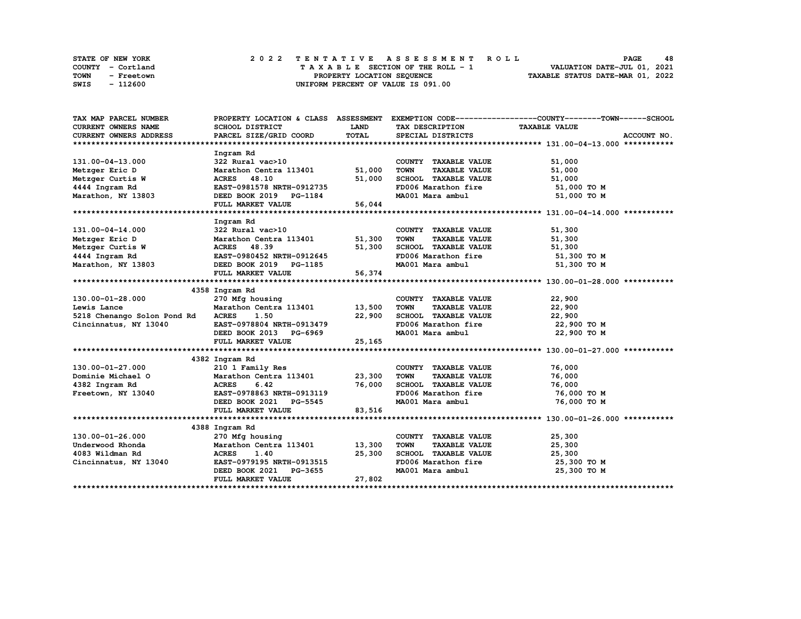|      | <b>STATE OF NEW YORK</b> | 2022 TENTATIVE ASSESSMENT ROLL          | 48<br><b>PAGE</b>                |
|------|--------------------------|-----------------------------------------|----------------------------------|
|      | COUNTY - Cortland        | $T A X A B L E$ SECTION OF THE ROLL - 1 | VALUATION DATE-JUL 01, 2021      |
| TOWN | - Freetown               | PROPERTY LOCATION SEQUENCE              | TAXABLE STATUS DATE-MAR 01, 2022 |
| SWIS | - 112600                 | UNIFORM PERCENT OF VALUE IS 091.00      |                                  |

| TAX MAP PARCEL NUMBER       |                                                            |             |                                     | PROPERTY LOCATION & CLASS ASSESSMENT EXEMPTION CODE----------------COUNTY-------TOWN-----SCHOOL |
|-----------------------------|------------------------------------------------------------|-------------|-------------------------------------|-------------------------------------------------------------------------------------------------|
| <b>CURRENT OWNERS NAME</b>  | SCHOOL DISTRICT                                            | <b>LAND</b> | TAX DESCRIPTION                     | <b>TAXABLE VALUE</b>                                                                            |
| CURRENT OWNERS ADDRESS      | PARCEL SIZE/GRID COORD                                     | TOTAL       | SPECIAL DISTRICTS                   | ACCOUNT NO.                                                                                     |
|                             |                                                            |             |                                     |                                                                                                 |
|                             | Ingram Rd                                                  |             |                                     |                                                                                                 |
| 131.00-04-13.000            | 322 Rural vac>10                                           |             | COUNTY TAXABLE VALUE                | 51,000                                                                                          |
| Metzger Eric D              | Marathon Centra 113401 51,000                              |             | <b>TOWN</b><br><b>TAXABLE VALUE</b> | 51,000                                                                                          |
| Metzger Curtis W            | ACRES 48.10                                                | 51,000      | SCHOOL TAXABLE VALUE                | 51,000                                                                                          |
| 4444 Ingram Rd              | EAST-0981578 NRTH-0912735                                  |             | FD006 Marathon fire                 | 51,000 TO M                                                                                     |
| Marathon, NY 13803          | DEED BOOK 2019 PG-1184                                     |             | MA001 Mara ambul                    | 51,000 TO M                                                                                     |
|                             | FULL MARKET VALUE                                          | 56,044      |                                     |                                                                                                 |
|                             |                                                            |             |                                     |                                                                                                 |
|                             | Ingram Rd                                                  |             |                                     |                                                                                                 |
| 131.00-04-14.000            | 322 Rural vac>10                                           |             | COUNTY TAXABLE VALUE                | 51,300                                                                                          |
| Metzger Eric D              | Marathon Centra 113401                                     | 51,300      | <b>TOWN</b><br><b>TAXABLE VALUE</b> | 51,300                                                                                          |
| Metzger Curtis W            | ACRES 48.39                                                | 51,300      | SCHOOL TAXABLE VALUE                | 51,300                                                                                          |
| 4444 Ingram Rd              | EAST-0980452 NRTH-0912645                                  |             | FD006 Marathon fire                 | 51,300 то м                                                                                     |
| Marathon, NY 13803          | DEED BOOK 2019 PG-1185                                     |             | MA001 Mara ambul                    | 51,300 TO M                                                                                     |
|                             | FULL MARKET VALUE                                          | 56,374      |                                     |                                                                                                 |
|                             |                                                            |             |                                     |                                                                                                 |
|                             | 4358 Ingram Rd                                             |             |                                     |                                                                                                 |
| 130.00-01-28.000            | 270 Mfg housing                                            |             | COUNTY TAXABLE VALUE                | 22,900                                                                                          |
| Lewis Lance                 | Marathon Centra 113401 13,500                              |             | <b>TOWN</b><br><b>TAXABLE VALUE</b> | 22,900                                                                                          |
| 5218 Chenango Solon Pond Rd | <b>ACRES</b><br>1.50                                       | 22,900      | SCHOOL TAXABLE VALUE                | 22,900                                                                                          |
| Cincinnatus, NY 13040       | EAST-0978804 NRTH-0913479<br>DEED BOOK 2013 PG-6969        |             | FD006 Marathon fire                 | 22,900 TO M                                                                                     |
|                             |                                                            |             | MA001 Mara ambul                    | 22,900 TO M                                                                                     |
|                             | FULL MARKET VALUE                                          | 25,165      |                                     |                                                                                                 |
|                             |                                                            |             |                                     |                                                                                                 |
|                             | 4382 Ingram Rd                                             |             |                                     |                                                                                                 |
| 130.00-01-27.000            | 210 1 Family Res                                           |             | COUNTY TAXABLE VALUE                | 76,000                                                                                          |
| Dominie Michael O           | Marathon Centra 113401 23,300                              |             | <b>TOWN</b><br><b>TAXABLE VALUE</b> | 76,000                                                                                          |
| 4382 Ingram Rd              |                                                            |             | SCHOOL TAXABLE VALUE                | 76,000                                                                                          |
| Freetown, NY 13040          | ACRES 6.42 76,000<br>EAST-0978863 NRTH-0913119<br>---- --- |             | FD006 Marathon fire                 | 76,000 TO M                                                                                     |
|                             | DEED BOOK 2021 PG-5545                                     |             | MA001 Mara ambul                    | 76,000 TO M                                                                                     |
|                             | FULL MARKET VALUE                                          | 83,516      |                                     |                                                                                                 |
|                             |                                                            |             |                                     |                                                                                                 |
|                             | 4388 Ingram Rd                                             |             |                                     |                                                                                                 |
| 130.00-01-26.000            | 270 Mfg housing                                            |             | COUNTY TAXABLE VALUE                | 25,300                                                                                          |
| Underwood Rhonda            | Marathon Centra 113401 13,300                              |             | <b>TOWN</b><br><b>TAXABLE VALUE</b> | 25,300                                                                                          |
| 4083 Wildman Rd             | <b>ACRES</b><br>1.40                                       | 25,300      | SCHOOL TAXABLE VALUE                | 25,300                                                                                          |
| Cincinnatus, NY 13040       | EAST-0979195 NRTH-0913515                                  |             | FD006 Marathon fire 25,300 TO M     |                                                                                                 |
|                             | DEED BOOK 2021 PG-3655                                     |             | MA001 Mara ambul                    | 25,300 TO M                                                                                     |
|                             | FULL MARKET VALUE                                          | 27,802      |                                     |                                                                                                 |
|                             |                                                            |             |                                     |                                                                                                 |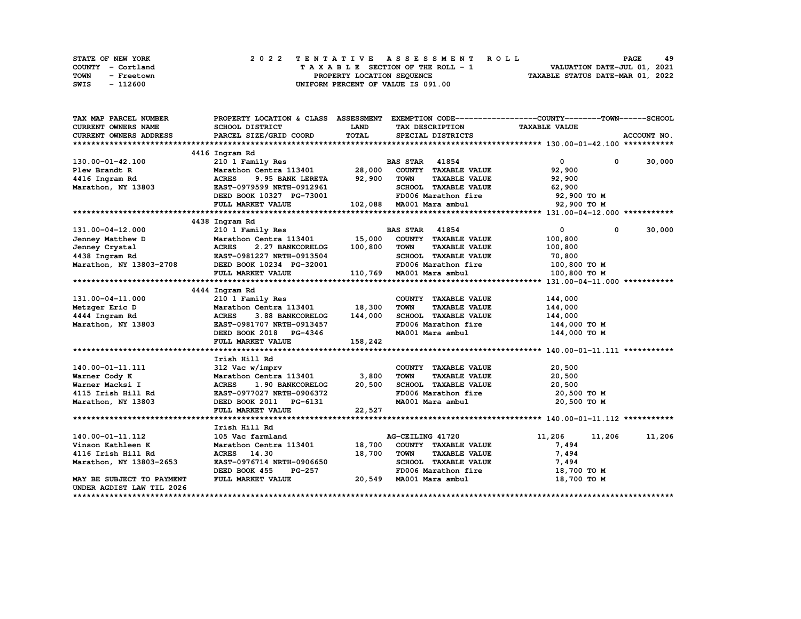| STATE OF NEW YORK  | 2022 TENTATIVE ASSESSMENT ROLL     | 49<br><b>PAGE</b>                |
|--------------------|------------------------------------|----------------------------------|
| COUNTY - Cortland  | TAXABLE SECTION OF THE ROLL - 1    | VALUATION DATE-JUL 01, 2021      |
| TOWN<br>- Freetown | PROPERTY LOCATION SEQUENCE         | TAXABLE STATUS DATE-MAR 01, 2022 |
| - 112600<br>SWIS   | UNIFORM PERCENT OF VALUE IS 091.00 |                                  |

| TAX MAP PARCEL NUMBER         |                                                                                 |                                |                                     | PROPERTY LOCATION & CLASS ASSESSMENT EXEMPTION CODE----------------COUNTY-------TOWN-----SCHOOL |             |
|-------------------------------|---------------------------------------------------------------------------------|--------------------------------|-------------------------------------|-------------------------------------------------------------------------------------------------|-------------|
| <b>CURRENT OWNERS NAME</b>    | <b>SCHOOL DISTRICT</b>                                                          | <b>LAND</b><br>TAX DESCRIPTION |                                     | <b>TAXABLE VALUE</b>                                                                            |             |
| <b>CURRENT OWNERS ADDRESS</b> | PARCEL SIZE/GRID COORD                                                          | TOTAL                          | SPECIAL DISTRICTS                   |                                                                                                 | ACCOUNT NO. |
|                               |                                                                                 |                                |                                     |                                                                                                 |             |
|                               | 4416 Ingram Rd                                                                  |                                |                                     |                                                                                                 |             |
| 130.00-01-42.100              | 210 1 Family Res                                                                |                                | <b>BAS STAR</b> 41854               | $\overline{0}$<br>$\mathbf{0}$                                                                  | 30,000      |
| Plew Brandt R                 | Marathon Centra 113401 28,000                                                   |                                | COUNTY TAXABLE VALUE                | 92,900                                                                                          |             |
| 4416 Ingram Rd                | <b>ACRES</b><br>9.95 BANK LERETA                                                | 92,900                         | <b>TAXABLE VALUE</b><br><b>TOWN</b> | 92,900                                                                                          |             |
| Marathon, NY 13803            | EAST-0979599 NRTH-0912961                                                       |                                | SCHOOL TAXABLE VALUE                | 62,900                                                                                          |             |
|                               | DEED BOOK 10327 PG-73001                                                        |                                | FD006 Marathon fire                 | 92,900 TO M                                                                                     |             |
|                               | FULL MARKET VALUE                                                               |                                | 102,088 MA001 Mara ambul            | 92,900 TO M                                                                                     |             |
|                               |                                                                                 |                                |                                     |                                                                                                 |             |
|                               | 4438 Ingram Rd                                                                  |                                |                                     |                                                                                                 |             |
| 131.00-04-12.000              | 210 1 Family Res                                                                |                                | <b>BAS STAR</b> 41854               | $^{\circ}$<br>$\mathbf{0}$                                                                      | 30,000      |
| Jenney Matthew D              | Marathon Centra 113401 15,000 COUNTY TAXABLE VALUE                              |                                |                                     | 100,800                                                                                         |             |
| Jenney Crystal                | 2.27 BANKCORELOG                                                                | 100,800                        | <b>TOWN</b><br><b>TAXABLE VALUE</b> | 100,800                                                                                         |             |
| 4438 Ingram Rd                | ACRES 2.27 BANACORELIOS<br>EAST-0981227 NRTH-0913504<br>-- ----- 10024 PC-32001 |                                | SCHOOL TAXABLE VALUE                | 70,800                                                                                          |             |
|                               | Marathon, NY 13803-2708 DEED BOOK 10234 PG-32001                                |                                | FD006 Marathon fire 100,800 TO M    |                                                                                                 |             |
|                               | FULL MARKET VALUE                                                               |                                | 110,769 MA001 Mara ambul            | 100,800 TO M                                                                                    |             |
|                               |                                                                                 |                                |                                     |                                                                                                 |             |
|                               | 4444 Ingram Rd                                                                  |                                |                                     |                                                                                                 |             |
| 131.00-04-11.000              | 210 1 Family Res                                                                |                                | COUNTY TAXABLE VALUE                | 144,000                                                                                         |             |
| Metzger Eric D                | Marathon Centra 113401 18,300                                                   |                                | <b>TOWN</b><br><b>TAXABLE VALUE</b> | 144,000                                                                                         |             |
| 4444 Ingram Rd                | <b>ACRES</b><br>3.88 BANKCORELOG                                                | 144,000                        | SCHOOL TAXABLE VALUE                | 144,000                                                                                         |             |
| Marathon, NY 13803            | EAST-0981707 NRTH-0913457                                                       |                                | FD006 Marathon fire                 | 144,000 TO M                                                                                    |             |
|                               | DEED BOOK 2018 PG-4346                                                          |                                | MA001 Mara ambul                    | 144,000 TO M                                                                                    |             |
|                               | FULL MARKET VALUE                                                               | 158,242                        |                                     |                                                                                                 |             |
|                               |                                                                                 |                                |                                     |                                                                                                 |             |
|                               | Irish Hill Rd                                                                   |                                |                                     |                                                                                                 |             |
| 140.00-01-11.111              | 312 Vac w/imprv                                                                 |                                | COUNTY TAXABLE VALUE                | 20,500                                                                                          |             |
| Warner Cody K                 | Marathon Centra 113401 3,800                                                    |                                | <b>TOWN</b><br><b>TAXABLE VALUE</b> | 20,500                                                                                          |             |
| Warner Macksi I               | <b>ACRES</b><br>1.90 BANKCORELOG                                                | 20,500                         | SCHOOL TAXABLE VALUE                | 20,500                                                                                          |             |
| 4115 Irish Hill Rd            | EAST-0977027 NRTH-0906372                                                       |                                | FD006 Marathon fire                 | 20,500 TO M                                                                                     |             |
| Marathon, NY 13803            | DEED BOOK 2011 PG-6131                                                          |                                | MA001 Mara ambul                    | 20,500 TO M                                                                                     |             |
|                               | FULL MARKET VALUE                                                               | 22,527                         |                                     |                                                                                                 |             |
|                               |                                                                                 |                                |                                     |                                                                                                 |             |
|                               | Irish Hill Rd                                                                   |                                |                                     |                                                                                                 |             |
| 140.00-01-11.112              | 105 Vac farmland                                                                |                                | AG-CEILING 41720                    | 11,206<br>11,206                                                                                | 11,206      |
| Vinson Kathleen K             | Marathon Centra 113401                                                          | 18,700                         | COUNTY TAXABLE VALUE                | 7,494                                                                                           |             |
| 4116 Irish Hill Rd            | ACRES 14.30                                                                     | 18,700                         | <b>TOWN</b><br><b>TAXABLE VALUE</b> | 7,494                                                                                           |             |
| Marathon, NY 13803-2653       | EAST-0976714 NRTH-0906650                                                       |                                | SCHOOL TAXABLE VALUE                | 7,494                                                                                           |             |
|                               | DEED BOOK 455<br>PG-257                                                         |                                | FD006 Marathon fire                 | 18,700 TO M                                                                                     |             |
| MAY BE SUBJECT TO PAYMENT     | FULL MARKET VALUE                                                               | 20,549                         | MA001 Mara ambul                    | 18,700 TO M                                                                                     |             |
| UNDER AGDIST LAW TIL 2026     |                                                                                 |                                |                                     |                                                                                                 |             |
|                               |                                                                                 |                                |                                     |                                                                                                 |             |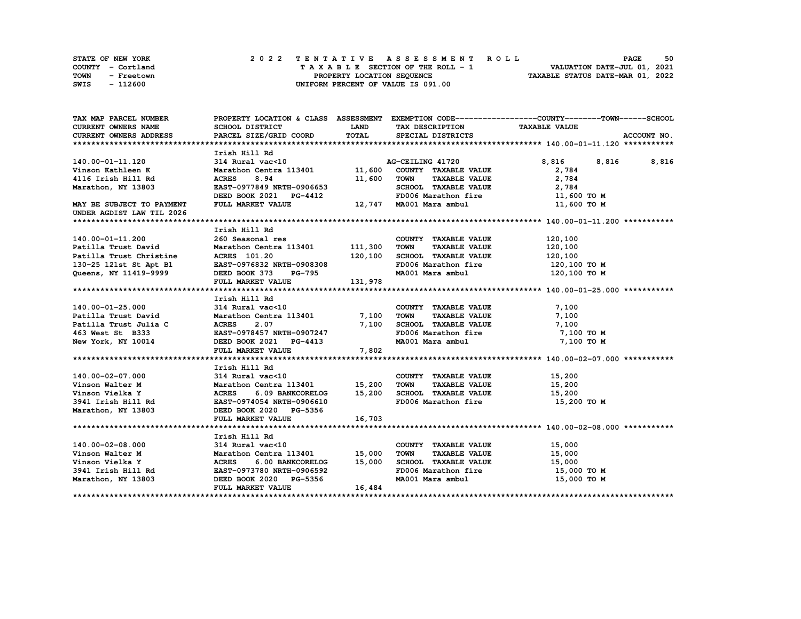| <b>STATE OF NEW YORK</b> | 2022 TENTATIVE ASSESSMENT ROLL     | 50<br>PAGE                       |
|--------------------------|------------------------------------|----------------------------------|
| COUNTY - Cortland        | TAXABLE SECTION OF THE ROLL - 1    | VALUATION DATE-JUL 01, 2021      |
| TOWN<br>- Freetown       | PROPERTY LOCATION SEQUENCE         | TAXABLE STATUS DATE-MAR 01, 2022 |
| SWIS<br>- 112600         | UNIFORM PERCENT OF VALUE IS 091.00 |                                  |

| TAX MAP PARCEL NUMBER                                                                                                                               |                                                                                           |              |                                             | PROPERTY LOCATION & CLASS ASSESSMENT EXEMPTION CODE----------------COUNTY-------TOWN-----SCHOOL |
|-----------------------------------------------------------------------------------------------------------------------------------------------------|-------------------------------------------------------------------------------------------|--------------|---------------------------------------------|-------------------------------------------------------------------------------------------------|
| CURRENT OWNERS NAME                                                                                                                                 | SCHOOL DISTRICT                                                                           | <b>LAND</b>  | TAX DESCRIPTION TAXABLE VALUE               |                                                                                                 |
| CURRENT OWNERS ADDRESS                                                                                                                              | PARCEL SIZE/GRID COORD                                                                    | <b>TOTAL</b> | SPECIAL DISTRICTS                           | ACCOUNT NO.                                                                                     |
|                                                                                                                                                     |                                                                                           |              |                                             |                                                                                                 |
|                                                                                                                                                     | Irish Hill Rd                                                                             |              |                                             |                                                                                                 |
| 140.00-01-11.120                                                                                                                                    | 11.50 0.11 0.02<br>314 Rural vac<10 69 Marathon Centra 113401 11,600 COUNTY TAXABLE VALUE |              |                                             | 8,816 8,816 8,816                                                                               |
| Vinson Kathleen K                                                                                                                                   |                                                                                           |              |                                             | 2,784                                                                                           |
| 4116 Irish Hill Rd                                                                                                                                  | <b>ACRES</b><br>8.94                                                                      | 11,600       | <b>TAXABLE VALUE</b><br><b>TOWN</b>         | 2,784                                                                                           |
| Marathon, NY 13803                                                                                                                                  | EAST-0977849 NRTH-0906653                                                                 |              | SCHOOL TAXABLE VALUE                        | 2,784                                                                                           |
|                                                                                                                                                     |                                                                                           |              | FD006 Marathon fire                         | 11,600 TO M                                                                                     |
| MAY BE SUBJECT TO PAYMENT<br>UNDER AGDIST LAW TIL 2026                                                                                              | DEED BOOK 2021 PG-4412 FD006 Marathon fire<br>FULL MARKET VALUE 12,747 MA001 Mara ambul   |              |                                             | 11,600 TO M                                                                                     |
|                                                                                                                                                     |                                                                                           |              |                                             |                                                                                                 |
|                                                                                                                                                     | Irish Hill Rd                                                                             |              |                                             |                                                                                                 |
| 140.00-01-11.200                                                                                                                                    |                                                                                           |              | COUNTY TAXABLE VALUE                        | 120,100                                                                                         |
|                                                                                                                                                     | --- Jeasonal res<br>Marathon Centra 113401 111,300<br>ACRES 101.20                        |              | TOWN TAXABLE VALUE                          | 120,100                                                                                         |
| Patilla Trust David            Marathon Centratilla Trust Christine          ACRES 101.20                                                           |                                                                                           |              | SCHOOL TAXABLE VALUE                        | 120,100                                                                                         |
| Patilla Trust Christine MCRES 101.20 120,100<br>130-25 121st St Apt B1 EAST-0976832 NRTH-0908308                                                    |                                                                                           |              | FD006 Marathon fire                         | 120,100 TO M                                                                                    |
| Queens, NY 11419-9999 DEED BOOK 373 PG-795                                                                                                          |                                                                                           |              | MA001 Mara ambul 120,100 TO M               |                                                                                                 |
|                                                                                                                                                     | DEED BOOK 373 PG-795<br>FULL MARKET VALUE 131,978                                         |              |                                             |                                                                                                 |
|                                                                                                                                                     |                                                                                           |              |                                             |                                                                                                 |
|                                                                                                                                                     | Irish Hill Rd                                                                             |              |                                             |                                                                                                 |
|                                                                                                                                                     |                                                                                           |              | COUNTY TAXABLE VALUE                        | 7,100                                                                                           |
| 140.00-01-25.000 314 Rural vac<10<br>Patilla Trust David Marathon Centra 113401 7,100                                                               |                                                                                           |              | TOWN<br><b>TAXABLE VALUE</b>                | 7,100                                                                                           |
|                                                                                                                                                     |                                                                                           | 7,100        | SCHOOL TAXABLE VALUE                        | 7,100                                                                                           |
|                                                                                                                                                     |                                                                                           |              | FD006 Marathon fire                         | 7,100 TO M                                                                                      |
|                                                                                                                                                     |                                                                                           |              | MA001 Mara ambul                            | 7,100 TO M                                                                                      |
|                                                                                                                                                     | FULL MARKET VALUE                                                                         | 7,802        |                                             |                                                                                                 |
|                                                                                                                                                     |                                                                                           |              |                                             |                                                                                                 |
|                                                                                                                                                     | Irish Hill Rd                                                                             |              |                                             |                                                                                                 |
| 140.00-02-07.000                                                                                                                                    | $314$ Rural vac<10                                                                        |              | COUNTY TAXABLE VALUE                        | 15,200                                                                                          |
| Vinson Walter M                                                                                                                                     | Marathon Centra 113401 15,200                                                             |              | <b>TOWN</b><br><b>TAXABLE VALUE</b>         | 15,200                                                                                          |
| Vinson Vielka Y                                                                                                                                     | ACRES 6.09 BANKCORELOG 15,200                                                             |              | SCHOOL TAXABLE VALUE                        | 15,200                                                                                          |
| 3941 Irish Hill Rd                                                                                                                                  | EAST-0974054 NRTH-0906610                                                                 |              | FD006 Marathon fire                         | 15,200 TO M                                                                                     |
| Marathon, NY 13803                                                                                                                                  | DEED BOOK 2020 PG-5356                                                                    |              |                                             |                                                                                                 |
|                                                                                                                                                     | FULL MARKET VALUE                                                                         | 16,703       |                                             |                                                                                                 |
|                                                                                                                                                     |                                                                                           |              |                                             |                                                                                                 |
|                                                                                                                                                     | Irish Hill Rd                                                                             |              |                                             |                                                                                                 |
| 140.00-02-08.000                                                                                                                                    | $314$ Rural vac< $10$                                                                     |              | COUNTY TAXABLE VALUE                        | 15,000                                                                                          |
| Vinson Walter M<br>Vinson Vielka Y                                   ACRES      6.00 BANKCORELOG<br>3941 Irish Hill Rd<br>EAST-0973780 NRTH-0906592 | Marathon Centra 113401 15,000                                                             |              | TAXABLE VALUE<br><b>TOWN</b>                | 15,000                                                                                          |
|                                                                                                                                                     | ACRES 6.00 BANKCORELOG 15,000                                                             |              | SCHOOL TAXABLE VALUE<br>FD006 Marathon fire | 15,000                                                                                          |
|                                                                                                                                                     |                                                                                           |              |                                             | 15,000 TO M                                                                                     |
| Marathon, NY 13803 DEED BOOK 2020 PG-5356                                                                                                           |                                                                                           |              | MA001 Mara ambul                            | 15,000 TO M                                                                                     |
|                                                                                                                                                     | FULL MARKET VALUE                                                                         | 16,484       |                                             |                                                                                                 |
|                                                                                                                                                     |                                                                                           |              |                                             |                                                                                                 |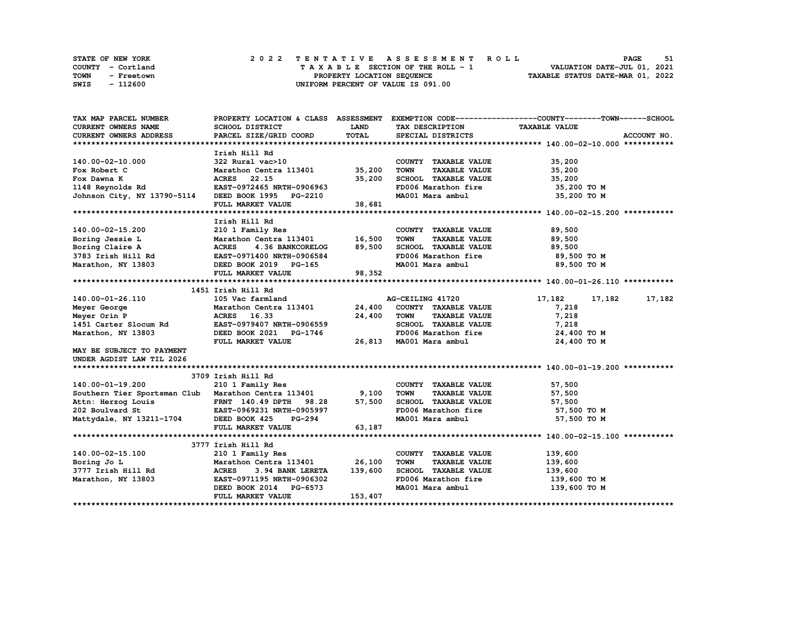| STATE OF NEW YORK         | 2022 TENTATIVE ASSESSMENT ROLL     | 51<br>PAGE                       |
|---------------------------|------------------------------------|----------------------------------|
| COUNTY - Cortland         | TAXABLE SECTION OF THE ROLL - 1    | VALUATION DATE-JUL 01, 2021      |
| <b>TOWN</b><br>- Freetown | PROPERTY LOCATION SEQUENCE         | TAXABLE STATUS DATE-MAR 01, 2022 |
| SWIS<br>- 112600          | UNIFORM PERCENT OF VALUE IS 091.00 |                                  |

| TAX MAP PARCEL NUMBER                                                                                                                          |                                                     |             |                                                      | PROPERTY LOCATION & CLASS ASSESSMENT EXEMPTION CODE----------------COUNTY-------TOWN-----SCHOOL |               |
|------------------------------------------------------------------------------------------------------------------------------------------------|-----------------------------------------------------|-------------|------------------------------------------------------|-------------------------------------------------------------------------------------------------|---------------|
| CURRENT OWNERS NAME                                                                                                                            | SCHOOL DISTRICT                                     | <b>LAND</b> | TAX DESCRIPTION TAXABLE VALUE                        |                                                                                                 |               |
| CURRENT OWNERS ADDRESS                                                                                                                         | PARCEL SIZE/GRID COORD                              | TOTAL       | SPECIAL DISTRICTS                                    |                                                                                                 | ACCOUNT NO.   |
|                                                                                                                                                |                                                     |             |                                                      |                                                                                                 |               |
|                                                                                                                                                | Irish Hill Rd                                       |             |                                                      |                                                                                                 |               |
| 140.00-02-10.000                                                                                                                               | 322 Rural vac>10<br>Marathon Centra 113401 35,200   |             | COUNTY TAXABLE VALUE                                 | 35,200                                                                                          |               |
| Fox Robert C                                                                                                                                   |                                                     |             | <b>TOWN</b><br><b>TAXABLE VALUE</b>                  | 35,200                                                                                          |               |
|                                                                                                                                                |                                                     | 35,200      | SCHOOL TAXABLE VALUE                                 | 35,200                                                                                          |               |
| Fox Dawna K                               ACRES     22.15<br>1148 Reynolds Rd                 EAST-0972465 NRTH-0906963                        |                                                     |             |                                                      | 35,200 TO M                                                                                     |               |
|                                                                                                                                                |                                                     |             | FD006 Marathon fire<br>MA001 Mara ambul              | 35,200 TO M                                                                                     |               |
| EAST-0972465 NRTH-0906963<br>Johnson City, NY 13790-5114<br>PHYSTERED BOOK 1995 PG-2210                                                        |                                                     | 38,681      |                                                      |                                                                                                 |               |
|                                                                                                                                                |                                                     |             |                                                      |                                                                                                 |               |
|                                                                                                                                                | Irish Hill Rd                                       |             |                                                      |                                                                                                 |               |
|                                                                                                                                                |                                                     |             | COUNTY TAXABLE VALUE                                 | 89,500                                                                                          |               |
|                                                                                                                                                |                                                     |             | TOWN<br><b>TAXABLE VALUE</b>                         | 89,500                                                                                          |               |
|                                                                                                                                                |                                                     |             | SCHOOL TAXABLE VALUE 89,500                          |                                                                                                 |               |
|                                                                                                                                                |                                                     |             | FD006 Marathon fire                                  | 89,500 TO M                                                                                     |               |
|                                                                                                                                                |                                                     |             | MA001 Mara ambul                                     | 89,500 то м                                                                                     |               |
|                                                                                                                                                | FULL MARKET VALUE                                   | 98,352      |                                                      |                                                                                                 |               |
|                                                                                                                                                |                                                     |             |                                                      |                                                                                                 |               |
|                                                                                                                                                | 1451 Irish Hill Rd                                  |             |                                                      |                                                                                                 |               |
| 140.00-01-26.110                                                                                                                               | 105 Vac farmland                                    |             | AG-CEILING 41720                                     | 17,182                                                                                          | 17,182 17,182 |
| Meyer George                                                                                                                                   | Marathon Centra 113401 24,400 COUNTY TAXABLE VALUE  |             |                                                      | 7,218                                                                                           |               |
| Meyer Orin P                                                                                                                                   | Marathon Centi<br>ACRES 16.33                       | 24,400      | TOWN<br><b>TAXABLE VALUE</b>                         | 7,218                                                                                           |               |
|                                                                                                                                                |                                                     |             |                                                      |                                                                                                 |               |
| 1451 Carter Slocum Rd<br>Marathon, NY 13803 DEED BOOK 2021 PG-1746                                                                             |                                                     |             | SCHOOL TAXABLE VALUE<br>FD006 Marathon fire          | 7,218                                                                                           |               |
|                                                                                                                                                | FULL MARKET VALUE                                   |             | 26,813 MA001 Mara ambul                              | 24,400 TO M<br>24,400 TO M                                                                      |               |
| MAY BE SUBJECT TO PAYMENT                                                                                                                      |                                                     |             |                                                      |                                                                                                 |               |
| UNDER AGDIST LAW TIL 2026                                                                                                                      |                                                     |             |                                                      |                                                                                                 |               |
|                                                                                                                                                |                                                     |             |                                                      |                                                                                                 |               |
|                                                                                                                                                | 3709 Irish Hill Rd                                  |             |                                                      |                                                                                                 |               |
| 140.00-01-19.200                                                                                                                               | 210 1 Family Res                                    |             | COUNTY TAXABLE VALUE                                 | 57,500                                                                                          |               |
| Southern Tier Sportsman Club Marathon Centra 113401 9,100                                                                                      |                                                     |             | <b>TOWN</b><br>TAXABLE VALUE                         | 57,500                                                                                          |               |
|                                                                                                                                                |                                                     |             | SCHOOL TAXABLE VALUE                                 | 57,500                                                                                          |               |
|                                                                                                                                                |                                                     |             | FD006 Marathon fire                                  |                                                                                                 |               |
| Attn: Herzog Louis FRNT 140.49 DPTH 98.28 57,500<br>202 Boulvard St EAST-0969231 NRTH-0905997<br>Mattydale, NY 13211-1704 DEED BOOK 425 PG-294 |                                                     |             |                                                      | 57,500 TO M                                                                                     |               |
|                                                                                                                                                | FULL MARKET VALUE                                   | 63,187      | MA001 Mara ambul                                     | 57,500 TO M                                                                                     |               |
|                                                                                                                                                |                                                     |             |                                                      |                                                                                                 |               |
|                                                                                                                                                | 3777 Irish Hill Rd                                  |             |                                                      |                                                                                                 |               |
| 140.00-02-15.100                                                                                                                               |                                                     |             | COUNTY TAXABLE VALUE                                 | 139,600                                                                                         |               |
|                                                                                                                                                | $210$ 1 Family Res<br>Marathon Centra 113401 26,100 |             | <b>TOWN</b><br><b>TAXABLE VALUE</b>                  |                                                                                                 |               |
| Boring Jo L                                                                                                                                    |                                                     | 139,600     | SCHOOL TAXABLE VALUE                                 | 139,600                                                                                         |               |
|                                                                                                                                                | 3.94 BANK LERETA                                    |             |                                                      | 139,600                                                                                         |               |
| Boring to 2<br>3777 Irish Hill Rd<br>22. The NY 13803 EAST-0971195 NRTH-0906302<br>23. The North Science of Transform                          |                                                     |             | FD006 Marathon fire<br>MA001 Mara ambul 139,600 TO M | 139,600 то м                                                                                    |               |
|                                                                                                                                                | DEED BOOK 2014 PG-6573                              |             |                                                      |                                                                                                 |               |
|                                                                                                                                                | FULL MARKET VALUE                                   | 153,407     |                                                      |                                                                                                 |               |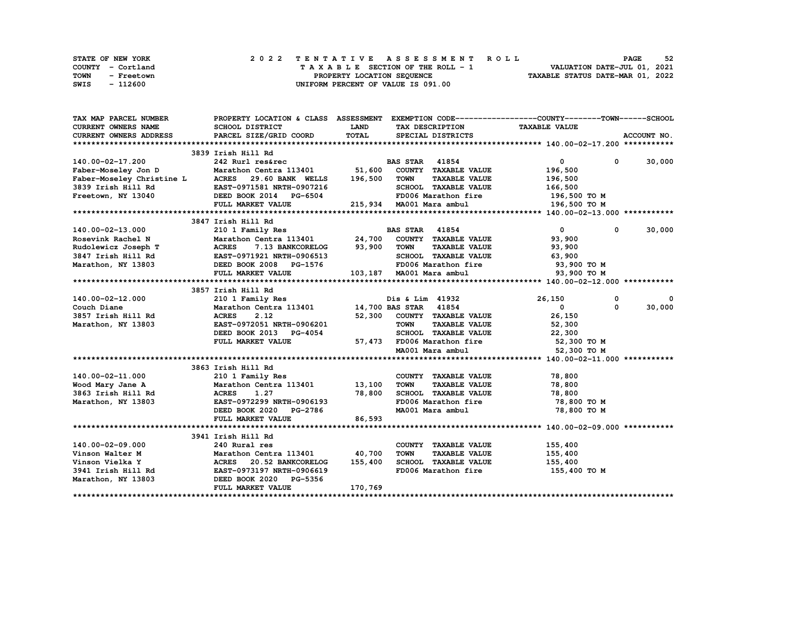| STATE OF NEW YORK  | 2022 TENTATIVE ASSESSMENT ROLL     | 52<br><b>PAGE</b>                |
|--------------------|------------------------------------|----------------------------------|
| COUNTY - Cortland  | TAXABLE SECTION OF THE ROLL - 1    | VALUATION DATE-JUL 01, 2021      |
| TOWN<br>- Freetown | PROPERTY LOCATION SEQUENCE         | TAXABLE STATUS DATE-MAR 01, 2022 |
| SWIS<br>- 112600   | UNIFORM PERCENT OF VALUE IS 091.00 |                                  |

| TAX MAP PARCEL NUMBER                                                                                                                                                                                                                               |                                                                  |             |                                                          | PROPERTY LOCATION & CLASS ASSESSMENT EXEMPTION CODE----------------COUNTY-------TOWN-----SCHOOL |             |
|-----------------------------------------------------------------------------------------------------------------------------------------------------------------------------------------------------------------------------------------------------|------------------------------------------------------------------|-------------|----------------------------------------------------------|-------------------------------------------------------------------------------------------------|-------------|
| CURRENT OWNERS NAME                                                                                                                                                                                                                                 | SCHOOL DISTRICT                                                  | <b>LAND</b> | TAX DESCRIPTION                                          | <b>TAXABLE VALUE</b>                                                                            |             |
| <b>CURRENT OWNERS ADDRESS</b>                                                                                                                                                                                                                       | PARCEL SIZE/GRID COORD                                           | TOTAL       | SPECIAL DISTRICTS                                        |                                                                                                 | ACCOUNT NO. |
|                                                                                                                                                                                                                                                     |                                                                  |             |                                                          |                                                                                                 |             |
|                                                                                                                                                                                                                                                     | 3839 Irish Hill Rd                                               |             |                                                          |                                                                                                 |             |
| 140.00-02-17.200                                                                                                                                                                                                                                    |                                                                  |             |                                                          | $\mathbf{0}$<br>$^{\circ}$                                                                      | 30,000      |
| Faber-Moseley Jon D                                                                                                                                                                                                                                 |                                                                  |             |                                                          | 196,500                                                                                         |             |
|                                                                                                                                                                                                                                                     | 29.60 BANK WELLS                                                 | 196,500     | <b>TOWN</b><br><b>TAXABLE VALUE</b>                      | 196,500                                                                                         |             |
| Faber-Moseley Jon D<br>Faber-Moseley Christine L<br>3839 Irish Hill Rd<br>Freetown, NY 13040<br>Freetown, NY 13040<br>EED BOOK 2014<br>PG-6504                                                                                                      |                                                                  |             | SCHOOL TAXABLE VALUE                                     | 166,500                                                                                         |             |
|                                                                                                                                                                                                                                                     |                                                                  |             | FD006 Marathon fire                                      | 196,500 то м                                                                                    |             |
|                                                                                                                                                                                                                                                     | FULL MARKET VALUE                                                |             | 215,934 MA001 Mara ambul                                 | 196,500 то м                                                                                    |             |
|                                                                                                                                                                                                                                                     |                                                                  |             |                                                          |                                                                                                 |             |
|                                                                                                                                                                                                                                                     | 3847 Irish Hill Rd                                               |             |                                                          |                                                                                                 |             |
| 140.00-02-13.000                                                                                                                                                                                                                                    | 210 1 Family Res                                                 |             | <b>BAS STAR 41854</b>                                    | $\overline{0}$<br>$^{\circ}$                                                                    | 30,000      |
|                                                                                                                                                                                                                                                     |                                                                  |             |                                                          | 93,900                                                                                          |             |
|                                                                                                                                                                                                                                                     |                                                                  |             |                                                          |                                                                                                 |             |
|                                                                                                                                                                                                                                                     |                                                                  |             | TOWN TAXABLE VALUE 93,900<br>SCHOOL TAXABLE VALUE 63,900 |                                                                                                 |             |
|                                                                                                                                                                                                                                                     |                                                                  |             | FD006 Marathon fire 53,900 TO M                          |                                                                                                 |             |
|                                                                                                                                                                                                                                                     |                                                                  |             |                                                          | 93,900 TO M                                                                                     |             |
| 140.00-02-15.000<br>Rosevink Rachel N<br>Rosevink Rachel N<br>Rosevink Rachel N<br>Rosevink Rachel N<br>Rosevink Rachel N<br>Rosevink Rachel N<br>Rosevink Rachel N<br>Rosevink Rachel N<br>Rosevink Rachel N<br>Rosevink Rachel N<br>Rosevink Rach |                                                                  |             |                                                          |                                                                                                 |             |
|                                                                                                                                                                                                                                                     | 3857 Irish Hill Rd                                               |             |                                                          |                                                                                                 |             |
| 140.00-02-12.000                                                                                                                                                                                                                                    | 210 1 Family Res<br>Marathon Centra 113401 14,700 BAS STAR 41854 |             | Dis & Lim 41932                                          | 26,150<br>0                                                                                     | 0           |
| 140.00-02-12.000<br>Couch Diane<br>3857 Irish Hill Rd                                                                                                                                                                                               |                                                                  |             |                                                          | 0<br>$\mathbf{0}$                                                                               | 30,000      |
|                                                                                                                                                                                                                                                     | 2.12<br><b>ACRES</b>                                             |             | 52,300 COUNTY TAXABLE VALUE                              | 26,150                                                                                          |             |
| Marathon, NY 13803                                                                                                                                                                                                                                  | EAST-0972051 NRTH-0906201                                        |             |                                                          | 52,300                                                                                          |             |
|                                                                                                                                                                                                                                                     | DEED BOOK 2013 PG-4054                                           |             | TOWN      TAXABLE  VALUE<br>SCHOOL    TAXABLE  VALUE     | 22,300                                                                                          |             |
|                                                                                                                                                                                                                                                     | FULL MARKET VALUE                                                |             | 57,473 FD006 Marathon fire 52,300 TO M                   |                                                                                                 |             |
|                                                                                                                                                                                                                                                     |                                                                  |             | MA001 Mara ambul                                         | 52,300 TO M                                                                                     |             |
|                                                                                                                                                                                                                                                     |                                                                  |             |                                                          |                                                                                                 |             |
|                                                                                                                                                                                                                                                     | 3863 Irish Hill Rd                                               |             |                                                          |                                                                                                 |             |
| 140.00-02-11.000                                                                                                                                                                                                                                    |                                                                  |             | COUNTY TAXABLE VALUE                                     | 78,800                                                                                          |             |
| Wood Mary Jane A                                                                                                                                                                                                                                    |                                                                  |             | TOWN<br><b>TAXABLE VALUE</b>                             | 78,800                                                                                          |             |
| <b>ACRES</b><br>3863 Irish Hill Rd                                                                                                                                                                                                                  | 1.27                                                             | 78,800      | SCHOOL TAXABLE VALUE 78,800                              |                                                                                                 |             |
| Marathon, NY 13803                                                                                                                                                                                                                                  | EAST-0972299 NRTH-0906193                                        |             | FD006 Marathon fire                                      | 78,800 TO M                                                                                     |             |
|                                                                                                                                                                                                                                                     | DEED BOOK 2020 PG-2786                                           |             | MA001 Mara ambul                                         | 78,800 TO M                                                                                     |             |
|                                                                                                                                                                                                                                                     | FULL MARKET VALUE                                                | 86,593      |                                                          |                                                                                                 |             |
|                                                                                                                                                                                                                                                     |                                                                  |             |                                                          |                                                                                                 |             |
|                                                                                                                                                                                                                                                     | 3941 Irish Hill Rd                                               |             |                                                          |                                                                                                 |             |
| 140.00-02-09.000                                                                                                                                                                                                                                    | 240 Rural res                                                    |             | COUNTY TAXABLE VALUE                                     | 155,400                                                                                         |             |
|                                                                                                                                                                                                                                                     | Marathon Centra 113401 40,700                                    |             | <b>TOWN</b><br><b>TAXABLE VALUE</b>                      | 155,400                                                                                         |             |
|                                                                                                                                                                                                                                                     |                                                                  | 155,400     | SCHOOL TAXABLE VALUE                                     | 155,400                                                                                         |             |
|                                                                                                                                                                                                                                                     |                                                                  |             | FD006 Marathon fire                                      | 155,400 TO M                                                                                    |             |
| Marathon, NY 13803 DEED BOOK 2020 PG-5356                                                                                                                                                                                                           |                                                                  |             |                                                          |                                                                                                 |             |
|                                                                                                                                                                                                                                                     | FULL MARKET VALUE                                                | 170,769     |                                                          |                                                                                                 |             |
|                                                                                                                                                                                                                                                     |                                                                  |             |                                                          |                                                                                                 |             |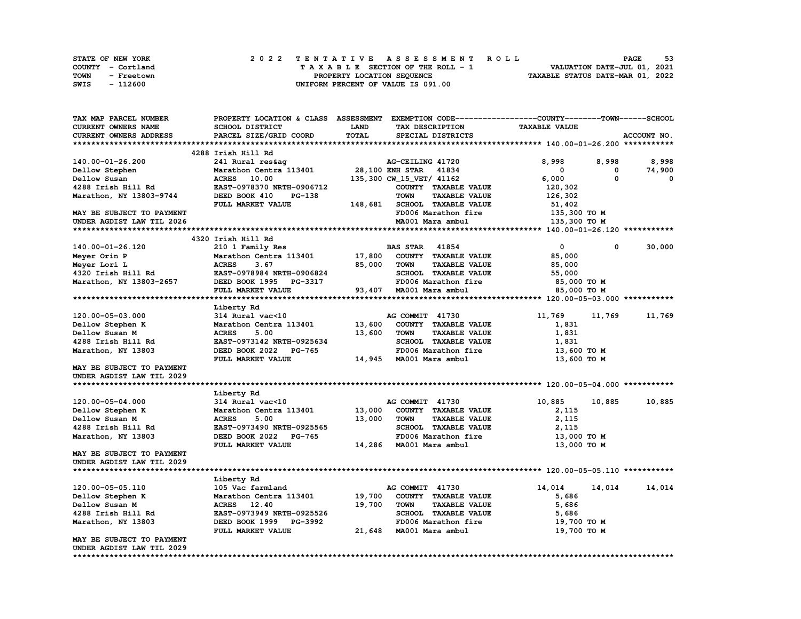|      | <b>STATE OF NEW YORK</b> | 2022 TENTATIVE ASSESSMENT ROLL          | 53<br><b>PAGE</b>                |
|------|--------------------------|-----------------------------------------|----------------------------------|
|      | COUNTY - Cortland        | $T A X A B L E$ SECTION OF THE ROLL - 1 | VALUATION DATE-JUL 01, 2021      |
| TOWN | - Freetown               | PROPERTY LOCATION SEQUENCE              | TAXABLE STATUS DATE-MAR 01, 2022 |
| SWIS | - 112600                 | UNIFORM PERCENT OF VALUE IS 091.00      |                                  |

| TAX MAP PARCEL NUMBER      | PROPERTY LOCATION & CLASS ASSESSMENT EXEMPTION CODE----------------COUNTY-------TOWN-----SCHOOL |         |                                     |                      |        |             |
|----------------------------|-------------------------------------------------------------------------------------------------|---------|-------------------------------------|----------------------|--------|-------------|
| <b>CURRENT OWNERS NAME</b> | SCHOOL DISTRICT                                                                                 | LAND    | TAX DESCRIPTION                     | <b>TAXABLE VALUE</b> |        |             |
| CURRENT OWNERS ADDRESS     | PARCEL SIZE/GRID COORD                                                                          | TOTAL   | SPECIAL DISTRICTS                   |                      |        | ACCOUNT NO. |
|                            |                                                                                                 |         |                                     |                      |        |             |
|                            | 4288 Irish Hill Rd                                                                              |         |                                     |                      |        |             |
| 140.00-01-26.200           | 241 Rural res&ag                                                                                |         | AG-CEILING 41720                    | 8,998                | 8,998  | 8,998       |
| Dellow Stephen             | Marathon Centra 113401                                                                          |         | 28,100 ENH STAR<br>41834            | 0                    | 0      | 74,900      |
| Dellow Susan               | 10.00<br><b>ACRES</b>                                                                           |         | 135,300 CW_15_VET/ 41162            | 6,000                | 0      | 0           |
| 4288 Irish Hill Rd         | EAST-0978370 NRTH-0906712                                                                       |         | COUNTY TAXABLE VALUE                | 120,302              |        |             |
| Marathon, NY 13803-9744    | DEED BOOK 410<br>$PG-138$                                                                       |         | <b>TOWN</b><br><b>TAXABLE VALUE</b> | 126,302              |        |             |
|                            | FULL MARKET VALUE                                                                               | 148,681 | <b>SCHOOL TAXABLE VALUE</b>         | 51,402               |        |             |
| MAY BE SUBJECT TO PAYMENT  |                                                                                                 |         | FD006 Marathon fire                 | 135,300 TO M         |        |             |
| UNDER AGDIST LAW TIL 2026  |                                                                                                 |         | MA001 Mara ambul                    | 135,300 TO M         |        |             |
|                            |                                                                                                 |         |                                     |                      |        |             |
|                            | 4320 Irish Hill Rd                                                                              |         |                                     |                      |        |             |
| 140.00-01-26.120           | 210 1 Family Res                                                                                |         | <b>BAS STAR</b> 41854               | $\mathbf 0$          | 0      | 30,000      |
| Meyer Orin P               | Marathon Centra 113401                                                                          | 17,800  | COUNTY TAXABLE VALUE                | 85,000               |        |             |
| Meyer Lori L               | <b>ACRES</b><br>3.67                                                                            | 85,000  | <b>TAXABLE VALUE</b><br><b>TOWN</b> | 85,000               |        |             |
| 4320 Irish Hill Rd         | EAST-0978984 NRTH-0906824                                                                       |         | SCHOOL TAXABLE VALUE                | 55,000               |        |             |
| Marathon, NY 13803-2657    | DEED BOOK 1995 PG-3317                                                                          |         | FD006 Marathon fire                 | 85,000 TO M          |        |             |
|                            | FULL MARKET VALUE                                                                               | 93,407  | MA001 Mara ambul                    | 85,000 TO M          |        |             |
|                            |                                                                                                 |         |                                     |                      |        |             |
|                            |                                                                                                 |         |                                     |                      |        |             |
| 120.00-05-03.000           | Liberty Rd<br>314 Rural vac<10                                                                  |         | AG COMMIT 41730                     | 11,769               |        |             |
|                            |                                                                                                 |         |                                     |                      | 11,769 | 11,769      |
| Dellow Stephen K           | Marathon Centra 113401                                                                          | 13,600  | COUNTY TAXABLE VALUE                | 1,831                |        |             |
| Dellow Susan M             | <b>ACRES</b><br>5.00                                                                            | 13,600  | <b>TOWN</b><br><b>TAXABLE VALUE</b> | 1,831                |        |             |
| 4288 Irish Hill Rd         | EAST-0973142 NRTH-0925634                                                                       |         | SCHOOL TAXABLE VALUE                | 1,831                |        |             |
| Marathon, NY 13803         | DEED BOOK 2022<br><b>PG-765</b>                                                                 |         | FD006 Marathon fire                 | 13,600 TO M          |        |             |
|                            | FULL MARKET VALUE                                                                               | 14,945  | MA001 Mara ambul                    | 13,600 TO M          |        |             |
| MAY BE SUBJECT TO PAYMENT  |                                                                                                 |         |                                     |                      |        |             |
| UNDER AGDIST LAW TIL 2029  |                                                                                                 |         |                                     |                      |        |             |
|                            |                                                                                                 |         |                                     |                      |        |             |
|                            | Liberty Rd                                                                                      |         |                                     |                      |        |             |
| 120.00-05-04.000           | 314 Rural vac<10                                                                                |         | AG COMMIT 41730                     | 10,885               | 10,885 | 10,885      |
| Dellow Stephen K           | Marathon Centra 113401                                                                          | 13,000  | COUNTY TAXABLE VALUE                | 2,115                |        |             |
| Dellow Susan M             | <b>ACRES</b><br>5.00                                                                            | 13,000  | <b>TAXABLE VALUE</b><br><b>TOWN</b> | 2,115                |        |             |
| 4288 Irish Hill Rd         | EAST-0973490 NRTH-0925565                                                                       |         | SCHOOL TAXABLE VALUE                | 2,115                |        |             |
| Marathon, NY 13803         | DEED BOOK 2022 PG-765                                                                           |         | FD006 Marathon fire                 | 13,000 TO M          |        |             |
|                            | FULL MARKET VALUE                                                                               |         | 14,286 MA001 Mara ambul             | 13,000 TO M          |        |             |
| MAY BE SUBJECT TO PAYMENT  |                                                                                                 |         |                                     |                      |        |             |
| UNDER AGDIST LAW TIL 2029  |                                                                                                 |         |                                     |                      |        |             |
|                            |                                                                                                 |         |                                     |                      |        |             |
|                            | Liberty Rd                                                                                      |         |                                     |                      |        |             |
| 120.00-05-05.110           | 105 Vac farmland                                                                                |         | AG COMMIT 41730                     | 14,014               | 14,014 | 14,014      |
| Dellow Stephen K           | Marathon Centra 113401                                                                          | 19,700  | COUNTY TAXABLE VALUE                | 5,686                |        |             |
| Dellow Susan M             | ACRES 12.40                                                                                     | 19,700  | <b>TOWN</b><br><b>TAXABLE VALUE</b> | 5,686                |        |             |
| 4288 Irish Hill Rd         | EAST-0973949 NRTH-0925526                                                                       |         | SCHOOL TAXABLE VALUE                | 5,686                |        |             |
| Marathon, NY 13803         | DEED BOOK 1999 PG-3992                                                                          |         | FD006 Marathon fire                 | 19,700 TO M          |        |             |
|                            | FULL MARKET VALUE                                                                               |         | 21,648 MA001 Mara ambul             | 19,700 TO M          |        |             |
| MAY BE SUBJECT TO PAYMENT  |                                                                                                 |         |                                     |                      |        |             |
| UNDER AGDIST LAW TIL 2029  |                                                                                                 |         |                                     |                      |        |             |
|                            |                                                                                                 |         |                                     |                      |        |             |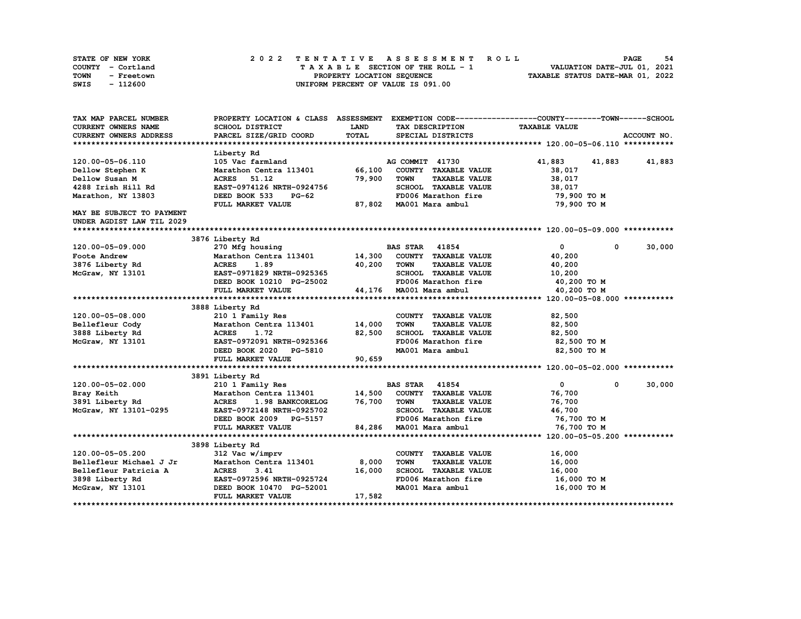| STATE OF NEW YORK  | 2022 TENTATIVE ASSESSMENT ROLL     | -54<br><b>PAGE</b>               |
|--------------------|------------------------------------|----------------------------------|
| COUNTY - Cortland  | TAXABLE SECTION OF THE ROLL - 1    | VALUATION DATE-JUL 01, 2021      |
| TOWN<br>- Freetown | PROPERTY LOCATION SEQUENCE         | TAXABLE STATUS DATE-MAR 01, 2022 |
| SWIS<br>- 112600   | UNIFORM PERCENT OF VALUE IS 091.00 |                                  |

| TAX MAP PARCEL NUMBER         | PROPERTY LOCATION & CLASS ASSESSMENT EXEMPTION CODE----------------COUNTY-------TOWN------SCHOOL |             |                                     |                      |               |
|-------------------------------|--------------------------------------------------------------------------------------------------|-------------|-------------------------------------|----------------------|---------------|
| <b>CURRENT OWNERS NAME</b>    | <b>SCHOOL DISTRICT</b>                                                                           | <b>LAND</b> | TAX DESCRIPTION                     | <b>TAXABLE VALUE</b> |               |
| <b>CURRENT OWNERS ADDRESS</b> | PARCEL SIZE/GRID COORD                                                                           | TOTAL       | SPECIAL DISTRICTS                   |                      | ACCOUNT NO.   |
|                               |                                                                                                  |             |                                     |                      |               |
|                               | Liberty Rd                                                                                       |             |                                     |                      |               |
| 120.00-05-06.110              | 105 Vac farmland                                                                                 |             | AG COMMIT 41730                     | 41,883               | 41,883 41,883 |
| Dellow Stephen K              | Marathon Centra 113401                                                                           | 66,100      | COUNTY TAXABLE VALUE                | 38,017               |               |
| Dellow Susan M                | <b>ACRES</b><br>51.12                                                                            | 79,900      | <b>TOWN</b><br><b>TAXABLE VALUE</b> | 38,017               |               |
| 4288 Irish Hill Rd            | EAST-0974126 NRTH-0924756                                                                        |             | SCHOOL TAXABLE VALUE                | 38,017               |               |
| Marathon, NY 13803            | DEED BOOK 533<br>PG-62                                                                           |             | FD006 Marathon fire                 | 79,900 TO M          |               |
|                               | FULL MARKET VALUE                                                                                | 87,802      | MA001 Mara ambul                    | 79,900 TO M          |               |
| MAY BE SUBJECT TO PAYMENT     |                                                                                                  |             |                                     |                      |               |
| UNDER AGDIST LAW TIL 2029     |                                                                                                  |             |                                     |                      |               |
|                               |                                                                                                  |             |                                     |                      |               |
|                               | 3876 Liberty Rd                                                                                  |             |                                     |                      |               |
| 120.00-05-09.000              | 270 Mfg housing                                                                                  |             | <b>BAS STAR</b><br>41854            | $\mathbf{0}$<br>0    | 30,000        |
| Foote Andrew                  | Marathon Centra 113401 14,300                                                                    |             | COUNTY TAXABLE VALUE                | 40,200               |               |
| 3876 Liberty Rd               | <b>ACRES</b><br>1.89                                                                             | 40,200      | <b>TOWN</b><br><b>TAXABLE VALUE</b> | 40,200               |               |
| McGraw, NY 13101              | EAST-0971829 NRTH-0925365                                                                        |             | SCHOOL TAXABLE VALUE                | 10,200               |               |
|                               | DEED BOOK 10210 PG-25002                                                                         |             | FD006 Marathon fire                 | 40,200 TO M          |               |
|                               | FULL MARKET VALUE                                                                                |             | 44,176 MA001 Mara ambul             | 40,200 TO M          |               |
|                               |                                                                                                  |             |                                     |                      |               |
|                               | 3888 Liberty Rd                                                                                  |             |                                     |                      |               |
| 120.00-05-08.000              | 210 1 Family Res                                                                                 |             | COUNTY TAXABLE VALUE                | 82,500               |               |
| Bellefleur Cody               | Marathon Centra 113401                                                                           | 14,000      | <b>TOWN</b><br><b>TAXABLE VALUE</b> | 82,500               |               |
| 3888 Liberty Rd               | <b>ACRES</b><br>1.72                                                                             | 82,500      | SCHOOL TAXABLE VALUE                | 82,500               |               |
| McGraw, NY 13101              | EAST-0972091 NRTH-0925366                                                                        |             | FD006 Marathon fire                 | 82,500 TO M          |               |
|                               | DEED BOOK 2020 PG-5810                                                                           |             | MA001 Mara ambul                    | 82,500 TO M          |               |
|                               | FULL MARKET VALUE                                                                                | 90,659      |                                     |                      |               |
|                               |                                                                                                  |             |                                     |                      |               |
|                               | 3891 Liberty Rd                                                                                  |             |                                     |                      |               |
| 120.00-05-02.000              | 210 1 Family Res                                                                                 |             | <b>BAS STAR</b> 41854               | $\mathbf{0}$<br>0    | 30,000        |
| Bray Keith                    | Marathon Centra 113401                                                                           | 14,500      | COUNTY TAXABLE VALUE                | 76,700               |               |
| 3891 Liberty Rd               | <b>ACRES</b><br>1.98 BANKCORELOG                                                                 | 76,700      | <b>TOWN</b><br><b>TAXABLE VALUE</b> | 76,700               |               |
| McGraw, NY 13101-0295         | EAST-0972148 NRTH-0925702                                                                        |             | SCHOOL TAXABLE VALUE                | 46,700               |               |
|                               | DEED BOOK 2009 PG-5157                                                                           |             | FD006 Marathon fire                 | 76,700 TO M          |               |
|                               | FULL MARKET VALUE                                                                                |             | 84,286 MA001 Mara ambul             | 76,700 TO M          |               |
|                               |                                                                                                  |             |                                     |                      |               |
|                               | 3898 Liberty Rd                                                                                  |             |                                     |                      |               |
| 120.00-05-05.200              | 312 Vac w/imprv                                                                                  |             | COUNTY TAXABLE VALUE                | 16,000               |               |
| Bellefleur Michael J Jr       | Marathon Centra 113401                                                                           | 8,000       | <b>TOWN</b><br><b>TAXABLE VALUE</b> | 16,000               |               |
| Bellefleur Patricia A         | <b>ACRES</b><br>3.41                                                                             | 16,000      | SCHOOL TAXABLE VALUE                | 16,000               |               |
| 3898 Liberty Rd               | EAST-0972596 NRTH-0925724                                                                        |             | FD006 Marathon fire                 | 16,000 то м          |               |
| McGraw, NY 13101              | DEED BOOK 10470 PG-52001                                                                         |             | MA001 Mara ambul                    | 16,000 TO M          |               |
|                               | FULL MARKET VALUE                                                                                | 17,582      |                                     |                      |               |
|                               |                                                                                                  |             |                                     |                      |               |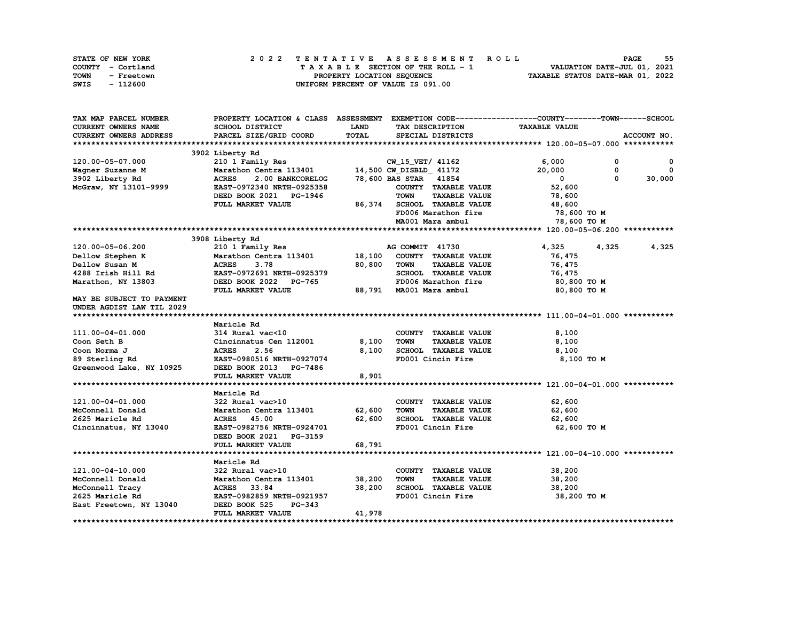| STATE OF NEW YORK  | 2022 TENTATIVE ASSESSMENT ROLL     | 55<br><b>PAGE</b>                |
|--------------------|------------------------------------|----------------------------------|
| COUNTY - Cortland  | TAXABLE SECTION OF THE ROLL - 1    | VALUATION DATE-JUL 01, 2021      |
| TOWN<br>- Freetown | PROPERTY LOCATION SEQUENCE         | TAXABLE STATUS DATE-MAR 01, 2022 |
| - 112600<br>SWIS   | UNIFORM PERCENT OF VALUE IS 091.00 |                                  |

| TAX MAP PARCEL NUMBER      |                                  |              |                                     | PROPERTY LOCATION & CLASS ASSESSMENT EXEMPTION CODE-----------------COUNTY-------TOWN------SCHOOL |              |
|----------------------------|----------------------------------|--------------|-------------------------------------|---------------------------------------------------------------------------------------------------|--------------|
| <b>CURRENT OWNERS NAME</b> | <b>SCHOOL DISTRICT</b>           | LAND         | TAX DESCRIPTION                     | <b>TAXABLE VALUE</b>                                                                              |              |
| CURRENT OWNERS ADDRESS     | PARCEL SIZE/GRID COORD           | <b>TOTAL</b> | SPECIAL DISTRICTS                   |                                                                                                   | ACCOUNT NO.  |
|                            |                                  |              |                                     |                                                                                                   |              |
|                            | 3902 Liberty Rd                  |              |                                     |                                                                                                   |              |
| 120.00-05-07.000           | 210 1 Family Res                 |              | CW 15 VET/ 41162                    | 6,000<br>0                                                                                        | $\mathbf{o}$ |
| Wagner Suzanne M           | Marathon Centra 113401           |              | 14,500 CW_DISBLD_ 41172             | 20,000<br>$\mathbf{o}$                                                                            | $\mathbf{0}$ |
| 3902 Liberty Rd            | <b>ACRES</b><br>2.00 BANKCORELOG |              | 78,600 BAS STAR 41854               | $\Omega$<br>$^{\circ}$                                                                            | 30,000       |
| McGraw, NY 13101-9999      | EAST-0972340 NRTH-0925358        |              | COUNTY TAXABLE VALUE                | 52,600                                                                                            |              |
|                            | DEED BOOK 2021 PG-1946           |              | <b>TOWN</b><br><b>TAXABLE VALUE</b> | 78,600                                                                                            |              |
|                            | FULL MARKET VALUE                | 86,374       | SCHOOL TAXABLE VALUE                | 48,600                                                                                            |              |
|                            |                                  |              | FD006 Marathon fire                 | 78,600 TO M                                                                                       |              |
|                            |                                  |              | MA001 Mara ambul                    | 78,600 TO M                                                                                       |              |
|                            |                                  |              |                                     |                                                                                                   |              |
|                            | 3908 Liberty Rd                  |              |                                     |                                                                                                   |              |
| 120.00-05-06.200           | 210 1 Family Res                 |              | AG COMMIT 41730                     | 4,325<br>4,325                                                                                    | 4,325        |
| Dellow Stephen K           | Marathon Centra 113401           | 18,100       | COUNTY TAXABLE VALUE                | 76,475                                                                                            |              |
| Dellow Susan M             | <b>ACRES</b><br>3.78             | 80,800       | <b>TOWN</b><br><b>TAXABLE VALUE</b> | 76,475                                                                                            |              |
| 4288 Irish Hill Rd         | EAST-0972691 NRTH-0925379        |              | SCHOOL TAXABLE VALUE                | 76,475                                                                                            |              |
| Marathon, NY 13803         | DEED BOOK 2022<br>PG-765         |              | FD006 Marathon fire                 | 80,800 TO M                                                                                       |              |
|                            | FULL MARKET VALUE                |              | 88,791 MA001 Mara ambul             | 80,800 TO M                                                                                       |              |
| MAY BE SUBJECT TO PAYMENT  |                                  |              |                                     |                                                                                                   |              |
| UNDER AGDIST LAW TIL 2029  |                                  |              |                                     |                                                                                                   |              |
|                            |                                  |              |                                     |                                                                                                   |              |
|                            | Maricle Rd                       |              |                                     |                                                                                                   |              |
| 111.00-04-01.000           | 314 Rural vac<10                 |              | COUNTY TAXABLE VALUE                | 8,100                                                                                             |              |
| Coon Seth B                | Cincinnatus Cen 112001           | 8,100        | <b>TOWN</b><br><b>TAXABLE VALUE</b> | 8,100                                                                                             |              |
| Coon Norma J               | <b>ACRES</b><br>2.56             | 8,100        | SCHOOL TAXABLE VALUE                | 8,100                                                                                             |              |
| 89 Sterling Rd             | EAST-0980516 NRTH-0927074        |              | FD001 Cincin Fire                   | 8,100 TO M                                                                                        |              |
| Greenwood Lake, NY 10925   | DEED BOOK 2013 PG-7486           |              |                                     |                                                                                                   |              |
|                            | FULL MARKET VALUE                | 8,901        |                                     |                                                                                                   |              |
|                            |                                  |              |                                     |                                                                                                   |              |
|                            | Maricle Rd                       |              |                                     |                                                                                                   |              |
| 121.00-04-01.000           | 322 Rural vac>10                 |              | COUNTY TAXABLE VALUE                | 62,600                                                                                            |              |
| McConnell Donald           | Marathon Centra 113401           | 62,600       | <b>TOWN</b><br><b>TAXABLE VALUE</b> | 62,600                                                                                            |              |
| 2625 Maricle Rd            | 45.00<br><b>ACRES</b>            | 62,600       | SCHOOL TAXABLE VALUE                | 62,600                                                                                            |              |
| Cincinnatus, NY 13040      | EAST-0982756 NRTH-0924701        |              | FD001 Cincin Fire                   | 62,600 TO M                                                                                       |              |
|                            | DEED BOOK 2021 PG-3159           |              |                                     |                                                                                                   |              |
|                            | FULL MARKET VALUE                | 68,791       |                                     |                                                                                                   |              |
|                            |                                  |              |                                     |                                                                                                   |              |
|                            | Maricle Rd                       |              |                                     |                                                                                                   |              |
| 121.00-04-10.000           | 322 Rural vac>10                 |              | COUNTY TAXABLE VALUE                | 38,200                                                                                            |              |
| McConnell Donald           | Marathon Centra 113401           | 38,200       | <b>TOWN</b><br><b>TAXABLE VALUE</b> | 38,200                                                                                            |              |
| McConnell Tracy            | ACRES 33.84                      | 38,200       | SCHOOL TAXABLE VALUE                | 38,200                                                                                            |              |
| 2625 Maricle Rd            | EAST-0982859 NRTH-0921957        |              | FD001 Cincin Fire                   | 38,200 TO M                                                                                       |              |
| East Freetown, NY 13040    | DEED BOOK 525<br>PG-343          |              |                                     |                                                                                                   |              |
|                            | FULL MARKET VALUE                | 41,978       |                                     |                                                                                                   |              |
|                            |                                  |              |                                     |                                                                                                   |              |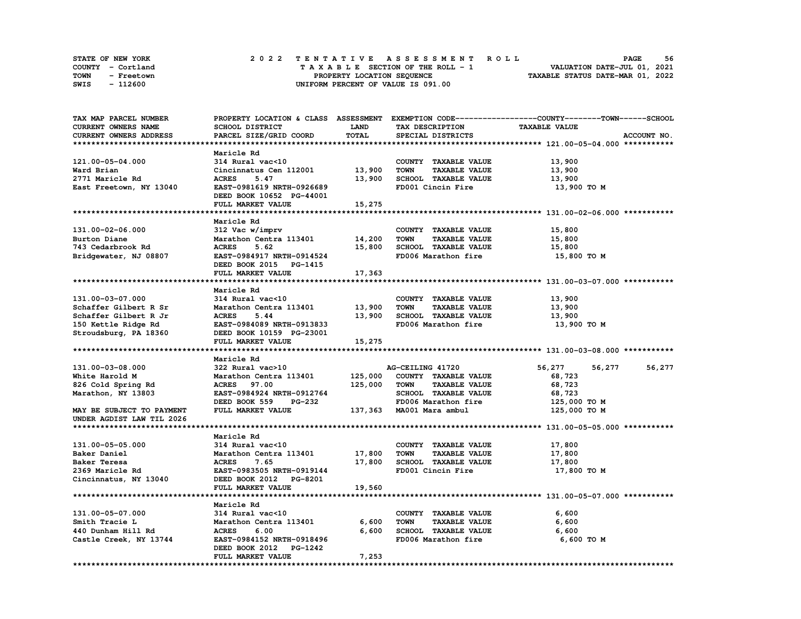| STATE OF NEW YORK  | 2022 TENTATIVE ASSESSMENT ROLL     | 56<br><b>PAGE</b>                |
|--------------------|------------------------------------|----------------------------------|
| COUNTY - Cortland  | TAXABLE SECTION OF THE ROLL - 1    | VALUATION DATE-JUL 01, 2021      |
| TOWN<br>- Freetown | PROPERTY LOCATION SEQUENCE         | TAXABLE STATUS DATE-MAR 01, 2022 |
| - 112600<br>SWIS   | UNIFORM PERCENT OF VALUE IS 091.00 |                                  |

| TAX MAP PARCEL NUMBER     |                               |             |                                     | PROPERTY LOCATION & CLASS ASSESSMENT EXEMPTION CODE----------------COUNTY-------TOWN-----SCHOOL |
|---------------------------|-------------------------------|-------------|-------------------------------------|-------------------------------------------------------------------------------------------------|
| CURRENT OWNERS NAME       | SCHOOL DISTRICT               | <b>LAND</b> | TAX DESCRIPTION                     | <b>TAXABLE VALUE</b>                                                                            |
| CURRENT OWNERS ADDRESS    | PARCEL SIZE/GRID COORD        | TOTAL       | SPECIAL DISTRICTS                   | ACCOUNT NO.                                                                                     |
|                           |                               |             |                                     |                                                                                                 |
|                           | Maricle Rd                    |             |                                     |                                                                                                 |
| 121.00-05-04.000          | 314 Rural vac<10              |             | COUNTY TAXABLE VALUE                | 13,900                                                                                          |
| Ward Brian                | Cincinnatus Cen 112001        | 13,900      | <b>TOWN</b><br><b>TAXABLE VALUE</b> | 13,900                                                                                          |
| 2771 Maricle Rd           | 5.47<br><b>ACRES</b>          | 13,900      | SCHOOL TAXABLE VALUE                | 13,900                                                                                          |
| East Freetown, NY 13040   | EAST-0981619 NRTH-0926689     |             | FD001 Cincin Fire                   | 13,900 то м                                                                                     |
|                           | DEED BOOK 10652 PG-44001      |             |                                     |                                                                                                 |
|                           | FULL MARKET VALUE             | 15,275      |                                     |                                                                                                 |
|                           |                               |             |                                     |                                                                                                 |
|                           | Maricle Rd                    |             |                                     |                                                                                                 |
| 131.00-02-06.000          | 312 Vac w/imprv               |             | COUNTY TAXABLE VALUE                | 15,800                                                                                          |
| Burton Diane              | Marathon Centra 113401 14,200 |             | TOWN<br><b>TAXABLE VALUE</b>        |                                                                                                 |
|                           | <b>ACRES</b>                  | 15,800      | SCHOOL TAXABLE VALUE                | 15,800                                                                                          |
| 743 Cedarbrook Rd         | 5.62                          |             |                                     | 15,800                                                                                          |
| Bridgewater, NJ 08807     | EAST-0984917 NRTH-0914524     |             | FD006 Marathon fire                 | 15,800 TO M                                                                                     |
|                           | DEED BOOK 2015 PG-1415        |             |                                     |                                                                                                 |
|                           | FULL MARKET VALUE             | 17,363      |                                     |                                                                                                 |
|                           |                               |             |                                     |                                                                                                 |
|                           | Maricle Rd                    |             |                                     |                                                                                                 |
| 131.00-03-07.000          | 314 Rural vac<10              |             | COUNTY TAXABLE VALUE                | 13,900                                                                                          |
| Schaffer Gilbert R Sr     | Marathon Centra 113401        | 13,900      | <b>TOWN</b><br><b>TAXABLE VALUE</b> | 13,900                                                                                          |
| Schaffer Gilbert R Jr     | <b>ACRES</b><br>5.44          | 13,900      | SCHOOL TAXABLE VALUE                | 13,900                                                                                          |
| 150 Kettle Ridge Rd       | EAST-0984089 NRTH-0913833     |             | FD006 Marathon fire                 | 13,900 TO M                                                                                     |
| Stroudsburg, PA 18360     | DEED BOOK 10159 PG-23001      |             |                                     |                                                                                                 |
|                           | FULL MARKET VALUE             | 15,275      |                                     |                                                                                                 |
|                           |                               |             |                                     |                                                                                                 |
|                           | Maricle Rd                    |             |                                     |                                                                                                 |
| 131.00-03-08.000          | 322 Rural vac>10              |             | AG-CEILING 41720                    | 56,277<br>56,277<br>56,277                                                                      |
| White Harold M            | Marathon Centra 113401        | 125,000     | COUNTY TAXABLE VALUE                | 68,723                                                                                          |
| 826 Cold Spring Rd        | <b>ACRES</b> 97.00            | 125,000     | <b>TOWN</b><br><b>TAXABLE VALUE</b> | 68,723                                                                                          |
| Marathon, NY 13803        | EAST-0984924 NRTH-0912764     |             | SCHOOL TAXABLE VALUE                | 68,723                                                                                          |
|                           | DEED BOOK 559 PG-232          |             | FD006 Marathon fire                 | 125,000 TO M                                                                                    |
| MAY BE SUBJECT TO PAYMENT | FULL MARKET VALUE             |             | 137,363 MA001 Mara ambul            | 125,000 TO M                                                                                    |
| UNDER AGDIST LAW TIL 2026 |                               |             |                                     |                                                                                                 |
|                           |                               |             |                                     |                                                                                                 |
|                           | Maricle Rd                    |             |                                     |                                                                                                 |
| 131.00-05-05.000          | 314 Rural vac<10              |             | COUNTY TAXABLE VALUE                | 17,800                                                                                          |
| Baker Daniel              | Marathon Centra 113401 17,800 |             | <b>TOWN</b><br><b>TAXABLE VALUE</b> | 17,800                                                                                          |
| Baker Teresa              | <b>ACRES</b><br>7.65          | 17,800      | SCHOOL TAXABLE VALUE                | 17,800                                                                                          |
| 2369 Maricle Rd           | EAST-0983505 NRTH-0919144     |             | FD001 Cincin Fire                   | 17,800 TO M                                                                                     |
|                           |                               |             |                                     |                                                                                                 |
| Cincinnatus, NY 13040     | DEED BOOK 2012 PG-8201        | 19,560      |                                     |                                                                                                 |
|                           | FULL MARKET VALUE             |             |                                     |                                                                                                 |
|                           |                               |             |                                     |                                                                                                 |
|                           | Maricle Rd                    |             |                                     |                                                                                                 |
| 131.00-05-07.000          | 314 Rural vac<10              |             | COUNTY TAXABLE VALUE                | 6,600                                                                                           |
| Smith Tracie L            | Marathon Centra 113401        | 6,600       | TOWN<br><b>TAXABLE VALUE</b>        | 6,600                                                                                           |
| 440 Dunham Hill Rd        | <b>ACRES</b><br>6.00          | 6,600       | SCHOOL TAXABLE VALUE                | 6,600                                                                                           |
| Castle Creek, NY 13744    | EAST-0984152 NRTH-0918496     |             | FD006 Marathon fire                 | 6,600 TO M                                                                                      |
|                           | DEED BOOK 2012 PG-1242        |             |                                     |                                                                                                 |
|                           | FULL MARKET VALUE             | 7,253       |                                     |                                                                                                 |
|                           |                               |             |                                     |                                                                                                 |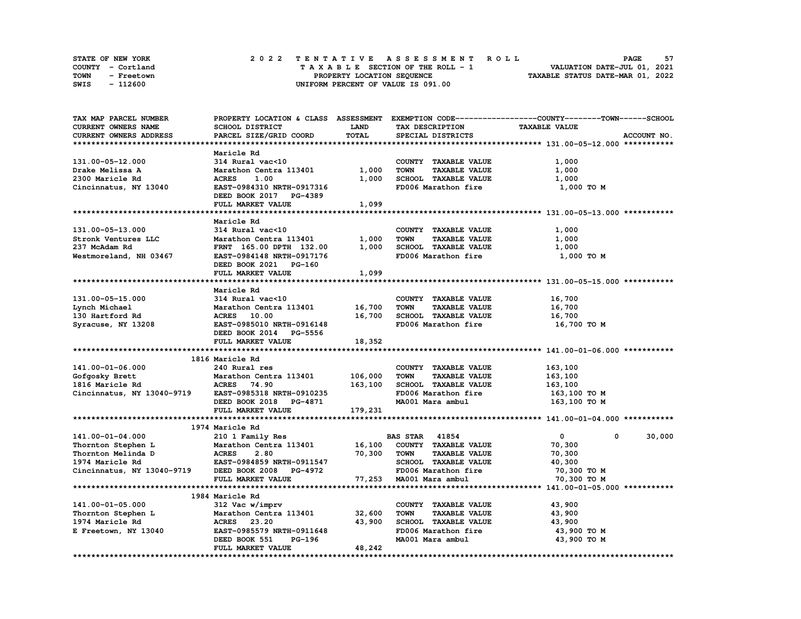| <b>STATE OF NEW YORK</b> | 2022 TENTATIVE ASSESSMENT ROLL     | 57<br>PAGE                       |
|--------------------------|------------------------------------|----------------------------------|
| COUNTY - Cortland        | TAXABLE SECTION OF THE ROLL - 1    | VALUATION DATE-JUL 01, 2021      |
| TOWN<br>- Freetown       | PROPERTY LOCATION SEQUENCE         | TAXABLE STATUS DATE-MAR 01, 2022 |
| - 112600<br>SWIS         | UNIFORM PERCENT OF VALUE IS 091.00 |                                  |

| TAX MAP PARCEL NUMBER      |                                                 |             |                                     | PROPERTY LOCATION & CLASS ASSESSMENT EXEMPTION CODE-----------------COUNTY-------TOWN------SCHOOL |             |
|----------------------------|-------------------------------------------------|-------------|-------------------------------------|---------------------------------------------------------------------------------------------------|-------------|
| CURRENT OWNERS NAME        | SCHOOL DISTRICT                                 | <b>LAND</b> | TAX DESCRIPTION                     | <b>TAXABLE VALUE</b>                                                                              |             |
| CURRENT OWNERS ADDRESS     | PARCEL SIZE/GRID COORD                          | TOTAL       | SPECIAL DISTRICTS                   |                                                                                                   | ACCOUNT NO. |
|                            |                                                 |             |                                     |                                                                                                   |             |
|                            | Maricle Rd                                      |             |                                     |                                                                                                   |             |
| 131.00-05-12.000           | 314 Rural vac<10                                |             | COUNTY TAXABLE VALUE                | 1,000                                                                                             |             |
| Drake Melissa A            | Marathon Centra 113401                          | 1,000       | <b>TOWN</b><br><b>TAXABLE VALUE</b> | 1,000                                                                                             |             |
| 2300 Maricle Rd            | <b>ACRES</b><br>1.00                            | 1,000       | SCHOOL TAXABLE VALUE                | 1,000                                                                                             |             |
| Cincinnatus, NY 13040      | EAST-0984310 NRTH-0917316                       |             | FD006 Marathon fire                 |                                                                                                   |             |
|                            |                                                 |             |                                     | 1,000 TO M                                                                                        |             |
|                            | DEED BOOK 2017 PG-4389                          |             |                                     |                                                                                                   |             |
|                            | FULL MARKET VALUE                               | 1,099       |                                     |                                                                                                   |             |
|                            |                                                 |             |                                     |                                                                                                   |             |
|                            | Maricle Rd                                      |             |                                     |                                                                                                   |             |
| 131.00-05-13.000           | 314 Rural vac<10                                |             | COUNTY TAXABLE VALUE                | 1,000                                                                                             |             |
| Stronk Ventures LLC        | Marathon Centra 113401                          | 1,000       | <b>TOWN</b><br><b>TAXABLE VALUE</b> | 1,000                                                                                             |             |
| 237 McAdam Rd              | FRNT 165.00 DPTH 132.00                         | 1,000       | SCHOOL TAXABLE VALUE                | 1,000                                                                                             |             |
| Westmoreland, NH 03467     | EAST-0984148 NRTH-0917176                       |             | FD006 Marathon fire                 | 1,000 TO M                                                                                        |             |
|                            | DEED BOOK 2021 PG-160                           |             |                                     |                                                                                                   |             |
|                            | FULL MARKET VALUE                               | 1,099       |                                     |                                                                                                   |             |
|                            |                                                 |             |                                     |                                                                                                   |             |
|                            | Maricle Rd                                      |             |                                     |                                                                                                   |             |
| 131.00-05-15.000           | 314 Rural vac<10                                |             | COUNTY TAXABLE VALUE                | 16,700                                                                                            |             |
|                            |                                                 |             |                                     |                                                                                                   |             |
| Lynch Michael              | Marathon Centra 113401                          | 16,700      | <b>TOWN</b><br><b>TAXABLE VALUE</b> | 16,700                                                                                            |             |
| 130 Hartford Rd            | ACRES 10.00                                     | 16,700      | SCHOOL TAXABLE VALUE                | 16,700                                                                                            |             |
| Syracuse, NY 13208         | EAST-0985010 NRTH-0916148                       |             | FD006 Marathon fire                 | 16,700 TO M                                                                                       |             |
|                            | DEED BOOK 2014 PG-5556                          |             |                                     |                                                                                                   |             |
|                            | FULL MARKET VALUE                               | 18,352      |                                     |                                                                                                   |             |
|                            |                                                 |             |                                     |                                                                                                   |             |
|                            | 1816 Maricle Rd                                 |             |                                     |                                                                                                   |             |
| 141.00-01-06.000           | 240 Rural res                                   |             | COUNTY TAXABLE VALUE                | 163,100                                                                                           |             |
| Gofgosky Brett             | Marathon Centra 113401                          | 106,000     | <b>TOWN</b><br><b>TAXABLE VALUE</b> | 163,100                                                                                           |             |
| 1816 Maricle Rd            | ACRES 74.90                                     | 163,100     | SCHOOL TAXABLE VALUE                | 163,100                                                                                           |             |
| Cincinnatus, NY 13040-9719 | EAST-0985318 NRTH-0910235                       |             | FD006 Marathon fire                 | 163,100 то м                                                                                      |             |
|                            | DEED BOOK 2018 PG-4871                          |             | MA001 Mara ambul                    | 163,100 то м                                                                                      |             |
|                            | FULL MARKET VALUE                               | 179,231     |                                     |                                                                                                   |             |
|                            |                                                 |             |                                     |                                                                                                   |             |
|                            | 1974 Maricle Rd                                 |             |                                     |                                                                                                   |             |
|                            |                                                 |             | <b>BAS STAR 41854</b>               | 0                                                                                                 |             |
| 141.00-01-04.000           | 210 1 Family Res                                |             |                                     | $\mathbf{0}$                                                                                      | 30,000      |
| Thornton Stephen L         | Marathon Centra 113401                          | 16,100      | COUNTY TAXABLE VALUE                | 70,300                                                                                            |             |
| Thornton Melinda D         |                                                 | 70,300      | <b>TOWN</b><br><b>TAXABLE VALUE</b> | 70,300                                                                                            |             |
| 1974 Maricle Rd            | <b>ACRES 2.80<br/>EAST-0984859 NRTH-0911547</b> |             | SCHOOL TAXABLE VALUE                | 40,300                                                                                            |             |
| Cincinnatus, NY 13040-9719 | DEED BOOK 2008 PG-4972                          |             | FD006 Marathon fire                 | 70,300 TO M                                                                                       |             |
|                            | FULL MARKET VALUE                               |             | 77,253 MA001 Mara ambul             | 70,300 TO M                                                                                       |             |
|                            |                                                 |             |                                     |                                                                                                   |             |
|                            | 1984 Maricle Rd                                 |             |                                     |                                                                                                   |             |
| 141.00-01-05.000           | 312 Vac w/imprv                                 |             | COUNTY TAXABLE VALUE                | 43,900                                                                                            |             |
| Thornton Stephen L         | Marathon Centra 113401                          | 32,600      | <b>TOWN</b><br><b>TAXABLE VALUE</b> | 43,900                                                                                            |             |
| 1974 Maricle Rd            | <b>ACRES</b> 23.20                              | 43,900      | SCHOOL TAXABLE VALUE                | 43,900                                                                                            |             |
| E Freetown, NY 13040       | EAST-0985579 NRTH-0911648                       |             | FD006 Marathon fire                 | 43,900 TO M                                                                                       |             |
|                            | DEED BOOK 551<br>PG-196                         |             | MA001 Mara ambul                    | 43,900 TO M                                                                                       |             |
|                            | FULL MARKET VALUE                               | 48,242      |                                     |                                                                                                   |             |
|                            |                                                 |             |                                     |                                                                                                   |             |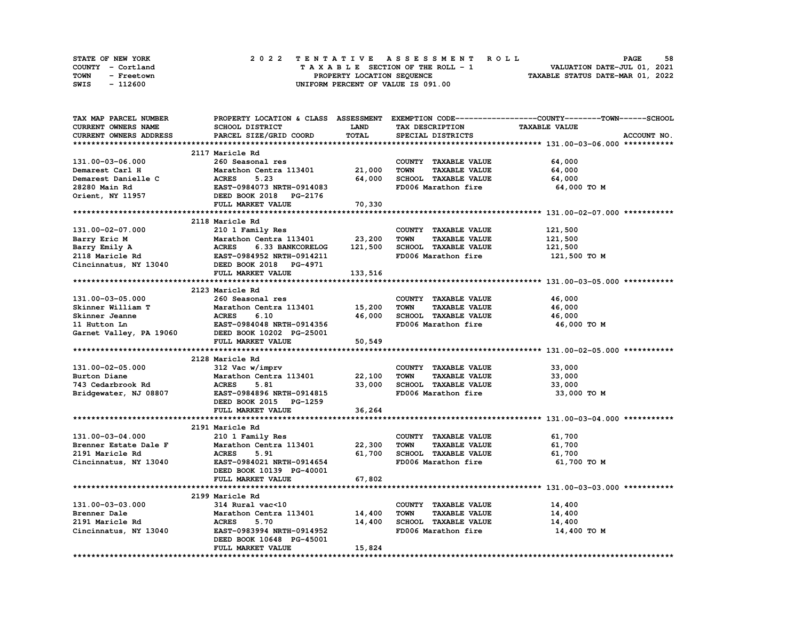| <b>STATE OF NEW YORK</b> | 2022 TENTATIVE ASSESSMENT ROLL     | 58<br><b>PAGE</b>                |
|--------------------------|------------------------------------|----------------------------------|
| COUNTY - Cortland        | TAXABLE SECTION OF THE ROLL - 1    | VALUATION DATE-JUL 01, 2021      |
| TOWN<br>- Freetown       | PROPERTY LOCATION SEQUENCE         | TAXABLE STATUS DATE-MAR 01, 2022 |
| - 112600<br>SWIS         | UNIFORM PERCENT OF VALUE IS 091.00 |                                  |

| TAX MAP PARCEL NUMBER  |                                                                                                                                                                                                           |         |                                     | PROPERTY LOCATION & CLASS ASSESSMENT EXEMPTION CODE----------------COUNTY-------TOWN-----SCHOOL |
|------------------------|-----------------------------------------------------------------------------------------------------------------------------------------------------------------------------------------------------------|---------|-------------------------------------|-------------------------------------------------------------------------------------------------|
| CURRENT OWNERS NAME    | SCHOOL DISTRICT                                                                                                                                                                                           | LAND    | TAX DESCRIPTION                     | <b>TAXABLE VALUE</b>                                                                            |
| CURRENT OWNERS ADDRESS | PARCEL SIZE/GRID COORD                                                                                                                                                                                    | TOTAL   | SPECIAL DISTRICTS                   | ACCOUNT NO.                                                                                     |
|                        |                                                                                                                                                                                                           |         |                                     |                                                                                                 |
|                        | 2117 Maricle Rd                                                                                                                                                                                           |         |                                     |                                                                                                 |
| 131.00-03-06.000       | 260 Seasonal res                                                                                                                                                                                          |         | COUNTY TAXABLE VALUE                | 64,000                                                                                          |
| Demarest Carl H        | Marathon Centra 113401                                                                                                                                                                                    | 21,000  | <b>TOWN</b><br><b>TAXABLE VALUE</b> | 64,000                                                                                          |
|                        |                                                                                                                                                                                                           | 64,000  | SCHOOL TAXABLE VALUE                | 64,000                                                                                          |
|                        | EAST-0984073 NRTH-0914083                                                                                                                                                                                 |         | FD006 Marathon fire                 | 64,000 TO M                                                                                     |
|                        | Demarest Danielle C<br>28280 Main Rd<br>28280 Main Rd<br>28280 Main Rd<br>28280 Main Rd<br>28280 Main Rd<br>28280 Main Rd<br>28280 Main Rd<br>28280 Main Rd<br>28280 BOOK 2018 PG-2176                    |         |                                     |                                                                                                 |
|                        | <b>FULL MARKET VALUE</b>                                                                                                                                                                                  | 70,330  |                                     |                                                                                                 |
|                        |                                                                                                                                                                                                           |         |                                     |                                                                                                 |
|                        | 2118 Maricle Rd                                                                                                                                                                                           |         |                                     |                                                                                                 |
| 131.00-02-07.000       | 210 1 Family Res                                                                                                                                                                                          |         | COUNTY TAXABLE VALUE                | 121,500                                                                                         |
|                        |                                                                                                                                                                                                           | 23,200  | <b>TAXABLE VALUE</b><br><b>TOWN</b> | 121,500                                                                                         |
|                        | Barry Eric M<br>Barry Emily A<br>2118 Maricle Rd<br>2118 Maricle Rd<br>2118 Maricle Rd<br>2118 Maricle Rd<br>2018 PG-4971<br>2018 PG-4971<br>2018 PG-4971<br>2018 PG-4971<br>2018 PG-4971<br>2018 PG-4971 | 121,500 | SCHOOL TAXABLE VALUE                | 121,500                                                                                         |
|                        |                                                                                                                                                                                                           |         | FD006 Marathon fire                 | 121,500 TO M                                                                                    |
|                        |                                                                                                                                                                                                           |         |                                     |                                                                                                 |
|                        | FULL MARKET VALUE                                                                                                                                                                                         | 133,516 |                                     |                                                                                                 |
|                        |                                                                                                                                                                                                           |         |                                     |                                                                                                 |
|                        | 2123 Maricle Rd                                                                                                                                                                                           |         |                                     |                                                                                                 |
| 131.00-03-05.000       | 260 Seasonal res                                                                                                                                                                                          |         | COUNTY TAXABLE VALUE                | 46,000                                                                                          |
|                        |                                                                                                                                                                                                           |         |                                     |                                                                                                 |
|                        | Marathon Centra 113401 15,200                                                                                                                                                                             | 46,000  | <b>TAXABLE VALUE</b><br>TOWN        | 46,000                                                                                          |
|                        |                                                                                                                                                                                                           |         | SCHOOL TAXABLE VALUE                | 46,000                                                                                          |
|                        |                                                                                                                                                                                                           |         | FD006 Marathon fire                 | 46,000 TO M                                                                                     |
|                        |                                                                                                                                                                                                           |         |                                     |                                                                                                 |
|                        | FULL MARKET VALUE                                                                                                                                                                                         | 50,549  |                                     |                                                                                                 |
|                        |                                                                                                                                                                                                           |         |                                     |                                                                                                 |
|                        | 2128 Maricle Rd                                                                                                                                                                                           |         |                                     |                                                                                                 |
| 131.00-02-05.000       | 312 Vac w/imprv                                                                                                                                                                                           |         | COUNTY TAXABLE VALUE                | 33,000                                                                                          |
| Burton Diane           | Marathon Centra 113401 22,100                                                                                                                                                                             |         | <b>TOWN</b><br><b>TAXABLE VALUE</b> | 33,000                                                                                          |
| 743 Cedarbrook Rd      | <b>ACRES</b><br>5.81                                                                                                                                                                                      | 33,000  | SCHOOL TAXABLE VALUE                | 33,000                                                                                          |
| Bridgewater, NJ 08807  | EAST-0984896 NRTH-0914815                                                                                                                                                                                 |         | FD006 Marathon fire                 | 33,000 TO M                                                                                     |
|                        | DEED BOOK 2015 PG-1259                                                                                                                                                                                    |         |                                     |                                                                                                 |
|                        | FULL MARKET VALUE                                                                                                                                                                                         | 36,264  |                                     |                                                                                                 |
|                        |                                                                                                                                                                                                           |         |                                     |                                                                                                 |
|                        | 2191 Maricle Rd                                                                                                                                                                                           |         |                                     |                                                                                                 |
| 131.00-03-04.000       | 210 1 Family Res                                                                                                                                                                                          |         | COUNTY TAXABLE VALUE                | 61,700                                                                                          |
| Brenner Estate Dale F  | Marathon Centra 113401 22,300                                                                                                                                                                             |         | <b>TOWN</b><br><b>TAXABLE VALUE</b> | 61,700                                                                                          |
| 2191 Maricle Rd        | <b>ACRES</b><br>5.91                                                                                                                                                                                      | 61,700  | SCHOOL TAXABLE VALUE                | 61,700                                                                                          |
| Cincinnatus, NY 13040  | EAST-0984021 NRTH-0914654                                                                                                                                                                                 |         | FD006 Marathon fire                 | 61,700 TO M                                                                                     |
|                        | DEED BOOK 10139 PG-40001                                                                                                                                                                                  |         |                                     |                                                                                                 |
|                        | FULL MARKET VALUE                                                                                                                                                                                         | 67,802  |                                     |                                                                                                 |
|                        |                                                                                                                                                                                                           |         |                                     |                                                                                                 |
|                        | 2199 Maricle Rd                                                                                                                                                                                           |         |                                     |                                                                                                 |
| 131.00-03-03.000       | 314 Rural vac<10                                                                                                                                                                                          |         | COUNTY TAXABLE VALUE                | 14,400                                                                                          |
| Brenner Dale           | Marathon Centra 113401 14,400<br>Maratl<br>ACRES                                                                                                                                                          |         | <b>TOWN</b><br><b>TAXABLE VALUE</b> | 14,400                                                                                          |
| 2191 Maricle Rd        | 5.70                                                                                                                                                                                                      | 14,400  | SCHOOL TAXABLE VALUE                | 14,400                                                                                          |
| Cincinnatus, NY 13040  | EAST-0983994 NRTH-0914952                                                                                                                                                                                 |         | FD006 Marathon fire                 | 14,400 TO M                                                                                     |
|                        | DEED BOOK 10648 PG-45001                                                                                                                                                                                  |         |                                     |                                                                                                 |
|                        | FULL MARKET VALUE                                                                                                                                                                                         | 15,824  |                                     |                                                                                                 |
|                        |                                                                                                                                                                                                           |         |                                     |                                                                                                 |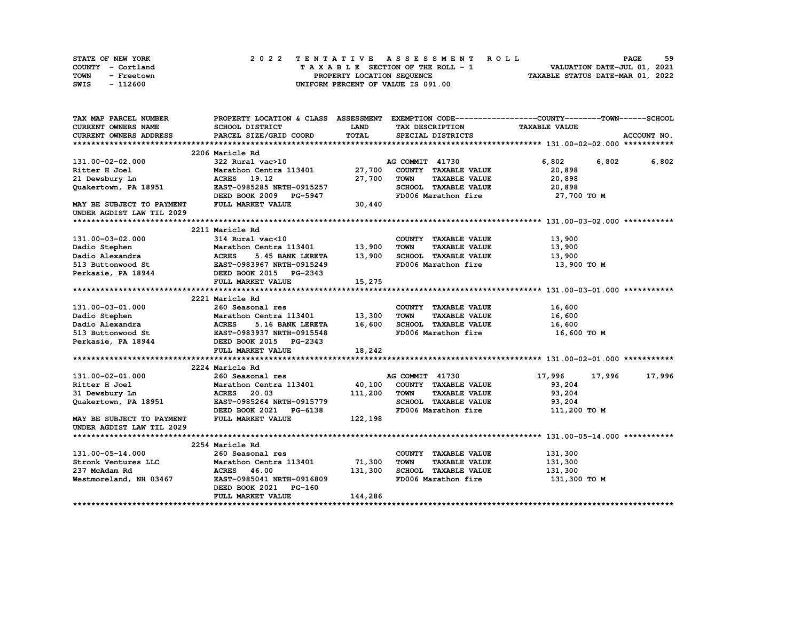| <b>STATE OF NEW YORK</b> | 2022 TENTATIVE ASSESSMENT ROLL     | 59<br><b>PAGE</b>                |
|--------------------------|------------------------------------|----------------------------------|
| COUNTY - Cortland        | TAXABLE SECTION OF THE ROLL - 1    | VALUATION DATE-JUL 01, 2021      |
| TOWN<br>- Freetown       | PROPERTY LOCATION SEQUENCE         | TAXABLE STATUS DATE-MAR 01, 2022 |
| - 112600<br>SWIS         | UNIFORM PERCENT OF VALUE IS 091.00 |                                  |

| TAX MAP PARCEL NUMBER         |                                                                                        |             |                                     | PROPERTY LOCATION & CLASS ASSESSMENT EXEMPTION CODE----------------COUNTY-------TOWN-----SCHOOL |
|-------------------------------|----------------------------------------------------------------------------------------|-------------|-------------------------------------|-------------------------------------------------------------------------------------------------|
| <b>CURRENT OWNERS NAME</b>    | <b>SCHOOL DISTRICT</b>                                                                 | <b>LAND</b> | TAX DESCRIPTION                     | <b>TAXABLE VALUE</b>                                                                            |
| <b>CURRENT OWNERS ADDRESS</b> | PARCEL SIZE/GRID COORD                                                                 | TOTAL       | SPECIAL DISTRICTS                   | ACCOUNT NO.                                                                                     |
|                               |                                                                                        |             |                                     |                                                                                                 |
|                               | 2206 Maricle Rd                                                                        |             |                                     |                                                                                                 |
| 131.00-02-02.000              | 322 Rural vac>10                                                                       |             | AG COMMIT 41730                     | 6,802<br>6,802<br>6,802                                                                         |
| Ritter H Joel                 | Marathon Centra 113401                                                                 | 27,700      | COUNTY TAXABLE VALUE                | 20,898                                                                                          |
| 21 Dewsbury Ln                | ACRES 19.12                                                                            | 27,700      | <b>TOWN</b><br><b>TAXABLE VALUE</b> | 20,898                                                                                          |
| Quakertown, PA 18951          | EAST-0985285 NRTH-0915257                                                              |             | SCHOOL TAXABLE VALUE                | 20,898                                                                                          |
|                               | DEED BOOK 2009 PG-5947                                                                 |             | FD006 Marathon fire                 | 27,700 TO M                                                                                     |
| MAY BE SUBJECT TO PAYMENT     | FULL MARKET VALUE                                                                      | 30,440      |                                     |                                                                                                 |
| UNDER AGDIST LAW TIL 2029     |                                                                                        |             |                                     |                                                                                                 |
|                               |                                                                                        |             |                                     |                                                                                                 |
|                               | 2211 Maricle Rd                                                                        |             |                                     |                                                                                                 |
| 131.00-03-02.000              | 314 Rural vac<10                                                                       |             | COUNTY TAXABLE VALUE                | 13,900                                                                                          |
| Dadio Stephen                 | Marathon Centra 113401 13,900                                                          |             | <b>TOWN</b><br><b>TAXABLE VALUE</b> | 13,900                                                                                          |
| Dadio Alexandra               |                                                                                        | 13,900      | SCHOOL TAXABLE VALUE                | 13,900                                                                                          |
| 513 Buttonwood St             | <b>Marathon Centra 113401<br/>ACRES 5.45 BANK LERETA<br/>EAST-0983967 NRTH-0915249</b> |             | FD006 Marathon fire                 | 13,900 то м                                                                                     |
|                               |                                                                                        |             |                                     |                                                                                                 |
|                               | Perkasie, PA 18944 DEED BOOK 2015 PG-2343<br>FULL MARKET VALUE                         | 15,275      |                                     |                                                                                                 |
|                               |                                                                                        |             |                                     |                                                                                                 |
|                               | 2221 Maricle Rd                                                                        |             |                                     |                                                                                                 |
| 131.00-03-01.000              | 260 Seasonal res                                                                       |             | COUNTY TAXABLE VALUE                | 16,600                                                                                          |
|                               | Marathon Centra 113401                                                                 | 13,300      | <b>TOWN</b><br><b>TAXABLE VALUE</b> | 16,600                                                                                          |
|                               |                                                                                        | 16,600      | SCHOOL TAXABLE VALUE                | 16,600                                                                                          |
|                               |                                                                                        |             | FD006 Marathon fire                 | 16,600 то м                                                                                     |
|                               | Perkasie, PA 18944 DEED BOOK 2015 PG-2343                                              |             |                                     |                                                                                                 |
|                               | FULL MARKET VALUE                                                                      |             |                                     |                                                                                                 |
|                               |                                                                                        | 18,242      |                                     |                                                                                                 |
|                               | 2224 Maricle Rd                                                                        |             |                                     |                                                                                                 |
| 131.00-02-01.000              | 260 Seasonal res                                                                       |             | AG COMMIT 41730                     | 17,996<br>17,996                                                                                |
| Ritter H Joel                 | Marathon Centra 113401 40,100                                                          |             | COUNTY TAXABLE VALUE                | 17,996                                                                                          |
|                               |                                                                                        |             |                                     | 93,204                                                                                          |
| 31 Dewsbury Ln                | <b>ACRES</b> 20.03                                                                     | 111,200     | <b>TOWN</b><br><b>TAXABLE VALUE</b> | 93,204                                                                                          |
| Quakertown, PA 18951          | EAST-0985264 NRTH-0915779                                                              |             | SCHOOL TAXABLE VALUE                | 93,204                                                                                          |
|                               | DEED BOOK 2021 PG-6138                                                                 |             | FD006 Marathon fire                 | 111,200 TO M                                                                                    |
| MAY BE SUBJECT TO PAYMENT     | FULL MARKET VALUE                                                                      | 122,198     |                                     |                                                                                                 |
| UNDER AGDIST LAW TIL 2029     |                                                                                        |             |                                     |                                                                                                 |
|                               |                                                                                        |             |                                     |                                                                                                 |
|                               | 2254 Maricle Rd                                                                        |             |                                     |                                                                                                 |
| 131.00-05-14.000              | 260 Seasonal res                                                                       |             | COUNTY TAXABLE VALUE                | 131,300                                                                                         |
| Stronk Ventures LLC           | Marathon Centra 113401                                                                 | 71,300      | <b>TOWN</b><br><b>TAXABLE VALUE</b> | 131,300                                                                                         |
| 237 McAdam Rd                 | <b>ACRES</b> 46.00                                                                     | 131,300     | SCHOOL TAXABLE VALUE                | 131,300                                                                                         |
| Westmoreland, NH 03467        | EAST-0985041 NRTH-0916809                                                              |             | FD006 Marathon fire                 | 131,300 TO M                                                                                    |
|                               | DEED BOOK 2021 PG-160                                                                  |             |                                     |                                                                                                 |
|                               | FULL MARKET VALUE                                                                      | 144,286     |                                     |                                                                                                 |
|                               |                                                                                        |             |                                     |                                                                                                 |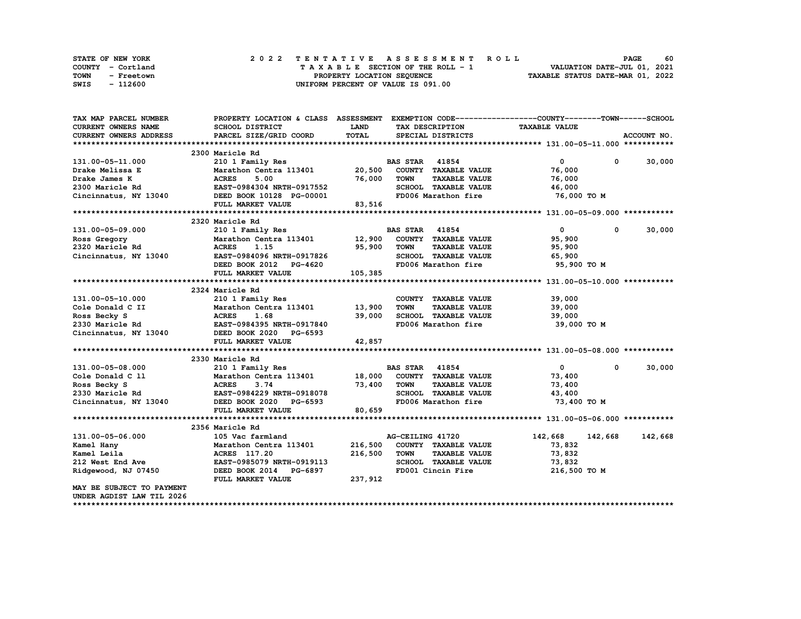| STATE OF NEW YORK  | 2022 TENTATIVE ASSESSMENT ROLL     | 60<br><b>PAGE</b>                |
|--------------------|------------------------------------|----------------------------------|
| COUNTY - Cortland  | TAXABLE SECTION OF THE ROLL - 1    | VALUATION DATE-JUL 01, 2021      |
| TOWN<br>- Freetown | PROPERTY LOCATION SEQUENCE         | TAXABLE STATUS DATE-MAR 01, 2022 |
| - 112600<br>SWIS   | UNIFORM PERCENT OF VALUE IS 091.00 |                                  |

| TAX MAP PARCEL NUMBER                    | PROPERTY LOCATION & CLASS ASSESSMENT EXEMPTION CODE----------------COUNTY-------TOWN-----SCHOOL |             |                       |                      |                      |            |               |
|------------------------------------------|-------------------------------------------------------------------------------------------------|-------------|-----------------------|----------------------|----------------------|------------|---------------|
| <b>CURRENT OWNERS NAME</b>               | <b>SCHOOL DISTRICT</b>                                                                          | <b>LAND</b> |                       | TAX DESCRIPTION      | <b>TAXABLE VALUE</b> |            |               |
| <b>CURRENT OWNERS ADDRESS</b>            | PARCEL SIZE/GRID COORD                                                                          | TOTAL       |                       | SPECIAL DISTRICTS    |                      |            | ACCOUNT NO.   |
|                                          |                                                                                                 |             |                       |                      |                      |            |               |
|                                          | 2300 Maricle Rd                                                                                 |             |                       |                      |                      |            |               |
| 131.00-05-11.000                         | 210 1 Family Res                                                                                |             | <b>BAS STAR 41854</b> |                      | $\overline{0}$       |            | $0 \t 30,000$ |
| Drake Melissa E                          | Marathon Centra 113401 20,500                                                                   |             |                       | COUNTY TAXABLE VALUE | 76,000               |            |               |
| Drake James K                            | <b>ACRES</b><br>5.00                                                                            | 76,000      | <b>TOWN</b>           | <b>TAXABLE VALUE</b> | 76,000               |            |               |
| 2300 Maricle Rd                          | EAST-0984304 NRTH-0917552                                                                       |             |                       | SCHOOL TAXABLE VALUE | 46,000               |            |               |
|                                          | Cincinnatus, NY 13040 DEED BOOK 10128 PG-00001                                                  |             |                       | FD006 Marathon fire  | 76,000 TO M          |            |               |
|                                          | FULL MARKET VALUE                                                                               | 83,516      |                       |                      |                      |            |               |
|                                          |                                                                                                 |             |                       |                      |                      |            |               |
|                                          | 2320 Maricle Rd                                                                                 |             |                       |                      |                      |            |               |
| 131.00-05-09.000                         | 210 1 Family Res                                                                                |             | <b>BAS STAR 41854</b> |                      | $\mathbf{0}$         | $^{\circ}$ | 30,000        |
| Ross Gregory                             | Marathon Centra 113401 12,900                                                                   |             |                       | COUNTY TAXABLE VALUE | 95,900               |            |               |
| 2320 Maricle Rd                          | <b>ACRES</b><br>1.15                                                                            | 95,900      | <b>TOWN</b>           | <b>TAXABLE VALUE</b> | 95,900               |            |               |
| Cincinnatus, NY 13040                    | EAST-0984096 NRTH-0917826                                                                       |             |                       | SCHOOL TAXABLE VALUE | 65,900               |            |               |
|                                          | DEED BOOK 2012 PG-4620                                                                          |             |                       | FD006 Marathon fire  | 95,900 TO M          |            |               |
|                                          | FULL MARKET VALUE                                                                               | 105,385     |                       |                      |                      |            |               |
|                                          |                                                                                                 |             |                       |                      |                      |            |               |
|                                          | 2324 Maricle Rd                                                                                 |             |                       |                      |                      |            |               |
| 131.00-05-10.000                         | 210 1 Family Res                                                                                |             |                       | COUNTY TAXABLE VALUE | 39,000               |            |               |
| Cole Donald C II                         | Marathon Centra 113401 13,900                                                                   |             | TOWN                  | <b>TAXABLE VALUE</b> | 39,000               |            |               |
| Ross Becky S                             | <b>ACRES</b><br>1.68                                                                            | 39,000      |                       | SCHOOL TAXABLE VALUE | 39,000               |            |               |
| 2330 Maricle Rd                          | EAST-0984395 NRTH-0917840                                                                       |             |                       | FD006 Marathon fire  | 39,000 TO M          |            |               |
|                                          | Cincinnatus, NY 13040 DEED BOOK 2020 PG-6593                                                    |             |                       |                      |                      |            |               |
|                                          | FULL MARKET VALUE                                                                               | 42,857      |                       |                      |                      |            |               |
|                                          |                                                                                                 |             |                       |                      |                      |            |               |
|                                          | 2330 Maricle Rd                                                                                 |             |                       |                      |                      |            |               |
| 131.00-05-08.000                         | 210 1 Family Res                                                                                |             | <b>BAS STAR 41854</b> |                      | $\mathbf{0}$         | $^{\circ}$ | 30,000        |
| Cole Donald C 11                         | Marathon Centra 113401 18,000 COUNTY TAXABLE VALUE                                              |             |                       |                      | 73,400               |            |               |
| Ross Becky S                             | <b>ACRES</b><br>3.74                                                                            | 73,400      | <b>TOWN</b>           | <b>TAXABLE VALUE</b> | 73,400               |            |               |
|                                          | <b>EAST-0984229 NRTH-0918078</b>                                                                |             |                       | SCHOOL TAXABLE VALUE | 43,400               |            |               |
| 2330 Maricle Rd<br>Cincinnatus, NY 13040 | DEED BOOK 2020 PG-6593                                                                          |             |                       | FD006 Marathon fire  | 73,400 TO M          |            |               |
|                                          | FULL MARKET VALUE                                                                               | 80,659      |                       |                      |                      |            |               |
|                                          |                                                                                                 |             |                       |                      |                      |            |               |
|                                          | 2356 Maricle Rd                                                                                 |             |                       |                      |                      |            |               |
| 131.00-05-06.000                         | 105 Vac farmland                                                                                |             | AG-CEILING 41720      |                      | 142,668              | 142,668    | 142,668       |
| Kamel Hany                               | Marathon Centra 113401                                                                          | 216,500     |                       | COUNTY TAXABLE VALUE | 73,832               |            |               |
| Kamel Leila                              | ACRES 117.20                                                                                    | 216,500     | <b>TOWN</b>           | <b>TAXABLE VALUE</b> | 73,832               |            |               |
| 212 West End Ave                         | EAST-0985079 NRTH-0919113                                                                       |             |                       | SCHOOL TAXABLE VALUE | 73,832               |            |               |
| Ridgewood, NJ 07450                      | DEED BOOK 2014 PG-6897                                                                          |             |                       | FD001 Cincin Fire    | 216,500 ТО М         |            |               |
|                                          | FULL MARKET VALUE                                                                               | 237,912     |                       |                      |                      |            |               |
| MAY BE SUBJECT TO PAYMENT                |                                                                                                 |             |                       |                      |                      |            |               |
| UNDER AGDIST LAW TIL 2026                |                                                                                                 |             |                       |                      |                      |            |               |
|                                          |                                                                                                 |             |                       |                      |                      |            |               |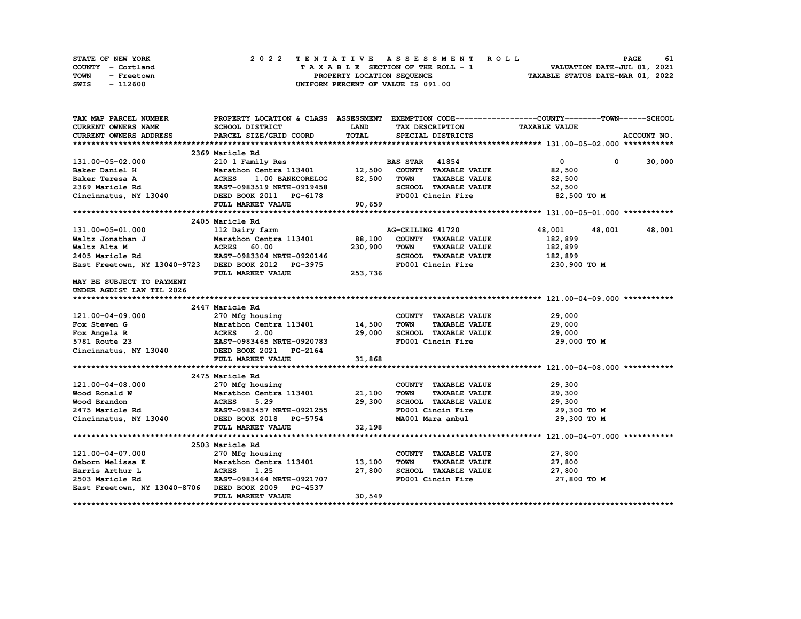| STATE OF NEW YORK  | 2022 TENTATIVE ASSESSMENT ROLL     | 61<br><b>PAGE</b>                |
|--------------------|------------------------------------|----------------------------------|
| COUNTY - Cortland  | TAXABLE SECTION OF THE ROLL - 1    | VALUATION DATE-JUL 01, 2021      |
| TOWN<br>- Freetown | PROPERTY LOCATION SEQUENCE         | TAXABLE STATUS DATE-MAR 01, 2022 |
| - 112600<br>SWIS   | UNIFORM PERCENT OF VALUE IS 091.00 |                                  |

| TAX MAP PARCEL NUMBER                                                                                                                               |                                                                                 |             |                                     | PROPERTY LOCATION & CLASS ASSESSMENT EXEMPTION CODE----------------COUNTY-------TOWN-----SCHOOL |               |
|-----------------------------------------------------------------------------------------------------------------------------------------------------|---------------------------------------------------------------------------------|-------------|-------------------------------------|-------------------------------------------------------------------------------------------------|---------------|
| CURRENT OWNERS NAME                                                                                                                                 | SCHOOL DISTRICT                                                                 | <b>LAND</b> | TAX DESCRIPTION                     | <b>TAXABLE VALUE</b>                                                                            |               |
| <b>CURRENT OWNERS ADDRESS</b>                                                                                                                       | PARCEL SIZE/GRID COORD                                                          | TOTAL       | SPECIAL DISTRICTS                   |                                                                                                 | ACCOUNT NO.   |
|                                                                                                                                                     |                                                                                 |             |                                     |                                                                                                 |               |
|                                                                                                                                                     | 2369 Maricle Rd                                                                 |             |                                     |                                                                                                 |               |
| 131.00-05-02.000                                                                                                                                    | 210 1 Family Res                                                                |             | <b>BAS STAR</b> 41854               | $\bullet$                                                                                       | $0 \t 30,000$ |
| Baker Daniel H                                                                                                                                      | Marathon Centra 113401 12,500                                                   |             | COUNTY TAXABLE VALUE                | 82,500                                                                                          |               |
| Baker Teresa A                                                                                                                                      | 1.00 BANKCORELOG 82,500                                                         |             | <b>TOWN</b><br><b>TAXABLE VALUE</b> | 82,500                                                                                          |               |
| 2369 Maricle Rd                                                                                                                                     | ACRES 1.00 BANKCORELOG<br>EAST-0983519 NRTH-0919458                             |             | SCHOOL TAXABLE VALUE                | 52,500                                                                                          |               |
| Cincinnatus, NY 13040 DEED BOOK 2011 PG-6178                                                                                                        |                                                                                 |             |                                     | FD001 Cincin Fire 32,500 TO M                                                                   |               |
|                                                                                                                                                     | FULL MARKET VALUE                                                               | 90,659      |                                     |                                                                                                 |               |
|                                                                                                                                                     |                                                                                 |             |                                     |                                                                                                 |               |
|                                                                                                                                                     | 2405 Maricle Rd                                                                 |             |                                     |                                                                                                 |               |
| 131.00-05-01.000                                                                                                                                    | 112 Dairy farm                                                                  |             | AG-CEILING 41720                    | 48,001<br>48,001                                                                                | 48,001        |
| 131.00-05-01.000<br>Waltz Jonathan J Marathon Centra 113401 88,100<br>Waltz Alta M ACRES 60.00 230,900<br>2405 Maricle Rd EAST-0983304 NRTH-0920146 |                                                                                 |             | COUNTY TAXABLE VALUE                | 182,899                                                                                         |               |
|                                                                                                                                                     |                                                                                 |             | <b>TOWN</b><br><b>TAXABLE VALUE</b> | 182,899                                                                                         |               |
|                                                                                                                                                     |                                                                                 |             | SCHOOL TAXABLE VALUE                | 182,899                                                                                         |               |
| East Freetown, NY 13040-9723 DEED BOOK 2012 PG-3975                                                                                                 |                                                                                 |             | FD001 Cincin Fire                   | 230,900 то м                                                                                    |               |
|                                                                                                                                                     | FULL MARKET VALUE                                                               | 253,736     |                                     |                                                                                                 |               |
| MAY BE SUBJECT TO PAYMENT                                                                                                                           |                                                                                 |             |                                     |                                                                                                 |               |
| UNDER AGDIST LAW TIL 2026                                                                                                                           |                                                                                 |             |                                     |                                                                                                 |               |
|                                                                                                                                                     |                                                                                 |             |                                     |                                                                                                 |               |
|                                                                                                                                                     | 2447 Maricle Rd                                                                 |             |                                     |                                                                                                 |               |
| 121.00-04-09.000                                                                                                                                    | 270 Mfg housing                                                                 |             | COUNTY TAXABLE VALUE                | 29,000                                                                                          |               |
| Fox Steven G                                                                                                                                        | Marathon Centra 113401 14,500                                                   |             | <b>TOWN</b><br><b>TAXABLE VALUE</b> | 29,000                                                                                          |               |
| Fox Angela R                                                                                                                                        | <b>ACRES</b><br>2.00                                                            | 29,000      | SCHOOL TAXABLE VALUE                | 29,000                                                                                          |               |
| 5781 Route 23                                                                                                                                       | $2.33$<br>EAST-0983465 NRTH-0920783                                             |             | FD001 Cincin Fire                   | 29,000 TO M                                                                                     |               |
| Cincinnatus, NY 13040                                                                                                                               | DEED BOOK 2021 PG-2164                                                          |             |                                     |                                                                                                 |               |
|                                                                                                                                                     | FULL MARKET VALUE                                                               | 31,868      |                                     |                                                                                                 |               |
|                                                                                                                                                     |                                                                                 |             |                                     |                                                                                                 |               |
|                                                                                                                                                     | 2475 Maricle Rd                                                                 |             |                                     |                                                                                                 |               |
| 121.00-04-08.000                                                                                                                                    | 270 Mfg housing                                                                 |             | COUNTY TAXABLE VALUE                | 29,300                                                                                          |               |
| Wood Ronald W                                                                                                                                       |                                                                                 |             | <b>TOWN</b><br><b>TAXABLE VALUE</b> | 29,300                                                                                          |               |
| Wood Brandon                                                                                                                                        | Marathon Centra 113401 21,100<br>ACRES 5.29 29,300<br>EAST-0983457 NRTH-0921255 |             | SCHOOL TAXABLE VALUE                | 29,300                                                                                          |               |
| 2475 Maricle Rd                                                                                                                                     |                                                                                 |             | FD001 Cincin Fire                   | 29,300 TO M                                                                                     |               |
| Cincinnatus, NY 13040 DEED BOOK 2018 PG-5754                                                                                                        |                                                                                 |             | MA001 Mara ambul                    | 29,300 то м                                                                                     |               |
|                                                                                                                                                     | FULL MARKET VALUE                                                               | 32,198      |                                     |                                                                                                 |               |
|                                                                                                                                                     |                                                                                 |             |                                     |                                                                                                 |               |
|                                                                                                                                                     | 2503 Maricle Rd                                                                 |             |                                     |                                                                                                 |               |
| 121.00-04-07.000                                                                                                                                    | 270 Mfg housing                                                                 |             | COUNTY TAXABLE VALUE                | 27,800                                                                                          |               |
| Osborn Melissa E                                                                                                                                    | Marathon Centra 113401 13,100                                                   |             | <b>TOWN</b><br><b>TAXABLE VALUE</b> | 27,800                                                                                          |               |
| Harris Arthur L                                                                                                                                     |                                                                                 | 27,800      | SCHOOL TAXABLE VALUE                | 27,800                                                                                          |               |
| 2503 Maricle Rd                                                                                                                                     |                                                                                 |             | FD001 Cincin Fire                   | 27,800 TO M                                                                                     |               |
| East Freetown, NY 13040-8706 DEED BOOK 2009 PG-4537                                                                                                 |                                                                                 |             |                                     |                                                                                                 |               |
|                                                                                                                                                     | FULL MARKET VALUE                                                               | 30,549      |                                     |                                                                                                 |               |
|                                                                                                                                                     |                                                                                 |             |                                     |                                                                                                 |               |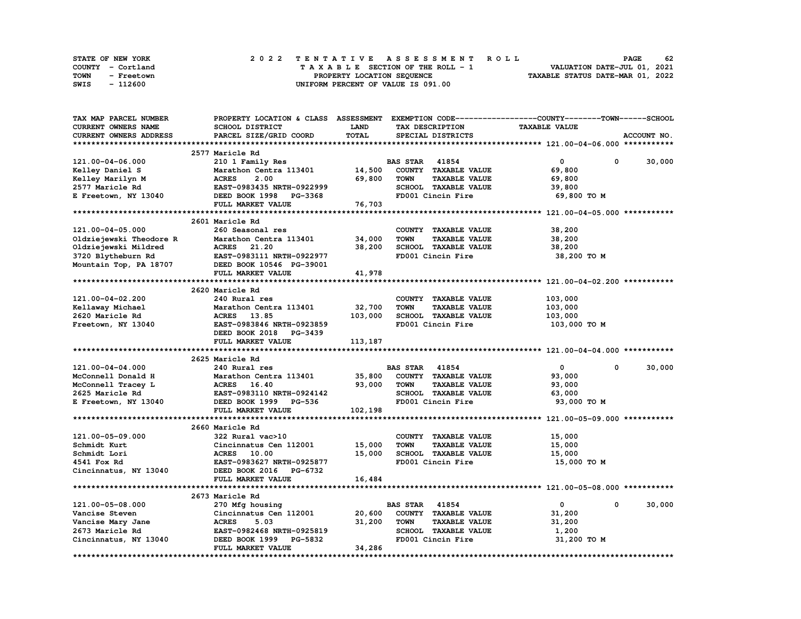| <b>STATE OF NEW YORK</b> | 2022 TENTATIVE ASSESSMENT ROLL     | 62<br><b>PAGE</b>                |
|--------------------------|------------------------------------|----------------------------------|
| COUNTY - Cortland        | TAXABLE SECTION OF THE ROLL - 1    | VALUATION DATE-JUL 01, 2021      |
| TOWN<br>- Freetown       | PROPERTY LOCATION SEQUENCE         | TAXABLE STATUS DATE-MAR 01, 2022 |
| - 112600<br>SWIS         | UNIFORM PERCENT OF VALUE IS 091.00 |                                  |

|                                             |                                                                                                                                                                                                                                                                                                                                                                                                                                        |                                                                                                             |                                                               | PROPERTY LOCATION & CLASS ASSESSMENT EXEMPTION CODE----------------COUNTY-------TOWN-----SCHOOL                                                                                                                                                                                                                                                            |                                                                                                                                                        |
|---------------------------------------------|----------------------------------------------------------------------------------------------------------------------------------------------------------------------------------------------------------------------------------------------------------------------------------------------------------------------------------------------------------------------------------------------------------------------------------------|-------------------------------------------------------------------------------------------------------------|---------------------------------------------------------------|------------------------------------------------------------------------------------------------------------------------------------------------------------------------------------------------------------------------------------------------------------------------------------------------------------------------------------------------------------|--------------------------------------------------------------------------------------------------------------------------------------------------------|
| SCHOOL DISTRICT                             | <b>LAND</b>                                                                                                                                                                                                                                                                                                                                                                                                                            |                                                                                                             | TAX DESCRIPTION                                               | <b>TAXABLE VALUE</b>                                                                                                                                                                                                                                                                                                                                       |                                                                                                                                                        |
| PARCEL SIZE/GRID COORD                      | TOTAL                                                                                                                                                                                                                                                                                                                                                                                                                                  |                                                                                                             |                                                               |                                                                                                                                                                                                                                                                                                                                                            | ACCOUNT NO.                                                                                                                                            |
|                                             |                                                                                                                                                                                                                                                                                                                                                                                                                                        |                                                                                                             |                                                               |                                                                                                                                                                                                                                                                                                                                                            |                                                                                                                                                        |
|                                             |                                                                                                                                                                                                                                                                                                                                                                                                                                        |                                                                                                             |                                                               |                                                                                                                                                                                                                                                                                                                                                            |                                                                                                                                                        |
|                                             |                                                                                                                                                                                                                                                                                                                                                                                                                                        |                                                                                                             |                                                               | $\mathbf 0$<br>0                                                                                                                                                                                                                                                                                                                                           | 30,000                                                                                                                                                 |
|                                             |                                                                                                                                                                                                                                                                                                                                                                                                                                        |                                                                                                             |                                                               |                                                                                                                                                                                                                                                                                                                                                            |                                                                                                                                                        |
|                                             |                                                                                                                                                                                                                                                                                                                                                                                                                                        |                                                                                                             |                                                               |                                                                                                                                                                                                                                                                                                                                                            |                                                                                                                                                        |
|                                             |                                                                                                                                                                                                                                                                                                                                                                                                                                        |                                                                                                             |                                                               |                                                                                                                                                                                                                                                                                                                                                            |                                                                                                                                                        |
|                                             |                                                                                                                                                                                                                                                                                                                                                                                                                                        |                                                                                                             |                                                               |                                                                                                                                                                                                                                                                                                                                                            |                                                                                                                                                        |
|                                             |                                                                                                                                                                                                                                                                                                                                                                                                                                        |                                                                                                             |                                                               |                                                                                                                                                                                                                                                                                                                                                            |                                                                                                                                                        |
|                                             |                                                                                                                                                                                                                                                                                                                                                                                                                                        |                                                                                                             |                                                               |                                                                                                                                                                                                                                                                                                                                                            |                                                                                                                                                        |
|                                             |                                                                                                                                                                                                                                                                                                                                                                                                                                        |                                                                                                             |                                                               |                                                                                                                                                                                                                                                                                                                                                            |                                                                                                                                                        |
|                                             |                                                                                                                                                                                                                                                                                                                                                                                                                                        |                                                                                                             |                                                               |                                                                                                                                                                                                                                                                                                                                                            |                                                                                                                                                        |
|                                             |                                                                                                                                                                                                                                                                                                                                                                                                                                        |                                                                                                             |                                                               |                                                                                                                                                                                                                                                                                                                                                            |                                                                                                                                                        |
|                                             |                                                                                                                                                                                                                                                                                                                                                                                                                                        |                                                                                                             |                                                               |                                                                                                                                                                                                                                                                                                                                                            |                                                                                                                                                        |
|                                             |                                                                                                                                                                                                                                                                                                                                                                                                                                        |                                                                                                             |                                                               |                                                                                                                                                                                                                                                                                                                                                            |                                                                                                                                                        |
|                                             |                                                                                                                                                                                                                                                                                                                                                                                                                                        |                                                                                                             |                                                               |                                                                                                                                                                                                                                                                                                                                                            |                                                                                                                                                        |
|                                             |                                                                                                                                                                                                                                                                                                                                                                                                                                        |                                                                                                             |                                                               |                                                                                                                                                                                                                                                                                                                                                            |                                                                                                                                                        |
|                                             |                                                                                                                                                                                                                                                                                                                                                                                                                                        |                                                                                                             |                                                               |                                                                                                                                                                                                                                                                                                                                                            |                                                                                                                                                        |
|                                             |                                                                                                                                                                                                                                                                                                                                                                                                                                        |                                                                                                             |                                                               |                                                                                                                                                                                                                                                                                                                                                            |                                                                                                                                                        |
|                                             |                                                                                                                                                                                                                                                                                                                                                                                                                                        |                                                                                                             |                                                               |                                                                                                                                                                                                                                                                                                                                                            |                                                                                                                                                        |
|                                             |                                                                                                                                                                                                                                                                                                                                                                                                                                        |                                                                                                             |                                                               |                                                                                                                                                                                                                                                                                                                                                            |                                                                                                                                                        |
|                                             |                                                                                                                                                                                                                                                                                                                                                                                                                                        |                                                                                                             |                                                               |                                                                                                                                                                                                                                                                                                                                                            |                                                                                                                                                        |
|                                             |                                                                                                                                                                                                                                                                                                                                                                                                                                        |                                                                                                             |                                                               |                                                                                                                                                                                                                                                                                                                                                            |                                                                                                                                                        |
|                                             |                                                                                                                                                                                                                                                                                                                                                                                                                                        |                                                                                                             |                                                               |                                                                                                                                                                                                                                                                                                                                                            |                                                                                                                                                        |
|                                             |                                                                                                                                                                                                                                                                                                                                                                                                                                        |                                                                                                             |                                                               |                                                                                                                                                                                                                                                                                                                                                            |                                                                                                                                                        |
| FULL MARKET VALUE                           |                                                                                                                                                                                                                                                                                                                                                                                                                                        |                                                                                                             |                                                               |                                                                                                                                                                                                                                                                                                                                                            |                                                                                                                                                        |
|                                             |                                                                                                                                                                                                                                                                                                                                                                                                                                        |                                                                                                             |                                                               |                                                                                                                                                                                                                                                                                                                                                            |                                                                                                                                                        |
| 2625 Maricle Rd                             |                                                                                                                                                                                                                                                                                                                                                                                                                                        |                                                                                                             |                                                               |                                                                                                                                                                                                                                                                                                                                                            |                                                                                                                                                        |
| 240 Rural res                               |                                                                                                                                                                                                                                                                                                                                                                                                                                        |                                                                                                             |                                                               | $\mathbf{0}$                                                                                                                                                                                                                                                                                                                                               | 30,000                                                                                                                                                 |
| Marathon Centra 113401                      |                                                                                                                                                                                                                                                                                                                                                                                                                                        |                                                                                                             | COUNTY TAXABLE VALUE                                          | 93,000                                                                                                                                                                                                                                                                                                                                                     |                                                                                                                                                        |
|                                             |                                                                                                                                                                                                                                                                                                                                                                                                                                        |                                                                                                             |                                                               |                                                                                                                                                                                                                                                                                                                                                            |                                                                                                                                                        |
| ACRES 16.40                                 | 93,000                                                                                                                                                                                                                                                                                                                                                                                                                                 | <b>TOWN</b>                                                                                                 | <b>TAXABLE VALUE</b>                                          | 93,000                                                                                                                                                                                                                                                                                                                                                     |                                                                                                                                                        |
| EAST-0983110 NRTH-0924142                   |                                                                                                                                                                                                                                                                                                                                                                                                                                        |                                                                                                             | SCHOOL TAXABLE VALUE                                          | 63,000                                                                                                                                                                                                                                                                                                                                                     |                                                                                                                                                        |
| DEED BOOK 1999 PG-536                       |                                                                                                                                                                                                                                                                                                                                                                                                                                        |                                                                                                             | FD001 Cincin Fire                                             | 93,000 TO M                                                                                                                                                                                                                                                                                                                                                |                                                                                                                                                        |
| FULL MARKET VALUE                           | 102,198                                                                                                                                                                                                                                                                                                                                                                                                                                |                                                                                                             |                                                               |                                                                                                                                                                                                                                                                                                                                                            |                                                                                                                                                        |
|                                             |                                                                                                                                                                                                                                                                                                                                                                                                                                        |                                                                                                             |                                                               |                                                                                                                                                                                                                                                                                                                                                            |                                                                                                                                                        |
| 2660 Maricle Rd                             |                                                                                                                                                                                                                                                                                                                                                                                                                                        |                                                                                                             |                                                               |                                                                                                                                                                                                                                                                                                                                                            |                                                                                                                                                        |
| 322 Rural vac>10                            |                                                                                                                                                                                                                                                                                                                                                                                                                                        |                                                                                                             | COUNTY TAXABLE VALUE                                          | 15,000                                                                                                                                                                                                                                                                                                                                                     |                                                                                                                                                        |
|                                             |                                                                                                                                                                                                                                                                                                                                                                                                                                        | <b>TOWN</b>                                                                                                 |                                                               |                                                                                                                                                                                                                                                                                                                                                            |                                                                                                                                                        |
| Cincinnatus Cen 112001                      | 15,000                                                                                                                                                                                                                                                                                                                                                                                                                                 |                                                                                                             | <b>TAXABLE VALUE</b>                                          | 15,000                                                                                                                                                                                                                                                                                                                                                     |                                                                                                                                                        |
| ACRES 10.00                                 | 15,000                                                                                                                                                                                                                                                                                                                                                                                                                                 |                                                                                                             | SCHOOL TAXABLE VALUE                                          | 15,000                                                                                                                                                                                                                                                                                                                                                     |                                                                                                                                                        |
| EAST-0983627 NRTH-0925877                   |                                                                                                                                                                                                                                                                                                                                                                                                                                        |                                                                                                             | FD001 Cincin Fire                                             | 15,000 TO M                                                                                                                                                                                                                                                                                                                                                |                                                                                                                                                        |
| DEED BOOK 2016 PG-6732                      |                                                                                                                                                                                                                                                                                                                                                                                                                                        |                                                                                                             |                                                               |                                                                                                                                                                                                                                                                                                                                                            |                                                                                                                                                        |
| FULL MARKET VALUE                           | 16,484                                                                                                                                                                                                                                                                                                                                                                                                                                 |                                                                                                             |                                                               |                                                                                                                                                                                                                                                                                                                                                            |                                                                                                                                                        |
|                                             |                                                                                                                                                                                                                                                                                                                                                                                                                                        |                                                                                                             |                                                               |                                                                                                                                                                                                                                                                                                                                                            |                                                                                                                                                        |
| 2673 Maricle Rd                             |                                                                                                                                                                                                                                                                                                                                                                                                                                        |                                                                                                             |                                                               |                                                                                                                                                                                                                                                                                                                                                            |                                                                                                                                                        |
| 270 Mfg housing                             |                                                                                                                                                                                                                                                                                                                                                                                                                                        | <b>BAS STAR</b> 41854                                                                                       |                                                               | 0<br>$\mathbf 0$                                                                                                                                                                                                                                                                                                                                           | 30,000                                                                                                                                                 |
| Cincinnatus Cen 112001                      | 20,600                                                                                                                                                                                                                                                                                                                                                                                                                                 |                                                                                                             | COUNTY TAXABLE VALUE                                          | 31,200                                                                                                                                                                                                                                                                                                                                                     |                                                                                                                                                        |
| <b>ACRES</b><br>5.03                        | 31,200                                                                                                                                                                                                                                                                                                                                                                                                                                 | <b>TOWN</b>                                                                                                 | <b>TAXABLE VALUE</b>                                          | 31,200                                                                                                                                                                                                                                                                                                                                                     |                                                                                                                                                        |
| EAST-0982468 NRTH-0925819                   |                                                                                                                                                                                                                                                                                                                                                                                                                                        |                                                                                                             | SCHOOL TAXABLE VALUE                                          | 1,200                                                                                                                                                                                                                                                                                                                                                      |                                                                                                                                                        |
| DEED BOOK 1999 PG-5832<br>FULL MARKET VALUE | 34,286                                                                                                                                                                                                                                                                                                                                                                                                                                 |                                                                                                             | FD001 Cincin Fire                                             | 31,200 TO M                                                                                                                                                                                                                                                                                                                                                |                                                                                                                                                        |
|                                             | 2577 Maricle Rd<br>210 1 Family Res<br>Marathon Centra 113401<br><b>ACRES</b><br>2.00<br>DEED BOOK 1998 PG-3368<br>FULL MARKET VALUE<br>2601 Maricle Rd<br>260 Seasonal res<br>Marathon Centra 113401<br>ACRES 21.20<br>EAST-0983111 NRTH-0922977<br>DEED BOOK 10546 PG-39001<br>FULL MARKET VALUE<br>2620 Maricle Rd<br>240 Rural res<br>Marathon Centra 113401<br>ACRES 13.85<br>EAST-0983846 NRTH-0923859<br>DEED BOOK 2018 PG-3439 | 69,800<br>EAST-0983435 NRTH-0922999<br>76,703<br>34,000<br>38,200<br>41,978<br>32,700<br>103,000<br>113,187 | 14,500<br><b>TOWN</b><br><b>TOWN</b><br><b>TOWN</b><br>35,800 | SPECIAL DISTRICTS<br><b>BAS STAR 41854</b><br>COUNTY TAXABLE VALUE<br><b>TAXABLE VALUE</b><br>SCHOOL TAXABLE VALUE<br>FD001 Cincin Fire<br>COUNTY TAXABLE VALUE<br><b>TAXABLE VALUE</b><br>SCHOOL TAXABLE VALUE<br>FD001 Cincin Fire<br>COUNTY TAXABLE VALUE<br><b>TAXABLE VALUE</b><br>SCHOOL TAXABLE VALUE<br>FD001 Cincin Fire<br><b>BAS STAR 41854</b> | 69,800<br>69,800<br>39,800<br>69,800 TO M<br>38,200<br>38,200<br>38,200<br>38,200 TO M<br>103,000<br>103,000<br>103,000<br>103,000 то м<br>$\mathbf 0$ |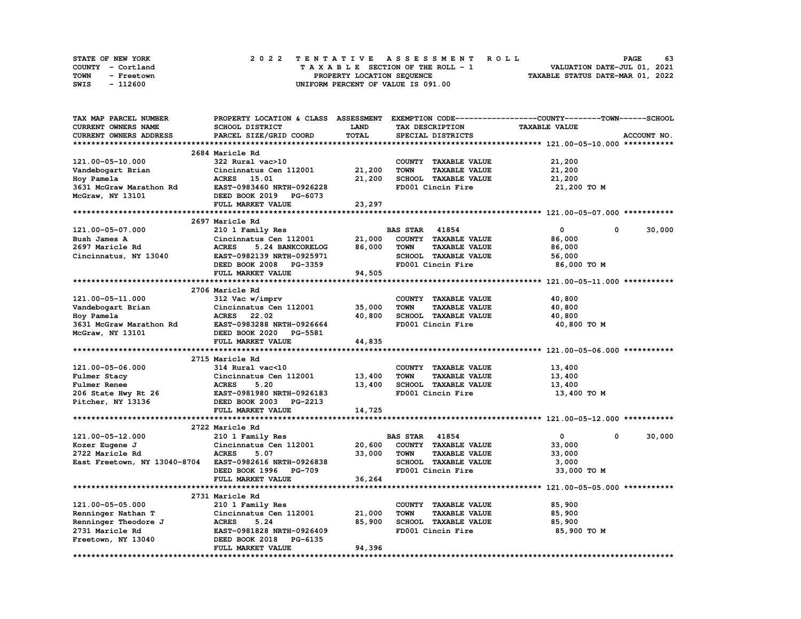| STATE OF NEW YORK  | 2022 TENTATIVE ASSESSMENT ROLL     | - 63<br><b>PAGE</b>              |
|--------------------|------------------------------------|----------------------------------|
| COUNTY - Cortland  | TAXABLE SECTION OF THE ROLL - 1    | VALUATION DATE-JUL 01, 2021      |
| TOWN<br>- Freetown | PROPERTY LOCATION SEQUENCE         | TAXABLE STATUS DATE-MAR 01, 2022 |
| - 112600<br>SWIS   | UNIFORM PERCENT OF VALUE IS 091.00 |                                  |

| <b>TAX MAP PARCEL NUMBER</b>                           | PROPERTY LOCATION & CLASS ASSESSMENT EXEMPTION CODE----------------COUNTY-------TOWN------SCHOOL |        |                                                             |                      |             |
|--------------------------------------------------------|--------------------------------------------------------------------------------------------------|--------|-------------------------------------------------------------|----------------------|-------------|
| CURRENT OWNERS NAME                                    | SCHOOL DISTRICT                                                                                  | LAND   | TAX DESCRIPTION                                             | <b>TAXABLE VALUE</b> |             |
| CURRENT OWNERS ADDRESS                                 | PARCEL SIZE/GRID COORD                                                                           | TOTAL  | SPECIAL DISTRICTS                                           |                      | ACCOUNT NO. |
|                                                        |                                                                                                  |        |                                                             |                      |             |
|                                                        | 2684 Maricle Rd                                                                                  |        |                                                             |                      |             |
| 121.00-05-10.000                                       | 322 Rural vac>10                                                                                 |        | COUNTY TAXABLE VALUE                                        | 21,200               |             |
| Vandebogart Brian                                      | Cincinnatus Cen 112001                                                                           | 21,200 | <b>TOWN</b><br><b>TAXABLE VALUE</b>                         | 21,200               |             |
| Hoy Pamela                                             | <b>ACRES</b> 15.01                                                                               | 21,200 | SCHOOL TAXABLE VALUE                                        | 21,200               |             |
| 3631 McGraw Marathon Rd                                | EAST-0983460 NRTH-0926228                                                                        |        | FD001 Cincin Fire                                           | 21,200 TO M          |             |
| McGraw, NY 13101                                       | DEED BOOK 2019 PG-6073                                                                           |        |                                                             |                      |             |
|                                                        | FULL MARKET VALUE                                                                                | 23,297 |                                                             |                      |             |
|                                                        |                                                                                                  |        |                                                             |                      |             |
|                                                        | 2697 Maricle Rd                                                                                  |        |                                                             |                      |             |
| 121.00-05-07.000                                       | 210 1 Family Res                                                                                 |        | <b>BAS STAR 41854</b>                                       | $\mathbf{0}$<br>0    | 30,000      |
| Bush James A                                           | Cincinnatus Cen 112001                                                                           | 21,000 | COUNTY TAXABLE VALUE                                        | 86,000               |             |
| 2697 Maricle Rd                                        | <b>ACRES</b><br>5.24 BANKCORELOG                                                                 | 86,000 | <b>TOWN</b><br><b>TAXABLE VALUE</b>                         | 86,000               |             |
| Cincinnatus, NY 13040                                  | EAST-0982139 NRTH-0925971                                                                        |        | SCHOOL TAXABLE VALUE                                        | 56,000               |             |
|                                                        | DEED BOOK 2008 PG-3359                                                                           |        | FD001 Cincin Fire                                           | 86,000 TO M          |             |
|                                                        |                                                                                                  |        |                                                             |                      |             |
|                                                        | FULL MARKET VALUE                                                                                | 94,505 |                                                             |                      |             |
|                                                        |                                                                                                  |        |                                                             |                      |             |
|                                                        | 2706 Maricle Rd                                                                                  |        |                                                             |                      |             |
| 121.00-05-11.000                                       | 312 Vac w/imprv                                                                                  |        | COUNTY TAXABLE VALUE                                        | 40,800               |             |
| Vandebogart Brian                                      | Cincinnatus Cen 112001                                                                           | 35,000 | <b>TOWN</b><br><b>TAXABLE VALUE</b>                         | 40,800               |             |
| Hoy Pamela                                             | ACRES 22.02                                                                                      | 40,800 | SCHOOL TAXABLE VALUE                                        | 40,800               |             |
| 3631 McGraw Marathon Rd                                | EAST-0983288 NRTH-0926664                                                                        |        | FD001 Cincin Fire                                           | 40,800 TO M          |             |
| McGraw, NY 13101                                       | DEED BOOK 2020 PG-5581                                                                           |        |                                                             |                      |             |
|                                                        | FULL MARKET VALUE                                                                                | 44,835 |                                                             |                      |             |
|                                                        |                                                                                                  |        |                                                             |                      |             |
|                                                        | 2715 Maricle Rd                                                                                  |        |                                                             |                      |             |
| 121.00-05-06.000                                       | 314 Rural vac<10                                                                                 |        | COUNTY TAXABLE VALUE                                        | 13,400               |             |
| Fulmer Stacy                                           | Cincinnatus Cen 112001                                                                           | 13,400 | <b>TOWN</b><br><b>TAXABLE VALUE</b>                         | 13,400               |             |
| Fulmer Renee                                           | <b>ACRES</b><br>5.20                                                                             | 13,400 | SCHOOL TAXABLE VALUE                                        | 13,400               |             |
| 206 State Hwy Rt 26                                    | EAST-0981980 NRTH-0926183                                                                        |        | FD001 Cincin Fire                                           | 13,400 TO M          |             |
| Pitcher, NY 13136                                      | DEED BOOK 2003 PG-2213                                                                           |        |                                                             |                      |             |
|                                                        | FULL MARKET VALUE                                                                                | 14,725 |                                                             |                      |             |
|                                                        |                                                                                                  |        |                                                             |                      |             |
|                                                        | 2722 Maricle Rd                                                                                  |        |                                                             |                      |             |
| 121.00-05-12.000                                       | 210 1 Family Res                                                                                 |        | <b>BAS STAR</b><br>41854                                    | $\mathbf{0}$<br>0    | 30,000      |
| Kozer Eugene J                                         | Cincinnatus Cen 112001                                                                           | 20,600 | COUNTY TAXABLE VALUE                                        | 33,000               |             |
| 2722 Maricle Rd                                        | <b>ACRES</b><br>5.07                                                                             | 33,000 | <b>TAXABLE VALUE</b><br><b>TOWN</b>                         | 33,000               |             |
| East Freetown, NY 13040-8704 EAST-0982616 NRTH-0926838 |                                                                                                  |        | SCHOOL TAXABLE VALUE                                        | 3,000                |             |
|                                                        | DEED BOOK 1996 PG-709                                                                            |        | FD001 Cincin Fire                                           | 33,000 TO M          |             |
|                                                        | FULL MARKET VALUE                                                                                | 36,264 |                                                             |                      |             |
|                                                        |                                                                                                  |        |                                                             |                      |             |
|                                                        | 2731 Maricle Rd                                                                                  |        |                                                             |                      |             |
| 121.00-05-05.000                                       |                                                                                                  |        |                                                             | 85,900               |             |
|                                                        | 210 1 Family Res<br>Cincinnatus Cen 112001                                                       | 21,000 | COUNTY TAXABLE VALUE<br><b>TOWN</b><br><b>TAXABLE VALUE</b> | 85,900               |             |
| Renninger Nathan T                                     |                                                                                                  |        |                                                             |                      |             |
| Renninger Theodore J                                   | <b>ACRES</b><br>5.24                                                                             | 85,900 | <b>SCHOOL TAXABLE VALUE</b>                                 | 85,900               |             |
| 2731 Maricle Rd                                        | EAST-0981828 NRTH-0926409                                                                        |        | FD001 Cincin Fire                                           | 85,900 TO M          |             |
| Freetown, NY 13040                                     | DEED BOOK 2018<br>PG-6135                                                                        |        |                                                             |                      |             |
|                                                        | FULL MARKET VALUE                                                                                | 94,396 |                                                             |                      |             |
|                                                        |                                                                                                  |        |                                                             |                      |             |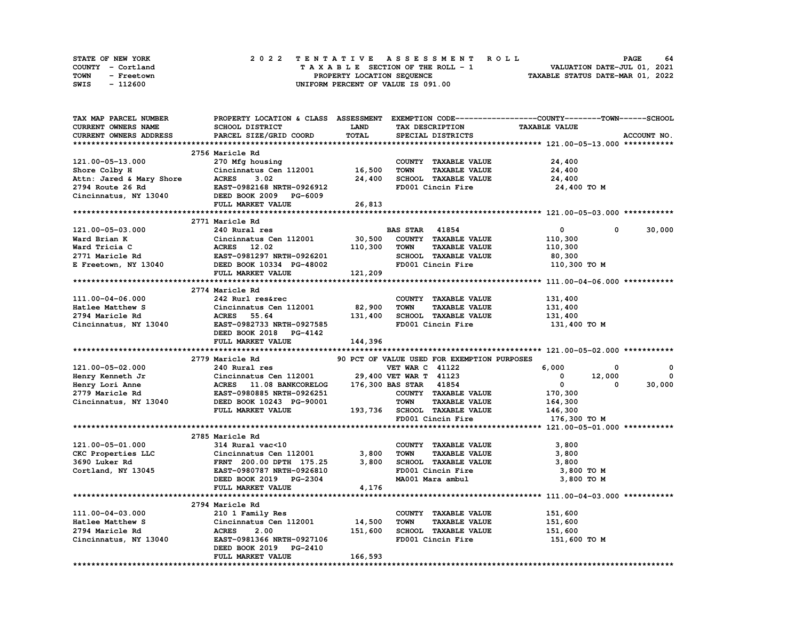| <b>STATE OF NEW YORK</b> | 2022 TENTATIVE ASSESSMENT ROLL     | 64<br><b>PAGE</b>                |
|--------------------------|------------------------------------|----------------------------------|
| COUNTY - Cortland        | TAXABLE SECTION OF THE ROLL - 1    | VALUATION DATE-JUL 01, 2021      |
| TOWN<br>- Freetown       | PROPERTY LOCATION SEQUENCE         | TAXABLE STATUS DATE-MAR 01, 2022 |
| - 112600<br>SWIS         | UNIFORM PERCENT OF VALUE IS 091.00 |                                  |

| TAX MAP PARCEL NUMBER                                         |                                                       |             |                                             | PROPERTY LOCATION & CLASS ASSESSMENT EXEMPTION CODE-----------------COUNTY-------TOWN-----SCHOOL |
|---------------------------------------------------------------|-------------------------------------------------------|-------------|---------------------------------------------|--------------------------------------------------------------------------------------------------|
| <b>CURRENT OWNERS NAME</b>                                    | SCHOOL DISTRICT                                       | <b>LAND</b> | <b>TAX DESCRIPTION</b>                      | <b>TAXABLE VALUE</b>                                                                             |
| CURRENT OWNERS ADDRESS                                        | PARCEL SIZE/GRID COORD                                | TOTAL       | SPECIAL DISTRICTS                           | ACCOUNT NO.                                                                                      |
|                                                               |                                                       |             |                                             |                                                                                                  |
|                                                               | 2756 Maricle Rd                                       |             |                                             |                                                                                                  |
| 121.00-05-13.000                                              | 270 Mfg housing                                       |             | COUNTY TAXABLE VALUE                        | 24,400                                                                                           |
|                                                               | Cincinnatus Cen 112001 16,500                         |             | TOWN<br><b>TAXABLE VALUE</b>                | 24,400                                                                                           |
|                                                               | <b>ACRES</b><br>3.02                                  | 24,400      | SCHOOL TAXABLE VALUE                        | 24,400                                                                                           |
| Shore Colby H<br>Attn: Jared & Mary Shore<br>2794 Route 26 Rd | <b>EAST-0982168 NRTH-0926912</b>                      |             | FD001 Cincin Fire                           | 24,400 TO M                                                                                      |
|                                                               | Cincinnatus, NY 13040 DEED BOOK 2009 PG-6009          |             |                                             |                                                                                                  |
|                                                               | FULL MARKET VALUE                                     | 26,813      |                                             |                                                                                                  |
|                                                               |                                                       |             |                                             |                                                                                                  |
|                                                               | 2771 Maricle Rd                                       |             |                                             |                                                                                                  |
| 121.00-05-03.000                                              | 240 Rural res                                         |             | <b>BAS STAR 41854</b>                       | $\overline{0}$<br>30,000<br>$^{\circ}$                                                           |
| Ward Brian K                                                  | Cincinnatus Cen 112001                                | 30,500      | COUNTY TAXABLE VALUE                        | 110,300                                                                                          |
| Ward Tricia C                                                 | ACRES 12.02                                           | 110,300     | <b>TOWN</b><br><b>TAXABLE VALUE</b>         | 110,300                                                                                          |
|                                                               |                                                       |             | SCHOOL TAXABLE VALUE                        | 80,300                                                                                           |
| 2771 Maricle Rd<br>E Freetown, NY 13040                       | EAST-0981297 NRTH-0926201<br>DEED BOOK 10334 PG-48002 |             | FD001 Cincin Fire                           | 110,300 TO M                                                                                     |
|                                                               | FULL MARKET VALUE                                     | 121,209     |                                             |                                                                                                  |
|                                                               |                                                       |             |                                             |                                                                                                  |
|                                                               | 2774 Maricle Rd                                       |             |                                             |                                                                                                  |
| 111.00-04-06.000                                              | 242 Rurl res&rec                                      |             | COUNTY TAXABLE VALUE                        | 131,400                                                                                          |
| Hatlee Matthew S                                              | Cincinnatus Cen 112001                                | 82,900      | <b>TOWN</b><br><b>TAXABLE VALUE</b>         | 131,400                                                                                          |
| 2794 Maricle Rd                                               | ACRES 55.64                                           | 131,400     | SCHOOL TAXABLE VALUE                        | 131,400                                                                                          |
| Cincinnatus, NY 13040                                         | EAST-0982733 NRTH-0927585                             |             | FD001 Cincin Fire                           | 131,400 TO M                                                                                     |
|                                                               | DEED BOOK 2018 PG-4142                                |             |                                             |                                                                                                  |
|                                                               | FULL MARKET VALUE                                     | 144,396     |                                             |                                                                                                  |
|                                                               |                                                       |             |                                             |                                                                                                  |
|                                                               | 2779 Maricle Rd                                       |             | 90 PCT OF VALUE USED FOR EXEMPTION PURPOSES |                                                                                                  |
| 121.00-05-02.000                                              | 240 Rural res                                         |             | <b>VET WAR C 41122</b>                      | 6,000<br>0<br>0                                                                                  |
| Henry Kenneth Jr                                              | Cincinnatus Cen 112001 29,400 VET WAR T 41123         |             |                                             | $\overline{\mathbf{0}}$<br>12,000<br>$\mathbf{0}$                                                |
| Henry Lori Anne                                               | ACRES 11.08 BANKCORELOG                               |             | 176,300 BAS STAR 41854                      | $\overline{0}$<br>30,000<br>0                                                                    |
| 2779 Maricle Rd                                               | EAST-0980885 NRTH-0926251                             |             | COUNTY TAXABLE VALUE                        | 170,300                                                                                          |
| Cincinnatus, NY 13040                                         | DEED BOOK 10243 PG-90001                              |             | <b>TOWN</b><br><b>TAXABLE VALUE</b>         | 164,300                                                                                          |
|                                                               | FULL MARKET VALUE                                     |             | 193,736 SCHOOL TAXABLE VALUE                | 146,300                                                                                          |
|                                                               |                                                       |             | FD001 Cincin Fire                           | 176,300 то м                                                                                     |
|                                                               |                                                       |             |                                             |                                                                                                  |
|                                                               | 2785 Maricle Rd                                       |             |                                             |                                                                                                  |
| 121.00-05-01.000                                              | 314 Rural vac<10                                      |             | COUNTY TAXABLE VALUE                        | 3,800                                                                                            |
| CKC Properties LLC                                            | Cincinnatus Cen 112001                                | 3,800       | <b>TOWN</b><br><b>TAXABLE VALUE</b>         | 3,800                                                                                            |
| 3690 Luker Rd                                                 | FRNT 200.00 DPTH 175.25                               | 3,800       | SCHOOL TAXABLE VALUE                        | 3,800                                                                                            |
| Cortland, NY 13045                                            | EAST-0980787 NRTH-0926810                             |             | FD001 Cincin Fire                           | 3,800 TO M                                                                                       |
|                                                               | DEED BOOK 2019 PG-2304                                |             | MA001 Mara ambul                            | 3,800 TO M                                                                                       |
|                                                               | FULL MARKET VALUE                                     | 4,176       |                                             |                                                                                                  |
|                                                               |                                                       |             |                                             |                                                                                                  |
|                                                               | 2794 Maricle Rd                                       |             |                                             |                                                                                                  |
| 111.00-04-03.000                                              | 210 1 Family Res                                      |             | COUNTY TAXABLE VALUE                        | 151,600                                                                                          |
| Hatlee Matthew S                                              | Cincinnatus Cen 112001 14,500                         |             | <b>TOWN</b><br><b>TAXABLE VALUE</b>         | 151,600                                                                                          |
| 2794 Maricle Rd                                               | <b>ACRES</b><br>2.00                                  | 151,600     | SCHOOL TAXABLE VALUE                        | 151,600                                                                                          |
| Cincinnatus, NY 13040                                         | EAST-0981366 NRTH-0927106                             |             | FD001 Cincin Fire                           | 151,600 то м                                                                                     |
|                                                               | DEED BOOK 2019 PG-2410                                |             |                                             |                                                                                                  |
|                                                               | FULL MARKET VALUE                                     | 166,593     |                                             |                                                                                                  |
|                                                               |                                                       |             |                                             |                                                                                                  |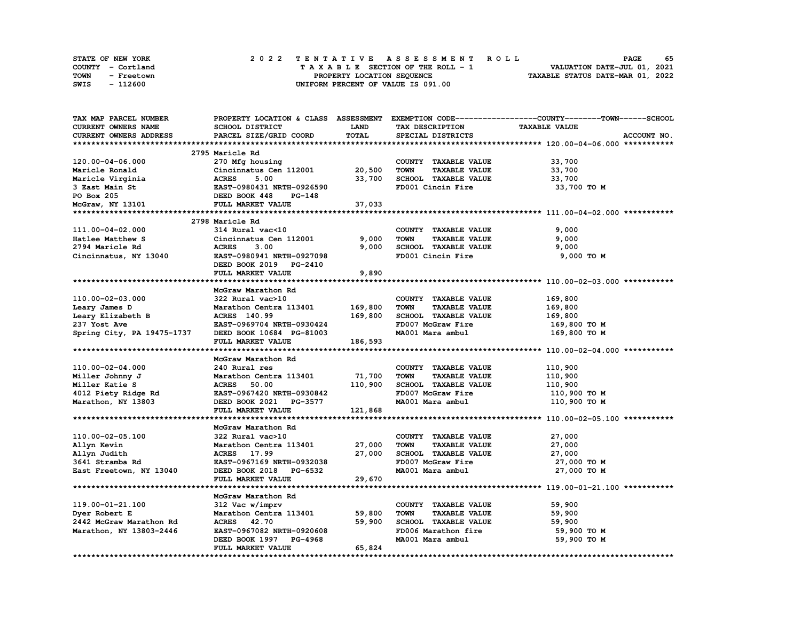| <b>STATE OF NEW YORK</b> | 2022 TENTATIVE ASSESSMENT ROLL     | 65<br><b>PAGE</b>                |
|--------------------------|------------------------------------|----------------------------------|
| COUNTY - Cortland        | TAXABLE SECTION OF THE ROLL - 1    | VALUATION DATE-JUL 01, 2021      |
| TOWN<br>- Freetown       | PROPERTY LOCATION SEQUENCE         | TAXABLE STATUS DATE-MAR 01, 2022 |
| - 112600<br>SWIS         | UNIFORM PERCENT OF VALUE IS 091.00 |                                  |

| TAX MAP PARCEL NUMBER      |                           |         |                                     | PROPERTY LOCATION & CLASS ASSESSMENT EXEMPTION CODE----------------COUNTY-------TOWN------SCHOOL |
|----------------------------|---------------------------|---------|-------------------------------------|--------------------------------------------------------------------------------------------------|
| CURRENT OWNERS NAME        | SCHOOL DISTRICT           | LAND    | TAX DESCRIPTION                     | <b>TAXABLE VALUE</b>                                                                             |
| CURRENT OWNERS ADDRESS     | PARCEL SIZE/GRID COORD    | TOTAL   | SPECIAL DISTRICTS                   | ACCOUNT NO.                                                                                      |
|                            |                           |         |                                     |                                                                                                  |
|                            | 2795 Maricle Rd           |         |                                     |                                                                                                  |
| 120.00-04-06.000           | 270 Mfg housing           |         | COUNTY TAXABLE VALUE                | 33,700                                                                                           |
| Maricle Ronald             | Cincinnatus Cen 112001    | 20,500  | <b>TOWN</b><br><b>TAXABLE VALUE</b> | 33,700                                                                                           |
| Maricle Virginia           | <b>ACRES</b><br>5.00      | 33,700  | SCHOOL TAXABLE VALUE                | 33,700                                                                                           |
| 3 East Main St             | EAST-0980431 NRTH-0926590 |         | FD001 Cincin Fire                   | 33,700 TO M                                                                                      |
|                            |                           |         |                                     |                                                                                                  |
| PO Box 205                 | DEED BOOK 448<br>PG-148   |         |                                     |                                                                                                  |
| McGraw, NY 13101           | FULL MARKET VALUE         | 37,033  |                                     |                                                                                                  |
|                            |                           |         |                                     |                                                                                                  |
|                            | 2798 Maricle Rd           |         |                                     |                                                                                                  |
| 111.00-04-02.000           | 314 Rural vac<10          |         | COUNTY TAXABLE VALUE                | 9,000                                                                                            |
| Hatlee Matthew S           | Cincinnatus Cen 112001    | 9,000   | <b>TOWN</b><br><b>TAXABLE VALUE</b> | 9,000                                                                                            |
| 2794 Maricle Rd            | <b>ACRES</b><br>3.00      | 9,000   | SCHOOL TAXABLE VALUE                | 9,000                                                                                            |
| Cincinnatus, NY 13040      | EAST-0980941 NRTH-0927098 |         | FD001 Cincin Fire                   | 9,000 TO M                                                                                       |
|                            | DEED BOOK 2019 PG-2410    |         |                                     |                                                                                                  |
|                            | FULL MARKET VALUE         | 9,890   |                                     |                                                                                                  |
|                            |                           |         |                                     |                                                                                                  |
|                            | McGraw Marathon Rd        |         |                                     |                                                                                                  |
| 110.00-02-03.000           | 322 Rural vac>10          |         | COUNTY TAXABLE VALUE                | 169,800                                                                                          |
| Leary James D              | Marathon Centra 113401    | 169,800 | <b>TOWN</b><br><b>TAXABLE VALUE</b> | 169,800                                                                                          |
| Leary Elizabeth B          | ACRES 140.99              | 169,800 | <b>SCHOOL TAXABLE VALUE</b>         | 169,800                                                                                          |
| 237 Yost Ave               | EAST-0969704 NRTH-0930424 |         | FD007 McGraw Fire                   | 169,800 то м                                                                                     |
| Spring City, PA 19475-1737 | DEED BOOK 10684 PG-81003  |         | MA001 Mara ambul                    | 169,800 то м                                                                                     |
|                            | FULL MARKET VALUE         | 186,593 |                                     |                                                                                                  |
|                            |                           |         |                                     |                                                                                                  |
|                            | McGraw Marathon Rd        |         |                                     |                                                                                                  |
| 110.00-02-04.000           | 240 Rural res             |         | COUNTY TAXABLE VALUE                | 110,900                                                                                          |
|                            | Marathon Centra 113401    | 71,700  | <b>TOWN</b><br><b>TAXABLE VALUE</b> |                                                                                                  |
| Miller Johnny J            |                           | 110,900 |                                     | 110,900                                                                                          |
| Miller Katie S             | <b>ACRES</b><br>50.00     |         | SCHOOL TAXABLE VALUE                | 110,900                                                                                          |
| 4012 Piety Ridge Rd        | EAST-0967420 NRTH-0930842 |         | FD007 McGraw Fire                   | 110,900 то м                                                                                     |
| Marathon, NY 13803         | DEED BOOK 2021 PG-3577    |         | MA001 Mara ambul                    | 110,900 TO M                                                                                     |
|                            | FULL MARKET VALUE         | 121,868 |                                     |                                                                                                  |
|                            |                           |         |                                     |                                                                                                  |
|                            | McGraw Marathon Rd        |         |                                     |                                                                                                  |
| 110.00-02-05.100           | 322 Rural vac>10          |         | COUNTY TAXABLE VALUE                | 27,000                                                                                           |
| Allyn Kevin                | Marathon Centra 113401    | 27,000  | <b>TOWN</b><br><b>TAXABLE VALUE</b> | 27,000                                                                                           |
| Allyn Judith               | ACRES 17.99               | 27,000  | <b>SCHOOL TAXABLE VALUE</b>         | 27,000                                                                                           |
| 3641 Stramba Rd            | EAST-0967169 NRTH-0932038 |         | FD007 McGraw Fire                   | 27,000 TO M                                                                                      |
| East Freetown, NY 13040    | DEED BOOK 2018 PG-6532    |         | MA001 Mara ambul                    | 27,000 TO M                                                                                      |
|                            | FULL MARKET VALUE         | 29,670  |                                     |                                                                                                  |
|                            |                           |         |                                     |                                                                                                  |
|                            | McGraw Marathon Rd        |         |                                     |                                                                                                  |
| 119.00-01-21.100           | 312 Vac w/imprv           |         | COUNTY TAXABLE VALUE                | 59,900                                                                                           |
| Dyer Robert E              | Marathon Centra 113401    | 59,800  | <b>TOWN</b><br><b>TAXABLE VALUE</b> | 59,900                                                                                           |
| 2442 McGraw Marathon Rd    | ACRES 42.70               | 59,900  | SCHOOL TAXABLE VALUE                | 59,900                                                                                           |
| Marathon, NY 13803-2446    | EAST-0967082 NRTH-0920608 |         | FD006 Marathon fire                 | 59,900 TO M                                                                                      |
|                            | DEED BOOK 1997 PG-4968    |         | MA001 Mara ambul                    | 59,900 TO M                                                                                      |
|                            | FULL MARKET VALUE         | 65,824  |                                     |                                                                                                  |
|                            |                           |         |                                     |                                                                                                  |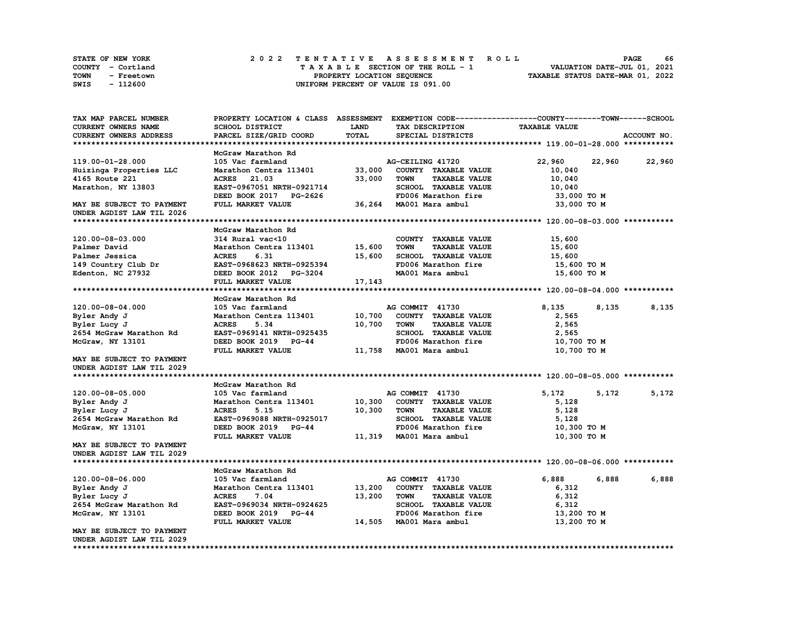|             | STATE OF NEW YORK |  |  |  |  |                                    |  |  |  |  | 2022 TENTATIVE ASSESSMENT ROLL |                                  | <b>PAGE</b> | 66 |
|-------------|-------------------|--|--|--|--|------------------------------------|--|--|--|--|--------------------------------|----------------------------------|-------------|----|
|             | COUNTY - Cortland |  |  |  |  | TAXABLE SECTION OF THE ROLL - 1    |  |  |  |  |                                | VALUATION DATE-JUL 01, 2021      |             |    |
| <b>TOWN</b> | - Freetown        |  |  |  |  | PROPERTY LOCATION SEQUENCE         |  |  |  |  |                                | TAXABLE STATUS DATE-MAR 01, 2022 |             |    |
| SWIS        | - 112600          |  |  |  |  | UNIFORM PERCENT OF VALUE IS 091.00 |  |  |  |  |                                |                                  |             |    |

| TAX MAP PARCEL NUMBER         | PROPERTY LOCATION & CLASS ASSESSMENT EXEMPTION CODE-----------------COUNTY-------TOWN-----SCHOOL |             |                                     |                      |             |
|-------------------------------|--------------------------------------------------------------------------------------------------|-------------|-------------------------------------|----------------------|-------------|
| CURRENT OWNERS NAME           | <b>SCHOOL DISTRICT</b>                                                                           | <b>LAND</b> | TAX DESCRIPTION                     | <b>TAXABLE VALUE</b> |             |
| <b>CURRENT OWNERS ADDRESS</b> | PARCEL SIZE/GRID COORD                                                                           | TOTAL       | SPECIAL DISTRICTS                   |                      | ACCOUNT NO. |
|                               |                                                                                                  |             |                                     |                      |             |
|                               | McGraw Marathon Rd                                                                               |             |                                     |                      |             |
| 119.00-01-28.000              | 105 Vac farmland                                                                                 |             | AG-CEILING 41720                    | 22,960<br>22,960     | 22,960      |
| Huizinga Properties LLC       | Marathon Centra 113401                                                                           | 33,000      | COUNTY TAXABLE VALUE                | 10,040               |             |
|                               | ACRES 21.03                                                                                      |             | <b>TOWN</b><br><b>TAXABLE VALUE</b> |                      |             |
| 4165 Route 221                |                                                                                                  | 33,000      |                                     | 10,040               |             |
| Marathon, NY 13803            | EAST-0967051 NRTH-0921714                                                                        |             | SCHOOL TAXABLE VALUE                | 10,040               |             |
|                               | DEED BOOK 2017 PG-2626                                                                           |             | FD006 Marathon fire                 | 33,000 TO M          |             |
| MAY BE SUBJECT TO PAYMENT     | FULL MARKET VALUE                                                                                |             | 36,264 MA001 Mara ambul             | 33,000 TO M          |             |
| UNDER AGDIST LAW TIL 2026     |                                                                                                  |             |                                     |                      |             |
|                               |                                                                                                  |             |                                     |                      |             |
|                               | McGraw Marathon Rd                                                                               |             |                                     |                      |             |
| 120.00-08-03.000              | 314 Rural vac<10                                                                                 |             | COUNTY TAXABLE VALUE                | 15,600               |             |
| Palmer David                  | Marathon Centra 113401 15,600                                                                    |             | <b>TOWN</b><br><b>TAXABLE VALUE</b> | 15,600               |             |
| Palmer Jessica                | <b>ACRES</b><br>6.31                                                                             | 15,600      | SCHOOL TAXABLE VALUE                | 15,600               |             |
| 149 Country Club Dr           | EAST-0968623 NRTH-0925394                                                                        |             | FD006 Marathon fire                 | 15,600 то м          |             |
| Edenton, NC 27932             | DEED BOOK 2012 PG-3204                                                                           |             | MA001 Mara ambul                    | 15,600 TO M          |             |
|                               | FULL MARKET VALUE                                                                                | 17,143      |                                     |                      |             |
|                               |                                                                                                  |             |                                     |                      |             |
|                               |                                                                                                  |             |                                     |                      |             |
|                               | McGraw Marathon Rd                                                                               |             |                                     |                      |             |
| 120.00-08-04.000              | 105 Vac farmland                                                                                 |             | AG COMMIT 41730                     | 8,135<br>8,135       | 8,135       |
| Byler Andy J                  | Marathon Centra 113401 10,700                                                                    |             | COUNTY TAXABLE VALUE                | 2,565                |             |
| Byler Lucy J                  | <b>ACRES</b><br>5.34                                                                             | 10,700      | <b>TOWN</b><br><b>TAXABLE VALUE</b> | 2,565                |             |
| 2654 McGraw Marathon Rd       | EAST-0969141 NRTH-0925435                                                                        |             | SCHOOL TAXABLE VALUE                | 2,565                |             |
| McGraw, NY 13101              | DEED BOOK 2019 PG-44                                                                             |             | FD006 Marathon fire                 | 10,700 TO M          |             |
|                               | FULL MARKET VALUE                                                                                |             | 11,758 MA001 Mara ambul             | 10,700 TO M          |             |
| MAY BE SUBJECT TO PAYMENT     |                                                                                                  |             |                                     |                      |             |
| UNDER AGDIST LAW TIL 2029     |                                                                                                  |             |                                     |                      |             |
|                               |                                                                                                  |             |                                     |                      |             |
|                               | McGraw Marathon Rd                                                                               |             |                                     |                      |             |
| 120.00-08-05.000              | 105 Vac farmland                                                                                 |             | AG COMMIT 41730                     | 5,172<br>5,172       | 5,172       |
| Byler Andy J                  | Marathon Centra 113401 10,300                                                                    |             | COUNTY TAXABLE VALUE                | 5,128                |             |
| Byler Lucy J                  | <b>ACRES</b><br>5.15                                                                             | 10,300      | <b>TAXABLE VALUE</b><br>TOWN        | 5,128                |             |
| 2654 McGraw Marathon Rd       | EAST-0969088 NRTH-0925017                                                                        |             | SCHOOL TAXABLE VALUE                | 5,128                |             |
|                               |                                                                                                  |             |                                     |                      |             |
| McGraw, NY 13101              | DEED BOOK 2019 PG-44                                                                             |             | FD006 Marathon fire                 | 10,300 TO M          |             |
|                               | FULL MARKET VALUE                                                                                |             | 11,319 MA001 Mara ambul             | 10,300 TO M          |             |
| MAY BE SUBJECT TO PAYMENT     |                                                                                                  |             |                                     |                      |             |
| UNDER AGDIST LAW TIL 2029     |                                                                                                  |             |                                     |                      |             |
|                               |                                                                                                  |             |                                     |                      |             |
|                               | McGraw Marathon Rd                                                                               |             |                                     |                      |             |
| 120.00-08-06.000              | 105 Vac farmland                                                                                 |             | AG COMMIT 41730                     | 6,888 — 10<br>6,888  | 6,888       |
| Byler Andy J                  | Marathon Centra 113401                                                                           | 13,200      | COUNTY TAXABLE VALUE                | 6,312                |             |
| Byler Lucy J                  | <b>ACRES</b><br>7.04                                                                             | 13,200      | <b>TOWN</b><br><b>TAXABLE VALUE</b> | 6,312                |             |
| 2654 McGraw Marathon Rd       | EAST-0969034 NRTH-0924625                                                                        |             | SCHOOL TAXABLE VALUE                | 6,312                |             |
| McGraw, NY 13101              | DEED BOOK 2019 PG-44                                                                             |             | FD006 Marathon fire                 | 13,200 TO M          |             |
|                               | FULL MARKET VALUE                                                                                |             | 14,505 MA001 Mara ambul             | 13,200 TO M          |             |
| MAY BE SUBJECT TO PAYMENT     |                                                                                                  |             |                                     |                      |             |
| UNDER AGDIST LAW TIL 2029     |                                                                                                  |             |                                     |                      |             |
|                               |                                                                                                  |             |                                     |                      |             |
|                               |                                                                                                  |             |                                     |                      |             |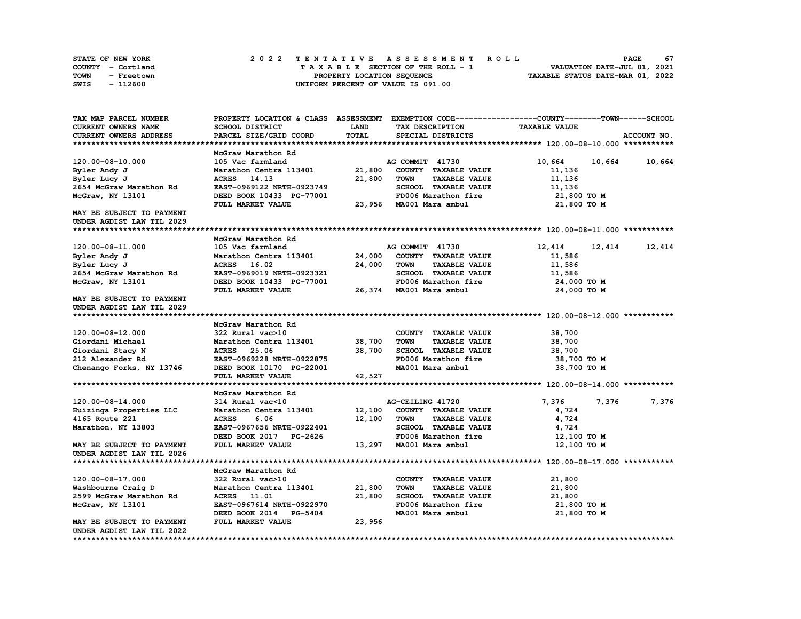| <b>STATE OF NEW YORK</b> | 2022 TENTATIVE ASSESSMENT ROLL     | 67<br><b>PAGE</b>                |
|--------------------------|------------------------------------|----------------------------------|
| COUNTY - Cortland        | TAXABLE SECTION OF THE ROLL - 1    | VALUATION DATE-JUL 01, 2021      |
| TOWN<br>- Freetown       | PROPERTY LOCATION SEQUENCE         | TAXABLE STATUS DATE-MAR 01, 2022 |
| - 112600<br>SWIS         | UNIFORM PERCENT OF VALUE IS 091.00 |                                  |

| TAX MAP PARCEL NUMBER         |                                          |        |                                     | PROPERTY LOCATION & CLASS ASSESSMENT EXEMPTION CODE----------------COUNTY-------TOWN-----SCHOOL |             |
|-------------------------------|------------------------------------------|--------|-------------------------------------|-------------------------------------------------------------------------------------------------|-------------|
| CURRENT OWNERS NAME           | SCHOOL DISTRICT                          | LAND   | TAX DESCRIPTION                     | <b>TAXABLE VALUE</b>                                                                            |             |
| <b>CURRENT OWNERS ADDRESS</b> | PARCEL SIZE/GRID COORD                   | TOTAL  | SPECIAL DISTRICTS                   |                                                                                                 | ACCOUNT NO. |
|                               |                                          |        |                                     |                                                                                                 |             |
|                               | McGraw Marathon Rd                       |        |                                     |                                                                                                 |             |
| 120.00-08-10.000              | 105 Vac farmland                         |        | AG COMMIT 41730                     | 10,664<br>10,664                                                                                | 10,664      |
| Byler Andy J                  | Marathon Centra 113401                   | 21,800 | COUNTY TAXABLE VALUE                | 11,136                                                                                          |             |
| Byler Lucy J                  | ACRES 14.13                              | 21,800 | <b>TOWN</b><br><b>TAXABLE VALUE</b> | 11,136                                                                                          |             |
| 2654 McGraw Marathon Rd       | EAST-0969122 NRTH-0923749                |        | SCHOOL TAXABLE VALUE                | 11,136                                                                                          |             |
| McGraw, NY 13101              | DEED BOOK 10433 PG-77001                 |        | FD006 Marathon fire                 | 21,800 TO M                                                                                     |             |
|                               | FULL MARKET VALUE                        | 23,956 | MA001 Mara ambul                    | 21,800 TO M                                                                                     |             |
| MAY BE SUBJECT TO PAYMENT     |                                          |        |                                     |                                                                                                 |             |
| UNDER AGDIST LAW TIL 2029     |                                          |        |                                     |                                                                                                 |             |
|                               |                                          |        |                                     |                                                                                                 |             |
|                               | McGraw Marathon Rd                       |        |                                     |                                                                                                 |             |
| 120.00-08-11.000              | 105 Vac farmland                         |        | AG COMMIT 41730                     | 12,414<br>12,414                                                                                | 12,414      |
| Byler Andy J                  | Marathon Centra 113401                   | 24,000 | COUNTY TAXABLE VALUE                | 11,586                                                                                          |             |
| Byler Lucy J                  | ACRES 16.02                              | 24,000 | <b>TOWN</b><br><b>TAXABLE VALUE</b> | 11,586                                                                                          |             |
| 2654 McGraw Marathon Rd       | EAST-0969019 NRTH-0923321                |        | SCHOOL TAXABLE VALUE                | 11,586                                                                                          |             |
| McGraw, NY 13101              | DEED BOOK 10433 PG-77001                 |        | FD006 Marathon fire                 | 24,000 TO M                                                                                     |             |
|                               | FULL MARKET VALUE                        |        | 26,374 MA001 Mara ambul             | 24,000 TO M                                                                                     |             |
| MAY BE SUBJECT TO PAYMENT     |                                          |        |                                     |                                                                                                 |             |
| UNDER AGDIST LAW TIL 2029     |                                          |        |                                     |                                                                                                 |             |
|                               |                                          |        |                                     |                                                                                                 |             |
|                               | McGraw Marathon Rd                       |        |                                     |                                                                                                 |             |
| 120.00-08-12.000              | 322 Rural vac>10                         |        | COUNTY TAXABLE VALUE                | 38,700                                                                                          |             |
| Giordani Michael              | Marathon Centra 113401                   | 38,700 | <b>TOWN</b><br><b>TAXABLE VALUE</b> | 38,700                                                                                          |             |
| Giordani Stacy N              | ACRES 25.06                              | 38,700 | SCHOOL TAXABLE VALUE                | 38,700                                                                                          |             |
| 212 Alexander Rd              | EAST-0969228 NRTH-0922875                |        | FD006 Marathon fire                 | 38,700 TO M                                                                                     |             |
| Chenango Forks, NY 13746      | DEED BOOK 10170 PG-22001                 |        | MA001 Mara ambul                    | 38,700 TO M                                                                                     |             |
|                               | FULL MARKET VALUE                        | 42,527 |                                     |                                                                                                 |             |
|                               |                                          |        |                                     |                                                                                                 |             |
|                               | McGraw Marathon Rd                       |        |                                     |                                                                                                 |             |
| 120.00-08-14.000              | 314 Rural vac<10                         |        | AG-CEILING 41720                    | 7,376<br>7,376                                                                                  | 7,376       |
| Huizinga Properties LLC       | Marathon Centra 113401                   | 12,100 | COUNTY TAXABLE VALUE                | 4,724                                                                                           |             |
| 4165 Route 221                | <b>ACRES</b><br>6.06                     | 12,100 | <b>TOWN</b><br><b>TAXABLE VALUE</b> | 4,724                                                                                           |             |
| Marathon, NY 13803            | EAST-0967656 NRTH-0922401                |        | SCHOOL TAXABLE VALUE                | 4,724                                                                                           |             |
|                               | DEED BOOK 2017 PG-2626                   |        | FD006 Marathon fire                 | 12,100 TO M                                                                                     |             |
| MAY BE SUBJECT TO PAYMENT     | FULL MARKET VALUE                        |        | 13,297 MA001 Mara ambul             | 12,100 TO M                                                                                     |             |
| UNDER AGDIST LAW TIL 2026     |                                          |        |                                     |                                                                                                 |             |
|                               |                                          |        |                                     |                                                                                                 |             |
|                               | McGraw Marathon Rd                       |        |                                     |                                                                                                 |             |
| 120.00-08-17.000              | 322 Rural vac>10                         |        | COUNTY TAXABLE VALUE                |                                                                                                 |             |
| Washbourne Craig D            | Marathon Centra 113401                   | 21,800 | <b>TOWN</b><br><b>TAXABLE VALUE</b> | 21,800<br>21,800                                                                                |             |
|                               |                                          |        | <b>SCHOOL TAXABLE VALUE</b>         |                                                                                                 |             |
| 2599 McGraw Marathon Rd       | ACRES 11.01<br>EAST-0967614 NRTH-0922970 | 21,800 | FD006 Marathon fire                 | 21,800                                                                                          |             |
| McGraw, NY 13101              |                                          |        |                                     | 21,800 TO M                                                                                     |             |
|                               | DEED BOOK 2014 PG-5404                   |        | MA001 Mara ambul                    | 21,800 TO M                                                                                     |             |
| MAY BE SUBJECT TO PAYMENT     | FULL MARKET VALUE                        | 23,956 |                                     |                                                                                                 |             |
| UNDER AGDIST LAW TIL 2022     |                                          |        |                                     |                                                                                                 |             |
|                               |                                          |        |                                     |                                                                                                 |             |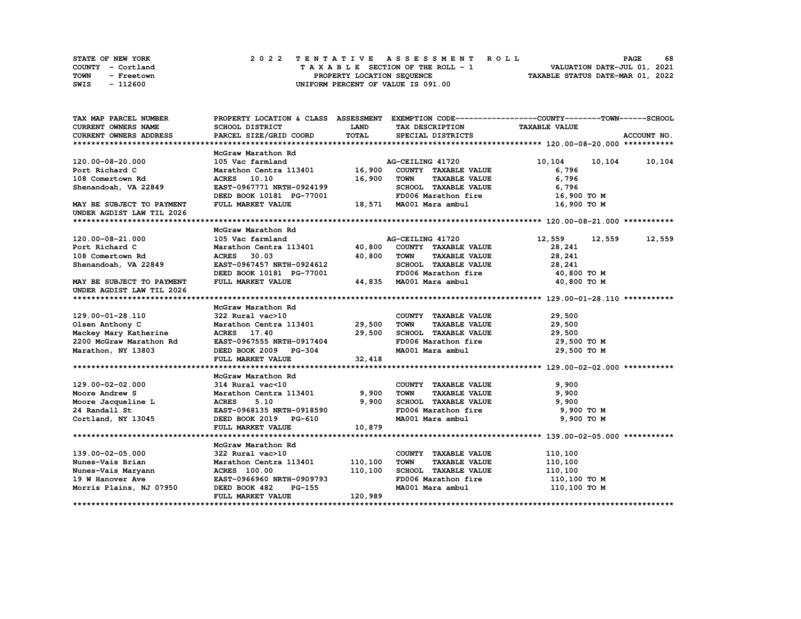|      | <b>STATE OF NEW YORK</b> | 2022 TENTATIVE ASSESSMENT ROLL          | 68<br><b>PAGE</b>                |
|------|--------------------------|-----------------------------------------|----------------------------------|
|      | COUNTY - Cortland        | $T A X A B L E$ SECTION OF THE ROLL - 1 | VALUATION DATE-JUL 01, 2021      |
| TOWN | - Freetown               | PROPERTY LOCATION SEQUENCE              | TAXABLE STATUS DATE-MAR 01, 2022 |
| SWIS | - 112600                 | UNIFORM PERCENT OF VALUE IS 091.00      |                                  |

| TAX MAP PARCEL NUMBER                  |                               |             | PROPERTY LOCATION & CLASS ASSESSMENT EXEMPTION CODE----------------COUNTY-------TOWN-----SCHOOL |                      |               |
|----------------------------------------|-------------------------------|-------------|-------------------------------------------------------------------------------------------------|----------------------|---------------|
| <b>CURRENT OWNERS NAME</b>             | <b>SCHOOL DISTRICT</b>        | <b>LAND</b> | TAX DESCRIPTION                                                                                 | <b>TAXABLE VALUE</b> |               |
| <b>CURRENT OWNERS ADDRESS</b>          | PARCEL SIZE/GRID COORD        | TOTAL       | SPECIAL DISTRICTS                                                                               |                      | ACCOUNT NO.   |
|                                        |                               |             |                                                                                                 |                      |               |
|                                        | McGraw Marathon Rd            |             |                                                                                                 |                      |               |
| 120.00-08-20.000                       | 105 Vac farmland              |             | AG-CEILING 41720                                                                                | 10,104               | 10,104 10,104 |
| Port Richard C                         | Marathon Centra 113401 16,900 |             | COUNTY TAXABLE VALUE                                                                            | 6,796                |               |
| 108 Comertown Rd                       | ACRES 10.10                   | 16,900      | <b>TOWN</b><br><b>TAXABLE VALUE</b>                                                             | 6,796                |               |
| Shenandoah, VA 22849                   | EAST-0967771 NRTH-0924199     |             | SCHOOL TAXABLE VALUE                                                                            | 6,796                |               |
|                                        | DEED BOOK 10181 PG-77001      |             | FD006 Marathon fire                                                                             | 16,900 TO M          |               |
| MAY BE SUBJECT TO PAYMENT              | FULL MARKET VALUE             |             | 18,571 MA001 Mara ambul                                                                         | 16,900 TO M          |               |
| UNDER AGDIST LAW TIL 2026              |                               |             |                                                                                                 |                      |               |
|                                        |                               |             |                                                                                                 |                      |               |
|                                        | McGraw Marathon Rd            |             |                                                                                                 |                      |               |
| 120.00-08-21.000                       | 105 Vac farmland              |             | AG-CEILING 41720                                                                                | 12,559<br>12,559     | 12,559        |
| Port Richard C                         | Marathon Centra 113401 40,800 |             | COUNTY TAXABLE VALUE                                                                            | 28,241               |               |
| 108 Comertown Rd                       | ACRES 30.03                   | 40,800      | TOWN<br><b>TAXABLE VALUE</b>                                                                    | 28,241               |               |
|                                        | EAST-0967457 NRTH-0924612     |             | SCHOOL TAXABLE VALUE                                                                            | 28,241               |               |
| Shenandoah, VA 22849                   |                               |             | FD006 Marathon fire                                                                             |                      |               |
|                                        | DEED BOOK 10181 PG-77001      |             |                                                                                                 | 40,800 TO M          |               |
| MAY BE SUBJECT TO PAYMENT              | FULL MARKET VALUE             |             | 44,835 MA001 Mara ambul                                                                         | 40,800 TO M          |               |
| UNDER AGDIST LAW TIL 2026              |                               |             |                                                                                                 |                      |               |
|                                        |                               |             |                                                                                                 |                      |               |
|                                        | McGraw Marathon Rd            |             |                                                                                                 |                      |               |
| 129.00-01-28.110                       | 322 Rural vac>10              |             | COUNTY TAXABLE VALUE                                                                            | 29,500               |               |
| Olsen Anthony C                        | Marathon Centra 113401 29,500 |             | <b>TOWN</b><br><b>TAXABLE VALUE</b>                                                             | 29,500               |               |
| Mackey Mary Katherine                  | ACRES 17.40                   | 29,500      | SCHOOL TAXABLE VALUE                                                                            | 29,500               |               |
| 2200 McGraw Marathon Rd                | EAST-0967555 NRTH-0917404     |             | FD006 Marathon fire                                                                             | 29,500 TO M          |               |
| Marathon, NY 13803                     | DEED BOOK 2009 PG-304         |             | MA001 Mara ambul                                                                                | 29,500 TO M          |               |
|                                        | FULL MARKET VALUE             | 32,418      |                                                                                                 |                      |               |
|                                        |                               |             |                                                                                                 |                      |               |
|                                        | McGraw Marathon Rd            |             |                                                                                                 |                      |               |
| 129.00-02-02.000                       | 314 Rural vac<10              |             | COUNTY TAXABLE VALUE                                                                            | 9,900                |               |
| Moore Andrew S                         | Marathon Centra 113401 9,900  |             | <b>TOWN</b><br><b>TAXABLE VALUE</b>                                                             | 9,900                |               |
| Moore Jacqueline L                     | <b>ACRES</b><br>5.10          | 9,900       | SCHOOL TAXABLE VALUE                                                                            | 9,900                |               |
| 24 Randall St                          | EAST-0968135 NRTH-0918590     |             | FD006 Marathon fire                                                                             | 9,900 TO M           |               |
| Cortland, NY 13045                     | DEED BOOK 2019 PG-610         |             | MA001 Mara ambul                                                                                | 9,900 TO M           |               |
|                                        | FULL MARKET VALUE             | 10,879      |                                                                                                 |                      |               |
|                                        |                               |             |                                                                                                 |                      |               |
|                                        | McGraw Marathon Rd            |             |                                                                                                 |                      |               |
| 139.00-02-05.000                       | 322 Rural vac>10              |             | COUNTY TAXABLE VALUE                                                                            | 110,100              |               |
| Nunes-Vais Brian                       | Marathon Centra 113401        | 110,100     | <b>TOWN</b><br><b>TAXABLE VALUE</b>                                                             | 110,100              |               |
| Nunes-Vais Maryann<br>19 W Hanover Ave | ACRES 100.00                  | 110,100     | SCHOOL TAXABLE VALUE                                                                            | 110,100              |               |
| 19 W Hanover Ave                       | EAST-0966960 NRTH-0909793     |             | FD006 Marathon fire                                                                             | 110,100 TO M         |               |
| Morris Plains, NJ 07950                | DEED BOOK 482<br>PG-155       |             | MA001 Mara ambul                                                                                | 110,100 TO M         |               |
|                                        | FULL MARKET VALUE             | 120,989     |                                                                                                 |                      |               |
|                                        |                               |             |                                                                                                 |                      |               |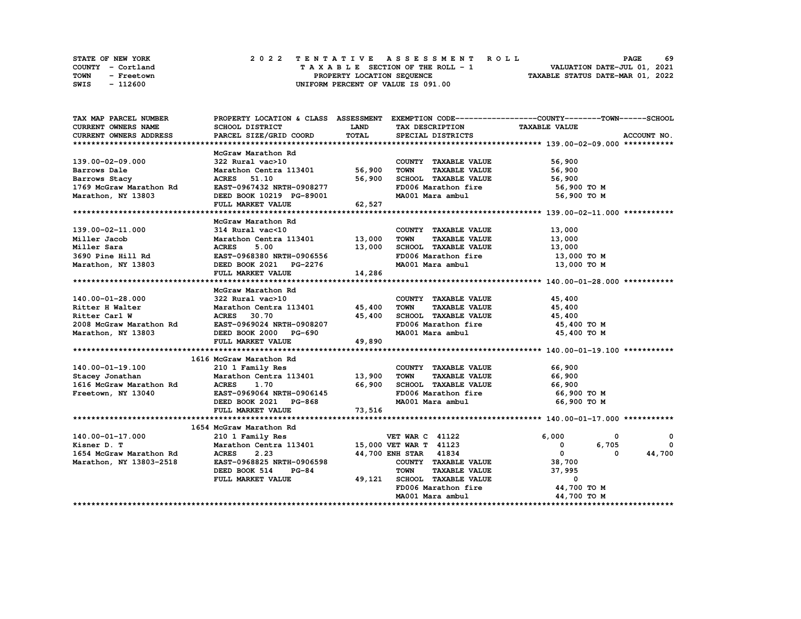|      | <b>STATE OF NEW YORK</b> | 2022 TENTATIVE ASSESSMENT ROLL          | 69<br><b>PAGE</b>                |
|------|--------------------------|-----------------------------------------|----------------------------------|
|      | COUNTY - Cortland        | $T A X A B L E$ SECTION OF THE ROLL - 1 | VALUATION DATE-JUL 01, 2021      |
| TOWN | - Freetown               | PROPERTY LOCATION SEQUENCE              | TAXABLE STATUS DATE-MAR 01, 2022 |
| SWIS | - 112600                 | UNIFORM PERCENT OF VALUE IS 091.00      |                                  |

| TAX MAP PARCEL NUMBER                                                                         | PROPERTY LOCATION & CLASS ASSESSMENT EXEMPTION CODE-----------------COUNTY-------TOWN-----SCHOOL |             |                                        |                                                         |              |
|-----------------------------------------------------------------------------------------------|--------------------------------------------------------------------------------------------------|-------------|----------------------------------------|---------------------------------------------------------|--------------|
| CURRENT OWNERS NAME                                                                           | SCHOOL DISTRICT                                                                                  | <b>LAND</b> | TAX DESCRIPTION TAXABLE VALUE          |                                                         |              |
| CURRENT OWNERS ADDRESS                                                                        | PARCEL SIZE/GRID COORD                                                                           | TOTAL       | SPECIAL DISTRICTS                      |                                                         | ACCOUNT NO.  |
|                                                                                               |                                                                                                  |             |                                        |                                                         |              |
|                                                                                               | McGraw Marathon Rd                                                                               |             |                                        |                                                         |              |
| 139.00-02-09.000                                                                              | 322 Rural vac>10                                                                                 |             | COUNTY TAXABLE VALUE                   | 56,900                                                  |              |
| Barrows Dale                                                                                  | Marathon Centra 113401 56,900 TOWN                                                               |             | <b>TAXABLE VALUE</b>                   | 56,900                                                  |              |
| Barrows Stacy                                                                                 | ACRES 51.10                                                                                      | 56,900      | SCHOOL TAXABLE VALUE                   | 56,900                                                  |              |
| 1769 McGraw Marathon Rd                                                                       | EAST-0967432 NRTH-0908277                                                                        |             | FD006 Marathon fire                    | 56,900 то м                                             |              |
| Marathon, NY 13803                                                                            | EAST-0967432 NRTH-0908277<br>DEED BOOK 10219 PG-89001                                            |             | MA001 Mara ambul                       | 56,900 то м                                             |              |
|                                                                                               | FULL MARKET VALUE                                                                                | 62,527      |                                        |                                                         |              |
|                                                                                               |                                                                                                  |             |                                        |                                                         |              |
|                                                                                               | McGraw Marathon Rd                                                                               |             |                                        |                                                         |              |
| 139.00-02-11.000                                                                              | 314 Rural vac<10                                                                                 |             | COUNTY TAXABLE VALUE                   |                                                         |              |
| Miller Jacob                                                                                  | 314 Rural vac<10 COUNTY<br>Marathon Centra 113401 13,000 TOWN                                    |             | <b>TAXABLE VALUE</b>                   | 13,000<br>13,000                                        |              |
| Miller Sara                                                                                   |                                                                                                  | 13,000      | SCHOOL TAXABLE VALUE 13,000            |                                                         |              |
| 3690 Pine Hill Rd                                                                             | ACRES 5.00 13,000<br>EAST-0968380 NRTH-0906556 13,000<br>DEED BOOK 2021 PG-2276                  |             | FD006 Marathon fire                    | 13,000 TO M                                             |              |
| Marathon, NY 13803                                                                            |                                                                                                  |             | MA001 Mara ambul                       | 13,000 TO M                                             |              |
|                                                                                               | FULL MARKET VALUE                                                                                | 14,286      |                                        |                                                         |              |
|                                                                                               |                                                                                                  |             |                                        |                                                         |              |
|                                                                                               | McGraw Marathon Rd                                                                               |             |                                        |                                                         |              |
| 140.00-01-28.000                                                                              | 322 Rural vac>10                                                                                 |             | COUNTY TAXABLE VALUE                   | 45,400                                                  |              |
| Ritter H Walter                                                                               | 322 Rural vac><br>Marathon Centı<br>ACRES 30.70<br>Marathon Centra 113401 45,400                 |             | TOWN<br><b>TAXABLE VALUE</b>           | 45,400                                                  |              |
| Ritter Carl W                                                                                 |                                                                                                  | 45,400      | SCHOOL TAXABLE VALUE 45,400            |                                                         |              |
| 2008 McGraw Marathon Rd                                                                       |                                                                                                  |             | FD006 Marathon fire                    |                                                         |              |
| Marathon, NY 13803                                                                            | EAST-0969024 NRTH-0908207<br>DEED BOOK 2000 PG-690                                               |             | MA001 Mara ambul                       | 45,400 TO M<br>45,400 TO M                              |              |
|                                                                                               | FULL MARKET VALUE                                                                                | 49,890      |                                        |                                                         |              |
|                                                                                               |                                                                                                  |             |                                        |                                                         |              |
|                                                                                               | 1616 McGraw Marathon Rd                                                                          |             |                                        |                                                         |              |
| 140.00-01-19.100                                                                              | 210 1 Family Res                                                                                 |             | COUNTY TAXABLE VALUE 66,900            |                                                         |              |
|                                                                                               | Marathon Centra 113401 13,900 TOWN TAXABLE VALUE                                                 |             |                                        | 66,900                                                  |              |
| Stacey Jonathan                 Marathon Central MacGraw Marathon Rd           ACRES     1.70 |                                                                                                  | 66,900      | SCHOOL TAXABLE VALUE                   | 66,900                                                  |              |
|                                                                                               |                                                                                                  |             |                                        |                                                         |              |
| Freetown, NY 13040                                                                            | EAST-0969064 NRTH-0906145                                                                        |             | FD006 Marathon fire                    | 66,900 то м                                             |              |
|                                                                                               | DEED BOOK 2021 PG-868                                                                            |             | MA001 Mara ambul                       | 66,900 то м                                             |              |
|                                                                                               | FULL MARKET VALUE                                                                                | 73,516      |                                        |                                                         |              |
|                                                                                               |                                                                                                  |             |                                        |                                                         |              |
|                                                                                               | 1654 McGraw Marathon Rd                                                                          |             |                                        |                                                         |              |
| 140.00-01-17.000                                                                              | 210 1 Family Res                                                                                 |             | <b>VET WAR C 41122</b>                 | 6,000<br>0                                              | 0            |
| Kisner D. T                                                                                   | Marathon Centra 113401 15,000 VET WAR T 41123                                                    |             |                                        | 6,705<br>$\begin{bmatrix} 1 & 0 \\ 0 & 1 \end{bmatrix}$ | $\mathbf{o}$ |
| 1654 McGraw Marathon Rd                                                                       | <b>ACRES</b><br>2.23                                                                             |             | 44,700 ENH STAR 41834                  | $\mathbf{0}$<br>0                                       | 44,700       |
| Marathon, NY 13803-2518                                                                       | EAST-0968825 NRTH-0906598                                                                        |             | COUNTY TAXABLE VALUE 38,700            |                                                         |              |
|                                                                                               | DEED BOOK 514 PG-84                                                                              |             | <b>TOWN</b><br>TAXABLE VALUE           | 37,995                                                  |              |
|                                                                                               | FULL MARKET VALUE                                                                                |             | 49,121 SCHOOL TAXABLE VALUE            | $\mathbf{0}$                                            |              |
|                                                                                               |                                                                                                  |             | FD006 Marathon fire 50 and 44,700 TO M |                                                         |              |
|                                                                                               |                                                                                                  |             | MA001 Mara ambul                       | 44,700 TO M                                             |              |
|                                                                                               |                                                                                                  |             |                                        |                                                         |              |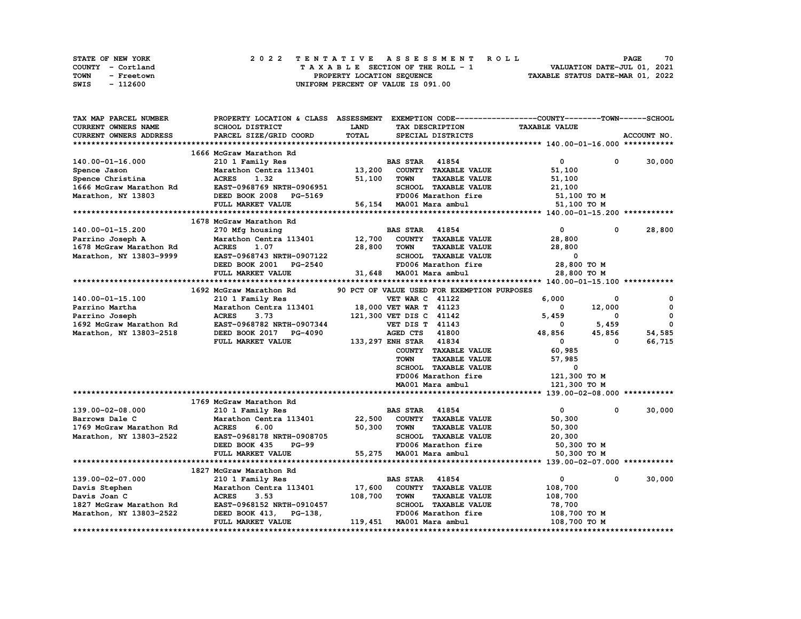| STATE OF NEW YORK         | 2022 TENTATIVE ASSESSMENT ROLL     | 70<br><b>PAGE</b>                |
|---------------------------|------------------------------------|----------------------------------|
| COUNTY - Cortland         | TAXABLE SECTION OF THE ROLL - 1    | VALUATION DATE-JUL 01, 2021      |
| <b>TOWN</b><br>- Freetown | PROPERTY LOCATION SEQUENCE         | TAXABLE STATUS DATE-MAR 01, 2022 |
| SWIS<br>- 112600          | UNIFORM PERCENT OF VALUE IS 091.00 |                                  |

| TAX MAP PARCEL NUMBER   | PROPERTY LOCATION & CLASS ASSESSMENT |         |                          |                                             | EXEMPTION CODE-----------------COUNTY-------TOWN------SCHOOL |              |              |
|-------------------------|--------------------------------------|---------|--------------------------|---------------------------------------------|--------------------------------------------------------------|--------------|--------------|
| CURRENT OWNERS NAME     | SCHOOL DISTRICT                      | LAND    | TAX DESCRIPTION          |                                             | <b>TAXABLE VALUE</b>                                         |              |              |
| CURRENT OWNERS ADDRESS  | PARCEL SIZE/GRID COORD               | TOTAL   |                          | SPECIAL DISTRICTS                           |                                                              |              | ACCOUNT NO.  |
|                         |                                      |         |                          |                                             |                                                              |              |              |
|                         | 1666 McGraw Marathon Rd              |         |                          |                                             |                                                              |              |              |
| 140.00-01-16.000        | 210 1 Family Res                     |         | <b>BAS STAR</b> 41854    |                                             | $\mathbf 0$                                                  | 0            | 30,000       |
|                         |                                      |         |                          |                                             |                                                              |              |              |
| Spence Jason            | Marathon Centra 113401               | 13,200  |                          | COUNTY TAXABLE VALUE                        | 51,100                                                       |              |              |
| Spence Christina        | <b>ACRES</b><br>1.32                 | 51,100  | <b>TOWN</b>              | <b>TAXABLE VALUE</b>                        | 51,100                                                       |              |              |
| 1666 McGraw Marathon Rd | EAST-0968769 NRTH-0906951            |         |                          | SCHOOL TAXABLE VALUE                        | 21,100                                                       |              |              |
| Marathon, NY 13803      | DEED BOOK 2008 PG-5169               |         |                          | FD006 Marathon fire                         | 51,100 TO M                                                  |              |              |
|                         | FULL MARKET VALUE                    |         | 56,154 MA001 Mara ambul  |                                             | 51,100 TO M                                                  |              |              |
|                         |                                      |         |                          |                                             |                                                              |              |              |
|                         | 1678 McGraw Marathon Rd              |         |                          |                                             |                                                              |              |              |
| 140.00-01-15.200        | 270 Mfg housing                      |         | <b>BAS STAR</b>          | 41854                                       | $\mathbf{0}$                                                 | $\Omega$     | 28,800       |
|                         |                                      |         |                          | 12,700 COUNTY TAXABLE VALUE                 |                                                              |              |              |
| Parrino Joseph A        | Marathon Centra 113401               |         |                          |                                             | 28,800                                                       |              |              |
| 1678 McGraw Marathon Rd | <b>ACRES</b><br>1.07                 | 28,800  | TOWN                     | <b>TAXABLE VALUE</b>                        | 28,800                                                       |              |              |
| Marathon, NY 13803-9999 | EAST-0968743 NRTH-0907122            |         |                          | SCHOOL TAXABLE VALUE                        | 0                                                            |              |              |
|                         | DEED BOOK 2001 PG-2540               |         |                          | FD006 Marathon fire                         | 28,800 TO M                                                  |              |              |
|                         | FULL MARKET VALUE                    |         | 31,648 MA001 Mara ambul  |                                             | 28,800 TO M                                                  |              |              |
|                         |                                      |         |                          |                                             |                                                              |              |              |
|                         | 1692 McGraw Marathon Rd              |         |                          | 90 PCT OF VALUE USED FOR EXEMPTION PURPOSES |                                                              |              |              |
| 140.00-01-15.100        | 210 1 Family Res                     |         | <b>VET WAR C 41122</b>   |                                             | 6,000                                                        | 0            | $\mathbf{o}$ |
|                         |                                      |         |                          |                                             |                                                              |              | $\mathbf 0$  |
| Parrino Martha          | Marathon Centra 113401               |         | 18,000 VET WAR T 41123   |                                             | $\Omega$                                                     | 12,000       |              |
| Parrino Joseph          | <b>ACRES</b><br>3.73                 |         | 121,300 VET DIS C 41142  |                                             | 5,459                                                        | 0            | $\mathbf 0$  |
| 1692 McGraw Marathon Rd | EAST-0968782 NRTH-0907344            |         | <b>VET DIS T 41143</b>   |                                             | 0                                                            | 5,459        | $\mathbf 0$  |
| Marathon, NY 13803-2518 | DEED BOOK 2017 PG-4090               |         | AGED CTS 41800           |                                             | 48,856                                                       | 45,856       | 54,585       |
|                         | FULL MARKET VALUE                    |         | 133, 297 ENH STAR 41834  |                                             | $\mathbf{0}$                                                 | 0            | 66,715       |
|                         |                                      |         |                          | COUNTY TAXABLE VALUE                        | 60,985                                                       |              |              |
|                         |                                      |         | <b>TOWN</b>              | <b>TAXABLE VALUE</b>                        | 57,985                                                       |              |              |
|                         |                                      |         |                          | SCHOOL TAXABLE VALUE                        | 0                                                            |              |              |
|                         |                                      |         |                          |                                             |                                                              |              |              |
|                         |                                      |         |                          | FD006 Marathon fire                         | 121,300 TO M                                                 |              |              |
|                         |                                      |         |                          | MA001 Mara ambul                            | 121,300 TO M                                                 |              |              |
|                         |                                      |         |                          |                                             |                                                              |              |              |
|                         | 1769 McGraw Marathon Rd              |         |                          |                                             |                                                              |              |              |
| 139.00-02-08.000        | 210 1 Family Res                     |         | <b>BAS STAR</b> 41854    |                                             | $\mathbf{0}$                                                 | $\mathbf{0}$ | 30,000       |
| Barrows Dale C          | Marathon Centra 113401               | 22,500  |                          | COUNTY TAXABLE VALUE                        | 50,300                                                       |              |              |
| 1769 McGraw Marathon Rd | <b>ACRES</b><br>6.00                 | 50,300  | <b>TOWN</b>              | <b>TAXABLE VALUE</b>                        | 50,300                                                       |              |              |
| Marathon, NY 13803-2522 | EAST-0968178 NRTH-0908705            |         |                          | SCHOOL TAXABLE VALUE                        | 20,300                                                       |              |              |
|                         | DEED BOOK 435<br><b>PG-99</b>        |         |                          | FD006 Marathon fire                         | 50,300 TO M                                                  |              |              |
|                         |                                      |         |                          |                                             |                                                              |              |              |
|                         | FULL MARKET VALUE                    |         | 55,275 MA001 Mara ambul  |                                             | 50,300 TO M                                                  |              |              |
|                         |                                      |         |                          |                                             |                                                              |              |              |
|                         | 1827 McGraw Marathon Rd              |         |                          |                                             |                                                              |              |              |
| 139.00-02-07.000        | 210 1 Family Res                     |         | <b>BAS STAR</b>          | 41854                                       | 0                                                            | 0            | 30,000       |
| Davis Stephen           | Marathon Centra 113401               | 17,600  |                          | COUNTY TAXABLE VALUE                        | 108,700                                                      |              |              |
| Davis Joan C            | <b>ACRES</b><br>3.53                 | 108,700 | TOWN                     | <b>TAXABLE VALUE</b>                        | 108,700                                                      |              |              |
| 1827 McGraw Marathon Rd | EAST-0968152 NRTH-0910457            |         |                          | SCHOOL TAXABLE VALUE                        | 78,700                                                       |              |              |
| Marathon, NY 13803-2522 | DEED BOOK 413, PG-138,               |         |                          | FD006 Marathon fire                         | 108,700 то м                                                 |              |              |
|                         | FULL MARKET VALUE                    |         | 119,451 MA001 Mara ambul |                                             | 108,700 TO M                                                 |              |              |
|                         |                                      |         |                          |                                             |                                                              |              |              |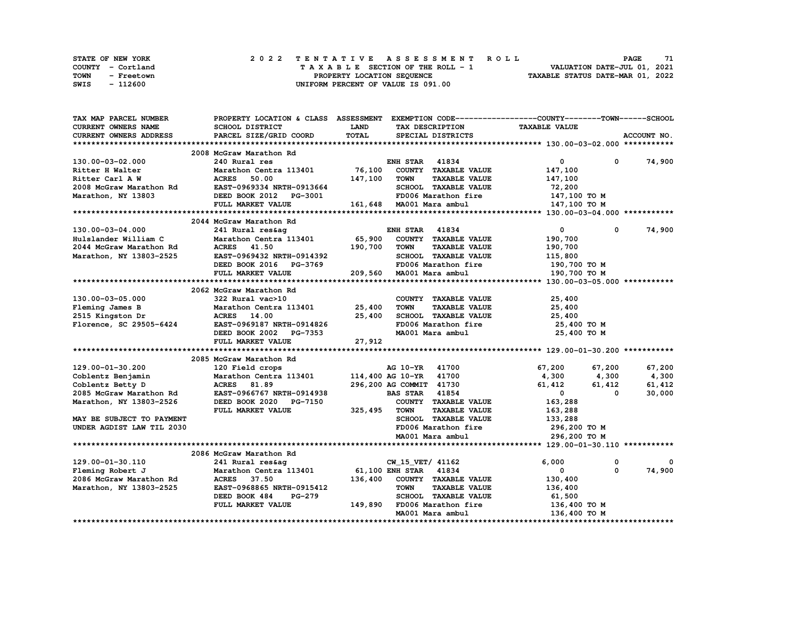|      | <b>STATE OF NEW YORK</b> |  | 2022 TENTATIVE ASSESSMENT ROLL     | 71<br><b>PAGE</b>                |  |
|------|--------------------------|--|------------------------------------|----------------------------------|--|
|      | COUNTY - Cortland        |  | TAXABLE SECTION OF THE ROLL - 1    | VALUATION DATE-JUL 01, 2021      |  |
| TOWN | - Freetown               |  | PROPERTY LOCATION SEQUENCE         | TAXABLE STATUS DATE-MAR 01, 2022 |  |
| SWIS | - 112600                 |  | UNIFORM PERCENT OF VALUE IS 091.00 |                                  |  |

| TAX MAP PARCEL NUMBER         | PROPERTY LOCATION & CLASS ASSESSMENT EXEMPTION CODE----------------COUNTY-------TOWN-----SCHOOL |             |                                     |                      |                        |
|-------------------------------|-------------------------------------------------------------------------------------------------|-------------|-------------------------------------|----------------------|------------------------|
| <b>CURRENT OWNERS NAME</b>    | SCHOOL DISTRICT                                                                                 | <b>LAND</b> | TAX DESCRIPTION                     | <b>TAXABLE VALUE</b> |                        |
| <b>CURRENT OWNERS ADDRESS</b> | PARCEL SIZE/GRID COORD                                                                          | TOTAL       | SPECIAL DISTRICTS                   |                      | ACCOUNT NO.            |
|                               |                                                                                                 |             |                                     |                      |                        |
|                               | 2008 McGraw Marathon Rd                                                                         |             |                                     |                      |                        |
| 130.00-03-02.000              | 240 Rural res                                                                                   |             | <b>ENH STAR 41834</b>               | $\mathbf{0}$         | 74,900<br>0            |
| Ritter H Walter               | Marathon Centra 113401                                                                          |             | 76,100 COUNTY TAXABLE VALUE         | 147,100              |                        |
| Ritter Carl A W               | <b>ACRES</b><br>50.00                                                                           | 147,100     | <b>TOWN</b><br><b>TAXABLE VALUE</b> | 147,100              |                        |
| 2008 McGraw Marathon Rd       | EAST-0969334 NRTH-0913664                                                                       |             | SCHOOL TAXABLE VALUE                | 72,200               |                        |
| Marathon, NY 13803            | DEED BOOK 2012 PG-3001                                                                          |             | FD006 Marathon fire                 | 147,100 TO M         |                        |
|                               |                                                                                                 |             | 161,648 MA001 Mara ambul            |                      |                        |
|                               | FULL MARKET VALUE                                                                               |             |                                     | 147,100 TO M         |                        |
|                               |                                                                                                 |             |                                     |                      |                        |
|                               | 2044 McGraw Marathon Rd                                                                         |             |                                     |                      |                        |
| 130.00-03-04.000              | 241 Rural res&aq                                                                                |             | <b>ENH STAR 41834</b>               | $\overline{0}$       | 74,900<br>$\mathbf{0}$ |
| Hulslander William C          | Marathon Centra 113401 65,900                                                                   |             | COUNTY TAXABLE VALUE                | 190,700              |                        |
| 2044 McGraw Marathon Rd       | ACRES 41.50                                                                                     | 190,700     | <b>TOWN</b><br><b>TAXABLE VALUE</b> | 190,700              |                        |
| Marathon, NY 13803-2525       | EAST-0969432 NRTH-0914392                                                                       |             | SCHOOL TAXABLE VALUE                | 115,800              |                        |
|                               | DEED BOOK 2016 PG-3769                                                                          |             | FD006 Marathon fire                 | 190,700 то м         |                        |
|                               | FULL MARKET VALUE                                                                               |             | 209,560 MA001 Mara ambul            | 190,700 TO M         |                        |
|                               |                                                                                                 |             |                                     |                      |                        |
|                               | 2062 McGraw Marathon Rd                                                                         |             |                                     |                      |                        |
| 130.00-03-05.000              | 322 Rural vac>10                                                                                |             | COUNTY TAXABLE VALUE                | 25,400               |                        |
| Fleming James B               | Marathon Centra 113401 25,400                                                                   |             | <b>TOWN</b><br><b>TAXABLE VALUE</b> | 25,400               |                        |
| 2515 Kingston Dr              | <b>ACRES</b> 14.00                                                                              | 25,400      | SCHOOL TAXABLE VALUE                | 25,400               |                        |
|                               | Florence, SC 29505-6424 EAST-0969187 NRTH-0914826                                               |             | FD006 Marathon fire                 | 25,400 TO M          |                        |
|                               | DEED BOOK 2002 PG-7353                                                                          |             | MA001 Mara ambul                    | 25,400 TO M          |                        |
|                               | FULL MARKET VALUE                                                                               |             |                                     |                      |                        |
|                               |                                                                                                 | 27,912      |                                     |                      |                        |
|                               |                                                                                                 |             |                                     |                      |                        |
|                               | 2085 McGraw Marathon Rd                                                                         |             |                                     |                      |                        |
| 129.00-01-30.200              | 120 Field crops                                                                                 |             | AG 10-YR 41700                      | 67,200<br>67,200     | 67,200                 |
| Coblentz Benjamin             | Marathon Centra 113401                                                                          |             | 114,400 AG 10-YR 41700              | 4,300<br>4,300       | 4,300                  |
| Coblentz Betty D              | ACRES 81.89                                                                                     |             | 296,200 AG COMMIT 41730             | 61,412<br>61,412     | 61,412                 |
| 2085 McGraw Marathon Rd       | EAST-0966767 NRTH-0914938                                                                       |             | <b>BAS STAR 41854</b>               | $\mathbf{0}$         | 30,000<br>0            |
| Marathon, NY 13803-2526       | DEED BOOK 2020 PG-7150                                                                          |             | COUNTY TAXABLE VALUE                | 163,288              |                        |
|                               | FULL MARKET VALUE                                                                               | 325,495     | <b>TOWN</b><br><b>TAXABLE VALUE</b> | 163,288              |                        |
| MAY BE SUBJECT TO PAYMENT     |                                                                                                 |             | SCHOOL TAXABLE VALUE                | 133,288              |                        |
| UNDER AGDIST LAW TIL 2030     |                                                                                                 |             | FD006 Marathon fire                 | 296,200 то м         |                        |
|                               |                                                                                                 |             | MA001 Mara ambul                    | 296,200 TO M         |                        |
|                               |                                                                                                 |             |                                     |                      |                        |
|                               | 2086 McGraw Marathon Rd                                                                         |             |                                     |                      |                        |
| 129.00-01-30.110              | 241 Rural res&ag                                                                                |             | CW_15_VET/ 41162                    | 6,000                | 0                      |
| Fleming Robert J              | Marathon Centra 113401 61,100 ENH STAR 41834                                                    |             |                                     | 0                    | 0<br>74,900            |
| 2086 McGraw Marathon Rd       | ACRES 37.50                                                                                     | 136,400     | COUNTY TAXABLE VALUE                | 130,400              |                        |
|                               | EAST-0968865 NRTH-0915412                                                                       |             | <b>TOWN</b><br><b>TAXABLE VALUE</b> |                      |                        |
| Marathon, NY 13803-2525       |                                                                                                 |             |                                     | 136,400              |                        |
|                               | DEED BOOK 484<br><b>PG-279</b>                                                                  |             | SCHOOL TAXABLE VALUE                | 61,500               |                        |
|                               | FULL MARKET VALUE                                                                               |             | 149,890 FD006 Marathon fire         | 136,400 то м         |                        |
|                               |                                                                                                 |             | MA001 Mara ambul                    | 136,400 TO M         |                        |
|                               |                                                                                                 |             |                                     |                      |                        |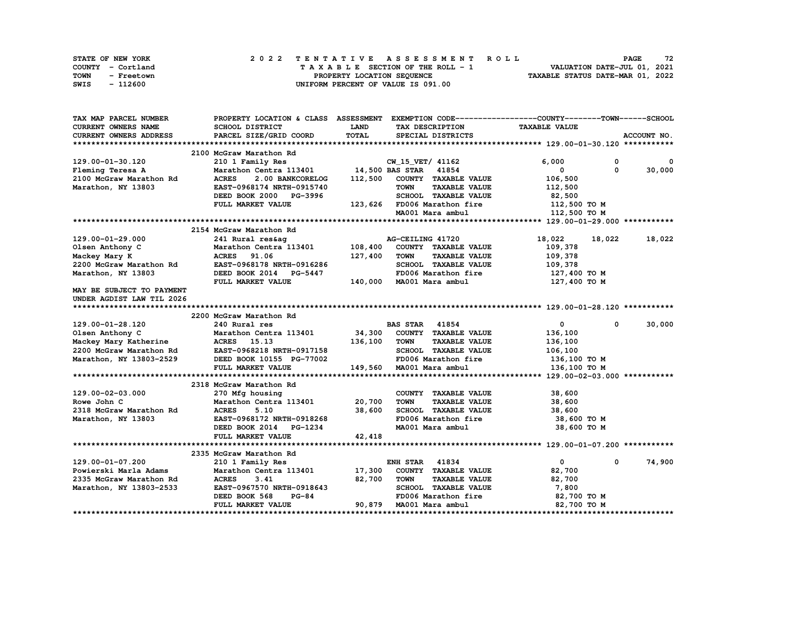| <b>STATE OF NEW YORK</b> | 2022 TENTATIVE ASSESSMENT ROLL     | 72<br><b>PAGE</b>                |
|--------------------------|------------------------------------|----------------------------------|
| COUNTY - Cortland        | TAXABLE SECTION OF THE ROLL - 1    | VALUATION DATE-JUL 01, 2021      |
| TOWN<br>- Freetown       | PROPERTY LOCATION SEQUENCE         | TAXABLE STATUS DATE-MAR 01, 2022 |
| - 112600<br>SWIS         | UNIFORM PERCENT OF VALUE IS 091.00 |                                  |

| TAX MAP PARCEL NUMBER     | PROPERTY LOCATION & CLASS ASSESSMENT EXEMPTION CODE----------------COUNTY-------TOWN-----SCHOOL |         |                                     |                            |              |
|---------------------------|-------------------------------------------------------------------------------------------------|---------|-------------------------------------|----------------------------|--------------|
| CURRENT OWNERS NAME       | SCHOOL DISTRICT                                                                                 | LAND    | TAX DESCRIPTION                     | <b>TAXABLE VALUE</b>       |              |
| CURRENT OWNERS ADDRESS    | PARCEL SIZE/GRID COORD                                                                          | TOTAL   | SPECIAL DISTRICTS                   |                            | ACCOUNT NO.  |
|                           |                                                                                                 |         |                                     |                            |              |
|                           | 2100 McGraw Marathon Rd                                                                         |         |                                     |                            |              |
| 129.00-01-30.120          | 210 1 Family Res                                                                                |         | CW 15 VET/ 41162                    | 6,000<br>$\mathbf 0$       | $\mathbf{o}$ |
| Fleming Teresa A          | Marathon Centra 113401 14,500 BAS STAR 41854                                                    |         |                                     | $\mathbf 0$<br>0           | 30,000       |
| 2100 McGraw Marathon Rd   | <b>ACRES</b><br>2.00 BANKCORELOG                                                                |         | 112,500 COUNTY TAXABLE VALUE        | 106,500                    |              |
| Marathon, NY 13803        | EAST-0968174 NRTH-0915740                                                                       |         | <b>TOWN</b><br><b>TAXABLE VALUE</b> | 112,500                    |              |
|                           | DEED BOOK 2000 PG-3996                                                                          |         | SCHOOL TAXABLE VALUE                | 82,500                     |              |
|                           | FULL MARKET VALUE                                                                               |         | 123,626 FD006 Marathon fire         | 112,500 TO M               |              |
|                           |                                                                                                 |         | MA001 Mara ambul                    | 112,500 TO M               |              |
|                           |                                                                                                 |         |                                     |                            |              |
|                           | 2154 McGraw Marathon Rd                                                                         |         |                                     |                            |              |
| 129.00-01-29.000          | 241 Rural res&aq                                                                                |         | AG-CEILING 41720                    | 18,022<br>18,022           | 18,022       |
| Olsen Anthony C           | Marathon Centra 113401                                                                          | 108,400 | COUNTY TAXABLE VALUE                | 109,378                    |              |
| Mackey Mary K             | 91.06<br><b>ACRES</b>                                                                           | 127,400 | <b>TOWN</b><br><b>TAXABLE VALUE</b> | 109,378                    |              |
| 2200 McGraw Marathon Rd   | EAST-0968178 NRTH-0916286                                                                       |         | SCHOOL TAXABLE VALUE                | 109,378                    |              |
| Marathon, NY 13803        | DEED BOOK 2014 PG-5447                                                                          |         | FD006 Marathon fire                 | 127,400 TO M               |              |
|                           | FULL MARKET VALUE                                                                               |         | 140,000 MA001 Mara ambul            | 127,400 TO M               |              |
| MAY BE SUBJECT TO PAYMENT |                                                                                                 |         |                                     |                            |              |
| UNDER AGDIST LAW TIL 2026 |                                                                                                 |         |                                     |                            |              |
|                           |                                                                                                 |         |                                     |                            |              |
|                           | 2200 McGraw Marathon Rd                                                                         |         |                                     |                            |              |
| 129.00-01-28.120          | 240 Rural res                                                                                   |         | <b>BAS STAR 41854</b>               | $\mathbf 0$<br>0           | 30,000       |
| Olsen Anthony C           | Marathon Centra 113401                                                                          | 34,300  | COUNTY TAXABLE VALUE                | 136,100                    |              |
| Mackey Mary Katherine     | <b>ACRES</b> 15.13                                                                              | 136,100 | <b>TOWN</b><br><b>TAXABLE VALUE</b> | 136,100                    |              |
| 2200 McGraw Marathon Rd   | EAST-0968218 NRTH-0917158                                                                       |         | SCHOOL TAXABLE VALUE                | 106,100                    |              |
| Marathon, NY 13803-2529   | DEED BOOK 10155 PG-77002                                                                        |         | FD006 Marathon fire                 | 136,100 то м               |              |
|                           | FULL MARKET VALUE                                                                               |         | 149,560 MA001 Mara ambul            | 136,100 TO M               |              |
|                           |                                                                                                 |         |                                     |                            |              |
|                           | 2318 McGraw Marathon Rd                                                                         |         |                                     |                            |              |
| 129.00-02-03.000          | 270 Mfg housing                                                                                 |         | COUNTY TAXABLE VALUE                | 38,600                     |              |
| Rowe John C               | Marathon Centra 113401 20,700                                                                   |         | <b>TOWN</b><br><b>TAXABLE VALUE</b> | 38,600                     |              |
| 2318 McGraw Marathon Rd   | <b>ACRES</b><br>5.10                                                                            | 38,600  | SCHOOL TAXABLE VALUE                | 38,600                     |              |
| Marathon, NY 13803        | EAST-0968172 NRTH-0918268                                                                       |         | FD006 Marathon fire                 | 38,600 TO M                |              |
|                           | DEED BOOK 2014 PG-1234                                                                          |         | MA001 Mara ambul                    | 38,600 TO M                |              |
|                           | FULL MARKET VALUE                                                                               | 42,418  |                                     |                            |              |
|                           |                                                                                                 |         |                                     |                            |              |
|                           | 2335 McGraw Marathon Rd                                                                         |         |                                     |                            |              |
| 129.00-01-07.200          | 210 1 Family Res                                                                                |         | <b>ENH STAR 41834</b>               | $\mathbf{0}$<br>$^{\circ}$ | 74,900       |
| Powierski Marla Adams     | Marathon Centra 113401 17,300                                                                   |         | COUNTY TAXABLE VALUE                | 82,700                     |              |
| 2335 McGraw Marathon Rd   | <b>ACRES</b><br>3.41                                                                            | 82,700  | <b>TOWN</b><br><b>TAXABLE VALUE</b> | 82,700                     |              |
| Marathon, NY 13803-2533   | EAST-0967570 NRTH-0918643                                                                       |         | SCHOOL TAXABLE VALUE                | 7,800                      |              |
|                           | $PG-84$<br>DEED BOOK 568                                                                        |         | FD006 Marathon fire                 | 82,700 TO M                |              |
|                           | FULL MARKET VALUE                                                                               |         | 90,879 MA001 Mara ambul             | 82,700 TO M                |              |
|                           |                                                                                                 |         |                                     |                            |              |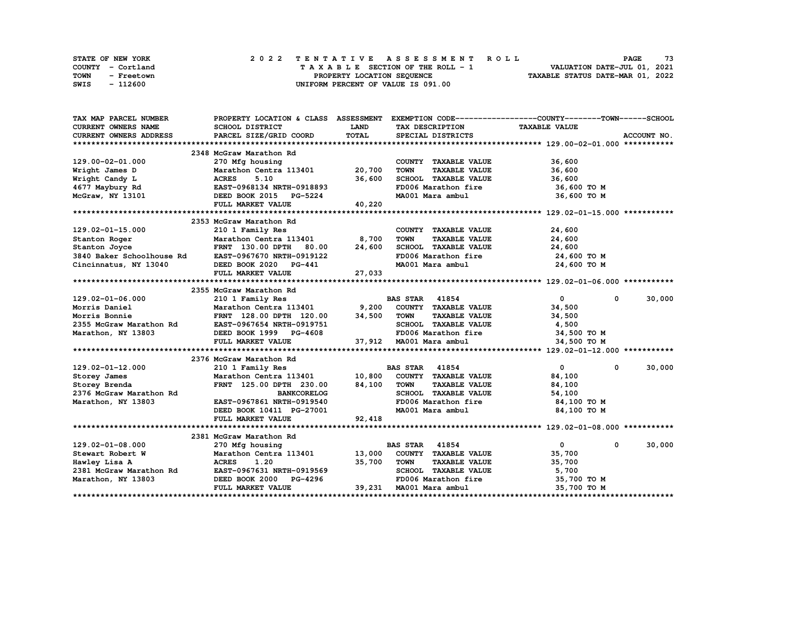| STATE OF NEW YORK  | 2022 TENTATIVE ASSESSMENT ROLL     | 73<br><b>PAGE</b>                |
|--------------------|------------------------------------|----------------------------------|
| COUNTY - Cortland  | TAXABLE SECTION OF THE ROLL - 1    | VALUATION DATE-JUL 01, 2021      |
| TOWN<br>- Freetown | PROPERTY LOCATION SEQUENCE         | TAXABLE STATUS DATE-MAR 01, 2022 |
| SWIS<br>- 112600   | UNIFORM PERCENT OF VALUE IS 091.00 |                                  |

| TAX MAP PARCEL NUMBER                               | PROPERTY LOCATION & CLASS ASSESSMENT EXEMPTION CODE-----------------COUNTY-------TOWN-----SCHOOL |             |                                         |                            |             |
|-----------------------------------------------------|--------------------------------------------------------------------------------------------------|-------------|-----------------------------------------|----------------------------|-------------|
| CURRENT OWNERS NAME                                 | <b>SCHOOL DISTRICT</b>                                                                           | <b>LAND</b> | TAX DESCRIPTION                         | <b>TAXABLE VALUE</b>       |             |
| CURRENT OWNERS ADDRESS                              | PARCEL SIZE/GRID COORD                                                                           | TOTAL       | SPECIAL DISTRICTS                       |                            | ACCOUNT NO. |
|                                                     |                                                                                                  |             |                                         |                            |             |
|                                                     | 2348 McGraw Marathon Rd                                                                          |             |                                         |                            |             |
| 129.00-02-01.000                                    | 270 Mfg housing<br>Marathon Centra 113401 20,700                                                 |             | COUNTY TAXABLE VALUE                    | 36,600                     |             |
| Wright James D                                      |                                                                                                  |             | <b>TOWN</b><br><b>TAXABLE VALUE</b>     | 36,600                     |             |
| Wright Candy L                                      | Marathon Centra 113401<br>ACRES 5.10<br>EAST-0968134 NRTH-0918893                                | 36,600      | SCHOOL TAXABLE VALUE                    | 36,600                     |             |
| 4677 Maybury Rd                                     |                                                                                                  |             | FD006 Marathon fire                     | 36,600 то м                |             |
| McGraw, NY 13101                                    | DEED BOOK 2015 PG-5224                                                                           |             | MA001 Mara ambul                        | 36,600 TO M                |             |
|                                                     | FULL MARKET VALUE                                                                                | 40,220      |                                         |                            |             |
|                                                     |                                                                                                  |             |                                         |                            |             |
|                                                     | 2353 McGraw Marathon Rd                                                                          |             |                                         |                            |             |
| $129.02 - 01 - 15.000$                              | 210 1 Family Res                                                                                 |             | COUNTY TAXABLE VALUE                    | 24,600                     |             |
| Stanton Roger                                       | Marathon Centra 113401 8,700                                                                     |             | <b>TOWN</b><br><b>TAXABLE VALUE</b>     | 24,600                     |             |
| Stanton Joyce                                       | FRNT 130.00 DPTH 80.00 24,600                                                                    |             | SCHOOL TAXABLE VALUE                    | 24,600                     |             |
| 3840 Baker Schoolhouse Rd EAST-0967670 NRTH-0919122 |                                                                                                  |             | $FD006$ Marathon fire                   | 24,600 TO M                |             |
| Cincinnatus, NY 13040                               | DEED BOOK 2020 PG-441                                                                            |             | MA001 Mara ambul 24,600 TO M            |                            |             |
|                                                     | FULL MARKET VALUE                                                                                | 27,033      |                                         |                            |             |
|                                                     |                                                                                                  |             |                                         |                            |             |
|                                                     | 2355 McGraw Marathon Rd                                                                          |             |                                         |                            |             |
| 129.02-01-06.000                                    | 210 1 Family Res                                                                                 |             |                                         | $\mathbf{0}$<br>$^{\circ}$ | 30,000      |
| Morris Daniel                                       |                                                                                                  |             |                                         | 34,500                     |             |
| Morris Bonnie                                       | FRNT 128.00 DPTH 120.00                                                                          | 34,500      | <b>TOWN</b><br><b>TAXABLE VALUE</b>     | 34,500                     |             |
| 2355 McGraw Marathon Rd                             | EAST-0967654 NRTH-0919751<br>DEED BOOK 1999 PG-4608                                              |             | SCHOOL TAXABLE VALUE                    | 4,500                      |             |
| Marathon, NY 13803                                  |                                                                                                  |             | FD006 Marathon fire                     | 34,500 TO M                |             |
|                                                     | FULL MARKET VALUE                                                                                |             | $37,912$ MA001 Mara ambul $34,500$ TO M |                            |             |
|                                                     |                                                                                                  |             |                                         |                            |             |
|                                                     | 2376 McGraw Marathon Rd                                                                          |             |                                         |                            |             |
| 129.02-01-12.000                                    | 210 1 Family Res                                                                                 |             | <b>BAS STAR 41854</b>                   | $\mathbf{0}$<br>$^{\circ}$ | 30,000      |
| Storey James                                        | Marathon Centra 113401 10,800                                                                    |             | COUNTY TAXABLE VALUE                    | 84,100                     |             |
| Storey Brenda                                       | FRNT 125.00 DPTH 230.00 84,100                                                                   |             | <b>TOWN</b><br><b>TAXABLE VALUE</b>     | 84,100                     |             |
| 2376 McGraw Marathon Rd                             | <b>BANKCORELOG</b>                                                                               |             | SCHOOL TAXABLE VALUE                    | 54,100                     |             |
| Marathon, NY 13803                                  | EAST-0967861 NRTH-0919540                                                                        |             | FD006 Marathon fire                     | 84,100 TO M                |             |
|                                                     | DEED BOOK 10411 PG-27001                                                                         |             | MA001 Mara ambul                        | 84,100 TO M                |             |
|                                                     | FULL MARKET VALUE                                                                                | 92,418      |                                         |                            |             |
|                                                     |                                                                                                  |             |                                         |                            |             |
|                                                     | 2381 McGraw Marathon Rd                                                                          |             |                                         |                            |             |
| $129.02 - 01 - 08.000$                              | 270 Mfg housing                                                                                  |             | 41854<br><b>BAS STAR</b>                | $\mathbf{0}$<br>$^{\circ}$ | 30,000      |
| Stewart Robert W                                    | Marathon Centra 113401 13,000                                                                    |             | COUNTY TAXABLE VALUE                    | 35,700                     |             |
| Hawley Lisa A                                       | <b>ACRES</b><br>1.20                                                                             | 35,700      | <b>TOWN</b><br><b>TAXABLE VALUE</b>     | 35,700                     |             |
| 2381 McGraw Marathon Rd                             | EAST-0967631 NRTH-0919569                                                                        |             | SCHOOL TAXABLE VALUE                    | 5,700                      |             |
| Marathon, NY 13803                                  | DEED BOOK 2000 PG-4296                                                                           |             | FD006 Marathon fire 35,700 TO M         |                            |             |
|                                                     | FULL MARKET VALUE                                                                                |             | 39,231 MA001 Mara ambul                 | 35,700 TO M                |             |
|                                                     |                                                                                                  |             |                                         |                            |             |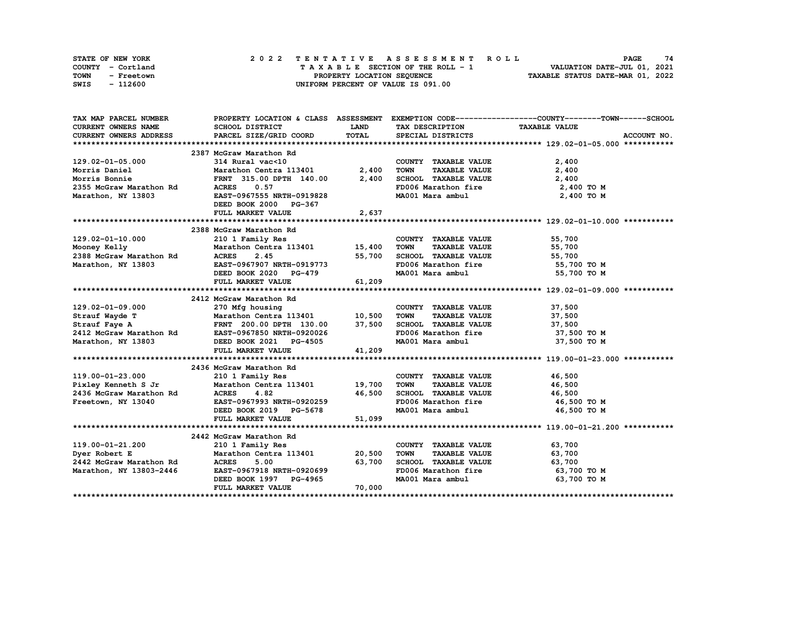| STATE OF NEW YORK  | 2022 TENTATIVE ASSESSMENT ROLL     | 74<br><b>PAGE</b>                |
|--------------------|------------------------------------|----------------------------------|
| COUNTY - Cortland  | TAXABLE SECTION OF THE ROLL - 1    | VALUATION DATE-JUL 01, 2021      |
| TOWN<br>- Freetown | PROPERTY LOCATION SEOUENCE         | TAXABLE STATUS DATE-MAR 01, 2022 |
| - 112600<br>SWIS   | UNIFORM PERCENT OF VALUE IS 091.00 |                                  |

| TAX MAP PARCEL NUMBER      |                                                                                                                                                                                                                                                  |        |                                     | PROPERTY LOCATION & CLASS ASSESSMENT EXEMPTION CODE-----------------COUNTY-------TOWN------SCHOOL |
|----------------------------|--------------------------------------------------------------------------------------------------------------------------------------------------------------------------------------------------------------------------------------------------|--------|-------------------------------------|---------------------------------------------------------------------------------------------------|
| <b>CURRENT OWNERS NAME</b> | SCHOOL DISTRICT                                                                                                                                                                                                                                  | LAND   | TAX DESCRIPTION                     | <b>TAXABLE VALUE</b>                                                                              |
| CURRENT OWNERS ADDRESS     | PARCEL SIZE/GRID COORD                                                                                                                                                                                                                           | TOTAL  | SPECIAL DISTRICTS                   | ACCOUNT NO.                                                                                       |
|                            |                                                                                                                                                                                                                                                  |        |                                     |                                                                                                   |
|                            | 2387 McGraw Marathon Rd                                                                                                                                                                                                                          |        |                                     |                                                                                                   |
| 129.02-01-05.000           | 314 Rural vac<10                                                                                                                                                                                                                                 |        | COUNTY TAXABLE VALUE                | 2,400                                                                                             |
| Morris Daniel              | Marathon Centra 113401                                                                                                                                                                                                                           | 2,400  | <b>TOWN</b><br><b>TAXABLE VALUE</b> | 2,400                                                                                             |
| Morris Bonnie              | FRNT 315.00 DPTH 140.00                                                                                                                                                                                                                          | 2,400  | SCHOOL TAXABLE VALUE                | 2,400                                                                                             |
| 2355 McGraw Marathon Rd    | <b>ACRES</b><br>0.57                                                                                                                                                                                                                             |        | FD006 Marathon fire 2,400 TO M      |                                                                                                   |
| Marathon, NY 13803         | EAST-0967555 NRTH-0919828                                                                                                                                                                                                                        |        | MA001 Mara ambul                    | 2,400 TO M                                                                                        |
|                            | DEED BOOK 2000 PG-367                                                                                                                                                                                                                            |        |                                     |                                                                                                   |
|                            | FULL MARKET VALUE                                                                                                                                                                                                                                | 2,637  |                                     |                                                                                                   |
|                            |                                                                                                                                                                                                                                                  |        |                                     |                                                                                                   |
|                            | 2388 McGraw Marathon Rd                                                                                                                                                                                                                          |        |                                     |                                                                                                   |
| 129.02-01-10.000           | 210 1 Family Res                                                                                                                                                                                                                                 |        | COUNTY TAXABLE VALUE                | 55,700                                                                                            |
| Mooney Kelly               | Marathon Centra 113401 15,400                                                                                                                                                                                                                    |        | TOWN<br><b>TAXABLE VALUE</b>        | 55,700                                                                                            |
| 2388 McGraw Marathon Rd    | <b>ACRES</b><br>2.45                                                                                                                                                                                                                             | 55,700 | SCHOOL TAXABLE VALUE                | 55,700                                                                                            |
| Marathon, NY 13803         | EAST-0967907 NRTH-0919773                                                                                                                                                                                                                        |        | FD006 Marathon fire 55,700 TO M     |                                                                                                   |
|                            | DEED BOOK 2020 PG-479                                                                                                                                                                                                                            |        | MA001 Mara ambul 55,700 TO M        |                                                                                                   |
|                            | FULL MARKET VALUE                                                                                                                                                                                                                                | 61,209 |                                     |                                                                                                   |
|                            |                                                                                                                                                                                                                                                  |        |                                     |                                                                                                   |
|                            | 2412 McGraw Marathon Rd                                                                                                                                                                                                                          |        |                                     |                                                                                                   |
| 129.02-01-09.000           | 270 Mfg housing                                                                                                                                                                                                                                  |        | COUNTY TAXABLE VALUE                | 37,500                                                                                            |
|                            |                                                                                                                                                                                                                                                  |        | <b>TOWN</b><br><b>TAXABLE VALUE</b> | 37,500                                                                                            |
|                            | Strauf Wayde T<br>Strauf Faye A<br>201.00 DPTH 130.00 37,500<br>2412 McGraw Marathon Rd<br>2412 McGraw Marathon Rd<br>2412 McGraw Marathon Rd<br>2412 McGraw Marathon Rd<br>2412 McGraw Marathon Rd<br>2412 McGraw Marathon Rd<br>2412 McGraw Ma |        | SCHOOL TAXABLE VALUE                | 37,500                                                                                            |
|                            |                                                                                                                                                                                                                                                  |        | FD006 Marathon fire                 | 37,500 TO M                                                                                       |
| Marathon, NY 13803         | DEED BOOK 2021 PG-4505                                                                                                                                                                                                                           |        | MA001 Mara ambul                    | 37,500 TO M                                                                                       |
|                            | FULL MARKET VALUE                                                                                                                                                                                                                                | 41,209 |                                     |                                                                                                   |
|                            |                                                                                                                                                                                                                                                  |        |                                     |                                                                                                   |
|                            | 2436 McGraw Marathon Rd                                                                                                                                                                                                                          |        |                                     |                                                                                                   |
| 119.00-01-23.000           | 210 1 Family Res                                                                                                                                                                                                                                 |        | COUNTY TAXABLE VALUE                | 46,500                                                                                            |
| Pixley Kenneth S Jr        | Marathon Centra 113401 19,700                                                                                                                                                                                                                    |        | <b>TAXABLE VALUE</b><br>TOWN        | 46,500                                                                                            |
| 2436 McGraw Marathon Rd    | 4.82<br><b>ACRES</b>                                                                                                                                                                                                                             | 46,500 | SCHOOL TAXABLE VALUE                | 46,500                                                                                            |
| Freetown, NY 13040         | EAST-0967993 NRTH-0920259                                                                                                                                                                                                                        |        | FD006 Marathon fire                 | 46,500 TO M                                                                                       |
|                            | DEED BOOK 2019 PG-5678                                                                                                                                                                                                                           |        | MA001 Mara ambul                    | 46,500 TO M                                                                                       |
|                            | FULL MARKET VALUE                                                                                                                                                                                                                                | 51,099 |                                     |                                                                                                   |
|                            |                                                                                                                                                                                                                                                  |        |                                     |                                                                                                   |
|                            | 2442 McGraw Marathon Rd                                                                                                                                                                                                                          |        |                                     |                                                                                                   |
| 119.00-01-21.200           | 210 1 Family Res                                                                                                                                                                                                                                 |        | COUNTY TAXABLE VALUE                | 63,700                                                                                            |
| Dyer Robert E              | Marathon Centra 113401 20,500                                                                                                                                                                                                                    |        | <b>TOWN</b><br><b>TAXABLE VALUE</b> | 63,700                                                                                            |
| 2442 McGraw Marathon Rd    | <b>ACRES</b><br>5.00                                                                                                                                                                                                                             | 63,700 | SCHOOL TAXABLE VALUE                | 63,700                                                                                            |
| Marathon, NY 13803-2446    | EAST-0967918 NRTH-0920699                                                                                                                                                                                                                        |        | FD006 Marathon fire                 | 63,700 TO M                                                                                       |
|                            | DEED BOOK 1997 PG-4965                                                                                                                                                                                                                           |        | MA001 Mara ambul                    | 63,700 TO M                                                                                       |
|                            | FULL MARKET VALUE                                                                                                                                                                                                                                | 70,000 |                                     |                                                                                                   |
|                            |                                                                                                                                                                                                                                                  |        |                                     |                                                                                                   |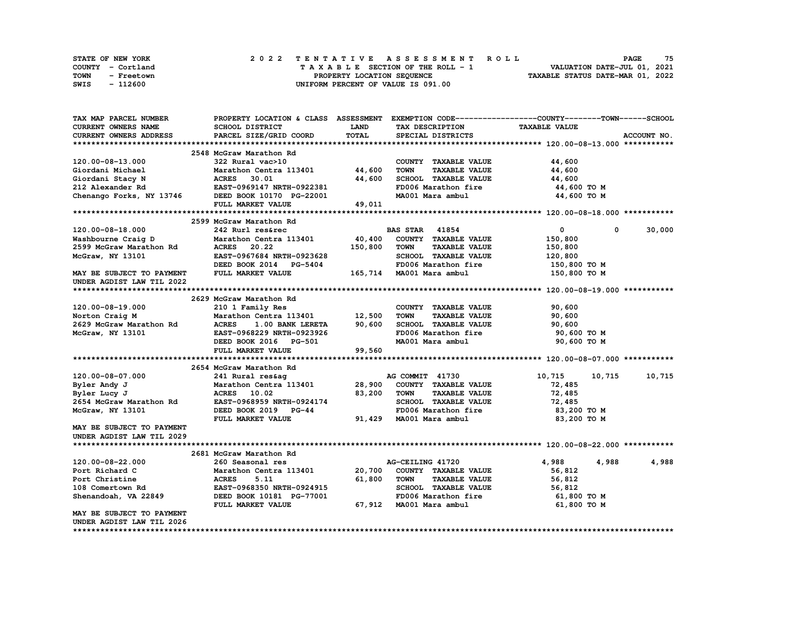| <b>STATE OF NEW YORK</b> | 2022 TENTATIVE ASSESSMENT ROLL     | 75<br><b>PAGE</b>                |
|--------------------------|------------------------------------|----------------------------------|
| COUNTY - Cortland        | TAXABLE SECTION OF THE ROLL - 1    | VALUATION DATE-JUL 01, 2021      |
| TOWN<br>- Freetown       | PROPERTY LOCATION SEQUENCE         | TAXABLE STATUS DATE-MAR 01, 2022 |
| - 112600<br>SWIS         | UNIFORM PERCENT OF VALUE IS 091.00 |                                  |

| TAX MAP PARCEL NUMBER      | PROPERTY LOCATION & CLASS ASSESSMENT |             |                                     | EXEMPTION CODE-----------------COUNTY-------TOWN-----SCHOOL |             |
|----------------------------|--------------------------------------|-------------|-------------------------------------|-------------------------------------------------------------|-------------|
| <b>CURRENT OWNERS NAME</b> | SCHOOL DISTRICT                      | <b>LAND</b> | TAX DESCRIPTION                     | <b>TAXABLE VALUE</b>                                        |             |
| CURRENT OWNERS ADDRESS     | PARCEL SIZE/GRID COORD               | TOTAL       | SPECIAL DISTRICTS                   |                                                             | ACCOUNT NO. |
|                            |                                      |             |                                     |                                                             |             |
|                            | 2548 McGraw Marathon Rd              |             |                                     |                                                             |             |
| 120.00-08-13.000           | 322 Rural vac>10                     |             | COUNTY TAXABLE VALUE                | 44,600                                                      |             |
| Giordani Michael           | Marathon Centra 113401               | 44,600      | <b>TOWN</b><br><b>TAXABLE VALUE</b> | 44,600                                                      |             |
| Giordani Stacy N           | <b>ACRES</b><br>30.01                | 44,600      | SCHOOL TAXABLE VALUE                | 44,600                                                      |             |
| 212 Alexander Rd           | EAST-0969147 NRTH-0922381            |             | FD006 Marathon fire                 | 44,600 TO M                                                 |             |
| Chenango Forks, NY 13746   | DEED BOOK 10170 PG-22001             |             | MA001 Mara ambul                    | 44,600 TO M                                                 |             |
|                            | FULL MARKET VALUE                    | 49,011      |                                     |                                                             |             |
|                            |                                      |             |                                     |                                                             |             |
|                            | 2599 McGraw Marathon Rd              |             |                                     |                                                             |             |
| 120.00-08-18.000           | 242 Rurl res&rec                     |             | <b>BAS STAR</b><br>41854            | 0<br>0                                                      | 30,000      |
| Washbourne Craig D         | Marathon Centra 113401               | 40,400      | COUNTY TAXABLE VALUE                | 150,800                                                     |             |
| 2599 McGraw Marathon Rd    | <b>ACRES</b><br>20.22                | 150,800     | <b>TAXABLE VALUE</b><br><b>TOWN</b> | 150,800                                                     |             |
| McGraw, NY 13101           | EAST-0967684 NRTH-0923628            |             | SCHOOL TAXABLE VALUE                | 120,800                                                     |             |
|                            | DEED BOOK 2014 PG-5404               |             | FD006 Marathon fire                 | 150,800 TO M                                                |             |
| MAY BE SUBJECT TO PAYMENT  | FULL MARKET VALUE                    |             | 165,714 MA001 Mara ambul            | 150,800 TO M                                                |             |
| UNDER AGDIST LAW TIL 2022  |                                      |             |                                     |                                                             |             |
|                            |                                      |             |                                     |                                                             |             |
|                            | 2629 McGraw Marathon Rd              |             |                                     |                                                             |             |
| 120.00-08-19.000           | 210 1 Family Res                     |             | COUNTY TAXABLE VALUE                | 90,600                                                      |             |
| Norton Craig M             | Marathon Centra 113401               | 12,500      | <b>TOWN</b><br><b>TAXABLE VALUE</b> | 90,600                                                      |             |
| 2629 McGraw Marathon Rd    | <b>ACRES</b><br>1.00 BANK LERETA     | 90,600      | SCHOOL TAXABLE VALUE                | 90,600                                                      |             |
| McGraw, NY 13101           | EAST-0968229 NRTH-0923926            |             | FD006 Marathon fire                 | 90,600 TO M                                                 |             |
|                            | DEED BOOK 2016 PG-501                |             | MA001 Mara ambul                    | 90,600 TO M                                                 |             |
|                            | FULL MARKET VALUE                    | 99,560      |                                     |                                                             |             |
|                            |                                      |             |                                     |                                                             |             |
|                            | 2654 McGraw Marathon Rd              |             |                                     |                                                             |             |
| 120.00-08-07.000           | 241 Rural res&ag                     |             | AG COMMIT 41730                     | 10,715<br>10,715                                            | 10,715      |
| Byler Andy J               | Marathon Centra 113401               | 28,900      | COUNTY TAXABLE VALUE                | 72,485                                                      |             |
| Byler Lucy J               | <b>ACRES</b> 10.02                   | 83,200      | <b>TOWN</b><br><b>TAXABLE VALUE</b> | 72,485                                                      |             |
| 2654 McGraw Marathon Rd    | EAST-0968959 NRTH-0924174            |             | SCHOOL TAXABLE VALUE                | 72,485                                                      |             |
| McGraw, NY 13101           | DEED BOOK 2019 PG-44                 |             | FD006 Marathon fire                 | 83,200 TO M                                                 |             |
|                            | FULL MARKET VALUE                    | 91,429      | MA001 Mara ambul                    | 83,200 TO M                                                 |             |
| MAY BE SUBJECT TO PAYMENT  |                                      |             |                                     |                                                             |             |
| UNDER AGDIST LAW TIL 2029  |                                      |             |                                     |                                                             |             |
|                            |                                      |             |                                     |                                                             |             |
|                            | 2681 McGraw Marathon Rd              |             |                                     |                                                             |             |
| 120.00-08-22.000           | 260 Seasonal res                     |             | AG-CEILING 41720                    | 4,988<br>4,988                                              | 4,988       |
| Port Richard C             | Marathon Centra 113401               | 20,700      | COUNTY TAXABLE VALUE                | 56,812                                                      |             |
| Port Christine             | <b>ACRES</b><br>5.11                 | 61,800      | <b>TOWN</b><br><b>TAXABLE VALUE</b> | 56,812                                                      |             |
| 108 Comertown Rd           | EAST-0968350 NRTH-0924915            |             | SCHOOL TAXABLE VALUE                | 56,812                                                      |             |
| Shenandoah, VA 22849       | DEED BOOK 10181 PG-77001             |             | FD006 Marathon fire                 | 61,800 TO M                                                 |             |
|                            | FULL MARKET VALUE                    | 67,912      | MA001 Mara ambul                    | 61,800 TO M                                                 |             |
| MAY BE SUBJECT TO PAYMENT  |                                      |             |                                     |                                                             |             |
| UNDER AGDIST LAW TIL 2026  |                                      |             |                                     |                                                             |             |
|                            |                                      |             |                                     |                                                             |             |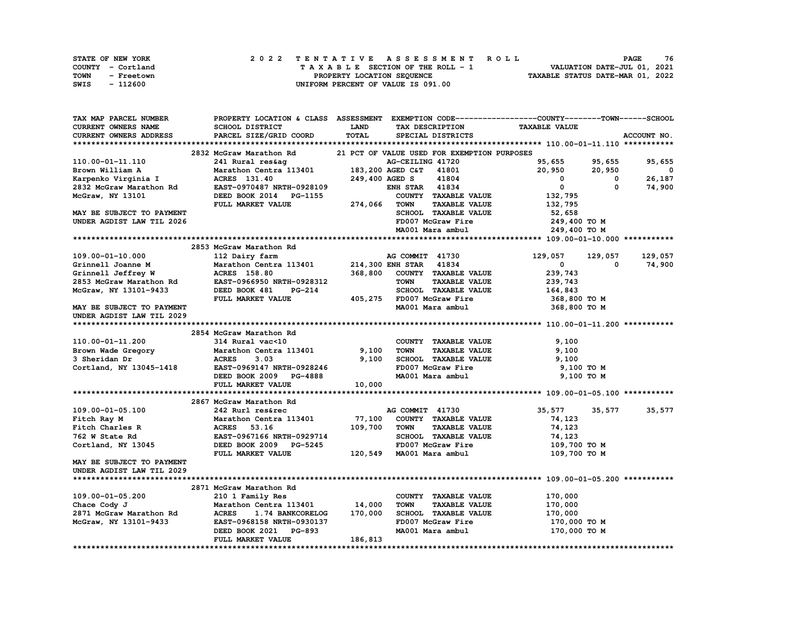| STATE OF NEW YORK         | 2022 TENTATIVE ASSESSMENT ROLL     | 76<br><b>PAGE</b>                |
|---------------------------|------------------------------------|----------------------------------|
| COUNTY - Cortland         | TAXABLE SECTION OF THE ROLL - 1    | VALUATION DATE-JUL 01, 2021      |
| <b>TOWN</b><br>- Freetown | PROPERTY LOCATION SEQUENCE         | TAXABLE STATUS DATE-MAR 01, 2022 |
| SWIS<br>- 112600          | UNIFORM PERCENT OF VALUE IS 091.00 |                                  |

| TAX MAP PARCEL NUMBER                                  |                                                   |                 |                                                                  | PROPERTY LOCATION & CLASS ASSESSMENT EXEMPTION CODE----------------COUNTY-------TOWN-----SCHOOL |               |
|--------------------------------------------------------|---------------------------------------------------|-----------------|------------------------------------------------------------------|-------------------------------------------------------------------------------------------------|---------------|
| CURRENT OWNERS NAME                                    | SCHOOL DISTRICT                                   | <b>LAND</b>     | TAX DESCRIPTION                                                  | <b>TAXABLE VALUE</b>                                                                            |               |
| CURRENT OWNERS ADDRESS                                 | PARCEL SIZE/GRID COORD                            | TOTAL           | SPECIAL DISTRICTS                                                |                                                                                                 | ACCOUNT NO.   |
|                                                        |                                                   |                 |                                                                  |                                                                                                 |               |
|                                                        | 2832 McGraw Marathon Rd                           |                 | 21 PCT OF VALUE USED FOR EXEMPTION PURPOSES                      |                                                                                                 |               |
| 110.00-01-11.110                                       | 241 Rural res&ag                                  |                 | AG-CEILING 41720                                                 | 95,655<br>95,655                                                                                | 95,655        |
| Brown William A                                        | Marathon Centra 113401                            |                 | 183,200 AGED C&T 41801                                           | 20,950<br>20,950                                                                                | $\mathbf{0}$  |
| Karpenko Virginia I                                    | ACRES 131.40                                      | 249,400 AGED S  | 41804                                                            | $^{\circ}$<br>0                                                                                 | 26,187        |
| 2832 McGraw Marathon Rd                                | EAST-0970487 NRTH-0928109                         |                 | <b>ENH STAR 41834</b>                                            | $\mathbf 0$<br>$\mathbf 0$                                                                      | 74,900        |
| McGraw, NY 13101                                       | DEED BOOK 2014 PG-1155                            |                 | COUNTY TAXABLE VALUE                                             | 132,795                                                                                         |               |
|                                                        | FULL MARKET VALUE                                 | l155<br>274,066 | <b>TAXABLE VALUE</b><br><b>TOWN</b>                              | 132,795                                                                                         |               |
| MAY BE SUBJECT TO PAYMENT                              |                                                   |                 | SCHOOL TAXABLE VALUE                                             | 52,658                                                                                          |               |
| UNDER AGDIST LAW TIL 2026                              |                                                   |                 | FD007 McGraw Fire                                                | 249,400 TO M                                                                                    |               |
|                                                        |                                                   |                 | MA001 Mara ambul                                                 | 249,400 TO M                                                                                    |               |
|                                                        |                                                   |                 |                                                                  |                                                                                                 |               |
|                                                        | 2853 McGraw Marathon Rd                           |                 |                                                                  |                                                                                                 |               |
| 109.00-01-10.000                                       | 112 Dairy farm                                    |                 | AG COMMIT 41730                                                  | 129,057<br>129,057                                                                              | 129,057       |
| Grinnell Joanne M                                      | Marathon Centra 113401                            |                 | AG COMMIT 41750<br>214,300 ENH STAR 41834                        | $\mathbf{0}$<br>0                                                                               | 74,900        |
| Grinnell Jeffrey W                                     |                                                   | 368,800         | COUNTY TAXABLE VALUE                                             | 239,743                                                                                         |               |
| 2853 McGraw Marathon Rd                                | <b>ACRES 158.80<br/>EAST-0966950 NRTH-0928312</b> |                 | <b>TAXABLE VALUE</b><br><b>TOWN</b>                              | 239,743                                                                                         |               |
| McGraw, NY 13101-9433                                  | DEED BOOK 481<br><b>PG-214</b>                    |                 | SCHOOL TAXABLE VALUE                                             | 164,843                                                                                         |               |
|                                                        | FULL MARKET VALUE                                 |                 | 2007 McGraw Fire<br>405,275 FD007 McGraw Fire<br>2001 Mara ambul | 368,800 то м                                                                                    |               |
|                                                        |                                                   |                 |                                                                  |                                                                                                 |               |
| MAY BE SUBJECT TO PAYMENT<br>UNDER AGDIST LAW TIL 2029 |                                                   |                 | MA001 Mara ambul                                                 | 368,800 TO M                                                                                    |               |
|                                                        |                                                   |                 |                                                                  |                                                                                                 |               |
|                                                        | 2854 McGraw Marathon Rd                           |                 |                                                                  |                                                                                                 |               |
| 110.00-01-11.200                                       | 314 Rural vac<10                                  |                 | COUNTY TAXABLE VALUE                                             | 9,100                                                                                           |               |
|                                                        |                                                   | 9,100           | <b>TOWN</b><br>TAXABLE VALUE                                     |                                                                                                 |               |
|                                                        |                                                   | 9,100           | SCHOOL TAXABLE VALUE                                             | 9,100                                                                                           |               |
| Cortland, NY 13045-1418 EAST-0969147 NRTH-0928246      |                                                   |                 | FD007 McGraw Fire                                                | 9,100                                                                                           |               |
|                                                        |                                                   |                 |                                                                  | 9,100 то м                                                                                      |               |
|                                                        | DEED BOOK 2009 PG-4888                            | 10,000          | MA001 Mara ambul                                                 | 9,100 TO M                                                                                      |               |
|                                                        | FULL MARKET VALUE                                 |                 |                                                                  |                                                                                                 |               |
|                                                        |                                                   |                 |                                                                  |                                                                                                 |               |
|                                                        | 2867 McGraw Marathon Rd                           |                 |                                                                  |                                                                                                 |               |
| 109.00-01-05.100                                       | 242 Rurl res&rec                                  |                 | AG COMMIT 41730                                                  | 35,577                                                                                          | 35,577 35,577 |
| Fitch Ray M                                            | Marathon Centra 113401 77,100                     |                 | COUNTY TAXABLE VALUE                                             | 74,123                                                                                          |               |
| Fitch Charles R                                        | ACRES 53.16                                       | 109,700         | <b>TOWN</b><br><b>TAXABLE VALUE</b>                              | 74,123                                                                                          |               |
| 762 W State Rd                                         | <b>EAST-0967166 NRTH-0929714</b>                  |                 | SCHOOL TAXABLE VALUE                                             | 74,123                                                                                          |               |
| Cortland, NY 13045                                     | DEED BOOK 2009 PG-5245                            |                 | FD007 McGraw Fire                                                | 109,700 то м                                                                                    |               |
|                                                        | FULL MARKET VALUE                                 |                 | 120,549 MA001 Mara ambul                                         | 109,700 TO M                                                                                    |               |
| MAY BE SUBJECT TO PAYMENT                              |                                                   |                 |                                                                  |                                                                                                 |               |
| UNDER AGDIST LAW TIL 2029                              |                                                   |                 |                                                                  |                                                                                                 |               |
|                                                        |                                                   |                 |                                                                  |                                                                                                 |               |
|                                                        | 2871 McGraw Marathon Rd                           |                 |                                                                  |                                                                                                 |               |
| 109.00-01-05.200                                       | 210 1 Family Res                                  |                 | COUNTY TAXABLE VALUE                                             | 170,000                                                                                         |               |
| Chace Cody J                                           | Marathon Centra 113401 14,000                     |                 | <b>TAXABLE VALUE</b><br><b>TOWN</b>                              | 170,000                                                                                         |               |
| 2871 McGraw Marathon Rd                                | <b>ACRES</b><br>1.74 BANKCORELOG                  | 170,000         | SCHOOL TAXABLE VALUE                                             | 170,000                                                                                         |               |
| McGraw, NY 13101-9433                                  | EAST-0968158 NRTH-0930137                         |                 | FD007 McGraw Fire                                                | 170,000 TO M                                                                                    |               |
|                                                        | DEED BOOK 2021 PG-893                             |                 | MA001 Mara ambul                                                 | 170,000 TO M                                                                                    |               |
|                                                        | FULL MARKET VALUE                                 | 186,813         |                                                                  |                                                                                                 |               |
|                                                        |                                                   |                 |                                                                  |                                                                                                 |               |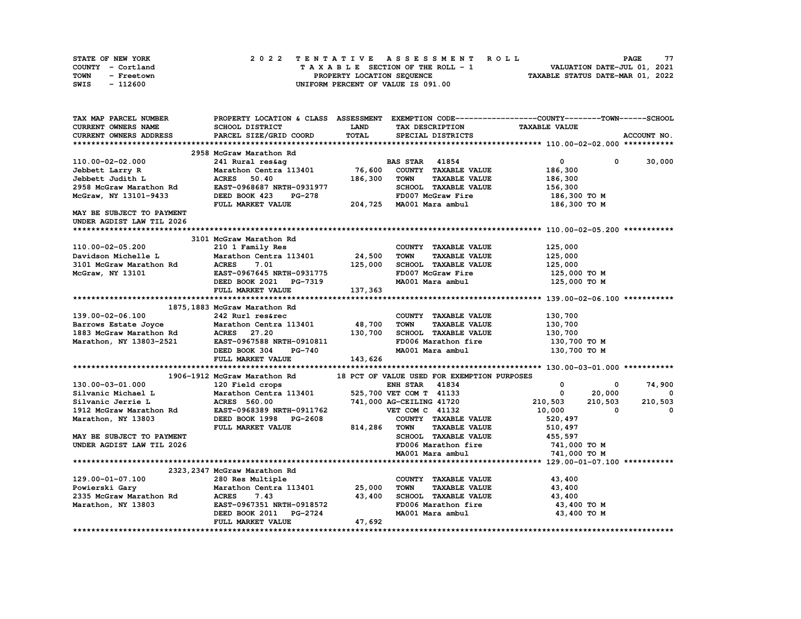| <b>STATE OF NEW YORK</b> | 2022 TENTATIVE ASSESSMENT ROLL          | 77<br><b>PAGE</b>                |
|--------------------------|-----------------------------------------|----------------------------------|
| COUNTY - Cortland        | $T A X A B L E$ SECTION OF THE ROLL - 1 | VALUATION DATE-JUL 01, 2021      |
| TOWN<br>- Freetown       | PROPERTY LOCATION SEQUENCE              | TAXABLE STATUS DATE-MAR 01, 2022 |
| - 112600<br>SWIS         | UNIFORM PERCENT OF VALUE IS 091.00      |                                  |

| CURRENT OWNERS NAME<br>SCHOOL DISTRICT<br><b>LAND</b><br>TAX DESCRIPTION<br><b>TAXABLE VALUE</b><br>TOTAL<br>PARCEL SIZE/GRID COORD<br>ACCOUNT NO.<br><b>CURRENT OWNERS ADDRESS</b><br>SPECIAL DISTRICTS<br>2958 McGraw Marathon Rd<br>110.00-02-02.000<br>$\mathbf 0$<br>30,000<br>241 Rural res&aq<br><b>BAS STAR 41854</b><br>0<br>76,600<br>COUNTY TAXABLE VALUE<br>Jebbett Larry R<br>Marathon Centra 113401<br>186,300<br>Jebbett Judith L<br><b>ACRES</b><br>50.40<br>186,300<br><b>TAXABLE VALUE</b><br><b>TOWN</b><br>186,300<br>SCHOOL TAXABLE VALUE<br>2958 McGraw Marathon Rd<br>EAST-0968687 NRTH-0931977<br>156,300<br>McGraw, NY 13101-9433<br>DEED BOOK 423<br><b>PG-278</b><br>FD007 McGraw Fire<br>186,300 то м<br>204,725 MA001 Mara ambul<br>FULL MARKET VALUE<br>186,300 то м<br>MAY BE SUBJECT TO PAYMENT<br>UNDER AGDIST LAW TIL 2026<br>3101 McGraw Marathon Rd<br>110.00-02-05.200<br>210 1 Family Res<br>COUNTY TAXABLE VALUE<br>125,000<br>Marathon Centra 113401<br>24,500<br><b>TOWN</b><br><b>TAXABLE VALUE</b><br>125,000<br>Davidson Michelle L<br><b>ACRES</b><br>125,000<br>SCHOOL TAXABLE VALUE<br>3101 McGraw Marathon Rd<br>7.01<br>125,000<br>FD007 McGraw Fire<br>McGraw, NY 13101<br>EAST-0967645 NRTH-0931775<br>125,000 TO M<br>MA001 Mara ambul<br>125,000 TO M<br>DEED BOOK 2021 PG-7319<br>FULL MARKET VALUE<br>137,363<br>1875, 1883 McGraw Marathon Rd<br>139.00-02-06.100<br>242 Rurl res&rec<br>COUNTY TAXABLE VALUE<br>130,700<br>48,700<br>Marathon Centra 113401<br><b>TOWN</b><br><b>TAXABLE VALUE</b><br>130,700<br>Barrows Estate Joyce<br>1883 McGraw Marathon Rd<br><b>ACRES</b> 27.20<br>130,700<br>SCHOOL TAXABLE VALUE<br>130,700<br>Marathon, NY 13803-2521<br>EAST-0967588 NRTH-0910811<br>FD006 Marathon fire<br>130,700 то м<br>DEED BOOK 304<br><b>PG-740</b><br>MA001 Mara ambul<br>130,700 то м<br>FULL MARKET VALUE<br>143,626<br>1906-1912 McGraw Marathon Rd<br>18 PCT OF VALUE USED FOR EXEMPTION PURPOSES<br><b>ENH STAR 41834</b><br>0<br>130.00-03-01.000<br>74,900<br>120 Field crops<br>0<br>Silvanic Michael L<br>Marathon Centra 113401<br>525,700 VET COM T 41133<br>$\mathbf 0$<br>20,000<br>$^{\circ}$<br>741,000 AG-CEILING 41720<br>210,503<br>210,503<br>210,503<br>Silvanic Jerrie L<br>ACRES 560.00<br>1912 McGraw Marathon Rd<br>EAST-0968389 NRTH-0911762<br>VET COM C 41132<br>10,000<br>$\Omega$<br>$\Omega$<br>DEED BOOK 1998 PG-2608<br>COUNTY TAXABLE VALUE<br>520,497<br>Marathon, NY 13803<br>814,286<br><b>TAXABLE VALUE</b><br>FULL MARKET VALUE<br>TOWN<br>510,497<br>SCHOOL TAXABLE VALUE<br>MAY BE SUBJECT TO PAYMENT<br>455,597<br>UNDER AGDIST LAW TIL 2026<br>FD006 Marathon fire<br>741,000 TO M<br>MA001 Mara ambul<br>741,000 TO M<br>2323, 2347 McGraw Marathon Rd<br>129.00-01-07.100<br>280 Res Multiple<br>COUNTY TAXABLE VALUE<br>43,400<br>Powierski Gary<br>Marathon Centra 113401<br>25,000<br><b>TOWN</b><br><b>TAXABLE VALUE</b><br>43,400<br>2335 McGraw Marathon Rd<br>7.43<br>SCHOOL TAXABLE VALUE<br><b>ACRES</b><br>43,400<br>43,400<br>FD006 Marathon fire<br>Marathon, NY 13803<br>EAST-0967351 NRTH-0918572<br>43,400 TO M<br><b>PG-2724</b><br>MA001 Mara ambul<br>43,400 TO M<br>DEED BOOK 2011<br>47,692<br>FULL MARKET VALUE | TAX MAP PARCEL NUMBER |  | PROPERTY LOCATION & CLASS ASSESSMENT EXEMPTION CODE----------------COUNTY-------TOWN-----SCHOOL |  |
|--------------------------------------------------------------------------------------------------------------------------------------------------------------------------------------------------------------------------------------------------------------------------------------------------------------------------------------------------------------------------------------------------------------------------------------------------------------------------------------------------------------------------------------------------------------------------------------------------------------------------------------------------------------------------------------------------------------------------------------------------------------------------------------------------------------------------------------------------------------------------------------------------------------------------------------------------------------------------------------------------------------------------------------------------------------------------------------------------------------------------------------------------------------------------------------------------------------------------------------------------------------------------------------------------------------------------------------------------------------------------------------------------------------------------------------------------------------------------------------------------------------------------------------------------------------------------------------------------------------------------------------------------------------------------------------------------------------------------------------------------------------------------------------------------------------------------------------------------------------------------------------------------------------------------------------------------------------------------------------------------------------------------------------------------------------------------------------------------------------------------------------------------------------------------------------------------------------------------------------------------------------------------------------------------------------------------------------------------------------------------------------------------------------------------------------------------------------------------------------------------------------------------------------------------------------------------------------------------------------------------------------------------------------------------------------------------------------------------------------------------------------------------------------------------------------------------------------------------------------------------------------------------------------------------------------------------------------------------------------------------------------------------------------------------------------------------------------------------------------------------------------------------------------------------------------------------------------------------------------------------------------|-----------------------|--|-------------------------------------------------------------------------------------------------|--|
|                                                                                                                                                                                                                                                                                                                                                                                                                                                                                                                                                                                                                                                                                                                                                                                                                                                                                                                                                                                                                                                                                                                                                                                                                                                                                                                                                                                                                                                                                                                                                                                                                                                                                                                                                                                                                                                                                                                                                                                                                                                                                                                                                                                                                                                                                                                                                                                                                                                                                                                                                                                                                                                                                                                                                                                                                                                                                                                                                                                                                                                                                                                                                                                                                                                              |                       |  |                                                                                                 |  |
|                                                                                                                                                                                                                                                                                                                                                                                                                                                                                                                                                                                                                                                                                                                                                                                                                                                                                                                                                                                                                                                                                                                                                                                                                                                                                                                                                                                                                                                                                                                                                                                                                                                                                                                                                                                                                                                                                                                                                                                                                                                                                                                                                                                                                                                                                                                                                                                                                                                                                                                                                                                                                                                                                                                                                                                                                                                                                                                                                                                                                                                                                                                                                                                                                                                              |                       |  |                                                                                                 |  |
|                                                                                                                                                                                                                                                                                                                                                                                                                                                                                                                                                                                                                                                                                                                                                                                                                                                                                                                                                                                                                                                                                                                                                                                                                                                                                                                                                                                                                                                                                                                                                                                                                                                                                                                                                                                                                                                                                                                                                                                                                                                                                                                                                                                                                                                                                                                                                                                                                                                                                                                                                                                                                                                                                                                                                                                                                                                                                                                                                                                                                                                                                                                                                                                                                                                              |                       |  |                                                                                                 |  |
|                                                                                                                                                                                                                                                                                                                                                                                                                                                                                                                                                                                                                                                                                                                                                                                                                                                                                                                                                                                                                                                                                                                                                                                                                                                                                                                                                                                                                                                                                                                                                                                                                                                                                                                                                                                                                                                                                                                                                                                                                                                                                                                                                                                                                                                                                                                                                                                                                                                                                                                                                                                                                                                                                                                                                                                                                                                                                                                                                                                                                                                                                                                                                                                                                                                              |                       |  |                                                                                                 |  |
|                                                                                                                                                                                                                                                                                                                                                                                                                                                                                                                                                                                                                                                                                                                                                                                                                                                                                                                                                                                                                                                                                                                                                                                                                                                                                                                                                                                                                                                                                                                                                                                                                                                                                                                                                                                                                                                                                                                                                                                                                                                                                                                                                                                                                                                                                                                                                                                                                                                                                                                                                                                                                                                                                                                                                                                                                                                                                                                                                                                                                                                                                                                                                                                                                                                              |                       |  |                                                                                                 |  |
|                                                                                                                                                                                                                                                                                                                                                                                                                                                                                                                                                                                                                                                                                                                                                                                                                                                                                                                                                                                                                                                                                                                                                                                                                                                                                                                                                                                                                                                                                                                                                                                                                                                                                                                                                                                                                                                                                                                                                                                                                                                                                                                                                                                                                                                                                                                                                                                                                                                                                                                                                                                                                                                                                                                                                                                                                                                                                                                                                                                                                                                                                                                                                                                                                                                              |                       |  |                                                                                                 |  |
|                                                                                                                                                                                                                                                                                                                                                                                                                                                                                                                                                                                                                                                                                                                                                                                                                                                                                                                                                                                                                                                                                                                                                                                                                                                                                                                                                                                                                                                                                                                                                                                                                                                                                                                                                                                                                                                                                                                                                                                                                                                                                                                                                                                                                                                                                                                                                                                                                                                                                                                                                                                                                                                                                                                                                                                                                                                                                                                                                                                                                                                                                                                                                                                                                                                              |                       |  |                                                                                                 |  |
|                                                                                                                                                                                                                                                                                                                                                                                                                                                                                                                                                                                                                                                                                                                                                                                                                                                                                                                                                                                                                                                                                                                                                                                                                                                                                                                                                                                                                                                                                                                                                                                                                                                                                                                                                                                                                                                                                                                                                                                                                                                                                                                                                                                                                                                                                                                                                                                                                                                                                                                                                                                                                                                                                                                                                                                                                                                                                                                                                                                                                                                                                                                                                                                                                                                              |                       |  |                                                                                                 |  |
|                                                                                                                                                                                                                                                                                                                                                                                                                                                                                                                                                                                                                                                                                                                                                                                                                                                                                                                                                                                                                                                                                                                                                                                                                                                                                                                                                                                                                                                                                                                                                                                                                                                                                                                                                                                                                                                                                                                                                                                                                                                                                                                                                                                                                                                                                                                                                                                                                                                                                                                                                                                                                                                                                                                                                                                                                                                                                                                                                                                                                                                                                                                                                                                                                                                              |                       |  |                                                                                                 |  |
|                                                                                                                                                                                                                                                                                                                                                                                                                                                                                                                                                                                                                                                                                                                                                                                                                                                                                                                                                                                                                                                                                                                                                                                                                                                                                                                                                                                                                                                                                                                                                                                                                                                                                                                                                                                                                                                                                                                                                                                                                                                                                                                                                                                                                                                                                                                                                                                                                                                                                                                                                                                                                                                                                                                                                                                                                                                                                                                                                                                                                                                                                                                                                                                                                                                              |                       |  |                                                                                                 |  |
|                                                                                                                                                                                                                                                                                                                                                                                                                                                                                                                                                                                                                                                                                                                                                                                                                                                                                                                                                                                                                                                                                                                                                                                                                                                                                                                                                                                                                                                                                                                                                                                                                                                                                                                                                                                                                                                                                                                                                                                                                                                                                                                                                                                                                                                                                                                                                                                                                                                                                                                                                                                                                                                                                                                                                                                                                                                                                                                                                                                                                                                                                                                                                                                                                                                              |                       |  |                                                                                                 |  |
|                                                                                                                                                                                                                                                                                                                                                                                                                                                                                                                                                                                                                                                                                                                                                                                                                                                                                                                                                                                                                                                                                                                                                                                                                                                                                                                                                                                                                                                                                                                                                                                                                                                                                                                                                                                                                                                                                                                                                                                                                                                                                                                                                                                                                                                                                                                                                                                                                                                                                                                                                                                                                                                                                                                                                                                                                                                                                                                                                                                                                                                                                                                                                                                                                                                              |                       |  |                                                                                                 |  |
|                                                                                                                                                                                                                                                                                                                                                                                                                                                                                                                                                                                                                                                                                                                                                                                                                                                                                                                                                                                                                                                                                                                                                                                                                                                                                                                                                                                                                                                                                                                                                                                                                                                                                                                                                                                                                                                                                                                                                                                                                                                                                                                                                                                                                                                                                                                                                                                                                                                                                                                                                                                                                                                                                                                                                                                                                                                                                                                                                                                                                                                                                                                                                                                                                                                              |                       |  |                                                                                                 |  |
|                                                                                                                                                                                                                                                                                                                                                                                                                                                                                                                                                                                                                                                                                                                                                                                                                                                                                                                                                                                                                                                                                                                                                                                                                                                                                                                                                                                                                                                                                                                                                                                                                                                                                                                                                                                                                                                                                                                                                                                                                                                                                                                                                                                                                                                                                                                                                                                                                                                                                                                                                                                                                                                                                                                                                                                                                                                                                                                                                                                                                                                                                                                                                                                                                                                              |                       |  |                                                                                                 |  |
|                                                                                                                                                                                                                                                                                                                                                                                                                                                                                                                                                                                                                                                                                                                                                                                                                                                                                                                                                                                                                                                                                                                                                                                                                                                                                                                                                                                                                                                                                                                                                                                                                                                                                                                                                                                                                                                                                                                                                                                                                                                                                                                                                                                                                                                                                                                                                                                                                                                                                                                                                                                                                                                                                                                                                                                                                                                                                                                                                                                                                                                                                                                                                                                                                                                              |                       |  |                                                                                                 |  |
|                                                                                                                                                                                                                                                                                                                                                                                                                                                                                                                                                                                                                                                                                                                                                                                                                                                                                                                                                                                                                                                                                                                                                                                                                                                                                                                                                                                                                                                                                                                                                                                                                                                                                                                                                                                                                                                                                                                                                                                                                                                                                                                                                                                                                                                                                                                                                                                                                                                                                                                                                                                                                                                                                                                                                                                                                                                                                                                                                                                                                                                                                                                                                                                                                                                              |                       |  |                                                                                                 |  |
|                                                                                                                                                                                                                                                                                                                                                                                                                                                                                                                                                                                                                                                                                                                                                                                                                                                                                                                                                                                                                                                                                                                                                                                                                                                                                                                                                                                                                                                                                                                                                                                                                                                                                                                                                                                                                                                                                                                                                                                                                                                                                                                                                                                                                                                                                                                                                                                                                                                                                                                                                                                                                                                                                                                                                                                                                                                                                                                                                                                                                                                                                                                                                                                                                                                              |                       |  |                                                                                                 |  |
|                                                                                                                                                                                                                                                                                                                                                                                                                                                                                                                                                                                                                                                                                                                                                                                                                                                                                                                                                                                                                                                                                                                                                                                                                                                                                                                                                                                                                                                                                                                                                                                                                                                                                                                                                                                                                                                                                                                                                                                                                                                                                                                                                                                                                                                                                                                                                                                                                                                                                                                                                                                                                                                                                                                                                                                                                                                                                                                                                                                                                                                                                                                                                                                                                                                              |                       |  |                                                                                                 |  |
|                                                                                                                                                                                                                                                                                                                                                                                                                                                                                                                                                                                                                                                                                                                                                                                                                                                                                                                                                                                                                                                                                                                                                                                                                                                                                                                                                                                                                                                                                                                                                                                                                                                                                                                                                                                                                                                                                                                                                                                                                                                                                                                                                                                                                                                                                                                                                                                                                                                                                                                                                                                                                                                                                                                                                                                                                                                                                                                                                                                                                                                                                                                                                                                                                                                              |                       |  |                                                                                                 |  |
|                                                                                                                                                                                                                                                                                                                                                                                                                                                                                                                                                                                                                                                                                                                                                                                                                                                                                                                                                                                                                                                                                                                                                                                                                                                                                                                                                                                                                                                                                                                                                                                                                                                                                                                                                                                                                                                                                                                                                                                                                                                                                                                                                                                                                                                                                                                                                                                                                                                                                                                                                                                                                                                                                                                                                                                                                                                                                                                                                                                                                                                                                                                                                                                                                                                              |                       |  |                                                                                                 |  |
|                                                                                                                                                                                                                                                                                                                                                                                                                                                                                                                                                                                                                                                                                                                                                                                                                                                                                                                                                                                                                                                                                                                                                                                                                                                                                                                                                                                                                                                                                                                                                                                                                                                                                                                                                                                                                                                                                                                                                                                                                                                                                                                                                                                                                                                                                                                                                                                                                                                                                                                                                                                                                                                                                                                                                                                                                                                                                                                                                                                                                                                                                                                                                                                                                                                              |                       |  |                                                                                                 |  |
|                                                                                                                                                                                                                                                                                                                                                                                                                                                                                                                                                                                                                                                                                                                                                                                                                                                                                                                                                                                                                                                                                                                                                                                                                                                                                                                                                                                                                                                                                                                                                                                                                                                                                                                                                                                                                                                                                                                                                                                                                                                                                                                                                                                                                                                                                                                                                                                                                                                                                                                                                                                                                                                                                                                                                                                                                                                                                                                                                                                                                                                                                                                                                                                                                                                              |                       |  |                                                                                                 |  |
|                                                                                                                                                                                                                                                                                                                                                                                                                                                                                                                                                                                                                                                                                                                                                                                                                                                                                                                                                                                                                                                                                                                                                                                                                                                                                                                                                                                                                                                                                                                                                                                                                                                                                                                                                                                                                                                                                                                                                                                                                                                                                                                                                                                                                                                                                                                                                                                                                                                                                                                                                                                                                                                                                                                                                                                                                                                                                                                                                                                                                                                                                                                                                                                                                                                              |                       |  |                                                                                                 |  |
|                                                                                                                                                                                                                                                                                                                                                                                                                                                                                                                                                                                                                                                                                                                                                                                                                                                                                                                                                                                                                                                                                                                                                                                                                                                                                                                                                                                                                                                                                                                                                                                                                                                                                                                                                                                                                                                                                                                                                                                                                                                                                                                                                                                                                                                                                                                                                                                                                                                                                                                                                                                                                                                                                                                                                                                                                                                                                                                                                                                                                                                                                                                                                                                                                                                              |                       |  |                                                                                                 |  |
|                                                                                                                                                                                                                                                                                                                                                                                                                                                                                                                                                                                                                                                                                                                                                                                                                                                                                                                                                                                                                                                                                                                                                                                                                                                                                                                                                                                                                                                                                                                                                                                                                                                                                                                                                                                                                                                                                                                                                                                                                                                                                                                                                                                                                                                                                                                                                                                                                                                                                                                                                                                                                                                                                                                                                                                                                                                                                                                                                                                                                                                                                                                                                                                                                                                              |                       |  |                                                                                                 |  |
|                                                                                                                                                                                                                                                                                                                                                                                                                                                                                                                                                                                                                                                                                                                                                                                                                                                                                                                                                                                                                                                                                                                                                                                                                                                                                                                                                                                                                                                                                                                                                                                                                                                                                                                                                                                                                                                                                                                                                                                                                                                                                                                                                                                                                                                                                                                                                                                                                                                                                                                                                                                                                                                                                                                                                                                                                                                                                                                                                                                                                                                                                                                                                                                                                                                              |                       |  |                                                                                                 |  |
|                                                                                                                                                                                                                                                                                                                                                                                                                                                                                                                                                                                                                                                                                                                                                                                                                                                                                                                                                                                                                                                                                                                                                                                                                                                                                                                                                                                                                                                                                                                                                                                                                                                                                                                                                                                                                                                                                                                                                                                                                                                                                                                                                                                                                                                                                                                                                                                                                                                                                                                                                                                                                                                                                                                                                                                                                                                                                                                                                                                                                                                                                                                                                                                                                                                              |                       |  |                                                                                                 |  |
|                                                                                                                                                                                                                                                                                                                                                                                                                                                                                                                                                                                                                                                                                                                                                                                                                                                                                                                                                                                                                                                                                                                                                                                                                                                                                                                                                                                                                                                                                                                                                                                                                                                                                                                                                                                                                                                                                                                                                                                                                                                                                                                                                                                                                                                                                                                                                                                                                                                                                                                                                                                                                                                                                                                                                                                                                                                                                                                                                                                                                                                                                                                                                                                                                                                              |                       |  |                                                                                                 |  |
|                                                                                                                                                                                                                                                                                                                                                                                                                                                                                                                                                                                                                                                                                                                                                                                                                                                                                                                                                                                                                                                                                                                                                                                                                                                                                                                                                                                                                                                                                                                                                                                                                                                                                                                                                                                                                                                                                                                                                                                                                                                                                                                                                                                                                                                                                                                                                                                                                                                                                                                                                                                                                                                                                                                                                                                                                                                                                                                                                                                                                                                                                                                                                                                                                                                              |                       |  |                                                                                                 |  |
|                                                                                                                                                                                                                                                                                                                                                                                                                                                                                                                                                                                                                                                                                                                                                                                                                                                                                                                                                                                                                                                                                                                                                                                                                                                                                                                                                                                                                                                                                                                                                                                                                                                                                                                                                                                                                                                                                                                                                                                                                                                                                                                                                                                                                                                                                                                                                                                                                                                                                                                                                                                                                                                                                                                                                                                                                                                                                                                                                                                                                                                                                                                                                                                                                                                              |                       |  |                                                                                                 |  |
|                                                                                                                                                                                                                                                                                                                                                                                                                                                                                                                                                                                                                                                                                                                                                                                                                                                                                                                                                                                                                                                                                                                                                                                                                                                                                                                                                                                                                                                                                                                                                                                                                                                                                                                                                                                                                                                                                                                                                                                                                                                                                                                                                                                                                                                                                                                                                                                                                                                                                                                                                                                                                                                                                                                                                                                                                                                                                                                                                                                                                                                                                                                                                                                                                                                              |                       |  |                                                                                                 |  |
|                                                                                                                                                                                                                                                                                                                                                                                                                                                                                                                                                                                                                                                                                                                                                                                                                                                                                                                                                                                                                                                                                                                                                                                                                                                                                                                                                                                                                                                                                                                                                                                                                                                                                                                                                                                                                                                                                                                                                                                                                                                                                                                                                                                                                                                                                                                                                                                                                                                                                                                                                                                                                                                                                                                                                                                                                                                                                                                                                                                                                                                                                                                                                                                                                                                              |                       |  |                                                                                                 |  |
|                                                                                                                                                                                                                                                                                                                                                                                                                                                                                                                                                                                                                                                                                                                                                                                                                                                                                                                                                                                                                                                                                                                                                                                                                                                                                                                                                                                                                                                                                                                                                                                                                                                                                                                                                                                                                                                                                                                                                                                                                                                                                                                                                                                                                                                                                                                                                                                                                                                                                                                                                                                                                                                                                                                                                                                                                                                                                                                                                                                                                                                                                                                                                                                                                                                              |                       |  |                                                                                                 |  |
|                                                                                                                                                                                                                                                                                                                                                                                                                                                                                                                                                                                                                                                                                                                                                                                                                                                                                                                                                                                                                                                                                                                                                                                                                                                                                                                                                                                                                                                                                                                                                                                                                                                                                                                                                                                                                                                                                                                                                                                                                                                                                                                                                                                                                                                                                                                                                                                                                                                                                                                                                                                                                                                                                                                                                                                                                                                                                                                                                                                                                                                                                                                                                                                                                                                              |                       |  |                                                                                                 |  |
|                                                                                                                                                                                                                                                                                                                                                                                                                                                                                                                                                                                                                                                                                                                                                                                                                                                                                                                                                                                                                                                                                                                                                                                                                                                                                                                                                                                                                                                                                                                                                                                                                                                                                                                                                                                                                                                                                                                                                                                                                                                                                                                                                                                                                                                                                                                                                                                                                                                                                                                                                                                                                                                                                                                                                                                                                                                                                                                                                                                                                                                                                                                                                                                                                                                              |                       |  |                                                                                                 |  |
|                                                                                                                                                                                                                                                                                                                                                                                                                                                                                                                                                                                                                                                                                                                                                                                                                                                                                                                                                                                                                                                                                                                                                                                                                                                                                                                                                                                                                                                                                                                                                                                                                                                                                                                                                                                                                                                                                                                                                                                                                                                                                                                                                                                                                                                                                                                                                                                                                                                                                                                                                                                                                                                                                                                                                                                                                                                                                                                                                                                                                                                                                                                                                                                                                                                              |                       |  |                                                                                                 |  |
|                                                                                                                                                                                                                                                                                                                                                                                                                                                                                                                                                                                                                                                                                                                                                                                                                                                                                                                                                                                                                                                                                                                                                                                                                                                                                                                                                                                                                                                                                                                                                                                                                                                                                                                                                                                                                                                                                                                                                                                                                                                                                                                                                                                                                                                                                                                                                                                                                                                                                                                                                                                                                                                                                                                                                                                                                                                                                                                                                                                                                                                                                                                                                                                                                                                              |                       |  |                                                                                                 |  |
|                                                                                                                                                                                                                                                                                                                                                                                                                                                                                                                                                                                                                                                                                                                                                                                                                                                                                                                                                                                                                                                                                                                                                                                                                                                                                                                                                                                                                                                                                                                                                                                                                                                                                                                                                                                                                                                                                                                                                                                                                                                                                                                                                                                                                                                                                                                                                                                                                                                                                                                                                                                                                                                                                                                                                                                                                                                                                                                                                                                                                                                                                                                                                                                                                                                              |                       |  |                                                                                                 |  |
|                                                                                                                                                                                                                                                                                                                                                                                                                                                                                                                                                                                                                                                                                                                                                                                                                                                                                                                                                                                                                                                                                                                                                                                                                                                                                                                                                                                                                                                                                                                                                                                                                                                                                                                                                                                                                                                                                                                                                                                                                                                                                                                                                                                                                                                                                                                                                                                                                                                                                                                                                                                                                                                                                                                                                                                                                                                                                                                                                                                                                                                                                                                                                                                                                                                              |                       |  |                                                                                                 |  |
|                                                                                                                                                                                                                                                                                                                                                                                                                                                                                                                                                                                                                                                                                                                                                                                                                                                                                                                                                                                                                                                                                                                                                                                                                                                                                                                                                                                                                                                                                                                                                                                                                                                                                                                                                                                                                                                                                                                                                                                                                                                                                                                                                                                                                                                                                                                                                                                                                                                                                                                                                                                                                                                                                                                                                                                                                                                                                                                                                                                                                                                                                                                                                                                                                                                              |                       |  |                                                                                                 |  |
|                                                                                                                                                                                                                                                                                                                                                                                                                                                                                                                                                                                                                                                                                                                                                                                                                                                                                                                                                                                                                                                                                                                                                                                                                                                                                                                                                                                                                                                                                                                                                                                                                                                                                                                                                                                                                                                                                                                                                                                                                                                                                                                                                                                                                                                                                                                                                                                                                                                                                                                                                                                                                                                                                                                                                                                                                                                                                                                                                                                                                                                                                                                                                                                                                                                              |                       |  |                                                                                                 |  |
|                                                                                                                                                                                                                                                                                                                                                                                                                                                                                                                                                                                                                                                                                                                                                                                                                                                                                                                                                                                                                                                                                                                                                                                                                                                                                                                                                                                                                                                                                                                                                                                                                                                                                                                                                                                                                                                                                                                                                                                                                                                                                                                                                                                                                                                                                                                                                                                                                                                                                                                                                                                                                                                                                                                                                                                                                                                                                                                                                                                                                                                                                                                                                                                                                                                              |                       |  |                                                                                                 |  |
|                                                                                                                                                                                                                                                                                                                                                                                                                                                                                                                                                                                                                                                                                                                                                                                                                                                                                                                                                                                                                                                                                                                                                                                                                                                                                                                                                                                                                                                                                                                                                                                                                                                                                                                                                                                                                                                                                                                                                                                                                                                                                                                                                                                                                                                                                                                                                                                                                                                                                                                                                                                                                                                                                                                                                                                                                                                                                                                                                                                                                                                                                                                                                                                                                                                              |                       |  |                                                                                                 |  |
|                                                                                                                                                                                                                                                                                                                                                                                                                                                                                                                                                                                                                                                                                                                                                                                                                                                                                                                                                                                                                                                                                                                                                                                                                                                                                                                                                                                                                                                                                                                                                                                                                                                                                                                                                                                                                                                                                                                                                                                                                                                                                                                                                                                                                                                                                                                                                                                                                                                                                                                                                                                                                                                                                                                                                                                                                                                                                                                                                                                                                                                                                                                                                                                                                                                              |                       |  |                                                                                                 |  |
|                                                                                                                                                                                                                                                                                                                                                                                                                                                                                                                                                                                                                                                                                                                                                                                                                                                                                                                                                                                                                                                                                                                                                                                                                                                                                                                                                                                                                                                                                                                                                                                                                                                                                                                                                                                                                                                                                                                                                                                                                                                                                                                                                                                                                                                                                                                                                                                                                                                                                                                                                                                                                                                                                                                                                                                                                                                                                                                                                                                                                                                                                                                                                                                                                                                              |                       |  |                                                                                                 |  |
|                                                                                                                                                                                                                                                                                                                                                                                                                                                                                                                                                                                                                                                                                                                                                                                                                                                                                                                                                                                                                                                                                                                                                                                                                                                                                                                                                                                                                                                                                                                                                                                                                                                                                                                                                                                                                                                                                                                                                                                                                                                                                                                                                                                                                                                                                                                                                                                                                                                                                                                                                                                                                                                                                                                                                                                                                                                                                                                                                                                                                                                                                                                                                                                                                                                              |                       |  |                                                                                                 |  |
|                                                                                                                                                                                                                                                                                                                                                                                                                                                                                                                                                                                                                                                                                                                                                                                                                                                                                                                                                                                                                                                                                                                                                                                                                                                                                                                                                                                                                                                                                                                                                                                                                                                                                                                                                                                                                                                                                                                                                                                                                                                                                                                                                                                                                                                                                                                                                                                                                                                                                                                                                                                                                                                                                                                                                                                                                                                                                                                                                                                                                                                                                                                                                                                                                                                              |                       |  |                                                                                                 |  |
|                                                                                                                                                                                                                                                                                                                                                                                                                                                                                                                                                                                                                                                                                                                                                                                                                                                                                                                                                                                                                                                                                                                                                                                                                                                                                                                                                                                                                                                                                                                                                                                                                                                                                                                                                                                                                                                                                                                                                                                                                                                                                                                                                                                                                                                                                                                                                                                                                                                                                                                                                                                                                                                                                                                                                                                                                                                                                                                                                                                                                                                                                                                                                                                                                                                              |                       |  |                                                                                                 |  |
|                                                                                                                                                                                                                                                                                                                                                                                                                                                                                                                                                                                                                                                                                                                                                                                                                                                                                                                                                                                                                                                                                                                                                                                                                                                                                                                                                                                                                                                                                                                                                                                                                                                                                                                                                                                                                                                                                                                                                                                                                                                                                                                                                                                                                                                                                                                                                                                                                                                                                                                                                                                                                                                                                                                                                                                                                                                                                                                                                                                                                                                                                                                                                                                                                                                              |                       |  |                                                                                                 |  |
|                                                                                                                                                                                                                                                                                                                                                                                                                                                                                                                                                                                                                                                                                                                                                                                                                                                                                                                                                                                                                                                                                                                                                                                                                                                                                                                                                                                                                                                                                                                                                                                                                                                                                                                                                                                                                                                                                                                                                                                                                                                                                                                                                                                                                                                                                                                                                                                                                                                                                                                                                                                                                                                                                                                                                                                                                                                                                                                                                                                                                                                                                                                                                                                                                                                              |                       |  |                                                                                                 |  |
|                                                                                                                                                                                                                                                                                                                                                                                                                                                                                                                                                                                                                                                                                                                                                                                                                                                                                                                                                                                                                                                                                                                                                                                                                                                                                                                                                                                                                                                                                                                                                                                                                                                                                                                                                                                                                                                                                                                                                                                                                                                                                                                                                                                                                                                                                                                                                                                                                                                                                                                                                                                                                                                                                                                                                                                                                                                                                                                                                                                                                                                                                                                                                                                                                                                              |                       |  |                                                                                                 |  |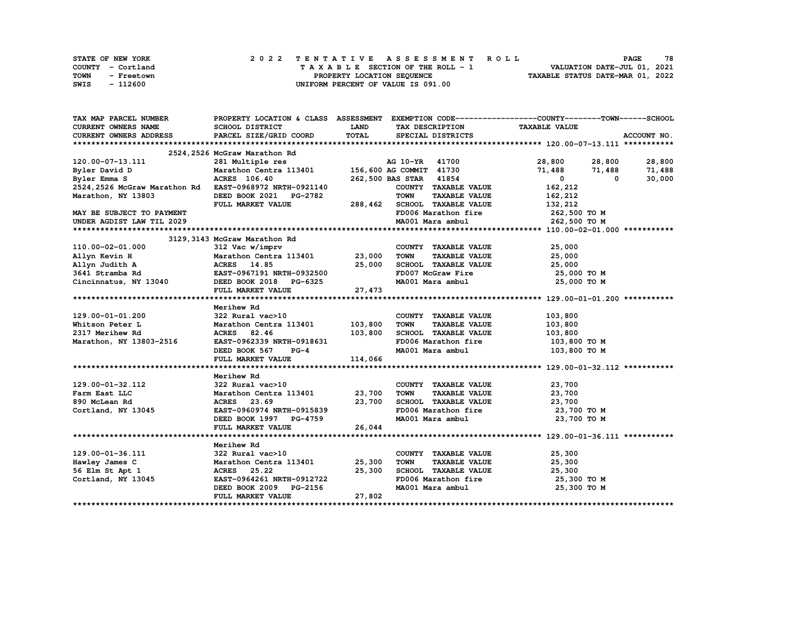|             | STATE OF NEW YORK |  |  |  |  |                                    |  |  |  |  | 2022 TENTATIVE ASSESSMENT ROLL |                                  |                             | <b>PAGE</b> | 78 |
|-------------|-------------------|--|--|--|--|------------------------------------|--|--|--|--|--------------------------------|----------------------------------|-----------------------------|-------------|----|
|             | COUNTY - Cortland |  |  |  |  | TAXABLE SECTION OF THE ROLL - 1    |  |  |  |  |                                |                                  | VALUATION DATE-JUL 01, 2021 |             |    |
| <b>TOWN</b> | - Freetown        |  |  |  |  | PROPERTY LOCATION SEQUENCE         |  |  |  |  |                                | TAXABLE STATUS DATE-MAR 01, 2022 |                             |             |    |
| SWIS        | - 112600          |  |  |  |  | UNIFORM PERCENT OF VALUE IS 091.00 |  |  |  |  |                                |                                  |                             |             |    |

| TAX MAP PARCEL NUMBER                                                                                                                                                                                | PROPERTY LOCATION & CLASS ASSESSMENT EXEMPTION CODE----------------COUNTY-------TOWN-----SCHOOL |             |                                                     |                                    |                         |
|------------------------------------------------------------------------------------------------------------------------------------------------------------------------------------------------------|-------------------------------------------------------------------------------------------------|-------------|-----------------------------------------------------|------------------------------------|-------------------------|
| <b>CURRENT OWNERS NAME</b>                                                                                                                                                                           | SCHOOL DISTRICT                                                                                 | <b>LAND</b> | TAX DESCRIPTION                                     | <b>TAXABLE VALUE</b>               |                         |
| <b>CURRENT OWNERS ADDRESS</b>                                                                                                                                                                        | PARCEL SIZE/GRID COORD                                                                          | TOTAL       | SPECIAL DISTRICTS                                   |                                    | ACCOUNT NO.             |
|                                                                                                                                                                                                      |                                                                                                 |             |                                                     |                                    |                         |
|                                                                                                                                                                                                      |                                                                                                 |             |                                                     |                                    |                         |
| 120.00-07-13.111                                                                                                                                                                                     |                                                                                                 |             | AG 10-YR 41700                                      |                                    | 28,800 28,800 28,800    |
| Byler David D                                                                                                                                                                                        |                                                                                                 |             |                                                     |                                    | 71,488 71,488<br>71,488 |
| Byler Emma S                                                                                                                                                                                         | <b>ACRES</b> 106.40                                                                             |             | 262,500 BAS STAR 41854                              | $\mathbf{0}$                       | 30,000<br>$^{\circ}$    |
| 2524, 2526 McGraw Marathon Rd EAST-0968972 NRTH-0921140                                                                                                                                              |                                                                                                 |             | COUNTY TAXABLE VALUE                                | 162,212                            |                         |
| Marathon, NY 13803                                                                                                                                                                                   | DEED BOOK 2021 PG-2782                                                                          |             | <b>TOWN</b>                                         | <b>TAXABLE VALUE</b><br>162,212    |                         |
|                                                                                                                                                                                                      | FULL MARKET VALUE                                                                               |             |                                                     |                                    |                         |
| MAY BE SUBJECT TO PAYMENT                                                                                                                                                                            |                                                                                                 |             | 288,462 SCHOOL TAXABLE VALUE<br>FD006 Marathon fire | 132,212<br>262,500 то м            |                         |
| UNDER AGDIST LAW TIL 2029                                                                                                                                                                            |                                                                                                 |             | MA001 Mara ambul                                    |                                    | 262,500 то м            |
|                                                                                                                                                                                                      |                                                                                                 |             |                                                     |                                    |                         |
|                                                                                                                                                                                                      |                                                                                                 |             |                                                     |                                    |                         |
| ------- marathon Rd<br>11yn Kevin H Marathon Centra 113401 23,000<br>11yn Judith A A ACRES 14.85 25,000<br>3641 Stramba Rd EAST-0967191 NRTH-0932500<br>Cincinnatus, NY 13040 DEED BOOK 2018 PG-6325 |                                                                                                 |             | COUNTY TAXABLE VALUE                                | 25,000                             |                         |
|                                                                                                                                                                                                      |                                                                                                 |             | <b>TOWN</b>                                         | <b>TAXABLE VALUE</b><br>25,000     |                         |
|                                                                                                                                                                                                      |                                                                                                 |             |                                                     | SCHOOL TAXABLE VALUE 25,000        |                         |
|                                                                                                                                                                                                      |                                                                                                 |             | FD007 McGraw Fire                                   | 25,000 TO M                        |                         |
|                                                                                                                                                                                                      |                                                                                                 |             | MA001 Mara ambul                                    |                                    | 25,000 TO M             |
|                                                                                                                                                                                                      | FULL MARKET VALUE                                                                               | 27,473      |                                                     |                                    |                         |
|                                                                                                                                                                                                      |                                                                                                 |             |                                                     |                                    |                         |
|                                                                                                                                                                                                      | Merihew Rd                                                                                      |             |                                                     |                                    |                         |
| 129.00-01-01.200                                                                                                                                                                                     | 322 Rural vac>10                                                                                |             |                                                     | COUNTY TAXABLE VALUE<br>103,800    |                         |
| Whitson Peter L                                                                                                                                                                                      |                                                                                                 |             | TOWN                                                | <b>TAXABLE VALUE</b><br>103,800    |                         |
| 2317 Merihew Rd                                                                                                                                                                                      | Marathon Centra 113401 103,800                                                                  |             | SCHOOL TAXABLE VALUE                                | 103,800                            |                         |
| Marathon, NY 13803-2516                                                                                                                                                                              | ACRES 82.46 103,800<br>EAST-0962339 NRTH-0918631                                                |             |                                                     | FD006 Marathon fire 103,800 TO M   |                         |
|                                                                                                                                                                                                      | DEED BOOK 567 PG-4                                                                              |             | MA001 Mara ambul                                    |                                    | 103,800 TO M            |
|                                                                                                                                                                                                      | FULL MARKET VALUE                                                                               | 114,066     |                                                     |                                    |                         |
|                                                                                                                                                                                                      |                                                                                                 |             |                                                     |                                    |                         |
|                                                                                                                                                                                                      |                                                                                                 |             |                                                     |                                    |                         |
| 129.00-01-32.112                                                                                                                                                                                     | Merihew Rd<br>322 Rural vac>10                                                                  |             | COUNTY TAXABLE VALUE                                | 23,700                             |                         |
| Farm East LLC                                                                                                                                                                                        |                                                                                                 |             | <b>TOWN</b>                                         | <b>TAXABLE VALUE</b><br>23,700     |                         |
|                                                                                                                                                                                                      | Marathon Centra 113401 23,700<br>ACRES 23.69                                                    | 23,700      | SCHOOL TAXABLE VALUE                                | 23,700                             |                         |
| 890 McLean Rd                                                                                                                                                                                        |                                                                                                 |             |                                                     | FD006 Marathon fire<br>23,700 TO M |                         |
| Cortland, NY 13045                                                                                                                                                                                   | EAST-0960974 NRTH-0915839                                                                       |             |                                                     |                                    |                         |
|                                                                                                                                                                                                      | DEED BOOK 1997 PG-4759                                                                          |             | MA001 Mara ambul                                    |                                    | 23,700 TO M             |
|                                                                                                                                                                                                      | FULL MARKET VALUE                                                                               | 26,044      |                                                     |                                    |                         |
|                                                                                                                                                                                                      |                                                                                                 |             |                                                     |                                    |                         |
|                                                                                                                                                                                                      | Merihew Rd<br>322 Rural vac>10                                                                  |             |                                                     |                                    |                         |
| 129.00-01-36.111                                                                                                                                                                                     |                                                                                                 |             | COUNTY TAXABLE VALUE                                | 25,300                             |                         |
| Hawley James C                                                                                                                                                                                       | Marathon Centra 113401 25,300                                                                   |             | <b>TOWN</b>                                         | <b>TAXABLE VALUE</b><br>25,300     |                         |
| 56 Elm St Apt 1                                                                                                                                                                                      | ACRES 25.22                                                                                     | 25,300      | SCHOOL TAXABLE VALUE<br>FD006 Marathon fire         | 25,300                             |                         |
| Cortland, NY 13045                                                                                                                                                                                   | EAST-0964261 NRTH-0912722                                                                       |             |                                                     |                                    | 25,300 TO M             |
|                                                                                                                                                                                                      | DEED BOOK 2009 PG-2156                                                                          |             |                                                     | MA001 Mara ambul 25,300 TO M       |                         |
|                                                                                                                                                                                                      | FULL MARKET VALUE                                                                               | 27,802      |                                                     |                                    |                         |
|                                                                                                                                                                                                      |                                                                                                 |             |                                                     |                                    |                         |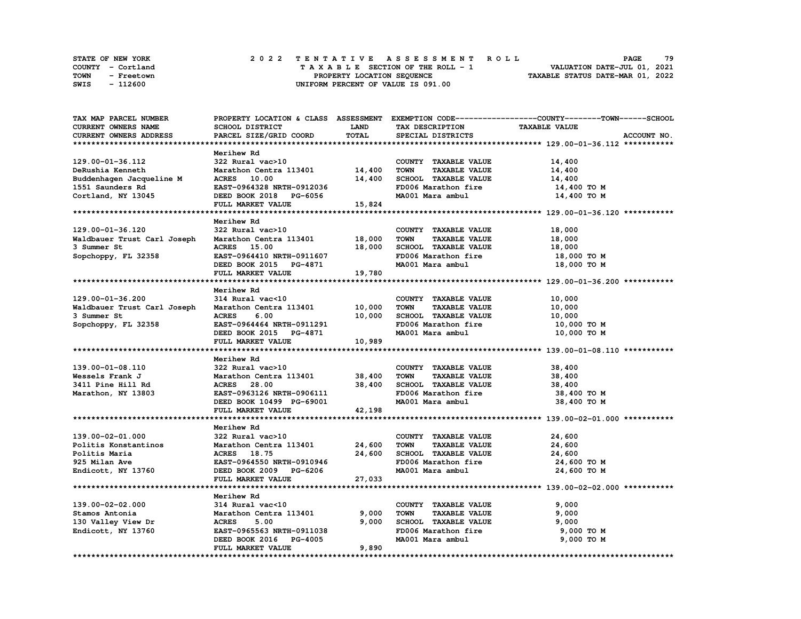| <b>STATE OF NEW YORK</b> | 2022 TENTATIVE ASSESSMENT ROLL     | 79<br><b>PAGE</b>                |
|--------------------------|------------------------------------|----------------------------------|
| COUNTY - Cortland        | TAXABLE SECTION OF THE ROLL - 1    | VALUATION DATE-JUL 01, 2021      |
| TOWN<br>- Freetown       | PROPERTY LOCATION SEQUENCE         | TAXABLE STATUS DATE-MAR 01, 2022 |
| SWIS<br>- 112600         | UNIFORM PERCENT OF VALUE IS 091.00 |                                  |

| TAX MAP PARCEL NUMBER       |                               |        |                                     | PROPERTY LOCATION & CLASS ASSESSMENT EXEMPTION CODE----------------COUNTY-------TOWN-----SCHOOL |
|-----------------------------|-------------------------------|--------|-------------------------------------|-------------------------------------------------------------------------------------------------|
| CURRENT OWNERS NAME         | SCHOOL DISTRICT               | LAND   | TAX DESCRIPTION                     | <b>TAXABLE VALUE</b>                                                                            |
| CURRENT OWNERS ADDRESS      | PARCEL SIZE/GRID COORD        | TOTAL  | SPECIAL DISTRICTS                   | ACCOUNT NO.                                                                                     |
|                             |                               |        |                                     |                                                                                                 |
|                             | Merihew Rd                    |        |                                     |                                                                                                 |
| 129.00-01-36.112            | 322 Rural vac>10              |        | COUNTY TAXABLE VALUE                | 14,400                                                                                          |
| DeRushia Kenneth            | Marathon Centra 113401 14,400 |        | <b>TOWN</b><br><b>TAXABLE VALUE</b> | 14,400                                                                                          |
| Buddenhagen Jacqueline M    | ACRES 10.00                   | 14,400 | SCHOOL TAXABLE VALUE                | 14,400                                                                                          |
| 1551 Saunders Rd            | EAST-0964328 NRTH-0912036     |        | FD006 Marathon fire                 | 14,400 TO M                                                                                     |
| Cortland, NY 13045          | DEED BOOK 2018 PG-6056        |        | MA001 Mara ambul                    | 14,400 TO M                                                                                     |
|                             | FULL MARKET VALUE             | 15,824 |                                     |                                                                                                 |
|                             |                               |        |                                     |                                                                                                 |
|                             | Merihew Rd                    |        |                                     |                                                                                                 |
| 129.00-01-36.120            | 322 Rural vac>10              |        | COUNTY TAXABLE VALUE                | 18,000                                                                                          |
| Waldbauer Trust Carl Joseph | Marathon Centra 113401        | 18,000 | <b>TOWN</b><br><b>TAXABLE VALUE</b> | 18,000                                                                                          |
| 3 Summer St                 | ACRES 15.00                   | 18,000 | SCHOOL TAXABLE VALUE                | 18,000                                                                                          |
| Sopchoppy, FL 32358         | EAST-0964410 NRTH-0911607     |        | FD006 Marathon fire                 | 18,000 TO M                                                                                     |
|                             | DEED BOOK 2015 PG-4871        |        | MA001 Mara ambul                    | 18,000 TO M                                                                                     |
|                             | FULL MARKET VALUE             | 19,780 |                                     |                                                                                                 |
|                             |                               |        |                                     |                                                                                                 |
|                             | Merihew Rd                    |        |                                     |                                                                                                 |
| 129.00-01-36.200            | 314 Rural vac<10              |        | COUNTY TAXABLE VALUE                | 10,000                                                                                          |
| Waldbauer Trust Carl Joseph | Marathon Centra 113401        | 10,000 | TOWN<br><b>TAXABLE VALUE</b>        | 10,000                                                                                          |
| 3 Summer St                 | <b>ACRES</b><br>6.00          | 10,000 | SCHOOL TAXABLE VALUE                | 10,000                                                                                          |
| Sopchoppy, FL 32358         | EAST-0964464 NRTH-0911291     |        | FD006 Marathon fire                 | 10,000 TO M                                                                                     |
|                             | DEED BOOK 2015 PG-4871        |        | MA001 Mara ambul                    | 10,000 TO M                                                                                     |
|                             | FULL MARKET VALUE             | 10,989 |                                     |                                                                                                 |
|                             |                               |        |                                     |                                                                                                 |
|                             | Merihew Rd                    |        |                                     |                                                                                                 |
| 139.00-01-08.110            | 322 Rural vac>10              |        | COUNTY TAXABLE VALUE                | 38,400                                                                                          |
| Wessels Frank J             | Marathon Centra 113401        | 38,400 | <b>TOWN</b><br><b>TAXABLE VALUE</b> | 38,400                                                                                          |
| 3411 Pine Hill Rd           | <b>ACRES</b> 28.00            | 38,400 | SCHOOL TAXABLE VALUE                | 38,400                                                                                          |
| Marathon, NY 13803          | EAST-0963126 NRTH-0906111     |        | FD006 Marathon fire                 | 38,400 TO M                                                                                     |
|                             | DEED BOOK 10499 PG-69001      |        | MA001 Mara ambul                    | 38,400 TO M                                                                                     |
|                             | FULL MARKET VALUE             | 42,198 |                                     |                                                                                                 |
|                             |                               |        |                                     |                                                                                                 |
|                             | Merihew Rd                    |        |                                     |                                                                                                 |
| 139.00-02-01.000            | 322 Rural vac>10              |        | COUNTY TAXABLE VALUE                | 24,600                                                                                          |
| Politis Konstantinos        | Marathon Centra 113401        | 24,600 | <b>TOWN</b><br><b>TAXABLE VALUE</b> | 24,600                                                                                          |
| Politis Maria               | ACRES 18.75                   | 24,600 | SCHOOL TAXABLE VALUE                | 24,600                                                                                          |
| 925 Milan Ave               | EAST-0964550 NRTH-0910946     |        | FD006 Marathon fire                 | 24,600 TO M                                                                                     |
| Endicott, NY 13760          | DEED BOOK 2009 PG-6206        |        | MA001 Mara ambul                    | 24,600 TO M                                                                                     |
|                             | FULL MARKET VALUE             | 27,033 |                                     |                                                                                                 |
|                             |                               |        |                                     |                                                                                                 |
|                             | Merihew Rd                    |        |                                     |                                                                                                 |
| 139.00-02-02.000            | 314 Rural vac<10              |        | COUNTY TAXABLE VALUE                | 9,000                                                                                           |
| Stamos Antonia              | Marathon Centra 113401        | 9,000  | <b>TOWN</b><br><b>TAXABLE VALUE</b> | 9,000                                                                                           |
| 130 Valley View Dr          | <b>ACRES</b><br>5.00          | 9,000  | SCHOOL TAXABLE VALUE                | 9,000                                                                                           |
| Endicott, NY 13760          | EAST-0965563 NRTH-0911038     |        | FD006 Marathon fire                 | 9,000 TO M                                                                                      |
|                             | DEED BOOK 2016 PG-4005        |        | MA001 Mara ambul                    | 9,000 TO M                                                                                      |
|                             | FULL MARKET VALUE             | 9,890  |                                     |                                                                                                 |
|                             |                               |        |                                     |                                                                                                 |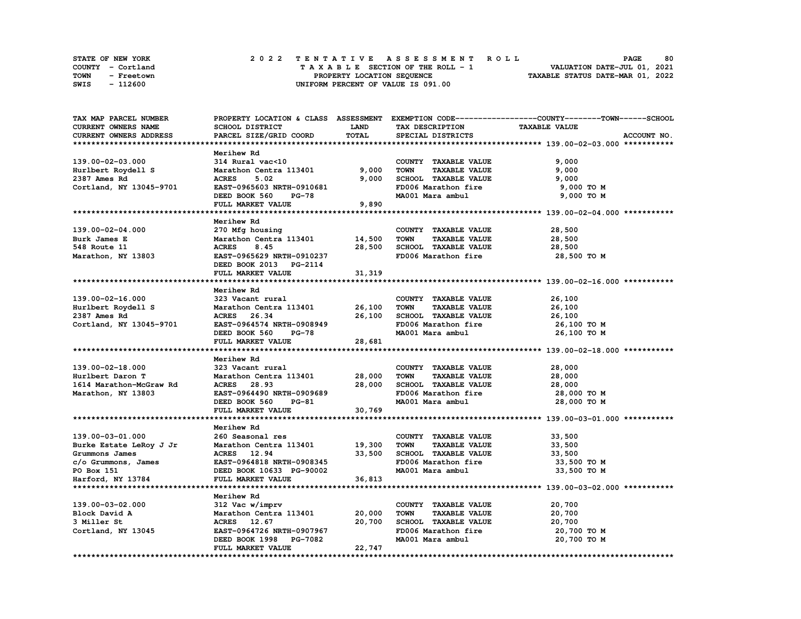|             | STATE OF NEW YORK | 2022 TENTATIVE ASSESSMENT ROLL     | 80<br><b>PAGE</b>                |
|-------------|-------------------|------------------------------------|----------------------------------|
|             | COUNTY - Cortland | TAXABLE SECTION OF THE ROLL - 1    | VALUATION DATE-JUL 01, 2021      |
| <b>TOWN</b> | - Freetown        | PROPERTY LOCATION SEQUENCE         | TAXABLE STATUS DATE-MAR 01, 2022 |
| SWIS        | - 112600          | UNIFORM PERCENT OF VALUE IS 091.00 |                                  |

| TAX MAP PARCEL NUMBER   |                               |             |                                     | PROPERTY LOCATION & CLASS ASSESSMENT EXEMPTION CODE----------------COUNTY-------TOWN------SCHOOL |
|-------------------------|-------------------------------|-------------|-------------------------------------|--------------------------------------------------------------------------------------------------|
| CURRENT OWNERS NAME     | SCHOOL DISTRICT               | <b>LAND</b> | TAX DESCRIPTION                     | <b>TAXABLE VALUE</b>                                                                             |
| CURRENT OWNERS ADDRESS  | PARCEL SIZE/GRID COORD        | TOTAL       | SPECIAL DISTRICTS                   | ACCOUNT NO.                                                                                      |
|                         |                               |             |                                     |                                                                                                  |
|                         | Merihew Rd                    |             |                                     |                                                                                                  |
| 139.00-02-03.000        | 314 Rural vac<10              |             | COUNTY TAXABLE VALUE                | 9,000                                                                                            |
| Hurlbert Roydell S      | Marathon Centra 113401        | 9,000       | <b>TOWN</b><br><b>TAXABLE VALUE</b> | 9,000                                                                                            |
| 2387 Ames Rd            | <b>ACRES</b><br>5.02          | 9,000       | SCHOOL TAXABLE VALUE                | 9,000                                                                                            |
| Cortland, NY 13045-9701 | EAST-0965603 NRTH-0910681     |             | FD006 Marathon fire                 | 9,000 TO M                                                                                       |
|                         |                               |             |                                     |                                                                                                  |
|                         | DEED BOOK 560<br><b>PG-78</b> |             | MA001 Mara ambul                    | 9,000 TO M                                                                                       |
|                         | FULL MARKET VALUE             | 9,890       |                                     |                                                                                                  |
|                         |                               |             |                                     |                                                                                                  |
|                         | Merihew Rd                    |             |                                     |                                                                                                  |
| 139.00-02-04.000        | 270 Mfg housing               |             | COUNTY TAXABLE VALUE                | 28,500                                                                                           |
| Burk James E            | Marathon Centra 113401        | 14,500      | TOWN<br><b>TAXABLE VALUE</b>        | 28,500                                                                                           |
| 548 Route 11            | <b>ACRES</b><br>8.45          | 28,500      | SCHOOL TAXABLE VALUE                | 28,500                                                                                           |
| Marathon, NY 13803      | EAST-0965629 NRTH-0910237     |             | FD006 Marathon fire                 | 28,500 TO M                                                                                      |
|                         | DEED BOOK 2013 PG-2114        |             |                                     |                                                                                                  |
|                         | FULL MARKET VALUE             | 31,319      |                                     |                                                                                                  |
|                         |                               |             |                                     |                                                                                                  |
|                         | Merihew Rd                    |             |                                     |                                                                                                  |
| 139.00-02-16.000        | 323 Vacant rural              |             | COUNTY TAXABLE VALUE                | 26,100                                                                                           |
| Hurlbert Roydell S      | Marathon Centra 113401        | 26,100      | TOWN<br><b>TAXABLE VALUE</b>        | 26,100                                                                                           |
| 2387 Ames Rd            | ACRES 26.34                   | 26,100      | SCHOOL TAXABLE VALUE                | 26,100                                                                                           |
| Cortland, NY 13045-9701 | EAST-0964574 NRTH-0908949     |             | FD006 Marathon fire                 | 26,100 TO M                                                                                      |
|                         | DEED BOOK 560 PG-78           |             | MA001 Mara ambul                    | 26,100 TO M                                                                                      |
|                         | FULL MARKET VALUE             | 28,681      |                                     |                                                                                                  |
|                         |                               |             |                                     |                                                                                                  |
|                         |                               |             |                                     |                                                                                                  |
|                         | Merihew Rd                    |             |                                     |                                                                                                  |
| 139.00-02-18.000        | 323 Vacant rural              |             | COUNTY TAXABLE VALUE                | 28,000                                                                                           |
| Hurlbert Daron T        | Marathon Centra 113401        | 28,000      | TOWN<br><b>TAXABLE VALUE</b>        | 28,000                                                                                           |
| 1614 Marathon-McGraw Rd | ACRES 28.93                   | 28,000      | SCHOOL TAXABLE VALUE                | 28,000                                                                                           |
| Marathon, NY 13803      | EAST-0964490 NRTH-0909689     |             | FD006 Marathon fire                 | 28,000 TO M                                                                                      |
|                         | DEED BOOK 560<br>PG-81        |             | MA001 Mara ambul                    | 28,000 TO M                                                                                      |
|                         | FULL MARKET VALUE             | 30,769      |                                     |                                                                                                  |
|                         |                               |             |                                     |                                                                                                  |
|                         | Merihew Rd                    |             |                                     |                                                                                                  |
| 139.00-03-01.000        | 260 Seasonal res              |             | COUNTY TAXABLE VALUE                | 33,500                                                                                           |
| Burke Estate LeRoy J Jr | Marathon Centra 113401        | 19,300      | <b>TOWN</b><br><b>TAXABLE VALUE</b> | 33,500                                                                                           |
| Grummons James          | <b>ACRES</b> 12.94            | 33,500      | SCHOOL TAXABLE VALUE                | 33,500                                                                                           |
| c/o Grummons, James     | EAST-0964818 NRTH-0908345     |             | FD006 Marathon fire                 | 33,500 TO M                                                                                      |
| PO Box 151              | DEED BOOK 10633 PG-90002      |             | MA001 Mara ambul                    | 33,500 TO M                                                                                      |
| Harford, NY 13784       | FULL MARKET VALUE             | 36,813      |                                     |                                                                                                  |
|                         |                               |             |                                     |                                                                                                  |
|                         | Merihew Rd                    |             |                                     |                                                                                                  |
| 139.00-03-02.000        | 312 Vac w/imprv               |             | COUNTY TAXABLE VALUE                | 20,700                                                                                           |
|                         | Marathon Centra 113401        |             | <b>TOWN</b>                         |                                                                                                  |
| Block David A           |                               | 20,000      | <b>TAXABLE VALUE</b>                | 20,700                                                                                           |
| 3 Miller St             | ACRES 12.67                   | 20,700      | SCHOOL TAXABLE VALUE                | 20,700                                                                                           |
| Cortland, NY 13045      | EAST-0964726 NRTH-0907967     |             | FD006 Marathon fire                 | 20,700 TO M                                                                                      |
|                         | DEED BOOK 1998 PG-7082        |             | MA001 Mara ambul                    | 20,700 TO M                                                                                      |
|                         | FULL MARKET VALUE             | 22,747      |                                     |                                                                                                  |
|                         |                               |             |                                     |                                                                                                  |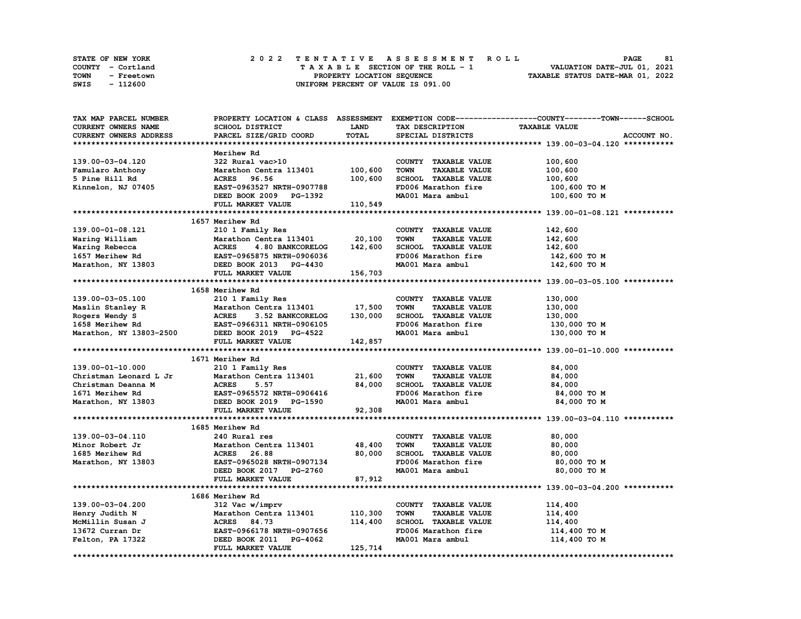|      | <b>STATE OF NEW YORK</b> | 2022 TENTATIVE ASSESSMENT ROLL     | 81<br><b>PAGE</b>                |
|------|--------------------------|------------------------------------|----------------------------------|
|      | COUNTY - Cortland        | TAXABLE SECTION OF THE ROLL - 1    | VALUATION DATE-JUL 01, 2021      |
| TOWN | - Freetown               | PROPERTY LOCATION SEQUENCE         | TAXABLE STATUS DATE-MAR 01, 2022 |
| SWIS | - 112600                 | UNIFORM PERCENT OF VALUE IS 091.00 |                                  |

| TAX MAP PARCEL NUMBER                 |                                  |             |                                     | PROPERTY LOCATION & CLASS ASSESSMENT EXEMPTION CODE----------------COUNTY-------TOWN------SCHOOL |
|---------------------------------------|----------------------------------|-------------|-------------------------------------|--------------------------------------------------------------------------------------------------|
| <b>CURRENT OWNERS NAME</b>            | SCHOOL DISTRICT                  | <b>LAND</b> | TAX DESCRIPTION                     | <b>TAXABLE VALUE</b>                                                                             |
| CURRENT OWNERS ADDRESS                | PARCEL SIZE/GRID COORD           | TOTAL       | SPECIAL DISTRICTS                   | ACCOUNT NO.                                                                                      |
|                                       |                                  |             |                                     |                                                                                                  |
|                                       | Merihew Rd                       |             |                                     |                                                                                                  |
| 139.00-03-04.120                      | 322 Rural vac>10                 |             | COUNTY TAXABLE VALUE                | 100,600                                                                                          |
| Famularo Anthony                      | Marathon Centra 113401           | 100,600     | TOWN<br><b>TAXABLE VALUE</b>        | 100,600                                                                                          |
| 5 Pine Hill Rd                        | ACRES 96.56                      | 100,600     | SCHOOL TAXABLE VALUE                | 100,600                                                                                          |
| Kinnelon, NJ 07405                    | EAST-0963527 NRTH-0907788        |             | FD006 Marathon fire                 | 100,600 то м                                                                                     |
|                                       | DEED BOOK 2009 PG-1392           |             | MA001 Mara ambul                    | 100,600 то м                                                                                     |
|                                       | FULL MARKET VALUE                | 110,549     |                                     |                                                                                                  |
|                                       |                                  |             |                                     |                                                                                                  |
|                                       | 1657 Merihew Rd                  |             |                                     |                                                                                                  |
| 139.00-01-08.121                      | 210 1 Family Res                 |             | COUNTY TAXABLE VALUE                | 142,600                                                                                          |
| Waring William                        | Marathon Centra 113401           | 20,100      | <b>TAXABLE VALUE</b><br><b>TOWN</b> | 142,600                                                                                          |
| Waring Rebecca                        | <b>ACRES</b><br>4.80 BANKCORELOG | 142,600     | SCHOOL TAXABLE VALUE                | 142,600                                                                                          |
|                                       | EAST-0965875 NRTH-0906036        |             | FD006 Marathon fire                 | 142,600 TO M                                                                                     |
| 1657 Merihew Rd<br>Marathon, NY 13803 | DEED BOOK 2013 PG-4430           |             | MA001 Mara ambul                    | 142,600 TO M                                                                                     |
|                                       | FULL MARKET VALUE                | 156,703     |                                     |                                                                                                  |
|                                       |                                  |             |                                     |                                                                                                  |
|                                       | 1658 Merihew Rd                  |             |                                     |                                                                                                  |
| 139.00-03-05.100                      | 210 1 Family Res                 |             | COUNTY TAXABLE VALUE                | 130,000                                                                                          |
| Maslin Stanley R                      | Marathon Centra 113401           | 17,500      | <b>TOWN</b><br><b>TAXABLE VALUE</b> | 130,000                                                                                          |
| Rogers Wendy S                        | <b>ACRES</b><br>3.52 BANKCORELOG | 130,000     | SCHOOL TAXABLE VALUE                | 130,000                                                                                          |
| 1658 Merihew Rd                       | EAST-0966311 NRTH-0906105        |             | FD006 Marathon fire                 | 130,000 то м                                                                                     |
| Marathon, NY 13803-2500               | DEED BOOK 2019 PG-4522           |             | MA001 Mara ambul                    | 130,000 TO M                                                                                     |
|                                       | FULL MARKET VALUE                | 142,857     |                                     |                                                                                                  |
|                                       |                                  |             |                                     |                                                                                                  |
|                                       | 1671 Merihew Rd                  |             |                                     |                                                                                                  |
| 139.00-01-10.000                      | 210 1 Family Res                 |             | COUNTY TAXABLE VALUE                | 84,000                                                                                           |
| Christman Leonard L Jr                | Marathon Centra 113401           | 21,600      | <b>TOWN</b><br><b>TAXABLE VALUE</b> | 84,000                                                                                           |
| Christman Deanna M                    | <b>ACRES</b><br>5.57             | 84,000      | SCHOOL TAXABLE VALUE                | 84,000                                                                                           |
| 1671 Merihew Rd                       | EAST-0965572 NRTH-0906416        |             | FD006 Marathon fire                 | 84,000 TO M                                                                                      |
| Marathon, NY 13803                    | DEED BOOK 2019 PG-1590           |             | MA001 Mara ambul                    | 84,000 TO M                                                                                      |
|                                       | FULL MARKET VALUE                | 92,308      |                                     |                                                                                                  |
|                                       |                                  |             |                                     |                                                                                                  |
|                                       | 1685 Merihew Rd                  |             |                                     |                                                                                                  |
| 139.00-03-04.110                      | 240 Rural res                    |             | COUNTY TAXABLE VALUE                | 80,000                                                                                           |
| Minor Robert Jr                       | Marathon Centra 113401           | 48,400      | <b>TOWN</b><br><b>TAXABLE VALUE</b> | 80,000                                                                                           |
| 1685 Merihew Rd                       | <b>ACRES</b><br>26.88            | 80,000      | SCHOOL TAXABLE VALUE                | 80,000                                                                                           |
| Marathon, NY 13803                    | EAST-0965028 NRTH-0907134        |             | FD006 Marathon fire                 | 80,000 TO M                                                                                      |
|                                       | DEED BOOK 2017 PG-2760           |             | MA001 Mara ambul                    | 80,000 TO M                                                                                      |
|                                       | FULL MARKET VALUE                | 87,912      |                                     |                                                                                                  |
|                                       |                                  |             |                                     |                                                                                                  |
|                                       | 1686 Merihew Rd                  |             |                                     |                                                                                                  |
| 139.00-03-04.200                      | 312 Vac w/imprv                  |             | COUNTY TAXABLE VALUE                | 114,400                                                                                          |
| Henry Judith N                        | Marathon Centra 113401           | 110,300     | <b>TOWN</b><br><b>TAXABLE VALUE</b> | 114,400                                                                                          |
| McMillin Susan J                      | ACRES 84.73                      | 114,400     | SCHOOL TAXABLE VALUE                | 114,400                                                                                          |
| 13672 Curran Dr                       | EAST-0966178 NRTH-0907656        |             | FD006 Marathon fire                 | 114,400 TO M                                                                                     |
| Felton, PA 17322                      | DEED BOOK 2011<br>PG-4062        |             | MA001 Mara ambul                    | 114,400 TO M                                                                                     |
|                                       | FULL MARKET VALUE                | 125,714     |                                     |                                                                                                  |
|                                       |                                  |             |                                     | ****************                                                                                 |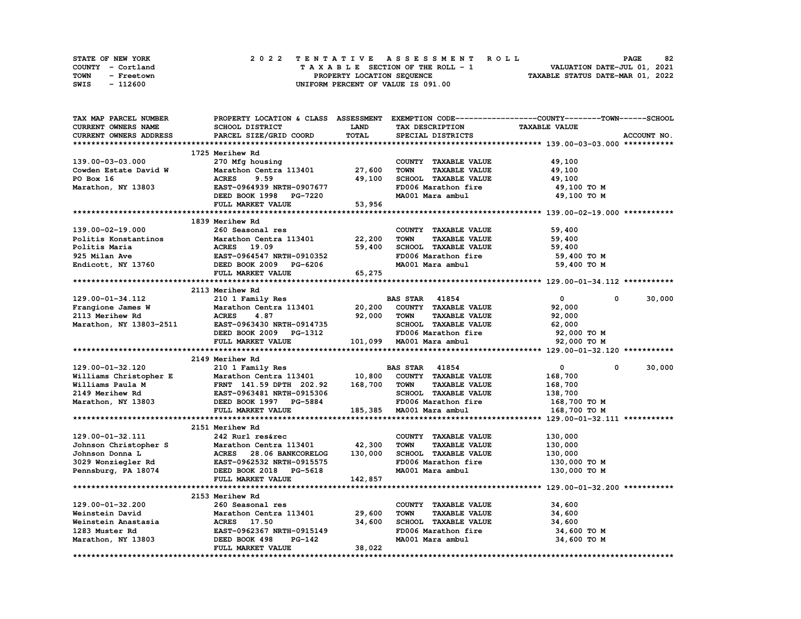| <b>STATE OF NEW YORK</b> | 2022 TENTATIVE ASSESSMENT ROLL          | 82<br><b>PAGE</b>                |
|--------------------------|-----------------------------------------|----------------------------------|
| COUNTY - Cortland        | $T A X A B L E$ SECTION OF THE ROLL - 1 | VALUATION DATE-JUL 01, 2021      |
| TOWN<br>- Freetown       | PROPERTY LOCATION SEQUENCE              | TAXABLE STATUS DATE-MAR 01, 2022 |
| - 112600<br>SWIS         | UNIFORM PERCENT OF VALUE IS 091.00      |                                  |

| TAX MAP PARCEL NUMBER                                                                                                                                                                              |                                                                                        |             |                                     | PROPERTY LOCATION & CLASS ASSESSMENT EXEMPTION CODE----------------COUNTY-------TOWN-----SCHOOL |
|----------------------------------------------------------------------------------------------------------------------------------------------------------------------------------------------------|----------------------------------------------------------------------------------------|-------------|-------------------------------------|-------------------------------------------------------------------------------------------------|
| <b>CURRENT OWNERS NAME</b>                                                                                                                                                                         | SCHOOL DISTRICT                                                                        | <b>LAND</b> | TAX DESCRIPTION                     | <b>TAXABLE VALUE</b>                                                                            |
| CURRENT OWNERS ADDRESS                                                                                                                                                                             | PARCEL SIZE/GRID COORD                                                                 | TOTAL       | SPECIAL DISTRICTS                   | ACCOUNT NO.                                                                                     |
|                                                                                                                                                                                                    |                                                                                        |             |                                     |                                                                                                 |
|                                                                                                                                                                                                    | 1725 Merihew Rd                                                                        |             |                                     |                                                                                                 |
| 139.00-03-03.000                                                                                                                                                                                   | 270 Mfg housing                                                                        |             | COUNTY TAXABLE VALUE                | 49,100                                                                                          |
| Cowden Estate David W                                                                                                                                                                              | Marathon Centra 113401 27,600                                                          |             | <b>TAXABLE VALUE</b><br><b>TOWN</b> | 49,100                                                                                          |
| PO Box 16                                                                                                                                                                                          | <b>ACRES</b><br>9.59                                                                   | 49,100      | SCHOOL TAXABLE VALUE                | 49,100                                                                                          |
| Marathon, NY 13803                                                                                                                                                                                 | EAST-0964939 NRTH-0907677                                                              |             | FD006 Marathon fire                 | 49,100 TO M                                                                                     |
|                                                                                                                                                                                                    |                                                                                        |             |                                     |                                                                                                 |
|                                                                                                                                                                                                    | DEED BOOK 1998 PG-7220                                                                 |             | MA001 Mara ambul                    | 49,100 TO M                                                                                     |
|                                                                                                                                                                                                    | FULL MARKET VALUE                                                                      | 53,956      |                                     |                                                                                                 |
|                                                                                                                                                                                                    |                                                                                        |             |                                     |                                                                                                 |
|                                                                                                                                                                                                    | 1839 Merihew Rd                                                                        |             |                                     |                                                                                                 |
| 139.00-02-19.000                                                                                                                                                                                   | 260 Seasonal res                                                                       |             | COUNTY TAXABLE VALUE                | 59,400                                                                                          |
| Politis Konstantinos                                                                                                                                                                               | Marathon Centra 113401                                                                 | 22,200      | TOWN<br><b>TAXABLE VALUE</b>        | 59,400                                                                                          |
| Politis Maria                                                                                                                                                                                      | <b>ACRES</b> 19.09                                                                     | 59,400      | SCHOOL TAXABLE VALUE                | 59,400                                                                                          |
| 925 Milan Ave                                                                                                                                                                                      | -------<br>EAST-0964547 NRTH-0910352                                                   |             | FD006 Marathon fire                 | 59,400 TO M                                                                                     |
| Endicott, NY 13760 DEED BOOK 2009 PG-6206                                                                                                                                                          |                                                                                        |             | MA001 Mara ambul 59,400 TO M        |                                                                                                 |
|                                                                                                                                                                                                    | FULL MARKET VALUE                                                                      | 65,275      |                                     |                                                                                                 |
|                                                                                                                                                                                                    |                                                                                        |             |                                     |                                                                                                 |
|                                                                                                                                                                                                    | 2113 Merihew Rd                                                                        |             |                                     |                                                                                                 |
| 129.00-01-34.112                                                                                                                                                                                   | 210 1 Family Res                                                                       |             | <b>BAS STAR 41854</b>               | $\overline{0}$<br>30,000<br>$\mathbf{0}$                                                        |
|                                                                                                                                                                                                    | Marathon Centra 113401                                                                 | 20,200      | COUNTY TAXABLE VALUE                | 92,000                                                                                          |
| Frangione James W<br>2113 Merihew Rd                                                                                                                                                               | <b>ACRES</b><br>4.87                                                                   | 92,000      | <b>TOWN</b><br><b>TAXABLE VALUE</b> | 92,000                                                                                          |
| Marathon, NY 13803-2511                                                                                                                                                                            |                                                                                        |             | SCHOOL TAXABLE VALUE                | 62,000                                                                                          |
|                                                                                                                                                                                                    | EAST-0963430 NRTH-0914735<br>DEED BOOK 2009 PG-1312                                    |             | FD006 Marathon fire                 | 92,000 TO M                                                                                     |
|                                                                                                                                                                                                    |                                                                                        |             |                                     |                                                                                                 |
|                                                                                                                                                                                                    |                                                                                        |             |                                     |                                                                                                 |
|                                                                                                                                                                                                    | FULL MARKET VALUE                                                                      |             | 101,099 MA001 Mara ambul            | 92,000 TO M                                                                                     |
|                                                                                                                                                                                                    |                                                                                        |             |                                     |                                                                                                 |
|                                                                                                                                                                                                    | 2149 Merihew Rd                                                                        |             |                                     |                                                                                                 |
| 129.00-01-32.120                                                                                                                                                                                   | 210 1 Family Res                                                                       |             | <b>BAS STAR 41854</b>               | 30,000<br>$\overline{0}$<br>$\mathbf{0}$                                                        |
|                                                                                                                                                                                                    |                                                                                        |             | 10,800 COUNTY TAXABLE VALUE         | 168,700                                                                                         |
|                                                                                                                                                                                                    |                                                                                        | 168,700     | <b>TOWN</b><br><b>TAXABLE VALUE</b> | 168,700                                                                                         |
|                                                                                                                                                                                                    |                                                                                        |             | SCHOOL TAXABLE VALUE                | 138,700                                                                                         |
|                                                                                                                                                                                                    |                                                                                        |             | FD006 Marathon fire                 | 168,700 TO M                                                                                    |
| Williams Christopher E Marathon Centra 113401 10,800<br>Williams Paula M FRNT 141.59 DPTH 202.92 168,700<br>2149 Merihew Rd EAST-0963481 NRTH-0915306<br>Marathon, NY 13803 DEED BOOK 1997 PG-5884 | FULL MARKET VALUE                                                                      |             | 185,385 MA001 Mara ambul            | 168,700 TO M                                                                                    |
|                                                                                                                                                                                                    |                                                                                        |             |                                     |                                                                                                 |
|                                                                                                                                                                                                    | 2151 Merihew Rd                                                                        |             |                                     |                                                                                                 |
| 129.00-01-32.111                                                                                                                                                                                   | 242 Rurl res&rec                                                                       |             | COUNTY TAXABLE VALUE                | 130,000                                                                                         |
|                                                                                                                                                                                                    |                                                                                        | 42,300      | <b>TAXABLE VALUE</b><br><b>TOWN</b> | 130,000                                                                                         |
| Johnson Christopher S                                                                                                                                                                              |                                                                                        | 130,000     | SCHOOL TAXABLE VALUE                | 130,000                                                                                         |
|                                                                                                                                                                                                    | Marathon Centra 113401<br>ACRES 28.06 BANKCORELOG                                      |             | FD006 Marathon fire                 | 130,000 то м                                                                                    |
| Johnson Donna Land (1997) ACRES 28.06 BANKCORELOG 3029 Wonziegler Rd (1998) EAST-0962532 NRTH-0915575                                                                                              |                                                                                        |             | MA001 Mara ambul                    | 130,000 TO M                                                                                    |
| Pennsburg, PA 18074 DEED BOOK 2018 PG-5618                                                                                                                                                         | FULL MARKET VALUE                                                                      | 142,857     |                                     |                                                                                                 |
|                                                                                                                                                                                                    |                                                                                        |             |                                     |                                                                                                 |
|                                                                                                                                                                                                    | 2153 Merihew Rd                                                                        |             |                                     |                                                                                                 |
|                                                                                                                                                                                                    | 260 Seasonal res                                                                       |             | COUNTY TAXABLE VALUE                | 34,600                                                                                          |
| 129.00-01-32.200<br>Weinstein David                                                                                                                                                                |                                                                                        |             | <b>TOWN</b>                         |                                                                                                 |
|                                                                                                                                                                                                    | Marathon Centra 113401 29,600                                                          |             | <b>TAXABLE VALUE</b>                | 34,600                                                                                          |
| Weinstein Anastasia                                                                                                                                                                                |                                                                                        | 34,600      | SCHOOL TAXABLE VALUE                | 34,600                                                                                          |
| 1283 Muster Rd                                                                                                                                                                                     | <b>EAST-0962367 NRTH-0915149</b>                                                       |             | FD006 Marathon fire                 | 34,600 TO M                                                                                     |
| Marathon, NY 13803                                                                                                                                                                                 | <b>ACRES 17.50<br/>EAST-0962367 N<br/>DEED BOOK 498</b><br>PG-142<br>FULL MARKET VALUE | 38,022      | MA001 Mara ambul                    | 34,600 TO M                                                                                     |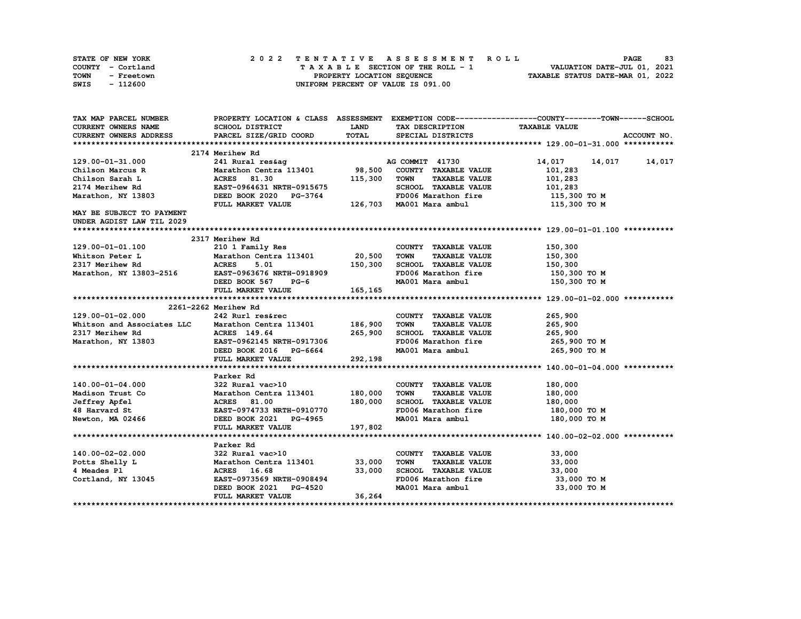| <b>STATE OF NEW YORK</b> | 2022 TENTATIVE ASSESSMENT ROLL          | 83<br><b>PAGE</b>                |
|--------------------------|-----------------------------------------|----------------------------------|
| COUNTY - Cortland        | $T A X A B L E$ SECTION OF THE ROLL - 1 | VALUATION DATE-JUL 01, 2021      |
| TOWN<br>- Freetown       | PROPERTY LOCATION SEQUENCE              | TAXABLE STATUS DATE-MAR 01, 2022 |
| - 112600<br>SWIS         | UNIFORM PERCENT OF VALUE IS 091.00      |                                  |

| TAX MAP PARCEL NUMBER                                                                           |                                                                                                                    |             |                                     | PROPERTY LOCATION & CLASS ASSESSMENT EXEMPTION CODE----------------COUNTY-------TOWN-----SCHOOL |
|-------------------------------------------------------------------------------------------------|--------------------------------------------------------------------------------------------------------------------|-------------|-------------------------------------|-------------------------------------------------------------------------------------------------|
| CURRENT OWNERS NAME                                                                             | SCHOOL DISTRICT                                                                                                    | <b>LAND</b> | TAX DESCRIPTION                     | <b>TAXABLE VALUE</b>                                                                            |
| CURRENT OWNERS ADDRESS                                                                          | PARCEL SIZE/GRID COORD                                                                                             | TOTAL       | SPECIAL DISTRICTS                   | ACCOUNT NO.                                                                                     |
|                                                                                                 |                                                                                                                    |             |                                     |                                                                                                 |
|                                                                                                 | 2174 Merihew Rd                                                                                                    |             |                                     |                                                                                                 |
| 129.00-01-31.000                                                                                | 241 Rural res&ag Manus AG COMMIT 41730                                                                             |             |                                     | 14,017 14,017 14,017                                                                            |
| Chilson Marcus R                                                                                | Marathon Centra 113401 98,500                                                                                      |             | COUNTY TAXABLE VALUE                | 101,283                                                                                         |
| Chilson Sarah L                                                                                 | <b>ACRES</b> 81.30                                                                                                 | 115,300     | TOWN<br><b>TAXABLE VALUE</b>        | 101,283                                                                                         |
| 2174 Merihew Rd                                                                                 | EAST-0964631 NRTH-0915675                                                                                          |             | SCHOOL TAXABLE VALUE                | 101,283                                                                                         |
| Marathon, NY 13803                                                                              | DEED BOOK 2020 PG-3764 FD006 Marathon fire 115,300 TO M<br>FULL MARKET VALUE 126,703 MA001 Mara ambul 115,300 TO M |             |                                     |                                                                                                 |
|                                                                                                 |                                                                                                                    |             |                                     |                                                                                                 |
| MAY BE SUBJECT TO PAYMENT                                                                       |                                                                                                                    |             |                                     |                                                                                                 |
| UNDER AGDIST LAW TIL 2029                                                                       |                                                                                                                    |             |                                     |                                                                                                 |
|                                                                                                 |                                                                                                                    |             |                                     |                                                                                                 |
|                                                                                                 | 2317 Merihew Rd                                                                                                    |             |                                     |                                                                                                 |
| 129.00-01-01.100                                                                                | 210 1 Family Res                                                                                                   |             | COUNTY TAXABLE VALUE                | 150,300                                                                                         |
| Whitson Peter L                                                                                 |                                                                                                                    |             | TOWN<br><b>TAXABLE VALUE</b>        | 150,300                                                                                         |
|                                                                                                 |                                                                                                                    |             | SCHOOL TAXABLE VALUE                | 150,300                                                                                         |
| 2317 Merihew Rd<br>Marathon, NY 13803-2516 EAST-0963676 NRTH-0918909<br>Represent Foot 567 PG-6 |                                                                                                                    |             | FD006 Marathon fire 150,300 TO M    |                                                                                                 |
|                                                                                                 |                                                                                                                    |             | MA001 Mara ambul                    | 150,300 TO M                                                                                    |
|                                                                                                 | DEED BOOK 567 PG-6<br>FIILL MARKET VALUE 165,165                                                                   |             |                                     |                                                                                                 |
|                                                                                                 |                                                                                                                    |             |                                     |                                                                                                 |
|                                                                                                 | 2261-2262 Merihew Rd                                                                                               |             |                                     |                                                                                                 |
| 129.00-01-02.000                                                                                | 242 Rurl res&rec                                                                                                   |             | COUNTY TAXABLE VALUE 265,900        |                                                                                                 |
| Whitson and Associates LLC Marathon Centra 113401 186,900                                       |                                                                                                                    |             | <b>TOWN</b><br><b>TAXABLE VALUE</b> | 265,900                                                                                         |
|                                                                                                 |                                                                                                                    |             | SCHOOL TAXABLE VALUE                | 265,900                                                                                         |
|                                                                                                 |                                                                                                                    |             | FD006 Marathon fire 265,900 TO M    |                                                                                                 |
|                                                                                                 |                                                                                                                    |             | MA001 Mara ambul                    | 265,900 то м                                                                                    |
|                                                                                                 | EAST-0962149 mm .<br>DEED BOOK 2016 PG-6664 292,198                                                                |             |                                     |                                                                                                 |
|                                                                                                 |                                                                                                                    |             |                                     |                                                                                                 |
|                                                                                                 | Parker Rd                                                                                                          |             |                                     |                                                                                                 |
| 140.00-01-04.000                                                                                | 322 Rural vac>10                                                                                                   |             | COUNTY TAXABLE VALUE                | 180,000                                                                                         |
| Madison Trust Co                                                                                | Marathon Centra 113401 180,000                                                                                     |             | <b>TOWN</b><br><b>TAXABLE VALUE</b> | 180,000                                                                                         |
| Jeffrey Apfel                                                                                   | <b>Marathon Centra 113401<br/>ACRES 81.00<br/>EAST-0974733 NRTH-0910770</b>                                        | 180,000     | SCHOOL TAXABLE VALUE                | 180,000                                                                                         |
| 48 Harvard St                                                                                   |                                                                                                                    |             | FD006 Marathon fire                 | 180,000 TO M                                                                                    |
| Newton, MA 02466                                                                                | DEED BOOK 2021 PG-4965                                                                                             |             | MA001 Mara ambul 180,000 TO M       |                                                                                                 |
|                                                                                                 | FULL MARKET VALUE                                                                                                  | 197,802     |                                     |                                                                                                 |
|                                                                                                 |                                                                                                                    |             |                                     |                                                                                                 |
|                                                                                                 | Parker Rd                                                                                                          |             |                                     |                                                                                                 |
| 140.00-02-02.000                                                                                | 322 Rural vac>10                                                                                                   |             | COUNTY TAXABLE VALUE                | 33,000                                                                                          |
| Potts Shelly L                                                                                  | Marathon Centra 113401 33,000                                                                                      |             | <b>TOWN</b><br><b>TAXABLE VALUE</b> | 33,000                                                                                          |
| 4 Meades Pl                                                                                     | ACRES 16.68                                                                                                        | 33,000      | SCHOOL TAXABLE VALUE                | 33,000                                                                                          |
| Cortland, NY 13045                                                                              | EAST-0973569 NRTH-0908494                                                                                          |             | FD006 Marathon fire                 | 33,000 TO M                                                                                     |
|                                                                                                 | DEED BOOK 2021 PG-4520                                                                                             |             | MA001 Mara ambul                    | 33,000 TO M                                                                                     |
|                                                                                                 | FULL MARKET VALUE                                                                                                  | 36,264      |                                     |                                                                                                 |
|                                                                                                 |                                                                                                                    |             |                                     |                                                                                                 |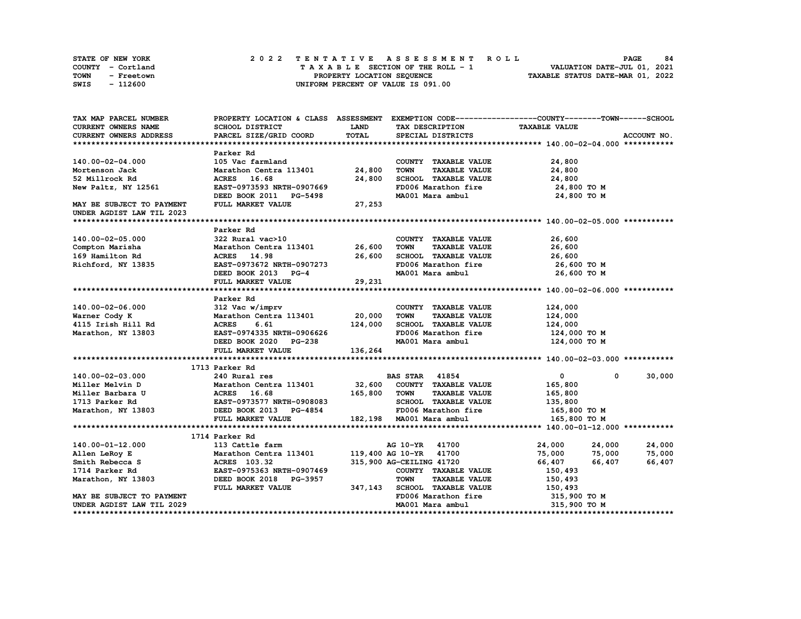|      | <b>STATE OF NEW YORK</b> |  | 2022 TENTATIVE ASSESSMENT ROLL                                 | <b>PAGE</b> | 84 |
|------|--------------------------|--|----------------------------------------------------------------|-------------|----|
|      | COUNTY - Cortland        |  | VALUATION DATE-JUL 01, 2021<br>TAXABLE SECTION OF THE ROLL - 1 |             |    |
| TOWN | - Freetown               |  | TAXABLE STATUS DATE-MAR 01, 2022<br>PROPERTY LOCATION SEQUENCE |             |    |
| SWIS | - 112600                 |  | UNIFORM PERCENT OF VALUE IS 091.00                             |             |    |

| TAX MAP PARCEL NUMBER                                                                  |                                                                     |              |                                     | PROPERTY LOCATION & CLASS ASSESSMENT EXEMPTION CODE-----------------COUNTY-------TOWN------SCHOOL |             |
|----------------------------------------------------------------------------------------|---------------------------------------------------------------------|--------------|-------------------------------------|---------------------------------------------------------------------------------------------------|-------------|
| CURRENT OWNERS NAME                                                                    | SCHOOL DISTRICT                                                     | <b>LAND</b>  | TAX DESCRIPTION                     | <b>TAXABLE VALUE</b>                                                                              |             |
| <b>CURRENT OWNERS ADDRESS</b>                                                          | PARCEL SIZE/GRID COORD                                              | TOTAL        | SPECIAL DISTRICTS                   |                                                                                                   | ACCOUNT NO. |
|                                                                                        |                                                                     |              |                                     |                                                                                                   |             |
|                                                                                        | Parker Rd                                                           |              |                                     |                                                                                                   |             |
| 140.00-02-04.000                                                                       | 105 Vac farmland                                                    |              | COUNTY TAXABLE VALUE                | 24,800                                                                                            |             |
| Mortenson Jack                                                                         | Marathon Centra 113401 24,800                                       |              | <b>TOWN</b><br><b>TAXABLE VALUE</b> | 24,800                                                                                            |             |
| 52 Millrock Rd                                                                         | ACRES 16.68                                                         | 24,800       | SCHOOL TAXABLE VALUE                | 24,800                                                                                            |             |
| New Paltz, NY 12561                                                                    | EAST-0973593 NRTH-0907669                                           |              | FD006 Marathon fire                 | 24,800 TO M                                                                                       |             |
|                                                                                        | DEED BOOK 2011 PG-5498                                              |              | MA001 Mara ambul                    | 24,800 TO M                                                                                       |             |
| MAY BE SUBJECT TO PAYMENT                                                              | FULL MARKET VALUE                                                   | 27,253       |                                     |                                                                                                   |             |
| UNDER AGDIST LAW TIL 2023                                                              |                                                                     |              |                                     |                                                                                                   |             |
|                                                                                        |                                                                     |              |                                     |                                                                                                   |             |
|                                                                                        | Parker Rd                                                           |              |                                     |                                                                                                   |             |
| 140.00-02-05.000                                                                       | 322 Rural vac>10                                                    |              | COUNTY TAXABLE VALUE                | 26,600                                                                                            |             |
| Compton Marisha                                                                        | Marathon Centra 113401 26,600                                       |              | <b>TAXABLE VALUE</b><br><b>TOWN</b> | 26,600                                                                                            |             |
| 169 Hamilton Rd                                                                        | ACRES 14.98                                                         | 26,600       | SCHOOL TAXABLE VALUE                | 26,600                                                                                            |             |
| Richford, NY 13835                                                                     | EAST-0973672 NRTH-0907273                                           |              | FD006 Marathon fire                 | 26,600 то м                                                                                       |             |
|                                                                                        | DEED BOOK 2013 PG-4                                                 |              | MA001 Mara ambul                    | 26,600 TO M                                                                                       |             |
|                                                                                        | FULL MARKET VALUE                                                   | 29, 231      |                                     |                                                                                                   |             |
|                                                                                        |                                                                     |              |                                     |                                                                                                   |             |
|                                                                                        | Parker Rd                                                           |              |                                     |                                                                                                   |             |
| 140.00-02-06.000                                                                       |                                                                     |              | COUNTY TAXABLE VALUE                | 124,000                                                                                           |             |
| Warner Cody K                                                                          |                                                                     |              | <b>TOWN</b><br><b>TAXABLE VALUE</b> | 124,000                                                                                           |             |
| 4115 Irish Hill Rd                                                                     | 6.61<br><b>ACRES</b>                                                | 124,000      | SCHOOL TAXABLE VALUE                | 124,000                                                                                           |             |
| Marathon, NY 13803                                                                     | EAST-0974335 NRTH-0906626                                           |              | FD006 Marathon fire                 | 124,000 TO M                                                                                      |             |
|                                                                                        | DEED BOOK 2020 PG-238                                               |              | MA001 Mara ambul                    | 124,000 TO M                                                                                      |             |
|                                                                                        | FULL MARKET VALUE                                                   | 136,264      |                                     |                                                                                                   |             |
|                                                                                        |                                                                     |              |                                     |                                                                                                   |             |
|                                                                                        | 1713 Parker Rd                                                      |              |                                     |                                                                                                   |             |
| 140.00-02-03.000                                                                       | 240 Rural res<br>Marathon Centra 113401 32,600 COUNTY TAXABLE VALUE |              | <b>BAS STAR</b> 41854               | $\mathbf{0}$<br>$^{\circ}$                                                                        | 30,000      |
| Miller Melvin D                                                                        |                                                                     |              |                                     | 165,800                                                                                           |             |
| Miller Barbara U                                                                       | ACRES 16.68<br>EAST-0973577 NRTH-0908083                            | 165,800 TOWN | <b>TAXABLE VALUE</b>                | 165,800                                                                                           |             |
|                                                                                        |                                                                     |              | SCHOOL TAXABLE VALUE                | 135,800                                                                                           |             |
| // NRTH-0908083 DEED BOOK 2013 PG-4854<br>DEED BOOK 2013 PG-4854<br>PULL MADVES ISLAMS |                                                                     |              | FD006 Marathon fire                 | 165,800 TO M                                                                                      |             |
|                                                                                        |                                                                     |              | 182,198 MA001 Mara ambul            | 165,800 TO M                                                                                      |             |
|                                                                                        |                                                                     |              |                                     |                                                                                                   |             |
|                                                                                        | 1714 Parker Rd                                                      |              |                                     |                                                                                                   |             |
| 140.00-01-12.000                                                                       | 113 Cattle farm                                                     |              | AG 10-YR 41700                      | 24,000<br>24,000                                                                                  | 24,000      |
| Allen LeRoy E                                                                          | Marathon Centra 113401                                              |              | 119,400 AG 10-YR 41700              | 75,000<br>75,000                                                                                  | 75,000      |
| Smith Rebecca S                                                                        | ACRES 103.32                                                        |              | 315,900 AG-CEILING 41720            | 66,407<br>66,407                                                                                  | 66,407      |
| 1714 Parker Rd                                                                         | EAST-0975363 NRTH-0907469                                           |              | COUNTY TAXABLE VALUE                | 150,493                                                                                           |             |
| Marathon, NY 13803                                                                     | DEED BOOK 2018 PG-3957                                              |              | <b>TOWN</b><br><b>TAXABLE VALUE</b> | 150,493                                                                                           |             |
|                                                                                        | FULL MARKET VALUE                                                   | 347,143      | SCHOOL TAXABLE VALUE                | 150,493                                                                                           |             |
| MAY BE SUBJECT TO PAYMENT                                                              |                                                                     |              | FD006 Marathon fire                 | 315,900 TO M                                                                                      |             |
| UNDER AGDIST LAW TIL 2029                                                              |                                                                     |              | MA001 Mara ambul                    | 315,900 TO M                                                                                      |             |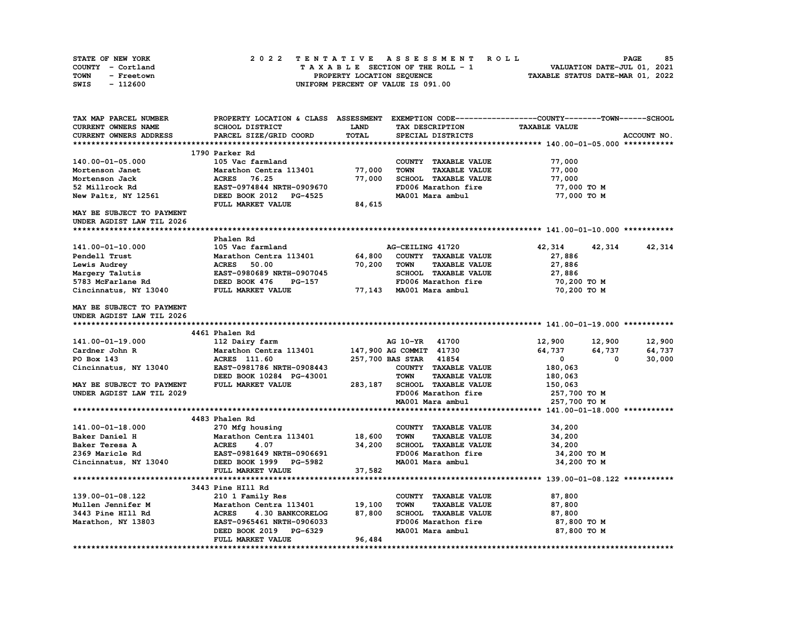| STATE OF NEW YORK  | 2022 TENTATIVE ASSESSMENT ROLL     | 85<br><b>PAGE</b>                |
|--------------------|------------------------------------|----------------------------------|
| COUNTY - Cortland  | TAXABLE SECTION OF THE ROLL - 1    | VALUATION DATE-JUL 01, 2021      |
| TOWN<br>- Freetown | PROPERTY LOCATION SEOUENCE         | TAXABLE STATUS DATE-MAR 01, 2022 |
| - 112600<br>SWIS   | UNIFORM PERCENT OF VALUE IS 091.00 |                                  |

| TAX MAP PARCEL NUMBER     |                                  |             |                                     | PROPERTY LOCATION & CLASS ASSESSMENT EXEMPTION CODE----------------COUNTY-------TOWN------SCHOOL |                 |
|---------------------------|----------------------------------|-------------|-------------------------------------|--------------------------------------------------------------------------------------------------|-----------------|
| CURRENT OWNERS NAME       | SCHOOL DISTRICT                  | <b>LAND</b> | TAX DESCRIPTION                     | <b>TAXABLE VALUE</b>                                                                             |                 |
| CURRENT OWNERS ADDRESS    | PARCEL SIZE/GRID COORD           | TOTAL       | SPECIAL DISTRICTS                   |                                                                                                  | ACCOUNT NO.     |
|                           |                                  |             |                                     |                                                                                                  |                 |
|                           | 1790 Parker Rd                   |             |                                     |                                                                                                  |                 |
| 140.00-01-05.000          | 105 Vac farmland                 |             | COUNTY TAXABLE VALUE                | 77,000                                                                                           |                 |
| Mortenson Janet           | Marathon Centra 113401           | 77,000      | <b>TOWN</b><br><b>TAXABLE VALUE</b> | 77,000                                                                                           |                 |
| Mortenson Jack            | <b>ACRES</b> 76.25               | 77,000      | SCHOOL TAXABLE VALUE                | 77,000                                                                                           |                 |
| 52 Millrock Rd            | EAST-0974844 NRTH-0909670        |             | FD006 Marathon fire                 | 77,000 TO M                                                                                      |                 |
| New Paltz, NY 12561       | DEED BOOK 2012 PG-4525           |             | MA001 Mara ambul                    | 77,000 TO M                                                                                      |                 |
|                           | FULL MARKET VALUE                | 84,615      |                                     |                                                                                                  |                 |
| MAY BE SUBJECT TO PAYMENT |                                  |             |                                     |                                                                                                  |                 |
| UNDER AGDIST LAW TIL 2026 |                                  |             |                                     |                                                                                                  |                 |
|                           |                                  |             |                                     |                                                                                                  |                 |
|                           | Phalen Rd                        |             |                                     |                                                                                                  |                 |
| 141.00-01-10.000          | 105 Vac farmland                 |             | AG-CEILING 41720                    | 42,314                                                                                           | 42, 314 42, 314 |
| Pendell Trust             | Marathon Centra 113401           | 64,800      | COUNTY TAXABLE VALUE                | 27,886                                                                                           |                 |
| Lewis Audrey              | <b>ACRES</b><br>50.00            | 70,200      | <b>TOWN</b><br><b>TAXABLE VALUE</b> | 27,886                                                                                           |                 |
| Margery Talutis           | <b>EAST-0980689 NRTH-0907045</b> |             | SCHOOL TAXABLE VALUE                | 27,886                                                                                           |                 |
| 5783 McFarlane Rd         | DEED BOOK 476<br>PG-157          |             | FD006 Marathon fire                 | 70,200 TO M                                                                                      |                 |
| Cincinnatus, NY 13040     | FULL MARKET VALUE                |             | 77,143 MA001 Mara ambul             | 70,200 TO M                                                                                      |                 |
|                           |                                  |             |                                     |                                                                                                  |                 |
| MAY BE SUBJECT TO PAYMENT |                                  |             |                                     |                                                                                                  |                 |
| UNDER AGDIST LAW TIL 2026 |                                  |             |                                     |                                                                                                  |                 |
|                           |                                  |             |                                     |                                                                                                  |                 |
|                           | 4461 Phalen Rd                   |             |                                     |                                                                                                  |                 |
| 141.00-01-19.000          | 112 Dairy farm                   |             | AG 10-YR<br>41700                   | 12,900<br>12,900                                                                                 | 12,900          |
| Cardner John R            | Marathon Centra 113401           |             | 147,900 AG COMMIT 41730             | 64,737<br>64,737                                                                                 | 64,737          |
| PO Box 143                | ACRES 111.60                     |             | 257,700 BAS STAR 41854              | $\mathbf{0}$<br>$\mathbf{0}$                                                                     | 30,000          |
| Cincinnatus, NY 13040     | EAST-0981786 NRTH-0908443        |             | COUNTY TAXABLE VALUE                | 180,063                                                                                          |                 |
|                           | DEED BOOK 10284 PG-43001         |             | <b>TOWN</b><br><b>TAXABLE VALUE</b> | 180,063                                                                                          |                 |
| MAY BE SUBJECT TO PAYMENT | FULL MARKET VALUE                | 283,187     | SCHOOL TAXABLE VALUE                | 150,063                                                                                          |                 |
| UNDER AGDIST LAW TIL 2029 |                                  |             | FD006 Marathon fire                 | 257,700 TO M                                                                                     |                 |
|                           |                                  |             | MA001 Mara ambul                    | 257,700 TO M                                                                                     |                 |
|                           |                                  |             |                                     |                                                                                                  |                 |
|                           | 4483 Phalen Rd                   |             |                                     |                                                                                                  |                 |
| 141.00-01-18.000          | 270 Mfg housing                  |             | COUNTY TAXABLE VALUE                | 34,200                                                                                           |                 |
| Baker Daniel H            | Marathon Centra 113401 18,600    |             | <b>TOWN</b><br><b>TAXABLE VALUE</b> | 34,200                                                                                           |                 |
| Baker Teresa A            | <b>ACRES</b><br>4.07             | 34,200      | SCHOOL TAXABLE VALUE                | 34,200                                                                                           |                 |
| 2369 Maricle Rd           | EAST-0981649 NRTH-0906691        |             | FD006 Marathon fire                 | 34,200 TO M                                                                                      |                 |
| Cincinnatus, NY 13040     | DEED BOOK 1999 PG-5982           |             | MA001 Mara ambul                    | 34,200 TO M                                                                                      |                 |
|                           | FULL MARKET VALUE                | 37,582      |                                     |                                                                                                  |                 |
|                           |                                  |             |                                     |                                                                                                  |                 |
|                           | 3443 Pine HIll Rd                |             |                                     |                                                                                                  |                 |
| 139.00-01-08.122          | 210 1 Family Res                 |             | COUNTY TAXABLE VALUE                | 87,800                                                                                           |                 |
| Mullen Jennifer M         | Marathon Centra 113401           | 19,100      | <b>TOWN</b><br><b>TAXABLE VALUE</b> | 87,800                                                                                           |                 |
| 3443 Pine HIll Rd         | <b>ACRES</b><br>4.30 BANKCORELOG | 87,800      | SCHOOL TAXABLE VALUE                | 87,800                                                                                           |                 |
| Marathon, NY 13803        | EAST-0965461 NRTH-0906033        |             | FD006 Marathon fire                 | 87,800 TO M                                                                                      |                 |
|                           | DEED BOOK 2019 PG-6329           |             | MA001 Mara ambul                    | 87,800 TO M                                                                                      |                 |
|                           | FULL MARKET VALUE                | 96,484      |                                     |                                                                                                  |                 |
|                           |                                  |             |                                     |                                                                                                  |                 |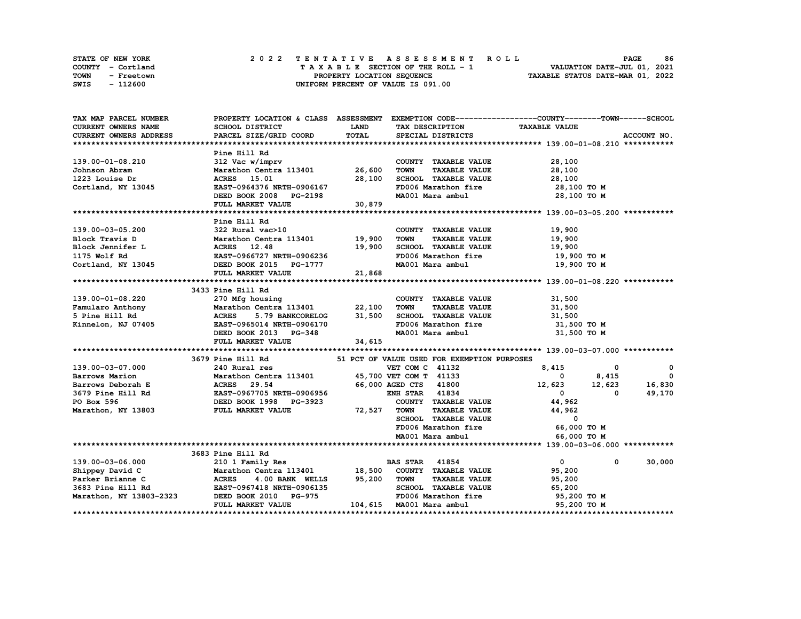|             | STATE OF NEW YORK |  |  |  |  |                                    |  |  |  |  | 2022 TENTATIVE ASSESSMENT ROLL |                                  |                             | <b>PAGE</b> | 86 |
|-------------|-------------------|--|--|--|--|------------------------------------|--|--|--|--|--------------------------------|----------------------------------|-----------------------------|-------------|----|
|             | COUNTY - Cortland |  |  |  |  | TAXABLE SECTION OF THE ROLL - 1    |  |  |  |  |                                |                                  | VALUATION DATE-JUL 01, 2021 |             |    |
| <b>TOWN</b> | - Freetown        |  |  |  |  | PROPERTY LOCATION SEQUENCE         |  |  |  |  |                                | TAXABLE STATUS DATE-MAR 01, 2022 |                             |             |    |
| SWIS        | - 112600          |  |  |  |  | UNIFORM PERCENT OF VALUE IS 091.00 |  |  |  |  |                                |                                  |                             |             |    |

| TAX MAP PARCEL NUMBER                                                                                                                                                                                                                    |                                                                                                                     |             |                                             | PROPERTY LOCATION & CLASS ASSESSMENT EXEMPTION CODE----------------COUNTY-------TOWN-----SCHOOL |             |
|------------------------------------------------------------------------------------------------------------------------------------------------------------------------------------------------------------------------------------------|---------------------------------------------------------------------------------------------------------------------|-------------|---------------------------------------------|-------------------------------------------------------------------------------------------------|-------------|
| CURRENT OWNERS NAME                                                                                                                                                                                                                      | SCHOOL DISTRICT                                                                                                     | <b>LAND</b> | TAX DESCRIPTION                             | <b>TAXABLE VALUE</b>                                                                            |             |
| <b>CURRENT OWNERS ADDRESS</b>                                                                                                                                                                                                            | PARCEL SIZE/GRID COORD                                                                                              | TOTAL       | SPECIAL DISTRICTS                           |                                                                                                 | ACCOUNT NO. |
|                                                                                                                                                                                                                                          |                                                                                                                     |             |                                             |                                                                                                 |             |
|                                                                                                                                                                                                                                          | Pine Hill Rd                                                                                                        |             |                                             |                                                                                                 |             |
| 139.00-01-08.210                                                                                                                                                                                                                         | Fine niii ku<br>312 Vac w/imprv                                                                                     |             | COUNTY TAXABLE VALUE                        | 28,100                                                                                          |             |
| Johnson Abram                                                                                                                                                                                                                            | Marathon Centra 113401 26,600                                                                                       |             | <b>TOWN</b><br><b>TAXABLE VALUE</b>         | 28,100                                                                                          |             |
| 1223 Louise Dr                                                                                                                                                                                                                           |                                                                                                                     |             | SCHOOL TAXABLE VALUE                        |                                                                                                 |             |
| Cortland, NY 13045                                                                                                                                                                                                                       | EAST-0964376 NRTH-0906167<br>DEED ROOK 2000                                                                         |             | FD006 Marathon fire                         | 28,100 TO M<br>28,100 TO M<br>מיחי                                                              |             |
|                                                                                                                                                                                                                                          | DEED BOOK 2008 PG-2198                                                                                              |             |                                             | MA001 Mara ambul 28,100 TO M                                                                    |             |
|                                                                                                                                                                                                                                          | FULL MARKET VALUE 30,879                                                                                            |             |                                             |                                                                                                 |             |
|                                                                                                                                                                                                                                          |                                                                                                                     |             |                                             |                                                                                                 |             |
|                                                                                                                                                                                                                                          | Pine Hill Rd                                                                                                        |             |                                             |                                                                                                 |             |
| 139.00-03-05.200                                                                                                                                                                                                                         | 322 Rural vac>10                                                                                                    |             | COUNTY TAXABLE VALUE                        | 19,900                                                                                          |             |
|                                                                                                                                                                                                                                          |                                                                                                                     |             | <b>TOWN</b><br><b>TAXABLE VALUE</b>         | 19,900                                                                                          |             |
|                                                                                                                                                                                                                                          |                                                                                                                     |             | SCHOOL TAXABLE VALUE                        | 19,900                                                                                          |             |
|                                                                                                                                                                                                                                          |                                                                                                                     |             | FD006 Marathon fire                         | 19,900 то м                                                                                     |             |
|                                                                                                                                                                                                                                          |                                                                                                                     |             | MA001 Mara ambul                            | 19,900 то м                                                                                     |             |
| 139.00-03-05.200 322 Rural vac>10<br>Block Travis D Marathon Centra 113401 19,900<br>Block Jennifer L ACRES 12.48 19,900<br>175 Wolf Rd EAST-0966727 NRTH-0906236<br>Cortland, NY 13045 DEED BOOK 2015 PG-1777<br>FULL MARKET VALUE 21,8 |                                                                                                                     |             |                                             |                                                                                                 |             |
|                                                                                                                                                                                                                                          |                                                                                                                     |             |                                             |                                                                                                 |             |
|                                                                                                                                                                                                                                          | 3433 Pine Hill Rd                                                                                                   |             |                                             |                                                                                                 |             |
| 139.00-01-08.220                                                                                                                                                                                                                         | 270 Mfg housing                                                                                                     |             | COUNTY TAXABLE VALUE                        | 31,500                                                                                          |             |
|                                                                                                                                                                                                                                          |                                                                                                                     |             | <b>TOWN</b><br>TAXABLE VALUE                |                                                                                                 |             |
| Famularo Anthony Marathon Centra 113401 22,100<br>5 Pine Hill Rd                         ACRES     5.79 BANKCORELOG         31,500                                                                                                       |                                                                                                                     |             | SCHOOL TAXABLE VALUE                        | 31,500<br>31,500                                                                                |             |
|                                                                                                                                                                                                                                          |                                                                                                                     |             |                                             | FD006 Marathon fire 31,500 TO M                                                                 |             |
|                                                                                                                                                                                                                                          |                                                                                                                     |             | MA001 Mara ambul                            | 31,500 TO M                                                                                     |             |
|                                                                                                                                                                                                                                          | FULL MARKET VALUE 34, 615                                                                                           |             |                                             |                                                                                                 |             |
|                                                                                                                                                                                                                                          |                                                                                                                     |             |                                             |                                                                                                 |             |
|                                                                                                                                                                                                                                          | 3679 Pine Hill Rd                                                                                                   |             | 51 PCT OF VALUE USED FOR EXEMPTION PURPOSES |                                                                                                 |             |
| 139.00-03-07.000                                                                                                                                                                                                                         | 240 Rural res                                                                                                       |             | VET COM C 41132                             |                                                                                                 | 0           |
| Barrows Marion                                                                                                                                                                                                                           |                                                                                                                     |             |                                             | $8,415$ 0<br>0 $8,415$                                                                          | $^{\circ}$  |
| Barrows Deborah E                                                                                                                                                                                                                        | Marathon Centra 113401 45,700 VET COM T 41133<br>ACRES 29.54 66.000 AGED COM 41900<br>Marathon Cent:<br>ACRES 29.54 |             | 66,000 AGED CTS 41800                       | $12,623$ $12,623$                                                                               | 16,830      |
|                                                                                                                                                                                                                                          |                                                                                                                     |             | <b>ENH STAR</b> 41834                       | $\overline{0}$<br>$\mathbf 0$                                                                   | 49,170      |
|                                                                                                                                                                                                                                          |                                                                                                                     |             | COUNTY TAXABLE VALUE                        | 44,962                                                                                          |             |
| 3679 Pine Hill Rd<br>2679 Pine Hill Rd<br>2679 Pine Hill Rd<br>26887-0967705 NRTH-0906956<br>272, DEED BOOK 1998<br>272, PO BOOK 1998<br>273, PO BOOK 1998<br>273, PO BOOK 1998<br>274, PO BOOK 1998                                     |                                                                                                                     | 72,527      | <b>TOWN</b>                                 | TAXABLE VALUE 44,962                                                                            |             |
|                                                                                                                                                                                                                                          |                                                                                                                     |             | SCHOOL TAXABLE VALUE                        | $\overline{\mathbf{0}}$                                                                         |             |
|                                                                                                                                                                                                                                          |                                                                                                                     |             | FD006 Marathon fire                         | 66,000 TO M                                                                                     |             |
|                                                                                                                                                                                                                                          |                                                                                                                     |             | MA001 Mara ambul                            | 66,000 TO M                                                                                     |             |
|                                                                                                                                                                                                                                          |                                                                                                                     |             |                                             |                                                                                                 |             |
|                                                                                                                                                                                                                                          | 3683 Pine Hill Rd                                                                                                   |             |                                             |                                                                                                 |             |
|                                                                                                                                                                                                                                          |                                                                                                                     |             |                                             | $\overline{0}$<br>$^{\circ}$                                                                    | 30,000      |
|                                                                                                                                                                                                                                          |                                                                                                                     |             |                                             | 95,200                                                                                          |             |
|                                                                                                                                                                                                                                          |                                                                                                                     |             | TAXABLE VALUE                               | 95,200                                                                                          |             |
|                                                                                                                                                                                                                                          |                                                                                                                     |             |                                             | 65,200                                                                                          |             |
|                                                                                                                                                                                                                                          |                                                                                                                     |             |                                             | FD006 Marathon fire 95,200 TO M                                                                 |             |
|                                                                                                                                                                                                                                          | FULL MARKET VALUE                                                                                                   |             | 104,615 MA001 Mara ambul                    | 95,200 TO M                                                                                     |             |
|                                                                                                                                                                                                                                          |                                                                                                                     |             |                                             |                                                                                                 |             |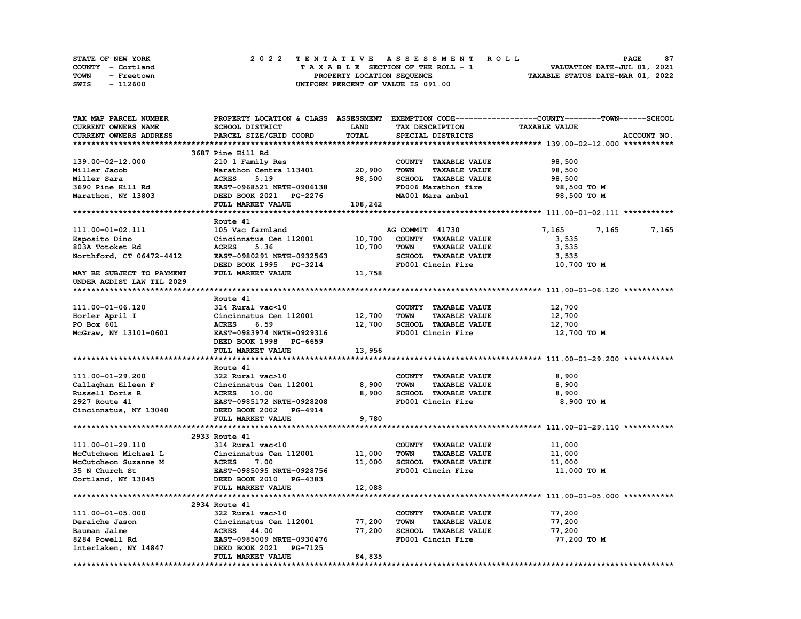| <b>STATE OF NEW YORK</b> | 2022 TENTATIVE ASSESSMENT ROLL     | 87<br><b>PAGE</b>                |
|--------------------------|------------------------------------|----------------------------------|
| COUNTY - Cortland        | TAXABLE SECTION OF THE ROLL - 1    | VALUATION DATE-JUL 01, 2021      |
| TOWN<br>- Freetown       | PROPERTY LOCATION SEQUENCE         | TAXABLE STATUS DATE-MAR 01, 2022 |
| - 112600<br>SWIS         | UNIFORM PERCENT OF VALUE IS 091.00 |                                  |

| TAX MAP PARCEL NUMBER     |                               |             |                                     | PROPERTY LOCATION & CLASS ASSESSMENT EXEMPTION CODE----------------COUNTY-------TOWN-----SCHOOL |
|---------------------------|-------------------------------|-------------|-------------------------------------|-------------------------------------------------------------------------------------------------|
| CURRENT OWNERS NAME       | SCHOOL DISTRICT               | <b>LAND</b> | TAX DESCRIPTION                     | <b>TAXABLE VALUE</b>                                                                            |
| CURRENT OWNERS ADDRESS    | PARCEL SIZE/GRID COORD        | TOTAL       | SPECIAL DISTRICTS                   | ACCOUNT NO.                                                                                     |
|                           |                               |             |                                     |                                                                                                 |
|                           | 3687 Pine Hill Rd             |             |                                     |                                                                                                 |
| 139.00-02-12.000          | 210 1 Family Res              |             | COUNTY TAXABLE VALUE                | 98,500                                                                                          |
| Miller Jacob              | Marathon Centra 113401        | 20,900      | <b>TOWN</b><br><b>TAXABLE VALUE</b> | 98,500                                                                                          |
| Miller Sara               | <b>ACRES</b><br>5.19          | 98,500      | SCHOOL TAXABLE VALUE                | 98,500                                                                                          |
| 3690 Pine Hill Rd         | EAST-0968521 NRTH-0906138     |             | FD006 Marathon fire                 | 98,500 TO M                                                                                     |
| Marathon, NY 13803        | DEED BOOK 2021 PG-2276        |             | MA001 Mara ambul                    | 98,500 TO M                                                                                     |
|                           | FULL MARKET VALUE             | 108,242     |                                     |                                                                                                 |
|                           |                               |             |                                     |                                                                                                 |
|                           | Route 41                      |             |                                     |                                                                                                 |
| 111.00-01-02.111          | 105 Vac farmland              |             | AG COMMIT 41730                     | 7,165<br>7,165<br>7,165                                                                         |
| Esposito Dino             | Cincinnatus Cen 112001        | 10,700      | COUNTY TAXABLE VALUE                | 3,535                                                                                           |
| 803A Totoket Rd           | <b>ACRES</b><br>5.36          | 10,700      | <b>TOWN</b><br><b>TAXABLE VALUE</b> | 3,535                                                                                           |
| Northford, CT 06472-4412  | EAST-0980291 NRTH-0932563     |             | SCHOOL TAXABLE VALUE                | 3,535                                                                                           |
|                           | DEED BOOK 1995 PG-3214        |             | FD001 Cincin Fire                   | 10,700 TO M                                                                                     |
| MAY BE SUBJECT TO PAYMENT | FULL MARKET VALUE             | 11,758      |                                     |                                                                                                 |
| UNDER AGDIST LAW TIL 2029 |                               |             |                                     |                                                                                                 |
|                           |                               |             |                                     |                                                                                                 |
|                           | Route 41                      |             |                                     |                                                                                                 |
|                           |                               |             |                                     |                                                                                                 |
| 111.00-01-06.120          | 314 Rural vac<10              |             | COUNTY TAXABLE VALUE                | 12,700                                                                                          |
| Horler April I            | Cincinnatus Cen 112001 12,700 |             | <b>TOWN</b><br><b>TAXABLE VALUE</b> | 12,700                                                                                          |
| PO Box 601                | <b>ACRES</b><br>6.59          | 12,700      | SCHOOL TAXABLE VALUE                | 12,700                                                                                          |
| McGraw, NY 13101-0601     | EAST-0983974 NRTH-0929316     |             | FD001 Cincin Fire                   | 12,700 TO M                                                                                     |
|                           | DEED BOOK 1998 PG-6659        |             |                                     |                                                                                                 |
|                           | FULL MARKET VALUE             | 13,956      |                                     |                                                                                                 |
|                           |                               |             |                                     |                                                                                                 |
|                           | Route 41                      |             |                                     |                                                                                                 |
| 111.00-01-29.200          | 322 Rural vac>10              |             | COUNTY TAXABLE VALUE                | 8,900                                                                                           |
| Callaghan Eileen F        | Cincinnatus Cen 112001        | 8,900       | TOWN<br><b>TAXABLE VALUE</b>        | 8,900                                                                                           |
| Russell Doris R           | ACRES 10.00                   | 8,900       | SCHOOL TAXABLE VALUE                | 8,900                                                                                           |
| 2927 Route 41             | EAST-0985172 NRTH-0928208     |             | FD001 Cincin Fire                   | 8,900 TO M                                                                                      |
| Cincinnatus, NY 13040     | DEED BOOK 2002 PG-4914        |             |                                     |                                                                                                 |
|                           | FULL MARKET VALUE             | 9,780       |                                     |                                                                                                 |
|                           |                               |             |                                     |                                                                                                 |
|                           | 2933 Route 41                 |             |                                     |                                                                                                 |
| 111.00-01-29.110          | 314 Rural vac<10              |             | COUNTY TAXABLE VALUE                | 11,000                                                                                          |
| McCutcheon Michael L      | Cincinnatus Cen 112001        | 11,000      | <b>TOWN</b><br><b>TAXABLE VALUE</b> | 11,000                                                                                          |
| McCutcheon Suzanne M      | <b>ACRES</b><br>7.00          | 11,000      | SCHOOL TAXABLE VALUE                | 11,000                                                                                          |
| 35 N Church St            | EAST-0985095 NRTH-0928756     |             | FD001 Cincin Fire                   | 11,000 TO M                                                                                     |
| Cortland, NY 13045        | DEED BOOK 2010 PG-4383        |             |                                     |                                                                                                 |
|                           | FULL MARKET VALUE             | 12,088      |                                     |                                                                                                 |
|                           |                               |             |                                     |                                                                                                 |
|                           | 2934 Route 41                 |             |                                     |                                                                                                 |
| 111.00-01-05.000          | 322 Rural vac>10              |             | COUNTY TAXABLE VALUE                | 77,200                                                                                          |
| Deraiche Jason            | Cincinnatus Cen 112001        | 77,200      | <b>TOWN</b><br><b>TAXABLE VALUE</b> | 77,200                                                                                          |
| Bauman Jaime              | <b>ACRES</b> 44.00            | 77,200      | <b>SCHOOL TAXABLE VALUE</b>         | 77,200                                                                                          |
| 8284 Powell Rd            | EAST-0985009 NRTH-0930476     |             | FD001 Cincin Fire                   | 77,200 TO M                                                                                     |
| Interlaken, NY 14847      | DEED BOOK 2021 PG-7125        |             |                                     |                                                                                                 |
|                           | FULL MARKET VALUE             | 84,835      |                                     |                                                                                                 |
|                           |                               |             |                                     |                                                                                                 |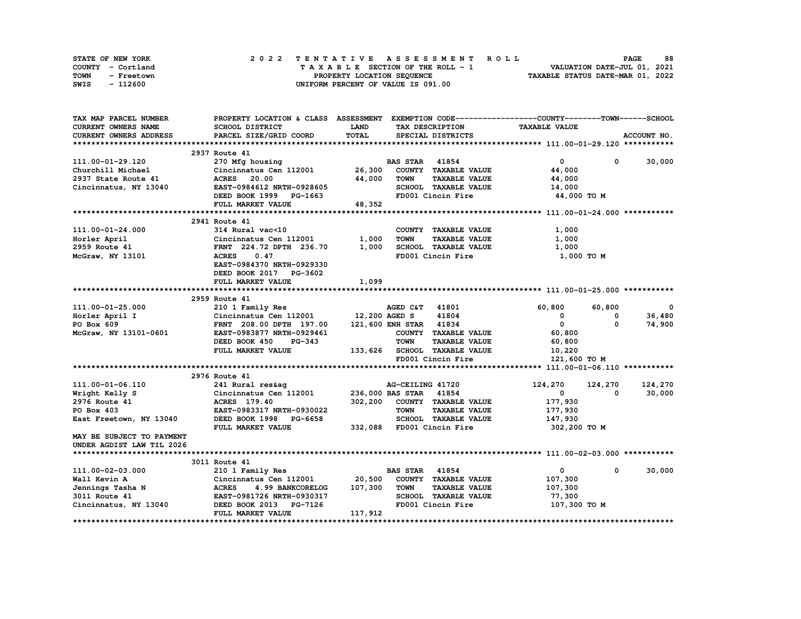| STATE OF NEW YORK  | 2022 TENTATIVE ASSESSMENT ROLL     | 88<br><b>PAGE</b>                |
|--------------------|------------------------------------|----------------------------------|
| COUNTY - Cortland  | TAXABLE SECTION OF THE ROLL - 1    | VALUATION DATE-JUL 01, 2021      |
| TOWN<br>- Freetown | PROPERTY LOCATION SEQUENCE         | TAXABLE STATUS DATE-MAR 01, 2022 |
| - 112600<br>SWIS   | UNIFORM PERCENT OF VALUE IS 091.00 |                                  |

| TAX MAP PARCEL NUMBER      |                                                   |         |                                     | PROPERTY LOCATION & CLASS ASSESSMENT EXEMPTION CODE-----------------COUNTY-------TOWN------SCHOOL |             |
|----------------------------|---------------------------------------------------|---------|-------------------------------------|---------------------------------------------------------------------------------------------------|-------------|
| <b>CURRENT OWNERS NAME</b> | SCHOOL DISTRICT                                   | LAND    | TAX DESCRIPTION                     | <b>TAXABLE VALUE</b>                                                                              |             |
| CURRENT OWNERS ADDRESS     | PARCEL SIZE/GRID COORD                            | TOTAL   | SPECIAL DISTRICTS                   |                                                                                                   | ACCOUNT NO. |
|                            |                                                   |         |                                     |                                                                                                   |             |
|                            | 2937 Route 41                                     |         |                                     |                                                                                                   |             |
| 111.00-01-29.120           | 270 Mfg housing                                   |         | <b>BAS STAR 41854</b>               | $^{\circ}$<br>$\mathbf{0}$                                                                        | 30,000      |
| Churchill Michael          | Cincinnatus Cen 112001                            | 26,300  | COUNTY TAXABLE VALUE                | 44,000                                                                                            |             |
| 2937 State Route 41        | <b>ACRES</b> 20.00                                | 44,000  | TOWN<br><b>TAXABLE VALUE</b>        | 44,000                                                                                            |             |
| Cincinnatus, NY 13040      | EAST-0984612 NRTH-0928605                         |         | SCHOOL TAXABLE VALUE                | 14,000                                                                                            |             |
|                            | DEED BOOK 1999 PG-1663                            |         | FD001 Cincin Fire                   | 44,000 TO M                                                                                       |             |
|                            | FULL MARKET VALUE                                 | 48,352  |                                     |                                                                                                   |             |
|                            |                                                   |         |                                     |                                                                                                   |             |
|                            | 2941 Route 41                                     |         |                                     |                                                                                                   |             |
| 111.00-01-24.000           | 314 Rural vac<10                                  |         | COUNTY TAXABLE VALUE                | 1,000                                                                                             |             |
| Horler April               | Cincinnatus Cen 112001                            | 1,000   | <b>TAXABLE VALUE</b><br><b>TOWN</b> | 1,000                                                                                             |             |
| 2959 Route 41              | FRNT 224.72 DPTH 236.70                           | 1,000   | SCHOOL TAXABLE VALUE                | 1,000                                                                                             |             |
| McGraw, NY 13101           | <b>ACRES</b><br>0.47                              |         | FD001 Cincin Fire                   | 1,000 TO M                                                                                        |             |
|                            | EAST-0984370 NRTH-0929330                         |         |                                     |                                                                                                   |             |
|                            | DEED BOOK 2017 PG-3602                            |         |                                     |                                                                                                   |             |
|                            | FULL MARKET VALUE                                 | 1,099   |                                     |                                                                                                   |             |
|                            |                                                   |         |                                     |                                                                                                   |             |
|                            | 2959 Route 41                                     |         |                                     |                                                                                                   |             |
| 111.00-01-25.000           | 210 1 Family Res                                  |         | 41801<br>AGED C&T                   | 60,800<br>60,800                                                                                  | 0           |
| Horler April I             | Cincinnatus Cen 112001 12,200 AGED S              |         | 41804                               | 0<br>0                                                                                            | 36,480      |
| PO Box 609                 | FRNT 208.00 DPTH 197.00                           |         | 121,600 ENH STAR 41834              | $\overline{0}$<br>$\Omega$                                                                        | 74,900      |
| McGraw, NY 13101-0601      | EAST-0983877 NRTH-0929461                         |         | COUNTY TAXABLE VALUE                | 60,800                                                                                            |             |
|                            | DEED BOOK 450<br>PG-343                           |         | <b>TOWN</b><br><b>TAXABLE VALUE</b> | 60,800                                                                                            |             |
|                            | FULL MARKET VALUE                                 |         | 133,626 SCHOOL TAXABLE VALUE        | 10,220                                                                                            |             |
|                            |                                                   |         | FD001 Cincin Fire                   | 121,600 TO M                                                                                      |             |
|                            |                                                   |         |                                     |                                                                                                   |             |
|                            | 2976 Route 41                                     |         |                                     |                                                                                                   |             |
| 111.00-01-06.110           | 241 Rural res&aq                                  |         | AG-CEILING 41720                    | 124,270<br>124,270                                                                                | 124,270     |
| Wright Kelly S             |                                                   |         | 236,000 BAS STAR 41854              | $^{\circ}$<br>0                                                                                   | 30,000      |
| 2976 Route 41              | Cincinnatus Cen 112001<br>ACRES 179.40            | 302,200 | COUNTY TAXABLE VALUE                |                                                                                                   |             |
|                            |                                                   |         | <b>TOWN</b>                         | 177,930                                                                                           |             |
| PO Box 403                 | EAST-0983317 NRTH-0930022                         |         | <b>TAXABLE VALUE</b>                | 177,930                                                                                           |             |
| East Freetown, NY 13040    | DEED BOOK 1998 PG-6658                            |         | SCHOOL TAXABLE VALUE                | 147,930                                                                                           |             |
|                            | FULL MARKET VALUE                                 |         | 332,088 FD001 Cincin Fire           | 302,200 TO M                                                                                      |             |
| MAY BE SUBJECT TO PAYMENT  |                                                   |         |                                     |                                                                                                   |             |
| UNDER AGDIST LAW TIL 2026  |                                                   |         |                                     |                                                                                                   |             |
|                            | 3011 Route 41                                     |         |                                     |                                                                                                   |             |
|                            |                                                   |         |                                     | $\mathbf{0}$                                                                                      |             |
| 111.00-02-03.000           | 210 1 Family Res<br>Cincinnatus Cen 112001 20,500 |         | <b>BAS STAR 41854</b>               | $^{\circ}$                                                                                        | 30,000      |
| Wall Kevin A               |                                                   |         | COUNTY TAXABLE VALUE                | 107,300                                                                                           |             |
| Jennings Tasha N           | <b>ACRES</b><br>4.99 BANKCORELOG                  | 107,300 | <b>TOWN</b><br><b>TAXABLE VALUE</b> | 107,300                                                                                           |             |
| 3011 Route 41              | EAST-0981726 NRTH-0930317                         |         | SCHOOL TAXABLE VALUE                | 77,300                                                                                            |             |
| Cincinnatus, NY 13040      | DEED BOOK 2013 PG-7126                            |         | FD001 Cincin Fire                   | 107,300 TO M                                                                                      |             |
|                            | FULL MARKET VALUE                                 | 117,912 |                                     |                                                                                                   |             |
|                            |                                                   |         |                                     |                                                                                                   |             |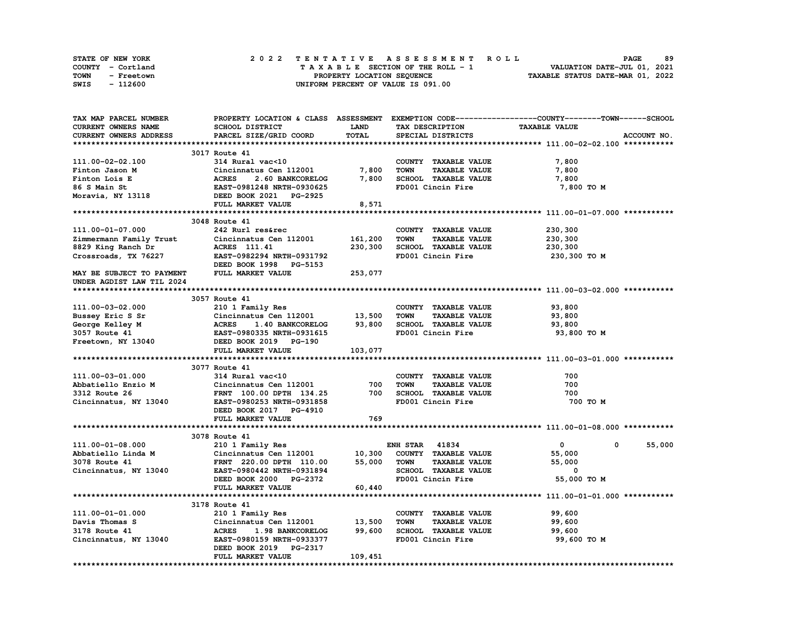| <b>STATE OF NEW YORK</b> | 2022 TENTATIVE ASSESSMENT ROLL          | 89<br><b>PAGE</b>                |
|--------------------------|-----------------------------------------|----------------------------------|
| COUNTY - Cortland        | $T A X A B L E$ SECTION OF THE ROLL - 1 | VALUATION DATE-JUL 01, 2021      |
| TOWN<br>- Freetown       | PROPERTY LOCATION SEQUENCE              | TAXABLE STATUS DATE-MAR 01, 2022 |
| - 112600<br>SWIS         | UNIFORM PERCENT OF VALUE IS 091.00      |                                  |

| TAX MAP PARCEL NUMBER               |                                  |             |                                     | PROPERTY LOCATION & CLASS ASSESSMENT EXEMPTION CODE-----------------COUNTY-------TOWN------SCHOOL |
|-------------------------------------|----------------------------------|-------------|-------------------------------------|---------------------------------------------------------------------------------------------------|
| CURRENT OWNERS NAME                 | SCHOOL DISTRICT                  | <b>LAND</b> | TAX DESCRIPTION                     | <b>TAXABLE VALUE</b>                                                                              |
| CURRENT OWNERS ADDRESS              | PARCEL SIZE/GRID COORD           | TOTAL       | SPECIAL DISTRICTS                   | ACCOUNT NO.                                                                                       |
|                                     |                                  |             |                                     |                                                                                                   |
|                                     | 3017 Route 41                    |             |                                     |                                                                                                   |
| 111.00-02-02.100                    | 314 Rural vac<10                 |             | COUNTY TAXABLE VALUE                | 7,800                                                                                             |
| Finton Jason M                      | Cincinnatus Cen 112001           | 7,800       | <b>TOWN</b><br><b>TAXABLE VALUE</b> | 7,800                                                                                             |
| Finton Lois E                       | <b>ACRES</b><br>2.60 BANKCORELOG | 7,800       | SCHOOL TAXABLE VALUE                | 7,800                                                                                             |
| 86 S Main St                        | EAST-0981248 NRTH-0930625        |             | FD001 Cincin Fire                   | 7,800 TO M                                                                                        |
| Moravia, NY 13118                   | DEED BOOK 2021 PG-2925           |             |                                     |                                                                                                   |
|                                     | FULL MARKET VALUE                | 8,571       |                                     |                                                                                                   |
|                                     |                                  |             |                                     |                                                                                                   |
|                                     | 3048 Route 41                    |             |                                     |                                                                                                   |
| 111.00-01-07.000                    | 242 Rurl res&rec                 |             | COUNTY TAXABLE VALUE                | 230,300                                                                                           |
|                                     | Cincinnatus Cen 112001           | 161,200     | <b>TOWN</b><br><b>TAXABLE VALUE</b> |                                                                                                   |
| Zimmermann Family Trust             |                                  |             |                                     | 230,300                                                                                           |
| 8829 King Ranch Dr                  | ACRES 111.41                     | 230,300     | SCHOOL TAXABLE VALUE                | 230,300                                                                                           |
| Crossroads, TX 76227                | EAST-0982294 NRTH-0931792        |             | FD001 Cincin Fire                   | 230,300 то м                                                                                      |
|                                     | DEED BOOK 1998 PG-5153           |             |                                     |                                                                                                   |
| MAY BE SUBJECT TO PAYMENT           | FULL MARKET VALUE                | 253,077     |                                     |                                                                                                   |
| UNDER AGDIST LAW TIL 2024           |                                  |             |                                     |                                                                                                   |
|                                     |                                  |             |                                     |                                                                                                   |
|                                     | 3057 Route 41                    |             |                                     |                                                                                                   |
| 111.00-03-02.000                    | 210 1 Family Res                 |             | COUNTY TAXABLE VALUE                | 93,800                                                                                            |
| Bussey Eric S Sr                    | Cincinnatus Cen 112001 13,500    |             | <b>TOWN</b><br><b>TAXABLE VALUE</b> | 93,800                                                                                            |
| George Kelley M                     | <b>ACRES</b><br>1.40 BANKCORELOG | 93,800      | SCHOOL TAXABLE VALUE                | 93,800                                                                                            |
|                                     | EAST-0980335 NRTH-0931615        |             | FD001 Cincin Fire                   | 93,800 TO M                                                                                       |
| 3057 Route 41<br>Freetown, NY 13040 | DEED BOOK 2019 PG-190            |             |                                     |                                                                                                   |
|                                     | FULL MARKET VALUE                | 103,077     |                                     |                                                                                                   |
|                                     |                                  |             |                                     |                                                                                                   |
|                                     | 3077 Route 41                    |             |                                     |                                                                                                   |
| 111.00-03-01.000                    | 314 Rural vac<10                 |             | COUNTY TAXABLE VALUE                | 700                                                                                               |
| Abbatiello Enzio M                  | Cincinnatus Cen 112001           | 700         | <b>TOWN</b><br><b>TAXABLE VALUE</b> | 700                                                                                               |
| 3312 Route 26                       | FRNT 100.00 DPTH 134.25          | 700         | SCHOOL TAXABLE VALUE                | 700                                                                                               |
| Cincinnatus, NY 13040               | EAST-0980253 NRTH-0931858        |             | FD001 Cincin Fire                   | 700 TO M                                                                                          |
|                                     | DEED BOOK 2017 PG-4910           |             |                                     |                                                                                                   |
|                                     | FULL MARKET VALUE                | 769         |                                     |                                                                                                   |
|                                     |                                  |             |                                     |                                                                                                   |
|                                     | 3078 Route 41                    |             |                                     |                                                                                                   |
| 111.00-01-08.000                    | 210 1 Family Res                 |             | <b>ENH STAR 41834</b>               | $\mathbf{0}$<br>55,000<br>$^{\circ}$                                                              |
| Abbatiello Linda M                  | Cincinnatus Cen 112001           | 10,300      | COUNTY TAXABLE VALUE                | 55,000                                                                                            |
| 3078 Route 41                       | FRNT 220.00 DPTH 110.00          | 55,000      | <b>TOWN</b><br><b>TAXABLE VALUE</b> | 55,000                                                                                            |
| Cincinnatus, NY 13040               | EAST-0980442 NRTH-0931894        |             | SCHOOL TAXABLE VALUE                | 0                                                                                                 |
|                                     | DEED BOOK 2000 PG-2372           |             | FD001 Cincin Fire                   | 55,000 TO M                                                                                       |
|                                     | FULL MARKET VALUE                | 60,440      |                                     |                                                                                                   |
|                                     |                                  |             |                                     |                                                                                                   |
|                                     | 3178 Route 41                    |             |                                     |                                                                                                   |
|                                     | 210 1 Family Res                 |             |                                     |                                                                                                   |
| 111.00-01-01.000                    |                                  |             | COUNTY TAXABLE VALUE                | 99,600                                                                                            |
| Davis Thomas S                      | Cincinnatus Cen 112001           | 13,500      | <b>TAXABLE VALUE</b><br>TOWN        | 99,600                                                                                            |
| 3178 Route 41                       | <b>ACRES</b><br>1.98 BANKCORELOG | 99,600      | SCHOOL TAXABLE VALUE                | 99,600                                                                                            |
| Cincinnatus, NY 13040               | EAST-0980159 NRTH-0933377        |             | FD001 Cincin Fire                   | 99,600 TO M                                                                                       |
|                                     | DEED BOOK 2019 PG-2317           |             |                                     |                                                                                                   |
|                                     | FULL MARKET VALUE                | 109,451     |                                     |                                                                                                   |
|                                     |                                  |             |                                     |                                                                                                   |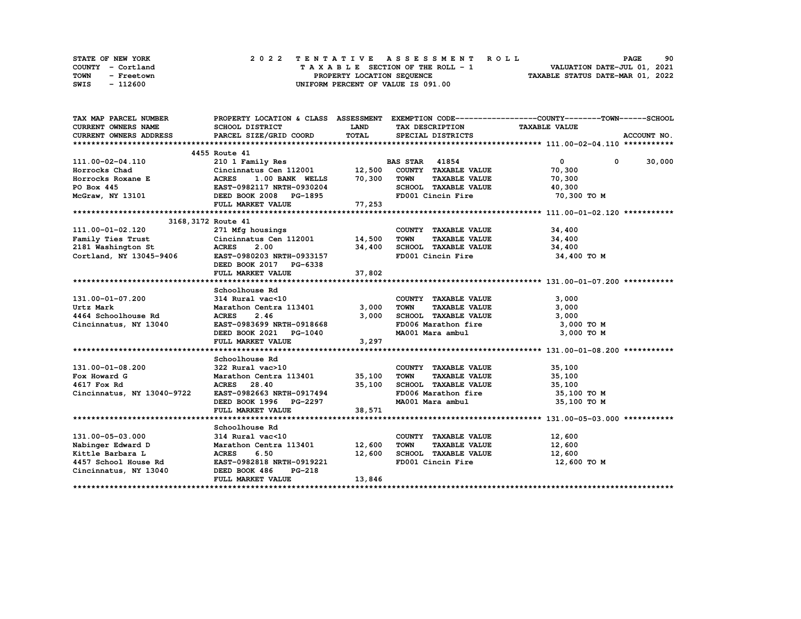| STATE OF NEW YORK  | 2022 TENTATIVE ASSESSMENT ROLL     | 90<br><b>PAGE</b>                |
|--------------------|------------------------------------|----------------------------------|
| COUNTY - Cortland  | TAXABLE SECTION OF THE ROLL - 1    | VALUATION DATE-JUL 01, 2021      |
| TOWN<br>- Freetown | PROPERTY LOCATION SEQUENCE         | TAXABLE STATUS DATE-MAR 01, 2022 |
| - 112600<br>SWIS   | UNIFORM PERCENT OF VALUE IS 091.00 |                                  |

| TAX MAP PARCEL NUMBER                                                                                                                                                                                                               |                                                     |             |                                                    | PROPERTY LOCATION & CLASS ASSESSMENT EXEMPTION CODE----------------COUNTY-------TOWN------SCHOOL |
|-------------------------------------------------------------------------------------------------------------------------------------------------------------------------------------------------------------------------------------|-----------------------------------------------------|-------------|----------------------------------------------------|--------------------------------------------------------------------------------------------------|
| <b>CURRENT OWNERS NAME</b>                                                                                                                                                                                                          | SCHOOL DISTRICT                                     | <b>LAND</b> | TAX DESCRIPTION                                    | <b>TAXABLE VALUE</b>                                                                             |
| CURRENT OWNERS ADDRESS                                                                                                                                                                                                              | PARCEL SIZE/GRID COORD                              | TOTAL       | SPECIAL DISTRICTS                                  | ACCOUNT NO.                                                                                      |
|                                                                                                                                                                                                                                     |                                                     |             |                                                    |                                                                                                  |
|                                                                                                                                                                                                                                     | 4455 Route 41                                       |             |                                                    |                                                                                                  |
|                                                                                                                                                                                                                                     |                                                     |             |                                                    | $\overline{0}$<br>30,000<br>$\mathbf 0$                                                          |
|                                                                                                                                                                                                                                     |                                                     |             |                                                    | 70,300                                                                                           |
| 111.00-02-04.110 210 1 Family Res<br>Horrocks Chad Cincinnatus Cen 112001 12,500 COUNTY TAXABLE VALUE<br>Horrocks Roxane E ACRES 1.00 BANK WELLS 70,300 TOWN TAXABLE VALUE<br>PO Box 445 EAST-0982117 NRTH-0930204 SCHOOL TAXABLE V |                                                     |             |                                                    | 70,300                                                                                           |
|                                                                                                                                                                                                                                     |                                                     |             | SCHOOL TAXABLE VALUE 40,300                        |                                                                                                  |
| McGraw, NY 13101 DEED BOOK 2008 PG-1895                                                                                                                                                                                             |                                                     |             | FD001 Cincin Fire                                  | 70,300 TO M                                                                                      |
|                                                                                                                                                                                                                                     | FULL MARKET VALUE                                   | 77,253      |                                                    |                                                                                                  |
|                                                                                                                                                                                                                                     |                                                     |             |                                                    |                                                                                                  |
|                                                                                                                                                                                                                                     | 3168, 3172 Route 41                                 |             |                                                    |                                                                                                  |
| 111.00-01-02.120 271 Mfg housings<br>Family Ties Trust Cincinnatus Cen 112001 14,500                                                                                                                                                |                                                     |             | COUNTY TAXABLE VALUE                               | 34,400                                                                                           |
|                                                                                                                                                                                                                                     |                                                     |             | <b>TOWN</b><br><b>TAXABLE VALUE</b>                | 34,400                                                                                           |
| 2181 Washington St ACRES                                                                                                                                                                                                            | 2.00                                                | 34,400      | SCHOOL TAXABLE VALUE 34,400                        |                                                                                                  |
| Cortland, NY 13045-9406 EAST-0980203 NRTH-0933157                                                                                                                                                                                   |                                                     |             | FD001 Cincin Fire                                  | 34,400 TO M                                                                                      |
|                                                                                                                                                                                                                                     | DEED BOOK 2017 PG-6338                              |             |                                                    |                                                                                                  |
|                                                                                                                                                                                                                                     | FULL MARKET VALUE                                   | 37,802      |                                                    |                                                                                                  |
|                                                                                                                                                                                                                                     |                                                     |             |                                                    |                                                                                                  |
|                                                                                                                                                                                                                                     | Schoolhouse Rd                                      |             |                                                    |                                                                                                  |
| 131.00-01-07.200                                                                                                                                                                                                                    | 314 Rural vac<10                                    |             | COUNTY TAXABLE VALUE                               | 3,000                                                                                            |
| Urtz Mark                                                                                                                                                                                                                           | Marathon Centra 113401                              | 3,000       | TAXABLE VALUE<br>TOWN                              | 3,000                                                                                            |
| 4464 Schoolhouse Rd                                                                                                                                                                                                                 | ACRES 2.46                                          | 3,000       | SCHOOL TAXABLE VALUE                               | 3,000                                                                                            |
| Cincinnatus, NY 13040                                                                                                                                                                                                               | EAST-0983699 NRTH-0918668                           |             |                                                    | 3,000 TO M                                                                                       |
|                                                                                                                                                                                                                                     | DEED BOOK 2021 PG-1040                              |             |                                                    | 3,000 TO M                                                                                       |
|                                                                                                                                                                                                                                     | FULL MARKET VALUE                                   | 3,297       |                                                    |                                                                                                  |
|                                                                                                                                                                                                                                     |                                                     |             |                                                    |                                                                                                  |
|                                                                                                                                                                                                                                     | Schoolhouse Rd                                      |             |                                                    |                                                                                                  |
| $131.00 - 01 - 08.200$                                                                                                                                                                                                              | 322 Rural vac>10                                    |             | COUNTY TAXABLE VALUE 35,100                        |                                                                                                  |
| Fox Howard G                                                                                                                                                                                                                        | Marathon Centra 113401 15,100<br>ACRES 28.40 35.100 |             | <b>TOWN</b>                                        | TAXABLE VALUE 35,100                                                                             |
| 4617 Fox Rd                                                                                                                                                                                                                         | ACRES 28.40 35,10<br>EAST-0982663 NRTH-0917494      |             | 35,100 SCHOOL TAXABLE VALUE<br>FD006 Marathon fire | 35,100                                                                                           |
| Cincinnatus, NY 13040-9722                                                                                                                                                                                                          |                                                     |             |                                                    | 35,100 TO M                                                                                      |
|                                                                                                                                                                                                                                     | DEED BOOK 1996 PG-2297                              |             | MA001 Mara ambul                                   | 35,100 TO M                                                                                      |
|                                                                                                                                                                                                                                     | FULL MARKET VALUE                                   | 38,571      |                                                    |                                                                                                  |
|                                                                                                                                                                                                                                     |                                                     |             |                                                    |                                                                                                  |
|                                                                                                                                                                                                                                     | Schoolhouse Rd                                      |             |                                                    |                                                                                                  |
| 131.00-05-03.000                                                                                                                                                                                                                    | 314 Rural vac<10                                    |             | COUNTY TAXABLE VALUE 12,600                        |                                                                                                  |
| Nabinger Edward D<br>Kittle Barbara L                                                                                                                                                                                               | Marathon Centra 113401 12,600                       |             | TOWN<br>TAXABLE VALUE                              | 12,600<br>12,600                                                                                 |
|                                                                                                                                                                                                                                     | <b>ACRES</b><br>6.50                                |             | 12,600 SCHOOL TAXABLE VALUE                        |                                                                                                  |
| 4457 School House Rd EAST-0982818 NRTH-0919221                                                                                                                                                                                      |                                                     |             | FD001 Cincin Fire                                  | 12,600 TO M                                                                                      |
| Cincinnatus, NY 13040 DEED BOOK 486                                                                                                                                                                                                 | PG-218                                              |             |                                                    |                                                                                                  |
|                                                                                                                                                                                                                                     | FULL MARKET VALUE                                   | 13,846      |                                                    |                                                                                                  |
|                                                                                                                                                                                                                                     |                                                     |             |                                                    |                                                                                                  |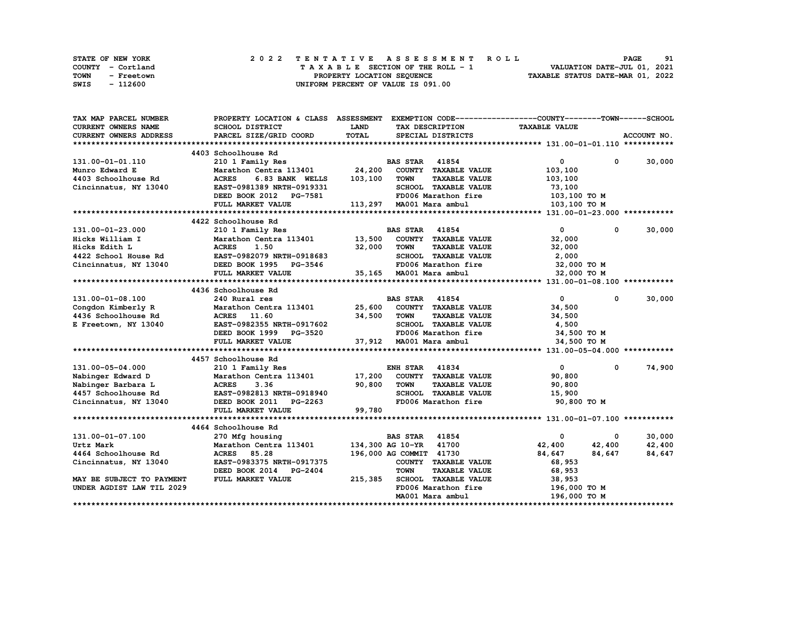| STATE OF NEW YORK |            |  | 2022 TENTATIVE ASSESSMENT ROLL |  |  |                                    |  |  |  |  |  |  |                                  | <b>PAGE</b> | 91 |
|-------------------|------------|--|--------------------------------|--|--|------------------------------------|--|--|--|--|--|--|----------------------------------|-------------|----|
| COUNTY - Cortland |            |  |                                |  |  | TAXABLE SECTION OF THE ROLL - 1    |  |  |  |  |  |  | VALUATION DATE-JUL 01, 2021      |             |    |
| TOWN              | - Freetown |  |                                |  |  | PROPERTY LOCATION SEQUENCE         |  |  |  |  |  |  | TAXABLE STATUS DATE-MAR 01, 2022 |             |    |
| SWIS              | - 112600   |  |                                |  |  | UNIFORM PERCENT OF VALUE IS 091.00 |  |  |  |  |  |  |                                  |             |    |

| TAX MAP PARCEL NUMBER                                          | PROPERTY LOCATION & CLASS ASSESSMENT EXEMPTION CODE----------------COUNTY-------TOWN-----SCHOOL |             |                         |                             |                      |                   |                        |
|----------------------------------------------------------------|-------------------------------------------------------------------------------------------------|-------------|-------------------------|-----------------------------|----------------------|-------------------|------------------------|
| CURRENT OWNERS NAME                                            | SCHOOL DISTRICT                                                                                 | <b>LAND</b> |                         | TAX DESCRIPTION             | <b>TAXABLE VALUE</b> |                   |                        |
| <b>CURRENT OWNERS ADDRESS</b>                                  | PARCEL SIZE/GRID COORD                                                                          | TOTAL       |                         | SPECIAL DISTRICTS           |                      |                   | ACCOUNT NO.            |
|                                                                |                                                                                                 |             |                         |                             |                      |                   |                        |
|                                                                | 4403 Schoolhouse Rd                                                                             |             |                         |                             |                      |                   |                        |
| 131.00-01-01.110                                               | 210 1 Family Res                                                                                |             | <b>BAS STAR</b> 41854   |                             |                      | $\overline{0}$    | $0 \t 30,000$          |
| Munro Edward E                                                 | Marathon Centra 113401 24,200                                                                   |             |                         | COUNTY TAXABLE VALUE        |                      | 103,100           |                        |
| 4403 Schoolhouse Rd                                            | <b>ACRES</b><br>6.83 BANK WELLS                                                                 | 103,100     | <b>TOWN</b>             | <b>TAXABLE VALUE</b>        |                      | 103,100           |                        |
| Cincinnatus, NY 13040                                          | EAST-0981389 NRTH-0919331                                                                       |             |                         | SCHOOL TAXABLE VALUE        |                      | 73,100            |                        |
|                                                                | DEED BOOK 2012 PG-7581                                                                          |             |                         | FD006 Marathon fire         |                      | 103,100 TO M      |                        |
|                                                                | FULL MARKET VALUE                                                                               |             |                         | 113,297 MA001 Mara ambul    |                      | 103,100 TO M      |                        |
|                                                                |                                                                                                 |             |                         |                             |                      |                   |                        |
|                                                                | 4422 Schoolhouse Rd                                                                             |             |                         |                             |                      |                   |                        |
| 131.00-01-23.000                                               | 210 1 Family Res                                                                                |             | <b>BAS STAR</b> 41854   |                             |                      | $\mathbf{0}$      | 30,000<br>$\mathbf{0}$ |
| Hicks William I                                                | Marathon Centra 113401 13,500 COUNTY TAXABLE VALUE                                              |             |                         |                             |                      | 32,000            |                        |
| Hicks Edith L                                                  | <b>ACRES</b><br>1.50                                                                            | 32,000      | <b>TOWN</b>             | <b>TAXABLE VALUE</b>        |                      | 32,000            |                        |
|                                                                | EAST-0982079 NRTH-0918683                                                                       |             |                         | SCHOOL TAXABLE VALUE        |                      | 2,000             |                        |
| Hıcks Edith L<br>4422 School House Rd<br>Cincinnatus, NY 13040 | DEED BOOK 1995 PG-3546                                                                          |             |                         | FD006 Marathon fire         |                      | 32,000 TO M       |                        |
|                                                                | FULL MARKET VALUE                                                                               |             |                         | 35,165 MA001 Mara ambul     |                      | 32,000 TO M       |                        |
|                                                                |                                                                                                 |             |                         |                             |                      |                   |                        |
|                                                                | 4436 Schoolhouse Rd                                                                             |             |                         |                             |                      |                   |                        |
| 131.00-01-08.100                                               | 240 Rural res                                                                                   |             | <b>BAS STAR 41854</b>   |                             |                      | $\mathbf{0}$      | 30,000<br>$^{\circ}$   |
| Congdon Kimberly R                                             | Marathon Centra 113401                                                                          | 25,600      |                         | COUNTY TAXABLE VALUE        |                      | 34,500            |                        |
| 4436 Schoolhouse Rd                                            | ACRES 11.60                                                                                     | 34,500      | TOWN                    | <b>TAXABLE VALUE</b>        |                      | 34,500            |                        |
| E Freetown, NY 13040                                           | EAST-0982355 NRTH-0917602                                                                       |             |                         | SCHOOL TAXABLE VALUE        |                      | 4,500             |                        |
|                                                                | DEED BOOK 1999 PG-3520                                                                          |             |                         | FD006 Marathon fire         |                      | 34,500 TO M       |                        |
|                                                                | FULL MARKET VALUE                                                                               |             |                         | 37,912 MA001 Mara ambul     |                      | 34,500 TO M       |                        |
|                                                                |                                                                                                 |             |                         |                             |                      |                   |                        |
|                                                                | 4457 Schoolhouse Rd                                                                             |             |                         |                             |                      |                   |                        |
| 131.00-05-04.000                                               | 210 1 Family Res                                                                                |             | <b>ENH STAR</b>         | 41834                       |                      | $\mathbf{0}$<br>0 | 74,900                 |
| Nabinger Edward D                                              | Marathon Centra 113401                                                                          |             |                         | 17,200 COUNTY TAXABLE VALUE |                      | 90,800            |                        |
| Nabinger Barbara L                                             | <b>ACRES</b><br>3.36                                                                            | 90,800      | <b>TOWN</b>             | <b>TAXABLE VALUE</b>        |                      | 90,800            |                        |
| 4457 Schoolhouse Rd                                            | EAST-0982813 NRTH-0918940                                                                       |             |                         | SCHOOL TAXABLE VALUE        |                      | 15,900            |                        |
| Cincinnatus, NY 13040                                          | DEED BOOK 2011 PG-2263                                                                          |             |                         | FD006 Marathon fire         |                      | 90,800 TO M       |                        |
|                                                                | FULL MARKET VALUE                                                                               | 99,780      |                         |                             |                      |                   |                        |
|                                                                |                                                                                                 |             |                         |                             |                      |                   |                        |
|                                                                | 4464 Schoolhouse Rd                                                                             |             |                         |                             |                      |                   |                        |
| 131.00-01-07.100                                               | 270 Mfg housing                                                                                 |             | <b>BAS STAR</b> 41854   |                             |                      | 0<br>0            | 30,000                 |
| Urtz Mark                                                      | Marathon Centra 113401                                                                          |             | 134,300 AG 10-YR 41700  |                             | 42,400               | 42,400            | 42,400                 |
| 4464 Schoolhouse Rd                                            | ACRES 85.28                                                                                     |             | 196,000 AG COMMIT 41730 |                             | 84,647               | 84,647            | 84,647                 |
| Cincinnatus, NY 13040                                          | EAST-0983375 NRTH-0917375                                                                       |             |                         | COUNTY TAXABLE VALUE        |                      | 68,953            |                        |
|                                                                | DEED BOOK 2014 PG-2404                                                                          |             | <b>TOWN</b>             | <b>TAXABLE VALUE</b>        |                      | 68,953            |                        |
| MAY BE SUBJECT TO PAYMENT                                      | FULL MARKET VALUE                                                                               | 215,385     |                         | SCHOOL TAXABLE VALUE        |                      | 38,953            |                        |
| UNDER AGDIST LAW TIL 2029                                      |                                                                                                 |             |                         | FD006 Marathon fire         |                      | 196,000 TO M      |                        |
|                                                                |                                                                                                 |             |                         | MA001 Mara ambul            |                      | 196,000 TO M      |                        |
|                                                                |                                                                                                 |             |                         |                             |                      |                   |                        |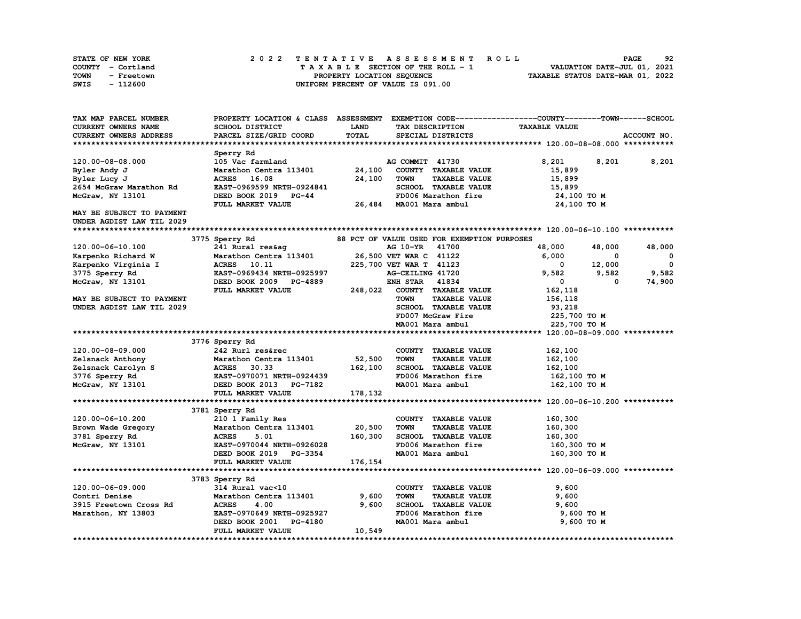| <b>STATE OF NEW YORK</b> | 2022 TENTATIVE ASSESSMENT ROLL          | 92<br><b>PAGE</b>                |
|--------------------------|-----------------------------------------|----------------------------------|
| COUNTY - Cortland        | $T A X A B L E$ SECTION OF THE ROLL - 1 | VALUATION DATE-JUL 01, 2021      |
| TOWN<br>- Freetown       | PROPERTY LOCATION SEQUENCE              | TAXABLE STATUS DATE-MAR 01, 2022 |
| - 112600<br>SWIS         | UNIFORM PERCENT OF VALUE IS 091.00      |                                  |

| TAX MAP PARCEL NUMBER         | PROPERTY LOCATION & CLASS ASSESSMENT |              |                                             | EXEMPTION CODE-----------------COUNTY-------TOWN------SCHOOL |                         |
|-------------------------------|--------------------------------------|--------------|---------------------------------------------|--------------------------------------------------------------|-------------------------|
| <b>CURRENT OWNERS NAME</b>    | SCHOOL DISTRICT                      | <b>LAND</b>  | TAX DESCRIPTION                             | <b>TAXABLE VALUE</b>                                         |                         |
| <b>CURRENT OWNERS ADDRESS</b> | PARCEL SIZE/GRID COORD               | <b>TOTAL</b> | SPECIAL DISTRICTS                           |                                                              | ACCOUNT NO.             |
|                               |                                      |              |                                             |                                                              |                         |
|                               | Sperry Rd                            |              |                                             |                                                              |                         |
| 120.00-08-08.000              | 105 Vac farmland                     |              | AG COMMIT 41730                             | 8,201<br>8,201                                               | 8,201                   |
| Byler Andy J                  | Marathon Centra 113401               | 24,100       | COUNTY TAXABLE VALUE                        | 15,899                                                       |                         |
| Byler Lucy J                  | <b>ACRES</b><br>16.08                | 24,100       | <b>TOWN</b><br><b>TAXABLE VALUE</b>         | 15,899                                                       |                         |
| 2654 McGraw Marathon Rd       | EAST-0969599 NRTH-0924841            |              | SCHOOL TAXABLE VALUE                        | 15,899                                                       |                         |
| McGraw, NY 13101              | DEED BOOK 2019 PG-44                 |              | FD006 Marathon fire                         | 24,100 TO M                                                  |                         |
|                               | FULL MARKET VALUE                    |              | 26,484 MA001 Mara ambul                     | 24,100 TO M                                                  |                         |
| MAY BE SUBJECT TO PAYMENT     |                                      |              |                                             |                                                              |                         |
| UNDER AGDIST LAW TIL 2029     |                                      |              |                                             |                                                              |                         |
|                               |                                      |              |                                             |                                                              |                         |
|                               | 3775 Sperry Rd                       |              | 88 PCT OF VALUE USED FOR EXEMPTION PURPOSES |                                                              |                         |
| 120.00-06-10.100              | 241 Rural res&ag                     |              | 41700<br>AG 10-YR                           | 48,000<br>48,000                                             | 48,000                  |
| Karpenko Richard W            | Marathon Centra 113401               |              | 26,500 VET WAR C 41122                      | 6,000<br>0                                                   | $\mathbf{o}$            |
| Karpenko Virginia I           | <b>ACRES</b><br>10.11                |              | 225,700 VET WAR T 41123                     | 12,000<br>$\mathbf 0$                                        | $\overline{\mathbf{0}}$ |
| 3775 Sperry Rd                | EAST-0969434 NRTH-0925997            |              | AG-CEILING 41720                            | 9,582<br>9,582                                               | 9,582                   |
| McGraw, NY 13101              | DEED BOOK 2009 PG-4889               |              | <b>ENH STAR</b><br>41834                    | $\mathbf{0}$<br>0                                            | 74,900                  |
|                               | FULL MARKET VALUE                    | 248,022      | COUNTY TAXABLE VALUE                        | 162,118                                                      |                         |
| MAY BE SUBJECT TO PAYMENT     |                                      |              | <b>TAXABLE VALUE</b><br><b>TOWN</b>         |                                                              |                         |
|                               |                                      |              | SCHOOL TAXABLE VALUE                        | 156,118<br>93,218                                            |                         |
| UNDER AGDIST LAW TIL 2029     |                                      |              | FD007 McGraw Fire                           | 225,700 TO M                                                 |                         |
|                               |                                      |              | MA001 Mara ambul                            | 225,700 TO M                                                 |                         |
|                               |                                      |              |                                             |                                                              |                         |
|                               |                                      |              |                                             |                                                              |                         |
|                               | 3776 Sperry Rd                       |              |                                             |                                                              |                         |
| 120.00-08-09.000              | 242 Rurl res&rec                     |              | COUNTY TAXABLE VALUE                        | 162,100                                                      |                         |
| Zelsnack Anthony              | Marathon Centra 113401               | 52,500       | <b>TOWN</b><br><b>TAXABLE VALUE</b>         | 162,100                                                      |                         |
| Zelsnack Carolyn S            | <b>ACRES</b><br>30.33                | 162,100      | SCHOOL TAXABLE VALUE                        | 162,100                                                      |                         |
| 3776 Sperry Rd                | EAST-0970071 NRTH-0924439            |              | FD006 Marathon fire                         | 162,100 то м                                                 |                         |
| McGraw, NY 13101              | DEED BOOK 2013 PG-7182               |              | MA001 Mara ambul                            | 162,100 TO M                                                 |                         |
|                               | FULL MARKET VALUE                    | 178,132      |                                             |                                                              |                         |
|                               |                                      |              |                                             |                                                              |                         |
|                               | 3781 Sperry Rd                       |              |                                             |                                                              |                         |
| 120.00-06-10.200              | 210 1 Family Res                     |              | COUNTY TAXABLE VALUE                        | 160,300                                                      |                         |
| Brown Wade Gregory            | Marathon Centra 113401               | 20,500       | <b>TOWN</b><br><b>TAXABLE VALUE</b>         | 160,300                                                      |                         |
| 3781 Sperry Rd                | <b>ACRES</b><br>5.01                 | 160,300      | SCHOOL TAXABLE VALUE                        | 160,300                                                      |                         |
| McGraw, NY 13101              | EAST-0970044 NRTH-0926028            |              | FD006 Marathon fire                         | 160,300 то м                                                 |                         |
|                               | DEED BOOK 2019 PG-3354               |              | MA001 Mara ambul                            | 160,300 TO M                                                 |                         |
|                               | FULL MARKET VALUE                    | 176,154      |                                             |                                                              |                         |
|                               |                                      |              |                                             |                                                              |                         |
|                               | 3783 Sperry Rd                       |              |                                             |                                                              |                         |
| 120.00-06-09.000              | 314 Rural vac<10                     |              | COUNTY TAXABLE VALUE                        | 9,600                                                        |                         |
| Contri Denise                 | Marathon Centra 113401               | 9,600        | <b>TOWN</b><br><b>TAXABLE VALUE</b>         | 9,600                                                        |                         |
| 3915 Freetown Cross Rd        | <b>ACRES</b><br>4.00                 | 9,600        | <b>SCHOOL TAXABLE VALUE</b>                 | 9,600                                                        |                         |
| Marathon, NY 13803            | EAST-0970649 NRTH-0925927            |              | FD006 Marathon fire                         | 9,600 TO M                                                   |                         |
|                               | DEED BOOK 2001<br>PG-4180            |              | MA001 Mara ambul                            | 9,600 TO M                                                   |                         |
|                               | FULL MARKET VALUE                    | 10,549       |                                             |                                                              |                         |
|                               |                                      |              |                                             |                                                              |                         |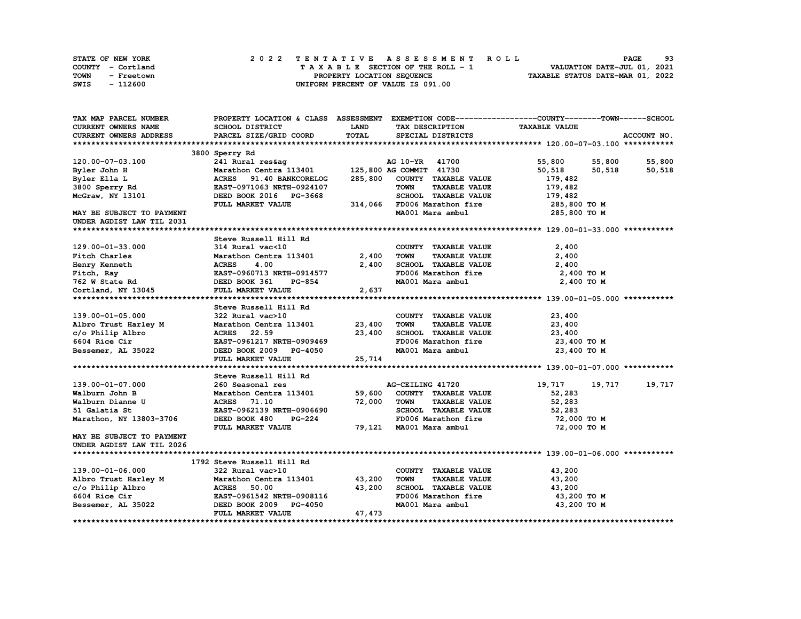| STATE OF NEW YORK  | 2022 TENTATIVE ASSESSMENT ROLL     | 93<br><b>PAGE</b>                |
|--------------------|------------------------------------|----------------------------------|
| COUNTY - Cortland  | TAXABLE SECTION OF THE ROLL - 1    | VALUATION DATE-JUL 01, 2021      |
| TOWN<br>- Freetown | PROPERTY LOCATION SEQUENCE         | TAXABLE STATUS DATE-MAR 01, 2022 |
| SWIS<br>- 112600   | UNIFORM PERCENT OF VALUE IS 091.00 |                                  |

| TAX MAP PARCEL NUMBER                                                                                                                                                                                                          |                                                                                                                                                                                                                                                                                                                                                                                                                                  |              | PROPERTY LOCATION & CLASS ASSESSMENT EXEMPTION CODE----------------COUNTY-------TOWN-----SCHOOL |                      |             |
|--------------------------------------------------------------------------------------------------------------------------------------------------------------------------------------------------------------------------------|----------------------------------------------------------------------------------------------------------------------------------------------------------------------------------------------------------------------------------------------------------------------------------------------------------------------------------------------------------------------------------------------------------------------------------|--------------|-------------------------------------------------------------------------------------------------|----------------------|-------------|
| <b>CURRENT OWNERS NAME</b>                                                                                                                                                                                                     | SCHOOL DISTRICT                                                                                                                                                                                                                                                                                                                                                                                                                  | <b>LAND</b>  | TAX DESCRIPTION TAXABLE VALUE                                                                   |                      |             |
| <b>CURRENT OWNERS ADDRESS</b>                                                                                                                                                                                                  | PARCEL SIZE/GRID COORD                                                                                                                                                                                                                                                                                                                                                                                                           | <b>TOTAL</b> | SPECIAL DISTRICTS                                                                               |                      | ACCOUNT NO. |
|                                                                                                                                                                                                                                |                                                                                                                                                                                                                                                                                                                                                                                                                                  |              |                                                                                                 |                      |             |
|                                                                                                                                                                                                                                | 3800 Sperry Rd                                                                                                                                                                                                                                                                                                                                                                                                                   |              |                                                                                                 |                      |             |
| 120.00-07-03.100                                                                                                                                                                                                               |                                                                                                                                                                                                                                                                                                                                                                                                                                  |              |                                                                                                 | 55,800 55,800 55,800 |             |
| Byler John H                                                                                                                                                                                                                   | 241 Rural res&ag                                     AG 10-YR     41700<br>Marathon Centra 113401           125,800 AG COMMIT   41730<br>ACRES     91.40 BANKCORELOG       285,800   COUNTY   TAXABLE VALUE<br>Marathon Centra 1.<br>ACRES 91.40 BANKCORELOG 2007.<br>EAST-0971063 NRTH-0924107 TOWN 1.1.1.<br>DEED BOOK 2016 PG-3668 SCHOOL TAXABLE VALUE<br>TIIT. MARKET VALUE 314,066 FD006 Marathon fire<br>MA001 Mara ambul |              |                                                                                                 | 50,518<br>50,518     | 50,518      |
| Byler Ella L                                                                                                                                                                                                                   |                                                                                                                                                                                                                                                                                                                                                                                                                                  |              |                                                                                                 | 179,482              |             |
| $3800$ Sperry Rd                                                                                                                                                                                                               |                                                                                                                                                                                                                                                                                                                                                                                                                                  |              |                                                                                                 |                      |             |
| McGraw, NY 13101                                                                                                                                                                                                               |                                                                                                                                                                                                                                                                                                                                                                                                                                  |              |                                                                                                 | 179,482<br>179,482   |             |
|                                                                                                                                                                                                                                |                                                                                                                                                                                                                                                                                                                                                                                                                                  |              |                                                                                                 | 285,800 TO M         |             |
| MAY BE SUBJECT TO PAYMENT                                                                                                                                                                                                      |                                                                                                                                                                                                                                                                                                                                                                                                                                  |              |                                                                                                 | 285,800 то м         |             |
| UNDER AGDIST LAW TIL 2031                                                                                                                                                                                                      |                                                                                                                                                                                                                                                                                                                                                                                                                                  |              |                                                                                                 |                      |             |
|                                                                                                                                                                                                                                |                                                                                                                                                                                                                                                                                                                                                                                                                                  |              |                                                                                                 |                      |             |
| er and the method of the matter of the state of the state of the state of the state of the state of the state of the state and the state of the state of the state of the state of the state pair of the state pair of the sta |                                                                                                                                                                                                                                                                                                                                                                                                                                  |              |                                                                                                 |                      |             |
|                                                                                                                                                                                                                                |                                                                                                                                                                                                                                                                                                                                                                                                                                  |              |                                                                                                 |                      |             |
|                                                                                                                                                                                                                                | $\begin{tabular}{llllll} 314 \hspace{0.2cm}Rural \hspace{0.2cm} vac<10 & \hspace{0.2cm} \text{COUNT} \\ \textbf{Marathon \hspace{0.2cm}Centra \hspace{0.2cm}113401} & & \hspace{0.2cm} 2,400 & \hspace{0.2cm} \text{TOWN} \end{tabular}$                                                                                                                                                                                         |              | COUNTY TAXABLE VALUE                                                                            | 2,400                |             |
|                                                                                                                                                                                                                                |                                                                                                                                                                                                                                                                                                                                                                                                                                  |              | <b>TAXABLE VALUE</b>                                                                            | 2,400                |             |
|                                                                                                                                                                                                                                |                                                                                                                                                                                                                                                                                                                                                                                                                                  | 2,400        | ${\tt SCHOOL} \quad {\tt TAXABLE\quad VALUE} \qquad \qquad 2\, ,\, 4\, 0\, 0$                   |                      |             |
|                                                                                                                                                                                                                                |                                                                                                                                                                                                                                                                                                                                                                                                                                  |              | FD006 Marathon fire                                                                             | 2,400 TO M           |             |
|                                                                                                                                                                                                                                |                                                                                                                                                                                                                                                                                                                                                                                                                                  |              | MA001 Mara ambul                                                                                | 2,400 TO M           |             |
|                                                                                                                                                                                                                                |                                                                                                                                                                                                                                                                                                                                                                                                                                  | 2,637        |                                                                                                 |                      |             |
|                                                                                                                                                                                                                                |                                                                                                                                                                                                                                                                                                                                                                                                                                  |              |                                                                                                 |                      |             |
|                                                                                                                                                                                                                                |                                                                                                                                                                                                                                                                                                                                                                                                                                  |              |                                                                                                 |                      |             |
| 139.00-01-05.000                                                                                                                                                                                                               | 322 Rural vac>10                                                                                                                                                                                                                                                                                                                                                                                                                 |              | COUNTY TAXABLE VALUE                                                                            | 23,400               |             |
| Albro Trust Harley M<br>C/o Philip Albro Marathon Centra 113401 23,400<br>6604 Rice Cir EAST-0961217 NRTH-0909469<br>Bessemer, AL 35022 DEED BOOK 2009 PG-4050                                                                 |                                                                                                                                                                                                                                                                                                                                                                                                                                  |              | <b>TOWN</b><br>TAXABLE VALUE 23,400                                                             |                      |             |
|                                                                                                                                                                                                                                |                                                                                                                                                                                                                                                                                                                                                                                                                                  |              | SCHOOL TAXABLE VALUE                                                                            | 23,400               |             |
|                                                                                                                                                                                                                                |                                                                                                                                                                                                                                                                                                                                                                                                                                  |              | FD006 Marathon fire                                                                             | 23,400 TO M          |             |
|                                                                                                                                                                                                                                |                                                                                                                                                                                                                                                                                                                                                                                                                                  |              | MA001 Mara ambul                                                                                | 23,400 TO M          |             |
|                                                                                                                                                                                                                                | FULL MARKET VALUE                                                                                                                                                                                                                                                                                                                                                                                                                | 25,714       |                                                                                                 |                      |             |
|                                                                                                                                                                                                                                |                                                                                                                                                                                                                                                                                                                                                                                                                                  |              |                                                                                                 |                      |             |
|                                                                                                                                                                                                                                | Steve Russell Hill Rd                                                                                                                                                                                                                                                                                                                                                                                                            |              |                                                                                                 |                      |             |
| 139.00-01-07.000                                                                                                                                                                                                               |                                                                                                                                                                                                                                                                                                                                                                                                                                  |              |                                                                                                 | 19,717 19,717 19,717 |             |
| Walburn John B                                                                                                                                                                                                                 |                                                                                                                                                                                                                                                                                                                                                                                                                                  |              |                                                                                                 | 52,283               |             |
| Walburn Dianne U                                                                                                                                                                                                               |                                                                                                                                                                                                                                                                                                                                                                                                                                  |              | <b>TAXABLE VALUE</b>                                                                            | 52,283               |             |
| 51 Galatia St                                                                                                                                                                                                                  | EAST-0962139 NRTH-0906690                                                                                                                                                                                                                                                                                                                                                                                                        |              | SCHOOL TAXABLE VALUE                                                                            | 52,283               |             |
| Marathon, NY 13803-3706 DEED BOOK 480 PG-224                                                                                                                                                                                   |                                                                                                                                                                                                                                                                                                                                                                                                                                  |              | FD006 Marathon fire                                                                             | 72,000 TO M          |             |
|                                                                                                                                                                                                                                | FULL MARKET VALUE 79,121 MA001 Mara ambul                                                                                                                                                                                                                                                                                                                                                                                        |              |                                                                                                 | 72,000 TO M          |             |
| MAY BE SUBJECT TO PAYMENT                                                                                                                                                                                                      |                                                                                                                                                                                                                                                                                                                                                                                                                                  |              |                                                                                                 |                      |             |
| UNDER AGDIST LAW TIL 2026                                                                                                                                                                                                      |                                                                                                                                                                                                                                                                                                                                                                                                                                  |              |                                                                                                 |                      |             |
|                                                                                                                                                                                                                                |                                                                                                                                                                                                                                                                                                                                                                                                                                  |              |                                                                                                 |                      |             |
|                                                                                                                                                                                                                                | 1792 Steve Russell Hill Rd                                                                                                                                                                                                                                                                                                                                                                                                       |              |                                                                                                 |                      |             |
| 139.00-01-06.000                                                                                                                                                                                                               | 322 Rural vac>10                                                                                                                                                                                                                                                                                                                                                                                                                 |              | COUNTY TAXABLE VALUE                                                                            | 43,200               |             |
| Albro Trust Harley M<br>Marathon Centra 113401 43,200<br>c/o Philip Albro Marathon Centra 113401 43,200<br>6604 Rice Cir EAST-0961542 NRTH-0908116<br>Bessemer, AL 35022 DEED BOOK 2009 PG-4050                                |                                                                                                                                                                                                                                                                                                                                                                                                                                  |              | TAXABLE VALUE 43,200<br><b>TOWN</b>                                                             |                      |             |
|                                                                                                                                                                                                                                |                                                                                                                                                                                                                                                                                                                                                                                                                                  |              | SCHOOL TAXABLE VALUE                                                                            | 43,200               |             |
|                                                                                                                                                                                                                                |                                                                                                                                                                                                                                                                                                                                                                                                                                  |              | FD006 Marathon fire 5000 43,200 TO M                                                            |                      |             |
|                                                                                                                                                                                                                                |                                                                                                                                                                                                                                                                                                                                                                                                                                  |              | MA001 Mara ambul 43,200 TO M                                                                    |                      |             |
|                                                                                                                                                                                                                                | <b>FULL MARKET VALUE</b>                                                                                                                                                                                                                                                                                                                                                                                                         | 47,473       |                                                                                                 |                      |             |
|                                                                                                                                                                                                                                |                                                                                                                                                                                                                                                                                                                                                                                                                                  |              |                                                                                                 |                      |             |
|                                                                                                                                                                                                                                |                                                                                                                                                                                                                                                                                                                                                                                                                                  |              |                                                                                                 |                      |             |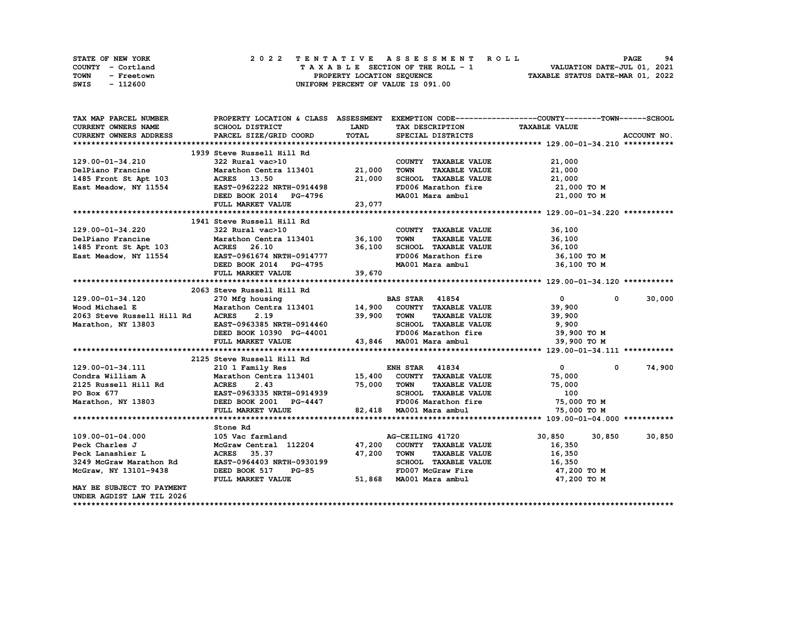| STATE OF NEW YORK  | 2022 TENTATIVE ASSESSMENT ROLL          | 94<br><b>PAGE</b>                |
|--------------------|-----------------------------------------|----------------------------------|
| COUNTY - Cortland  | $T A X A B L E$ SECTION OF THE ROLL - 1 | VALUATION DATE-JUL 01, 2021      |
| TOWN<br>- Freetown | PROPERTY LOCATION SEQUENCE              | TAXABLE STATUS DATE-MAR 01, 2022 |
| - 112600<br>SWIS   | UNIFORM PERCENT OF VALUE IS 091.00      |                                  |

| TAX MAP PARCEL NUMBER                                                                                                 | PROPERTY LOCATION & CLASS ASSESSMENT EXEMPTION CODE----------------COUNTY-------TOWN-----SCHOOL |             |                                                                                      |                                              |             |
|-----------------------------------------------------------------------------------------------------------------------|-------------------------------------------------------------------------------------------------|-------------|--------------------------------------------------------------------------------------|----------------------------------------------|-------------|
| CURRENT OWNERS NAME                                                                                                   | <b>SCHOOL DISTRICT</b>                                                                          | <b>LAND</b> | TAX DESCRIPTION TAXABLE VALUE                                                        |                                              |             |
| CURRENT OWNERS ADDRESS                                                                                                | PARCEL SIZE/GRID COORD                                                                          | TOTAL       | SPECIAL DISTRICTS                                                                    |                                              | ACCOUNT NO. |
|                                                                                                                       |                                                                                                 |             |                                                                                      |                                              |             |
|                                                                                                                       | 1939 Steve Russell Hill Rd                                                                      |             |                                                                                      |                                              |             |
|                                                                                                                       |                                                                                                 |             | COUNTY TAXABLE VALUE                                                                 | 21,000                                       |             |
| 129.00-01-34.210<br>129.00-01-34.210<br>21,000<br>21,000<br>21,000<br>22,000                                          |                                                                                                 |             | <b>TOWN</b>                                                                          | TAXABLE VALUE 21,000                         |             |
|                                                                                                                       |                                                                                                 |             |                                                                                      |                                              |             |
|                                                                                                                       |                                                                                                 |             | SCHOOL TAXABLE VALUE $21,000$<br>FD006 Marathon fire $21,000$                        | 21,000 TO M                                  |             |
| 1485 Front St Apt 103 ACRES 13.50 21,000<br>East Meadow, NY 11554 EAST-0962222 NRTH-0914498<br>DEED BOOK 2014 PG-4796 |                                                                                                 |             | MA001 Mara ambul 21,000 TO M                                                         |                                              |             |
|                                                                                                                       | FULL MARKET VALUE 23,077                                                                        |             |                                                                                      |                                              |             |
|                                                                                                                       |                                                                                                 |             |                                                                                      |                                              |             |
|                                                                                                                       | 1941 Steve Russell Hill Rd                                                                      |             |                                                                                      |                                              |             |
| 129.00-01-34.220                                                                                                      | 322 Rural vac>10                                                                                |             | COUNTY TAXABLE VALUE                                                                 |                                              |             |
|                                                                                                                       |                                                                                                 |             |                                                                                      | TAXABLE VALUE 36,100<br>TAXABLE VALUE 36,100 |             |
| 1485 Front St Apt 103<br>East Meadow, NY 11554<br>EAST-0961674 NRTH-0914777<br>DEED BOOK 2014 PG-4795                 |                                                                                                 |             |                                                                                      |                                              |             |
|                                                                                                                       |                                                                                                 |             | 36,100 SCHOOL TAXABLE VALUE 36,100<br>ECHOOL Indiana.<br>FD006 Marathon fire         | 36,100 TO M                                  |             |
|                                                                                                                       |                                                                                                 |             |                                                                                      | 36,100 то м                                  |             |
|                                                                                                                       | FULL MARKET VALUE                                                                               | 39,670      |                                                                                      |                                              |             |
|                                                                                                                       |                                                                                                 |             |                                                                                      |                                              |             |
|                                                                                                                       | 2063 Steve Russell Hill Rd                                                                      |             |                                                                                      |                                              |             |
|                                                                                                                       |                                                                                                 |             |                                                                                      |                                              |             |
| 129.00-01-34.120                                                                                                      |                                                                                                 |             |                                                                                      | $\overline{0}$<br>$\mathbf 0$                | 30,000      |
| Wood Michael E<br>2063 Steve Russell Hill Rd                                                                          |                                                                                                 |             |                                                                                      | 39,900                                       |             |
|                                                                                                                       |                                                                                                 |             |                                                                                      | TAXABLE VALUE 39,900                         |             |
| Marathon, NY 13803 EAST-0963385 NRTH-0914460<br>DEED BOOK 10390 PG-44001 FD006 Marathon fire                          |                                                                                                 |             |                                                                                      | 9,900                                        |             |
|                                                                                                                       |                                                                                                 |             |                                                                                      | 39,900 TO M                                  |             |
|                                                                                                                       | FULL MARKET VALUE                                                                               |             | 43,846 MA001 Mara ambul                                                              | 39,900 TO M                                  |             |
|                                                                                                                       |                                                                                                 |             |                                                                                      |                                              |             |
|                                                                                                                       | 2125 Steve Russell Hill Rd                                                                      |             |                                                                                      |                                              |             |
|                                                                                                                       |                                                                                                 |             |                                                                                      | $\mathbf{0}$<br>$^{\circ}$                   | 74,900      |
|                                                                                                                       |                                                                                                 |             |                                                                                      | 75,000                                       |             |
|                                                                                                                       |                                                                                                 |             |                                                                                      | TAXABLE VALUE 75,000                         |             |
|                                                                                                                       |                                                                                                 |             | SCHOOL TAXABLE VALUE                                                                 | 100                                          |             |
|                                                                                                                       |                                                                                                 |             | PO = 4447<br>BEDOOS Marathon fire 55,000 TO M<br>82,418 MA001 Mara ambul 75,000 TO M |                                              |             |
|                                                                                                                       | FULL MARKET VALUE                                                                               |             |                                                                                      |                                              |             |
|                                                                                                                       |                                                                                                 |             |                                                                                      |                                              |             |
|                                                                                                                       | Stone Rd                                                                                        |             |                                                                                      |                                              |             |
| $109.00 - 01 - 04.000$                                                                                                | 105 Vac farmland                                                                                |             | AG-CEILING 41720                                                                     | 30,850 30,850                                | 30,850      |
| Peck Charles J                                                                                                        | McGraw Central 112204 47,200 COUNTY TAXABLE VALUE                                               |             |                                                                                      | 16,350                                       |             |
| Peck Lanashier L                                                                                                      | <b>ACRES</b> 35.37                                                                              | 47,200 TOWN | <b>TAXABLE VALUE</b>                                                                 | 16,350                                       |             |
| 3249 McGraw Marathon Rd                                                                                               | EAST-0964403 NRTH-0930199                                                                       |             | SCHOOL TAXABLE VALUE 16,350                                                          |                                              |             |
| McGraw, NY 13101-9438                                                                                                 | DEED BOOK 517 PG-85                                                                             |             | 5<br>51,868 MA001 Mara ambul<br>FD007 McGraw Fire                                    | 47,200 TO M                                  |             |
|                                                                                                                       | FULL MARKET VALUE                                                                               |             |                                                                                      | 47,200 TO M                                  |             |
| MAY BE SUBJECT TO PAYMENT                                                                                             |                                                                                                 |             |                                                                                      |                                              |             |
| UNDER AGDIST LAW TIL 2026                                                                                             |                                                                                                 |             |                                                                                      |                                              |             |
|                                                                                                                       |                                                                                                 |             |                                                                                      |                                              |             |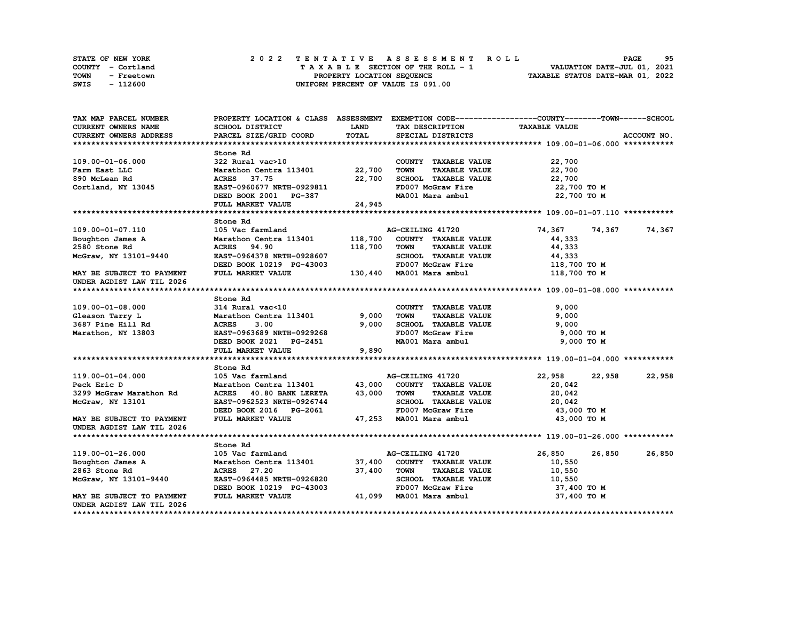| STATE OF NEW YORK |          |            |  |  |  |                                    |  |  |  | 2022 TENTATIVE ASSESSMENT ROLL |                                  | <b>PAGE</b>                 | 95 |
|-------------------|----------|------------|--|--|--|------------------------------------|--|--|--|--------------------------------|----------------------------------|-----------------------------|----|
| COUNTY - Cortland |          |            |  |  |  | TAXABLE SECTION OF THE ROLL - 1    |  |  |  |                                |                                  | VALUATION DATE-JUL 01, 2021 |    |
| <b>TOWN</b>       |          | - Freetown |  |  |  | PROPERTY LOCATION SEQUENCE         |  |  |  |                                | TAXABLE STATUS DATE-MAR 01, 2022 |                             |    |
| SWIS              | - 112600 |            |  |  |  | UNIFORM PERCENT OF VALUE IS 091.00 |  |  |  |                                |                                  |                             |    |

| TAX MAP PARCEL NUMBER     |                                |             |                                     | PROPERTY LOCATION & CLASS ASSESSMENT EXEMPTION CODE-----------------COUNTY-------TOWN------SCHOOL |             |
|---------------------------|--------------------------------|-------------|-------------------------------------|---------------------------------------------------------------------------------------------------|-------------|
| CURRENT OWNERS NAME       | SCHOOL DISTRICT                | <b>LAND</b> | TAX DESCRIPTION                     | <b>TAXABLE VALUE</b>                                                                              |             |
| CURRENT OWNERS ADDRESS    | PARCEL SIZE/GRID COORD         | TOTAL       | SPECIAL DISTRICTS                   |                                                                                                   | ACCOUNT NO. |
|                           |                                |             |                                     |                                                                                                   |             |
|                           | Stone Rd                       |             |                                     |                                                                                                   |             |
| 109.00-01-06.000          | 322 Rural vac>10               |             | COUNTY TAXABLE VALUE                | 22,700                                                                                            |             |
| Farm East LLC             | Marathon Centra 113401 22,700  |             | <b>TOWN</b><br><b>TAXABLE VALUE</b> | 22,700                                                                                            |             |
| 890 McLean Rd             | ACRES 37.75                    | 22,700      | SCHOOL TAXABLE VALUE                | 22,700                                                                                            |             |
| Cortland, NY 13045        | EAST-0960677 NRTH-0929811      |             | FD007 McGraw Fire                   | 22,700 TO M                                                                                       |             |
|                           | DEED BOOK 2001 PG-387          |             | MA001 Mara ambul                    | 22,700 TO M                                                                                       |             |
|                           | FULL MARKET VALUE              | 24,945      |                                     |                                                                                                   |             |
|                           |                                |             |                                     |                                                                                                   |             |
|                           | Stone Rd                       |             |                                     |                                                                                                   |             |
| 109.00-01-07.110          | 105 Vac farmland               |             | AG-CEILING 41720                    | 74,367<br>74,367                                                                                  | 74,367      |
| Boughton James A          | Marathon Centra 113401 118,700 |             | COUNTY TAXABLE VALUE                | 44,333                                                                                            |             |
| 2580 Stone Rd             | <b>ACRES</b> 94.90             | 118,700     | TOWN<br><b>TAXABLE VALUE</b>        | 44,333                                                                                            |             |
| McGraw, NY 13101-9440     | EAST-0964378 NRTH-0928607      |             | SCHOOL TAXABLE VALUE                | 44,333                                                                                            |             |
|                           | DEED BOOK 10219 PG-43003       |             | FD007 McGraw Fire                   | 118,700 TO M                                                                                      |             |
| MAY BE SUBJECT TO PAYMENT | FULL MARKET VALUE              |             | 130,440 MA001 Mara ambul            | 118,700 TO M                                                                                      |             |
| UNDER AGDIST LAW TIL 2026 |                                |             |                                     |                                                                                                   |             |
|                           |                                |             |                                     |                                                                                                   |             |
|                           | Stone Rd                       |             |                                     |                                                                                                   |             |
| $109.00 - 01 - 08.000$    | 314 Rural vac<10               |             | COUNTY TAXABLE VALUE                | 9,000                                                                                             |             |
| Gleason Tarry L           | Marathon Centra 113401         | 9,000       | <b>TOWN</b><br><b>TAXABLE VALUE</b> | 9,000                                                                                             |             |
| 3687 Pine Hill Rd         | 3.00<br><b>ACRES</b>           | 9,000       | SCHOOL TAXABLE VALUE                | 9,000                                                                                             |             |
| Marathon, NY 13803        | EAST-0963689 NRTH-0929268      |             | FD007 McGraw Fire                   | 9,000 TO M                                                                                        |             |
|                           | DEED BOOK 2021 PG-2451         |             | MA001 Mara ambul                    | 9,000 TO M                                                                                        |             |
|                           | FULL MARKET VALUE              | 9,890       |                                     |                                                                                                   |             |
|                           |                                |             |                                     |                                                                                                   |             |
|                           | Stone Rd                       |             |                                     |                                                                                                   |             |
| 119.00-01-04.000          | 105 Vac farmland               |             | AG-CEILING 41720                    | 22,958<br>22,958                                                                                  | 22,958      |
| Peck Eric D               | Marathon Centra 113401         | 43,000      | COUNTY TAXABLE VALUE                | 20,042                                                                                            |             |
| 3299 McGraw Marathon Rd   | ACRES 40.80 BANK LERETA        | 43,000      | <b>TAXABLE VALUE</b><br><b>TOWN</b> | 20,042                                                                                            |             |
| McGraw, NY 13101          | EAST-0962523 NRTH-0926744      |             | SCHOOL TAXABLE VALUE                | 20,042                                                                                            |             |
|                           | DEED BOOK 2016 PG-2061         |             | FD007 McGraw Fire                   | 43,000 TO M                                                                                       |             |
| MAY BE SUBJECT TO PAYMENT | FULL MARKET VALUE              |             | 47,253 MA001 Mara ambul             | 43,000 TO M                                                                                       |             |
| UNDER AGDIST LAW TIL 2026 |                                |             |                                     |                                                                                                   |             |
|                           |                                |             |                                     |                                                                                                   |             |
|                           | Stone Rd                       |             |                                     |                                                                                                   |             |
| 119.00-01-26.000          | 105 Vac farmland               |             | AG-CEILING 41720                    | 26,850<br>26,850                                                                                  | 26,850      |
| Boughton James A          | Marathon Centra 113401 37,400  |             | COUNTY TAXABLE VALUE                | 10,550                                                                                            |             |
| 2863 Stone Rd             | ACRES 27.20                    | 37,400      | TOWN<br><b>TAXABLE VALUE</b>        | 10,550                                                                                            |             |
| McGraw, NY 13101-9440     | EAST-0964485 NRTH-0926820      |             | SCHOOL TAXABLE VALUE                | 10,550                                                                                            |             |
|                           | DEED BOOK 10219 PG-43003       |             | FD007 McGraw Fire                   | 37,400 TO M                                                                                       |             |
| MAY BE SUBJECT TO PAYMENT | FULL MARKET VALUE              |             | 41,099 MA001 Mara ambul             | 37,400 TO M                                                                                       |             |
| UNDER AGDIST LAW TIL 2026 |                                |             |                                     |                                                                                                   |             |
|                           |                                |             |                                     |                                                                                                   |             |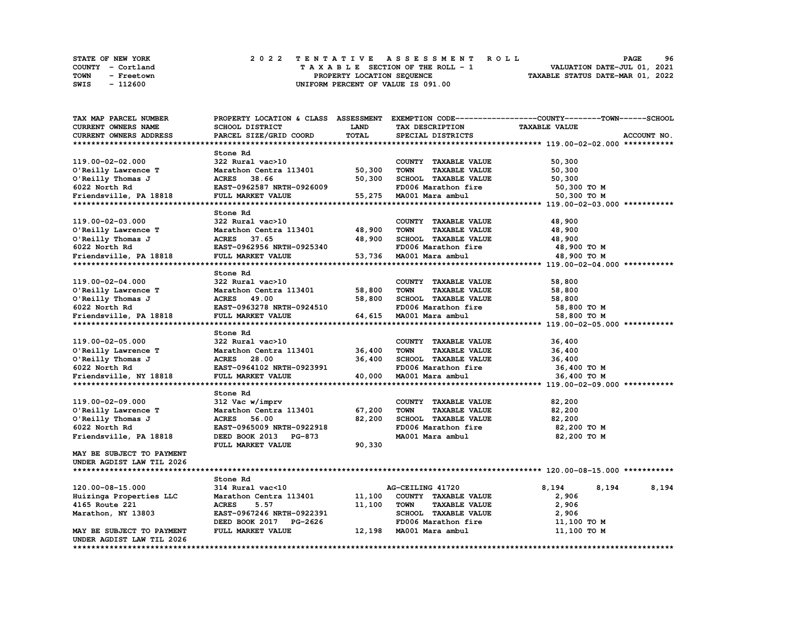| <b>STATE OF NEW YORK</b> |                   | 2022 TENTATIVE ASSESSMENT ROLL     | 96<br><b>PAGE</b>                |
|--------------------------|-------------------|------------------------------------|----------------------------------|
|                          | COUNTY - Cortland | TAXABLE SECTION OF THE ROLL - 1    | VALUATION DATE-JUL 01, 2021      |
| TOWN                     | - Freetown        | PROPERTY LOCATION SEQUENCE         | TAXABLE STATUS DATE-MAR 01, 2022 |
| SWIS                     | - 112600          | UNIFORM PERCENT OF VALUE IS 091.00 |                                  |

| TAX MAP PARCEL NUMBER            |                           |        |                                     | PROPERTY LOCATION & CLASS ASSESSMENT EXEMPTION CODE----------------COUNTY-------TOWN------SCHOOL |
|----------------------------------|---------------------------|--------|-------------------------------------|--------------------------------------------------------------------------------------------------|
| CURRENT OWNERS NAME              | <b>SCHOOL DISTRICT</b>    | LAND   | TAX DESCRIPTION                     | <b>TAXABLE VALUE</b>                                                                             |
| <b>CURRENT OWNERS ADDRESS</b>    | PARCEL SIZE/GRID COORD    | TOTAL  | SPECIAL DISTRICTS                   | ACCOUNT NO.                                                                                      |
|                                  |                           |        |                                     |                                                                                                  |
|                                  | Stone Rd                  |        |                                     |                                                                                                  |
| 119.00-02-02.000                 | 322 Rural vac>10          |        | COUNTY TAXABLE VALUE                | 50,300                                                                                           |
| O'Reilly Lawrence T              | Marathon Centra 113401    | 50,300 | <b>TOWN</b><br><b>TAXABLE VALUE</b> | 50,300                                                                                           |
| O'Reilly Thomas J                | ACRES 38.66               | 50,300 | SCHOOL TAXABLE VALUE                | 50,300                                                                                           |
| 6022 North Rd                    | EAST-0962587 NRTH-0926009 |        | FD006 Marathon fire                 | 50,300 TO M                                                                                      |
| Friendsville, PA 18818           | FULL MARKET VALUE         | 55,275 | MA001 Mara ambul                    | 50,300 TO M                                                                                      |
|                                  |                           |        |                                     |                                                                                                  |
|                                  | Stone Rd                  |        |                                     |                                                                                                  |
| 119.00-02-03.000                 | 322 Rural vac>10          |        | COUNTY TAXABLE VALUE                | 48,900                                                                                           |
| O'Reilly Lawrence T              | Marathon Centra 113401    | 48,900 | <b>TOWN</b><br><b>TAXABLE VALUE</b> | 48,900                                                                                           |
| O'Reilly Thomas J                | ACRES 37.65               | 48,900 | SCHOOL TAXABLE VALUE                | 48,900                                                                                           |
| 6022 North Rd                    | EAST-0962956 NRTH-0925340 |        | FD006 Marathon fire                 | 48,900 TO M                                                                                      |
| Friendsville, PA 18818           | FULL MARKET VALUE         | 53,736 | MA001 Mara ambul                    | 48,900 TO M                                                                                      |
|                                  |                           |        |                                     |                                                                                                  |
|                                  | Stone Rd                  |        |                                     |                                                                                                  |
| 119.00-02-04.000                 | 322 Rural vac>10          |        | COUNTY TAXABLE VALUE                | 58,800                                                                                           |
| O'Reilly Lawrence T              | Marathon Centra 113401    | 58,800 | <b>TOWN</b><br><b>TAXABLE VALUE</b> | 58,800                                                                                           |
| O'Reilly Thomas J                | ACRES 49.00               | 58,800 | SCHOOL TAXABLE VALUE                | 58,800                                                                                           |
| 6022 North Rd                    | EAST-0963278 NRTH-0924510 |        | FD006 Marathon fire                 | 58,800 TO M                                                                                      |
| Friendsville, PA 18818           | FULL MARKET VALUE         |        | 64,615 MA001 Mara ambul             | 58,800 TO M                                                                                      |
|                                  |                           |        |                                     |                                                                                                  |
|                                  | Stone Rd                  |        |                                     |                                                                                                  |
| 119.00-02-05.000                 | 322 Rural vac>10          |        | COUNTY TAXABLE VALUE                | 36,400                                                                                           |
| O'Reilly Lawrence T              | Marathon Centra 113401    | 36,400 | <b>TOWN</b><br><b>TAXABLE VALUE</b> | 36,400                                                                                           |
| O'Reilly Thomas J                | ACRES 28.00               | 36,400 | SCHOOL TAXABLE VALUE                | 36,400                                                                                           |
| 6022 North Rd                    | EAST-0964102 NRTH-0923991 |        | FD006 Marathon fire                 | 36,400 ТО М                                                                                      |
| Friendsville, NY 18818           | FULL MARKET VALUE         | 40,000 | MA001 Mara ambul                    | 36,400 TO M                                                                                      |
|                                  |                           |        |                                     |                                                                                                  |
|                                  | Stone Rd                  |        |                                     |                                                                                                  |
| 119.00-02-09.000                 | 312 Vac w/imprv           |        | COUNTY TAXABLE VALUE                | 82,200                                                                                           |
| O'Reilly Lawrence T              | Marathon Centra 113401    | 67,200 | <b>TOWN</b><br><b>TAXABLE VALUE</b> | 82,200                                                                                           |
| O'Reilly Thomas J                | <b>ACRES</b><br>56.00     | 82,200 | SCHOOL TAXABLE VALUE                | 82,200                                                                                           |
| 6022 North Rd                    | EAST-0965009 NRTH-0922918 |        | FD006 Marathon fire                 | 82,200 то м                                                                                      |
| Friendsville, PA 18818           | DEED BOOK 2013 PG-873     |        | MA001 Mara ambul                    | 82,200 TO M                                                                                      |
|                                  | FULL MARKET VALUE         | 90,330 |                                     |                                                                                                  |
| <b>MAY BE SUBJECT TO PAYMENT</b> |                           |        |                                     |                                                                                                  |
| UNDER AGDIST LAW TIL 2026        |                           |        |                                     |                                                                                                  |
|                                  |                           |        |                                     |                                                                                                  |
|                                  | Stone Rd                  |        |                                     |                                                                                                  |
| 120.00-08-15.000                 | 314 Rural vac<10          |        | AG-CEILING 41720                    | 8,194<br>8,194<br>8,194                                                                          |
| Huizinga Properties LLC          | Marathon Centra 113401    | 11,100 | COUNTY TAXABLE VALUE                | 2,906                                                                                            |
| 4165 Route 221                   | <b>ACRES</b><br>5.57      | 11,100 | <b>TOWN</b><br><b>TAXABLE VALUE</b> | 2,906                                                                                            |
| Marathon, NY 13803               | EAST-0967246 NRTH-0922391 |        | SCHOOL TAXABLE VALUE                | 2,906                                                                                            |
|                                  | DEED BOOK 2017 PG-2626    |        | FD006 Marathon fire                 | 11,100 TO M                                                                                      |
| MAY BE SUBJECT TO PAYMENT        | FULL MARKET VALUE         |        | 12,198 MA001 Mara ambul             | 11,100 TO M                                                                                      |
| UNDER AGDIST LAW TIL 2026        |                           |        |                                     |                                                                                                  |
|                                  |                           |        |                                     |                                                                                                  |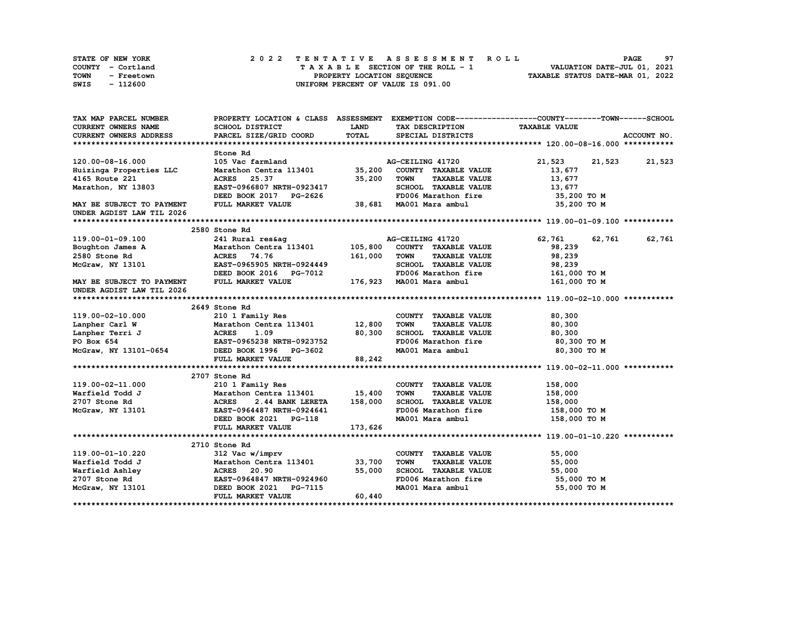| STATE OF NEW YORK |                   |  |  |  |  |                                    |  |  |  |  | 2022 TENTATIVE ASSESSMENT ROLL |  | <b>PAGE</b>                      | 97 |
|-------------------|-------------------|--|--|--|--|------------------------------------|--|--|--|--|--------------------------------|--|----------------------------------|----|
|                   | COUNTY - Cortland |  |  |  |  | TAXABLE SECTION OF THE ROLL - 1    |  |  |  |  |                                |  | VALUATION DATE-JUL 01, 2021      |    |
| <b>TOWN</b>       | - Freetown        |  |  |  |  | PROPERTY LOCATION SEQUENCE         |  |  |  |  |                                |  | TAXABLE STATUS DATE-MAR 01, 2022 |    |
| SWIS              | - 112600          |  |  |  |  | UNIFORM PERCENT OF VALUE IS 091.00 |  |  |  |  |                                |  |                                  |    |

| TAX MAP PARCEL NUMBER<br>PROPERTY LOCATION & CLASS ASSESSMENT EXEMPTION CODE----------------COUNTY-------TOWN-----SCHOOL |                  |
|--------------------------------------------------------------------------------------------------------------------------|------------------|
| CURRENT OWNERS NAME<br>SCHOOL DISTRICT<br><b>LAND</b><br><b>TAXABLE VALUE</b><br>TAX DESCRIPTION                         |                  |
| TOTAL<br><b>CURRENT OWNERS ADDRESS</b><br>PARCEL SIZE/GRID COORD<br>SPECIAL DISTRICTS                                    | ACCOUNT NO.      |
|                                                                                                                          |                  |
| Stone Rd                                                                                                                 |                  |
| 120.00-08-16.000<br>105 Vac farmland<br>AG-CEILING 41720<br>21,523                                                       | 21,523 21,523    |
| Marathon Centra 113401<br>35,200<br>COUNTY TAXABLE VALUE<br>13,677<br>Huizinga Properties LLC                            |                  |
| 4165 Route 221<br>35,200<br><b>TOWN</b><br><b>TAXABLE VALUE</b><br>ACRES 25.37<br>13,677                                 |                  |
| Marathon, NY 13803<br>EAST-0966807 NRTH-0923417<br>SCHOOL TAXABLE VALUE<br>13,677                                        |                  |
| FD006 Marathon fire<br>DEED BOOK 2017 PG-2626                                                                            | 35,200 TO M      |
| 38,681 MA001 Mara ambul 35,200 TO M<br>MAY BE SUBJECT TO PAYMENT<br>FULL MARKET VALUE                                    |                  |
| UNDER AGDIST LAW TIL 2026                                                                                                |                  |
|                                                                                                                          |                  |
| 2580 Stone Rd                                                                                                            |                  |
| 119.00-01-09.100<br>241 Rural res&ag<br>62,761<br>AG-CEILING 41720                                                       | 62,761<br>62,761 |
| Marathon Centra 113401 105,800<br>Boughton James A<br>COUNTY TAXABLE VALUE<br>98,239                                     |                  |
| 2580 Stone Rd<br>ACRES 74.76<br>161,000<br><b>TOWN</b><br><b>TAXABLE VALUE</b><br>98,239                                 |                  |
| EAST-0965905 NRTH-0924449<br>SCHOOL TAXABLE VALUE<br>McGraw, NY 13101<br>98,239                                          |                  |
| DEED BOOK 2016 PG-7012<br>FD006 Marathon fire 161,000 TO M                                                               |                  |
| FULL MARKET VALUE<br>176,923 MA001 Mara ambul<br>MAY BE SUBJECT TO PAYMENT                                               | 161,000 TO M     |
| UNDER AGDIST LAW TIL 2026                                                                                                |                  |
|                                                                                                                          |                  |
| 2649 Stone Rd                                                                                                            |                  |
| 119.00-02-10.000<br>210 1 Family Res<br>COUNTY TAXABLE VALUE<br>80,300                                                   |                  |
| Marathon Centra 113401 12,800<br>Lanpher Carl W<br><b>TOWN</b><br><b>TAXABLE VALUE</b><br>80,300                         |                  |
| <b>ACRES</b><br>80,300<br>SCHOOL TAXABLE VALUE<br>Lanpher Terri J<br>1.09<br>80,300                                      |                  |
| FD006 Marathon fire<br>EAST-0965238 NRTH-0923752<br>PO Box 654                                                           | 80,300 то м      |
| McGraw, NY 13101-0654 DEED BOOK 1996 PG-3602<br>MA001 Mara ambul                                                         | 80,300 то м      |
| FULL MARKET VALUE<br>88,242                                                                                              |                  |
|                                                                                                                          |                  |
|                                                                                                                          |                  |
| 2707 Stone Rd<br>119.00-02-11.000                                                                                        |                  |
| 210 1 Family Res<br>COUNTY TAXABLE VALUE<br>158,000<br>Marathon Centra 113401 15,400<br>Warfield Todd J<br><b>TOWN</b>   |                  |
| <b>TAXABLE VALUE</b><br>158,000                                                                                          |                  |
| 158,000<br>SCHOOL TAXABLE VALUE<br>2707 Stone Rd<br>2.44 BANK LERETA<br>158,000                                          |                  |
| Mara<br>ACRES<br>EAST-<br>DEET<br>FD006 Marathon fire<br>McGraw, NY 13101<br>EAST-0964487 NRTH-0924641                   | 158,000 то м     |
| DEED BOOK 2021 PG-118<br>MA001 Mara ambul                                                                                | 158,000 то м     |
| FULL MARKET VALUE<br>173,626                                                                                             |                  |
|                                                                                                                          |                  |
| 2710 Stone Rd                                                                                                            |                  |
| 119.00-01-10.220<br>312 Vac w/imprv<br>COUNTY TAXABLE VALUE<br>55,000                                                    |                  |
| Marathon Centra 113401<br>33,700<br><b>TOWN</b><br>Warfield Todd J<br><b>TAXABLE VALUE</b><br>55,000                     |                  |
| 55,000<br>SCHOOL TAXABLE VALUE<br>55,000                                                                                 |                  |
| FD006 Marathon fire<br>EAST-0964847 NRTH-0924960                                                                         | 55,000 TO M      |
| MA001 Mara ambul<br>DEED BOOK 2021 PG-7115                                                                               | 55,000 TO M      |
| 60,440<br>FULL MARKET VALUE                                                                                              |                  |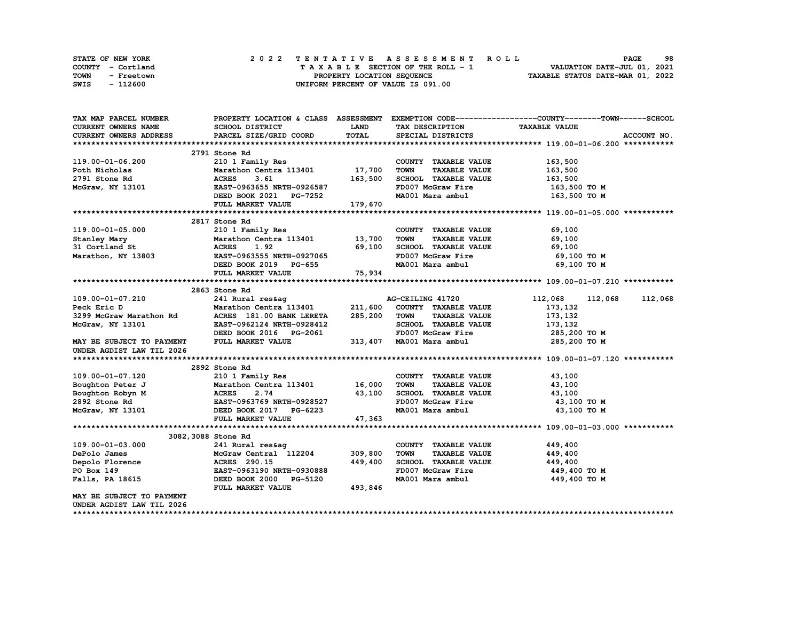| STATE OF NEW YORK  | 2022 TENTATIVE ASSESSMENT ROLL     | 98<br><b>PAGE</b>                |
|--------------------|------------------------------------|----------------------------------|
| COUNTY - Cortland  | TAXABLE SECTION OF THE ROLL - 1    | VALUATION DATE-JUL 01, 2021      |
| TOWN<br>- Freetown | PROPERTY LOCATION SEOUENCE         | TAXABLE STATUS DATE-MAR 01, 2022 |
| - 112600<br>SWIS   | UNIFORM PERCENT OF VALUE IS 091.00 |                                  |

| TAX MAP PARCEL NUMBER         |                                                                            |             |                                     | PROPERTY LOCATION & CLASS ASSESSMENT EXEMPTION CODE----------------COUNTY-------TOWN-----SCHOOL |             |
|-------------------------------|----------------------------------------------------------------------------|-------------|-------------------------------------|-------------------------------------------------------------------------------------------------|-------------|
| CURRENT OWNERS NAME           | SCHOOL DISTRICT                                                            | <b>LAND</b> | TAX DESCRIPTION                     | <b>TAXABLE VALUE</b>                                                                            |             |
| <b>CURRENT OWNERS ADDRESS</b> | PARCEL SIZE/GRID COORD                                                     | TOTAL       | SPECIAL DISTRICTS                   |                                                                                                 | ACCOUNT NO. |
|                               |                                                                            |             |                                     |                                                                                                 |             |
|                               | 2791 Stone Rd                                                              |             |                                     |                                                                                                 |             |
| 119.00-01-06.200              | 210 1 Family Res                                                           |             | COUNTY TAXABLE VALUE                | 163,500                                                                                         |             |
| Poth Nicholas                 | Marathon Centra 113401 17,700                                              |             | <b>TOWN</b><br><b>TAXABLE VALUE</b> | 163,500                                                                                         |             |
| 2791 Stone Rd                 |                                                                            | 163,500     | SCHOOL TAXABLE VALUE                | 163,500                                                                                         |             |
| McGraw, NY 13101              |                                                                            |             | FD007 McGraw Fire                   | 163,500 то м                                                                                    |             |
|                               | DEED BOOK 2021 PG-7252                                                     |             | MA001 Mara ambul 163,500 TO M       |                                                                                                 |             |
|                               | FULL MARKET VALUE                                                          | 179,670     |                                     |                                                                                                 |             |
|                               |                                                                            |             |                                     |                                                                                                 |             |
|                               | 2817 Stone Rd                                                              |             |                                     |                                                                                                 |             |
| 119.00-01-05.000              | 210 1 Family Res                                                           |             | COUNTY TAXABLE VALUE                | 69,100                                                                                          |             |
| Stanley Mary                  | Marathon Centra 113401 13,700                                              |             | <b>TOWN</b><br><b>TAXABLE VALUE</b> | 69,100                                                                                          |             |
| 31 Cortland St                | <b>ACRES</b><br>1.92                                                       | 69,100      | SCHOOL TAXABLE VALUE                | 69,100                                                                                          |             |
|                               | Marathon, NY 13803<br>EAST-0963555 NRTH-0927065                            |             | FD007 McGraw Fire                   | 69,100 то м                                                                                     |             |
|                               | DEED BOOK 2019 PG-655                                                      |             | MA001 Mara ambul                    | 69,100 TO M                                                                                     |             |
|                               | FULL MARKET VALUE                                                          | 75,934      |                                     |                                                                                                 |             |
|                               |                                                                            |             |                                     |                                                                                                 |             |
|                               | 2863 Stone Rd                                                              |             |                                     |                                                                                                 |             |
| 109.00-01-07.210              | 241 Rural res&ag                                                           |             | AG-CEILING 41720                    | 112,068<br>112,068                                                                              | 112,068     |
| Peck Eric D                   | Marathon Centra 113401 211,600                                             |             | COUNTY TAXABLE VALUE                | 173,132                                                                                         |             |
| 3299 McGraw Marathon Rd       | ACRES 181.00 BANK LERETA                                                   | 285,200     | <b>TOWN</b><br><b>TAXABLE VALUE</b> | 173,132                                                                                         |             |
| McGraw, NY 13101              | EAST-0962124 NRTH-0928412                                                  |             | SCHOOL TAXABLE VALUE                | 173,132                                                                                         |             |
|                               | DEED BOOK 2016 PG-2061                                                     |             | FD007 McGraw Fire                   | 285,200 то м                                                                                    |             |
| MAY BE SUBJECT TO PAYMENT     | FULL MARKET VALUE                                                          |             | 313,407 MA001 Mara ambul            | 285,200 TO M                                                                                    |             |
| UNDER AGDIST LAW TIL 2026     |                                                                            |             |                                     |                                                                                                 |             |
|                               |                                                                            |             |                                     |                                                                                                 |             |
|                               | 2892 Stone Rd                                                              |             |                                     |                                                                                                 |             |
| 109.00-01-07.120              | 210 1 Family Res                                                           |             | COUNTY TAXABLE VALUE                | 43,100                                                                                          |             |
| Boughton Peter J              | Marathon Centra 113401 16,000                                              |             | <b>TAXABLE VALUE</b><br>TOWN        | 43,100                                                                                          |             |
| Boughton Robyn M              |                                                                            | 43,100      | SCHOOL TAXABLE VALUE                | 43,100                                                                                          |             |
| 2892 Stone Rd                 |                                                                            |             | FD007 McGraw Fire                   | 43,100 TO M                                                                                     |             |
| McGraw, NY 13101              | <b>ACRES 2.74<br/>EAST-0963769 NRTH-0928527<br/>DEED BOOK 2017 PG-6223</b> |             | MA001 Mara ambul                    | 43,100 TO M                                                                                     |             |
|                               | FULL MARKET VALUE                                                          | 47,363      |                                     |                                                                                                 |             |
|                               |                                                                            |             |                                     |                                                                                                 |             |
|                               | 3082,3088 Stone Rd                                                         |             |                                     |                                                                                                 |             |
| 109.00-01-03.000              | 241 Rural res&aq                                                           |             | COUNTY TAXABLE VALUE                | 449,400                                                                                         |             |
| DePolo James                  | McGraw Central 112204                                                      | 309,800     | <b>TAXABLE VALUE</b><br><b>TOWN</b> | 449,400                                                                                         |             |
| Depolo Florence               | ACRES 290.15                                                               | 449,400     | SCHOOL TAXABLE VALUE                | 449,400                                                                                         |             |
| PO Box 149                    | <b>EAST-0963190 NRTH-0930888</b>                                           |             | FD007 McGraw Fire                   | 449,400 TO M                                                                                    |             |
| Falls, PA 18615               | DEED BOOK 2000 PG-5120                                                     |             | MA001 Mara ambul                    | 449,400 TO M                                                                                    |             |
|                               | FULL MARKET VALUE                                                          | 493,846     |                                     |                                                                                                 |             |
| MAY BE SUBJECT TO PAYMENT     |                                                                            |             |                                     |                                                                                                 |             |
| UNDER AGDIST LAW TIL 2026     |                                                                            |             |                                     |                                                                                                 |             |
|                               |                                                                            |             |                                     |                                                                                                 |             |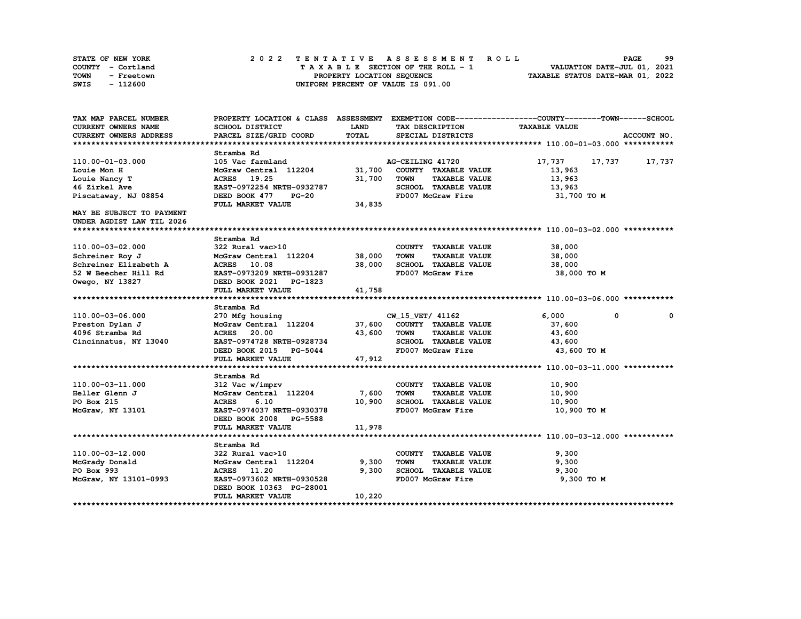| STATE OF NEW YORK  | 2022 TENTATIVE ASSESSMENT ROLL     | 99<br><b>PAGE</b>                |
|--------------------|------------------------------------|----------------------------------|
| COUNTY - Cortland  | TAXABLE SECTION OF THE ROLL - 1    | VALUATION DATE-JUL 01, 2021      |
| TOWN<br>- Freetown | PROPERTY LOCATION SEQUENCE         | TAXABLE STATUS DATE-MAR 01, 2022 |
| SWIS<br>- 112600   | UNIFORM PERCENT OF VALUE IS 091.00 |                                  |

| TAX MAP PARCEL NUMBER     | PROPERTY LOCATION & CLASS ASSESSMENT EXEMPTION CODE----------------COUNTY-------TOWN------SCHOOL |             |                                     |                      |               |
|---------------------------|--------------------------------------------------------------------------------------------------|-------------|-------------------------------------|----------------------|---------------|
| CURRENT OWNERS NAME       | SCHOOL DISTRICT                                                                                  | <b>LAND</b> | TAX DESCRIPTION                     | <b>TAXABLE VALUE</b> |               |
| CURRENT OWNERS ADDRESS    | PARCEL SIZE/GRID COORD                                                                           | TOTAL       | SPECIAL DISTRICTS                   |                      | ACCOUNT NO.   |
|                           |                                                                                                  |             |                                     |                      |               |
|                           | Stramba Rd                                                                                       |             |                                     |                      |               |
| 110.00-01-03.000          | 105 Vac farmland                                                                                 |             | AG-CEILING 41720                    | 17,737               | 17,737 17,737 |
| Louie Mon H               | McGraw Central 112204                                                                            | 31,700      | COUNTY TAXABLE VALUE                | 13,963               |               |
| Louie Nancy T             | ACRES 19.25                                                                                      | 31,700      | <b>TOWN</b><br><b>TAXABLE VALUE</b> | 13,963               |               |
| 46 Zirkel Ave             | EAST-0972254 NRTH-0932787                                                                        |             | SCHOOL TAXABLE VALUE                | 13,963               |               |
| Piscataway, NJ 08854      | DEED BOOK 477<br><b>PG-20</b>                                                                    |             | FD007 McGraw Fire                   | 31,700 TO M          |               |
|                           | FULL MARKET VALUE                                                                                | 34,835      |                                     |                      |               |
| MAY BE SUBJECT TO PAYMENT |                                                                                                  |             |                                     |                      |               |
| UNDER AGDIST LAW TIL 2026 |                                                                                                  |             |                                     |                      |               |
|                           |                                                                                                  |             |                                     |                      |               |
|                           | Stramba Rd                                                                                       |             |                                     |                      |               |
| 110.00-03-02.000          | 322 Rural vac>10                                                                                 |             | COUNTY TAXABLE VALUE                | 38,000               |               |
| Schreiner Roy J           | McGraw Central 112204                                                                            | 38,000      | <b>TOWN</b><br><b>TAXABLE VALUE</b> | 38,000               |               |
| Schreiner Elizabeth A     | ACRES 10.08                                                                                      | 38,000      | SCHOOL TAXABLE VALUE                | 38,000               |               |
| 52 W Beecher Hill Rd      | EAST-0973209 NRTH-0931287                                                                        |             | FD007 McGraw Fire                   | 38,000 TO M          |               |
| Owego, NY 13827           | DEED BOOK 2021 PG-1823                                                                           |             |                                     |                      |               |
|                           | FULL MARKET VALUE                                                                                | 41,758      |                                     |                      |               |
|                           |                                                                                                  |             |                                     |                      |               |
|                           | Stramba Rd                                                                                       |             |                                     |                      |               |
| 110.00-03-06.000          | 270 Mfg housing                                                                                  |             | CW 15 VET/ 41162                    | 6,000<br>$^{\circ}$  | $\mathbf{o}$  |
| Preston Dylan J           | McGraw Central 112204 37,600                                                                     |             | COUNTY TAXABLE VALUE                | 37,600               |               |
| 4096 Stramba Rd           | ACRES 20.00                                                                                      | 43,600      | TOWN<br><b>TAXABLE VALUE</b>        | 43,600               |               |
| Cincinnatus, NY 13040     | EAST-0974728 NRTH-0928734                                                                        |             | SCHOOL TAXABLE VALUE                | 43,600               |               |
|                           | DEED BOOK 2015 PG-5044                                                                           |             | FD007 McGraw Fire                   | 43,600 TO M          |               |
|                           | FULL MARKET VALUE                                                                                | 47,912      |                                     |                      |               |
|                           |                                                                                                  |             |                                     |                      |               |
|                           | Stramba Rd                                                                                       |             |                                     |                      |               |
| 110.00-03-11.000          | 312 Vac w/imprv                                                                                  |             | COUNTY TAXABLE VALUE                | 10,900               |               |
| Heller Glenn J            | McGraw Central 112204                                                                            | 7,600       | <b>TOWN</b><br><b>TAXABLE VALUE</b> | 10,900               |               |
| PO Box 215                | <b>ACRES</b><br>6.10                                                                             | 10,900      | SCHOOL TAXABLE VALUE                | 10,900               |               |
| McGraw, NY 13101          | EAST-0974037 NRTH-0930378                                                                        |             | FD007 McGraw Fire                   | 10,900 TO M          |               |
|                           | DEED BOOK 2008 PG-5588                                                                           |             |                                     |                      |               |
|                           | FULL MARKET VALUE                                                                                | 11,978      |                                     |                      |               |
|                           |                                                                                                  |             |                                     |                      |               |
|                           | Stramba Rd                                                                                       |             |                                     |                      |               |
| 110.00-03-12.000          | 322 Rural vac>10                                                                                 |             | COUNTY TAXABLE VALUE                | 9,300                |               |
| McGrady Donald            | McGraw Central 112204                                                                            | 9,300       | <b>TOWN</b><br><b>TAXABLE VALUE</b> | 9,300                |               |
| PO Box 993                | ACRES 11.20                                                                                      | 9,300       | SCHOOL TAXABLE VALUE                | 9,300                |               |
| McGraw, NY 13101-0993     | EAST-0973602 NRTH-0930528                                                                        |             | FD007 McGraw Fire                   | 9,300 TO M           |               |
|                           | DEED BOOK 10363 PG-28001                                                                         |             |                                     |                      |               |
|                           | FULL MARKET VALUE                                                                                | 10,220      |                                     |                      |               |
|                           |                                                                                                  |             |                                     |                      |               |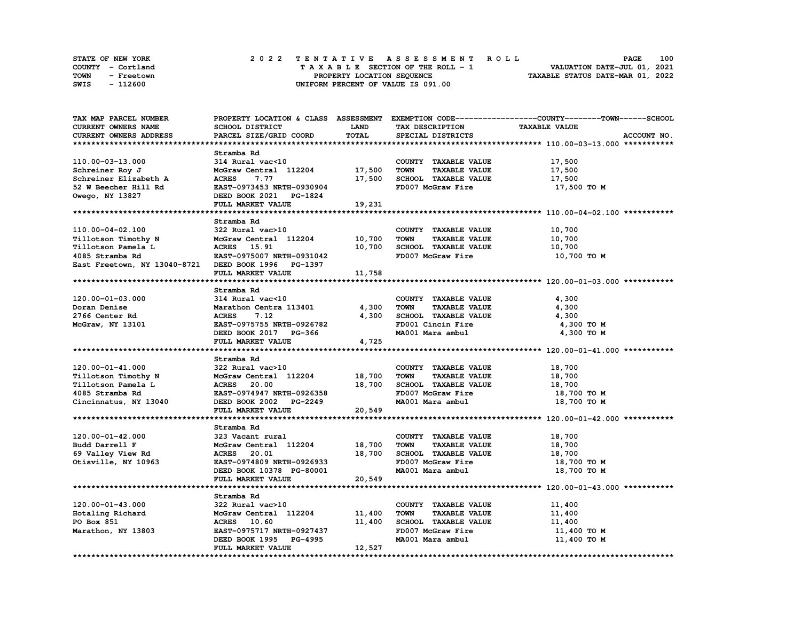| <b>STATE OF NEW YORK</b> | 2022 TENTATIVE ASSESSMENT ROLL     | 100<br><b>PAGE</b>               |
|--------------------------|------------------------------------|----------------------------------|
| COUNTY - Cortland        | TAXABLE SECTION OF THE ROLL - 1    | VALUATION DATE-JUL 01, 2021      |
| TOWN<br>- Freetown       | PROPERTY LOCATION SEQUENCE         | TAXABLE STATUS DATE-MAR 01, 2022 |
| - 112600<br>SWIS         | UNIFORM PERCENT OF VALUE IS 091.00 |                                  |

| TAX MAP PARCEL NUMBER                               |                              |             |                                     | PROPERTY LOCATION & CLASS ASSESSMENT EXEMPTION CODE-----------------COUNTY-------TOWN-----SCHOOL |
|-----------------------------------------------------|------------------------------|-------------|-------------------------------------|--------------------------------------------------------------------------------------------------|
| CURRENT OWNERS NAME                                 | SCHOOL DISTRICT              | <b>LAND</b> | TAX DESCRIPTION                     | <b>TAXABLE VALUE</b>                                                                             |
| CURRENT OWNERS ADDRESS                              | PARCEL SIZE/GRID COORD       | TOTAL       | SPECIAL DISTRICTS                   | ACCOUNT NO.                                                                                      |
|                                                     |                              |             |                                     |                                                                                                  |
|                                                     | Stramba Rd                   |             |                                     |                                                                                                  |
| 110.00-03-13.000                                    | 314 Rural vac<10             |             | COUNTY TAXABLE VALUE                | 17,500                                                                                           |
| Schreiner Roy J                                     | McGraw Central 112204 17,500 |             | <b>TOWN</b><br><b>TAXABLE VALUE</b> | 17,500                                                                                           |
|                                                     |                              |             |                                     |                                                                                                  |
| Schreiner Elizabeth A                               | <b>ACRES</b><br>7.77         | 17,500      | SCHOOL TAXABLE VALUE                | 17,500                                                                                           |
| 52 W Beecher Hill Rd                                | EAST-0973453 NRTH-0930904    |             | FD007 McGraw Fire                   | 17,500 TO M                                                                                      |
| Owego, NY 13827                                     | DEED BOOK 2021 PG-1824       |             |                                     |                                                                                                  |
|                                                     | FULL MARKET VALUE            | 19,231      |                                     |                                                                                                  |
|                                                     |                              |             |                                     |                                                                                                  |
|                                                     | Stramba Rd                   |             |                                     |                                                                                                  |
| 110.00-04-02.100                                    | 322 Rural vac>10             |             | COUNTY TAXABLE VALUE                | 10,700                                                                                           |
| Tillotson Timothy N                                 | McGraw Central 112204        | 10,700      | <b>TOWN</b><br><b>TAXABLE VALUE</b> | 10,700                                                                                           |
| Tillotson Pamela L                                  | ACRES 15.91                  | 10,700      | SCHOOL TAXABLE VALUE                | 10,700                                                                                           |
| 4085 Stramba Rd                                     | EAST-0975007 NRTH-0931042    |             | FD007 McGraw Fire                   | 10,700 TO M                                                                                      |
| East Freetown, NY 13040-8721 DEED BOOK 1996 PG-1397 |                              |             |                                     |                                                                                                  |
|                                                     | FULL MARKET VALUE            | 11,758      |                                     |                                                                                                  |
|                                                     |                              |             |                                     |                                                                                                  |
|                                                     |                              |             |                                     |                                                                                                  |
|                                                     | Stramba Rd                   |             |                                     |                                                                                                  |
| $120.00 - 01 - 03.000$                              | 314 Rural vac<10             |             | COUNTY TAXABLE VALUE                | 4,300                                                                                            |
| Doran Denise                                        | Marathon Centra 113401       | 4,300       | <b>TOWN</b><br><b>TAXABLE VALUE</b> | 4,300                                                                                            |
| 2766 Center Rd                                      | <b>ACRES</b><br>7.12         | 4,300       | SCHOOL TAXABLE VALUE                | 4,300                                                                                            |
| McGraw, NY 13101                                    | EAST-0975755 NRTH-0926782    |             | FD001 Cincin Fire                   | 4,300 TO M                                                                                       |
|                                                     | DEED BOOK 2017 PG-366        |             | MA001 Mara ambul                    | 4,300 TO M                                                                                       |
|                                                     | FULL MARKET VALUE            | 4,725       |                                     |                                                                                                  |
|                                                     |                              |             |                                     |                                                                                                  |
|                                                     | Stramba Rd                   |             |                                     |                                                                                                  |
| 120.00-01-41.000                                    | 322 Rural vac>10             |             | COUNTY TAXABLE VALUE                | 18,700                                                                                           |
|                                                     |                              |             | <b>TOWN</b>                         |                                                                                                  |
| Tillotson Timothy N                                 | McGraw Central 112204        | 18,700      | <b>TAXABLE VALUE</b>                | 18,700                                                                                           |
| Tillotson Pamela L                                  | ACRES 20.00                  | 18,700      | SCHOOL TAXABLE VALUE                | 18,700                                                                                           |
| 4085 Stramba Rd                                     | EAST-0974947 NRTH-0926358    |             | FD007 McGraw Fire                   | 18,700 TO M                                                                                      |
| Cincinnatus, NY 13040                               | DEED BOOK 2002 PG-2249       |             | MA001 Mara ambul                    | 18,700 TO M                                                                                      |
|                                                     | FULL MARKET VALUE            | 20,549      |                                     |                                                                                                  |
|                                                     |                              |             |                                     |                                                                                                  |
|                                                     | Stramba Rd                   |             |                                     |                                                                                                  |
| 120.00-01-42.000                                    | 323 Vacant rural             |             | COUNTY TAXABLE VALUE                | 18,700                                                                                           |
| Budd Darrell F                                      | McGraw Central 112204        | 18,700      | <b>TOWN</b><br><b>TAXABLE VALUE</b> | 18,700                                                                                           |
| 69 Valley View Rd                                   | <b>ACRES</b> 20.01           | 18,700      | SCHOOL TAXABLE VALUE                | 18,700                                                                                           |
| Otisville, NY 10963                                 | EAST-0974809 NRTH-0926933    |             | FD007 McGraw Fire                   | 18,700 TO M                                                                                      |
|                                                     |                              |             | MA001 Mara ambul                    |                                                                                                  |
|                                                     | DEED BOOK 10378 PG-80001     |             |                                     | 18,700 TO M                                                                                      |
|                                                     | FULL MARKET VALUE            | 20,549      |                                     |                                                                                                  |
|                                                     |                              |             |                                     |                                                                                                  |
|                                                     | Stramba Rd                   |             |                                     |                                                                                                  |
| 120.00-01-43.000                                    | 322 Rural vac>10             |             | COUNTY TAXABLE VALUE                | 11,400                                                                                           |
| Hotaling Richard                                    | McGraw Central 112204        | 11,400      | <b>TOWN</b><br><b>TAXABLE VALUE</b> | 11,400                                                                                           |
| PO Box 851                                          | <b>ACRES</b> 10.60           | 11,400      | SCHOOL TAXABLE VALUE                | 11,400                                                                                           |
| Marathon, NY 13803                                  | EAST-0975717 NRTH-0927437    |             | FD007 McGraw Fire                   | 11,400 TO M                                                                                      |
|                                                     | DEED BOOK 1995 PG-4995       |             | MA001 Mara ambul                    | 11,400 TO M                                                                                      |
|                                                     | FULL MARKET VALUE            | 12,527      |                                     |                                                                                                  |
|                                                     |                              |             |                                     |                                                                                                  |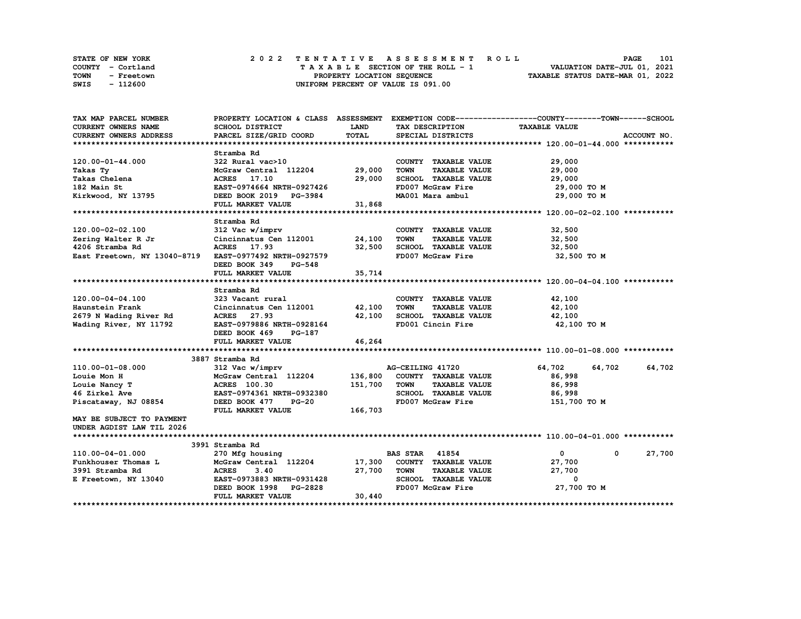|             | STATE OF NEW YORK |  |  |  |  |                                    |  |  |  |  | 2022 TENTATIVE ASSESSMENT ROLL |                                  |  | <b>PAGE</b>                 | 101 |  |
|-------------|-------------------|--|--|--|--|------------------------------------|--|--|--|--|--------------------------------|----------------------------------|--|-----------------------------|-----|--|
|             | COUNTY - Cortland |  |  |  |  | TAXABLE SECTION OF THE ROLL - 1    |  |  |  |  |                                |                                  |  | VALUATION DATE-JUL 01, 2021 |     |  |
| <b>TOWN</b> | - Freetown        |  |  |  |  | PROPERTY LOCATION SEQUENCE         |  |  |  |  |                                | TAXABLE STATUS DATE-MAR 01, 2022 |  |                             |     |  |
| SWIS        | - 112600          |  |  |  |  | UNIFORM PERCENT OF VALUE IS 091.00 |  |  |  |  |                                |                                  |  |                             |     |  |

| TAX MAP PARCEL NUMBER         |                                |             |                                     | PROPERTY LOCATION & CLASS ASSESSMENT EXEMPTION CODE----------------COUNTY-------TOWN------SCHOOL |             |
|-------------------------------|--------------------------------|-------------|-------------------------------------|--------------------------------------------------------------------------------------------------|-------------|
| CURRENT OWNERS NAME           | SCHOOL DISTRICT                | <b>LAND</b> | TAX DESCRIPTION                     | <b>TAXABLE VALUE</b>                                                                             |             |
| <b>CURRENT OWNERS ADDRESS</b> | PARCEL SIZE/GRID COORD         | TOTAL       | SPECIAL DISTRICTS                   |                                                                                                  | ACCOUNT NO. |
|                               |                                |             |                                     |                                                                                                  |             |
|                               | Stramba Rd                     |             |                                     |                                                                                                  |             |
| 120.00-01-44.000              | 322 Rural vac>10               |             | COUNTY TAXABLE VALUE                | 29,000                                                                                           |             |
| Takas Ty                      | McGraw Central 112204 29,000   |             | <b>TOWN</b><br><b>TAXABLE VALUE</b> | 29,000                                                                                           |             |
| Takas Chelena                 | ACRES 17.10                    | 29,000      | SCHOOL TAXABLE VALUE                | 29,000                                                                                           |             |
| 182 Main St                   | EAST-0974664 NRTH-0927426      |             | FD007 McGraw Fire                   | 29,000 TO M                                                                                      |             |
| Kirkwood, NY 13795            | DEED BOOK 2019 PG-3984         |             | MA001 Mara ambul                    | 29,000 TO M                                                                                      |             |
|                               | FULL MARKET VALUE              | 31,868      |                                     |                                                                                                  |             |
|                               |                                |             |                                     |                                                                                                  |             |
|                               | Stramba Rd                     |             |                                     |                                                                                                  |             |
| 120.00-02-02.100              | 312 Vac w/imprv                |             | COUNTY TAXABLE VALUE                | 32,500                                                                                           |             |
| Zering Walter R Jr            | Cincinnatus Cen 112001 24,100  |             | TOWN<br><b>TAXABLE VALUE</b>        | 32,500                                                                                           |             |
| 4206 Stramba Rd               | ACRES 17.93                    | 32,500      | SCHOOL TAXABLE VALUE                | 32,500                                                                                           |             |
| East Freetown, NY 13040-8719  | EAST-0977492 NRTH-0927579      |             | FD007 McGraw Fire                   | 32,500 TO M                                                                                      |             |
|                               | DEED BOOK 349<br>PG-548        |             |                                     |                                                                                                  |             |
|                               | FULL MARKET VALUE              | 35,714      |                                     |                                                                                                  |             |
|                               |                                |             |                                     |                                                                                                  |             |
|                               | Stramba Rd                     |             |                                     |                                                                                                  |             |
| 120.00-04-04.100              | 323 Vacant rural               |             | COUNTY TAXABLE VALUE                | 42,100                                                                                           |             |
| Haunstein Frank               | Cincinnatus Cen 112001 42,100  |             | <b>TAXABLE VALUE</b><br><b>TOWN</b> | 42,100                                                                                           |             |
| 2679 N Wading River Rd        | ACRES 27.93                    | 42,100      | SCHOOL TAXABLE VALUE                | 42,100                                                                                           |             |
| Wading River, NY 11792        | EAST-0979886 NRTH-0928164      |             | FD001 Cincin Fire                   | 42,100 TO M                                                                                      |             |
|                               | <b>PG-187</b><br>DEED BOOK 469 |             |                                     |                                                                                                  |             |
|                               | FULL MARKET VALUE              | 46,264      |                                     |                                                                                                  |             |
|                               |                                |             |                                     |                                                                                                  |             |
|                               | 3887 Stramba Rd                |             |                                     |                                                                                                  |             |
| 110.00-01-08.000              | 312 Vac w/imprv                |             | AG-CEILING 41720                    | 64,702<br>64,702                                                                                 | 64,702      |
| Louie Mon H                   | McGraw Central 112204          | 136,800     | COUNTY TAXABLE VALUE                | 86,998                                                                                           |             |
| Louie Nancy T                 | <b>ACRES</b> 100.30            | 151,700     | TOWN<br><b>TAXABLE VALUE</b>        | 86,998                                                                                           |             |
| 46 Zirkel Ave                 | EAST-0974361 NRTH-0932380      |             | SCHOOL TAXABLE VALUE                | 86,998                                                                                           |             |
| Piscataway, NJ 08854          | DEED BOOK 477<br>$PG-20$       |             | FD007 McGraw Fire                   | 151,700 TO M                                                                                     |             |
|                               | FULL MARKET VALUE              | 166,703     |                                     |                                                                                                  |             |
| MAY BE SUBJECT TO PAYMENT     |                                |             |                                     |                                                                                                  |             |
| UNDER AGDIST LAW TIL 2026     |                                |             |                                     |                                                                                                  |             |
|                               |                                |             |                                     |                                                                                                  |             |
|                               | 3991 Stramba Rd                |             |                                     |                                                                                                  |             |
| 110.00-04-01.000              | 270 Mfg housing                |             | <b>BAS STAR 41854</b>               | $\mathbf{0}$<br>$\mathbf 0$                                                                      | 27,700      |
| Funkhouser Thomas L           | McGraw Central 112204 17,300   |             | COUNTY TAXABLE VALUE                | 27,700                                                                                           |             |
| 3991 Stramba Rd               | <b>ACRES</b><br>3.40           | 27,700      | TOWN<br><b>TAXABLE VALUE</b>        | 27,700                                                                                           |             |
| E Freetown, NY 13040          | EAST-0973883 NRTH-0931428      |             | SCHOOL TAXABLE VALUE                | $\mathbf{0}$                                                                                     |             |
|                               | DEED BOOK 1998 PG-2828         |             | FD007 McGraw Fire                   | 27,700 TO M                                                                                      |             |
|                               | FULL MARKET VALUE              | 30,440      |                                     |                                                                                                  |             |
|                               |                                |             |                                     |                                                                                                  |             |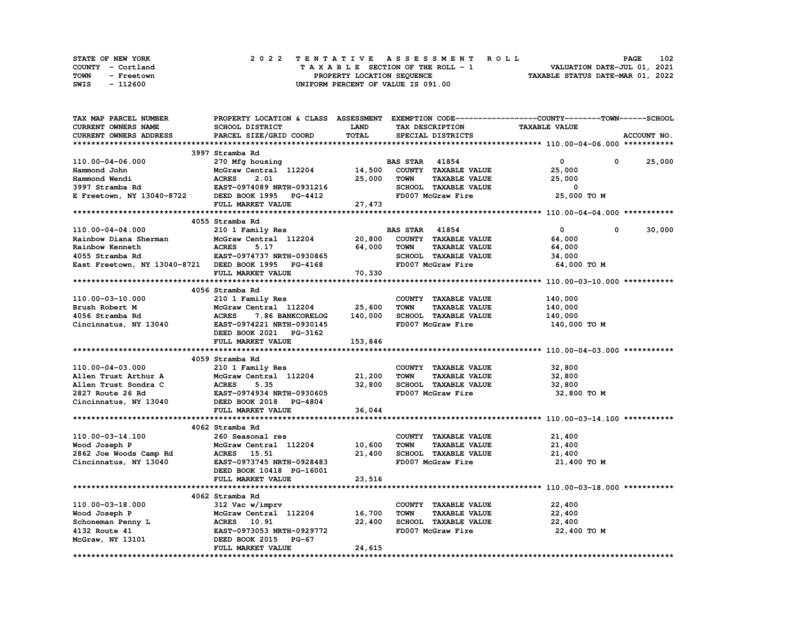| <b>STATE OF NEW YORK</b> | 2022 TENTATIVE ASSESSMENT ROLL          | 102<br><b>PAGE</b>               |
|--------------------------|-----------------------------------------|----------------------------------|
| COUNTY - Cortland        | $T A X A B L E$ SECTION OF THE ROLL - 1 | VALUATION DATE-JUL 01, 2021      |
| TOWN<br>- Freetown       | PROPERTY LOCATION SEOUENCE              | TAXABLE STATUS DATE-MAR 01, 2022 |
| - 112600<br>SWIS         | UNIFORM PERCENT OF VALUE IS 091.00      |                                  |

| TAX MAP PARCEL NUMBER                                                                                                                                                                                                                                  |                                  |              |                                     | PROPERTY LOCATION & CLASS ASSESSMENT EXEMPTION CODE-----------------COUNTY-------TOWN------SCHOOL |             |
|--------------------------------------------------------------------------------------------------------------------------------------------------------------------------------------------------------------------------------------------------------|----------------------------------|--------------|-------------------------------------|---------------------------------------------------------------------------------------------------|-------------|
| <b>CURRENT OWNERS NAME</b>                                                                                                                                                                                                                             | <b>SCHOOL DISTRICT</b>           | <b>LAND</b>  | TAX DESCRIPTION                     | <b>TAXABLE VALUE</b>                                                                              |             |
| CURRENT OWNERS ADDRESS                                                                                                                                                                                                                                 | PARCEL SIZE/GRID COORD           | <b>TOTAL</b> | SPECIAL DISTRICTS                   |                                                                                                   | ACCOUNT NO. |
|                                                                                                                                                                                                                                                        |                                  |              |                                     |                                                                                                   |             |
|                                                                                                                                                                                                                                                        | 3997 Stramba Rd                  |              |                                     |                                                                                                   |             |
| 110.00-04-06.000                                                                                                                                                                                                                                       | 270 Mfg housing                  |              | <b>BAS STAR 41854</b>               | $\mathbf{0}$<br>0                                                                                 | 25,000      |
|                                                                                                                                                                                                                                                        |                                  |              |                                     |                                                                                                   |             |
|                                                                                                                                                                                                                                                        | McGraw Central 112204 14,500     |              | COUNTY TAXABLE VALUE                | 25,000                                                                                            |             |
|                                                                                                                                                                                                                                                        |                                  | 25,000       | <b>TAXABLE VALUE</b><br>TOWN        | 25,000                                                                                            |             |
|                                                                                                                                                                                                                                                        |                                  |              | SCHOOL TAXABLE VALUE                | 0                                                                                                 |             |
| Hammond John McGraw Central 112204 14,500<br>Hammond Wendi ACRES 2.01 25,000<br>3997 Stramba Rd EAST-0974089 NRTH-0931216<br>E Freetown, NY 13040-8722 DEED BOOK 1995 PG-4412                                                                          |                                  |              | FD007 McGraw Fire                   | 25,000 TO M                                                                                       |             |
|                                                                                                                                                                                                                                                        | FULL MARKET VALUE                | 27,473       |                                     |                                                                                                   |             |
|                                                                                                                                                                                                                                                        |                                  |              |                                     |                                                                                                   |             |
|                                                                                                                                                                                                                                                        | 4055 Stramba Rd                  |              |                                     |                                                                                                   |             |
| 110.00-04-04.000                                                                                                                                                                                                                                       | 210 1 Family Res                 |              | <b>BAS STAR</b> 41854               | $\mathbf{0}$<br>0                                                                                 | 30,000      |
| Rainbow Diana Sherman                                                                                                                                                                                                                                  | McGraw Central 112204            | 20,800       | COUNTY TAXABLE VALUE                | 64,000                                                                                            |             |
| Rainbow Kenneth                                                                                                                                                                                                                                        | <b>ACRES</b><br>5.17             | 64,000       | <b>TAXABLE VALUE</b><br>TOWN        | 64,000                                                                                            |             |
| 4055 Stramba Rd                                                                                                                                                                                                                                        | EAST-0974737 NRTH-0930865        |              | SCHOOL TAXABLE VALUE                | 34,000                                                                                            |             |
| East Freetown, NY 13040-8721 DEED BOOK 1995 PG-4168                                                                                                                                                                                                    |                                  |              | FD007 McGraw Fire                   | 64,000 TO M                                                                                       |             |
|                                                                                                                                                                                                                                                        | FULL MARKET VALUE                | 70,330       |                                     |                                                                                                   |             |
|                                                                                                                                                                                                                                                        |                                  |              |                                     |                                                                                                   |             |
|                                                                                                                                                                                                                                                        |                                  |              |                                     |                                                                                                   |             |
|                                                                                                                                                                                                                                                        | 4056 Stramba Rd                  |              |                                     |                                                                                                   |             |
| 110.00-03-10.000                                                                                                                                                                                                                                       | 210 1 Family Res                 |              | COUNTY TAXABLE VALUE                | 140,000                                                                                           |             |
| Brush Robert M                                                                                                                                                                                                                                         | McGraw Central 112204 25,600     |              | <b>TOWN</b><br><b>TAXABLE VALUE</b> | 140,000                                                                                           |             |
| 4056 Stramba Rd                                                                                                                                                                                                                                        | <b>ACRES</b><br>7.86 BANKCORELOG | 140,000      | SCHOOL TAXABLE VALUE                | 140,000                                                                                           |             |
| Cincinnatus, NY 13040 EAST-0974221 NRTH-0930145                                                                                                                                                                                                        |                                  |              | FD007 McGraw Fire                   | 140,000 TO M                                                                                      |             |
|                                                                                                                                                                                                                                                        | DEED BOOK 2021 PG-3162           |              |                                     |                                                                                                   |             |
|                                                                                                                                                                                                                                                        | FULL MARKET VALUE                | 153,846      |                                     |                                                                                                   |             |
|                                                                                                                                                                                                                                                        |                                  |              |                                     |                                                                                                   |             |
|                                                                                                                                                                                                                                                        | 4059 Stramba Rd                  |              |                                     |                                                                                                   |             |
| 110.00-04-03.000                                                                                                                                                                                                                                       | 210 1 Family Res                 |              | COUNTY TAXABLE VALUE                | 32,800                                                                                            |             |
| Allen Trust Arthur A McGraw Central 112204<br>Allen Trust Sondra C ACRES 5.35<br>2827 Route 26 Rd EAST-0974934 NRTH-0930605                                                                                                                            | McGraw Central 112204 21,200     |              | <b>TOWN</b><br><b>TAXABLE VALUE</b> | 32,800                                                                                            |             |
|                                                                                                                                                                                                                                                        |                                  |              | 32,800 SCHOOL TAXABLE VALUE         | 32,800                                                                                            |             |
|                                                                                                                                                                                                                                                        |                                  |              | FD007 McGraw Fire                   | 32,800 TO M                                                                                       |             |
| 2827 Route 26 Rd<br>Cincinnatus, NY 13040 DEED BOOK 2018 PG-4804                                                                                                                                                                                       |                                  |              |                                     |                                                                                                   |             |
|                                                                                                                                                                                                                                                        | FULL MARKET VALUE                | 36,044       |                                     |                                                                                                   |             |
|                                                                                                                                                                                                                                                        |                                  |              |                                     |                                                                                                   |             |
|                                                                                                                                                                                                                                                        |                                  |              |                                     |                                                                                                   |             |
|                                                                                                                                                                                                                                                        | 4062 Stramba Rd                  |              |                                     |                                                                                                   |             |
| 110.00-03-14.100                                                                                                                                                                                                                                       | 260 Seasonal res                 |              | COUNTY TAXABLE VALUE                | 21,400                                                                                            |             |
| Wood Joseph P                                                                                                                                                                                                                                          | McGraw Central 112204            | 10,600       | <b>TOWN</b><br><b>TAXABLE VALUE</b> | 21,400                                                                                            |             |
| 2862 Joe Woods Camp Rd<br>Cincinnatus, NY 13040                                                                                                                                                                                                        | ACRES 15.51                      | 21,400       | SCHOOL TAXABLE VALUE                | 21,400                                                                                            |             |
| Cincinnatus, NY 13040                                                                                                                                                                                                                                  | EAST-0973745 NRTH-0928483        |              | FD007 McGraw Fire                   | 21,400 TO M                                                                                       |             |
|                                                                                                                                                                                                                                                        | DEED BOOK 10418 PG-16001         |              |                                     |                                                                                                   |             |
|                                                                                                                                                                                                                                                        | FULL MARKET VALUE                | 23,516       |                                     |                                                                                                   |             |
|                                                                                                                                                                                                                                                        |                                  |              |                                     |                                                                                                   |             |
|                                                                                                                                                                                                                                                        | 4062 Stramba Rd                  |              |                                     |                                                                                                   |             |
| 110.00-03-18.000                                                                                                                                                                                                                                       | 312 Vac w/imprv                  |              | COUNTY TAXABLE VALUE                | 22,400                                                                                            |             |
|                                                                                                                                                                                                                                                        |                                  |              | <b>TAXABLE VALUE</b><br><b>TOWN</b> | 22,400                                                                                            |             |
|                                                                                                                                                                                                                                                        |                                  |              | SCHOOL TAXABLE VALUE                | 22,400                                                                                            |             |
|                                                                                                                                                                                                                                                        |                                  |              | FD007 McGraw Fire                   |                                                                                                   |             |
|                                                                                                                                                                                                                                                        |                                  |              |                                     | 22,400 TO M                                                                                       |             |
| Wood Joseph P<br>Schoneman Penny L<br>Schoneman Penny L<br>4132 Route 41<br>McGraw, NY 13101<br>McGraw, NY 13101<br>McGraw, NY 13101<br>McGraw, NY 13101<br>McGraw, NY 13101<br>McGraw, NY 13101<br>McGraw, NY 13101<br>McGraw, NY 13101<br>McGraw, NY |                                  |              |                                     |                                                                                                   |             |
|                                                                                                                                                                                                                                                        | FULL MARKET VALUE                | 24,615       |                                     |                                                                                                   |             |
|                                                                                                                                                                                                                                                        |                                  |              |                                     |                                                                                                   |             |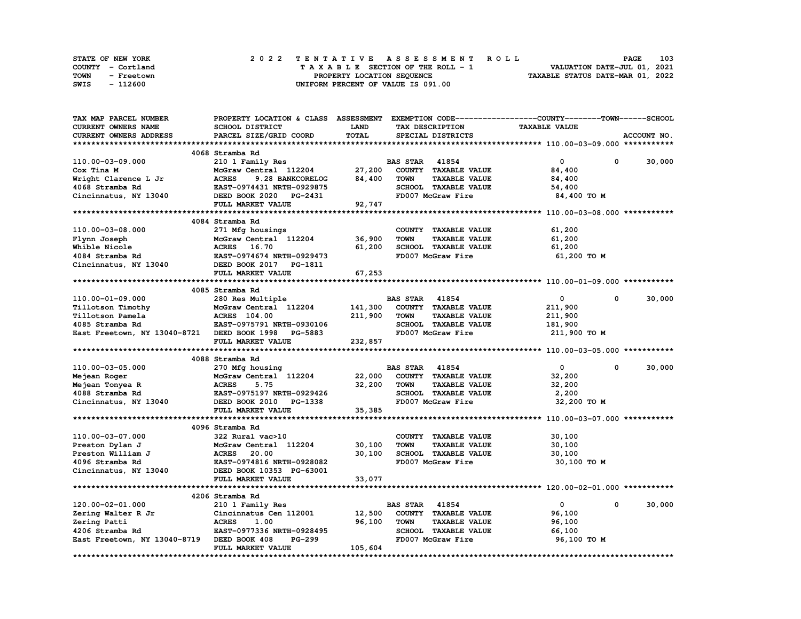| STATE OF NEW YORK  | 2022 TENTATIVE ASSESSMENT ROLL          | 103<br><b>PAGE</b>               |
|--------------------|-----------------------------------------|----------------------------------|
| COUNTY - Cortland  | $T A X A B L E$ SECTION OF THE ROLL - 1 | VALUATION DATE-JUL 01, 2021      |
| TOWN<br>- Freetown | PROPERTY LOCATION SEQUENCE              | TAXABLE STATUS DATE-MAR 01, 2022 |
| - 112600<br>SWIS   | UNIFORM PERCENT OF VALUE IS 091.00      |                                  |

| PROPERTY LOCATION & CLASS ASSESSMENT                                      |                                                                                                                                                                                                                                                                                                                                                                                                                                                                                                                                     |                                                                            |                                                                                                                                  | EXEMPTION CODE-----------------COUNTY-------TOWN-----SCHOOL                                                                                                                                                                                                                                                                                                                                                                                                                                                                 |                                                                                                                                                                                            |
|---------------------------------------------------------------------------|-------------------------------------------------------------------------------------------------------------------------------------------------------------------------------------------------------------------------------------------------------------------------------------------------------------------------------------------------------------------------------------------------------------------------------------------------------------------------------------------------------------------------------------|----------------------------------------------------------------------------|----------------------------------------------------------------------------------------------------------------------------------|-----------------------------------------------------------------------------------------------------------------------------------------------------------------------------------------------------------------------------------------------------------------------------------------------------------------------------------------------------------------------------------------------------------------------------------------------------------------------------------------------------------------------------|--------------------------------------------------------------------------------------------------------------------------------------------------------------------------------------------|
| SCHOOL DISTRICT                                                           |                                                                                                                                                                                                                                                                                                                                                                                                                                                                                                                                     |                                                                            |                                                                                                                                  | <b>TAXABLE VALUE</b>                                                                                                                                                                                                                                                                                                                                                                                                                                                                                                        |                                                                                                                                                                                            |
| PARCEL SIZE/GRID COORD                                                    |                                                                                                                                                                                                                                                                                                                                                                                                                                                                                                                                     |                                                                            |                                                                                                                                  |                                                                                                                                                                                                                                                                                                                                                                                                                                                                                                                             | ACCOUNT NO.                                                                                                                                                                                |
|                                                                           |                                                                                                                                                                                                                                                                                                                                                                                                                                                                                                                                     |                                                                            |                                                                                                                                  |                                                                                                                                                                                                                                                                                                                                                                                                                                                                                                                             |                                                                                                                                                                                            |
|                                                                           |                                                                                                                                                                                                                                                                                                                                                                                                                                                                                                                                     |                                                                            |                                                                                                                                  |                                                                                                                                                                                                                                                                                                                                                                                                                                                                                                                             |                                                                                                                                                                                            |
| 210 1 Family Res                                                          |                                                                                                                                                                                                                                                                                                                                                                                                                                                                                                                                     |                                                                            |                                                                                                                                  | $\mathbf 0$<br>0                                                                                                                                                                                                                                                                                                                                                                                                                                                                                                            | 30,000                                                                                                                                                                                     |
| McGraw Central 112204                                                     |                                                                                                                                                                                                                                                                                                                                                                                                                                                                                                                                     |                                                                            |                                                                                                                                  | 84,400                                                                                                                                                                                                                                                                                                                                                                                                                                                                                                                      |                                                                                                                                                                                            |
| <b>ACRES</b>                                                              |                                                                                                                                                                                                                                                                                                                                                                                                                                                                                                                                     | <b>TOWN</b>                                                                |                                                                                                                                  |                                                                                                                                                                                                                                                                                                                                                                                                                                                                                                                             |                                                                                                                                                                                            |
|                                                                           |                                                                                                                                                                                                                                                                                                                                                                                                                                                                                                                                     |                                                                            |                                                                                                                                  |                                                                                                                                                                                                                                                                                                                                                                                                                                                                                                                             |                                                                                                                                                                                            |
|                                                                           |                                                                                                                                                                                                                                                                                                                                                                                                                                                                                                                                     |                                                                            |                                                                                                                                  |                                                                                                                                                                                                                                                                                                                                                                                                                                                                                                                             |                                                                                                                                                                                            |
|                                                                           |                                                                                                                                                                                                                                                                                                                                                                                                                                                                                                                                     |                                                                            |                                                                                                                                  |                                                                                                                                                                                                                                                                                                                                                                                                                                                                                                                             |                                                                                                                                                                                            |
|                                                                           |                                                                                                                                                                                                                                                                                                                                                                                                                                                                                                                                     |                                                                            |                                                                                                                                  |                                                                                                                                                                                                                                                                                                                                                                                                                                                                                                                             |                                                                                                                                                                                            |
|                                                                           |                                                                                                                                                                                                                                                                                                                                                                                                                                                                                                                                     |                                                                            |                                                                                                                                  |                                                                                                                                                                                                                                                                                                                                                                                                                                                                                                                             |                                                                                                                                                                                            |
|                                                                           |                                                                                                                                                                                                                                                                                                                                                                                                                                                                                                                                     |                                                                            |                                                                                                                                  |                                                                                                                                                                                                                                                                                                                                                                                                                                                                                                                             |                                                                                                                                                                                            |
|                                                                           |                                                                                                                                                                                                                                                                                                                                                                                                                                                                                                                                     |                                                                            |                                                                                                                                  |                                                                                                                                                                                                                                                                                                                                                                                                                                                                                                                             |                                                                                                                                                                                            |
|                                                                           |                                                                                                                                                                                                                                                                                                                                                                                                                                                                                                                                     |                                                                            |                                                                                                                                  |                                                                                                                                                                                                                                                                                                                                                                                                                                                                                                                             |                                                                                                                                                                                            |
|                                                                           |                                                                                                                                                                                                                                                                                                                                                                                                                                                                                                                                     |                                                                            |                                                                                                                                  |                                                                                                                                                                                                                                                                                                                                                                                                                                                                                                                             |                                                                                                                                                                                            |
|                                                                           |                                                                                                                                                                                                                                                                                                                                                                                                                                                                                                                                     |                                                                            |                                                                                                                                  |                                                                                                                                                                                                                                                                                                                                                                                                                                                                                                                             |                                                                                                                                                                                            |
|                                                                           |                                                                                                                                                                                                                                                                                                                                                                                                                                                                                                                                     |                                                                            |                                                                                                                                  |                                                                                                                                                                                                                                                                                                                                                                                                                                                                                                                             |                                                                                                                                                                                            |
|                                                                           |                                                                                                                                                                                                                                                                                                                                                                                                                                                                                                                                     |                                                                            |                                                                                                                                  |                                                                                                                                                                                                                                                                                                                                                                                                                                                                                                                             |                                                                                                                                                                                            |
|                                                                           |                                                                                                                                                                                                                                                                                                                                                                                                                                                                                                                                     |                                                                            |                                                                                                                                  |                                                                                                                                                                                                                                                                                                                                                                                                                                                                                                                             |                                                                                                                                                                                            |
|                                                                           |                                                                                                                                                                                                                                                                                                                                                                                                                                                                                                                                     |                                                                            |                                                                                                                                  |                                                                                                                                                                                                                                                                                                                                                                                                                                                                                                                             |                                                                                                                                                                                            |
|                                                                           |                                                                                                                                                                                                                                                                                                                                                                                                                                                                                                                                     |                                                                            |                                                                                                                                  |                                                                                                                                                                                                                                                                                                                                                                                                                                                                                                                             | 30,000                                                                                                                                                                                     |
|                                                                           |                                                                                                                                                                                                                                                                                                                                                                                                                                                                                                                                     |                                                                            |                                                                                                                                  |                                                                                                                                                                                                                                                                                                                                                                                                                                                                                                                             |                                                                                                                                                                                            |
|                                                                           |                                                                                                                                                                                                                                                                                                                                                                                                                                                                                                                                     |                                                                            |                                                                                                                                  |                                                                                                                                                                                                                                                                                                                                                                                                                                                                                                                             |                                                                                                                                                                                            |
|                                                                           |                                                                                                                                                                                                                                                                                                                                                                                                                                                                                                                                     |                                                                            |                                                                                                                                  |                                                                                                                                                                                                                                                                                                                                                                                                                                                                                                                             |                                                                                                                                                                                            |
|                                                                           |                                                                                                                                                                                                                                                                                                                                                                                                                                                                                                                                     |                                                                            |                                                                                                                                  |                                                                                                                                                                                                                                                                                                                                                                                                                                                                                                                             |                                                                                                                                                                                            |
|                                                                           |                                                                                                                                                                                                                                                                                                                                                                                                                                                                                                                                     |                                                                            |                                                                                                                                  |                                                                                                                                                                                                                                                                                                                                                                                                                                                                                                                             |                                                                                                                                                                                            |
|                                                                           |                                                                                                                                                                                                                                                                                                                                                                                                                                                                                                                                     |                                                                            |                                                                                                                                  |                                                                                                                                                                                                                                                                                                                                                                                                                                                                                                                             |                                                                                                                                                                                            |
|                                                                           |                                                                                                                                                                                                                                                                                                                                                                                                                                                                                                                                     |                                                                            |                                                                                                                                  |                                                                                                                                                                                                                                                                                                                                                                                                                                                                                                                             |                                                                                                                                                                                            |
|                                                                           |                                                                                                                                                                                                                                                                                                                                                                                                                                                                                                                                     |                                                                            |                                                                                                                                  |                                                                                                                                                                                                                                                                                                                                                                                                                                                                                                                             | 30,000                                                                                                                                                                                     |
| McGraw Central 112204                                                     |                                                                                                                                                                                                                                                                                                                                                                                                                                                                                                                                     |                                                                            |                                                                                                                                  | 32,200                                                                                                                                                                                                                                                                                                                                                                                                                                                                                                                      |                                                                                                                                                                                            |
| <b>ACRES</b><br>5.75                                                      |                                                                                                                                                                                                                                                                                                                                                                                                                                                                                                                                     | <b>TOWN</b>                                                                | <b>TAXABLE VALUE</b>                                                                                                             | 32,200                                                                                                                                                                                                                                                                                                                                                                                                                                                                                                                      |                                                                                                                                                                                            |
| EAST-0975197 NRTH-0929426                                                 |                                                                                                                                                                                                                                                                                                                                                                                                                                                                                                                                     |                                                                            |                                                                                                                                  | 2,200                                                                                                                                                                                                                                                                                                                                                                                                                                                                                                                       |                                                                                                                                                                                            |
| DEED BOOK 2010 PG-1338                                                    |                                                                                                                                                                                                                                                                                                                                                                                                                                                                                                                                     |                                                                            |                                                                                                                                  | 32,200 TO M                                                                                                                                                                                                                                                                                                                                                                                                                                                                                                                 |                                                                                                                                                                                            |
| FULL MARKET VALUE                                                         | 35,385                                                                                                                                                                                                                                                                                                                                                                                                                                                                                                                              |                                                                            |                                                                                                                                  |                                                                                                                                                                                                                                                                                                                                                                                                                                                                                                                             |                                                                                                                                                                                            |
|                                                                           |                                                                                                                                                                                                                                                                                                                                                                                                                                                                                                                                     |                                                                            |                                                                                                                                  |                                                                                                                                                                                                                                                                                                                                                                                                                                                                                                                             |                                                                                                                                                                                            |
|                                                                           |                                                                                                                                                                                                                                                                                                                                                                                                                                                                                                                                     |                                                                            |                                                                                                                                  |                                                                                                                                                                                                                                                                                                                                                                                                                                                                                                                             |                                                                                                                                                                                            |
| 322 Rural vac>10                                                          |                                                                                                                                                                                                                                                                                                                                                                                                                                                                                                                                     |                                                                            |                                                                                                                                  | 30,100                                                                                                                                                                                                                                                                                                                                                                                                                                                                                                                      |                                                                                                                                                                                            |
|                                                                           |                                                                                                                                                                                                                                                                                                                                                                                                                                                                                                                                     |                                                                            |                                                                                                                                  | 30,100                                                                                                                                                                                                                                                                                                                                                                                                                                                                                                                      |                                                                                                                                                                                            |
|                                                                           |                                                                                                                                                                                                                                                                                                                                                                                                                                                                                                                                     |                                                                            |                                                                                                                                  |                                                                                                                                                                                                                                                                                                                                                                                                                                                                                                                             |                                                                                                                                                                                            |
|                                                                           |                                                                                                                                                                                                                                                                                                                                                                                                                                                                                                                                     |                                                                            |                                                                                                                                  |                                                                                                                                                                                                                                                                                                                                                                                                                                                                                                                             |                                                                                                                                                                                            |
| <b>ACRES</b><br>20.00                                                     | 30,100                                                                                                                                                                                                                                                                                                                                                                                                                                                                                                                              |                                                                            | SCHOOL TAXABLE VALUE                                                                                                             | 30,100                                                                                                                                                                                                                                                                                                                                                                                                                                                                                                                      |                                                                                                                                                                                            |
| EAST-0974816 NRTH-0928082                                                 |                                                                                                                                                                                                                                                                                                                                                                                                                                                                                                                                     |                                                                            | FD007 McGraw Fire                                                                                                                | 30,100 TO M                                                                                                                                                                                                                                                                                                                                                                                                                                                                                                                 |                                                                                                                                                                                            |
| DEED BOOK 10353 PG-63001                                                  |                                                                                                                                                                                                                                                                                                                                                                                                                                                                                                                                     |                                                                            |                                                                                                                                  |                                                                                                                                                                                                                                                                                                                                                                                                                                                                                                                             |                                                                                                                                                                                            |
| FULL MARKET VALUE                                                         | 33,077                                                                                                                                                                                                                                                                                                                                                                                                                                                                                                                              |                                                                            |                                                                                                                                  |                                                                                                                                                                                                                                                                                                                                                                                                                                                                                                                             |                                                                                                                                                                                            |
|                                                                           |                                                                                                                                                                                                                                                                                                                                                                                                                                                                                                                                     |                                                                            |                                                                                                                                  |                                                                                                                                                                                                                                                                                                                                                                                                                                                                                                                             |                                                                                                                                                                                            |
| 4206 Stramba Rd                                                           |                                                                                                                                                                                                                                                                                                                                                                                                                                                                                                                                     |                                                                            |                                                                                                                                  |                                                                                                                                                                                                                                                                                                                                                                                                                                                                                                                             |                                                                                                                                                                                            |
| 210 1 Family Res                                                          |                                                                                                                                                                                                                                                                                                                                                                                                                                                                                                                                     | <b>BAS STAR</b> 41854                                                      |                                                                                                                                  | $\mathbf 0$<br>$\mathbf{0}$                                                                                                                                                                                                                                                                                                                                                                                                                                                                                                 | 30,000                                                                                                                                                                                     |
| Cincinnatus Cen 112001                                                    | 12,500                                                                                                                                                                                                                                                                                                                                                                                                                                                                                                                              |                                                                            | COUNTY TAXABLE VALUE                                                                                                             | 96,100                                                                                                                                                                                                                                                                                                                                                                                                                                                                                                                      |                                                                                                                                                                                            |
| <b>ACRES</b><br>1.00                                                      | 96,100                                                                                                                                                                                                                                                                                                                                                                                                                                                                                                                              | <b>TOWN</b>                                                                | <b>TAXABLE VALUE</b>                                                                                                             | 96,100                                                                                                                                                                                                                                                                                                                                                                                                                                                                                                                      |                                                                                                                                                                                            |
| EAST-0977336 NRTH-0928495                                                 |                                                                                                                                                                                                                                                                                                                                                                                                                                                                                                                                     |                                                                            | SCHOOL TAXABLE VALUE                                                                                                             | 66,100                                                                                                                                                                                                                                                                                                                                                                                                                                                                                                                      |                                                                                                                                                                                            |
| East Freetown, NY 13040-8719 DEED BOOK 408<br>PG-299<br>FULL MARKET VALUE | 105,604                                                                                                                                                                                                                                                                                                                                                                                                                                                                                                                             |                                                                            | FD007 McGraw Fire                                                                                                                | 96,100 TO M                                                                                                                                                                                                                                                                                                                                                                                                                                                                                                                 |                                                                                                                                                                                            |
|                                                                           | 4068 Stramba Rd<br>9.28 BANKCORELOG<br>EAST-0974431 NRTH-0929875<br>DEED BOOK 2020 PG-2431<br>FULL MARKET VALUE<br>4084 Stramba Rd<br>271 Mfg housings<br>McGraw Central 112204<br>ACRES 16.70<br>EAST-0974674 NRTH-0929473<br>DEED BOOK 2017 PG-1811<br>FULL MARKET VALUE<br>4085 Stramba Rd<br>280 Res Multiple<br>McGraw Central 112204<br><b>ACRES</b> 104.00<br>EAST-0975791 NRTH-0930106<br>East Freetown, NY 13040-8721 DEED BOOK 1998 PG-5883<br>FULL MARKET VALUE<br>4088 Stramba Rd<br>270 Mfg housing<br>4096 Stramba Rd | LAND<br>TOTAL<br>84,400<br>92,747<br>36,900<br>61,200<br>67,253<br>232,857 | 27,200<br><b>TOWN</b><br>141,300<br>211,900<br><b>TOWN</b><br>22,000<br>32,200<br>McGraw Central 112204<br>30,100<br><b>TOWN</b> | TAX DESCRIPTION<br>SPECIAL DISTRICTS<br><b>BAS STAR 41854</b><br>COUNTY TAXABLE VALUE<br><b>TAXABLE VALUE</b><br>SCHOOL TAXABLE VALUE<br>FD007 McGraw Fire<br>COUNTY TAXABLE VALUE<br><b>TAXABLE VALUE</b><br>SCHOOL TAXABLE VALUE<br>FD007 McGraw Fire<br><b>BAS STAR 41854</b><br>COUNTY TAXABLE VALUE<br><b>TAXABLE VALUE</b><br>SCHOOL TAXABLE VALUE<br>FD007 McGraw Fire<br><b>BAS STAR 41854</b><br>COUNTY TAXABLE VALUE<br>SCHOOL TAXABLE VALUE<br>FD007 McGraw Fire<br>COUNTY TAXABLE VALUE<br><b>TAXABLE VALUE</b> | 84,400<br>54,400<br>84,400 TO M<br>61,200<br>61,200<br>61,200<br>61,200 TO M<br>$\mathbf 0$<br>$\mathbf{0}$<br>211,900<br>211,900<br>181,900<br>211,900 то м<br>$\mathbf{0}$<br>$^{\circ}$ |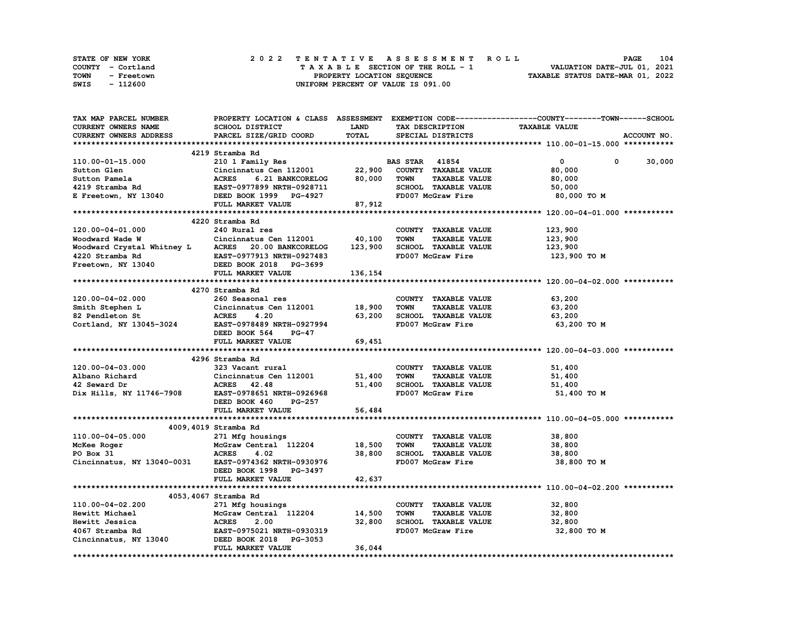| <b>STATE OF NEW YORK</b> | 2022 TENTATIVE ASSESSMENT ROLL     | 104<br><b>PAGE</b>               |
|--------------------------|------------------------------------|----------------------------------|
| COUNTY - Cortland        | TAXABLE SECTION OF THE ROLL - 1    | VALUATION DATE-JUL 01, 2021      |
| TOWN<br>- Freetown       | PROPERTY LOCATION SEQUENCE         | TAXABLE STATUS DATE-MAR 01, 2022 |
| - 112600<br>SWIS         | UNIFORM PERCENT OF VALUE IS 091.00 |                                  |

| <b>TAX MAP PARCEL NUMBER</b>                               |                                                                       |             |                                     | PROPERTY LOCATION & CLASS ASSESSMENT EXEMPTION CODE----------------COUNTY-------TOWN------SCHOOL |
|------------------------------------------------------------|-----------------------------------------------------------------------|-------------|-------------------------------------|--------------------------------------------------------------------------------------------------|
| CURRENT OWNERS NAME                                        | SCHOOL DISTRICT                                                       | <b>LAND</b> | TAX DESCRIPTION                     | <b>TAXABLE VALUE</b>                                                                             |
| <b>CURRENT OWNERS ADDRESS</b>                              | PARCEL SIZE/GRID COORD                                                | TOTAL       | SPECIAL DISTRICTS                   | ACCOUNT NO.                                                                                      |
|                                                            |                                                                       |             |                                     |                                                                                                  |
|                                                            | 4219 Stramba Rd                                                       |             |                                     |                                                                                                  |
| 110.00-01-15.000                                           | 210 1 Family Res                                                      |             | <b>BAS STAR 41854</b>               | $\mathbf{0}$<br>$\mathbf{0}$<br>30,000                                                           |
| Sutton Glen                                                |                                                                       |             | COUNTY TAXABLE VALUE                | 80,000                                                                                           |
| Sutton Pamela                                              | $Cincinnatus$ Cen 112001 22,900<br>ACRES 6.21 BANKCORELOG 80,000      |             | TOWN<br><b>TAXABLE VALUE</b>        | 80,000                                                                                           |
|                                                            |                                                                       |             | SCHOOL TAXABLE VALUE                | 50,000                                                                                           |
|                                                            |                                                                       |             | FD007 McGraw Fire                   | 80,000 TO M                                                                                      |
|                                                            |                                                                       |             |                                     |                                                                                                  |
|                                                            | <b>FULL MARKET VALUE</b>                                              | 87,912      |                                     |                                                                                                  |
|                                                            |                                                                       |             |                                     |                                                                                                  |
|                                                            | 4220 Stramba Rd                                                       |             |                                     |                                                                                                  |
| 120.00-04-01.000                                           | 240 Rural res                                                         |             | COUNTY TAXABLE VALUE                | 123,900                                                                                          |
| Woodward Wade W                                            | Cincinnatus Cen 112001                                                | 40,100      | <b>TOWN</b><br><b>TAXABLE VALUE</b> | 123,900                                                                                          |
| Woodward Crystal Whitney L ACRES 20.00 BANKCORELOG         |                                                                       | 123,900     | SCHOOL TAXABLE VALUE                | 123,900                                                                                          |
| 4220 Stramba Rd<br>Freetown, NY 13040                      | EAST-0977913 NRTH-0927483<br>DEED BOOK 2018 PG-3699                   |             | FD007 McGraw Fire                   | 123,900 то м                                                                                     |
|                                                            |                                                                       |             |                                     |                                                                                                  |
|                                                            | FULL MARKET VALUE                                                     | 136, 154    |                                     |                                                                                                  |
|                                                            |                                                                       |             |                                     |                                                                                                  |
|                                                            | 4270 Stramba Rd                                                       |             |                                     |                                                                                                  |
| $120.00 - 04 - 02.000$                                     | 260 Seasonal res                                                      |             | COUNTY TAXABLE VALUE                | 63,200                                                                                           |
|                                                            | Cincinnatus Cen 112001 18,900                                         |             | <b>TOWN</b><br><b>TAXABLE VALUE</b> | 63,200                                                                                           |
| Smith Stephen L<br>82 Pendleton St                         | ACRES 4.20                                                            | 63,200      | SCHOOL TAXABLE VALUE                | 63,200                                                                                           |
| Cortland, NY 13045-3024 EAST-0978489 NRTH-0927994          |                                                                       |             | FD007 McGraw Fire                   | 63,200 TO M                                                                                      |
|                                                            | DEED BOOK 564<br><b>PG-47</b>                                         |             |                                     |                                                                                                  |
|                                                            |                                                                       | 69,451      |                                     |                                                                                                  |
|                                                            | FULL MARKET VALUE                                                     |             |                                     |                                                                                                  |
|                                                            |                                                                       |             |                                     |                                                                                                  |
|                                                            | 4296 Stramba Rd                                                       |             |                                     |                                                                                                  |
| 120.00-04-03.000                                           | 323 Vacant rural                                                      |             | COUNTY TAXABLE VALUE                | 51,400                                                                                           |
| Albano Richard<br>42 Seward Dr<br>Dix Hills, NY 11746-7908 | Cincinnatus Cen 112001 51,400                                         |             | <b>TOWN</b><br><b>TAXABLE VALUE</b> | 51,400                                                                                           |
|                                                            | ACRES 42.48                                                           | 51,400      | SCHOOL TAXABLE VALUE                | 51,400                                                                                           |
|                                                            | EAST-0978651 NRTH-0926968                                             |             | FD007 McGraw Fire                   | 51,400 TO M                                                                                      |
|                                                            | DEED BOOK 460<br>PG-257                                               |             |                                     |                                                                                                  |
|                                                            | FULL MARKET VALUE                                                     | 56,484      |                                     |                                                                                                  |
|                                                            |                                                                       |             |                                     |                                                                                                  |
|                                                            | 4009,4019 Stramba Rd                                                  |             |                                     |                                                                                                  |
| 110.00-04-05.000                                           | 271 Mfg housings                                                      |             | COUNTY TAXABLE VALUE                | 38,800                                                                                           |
| McKee Roger                                                | 271 Mfg housings<br>McGraw Central 112204 18,500<br>ACRES 4.02 38,800 |             | <b>TOWN</b><br><b>TAXABLE VALUE</b> | 38,800                                                                                           |
| PO Box 31                                                  |                                                                       |             | SCHOOL TAXABLE VALUE                | 38,800                                                                                           |
| Cincinnatus, NY 13040-0031 EAST-0974362 NRTH-0930976       |                                                                       |             | FD007 McGraw Fire                   | 38,800 то м                                                                                      |
|                                                            | DEED BOOK 1998 PG-3497                                                |             |                                     |                                                                                                  |
|                                                            | FULL MARKET VALUE                                                     | 42,637      |                                     |                                                                                                  |
|                                                            |                                                                       |             |                                     |                                                                                                  |
|                                                            | 4053,4067 Stramba Rd                                                  |             |                                     |                                                                                                  |
|                                                            |                                                                       |             |                                     |                                                                                                  |
| 110.00-04-02.200                                           | 271 Mfg housings<br>$McGraw$ Central $112204$ 14,500                  |             | COUNTY TAXABLE VALUE                | 32,800                                                                                           |
| Hewitt Michael                                             | McGrav<br>ACRES                                                       |             | <b>TOWN</b><br><b>TAXABLE VALUE</b> | 32,800                                                                                           |
| Hewitt Jessica                                             | 2.00                                                                  | 32,800      | SCHOOL TAXABLE VALUE                | 32,800                                                                                           |
| 4067 Stramba Rd                                            | EAST-0975021 NRTH-0930319<br>DEED BOOK 2018 PG-3053                   |             | FD007 McGraw Fire                   | 32,800 TO M                                                                                      |
| Cincinnatus, NY 13040                                      |                                                                       |             |                                     |                                                                                                  |
|                                                            | FULL MARKET VALUE                                                     | 36,044      |                                     |                                                                                                  |
|                                                            |                                                                       |             |                                     |                                                                                                  |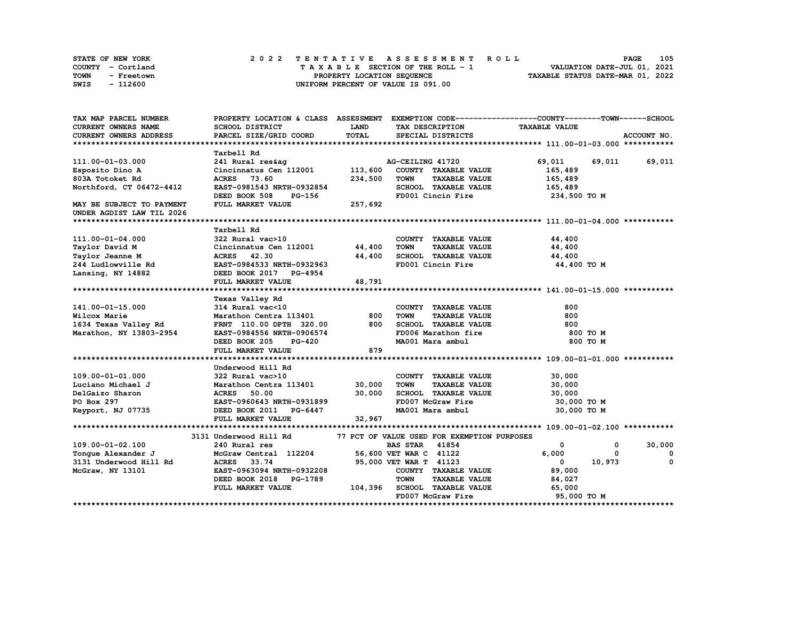| STATE OF NEW YORK  | 2022 TENTATIVE ASSESSMENT ROLL     | 105<br><b>PAGE</b>               |
|--------------------|------------------------------------|----------------------------------|
| COUNTY - Cortland  | TAXABLE SECTION OF THE ROLL - 1    | VALUATION DATE-JUL 01, 2021      |
| TOWN<br>- Freetown | PROPERTY LOCATION SEQUENCE         | TAXABLE STATUS DATE-MAR 01, 2022 |
| - 112600<br>SWIS   | UNIFORM PERCENT OF VALUE IS 091.00 |                                  |

| CURRENT OWNERS NAME<br>SCHOOL DISTRICT<br><b>LAND</b><br>TAX DESCRIPTION<br><b>TAXABLE VALUE</b><br>TOTAL<br><b>CURRENT OWNERS ADDRESS</b><br>PARCEL SIZE/GRID COORD<br>ACCOUNT NO.<br>SPECIAL DISTRICTS<br>Tarbell Rd<br>AG-CEILING 41720<br>69,011<br>69,011 69,011<br>111.00-01-03.000<br>241 Rural res&ag<br>Cincinnatus Cen 112001<br>113,600<br>COUNTY TAXABLE VALUE<br>Esposito Dino A<br>165,489<br>803A Totoket Rd<br>234,500<br><b>TOWN</b><br><b>TAXABLE VALUE</b><br>ACRES 73.60<br>165,489<br>SCHOOL TAXABLE VALUE<br>Northford, CT 06472-4412<br>EAST-0981543 NRTH-0932854<br>165,489<br>FD001 Cincin Fire<br>DEED BOOK 508<br>PG-156<br>234,500 TO M<br>FULL MARKET VALUE<br>257,692<br>MAY BE SUBJECT TO PAYMENT<br>UNDER AGDIST LAW TIL 2026<br>Tarbell Rd<br>111.00-01-04.000<br>322 Rural vac>10<br>COUNTY TAXABLE VALUE<br>44,400<br>Cincinnatus Cen 112001 44,400<br>Taylor David M<br><b>TOWN</b><br><b>TAXABLE VALUE</b><br>44,400<br>SCHOOL TAXABLE VALUE<br>Taylor Jeanne M<br>ACRES 42.30<br>44,400<br>44,400<br>244 Ludlowville Rd<br>EAST-0984533 NRTH-0932963<br>FD001 Cincin Fire<br>44,400 TO M<br>DEED BOOK 2017 PG-4954<br>Lansing, NY 14882<br>FULL MARKET VALUE<br>48,791<br>Texas Valley Rd<br>314 Rural vac<10<br>141.00-01-15.000<br>COUNTY TAXABLE VALUE<br>800<br>Marathon Centra 113401<br>800<br>800<br>Wilcox Marie<br><b>TOWN</b><br><b>TAXABLE VALUE</b><br>800<br>SCHOOL TAXABLE VALUE<br>1634 Texas Valley Rd<br>FRNT 110.00 DPTH 320.00<br>800<br>Marathon, NY 13803-2954<br>FD006 Marathon fire<br>EAST-0984556 NRTH-0906574<br>800 TO M<br>MA001 Mara ambul<br><b>PG-420</b><br>800 TO M<br>DEED BOOK 205<br>879<br>FULL MARKET VALUE<br>Underwood Hill Rd<br>30,000<br>109.00-01-01.000<br>322 Rural vac>10<br>COUNTY TAXABLE VALUE<br>Marathon Centra 113401 30,000<br>Luciano Michael J<br>TOWN<br><b>TAXABLE VALUE</b><br>30,000<br>30,000<br>SCHOOL TAXABLE VALUE<br>DelGaizo Sharon<br><b>ACRES</b><br>50.00<br>30,000<br>FD007 McGraw Fire<br>PO Box 297<br>EAST-0960643 NRTH-0931899<br>30,000 TO M<br>MA001 Mara ambul<br>30,000 TO M<br>Keyport, NJ 07735<br>DEED BOOK 2011 PG-6447<br>32,967<br>FULL MARKET VALUE<br>77 PCT OF VALUE USED FOR EXEMPTION PURPOSES<br>3131 Underwood Hill Rd<br>109.00-01-02.100<br>240 Rural res<br><b>BAS STAR</b><br>41854<br>$\mathbf 0$<br>30,000<br>0<br>McGraw Central 112204<br>56,600 VET WAR C 41122<br>6,000<br>Tonque Alexander J<br>$\Omega$<br>0<br>3131 Underwood Hill Rd<br>33.74<br>10,973<br><b>ACRES</b><br>95,000 VET WAR T 41123<br>$\mathbf{0}$<br>$^{\circ}$<br>EAST-0963094 NRTH-0932208<br>COUNTY TAXABLE VALUE<br>89,000<br>McGraw, NY 13101<br><b>TOWN</b><br><b>TAXABLE VALUE</b><br>DEED BOOK 2018 PG-1789<br>84,027<br>FULL MARKET VALUE<br>104,396<br>SCHOOL TAXABLE VALUE<br>65,000<br>FD007 McGraw Fire<br>95,000 TO M | TAX MAP PARCEL NUMBER | PROPERTY LOCATION & CLASS ASSESSMENT EXEMPTION CODE----------------COUNTY-------TOWN------SCHOOL |  |  |  |
|----------------------------------------------------------------------------------------------------------------------------------------------------------------------------------------------------------------------------------------------------------------------------------------------------------------------------------------------------------------------------------------------------------------------------------------------------------------------------------------------------------------------------------------------------------------------------------------------------------------------------------------------------------------------------------------------------------------------------------------------------------------------------------------------------------------------------------------------------------------------------------------------------------------------------------------------------------------------------------------------------------------------------------------------------------------------------------------------------------------------------------------------------------------------------------------------------------------------------------------------------------------------------------------------------------------------------------------------------------------------------------------------------------------------------------------------------------------------------------------------------------------------------------------------------------------------------------------------------------------------------------------------------------------------------------------------------------------------------------------------------------------------------------------------------------------------------------------------------------------------------------------------------------------------------------------------------------------------------------------------------------------------------------------------------------------------------------------------------------------------------------------------------------------------------------------------------------------------------------------------------------------------------------------------------------------------------------------------------------------------------------------------------------------------------------------------------------------------------------------------------------------------------------------------------------------------------------------------------------------------------------------------------------------------------------------------------------------------------------------------------------------------------------------------------------------------------------------------------|-----------------------|--------------------------------------------------------------------------------------------------|--|--|--|
|                                                                                                                                                                                                                                                                                                                                                                                                                                                                                                                                                                                                                                                                                                                                                                                                                                                                                                                                                                                                                                                                                                                                                                                                                                                                                                                                                                                                                                                                                                                                                                                                                                                                                                                                                                                                                                                                                                                                                                                                                                                                                                                                                                                                                                                                                                                                                                                                                                                                                                                                                                                                                                                                                                                                                                                                                                                    |                       |                                                                                                  |  |  |  |
|                                                                                                                                                                                                                                                                                                                                                                                                                                                                                                                                                                                                                                                                                                                                                                                                                                                                                                                                                                                                                                                                                                                                                                                                                                                                                                                                                                                                                                                                                                                                                                                                                                                                                                                                                                                                                                                                                                                                                                                                                                                                                                                                                                                                                                                                                                                                                                                                                                                                                                                                                                                                                                                                                                                                                                                                                                                    |                       |                                                                                                  |  |  |  |
|                                                                                                                                                                                                                                                                                                                                                                                                                                                                                                                                                                                                                                                                                                                                                                                                                                                                                                                                                                                                                                                                                                                                                                                                                                                                                                                                                                                                                                                                                                                                                                                                                                                                                                                                                                                                                                                                                                                                                                                                                                                                                                                                                                                                                                                                                                                                                                                                                                                                                                                                                                                                                                                                                                                                                                                                                                                    |                       |                                                                                                  |  |  |  |
|                                                                                                                                                                                                                                                                                                                                                                                                                                                                                                                                                                                                                                                                                                                                                                                                                                                                                                                                                                                                                                                                                                                                                                                                                                                                                                                                                                                                                                                                                                                                                                                                                                                                                                                                                                                                                                                                                                                                                                                                                                                                                                                                                                                                                                                                                                                                                                                                                                                                                                                                                                                                                                                                                                                                                                                                                                                    |                       |                                                                                                  |  |  |  |
|                                                                                                                                                                                                                                                                                                                                                                                                                                                                                                                                                                                                                                                                                                                                                                                                                                                                                                                                                                                                                                                                                                                                                                                                                                                                                                                                                                                                                                                                                                                                                                                                                                                                                                                                                                                                                                                                                                                                                                                                                                                                                                                                                                                                                                                                                                                                                                                                                                                                                                                                                                                                                                                                                                                                                                                                                                                    |                       |                                                                                                  |  |  |  |
|                                                                                                                                                                                                                                                                                                                                                                                                                                                                                                                                                                                                                                                                                                                                                                                                                                                                                                                                                                                                                                                                                                                                                                                                                                                                                                                                                                                                                                                                                                                                                                                                                                                                                                                                                                                                                                                                                                                                                                                                                                                                                                                                                                                                                                                                                                                                                                                                                                                                                                                                                                                                                                                                                                                                                                                                                                                    |                       |                                                                                                  |  |  |  |
|                                                                                                                                                                                                                                                                                                                                                                                                                                                                                                                                                                                                                                                                                                                                                                                                                                                                                                                                                                                                                                                                                                                                                                                                                                                                                                                                                                                                                                                                                                                                                                                                                                                                                                                                                                                                                                                                                                                                                                                                                                                                                                                                                                                                                                                                                                                                                                                                                                                                                                                                                                                                                                                                                                                                                                                                                                                    |                       |                                                                                                  |  |  |  |
|                                                                                                                                                                                                                                                                                                                                                                                                                                                                                                                                                                                                                                                                                                                                                                                                                                                                                                                                                                                                                                                                                                                                                                                                                                                                                                                                                                                                                                                                                                                                                                                                                                                                                                                                                                                                                                                                                                                                                                                                                                                                                                                                                                                                                                                                                                                                                                                                                                                                                                                                                                                                                                                                                                                                                                                                                                                    |                       |                                                                                                  |  |  |  |
|                                                                                                                                                                                                                                                                                                                                                                                                                                                                                                                                                                                                                                                                                                                                                                                                                                                                                                                                                                                                                                                                                                                                                                                                                                                                                                                                                                                                                                                                                                                                                                                                                                                                                                                                                                                                                                                                                                                                                                                                                                                                                                                                                                                                                                                                                                                                                                                                                                                                                                                                                                                                                                                                                                                                                                                                                                                    |                       |                                                                                                  |  |  |  |
|                                                                                                                                                                                                                                                                                                                                                                                                                                                                                                                                                                                                                                                                                                                                                                                                                                                                                                                                                                                                                                                                                                                                                                                                                                                                                                                                                                                                                                                                                                                                                                                                                                                                                                                                                                                                                                                                                                                                                                                                                                                                                                                                                                                                                                                                                                                                                                                                                                                                                                                                                                                                                                                                                                                                                                                                                                                    |                       |                                                                                                  |  |  |  |
|                                                                                                                                                                                                                                                                                                                                                                                                                                                                                                                                                                                                                                                                                                                                                                                                                                                                                                                                                                                                                                                                                                                                                                                                                                                                                                                                                                                                                                                                                                                                                                                                                                                                                                                                                                                                                                                                                                                                                                                                                                                                                                                                                                                                                                                                                                                                                                                                                                                                                                                                                                                                                                                                                                                                                                                                                                                    |                       |                                                                                                  |  |  |  |
|                                                                                                                                                                                                                                                                                                                                                                                                                                                                                                                                                                                                                                                                                                                                                                                                                                                                                                                                                                                                                                                                                                                                                                                                                                                                                                                                                                                                                                                                                                                                                                                                                                                                                                                                                                                                                                                                                                                                                                                                                                                                                                                                                                                                                                                                                                                                                                                                                                                                                                                                                                                                                                                                                                                                                                                                                                                    |                       |                                                                                                  |  |  |  |
|                                                                                                                                                                                                                                                                                                                                                                                                                                                                                                                                                                                                                                                                                                                                                                                                                                                                                                                                                                                                                                                                                                                                                                                                                                                                                                                                                                                                                                                                                                                                                                                                                                                                                                                                                                                                                                                                                                                                                                                                                                                                                                                                                                                                                                                                                                                                                                                                                                                                                                                                                                                                                                                                                                                                                                                                                                                    |                       |                                                                                                  |  |  |  |
|                                                                                                                                                                                                                                                                                                                                                                                                                                                                                                                                                                                                                                                                                                                                                                                                                                                                                                                                                                                                                                                                                                                                                                                                                                                                                                                                                                                                                                                                                                                                                                                                                                                                                                                                                                                                                                                                                                                                                                                                                                                                                                                                                                                                                                                                                                                                                                                                                                                                                                                                                                                                                                                                                                                                                                                                                                                    |                       |                                                                                                  |  |  |  |
|                                                                                                                                                                                                                                                                                                                                                                                                                                                                                                                                                                                                                                                                                                                                                                                                                                                                                                                                                                                                                                                                                                                                                                                                                                                                                                                                                                                                                                                                                                                                                                                                                                                                                                                                                                                                                                                                                                                                                                                                                                                                                                                                                                                                                                                                                                                                                                                                                                                                                                                                                                                                                                                                                                                                                                                                                                                    |                       |                                                                                                  |  |  |  |
|                                                                                                                                                                                                                                                                                                                                                                                                                                                                                                                                                                                                                                                                                                                                                                                                                                                                                                                                                                                                                                                                                                                                                                                                                                                                                                                                                                                                                                                                                                                                                                                                                                                                                                                                                                                                                                                                                                                                                                                                                                                                                                                                                                                                                                                                                                                                                                                                                                                                                                                                                                                                                                                                                                                                                                                                                                                    |                       |                                                                                                  |  |  |  |
|                                                                                                                                                                                                                                                                                                                                                                                                                                                                                                                                                                                                                                                                                                                                                                                                                                                                                                                                                                                                                                                                                                                                                                                                                                                                                                                                                                                                                                                                                                                                                                                                                                                                                                                                                                                                                                                                                                                                                                                                                                                                                                                                                                                                                                                                                                                                                                                                                                                                                                                                                                                                                                                                                                                                                                                                                                                    |                       |                                                                                                  |  |  |  |
|                                                                                                                                                                                                                                                                                                                                                                                                                                                                                                                                                                                                                                                                                                                                                                                                                                                                                                                                                                                                                                                                                                                                                                                                                                                                                                                                                                                                                                                                                                                                                                                                                                                                                                                                                                                                                                                                                                                                                                                                                                                                                                                                                                                                                                                                                                                                                                                                                                                                                                                                                                                                                                                                                                                                                                                                                                                    |                       |                                                                                                  |  |  |  |
|                                                                                                                                                                                                                                                                                                                                                                                                                                                                                                                                                                                                                                                                                                                                                                                                                                                                                                                                                                                                                                                                                                                                                                                                                                                                                                                                                                                                                                                                                                                                                                                                                                                                                                                                                                                                                                                                                                                                                                                                                                                                                                                                                                                                                                                                                                                                                                                                                                                                                                                                                                                                                                                                                                                                                                                                                                                    |                       |                                                                                                  |  |  |  |
|                                                                                                                                                                                                                                                                                                                                                                                                                                                                                                                                                                                                                                                                                                                                                                                                                                                                                                                                                                                                                                                                                                                                                                                                                                                                                                                                                                                                                                                                                                                                                                                                                                                                                                                                                                                                                                                                                                                                                                                                                                                                                                                                                                                                                                                                                                                                                                                                                                                                                                                                                                                                                                                                                                                                                                                                                                                    |                       |                                                                                                  |  |  |  |
|                                                                                                                                                                                                                                                                                                                                                                                                                                                                                                                                                                                                                                                                                                                                                                                                                                                                                                                                                                                                                                                                                                                                                                                                                                                                                                                                                                                                                                                                                                                                                                                                                                                                                                                                                                                                                                                                                                                                                                                                                                                                                                                                                                                                                                                                                                                                                                                                                                                                                                                                                                                                                                                                                                                                                                                                                                                    |                       |                                                                                                  |  |  |  |
|                                                                                                                                                                                                                                                                                                                                                                                                                                                                                                                                                                                                                                                                                                                                                                                                                                                                                                                                                                                                                                                                                                                                                                                                                                                                                                                                                                                                                                                                                                                                                                                                                                                                                                                                                                                                                                                                                                                                                                                                                                                                                                                                                                                                                                                                                                                                                                                                                                                                                                                                                                                                                                                                                                                                                                                                                                                    |                       |                                                                                                  |  |  |  |
|                                                                                                                                                                                                                                                                                                                                                                                                                                                                                                                                                                                                                                                                                                                                                                                                                                                                                                                                                                                                                                                                                                                                                                                                                                                                                                                                                                                                                                                                                                                                                                                                                                                                                                                                                                                                                                                                                                                                                                                                                                                                                                                                                                                                                                                                                                                                                                                                                                                                                                                                                                                                                                                                                                                                                                                                                                                    |                       |                                                                                                  |  |  |  |
|                                                                                                                                                                                                                                                                                                                                                                                                                                                                                                                                                                                                                                                                                                                                                                                                                                                                                                                                                                                                                                                                                                                                                                                                                                                                                                                                                                                                                                                                                                                                                                                                                                                                                                                                                                                                                                                                                                                                                                                                                                                                                                                                                                                                                                                                                                                                                                                                                                                                                                                                                                                                                                                                                                                                                                                                                                                    |                       |                                                                                                  |  |  |  |
|                                                                                                                                                                                                                                                                                                                                                                                                                                                                                                                                                                                                                                                                                                                                                                                                                                                                                                                                                                                                                                                                                                                                                                                                                                                                                                                                                                                                                                                                                                                                                                                                                                                                                                                                                                                                                                                                                                                                                                                                                                                                                                                                                                                                                                                                                                                                                                                                                                                                                                                                                                                                                                                                                                                                                                                                                                                    |                       |                                                                                                  |  |  |  |
|                                                                                                                                                                                                                                                                                                                                                                                                                                                                                                                                                                                                                                                                                                                                                                                                                                                                                                                                                                                                                                                                                                                                                                                                                                                                                                                                                                                                                                                                                                                                                                                                                                                                                                                                                                                                                                                                                                                                                                                                                                                                                                                                                                                                                                                                                                                                                                                                                                                                                                                                                                                                                                                                                                                                                                                                                                                    |                       |                                                                                                  |  |  |  |
|                                                                                                                                                                                                                                                                                                                                                                                                                                                                                                                                                                                                                                                                                                                                                                                                                                                                                                                                                                                                                                                                                                                                                                                                                                                                                                                                                                                                                                                                                                                                                                                                                                                                                                                                                                                                                                                                                                                                                                                                                                                                                                                                                                                                                                                                                                                                                                                                                                                                                                                                                                                                                                                                                                                                                                                                                                                    |                       |                                                                                                  |  |  |  |
|                                                                                                                                                                                                                                                                                                                                                                                                                                                                                                                                                                                                                                                                                                                                                                                                                                                                                                                                                                                                                                                                                                                                                                                                                                                                                                                                                                                                                                                                                                                                                                                                                                                                                                                                                                                                                                                                                                                                                                                                                                                                                                                                                                                                                                                                                                                                                                                                                                                                                                                                                                                                                                                                                                                                                                                                                                                    |                       |                                                                                                  |  |  |  |
|                                                                                                                                                                                                                                                                                                                                                                                                                                                                                                                                                                                                                                                                                                                                                                                                                                                                                                                                                                                                                                                                                                                                                                                                                                                                                                                                                                                                                                                                                                                                                                                                                                                                                                                                                                                                                                                                                                                                                                                                                                                                                                                                                                                                                                                                                                                                                                                                                                                                                                                                                                                                                                                                                                                                                                                                                                                    |                       |                                                                                                  |  |  |  |
|                                                                                                                                                                                                                                                                                                                                                                                                                                                                                                                                                                                                                                                                                                                                                                                                                                                                                                                                                                                                                                                                                                                                                                                                                                                                                                                                                                                                                                                                                                                                                                                                                                                                                                                                                                                                                                                                                                                                                                                                                                                                                                                                                                                                                                                                                                                                                                                                                                                                                                                                                                                                                                                                                                                                                                                                                                                    |                       |                                                                                                  |  |  |  |
|                                                                                                                                                                                                                                                                                                                                                                                                                                                                                                                                                                                                                                                                                                                                                                                                                                                                                                                                                                                                                                                                                                                                                                                                                                                                                                                                                                                                                                                                                                                                                                                                                                                                                                                                                                                                                                                                                                                                                                                                                                                                                                                                                                                                                                                                                                                                                                                                                                                                                                                                                                                                                                                                                                                                                                                                                                                    |                       |                                                                                                  |  |  |  |
|                                                                                                                                                                                                                                                                                                                                                                                                                                                                                                                                                                                                                                                                                                                                                                                                                                                                                                                                                                                                                                                                                                                                                                                                                                                                                                                                                                                                                                                                                                                                                                                                                                                                                                                                                                                                                                                                                                                                                                                                                                                                                                                                                                                                                                                                                                                                                                                                                                                                                                                                                                                                                                                                                                                                                                                                                                                    |                       |                                                                                                  |  |  |  |
|                                                                                                                                                                                                                                                                                                                                                                                                                                                                                                                                                                                                                                                                                                                                                                                                                                                                                                                                                                                                                                                                                                                                                                                                                                                                                                                                                                                                                                                                                                                                                                                                                                                                                                                                                                                                                                                                                                                                                                                                                                                                                                                                                                                                                                                                                                                                                                                                                                                                                                                                                                                                                                                                                                                                                                                                                                                    |                       |                                                                                                  |  |  |  |
|                                                                                                                                                                                                                                                                                                                                                                                                                                                                                                                                                                                                                                                                                                                                                                                                                                                                                                                                                                                                                                                                                                                                                                                                                                                                                                                                                                                                                                                                                                                                                                                                                                                                                                                                                                                                                                                                                                                                                                                                                                                                                                                                                                                                                                                                                                                                                                                                                                                                                                                                                                                                                                                                                                                                                                                                                                                    |                       |                                                                                                  |  |  |  |
|                                                                                                                                                                                                                                                                                                                                                                                                                                                                                                                                                                                                                                                                                                                                                                                                                                                                                                                                                                                                                                                                                                                                                                                                                                                                                                                                                                                                                                                                                                                                                                                                                                                                                                                                                                                                                                                                                                                                                                                                                                                                                                                                                                                                                                                                                                                                                                                                                                                                                                                                                                                                                                                                                                                                                                                                                                                    |                       |                                                                                                  |  |  |  |
|                                                                                                                                                                                                                                                                                                                                                                                                                                                                                                                                                                                                                                                                                                                                                                                                                                                                                                                                                                                                                                                                                                                                                                                                                                                                                                                                                                                                                                                                                                                                                                                                                                                                                                                                                                                                                                                                                                                                                                                                                                                                                                                                                                                                                                                                                                                                                                                                                                                                                                                                                                                                                                                                                                                                                                                                                                                    |                       |                                                                                                  |  |  |  |
|                                                                                                                                                                                                                                                                                                                                                                                                                                                                                                                                                                                                                                                                                                                                                                                                                                                                                                                                                                                                                                                                                                                                                                                                                                                                                                                                                                                                                                                                                                                                                                                                                                                                                                                                                                                                                                                                                                                                                                                                                                                                                                                                                                                                                                                                                                                                                                                                                                                                                                                                                                                                                                                                                                                                                                                                                                                    |                       |                                                                                                  |  |  |  |
|                                                                                                                                                                                                                                                                                                                                                                                                                                                                                                                                                                                                                                                                                                                                                                                                                                                                                                                                                                                                                                                                                                                                                                                                                                                                                                                                                                                                                                                                                                                                                                                                                                                                                                                                                                                                                                                                                                                                                                                                                                                                                                                                                                                                                                                                                                                                                                                                                                                                                                                                                                                                                                                                                                                                                                                                                                                    |                       |                                                                                                  |  |  |  |
|                                                                                                                                                                                                                                                                                                                                                                                                                                                                                                                                                                                                                                                                                                                                                                                                                                                                                                                                                                                                                                                                                                                                                                                                                                                                                                                                                                                                                                                                                                                                                                                                                                                                                                                                                                                                                                                                                                                                                                                                                                                                                                                                                                                                                                                                                                                                                                                                                                                                                                                                                                                                                                                                                                                                                                                                                                                    |                       |                                                                                                  |  |  |  |
|                                                                                                                                                                                                                                                                                                                                                                                                                                                                                                                                                                                                                                                                                                                                                                                                                                                                                                                                                                                                                                                                                                                                                                                                                                                                                                                                                                                                                                                                                                                                                                                                                                                                                                                                                                                                                                                                                                                                                                                                                                                                                                                                                                                                                                                                                                                                                                                                                                                                                                                                                                                                                                                                                                                                                                                                                                                    |                       |                                                                                                  |  |  |  |
|                                                                                                                                                                                                                                                                                                                                                                                                                                                                                                                                                                                                                                                                                                                                                                                                                                                                                                                                                                                                                                                                                                                                                                                                                                                                                                                                                                                                                                                                                                                                                                                                                                                                                                                                                                                                                                                                                                                                                                                                                                                                                                                                                                                                                                                                                                                                                                                                                                                                                                                                                                                                                                                                                                                                                                                                                                                    |                       |                                                                                                  |  |  |  |
|                                                                                                                                                                                                                                                                                                                                                                                                                                                                                                                                                                                                                                                                                                                                                                                                                                                                                                                                                                                                                                                                                                                                                                                                                                                                                                                                                                                                                                                                                                                                                                                                                                                                                                                                                                                                                                                                                                                                                                                                                                                                                                                                                                                                                                                                                                                                                                                                                                                                                                                                                                                                                                                                                                                                                                                                                                                    |                       |                                                                                                  |  |  |  |
|                                                                                                                                                                                                                                                                                                                                                                                                                                                                                                                                                                                                                                                                                                                                                                                                                                                                                                                                                                                                                                                                                                                                                                                                                                                                                                                                                                                                                                                                                                                                                                                                                                                                                                                                                                                                                                                                                                                                                                                                                                                                                                                                                                                                                                                                                                                                                                                                                                                                                                                                                                                                                                                                                                                                                                                                                                                    |                       |                                                                                                  |  |  |  |
|                                                                                                                                                                                                                                                                                                                                                                                                                                                                                                                                                                                                                                                                                                                                                                                                                                                                                                                                                                                                                                                                                                                                                                                                                                                                                                                                                                                                                                                                                                                                                                                                                                                                                                                                                                                                                                                                                                                                                                                                                                                                                                                                                                                                                                                                                                                                                                                                                                                                                                                                                                                                                                                                                                                                                                                                                                                    |                       |                                                                                                  |  |  |  |
|                                                                                                                                                                                                                                                                                                                                                                                                                                                                                                                                                                                                                                                                                                                                                                                                                                                                                                                                                                                                                                                                                                                                                                                                                                                                                                                                                                                                                                                                                                                                                                                                                                                                                                                                                                                                                                                                                                                                                                                                                                                                                                                                                                                                                                                                                                                                                                                                                                                                                                                                                                                                                                                                                                                                                                                                                                                    |                       |                                                                                                  |  |  |  |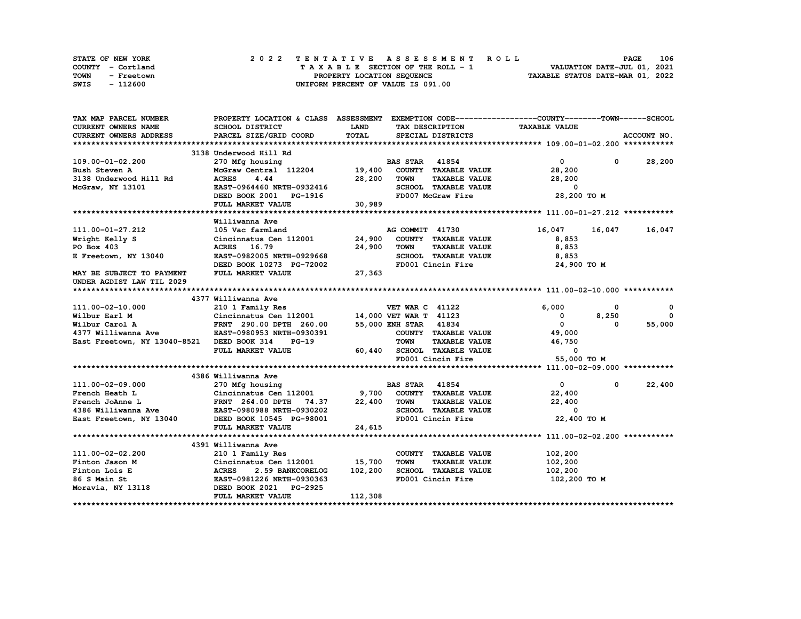| STATE OF NEW YORK  | 2022 TENTATIVE ASSESSMENT ROLL                                 | <b>PAGE</b>                 | 106 |
|--------------------|----------------------------------------------------------------|-----------------------------|-----|
| COUNTY - Cortland  | $T A X A B L E$ SECTION OF THE ROLL - 1                        | VALUATION DATE-JUL 01, 2021 |     |
| TOWN<br>- Freetown | TAXABLE STATUS DATE-MAR 01, 2022<br>PROPERTY LOCATION SEQUENCE |                             |     |
| - 112600<br>SWIS   | UNIFORM PERCENT OF VALUE IS 091.00                             |                             |     |

| TAX MAP PARCEL NUMBER                            | PROPERTY LOCATION & CLASS ASSESSMENT EXEMPTION CODE-----------------COUNTY-------TOWN------SCHOOL |             |                        |                                                  |                          |              |               |
|--------------------------------------------------|---------------------------------------------------------------------------------------------------|-------------|------------------------|--------------------------------------------------|--------------------------|--------------|---------------|
| <b>CURRENT OWNERS NAME</b>                       | SCHOOL DISTRICT                                                                                   | <b>LAND</b> |                        | TAX DESCRIPTION                                  | <b>TAXABLE VALUE</b>     |              |               |
| <b>CURRENT OWNERS ADDRESS</b>                    | PARCEL SIZE/GRID COORD                                                                            | TOTAL       |                        | SPECIAL DISTRICTS                                |                          |              | ACCOUNT NO.   |
|                                                  |                                                                                                   |             |                        |                                                  |                          |              |               |
|                                                  | 3138 Underwood Hill Rd                                                                            |             |                        |                                                  |                          |              |               |
| 109.00-01-02.200                                 |                                                                                                   |             |                        |                                                  | $\mathbf{0}$             |              | $0 \t 28,200$ |
| Bush Steven A                                    |                                                                                                   |             |                        |                                                  | 28,200                   |              |               |
| 3138 Underwood Hill Rd                           | 4.44<br><b>ACRES</b>                                                                              | 28,200      | TOWN                   | TAXABLE VALUE                                    | 28,200                   |              |               |
| McGraw, NY 13101                                 | EAST-0964460 NRTH-0932416                                                                         |             |                        | SCHOOL TAXABLE VALUE                             | 0                        |              |               |
|                                                  | DEED BOOK 2001 PG-1916                                                                            |             |                        | FD007 McGraw Fire                                | 28,200 TO M              |              |               |
|                                                  | FULL MARKET VALUE                                                                                 | 30,989      |                        |                                                  |                          |              |               |
|                                                  |                                                                                                   |             |                        |                                                  |                          |              |               |
|                                                  | Williwanna Ave                                                                                    |             |                        |                                                  |                          |              |               |
| 111.00-01-27.212                                 | 105 Vac farmland                                                                                  |             | AG COMMIT 41730        |                                                  | 16,047                   | 16,047       | 16,047        |
| Wright Kelly S                                   | Cincinnatus Cen 112001 24,900 COUNTY TAXABLE VALUE                                                |             |                        |                                                  | 8,853                    |              |               |
| PO Box 403                                       | ACRES 16.79                                                                                       | 24,900      | <b>TOWN</b>            | <b>TAXABLE VALUE</b>                             | 8,853                    |              |               |
| E Freetown, NY 13040                             | EAST-0982005 NRTH-0929668                                                                         |             |                        |                                                  | 8,853                    |              |               |
|                                                  | DEED BOOK 10273 PG-72002                                                                          |             |                        | SCHOOL TAXABLE VALUE<br>FD001 Cincin Fire        | 24,900 TO M              |              |               |
| MAY BE SUBJECT TO PAYMENT                        | FULL MARKET VALUE                                                                                 | 27,363      |                        |                                                  |                          |              |               |
| UNDER AGDIST LAW TIL 2029                        |                                                                                                   |             |                        |                                                  |                          |              |               |
|                                                  |                                                                                                   |             |                        |                                                  |                          |              |               |
|                                                  | 4377 Williwanna Ave                                                                               |             |                        |                                                  |                          |              |               |
| 111.00-02-10.000                                 | 210 1 Family Res                                                                                  |             | <b>VET WAR C 41122</b> |                                                  | 6,000                    | $\mathbf 0$  | $\mathbf{o}$  |
| Wilbur Earl M                                    | Cincinnatus Cen 112001 14,000 VET WAR T 41123                                                     |             |                        |                                                  | $^{\circ}$               | 8,250        | $\Omega$      |
|                                                  |                                                                                                   |             |                        |                                                  | $\overline{\mathbf{0}}$  | 0            | 55,000        |
|                                                  |                                                                                                   |             |                        | COUNTY TAXABLE VALUE                             | 49,000                   |              |               |
| East Freetown, NY 13040-8521 DEED BOOK 314       | $PG-19$                                                                                           |             | <b>TOWN</b>            |                                                  | TAXABLE VALUE 46,750     |              |               |
|                                                  | FULL MARKET VALUE                                                                                 |             |                        |                                                  | $\overline{\phantom{0}}$ |              |               |
|                                                  |                                                                                                   |             |                        | 60,440 SCHOOL TAXABLE VALUE<br>FD001 Cincin Fire | 55,000 TO M              |              |               |
|                                                  |                                                                                                   |             |                        |                                                  |                          |              |               |
|                                                  | 4386 Williwanna Ave                                                                               |             |                        |                                                  |                          |              |               |
| 111.00-02-09.000                                 | 270 Mfg housing                                                                                   |             | <b>BAS STAR</b> 41854  |                                                  | $\mathbf{0}$             | $\mathbf{0}$ | 22,400        |
|                                                  |                                                                                                   |             |                        |                                                  | 22,400                   |              |               |
|                                                  |                                                                                                   |             |                        |                                                  | 22,400                   |              |               |
|                                                  |                                                                                                   |             |                        | SCHOOL TAXABLE VALUE                             | $\overline{\phantom{a}}$ |              |               |
| East Freetown, NY 13040 DEED BOOK 10545 PG-98001 |                                                                                                   |             |                        | FD001 Cincin Fire                                | 22,400 TO M              |              |               |
|                                                  | FULL MARKET VALUE                                                                                 | 24,615      |                        |                                                  |                          |              |               |
|                                                  |                                                                                                   |             |                        |                                                  |                          |              |               |
|                                                  | 4391 Williwanna Ave                                                                               |             |                        |                                                  |                          |              |               |
| 111.00-02-02.200                                 | 210 1 Family Res                                                                                  |             |                        | COUNTY TAXABLE VALUE                             | 102,200                  |              |               |
| Finton Jason M                                   | Cincinnatus Cen 112001 15,700                                                                     |             | <b>TOWN</b>            | <b>TAXABLE VALUE</b>                             | 102,200                  |              |               |
| Finton Lois E                                    | <b>2.59 BANKCORELOG</b>                                                                           | 102,200     |                        | SCHOOL TAXABLE VALUE                             | 102,200                  |              |               |
| 86 S Main St                                     |                                                                                                   |             |                        | FD001 Cincin Fire                                | 102,200 TO M             |              |               |
| Moravia, NY 13118 <b>DEED BOOK 2021 PG-2925</b>  |                                                                                                   |             |                        |                                                  |                          |              |               |
|                                                  | FULL MARKET VALUE                                                                                 | 112,308     |                        |                                                  |                          |              |               |
|                                                  |                                                                                                   |             |                        |                                                  |                          |              |               |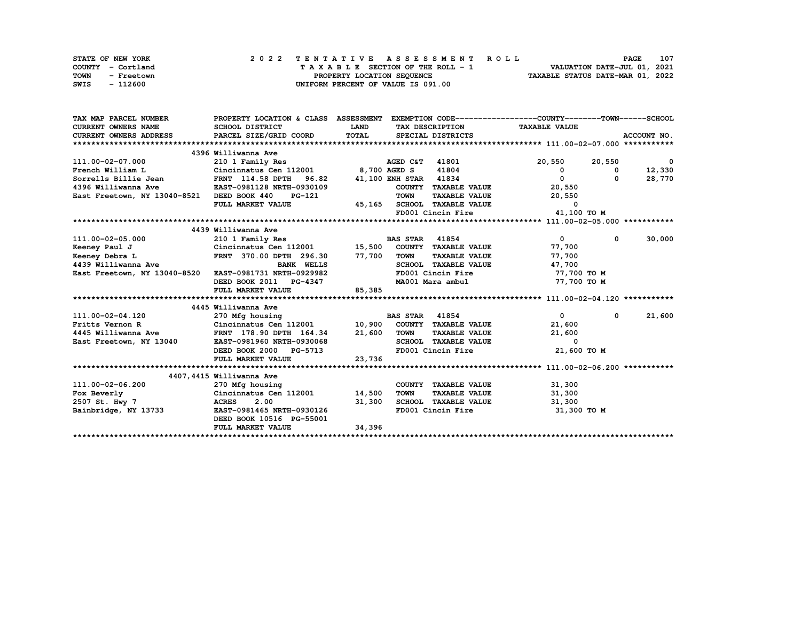| STATE OF NEW YORK  | 2022 TENTATIVE ASSESSMENT ROLL     | 107<br><b>PAGE</b>               |
|--------------------|------------------------------------|----------------------------------|
| COUNTY - Cortland  | TAXABLE SECTION OF THE ROLL - 1    | VALUATION DATE-JUL 01, 2021      |
| TOWN<br>- Freetown | PROPERTY LOCATION SEQUENCE         | TAXABLE STATUS DATE-MAR 01, 2022 |
| - 112600<br>SWIS   | UNIFORM PERCENT OF VALUE IS 091.00 |                                  |

| TAX MAP PARCEL NUMBER                                                                                                                                                          | PROPERTY LOCATION & CLASS ASSESSMENT EXEMPTION CODE----------------COUNTY-------TOWN-----SCHOOL     |             |                           |                                                  |                               |             |                          |
|--------------------------------------------------------------------------------------------------------------------------------------------------------------------------------|-----------------------------------------------------------------------------------------------------|-------------|---------------------------|--------------------------------------------------|-------------------------------|-------------|--------------------------|
| CURRENT OWNERS NAME                                                                                                                                                            | SCHOOL DISTRICT                                                                                     | <b>LAND</b> |                           |                                                  | TAX DESCRIPTION TAXABLE VALUE |             |                          |
|                                                                                                                                                                                |                                                                                                     | TOTAL       |                           | SPECIAL DISTRICTS                                |                               |             | ACCOUNT NO.              |
|                                                                                                                                                                                |                                                                                                     |             |                           |                                                  |                               |             |                          |
|                                                                                                                                                                                | 4396 Williwanna Ave                                                                                 |             |                           |                                                  |                               |             |                          |
| 111.00-02-07.000                                                                                                                                                               | 210 1 Family Res                                                                                    |             | <b>AGED C&amp;T</b> 41801 |                                                  | 20,550 20,550                 |             | $\overline{\phantom{0}}$ |
| French William L                                                                                                                                                               | Cincinnatus Cen 112001 8,700 AGED S                                                                 |             |                           | 41804                                            | $\mathbf 0$                   | $^{\circ}$  | 12,330                   |
| Sorrells Billie Jean                                                                                                                                                           | FRNT 114.58 DPTH 96.82 41,100 ENH STAR 41834<br>FRNT 114.58 DPTH 96.82<br>EAST-0981128 NRTH-0930109 |             |                           |                                                  | $\mathbf{0}$                  | $^{\circ}$  | 28,770                   |
| 4396 Williwanna Ave                                                                                                                                                            |                                                                                                     |             |                           | COUNTY TAXABLE VALUE                             | 20,550                        |             |                          |
| East Freetown, NY 13040-8521 DEED BOOK 440                                                                                                                                     | <b>PG-121</b>                                                                                       |             | <b>TOWN</b>               | <b>TAXABLE VALUE</b>                             | 20,550                        |             |                          |
|                                                                                                                                                                                | FULL MARKET VALUE                                                                                   |             |                           | 45,165 SCHOOL TAXABLE VALUE<br>FD001 Cincin Fire | $\overline{\mathbf{0}}$       |             |                          |
|                                                                                                                                                                                |                                                                                                     |             |                           |                                                  | 41,100 TO M                   |             |                          |
|                                                                                                                                                                                |                                                                                                     |             |                           |                                                  |                               |             |                          |
|                                                                                                                                                                                | 4439 Williwanna Ave                                                                                 |             |                           |                                                  |                               |             |                          |
| Exercise 1885 STAR 41854<br>Exercise 1990 Network Construction 12001 15,500 COUNTY TAXABLE VALUE<br>EXAMPLE 296.30 77,700 TOWN TAXABLE VALUE<br>4439 Williwanna Ave BANK WELLS |                                                                                                     |             | <b>BAS STAR</b> 41854     |                                                  | $\overline{0}$                | $\mathbf 0$ | 30,000                   |
|                                                                                                                                                                                |                                                                                                     |             |                           |                                                  | 77,700                        |             |                          |
|                                                                                                                                                                                |                                                                                                     |             |                           |                                                  | 77,700                        |             |                          |
|                                                                                                                                                                                |                                                                                                     |             |                           |                                                  | 47,700                        |             |                          |
| East Freetown, NY 13040-8520 EAST-0981731 NRTH-0929982                                                                                                                         |                                                                                                     |             |                           | FD001 Cincin Fire                                | 77,700 TO M                   |             |                          |
|                                                                                                                                                                                | DEED BOOK 2011 PG-4347                                                                              |             |                           | MA001 Mara ambul                                 | 77,700 TO M                   |             |                          |
|                                                                                                                                                                                | FULL MARKET VALUE                                                                                   | 85,385      |                           |                                                  |                               |             |                          |
|                                                                                                                                                                                |                                                                                                     |             |                           |                                                  |                               |             |                          |
|                                                                                                                                                                                | 4445 Williwanna Ave                                                                                 |             |                           |                                                  |                               |             |                          |
| 111.00-02-04.120                                                                                                                                                               | 270 Mfg housing                                                                                     |             | <b>BAS STAR</b> 41854     |                                                  | $\overline{0}$                |             | 21,600<br>$\mathbf{0}$   |
|                                                                                                                                                                                |                                                                                                     |             |                           |                                                  | 21,600                        |             |                          |
|                                                                                                                                                                                |                                                                                                     |             |                           |                                                  | 21,600                        |             |                          |
| East Freetown, NY 13040                                                                                                                                                        | EAST-0981960 NRTH-0930068                                                                           |             |                           | SCHOOL TAXABLE VALUE                             | $\overline{\mathbf{0}}$       |             |                          |
|                                                                                                                                                                                | DEED BOOK 2000 PG-5713                                                                              |             |                           | FD001 Cincin Fire                                | 21,600 TO M                   |             |                          |
|                                                                                                                                                                                | FULL MARKET VALUE                                                                                   | 23,736      |                           |                                                  |                               |             |                          |
|                                                                                                                                                                                |                                                                                                     |             |                           |                                                  |                               |             |                          |
|                                                                                                                                                                                | 4407,4415 Williwanna Ave                                                                            |             |                           |                                                  |                               |             |                          |
| 111.00-02-06.200                                                                                                                                                               | 270 Mfg housing                                                                                     |             |                           | COUNTY TAXABLE VALUE                             | 31,300                        |             |                          |
| Fox Beverly                                                                                                                                                                    | Cincinnatus Cen 112001 14,500                                                                       |             | <b>TOWN</b>               | <b>TAXABLE VALUE</b>                             | 31,300                        |             |                          |
| 2507 St. Hwy 7                                                                                                                                                                 | <b>ACRES</b><br>2.00                                                                                | 31,300      |                           | SCHOOL TAXABLE VALUE                             | 31,300                        |             |                          |
| Bainbridge, NY 13733                                                                                                                                                           | EAST-0981465 NRTH-0930126                                                                           |             |                           | FD001 Cincin Fire                                | 31,300 TO M                   |             |                          |
|                                                                                                                                                                                | DEED BOOK 10516 PG-55001                                                                            |             |                           |                                                  |                               |             |                          |
|                                                                                                                                                                                | FULL MARKET VALUE                                                                                   | 34,396      |                           |                                                  |                               |             |                          |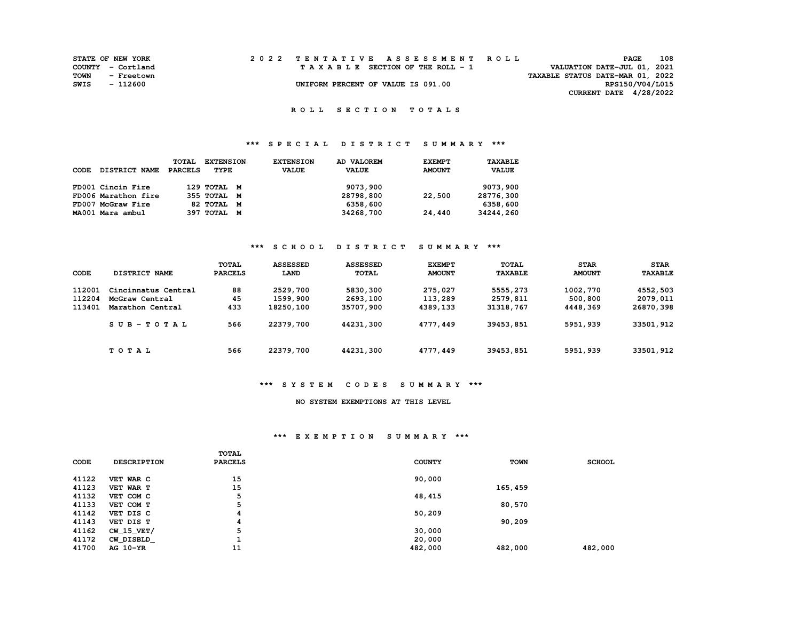|      | <b>STATE OF NEW YORK</b> |  | 2022 TENTATIVE ASSESSMENT ROLL     |                                  | <b>PAGE</b>                 | 108 |
|------|--------------------------|--|------------------------------------|----------------------------------|-----------------------------|-----|
|      | COUNTY - Cortland        |  | TAXABLE SECTION OF THE ROLL - 1    |                                  | VALUATION DATE-JUL 01, 2021 |     |
| TOWN | - Freetown               |  |                                    | TAXABLE STATUS DATE-MAR 01, 2022 |                             |     |
| SWIS | - 112600                 |  | UNIFORM PERCENT OF VALUE IS 091.00 |                                  | RPS150/V04/L015             |     |
|      |                          |  |                                    |                                  | CURRENT DATE 4/28/2022      |     |

 **R O L L S E C T I O N T O T A L S** 

# **\*\*\* S P E C I A L D I S T R I C T S U M M A R Y \*\*\***

|      |                      | <b>TOTAL</b> | <b>EXTENSION</b> | <b>EXTENSION</b> | AD VALOREM   | <b>EXEMPT</b> | TAXABLE      |
|------|----------------------|--------------|------------------|------------------|--------------|---------------|--------------|
| CODE | <b>DISTRICT NAME</b> | PARCELS      | TYPE             | <b>VALUE</b>     | <b>VALUE</b> | <b>AMOUNT</b> | <b>VALUE</b> |
|      |                      |              |                  |                  |              |               |              |
|      | FD001 Cincin Fire    |              | 129 TOTAL M      |                  | 9073,900     |               | 9073,900     |
|      | FD006 Marathon fire  |              | 355 TOTAL M      |                  | 28798,800    | 22,500        | 28776,300    |
|      | FD007 McGraw Fire    |              | 82 TOTAL M       |                  | 6358,600     |               | 6358,600     |
|      | MA001 Mara ambul     |              | 397 TOTAL M      |                  | 34268,700    | 24,440        | 34244,260    |

#### **\*\*\* S C H O O L D I S T R I C T S U M M A R Y \*\*\***

| CODE   | DISTRICT NAME       | TOTAL<br><b>PARCELS</b> | <b>ASSESSED</b><br>LAND | <b>ASSESSED</b><br><b>TOTAL</b> | <b>EXEMPT</b><br><b>AMOUNT</b> | <b>TOTAL</b><br><b>TAXABLE</b> | <b>STAR</b><br><b>AMOUNT</b> | <b>STAR</b><br><b>TAXABLE</b> |
|--------|---------------------|-------------------------|-------------------------|---------------------------------|--------------------------------|--------------------------------|------------------------------|-------------------------------|
| 112001 | Cincinnatus Central | 88                      | 2529,700                | 5830,300                        | 275,027                        | 5555,273                       | 1002,770                     | 4552,503                      |
| 112204 | McGraw Central      | 45                      | 1599,900                | 2693,100                        | 113,289                        | 2579,811                       | 500,800                      | 2079,011                      |
| 113401 | Marathon Central    | 433                     | 18250,100               | 35707,900                       | 4389,133                       | 31318,767                      | 4448,369                     | 26870,398                     |
|        | $SUB - TO T AL$     | 566                     | 22379,700               | 44231,300                       | 4777,449                       | 39453,851                      | 5951,939                     | 33501,912                     |
|        | TOTAL               | 566                     | 22379,700               | 44231,300                       | 4777,449                       | 39453,851                      | 5951,939                     | 33501,912                     |

#### **\*\*\* S Y S T E M C O D E S S U M M A R Y \*\*\***

### **NO SYSTEM EXEMPTIONS AT THIS LEVEL**

## **\*\*\* E X E M P T I O N S U M M A R Y \*\*\***

| CODE  | <b>DESCRIPTION</b> | <b>TOTAL</b><br><b>PARCELS</b> | <b>COUNTY</b> | <b>TOWN</b> | <b>SCHOOL</b> |
|-------|--------------------|--------------------------------|---------------|-------------|---------------|
| 41122 | VET WAR C          | 15                             | 90,000        |             |               |
| 41123 | VET WAR T          | 15                             |               | 165,459     |               |
| 41132 | VET COM C          | 5                              | 48,415        |             |               |
| 41133 | VET COM T          | 5                              |               | 80,570      |               |
| 41142 | VET DIS C          | 4                              | 50,209        |             |               |
| 41143 | VET DIS T          | 4                              |               | 90,209      |               |
| 41162 | CW 15 VET/         | 5                              | 30,000        |             |               |
| 41172 | CW DISBLD          |                                | 20,000        |             |               |
| 41700 | AG 10-YR           | 11                             | 482,000       | 482,000     | 482,000       |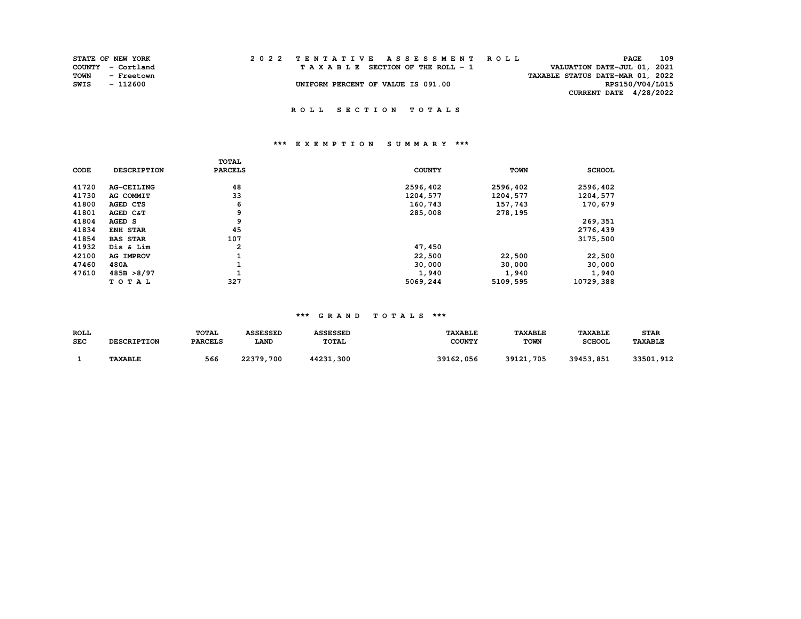| <b>STATE OF NEW YORK</b> |                   |  |  |  |  |  |                                    |  |  |  | 2022 TENTATIVE ASSESSMENT ROLL |                                  |                          | PAGE | 109 |  |
|--------------------------|-------------------|--|--|--|--|--|------------------------------------|--|--|--|--------------------------------|----------------------------------|--------------------------|------|-----|--|
|                          | COUNTY - Cortland |  |  |  |  |  | TAXABLE SECTION OF THE ROLL - 1    |  |  |  |                                | VALUATION DATE-JUL 01, 2021      |                          |      |     |  |
| TOWN                     | - Freetown        |  |  |  |  |  |                                    |  |  |  |                                | TAXABLE STATUS DATE-MAR 01, 2022 |                          |      |     |  |
| SWIS                     | - 112600          |  |  |  |  |  | UNIFORM PERCENT OF VALUE IS 091.00 |  |  |  |                                |                                  | RPS150/V04/L015          |      |     |  |
|                          |                   |  |  |  |  |  |                                    |  |  |  |                                |                                  | CURRENT DATE $4/28/2022$ |      |     |  |

# **\*\*\* E X E M P T I O N S U M M A R Y \*\*\***

|             |                    | TOTAL          |               |             |               |
|-------------|--------------------|----------------|---------------|-------------|---------------|
| <b>CODE</b> | <b>DESCRIPTION</b> | <b>PARCELS</b> | <b>COUNTY</b> | <b>TOWN</b> | <b>SCHOOL</b> |
| 41720       | <b>AG-CEILING</b>  | 48             | 2596,402      | 2596,402    | 2596,402      |
| 41730       | AG COMMIT          | 33             | 1204,577      | 1204,577    | 1204,577      |
| 41800       | AGED CTS           | 6              | 160,743       | 157,743     | 170,679       |
| 41801       | AGED C&T           | 9              | 285,008       | 278,195     |               |
| 41804       | AGED S             | 9              |               |             | 269,351       |
| 41834       | <b>ENH STAR</b>    | 45             |               |             | 2776,439      |
| 41854       | <b>BAS STAR</b>    | 107            |               |             | 3175,500      |
| 41932       | Dis & Lim          | $\overline{2}$ | 47,450        |             |               |
| 42100       | AG IMPROV          | ÷.             | 22,500        | 22,500      | 22,500        |
| 47460       | 480A               |                | 30,000        | 30,000      | 30,000        |
| 47610       | 485B > 8/97        |                | 1,940         | 1,940       | 1,940         |
|             | TOTAL              | 327            | 5069,244      | 5109,595    | 10729,388     |

| ROLL       | <b>DESCRIPTION</b> | <b>TOTAL</b>   | <b>ASSESSED</b> | <b>ASSESSED</b> | <b>TAXABLE</b> | <b>TAXABLE</b> | <b>TAXABLE</b> | <b>STAR</b>           |
|------------|--------------------|----------------|-----------------|-----------------|----------------|----------------|----------------|-----------------------|
| <b>SEC</b> |                    | <b>PARCELS</b> | <b>LAND</b>     | <b>TOTAL</b>    | <b>COUNTY</b>  | <b>TOWN</b>    | <b>SCHOOL</b>  | <b><i>TAXABLE</i></b> |
|            | <b>TAXABLE</b>     | 566            | 22379,700       | 44231,300       | 39162,056      | 39121,705      | 39453,851      | 33501,912             |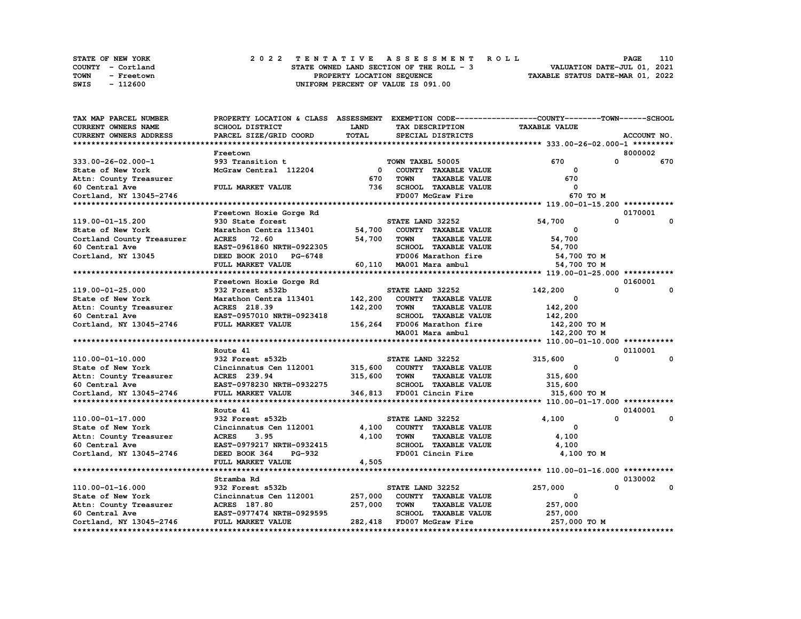|      | STATE OF NEW YORK |  |                                          |                                    |  |  |  |  |  | 2022 TENTATIVE ASSESSMENT ROLL | <b>PAGE</b>                      | 110 |
|------|-------------------|--|------------------------------------------|------------------------------------|--|--|--|--|--|--------------------------------|----------------------------------|-----|
|      | COUNTY - Cortland |  | STATE OWNED LAND SECTION OF THE ROLL - 3 |                                    |  |  |  |  |  |                                | VALUATION DATE-JUL 01, 2021      |     |
| TOWN | - Freetown        |  |                                          | PROPERTY LOCATION SEQUENCE         |  |  |  |  |  |                                | TAXABLE STATUS DATE-MAR 01, 2022 |     |
| SWIS | - 112600          |  |                                          | UNIFORM PERCENT OF VALUE IS 091.00 |  |  |  |  |  |                                |                                  |     |

| TAX MAP PARCEL NUMBER     | PROPERTY LOCATION & CLASS ASSESSMENT                |              |                                     | EXEMPTION CODE-----------------COUNTY-------TOWN------SCHOOL |              |
|---------------------------|-----------------------------------------------------|--------------|-------------------------------------|--------------------------------------------------------------|--------------|
| CURRENT OWNERS NAME       | SCHOOL DISTRICT                                     | <b>LAND</b>  | TAX DESCRIPTION                     | <b>TAXABLE VALUE</b>                                         |              |
| CURRENT OWNERS ADDRESS    | PARCEL SIZE/GRID COORD                              | <b>TOTAL</b> | SPECIAL DISTRICTS                   |                                                              | ACCOUNT NO.  |
|                           |                                                     |              |                                     |                                                              |              |
|                           | Freetown                                            |              |                                     |                                                              | 8000002      |
| 333.00-26-02.000-1        | 993 Transition t                                    |              | TOWN TAXBL 50005                    | 670<br>$\Omega$                                              | 670          |
| State of New York         | McGraw Central 112204                               |              | 0 COUNTY TAXABLE VALUE              | 0                                                            |              |
| Attn: County Treasurer    |                                                     | 670          | <b>TOWN</b><br><b>TAXABLE VALUE</b> | 670                                                          |              |
| 60 Central Ave            | FULL MARKET VALUE                                   | 736          | SCHOOL TAXABLE VALUE                | $^{\circ}$                                                   |              |
| Cortland, NY 13045-2746   |                                                     |              | FD007 McGraw Fire                   | 670 TO M                                                     |              |
|                           |                                                     |              |                                     |                                                              |              |
|                           | Freetown Hoxie Gorge Rd                             |              |                                     |                                                              | 0170001      |
| 119.00-01-15.200          | 930 State forest                                    |              | STATE LAND 32252                    | $\mathbf{0}$<br>54,700                                       | $\mathbf 0$  |
| State of New York         | Marathon Centra 113401                              |              | 54,700 COUNTY TAXABLE VALUE         | 0                                                            |              |
| Cortland County Treasurer | <b>ACRES</b><br>72.60                               | 54,700       | TOWN<br><b>TAXABLE VALUE</b>        | 54,700                                                       |              |
| 60 Central Ave            | EAST-0961860 NRTH-0922305                           |              | SCHOOL TAXABLE VALUE                | 54,700                                                       |              |
| Cortland, NY 13045        | DEED BOOK 2010 PG-6748                              |              | FD006 Marathon fire                 | 54,700 TO M                                                  |              |
|                           | FULL MARKET VALUE                                   |              | 60,110 MA001 Mara ambul             | 54,700 TO M                                                  |              |
|                           |                                                     |              |                                     |                                                              |              |
|                           | Freetown Hoxie Gorge Rd                             |              |                                     |                                                              | 0160001      |
| 119.00-01-25.000          | 932 Forest s532b                                    |              | STATE LAND 32252                    | $\Omega$<br>142,200                                          | $\mathbf{o}$ |
| State of New York         | Marathon Centra 113401                              | 142,200      | COUNTY TAXABLE VALUE                | 0                                                            |              |
| Attn: County Treasurer    | ACRES 218.39                                        | 142,200      | <b>TAXABLE VALUE</b><br>TOWN        | 142,200                                                      |              |
| 60 Central Ave            | EAST-0957010 NRTH-0923418                           |              | SCHOOL TAXABLE VALUE                | 142,200                                                      |              |
| Cortland, NY 13045-2746   | FULL MARKET VALUE                                   |              | 156,264 FD006 Marathon fire         | 142,200 TO M                                                 |              |
|                           |                                                     |              | MA001 Mara ambul                    | 142,200 TO M                                                 |              |
|                           |                                                     |              |                                     |                                                              |              |
|                           | Route 41                                            |              |                                     |                                                              | 0110001      |
| 110.00-01-10.000          | 932 Forest s532b                                    |              | STATE LAND 32252                    | 0<br>315,600                                                 | 0            |
| State of New York         | Cincinnatus Cen 112001 315,600 COUNTY TAXABLE VALUE |              |                                     | $\Omega$                                                     |              |
| Attn: County Treasurer    | <b>ACRES</b> 239.94                                 | 315,600      | TOWN<br><b>TAXABLE VALUE</b>        | 315,600                                                      |              |
| 60 Central Ave            | EAST-0978230 NRTH-0932275                           |              | SCHOOL TAXABLE VALUE                | 315,600                                                      |              |
| Cortland, NY 13045-2746   | FULL MARKET VALUE                                   |              | 346,813 FD001 Cincin Fire           | 315,600 TO M                                                 |              |
|                           |                                                     |              |                                     |                                                              |              |
|                           | Route 41                                            |              |                                     |                                                              | 0140001      |
| 110.00-01-17.000          | 932 Forest s532b                                    |              | STATE LAND 32252                    | $\Omega$<br>4,100                                            | 0            |
| State of New York         | Cincinnatus Cen 112001                              |              | 4,100 COUNTY TAXABLE VALUE          | 0                                                            |              |
|                           | <b>ACRES</b><br>3.95                                | 4,100        | <b>TOWN</b><br><b>TAXABLE VALUE</b> | 4,100                                                        |              |
| Attn: County Treasurer    |                                                     |              |                                     |                                                              |              |
| 60 Central Ave            | EAST-0979217 NRTH-0932415                           |              | SCHOOL TAXABLE VALUE                | 4,100                                                        |              |
| Cortland, NY 13045-2746   | DEED BOOK 364<br><b>PG-932</b>                      |              | FD001 Cincin Fire                   | 4,100 TO M                                                   |              |
|                           | FULL MARKET VALUE                                   | 4,505        |                                     |                                                              |              |
|                           |                                                     |              |                                     |                                                              |              |
|                           | Stramba Rd                                          |              |                                     | $\Omega$                                                     | 0130002      |
| 110.00-01-16.000          | 932 Forest s532b                                    |              | STATE LAND 32252                    | 257,000                                                      | 0            |
| State of New York         | Cincinnatus Cen 112001                              | 257,000      | COUNTY TAXABLE VALUE                | 0                                                            |              |
| Attn: County Treasurer    | ACRES 187.80                                        | 257,000      | <b>TOWN</b><br><b>TAXABLE VALUE</b> | 257,000                                                      |              |
| 60 Central Ave            | EAST-0977474 NRTH-0929595                           |              | <b>SCHOOL TAXABLE VALUE</b>         | 257,000                                                      |              |
| Cortland, NY 13045-2746   | FULL MARKET VALUE                                   |              | 282,418 FD007 McGraw Fire           | 257,000 TO M                                                 |              |

**\*\*\*\*\*\*\*\*\*\*\*\*\*\*\*\*\*\*\*\*\*\*\*\*\*\*\*\*\*\*\*\*\*\*\*\*\*\*\*\*\*\*\*\*\*\*\*\*\*\*\*\*\*\*\*\*\*\*\*\*\*\*\*\*\*\*\*\*\*\*\*\*\*\*\*\*\*\*\*\*\*\*\*\*\*\*\*\*\*\*\*\*\*\*\*\*\*\*\*\*\*\*\*\*\*\*\*\*\*\*\*\*\*\*\*\*\*\*\*\*\*\*\*\*\*\*\*\*\*\*\*\***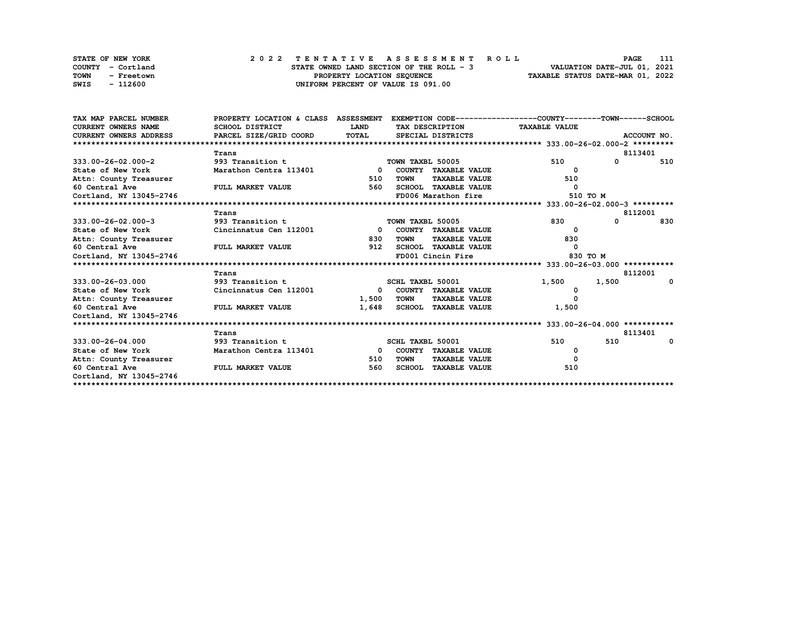| <b>STATE OF NEW YORK</b>  | 2022 TENTATIVE ASSESSMENT ROLL           | 111<br><b>PAGE</b>               |
|---------------------------|------------------------------------------|----------------------------------|
| COUNTY - Cortland         | STATE OWNED LAND SECTION OF THE ROLL - 3 | VALUATION DATE-JUL 01, 2021      |
| <b>TOWN</b><br>- Freetown | PROPERTY LOCATION SEQUENCE               | TAXABLE STATUS DATE-MAR 01, 2022 |
| - 112600<br>SWIS          | UNIFORM PERCENT OF VALUE IS 091.00       |                                  |

| TAX MAP PARCEL NUMBER         | PROPERTY LOCATION & CLASS ASSESSMENT |                         |                  |                             | EXEMPTION CODE-----------------COUNTY-------TOWN-----SCHOOL |             |             |
|-------------------------------|--------------------------------------|-------------------------|------------------|-----------------------------|-------------------------------------------------------------|-------------|-------------|
| <b>CURRENT OWNERS NAME</b>    | SCHOOL DISTRICT                      | <b>LAND</b>             |                  | TAX DESCRIPTION             | <b>TAXABLE VALUE</b>                                        |             |             |
| <b>CURRENT OWNERS ADDRESS</b> | PARCEL SIZE/GRID COORD               | TOTAL                   |                  | SPECIAL DISTRICTS           |                                                             |             | ACCOUNT NO. |
|                               |                                      |                         |                  |                             |                                                             |             |             |
|                               | Trans                                |                         |                  |                             |                                                             |             | 8113401     |
| $333.00 - 26 - 02.000 - 2$    | 993 Transition t                     |                         | TOWN TAXBL 50005 |                             | 510                                                         | $\mathbf 0$ | 510         |
| State of New York             | Marathon Centra 113401               | $\Omega$                |                  | COUNTY TAXABLE VALUE        | 0                                                           |             |             |
| Attn: County Treasurer        |                                      | 510                     | <b>TOWN</b>      | <b>TAXABLE VALUE</b>        | 510                                                         |             |             |
| 60 Central Ave                | FULL MARKET VALUE                    | 560                     |                  | <b>SCHOOL TAXABLE VALUE</b> | 0                                                           |             |             |
| Cortland, NY 13045-2746       |                                      |                         |                  | FD006 Marathon fire         | 510 TO M                                                    |             |             |
|                               |                                      |                         |                  |                             |                                                             |             |             |
|                               | Trans                                |                         |                  |                             |                                                             |             | 8112001     |
| 333.00-26-02.000-3            | 993 Transition t                     |                         | TOWN TAXBL 50005 |                             | 830                                                         | $\Omega$    | 830         |
| State of New York             | Cincinnatus Cen 112001               | $\mathbf{0}$            |                  | COUNTY TAXABLE VALUE        | 0                                                           |             |             |
| Attn: County Treasurer        |                                      | 830                     | <b>TOWN</b>      | <b>TAXABLE VALUE</b>        | 830                                                         |             |             |
| 60 Central Ave                | FULL MARKET VALUE                    | 912                     |                  | <b>SCHOOL TAXABLE VALUE</b> | $\Omega$                                                    |             |             |
| Cortland, NY 13045-2746       |                                      |                         |                  | FD001 Cincin Fire           | 830 TO M                                                    |             |             |
|                               |                                      |                         |                  |                             |                                                             |             |             |
|                               | Trans                                |                         |                  |                             |                                                             |             | 8112001     |
| 333.00-26-03.000              | 993 Transition t                     |                         | SCHL TAXBL 50001 |                             | 1,500                                                       | 1,500       | $\Omega$    |
| State of New York             | Cincinnatus Cen 112001               | $\mathbf{0}$            |                  | COUNTY TAXABLE VALUE        | 0                                                           |             |             |
| Attn: County Treasurer        |                                      | 1,500                   | <b>TOWN</b>      | <b>TAXABLE VALUE</b>        | O                                                           |             |             |
| 60 Central Ave                | FULL MARKET VALUE                    | 1,648                   |                  | SCHOOL TAXABLE VALUE        | 1,500                                                       |             |             |
| Cortland, NY 13045-2746       |                                      |                         |                  |                             |                                                             |             |             |
|                               |                                      |                         |                  |                             |                                                             |             |             |
|                               | Trans                                |                         |                  |                             |                                                             |             | 8113401     |
| 333.00-26-04.000              | 993 Transition t                     |                         | SCHL TAXBL 50001 |                             | 510                                                         | 510         | $\Omega$    |
| State of New York             | Marathon Centra 113401               | $\overline{\mathbf{0}}$ |                  | COUNTY TAXABLE VALUE        |                                                             |             |             |
| Attn: County Treasurer        |                                      | 510                     | <b>TOWN</b>      | <b>TAXABLE VALUE</b>        | $\Omega$                                                    |             |             |
| 60 Central Ave                | FULL MARKET VALUE                    | 560                     |                  | <b>SCHOOL TAXABLE VALUE</b> | 510                                                         |             |             |
| Cortland, NY 13045-2746       |                                      |                         |                  |                             |                                                             |             |             |
|                               |                                      |                         |                  |                             |                                                             |             |             |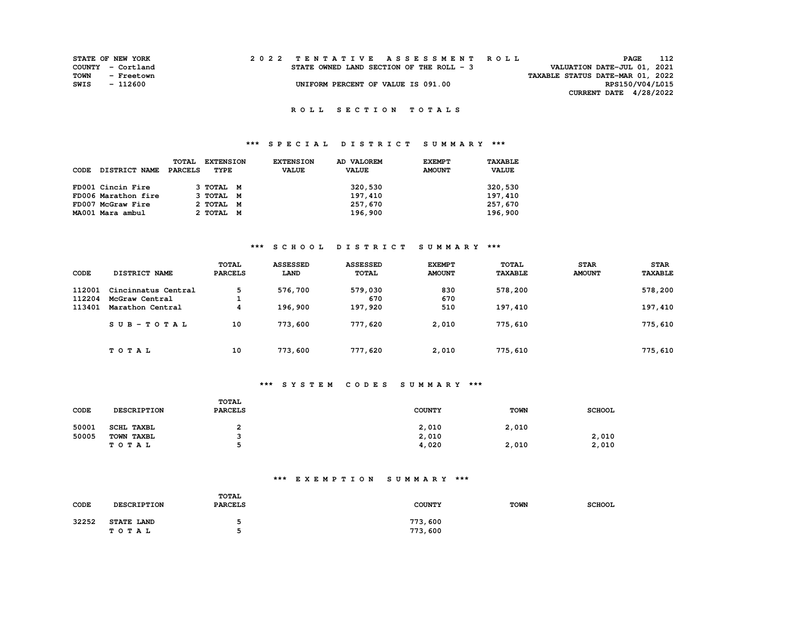|      | <b>STATE OF NEW YORK</b> |                                          | 2022 TENTATIVE ASSESSMENT ROLL |                                  | PAGE                        | 112 |
|------|--------------------------|------------------------------------------|--------------------------------|----------------------------------|-----------------------------|-----|
|      | COUNTY - Cortland        | STATE OWNED LAND SECTION OF THE ROLL - 3 |                                |                                  | VALUATION DATE-JUL 01, 2021 |     |
| TOWN | - Freetown               |                                          |                                | TAXABLE STATUS DATE-MAR 01, 2022 |                             |     |
| SWIS | - 112600                 | UNIFORM PERCENT OF VALUE IS 091.00       |                                |                                  | RPS150/V04/L015             |     |
|      |                          |                                          |                                |                                  | CURRENT DATE $4/28/2022$    |     |

## **\*\*\* S P E C I A L D I S T R I C T S U M M A R Y \*\*\***

|      |                      | <b>TOTAL</b> | <b>EXTENSION</b> | <b>EXTENSION</b> | AD VALOREM   | <b>EXEMPT</b> | TAXABLE      |
|------|----------------------|--------------|------------------|------------------|--------------|---------------|--------------|
| CODE | <b>DISTRICT NAME</b> | PARCELS      | TYPE             | <b>VALUE</b>     | <b>VALUE</b> | <b>AMOUNT</b> | <b>VALUE</b> |
|      |                      |              |                  |                  |              |               |              |
|      | FD001 Cincin Fire    |              | З ТОТАЬ М        |                  | 320,530      |               | 320,530      |
|      | FD006 Marathon fire  |              | 3 TOTAL M        |                  | 197,410      |               | 197,410      |
|      | FD007 McGraw Fire    |              | 2 TOTAL M        |                  | 257,670      |               | 257,670      |
|      | MA001 Mara ambul     |              | 2 TOTAL M        |                  | 196,900      |               | 196,900      |

## **\*\*\* S C H O O L D I S T R I C T S U M M A R Y \*\*\***

| CODE   | DISTRICT NAME       | TOTAL<br><b>PARCELS</b> | <b>ASSESSED</b><br>LAND | <b>ASSESSED</b><br><b>TOTAL</b> | <b>EXEMPT</b><br><b>AMOUNT</b> | <b>TOTAL</b><br><b>TAXABLE</b> | <b>STAR</b><br><b>AMOUNT</b> | <b>STAR</b><br><b>TAXABLE</b> |
|--------|---------------------|-------------------------|-------------------------|---------------------------------|--------------------------------|--------------------------------|------------------------------|-------------------------------|
| 112001 | Cincinnatus Central | 5                       | 576,700                 | 579,030                         | 830                            | 578,200                        |                              | 578,200                       |
| 112204 | McGraw Central      |                         |                         | 670                             | 670                            |                                |                              |                               |
| 113401 | Marathon Central    | 4                       | 196,900                 | 197,920                         | 510                            | 197,410                        |                              | 197,410                       |
|        | $SUB-TOTAL$         | 10                      | 773,600                 | 777,620                         | 2.010                          | 775,610                        |                              | 775,610                       |
|        | TOTAL               | 10                      | 773,600                 | 777,620                         | 2,010                          | 775,610                        |                              | 775,610                       |

## **\*\*\* S Y S T E M C O D E S S U M M A R Y \*\*\***

| CODE  | DESCRIPTION | TOTAL<br><b>PARCELS</b> | <b>COUNTY</b> | <b>TOWN</b> | <b>SCHOOL</b> |
|-------|-------------|-------------------------|---------------|-------------|---------------|
| 50001 | SCHL TAXBL  |                         | 2,010         | 2.010       |               |
| 50005 | TOWN TAXBL  |                         | 2,010         |             | 2,010         |
|       | TOTAL       |                         | 4,020         | 2,010       | 2,010         |

| CODE  | <b>DESCRIPTION</b> | <b>TOTAL</b><br><b>PARCELS</b> | <b>COUNTY</b> | <b>TOWN</b> | <b>SCHOOL</b> |
|-------|--------------------|--------------------------------|---------------|-------------|---------------|
| 32252 | <b>STATE LAND</b>  |                                | 773,600       |             |               |
|       | TOTAL              |                                | 773,600       |             |               |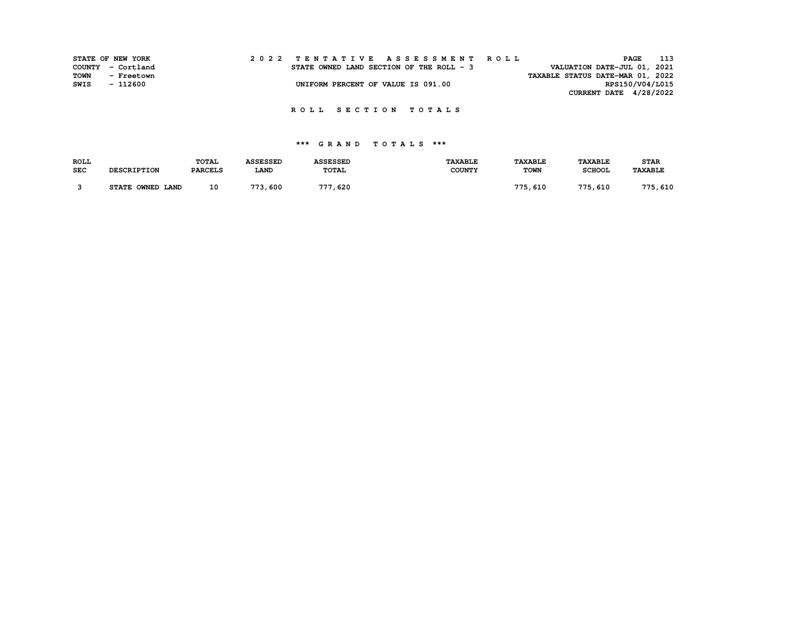|      | STATE OF NEW YORK |  | 2022 TENTATIVE ASSESSMENT ROLL           | 113<br>PAGE                      |
|------|-------------------|--|------------------------------------------|----------------------------------|
|      | COUNTY - Cortland |  | STATE OWNED LAND SECTION OF THE ROLL - 3 | VALUATION DATE-JUL 01, 2021      |
| TOWN | - Freetown        |  |                                          | TAXABLE STATUS DATE-MAR 01, 2022 |
| SWIS | - 112600          |  | UNIFORM PERCENT OF VALUE IS 091.00       | RPS150/V04/L015                  |
|      |                   |  |                                          | CURRENT DATE 4/28/2022           |

| <b>ROLL</b> |                    | <b>TOTAL</b>   | <b>\SSESSED</b> | <b>ASSESSED</b> | <b>TAXABLE</b> | <b>TAXABLE</b> | <b>TAXABLE</b> | <b>STAR</b>    |
|-------------|--------------------|----------------|-----------------|-----------------|----------------|----------------|----------------|----------------|
| <b>SEC</b>  | <b>DESCRIPTION</b> | <b>PARCELS</b> | <b>LAND</b>     | TOTAL           | <b>COUNTY</b>  | <b>TOWN</b>    | <b>SCHOOL</b>  | <b>TAXABLE</b> |
|             |                    |                |                 |                 |                |                |                |                |
|             | STATE OWNED LAND   | 10             | 773,600         | 620<br>777      |                | 775,610        | 775,610        | 775,610        |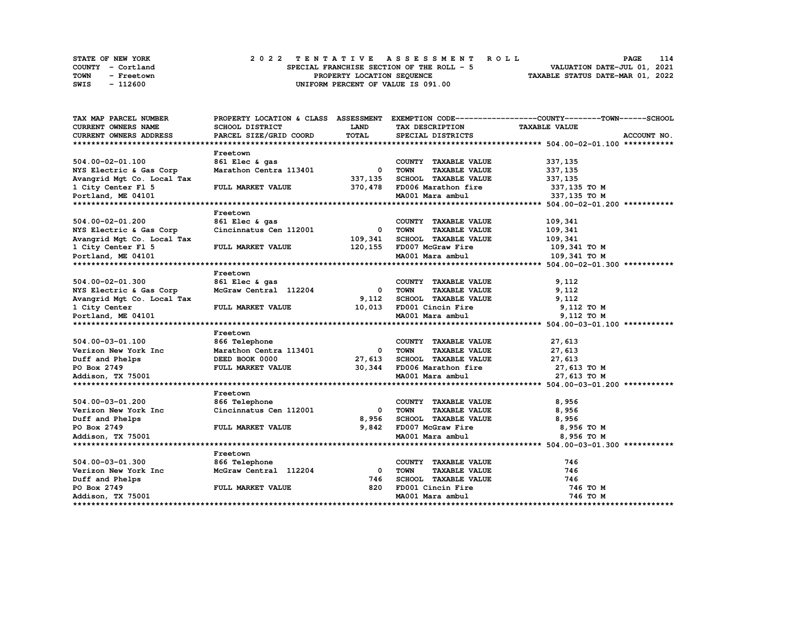|      | STATE OF NEW YORK |  |  |  |  |                                           |  |  |  |  | 2022 TENTATIVE ASSESSMENT ROLL |                                  | PAGE                        | 114 |
|------|-------------------|--|--|--|--|-------------------------------------------|--|--|--|--|--------------------------------|----------------------------------|-----------------------------|-----|
|      | COUNTY - Cortland |  |  |  |  | SPECIAL FRANCHISE SECTION OF THE ROLL - 5 |  |  |  |  |                                |                                  | VALUATION DATE-JUL 01, 2021 |     |
| TOWN | - Freetown        |  |  |  |  | PROPERTY LOCATION SEQUENCE                |  |  |  |  |                                | TAXABLE STATUS DATE-MAR 01, 2022 |                             |     |
| SWIS | - 112600          |  |  |  |  | UNIFORM PERCENT OF VALUE IS 091.00        |  |  |  |  |                                |                                  |                             |     |

| TAX MAP PARCEL NUMBER      |                          |                          |                                     | PROPERTY LOCATION & CLASS ASSESSMENT EXEMPTION CODE----------------COUNTY-------TOWN------SCHOOL |
|----------------------------|--------------------------|--------------------------|-------------------------------------|--------------------------------------------------------------------------------------------------|
| CURRENT OWNERS NAME        | SCHOOL DISTRICT          | <b>LAND</b>              | TAX DESCRIPTION                     | <b>TAXABLE VALUE</b>                                                                             |
| CURRENT OWNERS ADDRESS     | PARCEL SIZE/GRID COORD   | TOTAL                    | SPECIAL DISTRICTS                   | ACCOUNT NO.                                                                                      |
|                            |                          |                          |                                     |                                                                                                  |
|                            | Freetown                 |                          |                                     |                                                                                                  |
| 504.00-02-01.100           | 861 Elec & gas           |                          | COUNTY TAXABLE VALUE                | 337,135                                                                                          |
| NYS Electric & Gas Corp    | Marathon Centra 113401   | $\overline{\phantom{a}}$ | TOWN<br><b>TAXABLE VALUE</b>        | 337,135                                                                                          |
| Avangrid Mgt Co. Local Tax |                          | 337,135                  | SCHOOL TAXABLE VALUE                | 337,135                                                                                          |
| 1 City Center Fl 5         | FULL MARKET VALUE        |                          | 370,478 FD006 Marathon fire         | 337,135 TO M                                                                                     |
| Portland, ME 04101         |                          |                          | MA001 Mara ambul                    | 337,135 TO M                                                                                     |
|                            |                          |                          |                                     |                                                                                                  |
|                            | Freetown                 |                          |                                     |                                                                                                  |
| 504.00-02-01.200           | 861 Elec & gas           |                          | COUNTY TAXABLE VALUE                | 109,341                                                                                          |
| NYS Electric & Gas Corp    | Cincinnatus Cen 112001   | $\mathbf 0$              | <b>TOWN</b><br><b>TAXABLE VALUE</b> | 109,341                                                                                          |
| Avangrid Mgt Co. Local Tax |                          | 109,341                  | SCHOOL TAXABLE VALUE                | 109,341                                                                                          |
| 1 City Center F1 5         | FULL MARKET VALUE        | 120,155                  | FD007 McGraw Fire                   | 109,341 то м                                                                                     |
| Portland, ME 04101         |                          |                          | MA001 Mara ambul                    | 109,341 TO M                                                                                     |
|                            |                          |                          |                                     |                                                                                                  |
|                            | Freetown                 |                          |                                     |                                                                                                  |
| 504.00-02-01.300           | 861 Elec & gas           |                          | COUNTY TAXABLE VALUE                | 9,112                                                                                            |
| NYS Electric & Gas Corp    | McGraw Central 112204    | $\overline{\mathbf{0}}$  | TOWN<br><b>TAXABLE VALUE</b>        | 9,112                                                                                            |
| Avangrid Mgt Co. Local Tax |                          | 9,112                    | SCHOOL TAXABLE VALUE                | 9,112                                                                                            |
| 1 City Center              | FULL MARKET VALUE        | 10,013                   | FD001 Cincin Fire                   | 9,112 TO M                                                                                       |
| Portland, ME 04101         |                          |                          | MA001 Mara ambul                    | 9,112 TO M                                                                                       |
|                            |                          |                          |                                     |                                                                                                  |
|                            | Freetown                 |                          |                                     |                                                                                                  |
| 504.00-03-01.100           | 866 Telephone            |                          | COUNTY TAXABLE VALUE                | 27,613                                                                                           |
| Verizon New York Inc       | Marathon Centra 113401   | $^{\circ}$               | <b>TAXABLE VALUE</b><br><b>TOWN</b> | 27,613                                                                                           |
| Duff and Phelps            | DEED BOOK 0000           | 27,613                   | SCHOOL TAXABLE VALUE                | 27,613                                                                                           |
| PO Box 2749                | <b>FULL MARKET VALUE</b> | 30,344                   | FD006 Marathon fire                 | 27,613 TO M                                                                                      |
| Addison, TX 75001          |                          |                          | MA001 Mara ambul                    | 27,613 TO M                                                                                      |
|                            |                          |                          |                                     |                                                                                                  |
|                            | Freetown                 |                          |                                     |                                                                                                  |
| 504.00-03-01.200           | 866 Telephone            |                          | COUNTY TAXABLE VALUE                | 8,956                                                                                            |
| Verizon New York Inc       | Cincinnatus Cen 112001   | 0                        | TOWN<br><b>TAXABLE VALUE</b>        | 8,956                                                                                            |
| Duff and Phelps            |                          | 8,956                    | SCHOOL TAXABLE VALUE                | 8,956                                                                                            |
| PO Box 2749                | FULL MARKET VALUE        |                          | 9,842 FD007 McGraw Fire             | 8,956 то м                                                                                       |
| Addison, TX 75001          |                          |                          | MA001 Mara ambul                    | 8,956 то м                                                                                       |
|                            |                          |                          |                                     |                                                                                                  |
|                            | Freetown                 |                          |                                     |                                                                                                  |
| 504.00-03-01.300           | 866 Telephone            |                          | COUNTY TAXABLE VALUE                | 746                                                                                              |
| Verizon New York Inc       | McGraw Central 112204    | $^{\circ}$               | <b>TOWN</b><br><b>TAXABLE VALUE</b> | 746                                                                                              |
| Duff and Phelps            |                          | 746                      | SCHOOL TAXABLE VALUE                | 746                                                                                              |
| PO Box 2749                | FULL MARKET VALUE        | 820                      | FD001 Cincin Fire                   | 746 TO M                                                                                         |
| Addison, TX 75001          |                          |                          | MA001 Mara ambul                    | 746 TO M                                                                                         |
|                            |                          |                          |                                     |                                                                                                  |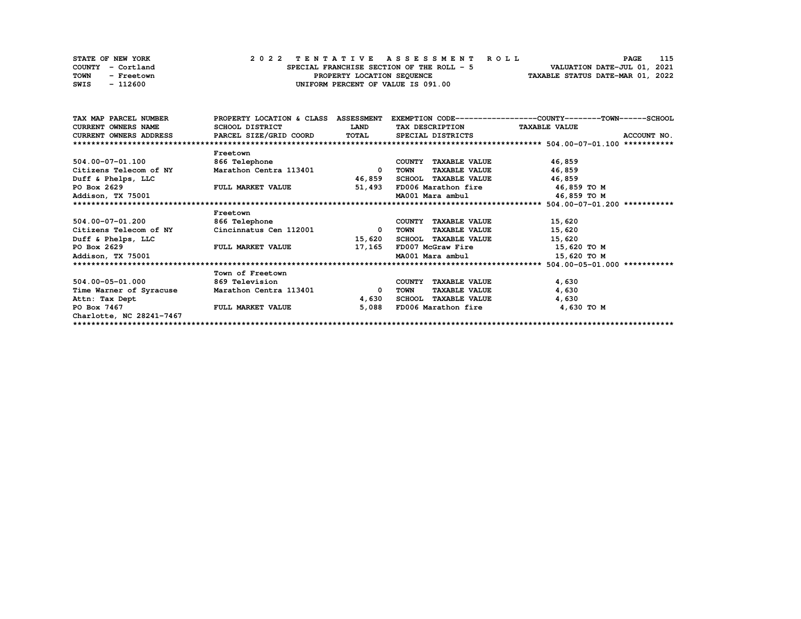|      | <b>STATE OF NEW YORK</b> | 2022 TENTATIVE ASSESSMENT ROLL            |                                    |  | PAGE                             | 115 |
|------|--------------------------|-------------------------------------------|------------------------------------|--|----------------------------------|-----|
|      | COUNTY - Cortland        | SPECIAL FRANCHISE SECTION OF THE ROLL - 5 |                                    |  | VALUATION DATE-JUL 01, 2021      |     |
| TOWN | - Freetown               |                                           | PROPERTY LOCATION SEQUENCE         |  | TAXABLE STATUS DATE-MAR 01, 2022 |     |
| SWIS | - 112600                 |                                           | UNIFORM PERCENT OF VALUE IS 091.00 |  |                                  |     |

| TAX MAP PARCEL NUMBER                                                             |                          |                          |                                 | PROPERTY LOCATION & CLASS ASSESSMENT EXEMPTION CODE----------------COUNTY-------TOWN-----SCHOOL |
|-----------------------------------------------------------------------------------|--------------------------|--------------------------|---------------------------------|-------------------------------------------------------------------------------------------------|
| <b>CURRENT OWNERS NAME</b>                                                        | SCHOOL DISTRICT          | <b>LAND</b>              | TAX DESCRIPTION TAXABLE VALUE   |                                                                                                 |
| CURRENT OWNERS ADDRESS     PARCEL SIZE/GRID COORD     TOTAL     SPECIAL DISTRICTS |                          |                          |                                 | ACCOUNT NO.                                                                                     |
|                                                                                   |                          |                          |                                 |                                                                                                 |
|                                                                                   | Freetown                 |                          |                                 |                                                                                                 |
| 504.00-07-01.100                                                                  | 866 Telephone            |                          | COUNTY TAXABLE VALUE            | 46,859                                                                                          |
| Citizens Telecom of NY                                                            | Marathon Centra 113401   | $\overline{\phantom{a}}$ | TOWN<br><b>TAXABLE VALUE</b>    | 46,859                                                                                          |
| Duff & Phelps, LLC                                                                |                          | 46,859                   | SCHOOL TAXABLE VALUE            | 46,859                                                                                          |
| PO Box 2629                                                                       | <b>FULL MARKET VALUE</b> | 51,493                   | FD006 Marathon fire 46,859 TO M |                                                                                                 |
| Addison, TX 75001                                                                 |                          |                          | MA001 Mara ambul 46,859 TO M    |                                                                                                 |
|                                                                                   |                          |                          |                                 |                                                                                                 |
|                                                                                   | Freetown                 |                          |                                 |                                                                                                 |
| 504.00-07-01.200                                                                  | 866 Telephone            |                          | COUNTY TAXABLE VALUE            | 15,620                                                                                          |
| Citizens Telecom of NY                                                            | Cincinnatus Cen 112001   | 0                        | <b>TAXABLE VALUE</b><br>TOWN    | 15,620                                                                                          |
| Duff & Phelps, LLC                                                                |                          | 15,620                   | SCHOOL TAXABLE VALUE            | 15,620                                                                                          |
| PO Box 2629                                                                       | <b>FULL MARKET VALUE</b> | 17,165                   | FD007 McGraw Fire 15,620 TO M   |                                                                                                 |
| Addison, TX 75001                                                                 |                          |                          | MA001 Mara ambul                | 15,620 TO M                                                                                     |
|                                                                                   |                          |                          |                                 |                                                                                                 |
|                                                                                   | Town of Freetown         |                          |                                 |                                                                                                 |
| 504.00-05-01.000                                                                  | 869 Television           |                          | COUNTY TAXABLE VALUE            | 4,630                                                                                           |
| Time Warner of Syracuse                                                           | Marathon Centra 113401   | 0                        | TOWN<br><b>TAXABLE VALUE</b>    | 4,630                                                                                           |
| Attn: Tax Dept                                                                    |                          | 4,630                    | SCHOOL TAXABLE VALUE            | 4,630                                                                                           |
| PO Box 7467                                                                       | <b>FULL MARKET VALUE</b> | 5,088                    | FD006 Marathon fire             | 4,630 TO M                                                                                      |
| Charlotte, NC 28241-7467                                                          |                          |                          |                                 |                                                                                                 |
|                                                                                   |                          |                          |                                 |                                                                                                 |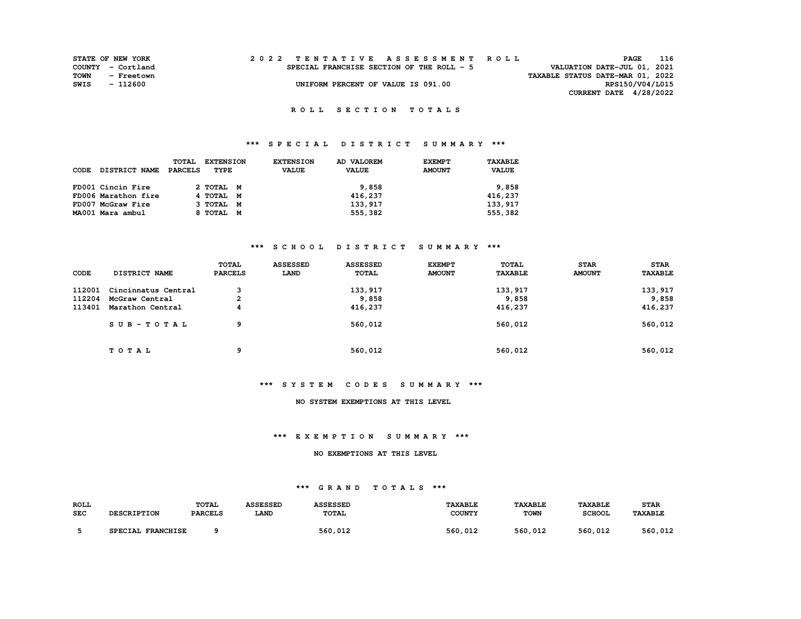|      | <b>STATE OF NEW YORK</b> |  | 2022 TENTATIVE ASSESSMENT ROLL            |                                  | PAGE                        | 116 |
|------|--------------------------|--|-------------------------------------------|----------------------------------|-----------------------------|-----|
|      | COUNTY - Cortland        |  | SPECIAL FRANCHISE SECTION OF THE ROLL - 5 |                                  | VALUATION DATE-JUL 01, 2021 |     |
| TOWN | - Freetown               |  |                                           | TAXABLE STATUS DATE-MAR 01, 2022 |                             |     |
| SWIS | - 112600                 |  | UNIFORM PERCENT OF VALUE IS 091.00        |                                  | RPS150/V04/L015             |     |
|      |                          |  |                                           |                                  | CURRENT DATE 4/28/2022      |     |

## **\*\*\* S P E C I A L D I S T R I C T S U M M A R Y \*\*\***

|      |                      | <b>TOTAL</b> | <b>EXTENSION</b> | <b>EXTENSION</b> | AD VALOREM   | <b>EXEMPT</b> | TAXABLE      |
|------|----------------------|--------------|------------------|------------------|--------------|---------------|--------------|
| CODE | <b>DISTRICT NAME</b> | PARCELS      | TYPE             | <b>VALUE</b>     | <b>VALUE</b> | <b>AMOUNT</b> | <b>VALUE</b> |
|      |                      |              |                  |                  |              |               |              |
|      | FD001 Cincin Fire    |              | 2 TOTAL M        |                  | 9,858        |               | 9,858        |
|      | FD006 Marathon fire  |              | 4 TOTAL M        |                  | 416,237      |               | 416,237      |
|      | FD007 McGraw Fire    |              | 3 ТОТАЬ М        |                  | 133,917      |               | 133, 917     |
|      | MA001 Mara ambul     |              | 8 TOTAL M        |                  | 555,382      |               | 555,382      |

#### **\*\*\* S C H O O L D I S T R I C T S U M M A R Y \*\*\***

| CODE   | DISTRICT NAME       | <b>TOTAL</b><br><b>PARCELS</b> | <b>ASSESSED</b><br>LAND | <b>ASSESSED</b><br><b>TOTAL</b> | <b>EXEMPT</b><br><b>AMOUNT</b> | <b>TOTAL</b><br><b>TAXABLE</b> | <b>STAR</b><br><b>AMOUNT</b> | <b>STAR</b><br><b>TAXABLE</b> |
|--------|---------------------|--------------------------------|-------------------------|---------------------------------|--------------------------------|--------------------------------|------------------------------|-------------------------------|
| 112001 | Cincinnatus Central | 3                              |                         | 133,917                         |                                | 133,917                        |                              | 133,917                       |
| 112204 | McGraw Central      | 2                              |                         | 9,858                           |                                | 9,858                          |                              | 9,858                         |
| 113401 | Marathon Central    | 4                              |                         | 416,237                         |                                | 416,237                        |                              | 416,237                       |
|        | $SUB - TO T AL$     | 9                              |                         | 560,012                         |                                | 560,012                        |                              | 560,012                       |
|        | TOTAL               | 9                              |                         | 560,012                         |                                | 560,012                        |                              | 560,012                       |

#### **\*\*\* S Y S T E M C O D E S S U M M A R Y \*\*\***

#### **NO SYSTEM EXEMPTIONS AT THIS LEVEL**

#### **\*\*\* E X E M P T I O N S U M M A R Y \*\*\***

#### **NO EXEMPTIONS AT THIS LEVEL**

| <b>ROLL</b><br><b>SEC</b> | <b>DESCRIPTION</b> | <b>TOTAL</b><br><b>PARCELS</b> | <b>ASSESSED</b><br>LAND | <b>ASSESSED</b><br><b>TOTAL</b> | TAXABLE<br><b>COUNTY</b> | <b>TAXABLE</b><br><b>TOWN</b> | <b>TAXABLE</b><br><b>SCHOOL</b> | <b>STAR</b><br><b>TAXABLE</b> |
|---------------------------|--------------------|--------------------------------|-------------------------|---------------------------------|--------------------------|-------------------------------|---------------------------------|-------------------------------|
|                           | SPECIAL FRANCHISE  |                                |                         | 560,012                         | 560,012                  | 560,012                       | 560,012                         | 560.<br>. 012                 |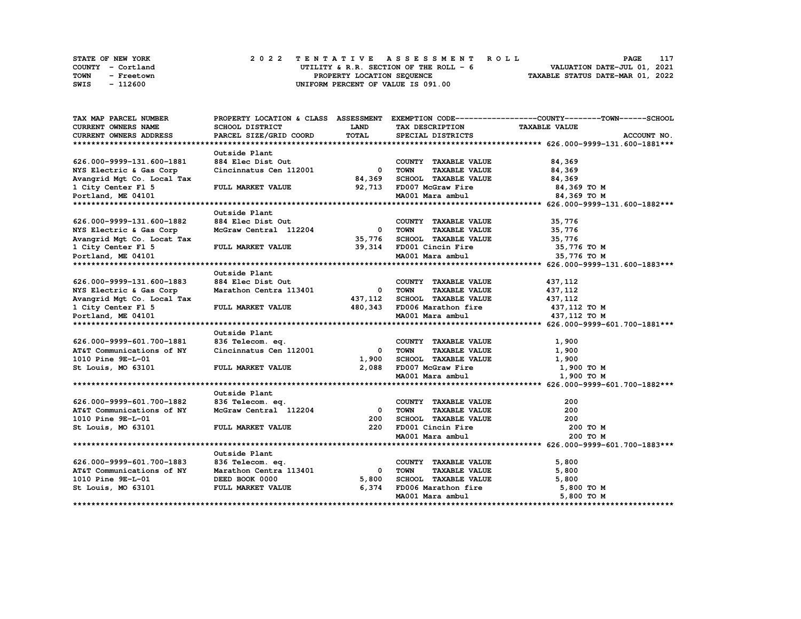|      | <b>STATE OF NEW YORK</b> | 2022 TENTATIVE ASSESSMENT ROLL |  |  |  |                                         |  |  |  |  |  |                                  | <b>PAGE</b> | 117 |
|------|--------------------------|--------------------------------|--|--|--|-----------------------------------------|--|--|--|--|--|----------------------------------|-------------|-----|
|      | COUNTY - Cortland        |                                |  |  |  | UTILITY & R.R. SECTION OF THE ROLL $-6$ |  |  |  |  |  | VALUATION DATE-JUL 01, 2021      |             |     |
| TOWN | - Freetown               |                                |  |  |  | PROPERTY LOCATION SEQUENCE              |  |  |  |  |  | TAXABLE STATUS DATE-MAR 01, 2022 |             |     |
| SWIS | - 112600                 |                                |  |  |  | UNIFORM PERCENT OF VALUE IS 091.00      |  |  |  |  |  |                                  |             |     |

| TAX MAP PARCEL NUMBER         |                                            |                         |                                              | PROPERTY LOCATION & CLASS ASSESSMENT EXEMPTION CODE----------------COUNTY-------TOWN------SCHOOL |
|-------------------------------|--------------------------------------------|-------------------------|----------------------------------------------|--------------------------------------------------------------------------------------------------|
| CURRENT OWNERS NAME           | SCHOOL DISTRICT                            | <b>LAND</b>             | TAX DESCRIPTION TAXABLE VALUE                |                                                                                                  |
| <b>CURRENT OWNERS ADDRESS</b> | PARCEL SIZE/GRID COORD                     | TOTAL                   | SPECIAL DISTRICTS                            | ACCOUNT NO.                                                                                      |
|                               |                                            |                         |                                              |                                                                                                  |
|                               | Outside Plant                              |                         |                                              |                                                                                                  |
| 626.000-9999-131.600-1881     | 884 Elec Dist Out                          |                         | COUNTY TAXABLE VALUE                         | 84,369                                                                                           |
| NYS Electric & Gas Corp       | Cincinnatus Cen 112001                     | $\overline{\mathbf{0}}$ | <b>TOWN</b><br><b>TAXABLE VALUE</b>          | 84,369                                                                                           |
| Avangrid Mgt Co. Local Tax    |                                            | 84,369                  | SCHOOL TAXABLE VALUE                         | 84,369                                                                                           |
| 1 City Center Fl 5            | FULL MARKET VALUE                          |                         |                                              | 84,369 TO M                                                                                      |
| Portland, ME 04101            |                                            |                         | 92,713 FD007 McGraw Fire<br>MA001 Mara ambul | 84,369 TO M                                                                                      |
|                               |                                            |                         |                                              |                                                                                                  |
|                               | Outside Plant                              |                         |                                              |                                                                                                  |
| 626.000-9999-131.600-1882     | 884 Elec Dist Out                          |                         | COUNTY TAXABLE VALUE                         | 35,776                                                                                           |
| NYS Electric & Gas Corp       | McGraw Central 112204                      | $\overline{\mathbf{0}}$ | <b>TOWN</b><br><b>TAXABLE VALUE</b>          | 35,776                                                                                           |
| Avangrid Mgt Co. Locat Tax    |                                            | 35,776                  | SCHOOL TAXABLE VALUE                         | 35,776                                                                                           |
| 1 City Center Fl 5            | <b>FULL MARKET VALUE</b>                   | 39,314                  | FD001 Cincin Fire                            | 35,776 то м                                                                                      |
| Portland, ME 04101            |                                            |                         | MA001 Mara ambul                             | 35,776 TO M                                                                                      |
|                               |                                            |                         |                                              |                                                                                                  |
|                               | Outside Plant                              |                         |                                              |                                                                                                  |
| 626.000-9999-131.600-1883     | 884 Elec Dist Out                          |                         | COUNTY TAXABLE VALUE                         | 437,112                                                                                          |
| NYS Electric & Gas Corp       | Marathon Centra 113401                     | $\overline{\mathbf{0}}$ | <b>TOWN</b><br><b>TAXABLE VALUE</b>          | 437,112                                                                                          |
| Avangrid Mgt Co. Local Tax    |                                            | 437,112                 | SCHOOL TAXABLE VALUE                         | 437,112                                                                                          |
| 1 City Center Fl 5            | FULL MARKET VALUE 480, 343                 |                         | FD006 Marathon fire                          | 437,112 TO M                                                                                     |
| Portland, ME 04101            |                                            |                         | MA001 Mara ambul                             | 437,112 TO M                                                                                     |
|                               |                                            |                         |                                              |                                                                                                  |
|                               | Outside Plant                              |                         |                                              |                                                                                                  |
| 626.000-9999-601.700-1881     |                                            |                         | COUNTY TAXABLE VALUE                         | 1,900                                                                                            |
| AT&T Communications of NY     | 836 Telecom. eq.<br>Cincinnatus Cen 112001 | $\overline{\mathbf{0}}$ | <b>TOWN</b><br><b>TAXABLE VALUE</b>          | 1,900                                                                                            |
| 1010 Pine 9E-L-01             |                                            | 1,900                   |                                              | 1,900                                                                                            |
| St Louis, MO 63101            | <b>FULL MARKET VALUE</b>                   | 2,088                   | SCHOOL TAXABLE VALUE<br>FD007 McGraw Fire    | 1,900 TO M                                                                                       |
|                               |                                            |                         | MA001 Mara ambul                             | 1,900 TO M                                                                                       |
|                               |                                            |                         |                                              |                                                                                                  |
|                               | Outside Plant                              |                         |                                              |                                                                                                  |
| 626.000-9999-601.700-1882     |                                            |                         | COUNTY TAXABLE VALUE                         | 200                                                                                              |
| AT&T Communications of NY     | 836 Telecom. eq.<br>McGraw Central 112204  | $\overline{\mathbf{0}}$ | TOWN<br><b>TAXABLE VALUE</b>                 | 200                                                                                              |
| 1010 Pine 9E-L-01             |                                            | 200                     | SCHOOL TAXABLE VALUE                         | 200                                                                                              |
| St Louis, MO 63101            | FULL MARKET VALUE                          | 220                     | FD001 Cincin Fire                            | 200 TO M                                                                                         |
|                               |                                            |                         | MA001 Mara ambul                             | 200 TO M                                                                                         |
|                               |                                            |                         |                                              |                                                                                                  |
|                               | Outside Plant                              |                         |                                              |                                                                                                  |
| 626.000-9999-601.700-1883     | 836 Telecom. eq.                           |                         | COUNTY TAXABLE VALUE                         | 5,800                                                                                            |
| AT&T Communications of NY     | Marathon Centra 113401                     | $\overline{\mathbf{0}}$ | <b>TOWN</b><br><b>TAXABLE VALUE</b>          | 5,800                                                                                            |
| 1010 Pine 9E-L-01             | DEED BOOK 0000                             | 5,800                   | SCHOOL TAXABLE VALUE                         | 5,800                                                                                            |
| St Louis, MO 63101            | FULL MARKET VALUE                          | 6,374                   | FD006 Marathon fire                          | 5,800 TO M                                                                                       |
|                               |                                            |                         | MA001 Mara ambul                             | 5,800 TO M                                                                                       |
|                               |                                            |                         |                                              |                                                                                                  |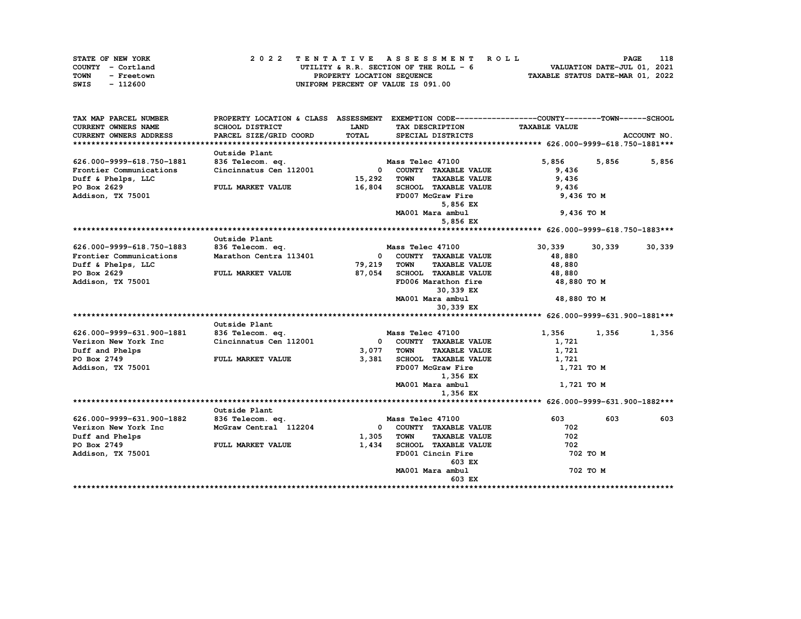| STATE OF NEW YORK  | 2022 TENTATIVE ASSESSMENT ROLL          | 118<br>PAGE                      |
|--------------------|-----------------------------------------|----------------------------------|
| COUNTY - Cortland  | UTILITY & R.R. SECTION OF THE ROLL $-6$ | VALUATION DATE-JUL 01, 2021      |
| TOWN<br>- Freetown | PROPERTY LOCATION SEQUENCE              | TAXABLE STATUS DATE-MAR 01, 2022 |
| - 112600<br>SWIS   | UNIFORM PERCENT OF VALUE IS 091.00      |                                  |

| TAX MAP PARCEL NUMBER         | PROPERTY LOCATION & CLASS ASSESSMENT       |              |                                     | EXEMPTION CODE------------------COUNTY-------TOWN------SCHOOL |          |             |
|-------------------------------|--------------------------------------------|--------------|-------------------------------------|---------------------------------------------------------------|----------|-------------|
| <b>CURRENT OWNERS NAME</b>    | <b>SCHOOL DISTRICT</b>                     | <b>LAND</b>  | TAX DESCRIPTION                     | <b>TAXABLE VALUE</b>                                          |          |             |
| <b>CURRENT OWNERS ADDRESS</b> | PARCEL SIZE/GRID COORD                     | TOTAL        | SPECIAL DISTRICTS                   |                                                               |          | ACCOUNT NO. |
|                               |                                            |              |                                     |                                                               |          |             |
|                               | Outside Plant                              |              |                                     |                                                               |          |             |
| 626.000-9999-618.750-1881     | 836 Telecom. eq.                           |              | Mass Telec 47100                    | 5,856                                                         | 5,856    | 5,856       |
| Frontier Communications       | Cincinnatus Cen 112001                     |              | 0 COUNTY TAXABLE VALUE              | 9,436                                                         |          |             |
| Duff & Phelps, LLC            |                                            | 15,292       | <b>TOWN</b><br><b>TAXABLE VALUE</b> | 9,436                                                         |          |             |
| PO Box 2629                   | FULL MARKET VALUE                          | 16,804       | SCHOOL TAXABLE VALUE                | 9,436                                                         |          |             |
| Addison, TX 75001             |                                            |              | FD007 McGraw Fire                   | 9,436 TO M                                                    |          |             |
|                               |                                            |              | 5,856 EX                            |                                                               |          |             |
|                               |                                            |              | MA001 Mara ambul                    | 9,436 TO M                                                    |          |             |
|                               |                                            |              | 5,856 EX                            |                                                               |          |             |
|                               |                                            |              |                                     |                                                               |          |             |
|                               | Outside Plant                              |              |                                     |                                                               |          |             |
| 626.000-9999-618.750-1883     | 836 Telecom. eq.                           |              | Mass Telec 47100                    | 30,339                                                        | 30,339   | 30,339      |
| Frontier Communications       | Marathon Centra 113401                     | $\mathbf{0}$ | COUNTY TAXABLE VALUE                | 48,880                                                        |          |             |
| Duff & Phelps, LLC            |                                            | 79,219       | <b>TAXABLE VALUE</b><br><b>TOWN</b> | 48,880                                                        |          |             |
| PO Box 2629                   | FULL MARKET VALUE                          | 87,054       | SCHOOL TAXABLE VALUE                | 48,880                                                        |          |             |
| Addison, TX 75001             |                                            |              | FD006 Marathon fire                 | 48,880 TO M                                                   |          |             |
|                               |                                            |              | 30,339 EX                           |                                                               |          |             |
|                               |                                            |              | MA001 Mara ambul                    | 48,880 TO M                                                   |          |             |
|                               |                                            |              | 30,339 EX                           |                                                               |          |             |
|                               |                                            |              |                                     |                                                               |          |             |
| 626.000-9999-631.900-1881     | Outside Plant                              |              | Mass Telec 47100                    | 1,356                                                         |          |             |
| Verizon New York Inc          | 836 Telecom. eq.<br>Cincinnatus Cen 112001 | $\Omega$     | COUNTY TAXABLE VALUE                | 1,721                                                         | 1,356    | 1,356       |
| Duff and Phelps               |                                            | 3,077        | <b>TOWN</b><br><b>TAXABLE VALUE</b> | 1,721                                                         |          |             |
| PO Box 2749                   | FULL MARKET VALUE                          | 3,381        | SCHOOL TAXABLE VALUE                | 1,721                                                         |          |             |
| Addison, TX 75001             |                                            |              | FD007 McGraw Fire                   | 1,721 TO M                                                    |          |             |
|                               |                                            |              | 1,356 EX                            |                                                               |          |             |
|                               |                                            |              | MA001 Mara ambul                    | 1,721 TO M                                                    |          |             |
|                               |                                            |              | 1,356 EX                            |                                                               |          |             |
|                               |                                            |              |                                     |                                                               |          |             |
|                               | Outside Plant                              |              |                                     |                                                               |          |             |
| 626.000-9999-631.900-1882     | 836 Telecom. eq.                           |              | Mass Telec 47100                    | 603                                                           | 603      | 603         |
| Verizon New York Inc          | McGraw Central 112204                      | $\mathbf{0}$ | COUNTY TAXABLE VALUE                | 702                                                           |          |             |
| Duff and Phelps               |                                            | 1,305        | <b>TOWN</b><br><b>TAXABLE VALUE</b> | 702                                                           |          |             |
| PO Box 2749                   | FULL MARKET VALUE                          | 1,434        | SCHOOL TAXABLE VALUE                | 702                                                           |          |             |
| Addison, TX 75001             |                                            |              | FD001 Cincin Fire                   |                                                               | 702 TO M |             |
|                               |                                            |              | 603 EX                              |                                                               |          |             |
|                               |                                            |              | MA001 Mara ambul                    |                                                               | 702 TO M |             |
|                               |                                            |              | 603 EX                              |                                                               |          |             |
|                               |                                            |              |                                     |                                                               |          |             |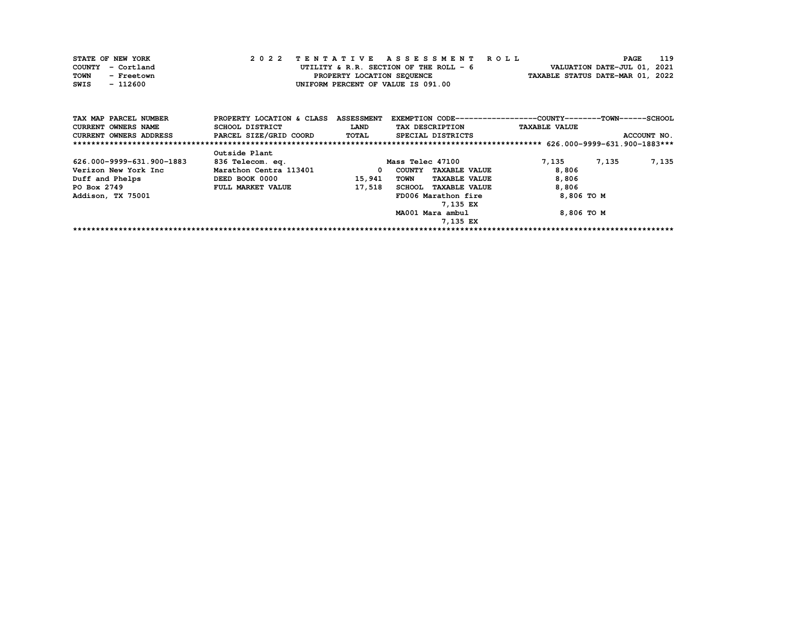| STATE OF NEW YORK  | 2022 TENTATIVE ASSESSMENT ROLL          | <b>PAGE</b>                      | 119 |
|--------------------|-----------------------------------------|----------------------------------|-----|
| COUNTY - Cortland  | UTILITY & R.R. SECTION OF THE ROLL $-6$ | VALUATION DATE-JUL 01, 2021      |     |
| TOWN<br>- Freetown | PROPERTY LOCATION SEQUENCE              | TAXABLE STATUS DATE-MAR 01, 2022 |     |
| - 112600<br>SWIS   | UNIFORM PERCENT OF VALUE IS 091.00      |                                  |     |

| TAX MAP PARCEL NUMBER      | PROPERTY LOCATION & CLASS | <b>ASSESSMENT</b> | EXEMPTION CODE-----------------COUNTY-------TOWN-----SCHOOL |                      |             |
|----------------------------|---------------------------|-------------------|-------------------------------------------------------------|----------------------|-------------|
| <b>CURRENT OWNERS NAME</b> | SCHOOL DISTRICT           | <b>LAND</b>       | TAX DESCRIPTION                                             | <b>TAXABLE VALUE</b> |             |
| CURRENT OWNERS ADDRESS     | PARCEL SIZE/GRID COORD    | <b>TOTAL</b>      | SPECIAL DISTRICTS                                           |                      | ACCOUNT NO. |
|                            |                           |                   |                                                             |                      |             |
|                            | Outside Plant             |                   |                                                             |                      |             |
| 626.000-9999-631.900-1883  | 836 Telecom. eq.          |                   | Mass Telec 47100                                            | 7,135<br>7,135       | 7,135       |
| Verizon New York Inc       | Marathon Centra 113401    | 0                 | <b>TAXABLE VALUE</b><br>COUNTY                              | 8,806                |             |
| Duff and Phelps            | DEED BOOK 0000            | 15,941            | <b>TOWN</b><br><b>TAXABLE VALUE</b>                         | 8,806                |             |
| PO Box 2749                | <b>FULL MARKET VALUE</b>  | 17,518            | SCHOOL TAXABLE VALUE                                        | 8,806                |             |
| Addison, TX 75001          |                           |                   | FD006 Marathon fire                                         | 8,806 TO M           |             |
|                            |                           |                   | 7,135 EX                                                    |                      |             |
|                            |                           |                   | MA001 Mara ambul                                            | 8,806 TO M           |             |
|                            |                           |                   | 7,135 EX                                                    |                      |             |
|                            |                           |                   |                                                             |                      |             |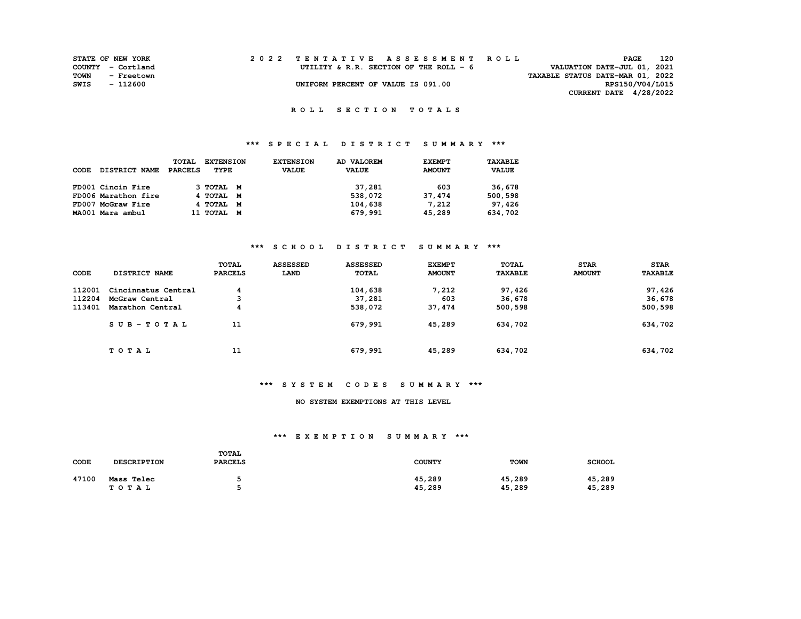|      | <b>STATE OF NEW YORK</b> |  | 2022 TENTATIVE ASSESSMENT ROLL         |                                  | <b>PAGE</b>                 | 120 |
|------|--------------------------|--|----------------------------------------|----------------------------------|-----------------------------|-----|
|      | COUNTY - Cortland        |  | UTILITY & R.R. SECTION OF THE ROLL - 6 |                                  | VALUATION DATE-JUL 01, 2021 |     |
| TOWN | - Freetown               |  |                                        | TAXABLE STATUS DATE-MAR 01, 2022 |                             |     |
| SWIS | - 112600                 |  | UNIFORM PERCENT OF VALUE IS 091.00     |                                  | RPS150/V04/L015             |     |
|      |                          |  |                                        |                                  | CURRENT DATE 4/28/2022      |     |

## **\*\*\* S P E C I A L D I S T R I C T S U M M A R Y \*\*\***

|      |                      | <b>TOTAL</b>   | <b>EXTENSION</b> |   | <b>EXTENSION</b> | AD VALOREM   | <b>EXEMPT</b> | TAXABLE      |
|------|----------------------|----------------|------------------|---|------------------|--------------|---------------|--------------|
| CODE | <b>DISTRICT NAME</b> | <b>PARCELS</b> | TYPE             |   | <b>VALUE</b>     | <b>VALUE</b> | <b>AMOUNT</b> | <b>VALUE</b> |
|      |                      |                |                  |   |                  |              |               |              |
|      | FD001 Cincin Fire    |                | 3 ТОТАЬ М        |   |                  | 37,281       | 603           | 36,678       |
|      | FD006 Marathon fire  |                | 4 TOTAL M        |   |                  | 538,072      | 37,474        | 500,598      |
|      | FD007 McGraw Fire    |                | 4 TOTAL M        |   |                  | 104,638      | 7,212         | 97,426       |
|      | MA001 Mara ambul     |                | 11 TOTAL         | M |                  | 679,991      | 45,289        | 634,702      |

## **\*\*\* S C H O O L D I S T R I C T S U M M A R Y \*\*\***

| CODE   | <b>DISTRICT NAME</b> | <b>TOTAL</b><br><b>PARCELS</b> | <b>ASSESSED</b><br>LAND | <b>ASSESSED</b><br>TOTAL | <b>EXEMPT</b><br><b>AMOUNT</b> | TOTAL<br><b>TAXABLE</b> | <b>STAR</b><br><b>AMOUNT</b> | <b>STAR</b><br><b>TAXABLE</b> |
|--------|----------------------|--------------------------------|-------------------------|--------------------------|--------------------------------|-------------------------|------------------------------|-------------------------------|
| 112001 | Cincinnatus Central  | 4                              |                         | 104,638                  | 7,212                          | 97,426                  |                              | 97,426                        |
| 112204 | McGraw Central       |                                |                         | 37,281                   | 603                            | 36,678                  |                              | 36,678                        |
| 113401 | Marathon Central     | 4                              |                         | 538,072                  | 37,474                         | 500,598                 |                              | 500,598                       |
|        | SUB-TOTAL            | 11                             |                         | 679,991                  | 45,289                         | 634,702                 |                              | 634,702                       |
|        | TOTAL                | 11                             |                         | 679,991                  | 45,289                         | 634,702                 |                              | 634,702                       |

#### **\*\*\* S Y S T E M C O D E S S U M M A R Y \*\*\***

#### **NO SYSTEM EXEMPTIONS AT THIS LEVEL**

| CODE  | <b>DESCRIPTION</b>  | <b>TOTAL</b><br><b>PARCELS</b> | <b>COUNTY</b>    | <b>TOWN</b>      | <b>SCHOOL</b>    |
|-------|---------------------|--------------------------------|------------------|------------------|------------------|
| 47100 | Mass Telec<br>TOTAL |                                | 45,289<br>45,289 | 45,289<br>45,289 | 45,289<br>45,289 |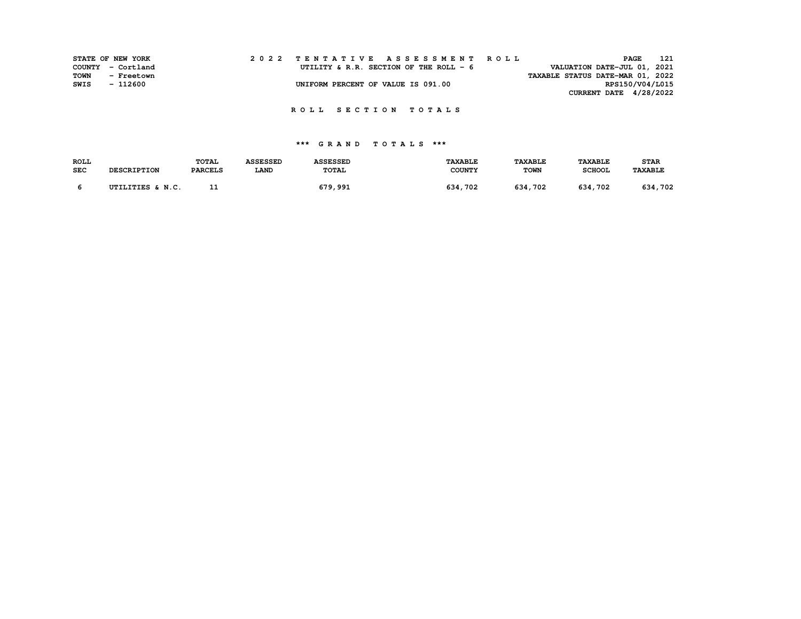|      | STATE OF NEW YORK | 2022 TENTATIVE ASSESSMENT ROLL                                        | 121<br>PAGE              |  |
|------|-------------------|-----------------------------------------------------------------------|--------------------------|--|
|      | COUNTY - Cortland | VALUATION DATE-JUL 01, 2021<br>UTILITY & R.R. SECTION OF THE ROLL - 6 |                          |  |
| TOWN | - Freetown        | TAXABLE STATUS DATE-MAR 01, 2022                                      |                          |  |
| SWIS | - 112600          | UNIFORM PERCENT OF VALUE IS 091.00                                    | RPS150/V04/L015          |  |
|      |                   |                                                                       | CURRENT DATE $4/28/2022$ |  |

| <b>ROLL</b> |                    | <b>TOTAL</b>   | <b>ASSESSED</b> | <b>ASSESSED</b> | TAXABLE       | <b><i>TAXABLE</i></b> | <b>TAXABLE</b> | <b>STAR</b>    |
|-------------|--------------------|----------------|-----------------|-----------------|---------------|-----------------------|----------------|----------------|
| <b>SEC</b>  | <b>DESCRIPTION</b> | <b>PARCELS</b> | <b>LAND</b>     | TOTAL           | <b>COUNTY</b> | <b>TOWN</b>           | <b>SCHOOL</b>  | <b>TAXABLE</b> |
|             | UTILITIES & N.C.   |                |                 | 679,991         | 702<br>634    | 634.<br>. 702         | 634<br>. 702   | 702<br>634     |
|             |                    | --             |                 |                 |               |                       |                |                |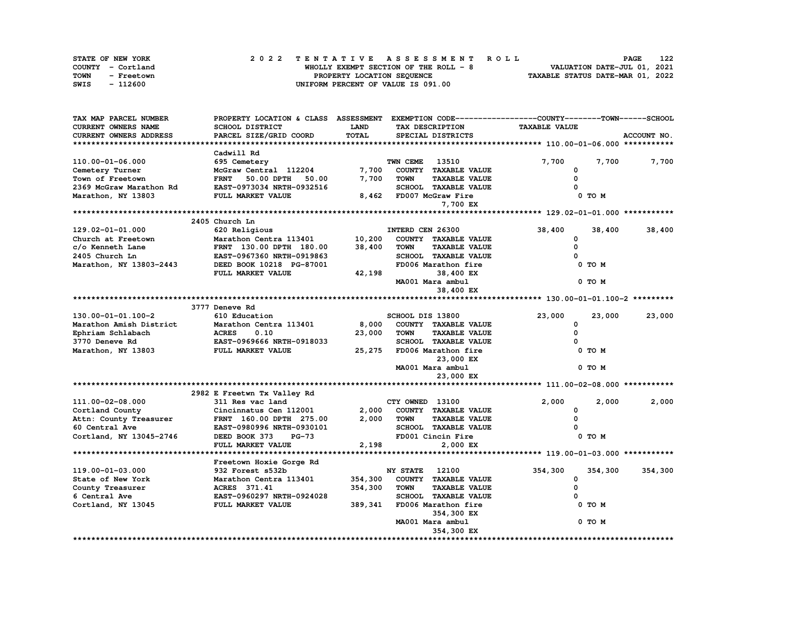| STATE OF NEW YORK  | 2022 TENTATIVE ASSESSMENT ROLL        | 122<br><b>PAGE</b>               |
|--------------------|---------------------------------------|----------------------------------|
| COUNTY - Cortland  | WHOLLY EXEMPT SECTION OF THE ROLL - 8 | VALUATION DATE-JUL 01, 2021      |
| TOWN<br>- Freetown | PROPERTY LOCATION SEOUENCE            | TAXABLE STATUS DATE-MAR 01, 2022 |
| SWIS<br>- 112600   | UNIFORM PERCENT OF VALUE IS 091.00    |                                  |

| <b>TAXABLE VALUE</b><br>CURRENT OWNERS NAME<br><b>SCHOOL DISTRICT</b><br><b>LAND</b><br>TAX DESCRIPTION<br><b>TOTAL</b><br>PARCEL SIZE/GRID COORD<br>SPECIAL DISTRICTS<br>ACCOUNT NO.<br>CURRENT OWNERS ADDRESS<br>Cadwill Rd<br>110.00-01-06.000<br>TWN CEME<br>13510<br>7,700<br>7,700<br>7,700<br>695 Cemetery<br>7,700<br>Cemetery Turner<br>McGraw Central 112204<br>COUNTY TAXABLE VALUE<br>O<br>0<br>Town of Freetown<br><b>FRNT</b><br>50.00 DPTH<br>7,700<br><b>TAXABLE VALUE</b><br>50.00<br><b>TOWN</b><br>2369 McGraw Marathon Rd<br>EAST-0973034 NRTH-0932516<br>SCHOOL TAXABLE VALUE<br>Marathon, NY 13803<br>FULL MARKET VALUE<br>8,462<br>FD007 McGraw Fire<br>0 TO M<br>7,700 EX<br>2405 Church Ln<br>38,400<br>$129.02 - 01 - 01.000$<br>620 Religious<br>INTERD CEN 26300<br>38,400<br>38,400<br>10,200<br>COUNTY TAXABLE VALUE<br>Church at Freetown<br>Marathon Centra 113401<br>0<br>c/o Kenneth Lane<br><b>TAXABLE VALUE</b><br>0<br>FRNT 130.00 DPTH 180.00<br>38,400<br><b>TOWN</b><br>2405 Church Ln<br>SCHOOL TAXABLE VALUE<br>EAST-0967360 NRTH-0919863<br>$\Omega$<br>Marathon, NY 13803-2443<br>FD006 Marathon fire<br>DEED BOOK 10218 PG-87001<br>0 TO M<br>FULL MARKET VALUE<br>42,198<br>38,400 EX<br>MA001 Mara ambul<br>0 TO M<br>38,400 EX<br>3777 Deneve Rd<br>23,000<br>130.00-01-01.100-2<br>610 Education<br>SCHOOL DIS 13800<br>23,000<br>23,000<br>Marathon Amish District<br>Marathon Centra 113401<br>8,000<br>COUNTY TAXABLE VALUE<br>0<br>23,000<br>0<br>Ephriam Schlabach<br><b>ACRES</b><br>0.10<br><b>TOWN</b><br><b>TAXABLE VALUE</b><br>3770 Deneve Rd<br>EAST-0969666 NRTH-0918033<br>SCHOOL TAXABLE VALUE<br><sup>0</sup><br>Marathon, NY 13803<br>FULL MARKET VALUE<br>25,275<br>FD006 Marathon fire<br>0 TO M<br>23,000 EX<br>MA001 Mara ambul<br>0 TO M<br>23,000 EX<br>2982 E Freetwn Tx Valley Rd<br>311 Res vac land<br>2,000<br>2,000<br>111.00-02-08.000<br>CTY OWNED 13100<br>2,000<br>2,000<br>COUNTY TAXABLE VALUE<br>Cincinnatus Cen 112001<br>0<br>Cortland County<br>2,000<br><b>TOWN</b><br><b>TAXABLE VALUE</b><br>0<br>Attn: County Treasurer<br>FRNT 160.00 DPTH 275.00<br>SCHOOL TAXABLE VALUE<br>60 Central Ave<br>EAST-0980996 NRTH-0930101<br>Cortland, NY 13045-2746<br>DEED BOOK 373<br>FD001 Cincin Fire<br>0 TO M<br>$PG-73$<br>2,198<br>FULL MARKET VALUE<br>2,000 EX<br>Freetown Hoxie Gorge Rd<br><b>NY STATE</b><br>12100<br>354,300<br>119.00-01-03.000<br>932 Forest s532b<br>354,300<br>354,300<br>354,300<br>State of New York<br>Marathon Centra 113401<br>COUNTY TAXABLE VALUE<br>0<br>354,300<br><b>TAXABLE VALUE</b><br>0<br>County Treasurer<br>ACRES 371.41<br><b>TOWN</b><br><b>SCHOOL TAXABLE VALUE</b><br>6 Central Ave<br>EAST-0960297 NRTH-0924028<br>Cortland, NY 13045<br>FULL MARKET VALUE<br>389,341<br>FD006 Marathon fire<br>0 TO M<br>354,300 EX<br>MA001 Mara ambul<br>0 TO M<br>354,300 EX | TAX MAP PARCEL NUMBER | PROPERTY LOCATION & CLASS ASSESSMENT |  | EXEMPTION CODE-----------------COUNTY-------TOWN------SCHOOL |  |
|-------------------------------------------------------------------------------------------------------------------------------------------------------------------------------------------------------------------------------------------------------------------------------------------------------------------------------------------------------------------------------------------------------------------------------------------------------------------------------------------------------------------------------------------------------------------------------------------------------------------------------------------------------------------------------------------------------------------------------------------------------------------------------------------------------------------------------------------------------------------------------------------------------------------------------------------------------------------------------------------------------------------------------------------------------------------------------------------------------------------------------------------------------------------------------------------------------------------------------------------------------------------------------------------------------------------------------------------------------------------------------------------------------------------------------------------------------------------------------------------------------------------------------------------------------------------------------------------------------------------------------------------------------------------------------------------------------------------------------------------------------------------------------------------------------------------------------------------------------------------------------------------------------------------------------------------------------------------------------------------------------------------------------------------------------------------------------------------------------------------------------------------------------------------------------------------------------------------------------------------------------------------------------------------------------------------------------------------------------------------------------------------------------------------------------------------------------------------------------------------------------------------------------------------------------------------------------------------------------------------------------------------------------------------------------------------------------------------------------------------------------------------------------------------------------------------------------------------------------------------------------------------------------|-----------------------|--------------------------------------|--|--------------------------------------------------------------|--|
|                                                                                                                                                                                                                                                                                                                                                                                                                                                                                                                                                                                                                                                                                                                                                                                                                                                                                                                                                                                                                                                                                                                                                                                                                                                                                                                                                                                                                                                                                                                                                                                                                                                                                                                                                                                                                                                                                                                                                                                                                                                                                                                                                                                                                                                                                                                                                                                                                                                                                                                                                                                                                                                                                                                                                                                                                                                                                                       |                       |                                      |  |                                                              |  |
|                                                                                                                                                                                                                                                                                                                                                                                                                                                                                                                                                                                                                                                                                                                                                                                                                                                                                                                                                                                                                                                                                                                                                                                                                                                                                                                                                                                                                                                                                                                                                                                                                                                                                                                                                                                                                                                                                                                                                                                                                                                                                                                                                                                                                                                                                                                                                                                                                                                                                                                                                                                                                                                                                                                                                                                                                                                                                                       |                       |                                      |  |                                                              |  |
|                                                                                                                                                                                                                                                                                                                                                                                                                                                                                                                                                                                                                                                                                                                                                                                                                                                                                                                                                                                                                                                                                                                                                                                                                                                                                                                                                                                                                                                                                                                                                                                                                                                                                                                                                                                                                                                                                                                                                                                                                                                                                                                                                                                                                                                                                                                                                                                                                                                                                                                                                                                                                                                                                                                                                                                                                                                                                                       |                       |                                      |  |                                                              |  |
|                                                                                                                                                                                                                                                                                                                                                                                                                                                                                                                                                                                                                                                                                                                                                                                                                                                                                                                                                                                                                                                                                                                                                                                                                                                                                                                                                                                                                                                                                                                                                                                                                                                                                                                                                                                                                                                                                                                                                                                                                                                                                                                                                                                                                                                                                                                                                                                                                                                                                                                                                                                                                                                                                                                                                                                                                                                                                                       |                       |                                      |  |                                                              |  |
|                                                                                                                                                                                                                                                                                                                                                                                                                                                                                                                                                                                                                                                                                                                                                                                                                                                                                                                                                                                                                                                                                                                                                                                                                                                                                                                                                                                                                                                                                                                                                                                                                                                                                                                                                                                                                                                                                                                                                                                                                                                                                                                                                                                                                                                                                                                                                                                                                                                                                                                                                                                                                                                                                                                                                                                                                                                                                                       |                       |                                      |  |                                                              |  |
|                                                                                                                                                                                                                                                                                                                                                                                                                                                                                                                                                                                                                                                                                                                                                                                                                                                                                                                                                                                                                                                                                                                                                                                                                                                                                                                                                                                                                                                                                                                                                                                                                                                                                                                                                                                                                                                                                                                                                                                                                                                                                                                                                                                                                                                                                                                                                                                                                                                                                                                                                                                                                                                                                                                                                                                                                                                                                                       |                       |                                      |  |                                                              |  |
|                                                                                                                                                                                                                                                                                                                                                                                                                                                                                                                                                                                                                                                                                                                                                                                                                                                                                                                                                                                                                                                                                                                                                                                                                                                                                                                                                                                                                                                                                                                                                                                                                                                                                                                                                                                                                                                                                                                                                                                                                                                                                                                                                                                                                                                                                                                                                                                                                                                                                                                                                                                                                                                                                                                                                                                                                                                                                                       |                       |                                      |  |                                                              |  |
|                                                                                                                                                                                                                                                                                                                                                                                                                                                                                                                                                                                                                                                                                                                                                                                                                                                                                                                                                                                                                                                                                                                                                                                                                                                                                                                                                                                                                                                                                                                                                                                                                                                                                                                                                                                                                                                                                                                                                                                                                                                                                                                                                                                                                                                                                                                                                                                                                                                                                                                                                                                                                                                                                                                                                                                                                                                                                                       |                       |                                      |  |                                                              |  |
|                                                                                                                                                                                                                                                                                                                                                                                                                                                                                                                                                                                                                                                                                                                                                                                                                                                                                                                                                                                                                                                                                                                                                                                                                                                                                                                                                                                                                                                                                                                                                                                                                                                                                                                                                                                                                                                                                                                                                                                                                                                                                                                                                                                                                                                                                                                                                                                                                                                                                                                                                                                                                                                                                                                                                                                                                                                                                                       |                       |                                      |  |                                                              |  |
|                                                                                                                                                                                                                                                                                                                                                                                                                                                                                                                                                                                                                                                                                                                                                                                                                                                                                                                                                                                                                                                                                                                                                                                                                                                                                                                                                                                                                                                                                                                                                                                                                                                                                                                                                                                                                                                                                                                                                                                                                                                                                                                                                                                                                                                                                                                                                                                                                                                                                                                                                                                                                                                                                                                                                                                                                                                                                                       |                       |                                      |  |                                                              |  |
|                                                                                                                                                                                                                                                                                                                                                                                                                                                                                                                                                                                                                                                                                                                                                                                                                                                                                                                                                                                                                                                                                                                                                                                                                                                                                                                                                                                                                                                                                                                                                                                                                                                                                                                                                                                                                                                                                                                                                                                                                                                                                                                                                                                                                                                                                                                                                                                                                                                                                                                                                                                                                                                                                                                                                                                                                                                                                                       |                       |                                      |  |                                                              |  |
|                                                                                                                                                                                                                                                                                                                                                                                                                                                                                                                                                                                                                                                                                                                                                                                                                                                                                                                                                                                                                                                                                                                                                                                                                                                                                                                                                                                                                                                                                                                                                                                                                                                                                                                                                                                                                                                                                                                                                                                                                                                                                                                                                                                                                                                                                                                                                                                                                                                                                                                                                                                                                                                                                                                                                                                                                                                                                                       |                       |                                      |  |                                                              |  |
|                                                                                                                                                                                                                                                                                                                                                                                                                                                                                                                                                                                                                                                                                                                                                                                                                                                                                                                                                                                                                                                                                                                                                                                                                                                                                                                                                                                                                                                                                                                                                                                                                                                                                                                                                                                                                                                                                                                                                                                                                                                                                                                                                                                                                                                                                                                                                                                                                                                                                                                                                                                                                                                                                                                                                                                                                                                                                                       |                       |                                      |  |                                                              |  |
|                                                                                                                                                                                                                                                                                                                                                                                                                                                                                                                                                                                                                                                                                                                                                                                                                                                                                                                                                                                                                                                                                                                                                                                                                                                                                                                                                                                                                                                                                                                                                                                                                                                                                                                                                                                                                                                                                                                                                                                                                                                                                                                                                                                                                                                                                                                                                                                                                                                                                                                                                                                                                                                                                                                                                                                                                                                                                                       |                       |                                      |  |                                                              |  |
|                                                                                                                                                                                                                                                                                                                                                                                                                                                                                                                                                                                                                                                                                                                                                                                                                                                                                                                                                                                                                                                                                                                                                                                                                                                                                                                                                                                                                                                                                                                                                                                                                                                                                                                                                                                                                                                                                                                                                                                                                                                                                                                                                                                                                                                                                                                                                                                                                                                                                                                                                                                                                                                                                                                                                                                                                                                                                                       |                       |                                      |  |                                                              |  |
|                                                                                                                                                                                                                                                                                                                                                                                                                                                                                                                                                                                                                                                                                                                                                                                                                                                                                                                                                                                                                                                                                                                                                                                                                                                                                                                                                                                                                                                                                                                                                                                                                                                                                                                                                                                                                                                                                                                                                                                                                                                                                                                                                                                                                                                                                                                                                                                                                                                                                                                                                                                                                                                                                                                                                                                                                                                                                                       |                       |                                      |  |                                                              |  |
|                                                                                                                                                                                                                                                                                                                                                                                                                                                                                                                                                                                                                                                                                                                                                                                                                                                                                                                                                                                                                                                                                                                                                                                                                                                                                                                                                                                                                                                                                                                                                                                                                                                                                                                                                                                                                                                                                                                                                                                                                                                                                                                                                                                                                                                                                                                                                                                                                                                                                                                                                                                                                                                                                                                                                                                                                                                                                                       |                       |                                      |  |                                                              |  |
|                                                                                                                                                                                                                                                                                                                                                                                                                                                                                                                                                                                                                                                                                                                                                                                                                                                                                                                                                                                                                                                                                                                                                                                                                                                                                                                                                                                                                                                                                                                                                                                                                                                                                                                                                                                                                                                                                                                                                                                                                                                                                                                                                                                                                                                                                                                                                                                                                                                                                                                                                                                                                                                                                                                                                                                                                                                                                                       |                       |                                      |  |                                                              |  |
|                                                                                                                                                                                                                                                                                                                                                                                                                                                                                                                                                                                                                                                                                                                                                                                                                                                                                                                                                                                                                                                                                                                                                                                                                                                                                                                                                                                                                                                                                                                                                                                                                                                                                                                                                                                                                                                                                                                                                                                                                                                                                                                                                                                                                                                                                                                                                                                                                                                                                                                                                                                                                                                                                                                                                                                                                                                                                                       |                       |                                      |  |                                                              |  |
|                                                                                                                                                                                                                                                                                                                                                                                                                                                                                                                                                                                                                                                                                                                                                                                                                                                                                                                                                                                                                                                                                                                                                                                                                                                                                                                                                                                                                                                                                                                                                                                                                                                                                                                                                                                                                                                                                                                                                                                                                                                                                                                                                                                                                                                                                                                                                                                                                                                                                                                                                                                                                                                                                                                                                                                                                                                                                                       |                       |                                      |  |                                                              |  |
|                                                                                                                                                                                                                                                                                                                                                                                                                                                                                                                                                                                                                                                                                                                                                                                                                                                                                                                                                                                                                                                                                                                                                                                                                                                                                                                                                                                                                                                                                                                                                                                                                                                                                                                                                                                                                                                                                                                                                                                                                                                                                                                                                                                                                                                                                                                                                                                                                                                                                                                                                                                                                                                                                                                                                                                                                                                                                                       |                       |                                      |  |                                                              |  |
|                                                                                                                                                                                                                                                                                                                                                                                                                                                                                                                                                                                                                                                                                                                                                                                                                                                                                                                                                                                                                                                                                                                                                                                                                                                                                                                                                                                                                                                                                                                                                                                                                                                                                                                                                                                                                                                                                                                                                                                                                                                                                                                                                                                                                                                                                                                                                                                                                                                                                                                                                                                                                                                                                                                                                                                                                                                                                                       |                       |                                      |  |                                                              |  |
|                                                                                                                                                                                                                                                                                                                                                                                                                                                                                                                                                                                                                                                                                                                                                                                                                                                                                                                                                                                                                                                                                                                                                                                                                                                                                                                                                                                                                                                                                                                                                                                                                                                                                                                                                                                                                                                                                                                                                                                                                                                                                                                                                                                                                                                                                                                                                                                                                                                                                                                                                                                                                                                                                                                                                                                                                                                                                                       |                       |                                      |  |                                                              |  |
|                                                                                                                                                                                                                                                                                                                                                                                                                                                                                                                                                                                                                                                                                                                                                                                                                                                                                                                                                                                                                                                                                                                                                                                                                                                                                                                                                                                                                                                                                                                                                                                                                                                                                                                                                                                                                                                                                                                                                                                                                                                                                                                                                                                                                                                                                                                                                                                                                                                                                                                                                                                                                                                                                                                                                                                                                                                                                                       |                       |                                      |  |                                                              |  |
|                                                                                                                                                                                                                                                                                                                                                                                                                                                                                                                                                                                                                                                                                                                                                                                                                                                                                                                                                                                                                                                                                                                                                                                                                                                                                                                                                                                                                                                                                                                                                                                                                                                                                                                                                                                                                                                                                                                                                                                                                                                                                                                                                                                                                                                                                                                                                                                                                                                                                                                                                                                                                                                                                                                                                                                                                                                                                                       |                       |                                      |  |                                                              |  |
|                                                                                                                                                                                                                                                                                                                                                                                                                                                                                                                                                                                                                                                                                                                                                                                                                                                                                                                                                                                                                                                                                                                                                                                                                                                                                                                                                                                                                                                                                                                                                                                                                                                                                                                                                                                                                                                                                                                                                                                                                                                                                                                                                                                                                                                                                                                                                                                                                                                                                                                                                                                                                                                                                                                                                                                                                                                                                                       |                       |                                      |  |                                                              |  |
|                                                                                                                                                                                                                                                                                                                                                                                                                                                                                                                                                                                                                                                                                                                                                                                                                                                                                                                                                                                                                                                                                                                                                                                                                                                                                                                                                                                                                                                                                                                                                                                                                                                                                                                                                                                                                                                                                                                                                                                                                                                                                                                                                                                                                                                                                                                                                                                                                                                                                                                                                                                                                                                                                                                                                                                                                                                                                                       |                       |                                      |  |                                                              |  |
|                                                                                                                                                                                                                                                                                                                                                                                                                                                                                                                                                                                                                                                                                                                                                                                                                                                                                                                                                                                                                                                                                                                                                                                                                                                                                                                                                                                                                                                                                                                                                                                                                                                                                                                                                                                                                                                                                                                                                                                                                                                                                                                                                                                                                                                                                                                                                                                                                                                                                                                                                                                                                                                                                                                                                                                                                                                                                                       |                       |                                      |  |                                                              |  |
|                                                                                                                                                                                                                                                                                                                                                                                                                                                                                                                                                                                                                                                                                                                                                                                                                                                                                                                                                                                                                                                                                                                                                                                                                                                                                                                                                                                                                                                                                                                                                                                                                                                                                                                                                                                                                                                                                                                                                                                                                                                                                                                                                                                                                                                                                                                                                                                                                                                                                                                                                                                                                                                                                                                                                                                                                                                                                                       |                       |                                      |  |                                                              |  |
|                                                                                                                                                                                                                                                                                                                                                                                                                                                                                                                                                                                                                                                                                                                                                                                                                                                                                                                                                                                                                                                                                                                                                                                                                                                                                                                                                                                                                                                                                                                                                                                                                                                                                                                                                                                                                                                                                                                                                                                                                                                                                                                                                                                                                                                                                                                                                                                                                                                                                                                                                                                                                                                                                                                                                                                                                                                                                                       |                       |                                      |  |                                                              |  |
|                                                                                                                                                                                                                                                                                                                                                                                                                                                                                                                                                                                                                                                                                                                                                                                                                                                                                                                                                                                                                                                                                                                                                                                                                                                                                                                                                                                                                                                                                                                                                                                                                                                                                                                                                                                                                                                                                                                                                                                                                                                                                                                                                                                                                                                                                                                                                                                                                                                                                                                                                                                                                                                                                                                                                                                                                                                                                                       |                       |                                      |  |                                                              |  |
|                                                                                                                                                                                                                                                                                                                                                                                                                                                                                                                                                                                                                                                                                                                                                                                                                                                                                                                                                                                                                                                                                                                                                                                                                                                                                                                                                                                                                                                                                                                                                                                                                                                                                                                                                                                                                                                                                                                                                                                                                                                                                                                                                                                                                                                                                                                                                                                                                                                                                                                                                                                                                                                                                                                                                                                                                                                                                                       |                       |                                      |  |                                                              |  |
|                                                                                                                                                                                                                                                                                                                                                                                                                                                                                                                                                                                                                                                                                                                                                                                                                                                                                                                                                                                                                                                                                                                                                                                                                                                                                                                                                                                                                                                                                                                                                                                                                                                                                                                                                                                                                                                                                                                                                                                                                                                                                                                                                                                                                                                                                                                                                                                                                                                                                                                                                                                                                                                                                                                                                                                                                                                                                                       |                       |                                      |  |                                                              |  |
|                                                                                                                                                                                                                                                                                                                                                                                                                                                                                                                                                                                                                                                                                                                                                                                                                                                                                                                                                                                                                                                                                                                                                                                                                                                                                                                                                                                                                                                                                                                                                                                                                                                                                                                                                                                                                                                                                                                                                                                                                                                                                                                                                                                                                                                                                                                                                                                                                                                                                                                                                                                                                                                                                                                                                                                                                                                                                                       |                       |                                      |  |                                                              |  |
|                                                                                                                                                                                                                                                                                                                                                                                                                                                                                                                                                                                                                                                                                                                                                                                                                                                                                                                                                                                                                                                                                                                                                                                                                                                                                                                                                                                                                                                                                                                                                                                                                                                                                                                                                                                                                                                                                                                                                                                                                                                                                                                                                                                                                                                                                                                                                                                                                                                                                                                                                                                                                                                                                                                                                                                                                                                                                                       |                       |                                      |  |                                                              |  |
|                                                                                                                                                                                                                                                                                                                                                                                                                                                                                                                                                                                                                                                                                                                                                                                                                                                                                                                                                                                                                                                                                                                                                                                                                                                                                                                                                                                                                                                                                                                                                                                                                                                                                                                                                                                                                                                                                                                                                                                                                                                                                                                                                                                                                                                                                                                                                                                                                                                                                                                                                                                                                                                                                                                                                                                                                                                                                                       |                       |                                      |  |                                                              |  |
|                                                                                                                                                                                                                                                                                                                                                                                                                                                                                                                                                                                                                                                                                                                                                                                                                                                                                                                                                                                                                                                                                                                                                                                                                                                                                                                                                                                                                                                                                                                                                                                                                                                                                                                                                                                                                                                                                                                                                                                                                                                                                                                                                                                                                                                                                                                                                                                                                                                                                                                                                                                                                                                                                                                                                                                                                                                                                                       |                       |                                      |  |                                                              |  |
|                                                                                                                                                                                                                                                                                                                                                                                                                                                                                                                                                                                                                                                                                                                                                                                                                                                                                                                                                                                                                                                                                                                                                                                                                                                                                                                                                                                                                                                                                                                                                                                                                                                                                                                                                                                                                                                                                                                                                                                                                                                                                                                                                                                                                                                                                                                                                                                                                                                                                                                                                                                                                                                                                                                                                                                                                                                                                                       |                       |                                      |  |                                                              |  |
|                                                                                                                                                                                                                                                                                                                                                                                                                                                                                                                                                                                                                                                                                                                                                                                                                                                                                                                                                                                                                                                                                                                                                                                                                                                                                                                                                                                                                                                                                                                                                                                                                                                                                                                                                                                                                                                                                                                                                                                                                                                                                                                                                                                                                                                                                                                                                                                                                                                                                                                                                                                                                                                                                                                                                                                                                                                                                                       |                       |                                      |  |                                                              |  |
|                                                                                                                                                                                                                                                                                                                                                                                                                                                                                                                                                                                                                                                                                                                                                                                                                                                                                                                                                                                                                                                                                                                                                                                                                                                                                                                                                                                                                                                                                                                                                                                                                                                                                                                                                                                                                                                                                                                                                                                                                                                                                                                                                                                                                                                                                                                                                                                                                                                                                                                                                                                                                                                                                                                                                                                                                                                                                                       |                       |                                      |  |                                                              |  |
|                                                                                                                                                                                                                                                                                                                                                                                                                                                                                                                                                                                                                                                                                                                                                                                                                                                                                                                                                                                                                                                                                                                                                                                                                                                                                                                                                                                                                                                                                                                                                                                                                                                                                                                                                                                                                                                                                                                                                                                                                                                                                                                                                                                                                                                                                                                                                                                                                                                                                                                                                                                                                                                                                                                                                                                                                                                                                                       |                       |                                      |  |                                                              |  |
|                                                                                                                                                                                                                                                                                                                                                                                                                                                                                                                                                                                                                                                                                                                                                                                                                                                                                                                                                                                                                                                                                                                                                                                                                                                                                                                                                                                                                                                                                                                                                                                                                                                                                                                                                                                                                                                                                                                                                                                                                                                                                                                                                                                                                                                                                                                                                                                                                                                                                                                                                                                                                                                                                                                                                                                                                                                                                                       |                       |                                      |  |                                                              |  |
|                                                                                                                                                                                                                                                                                                                                                                                                                                                                                                                                                                                                                                                                                                                                                                                                                                                                                                                                                                                                                                                                                                                                                                                                                                                                                                                                                                                                                                                                                                                                                                                                                                                                                                                                                                                                                                                                                                                                                                                                                                                                                                                                                                                                                                                                                                                                                                                                                                                                                                                                                                                                                                                                                                                                                                                                                                                                                                       |                       |                                      |  |                                                              |  |
|                                                                                                                                                                                                                                                                                                                                                                                                                                                                                                                                                                                                                                                                                                                                                                                                                                                                                                                                                                                                                                                                                                                                                                                                                                                                                                                                                                                                                                                                                                                                                                                                                                                                                                                                                                                                                                                                                                                                                                                                                                                                                                                                                                                                                                                                                                                                                                                                                                                                                                                                                                                                                                                                                                                                                                                                                                                                                                       |                       |                                      |  |                                                              |  |
|                                                                                                                                                                                                                                                                                                                                                                                                                                                                                                                                                                                                                                                                                                                                                                                                                                                                                                                                                                                                                                                                                                                                                                                                                                                                                                                                                                                                                                                                                                                                                                                                                                                                                                                                                                                                                                                                                                                                                                                                                                                                                                                                                                                                                                                                                                                                                                                                                                                                                                                                                                                                                                                                                                                                                                                                                                                                                                       |                       |                                      |  |                                                              |  |
|                                                                                                                                                                                                                                                                                                                                                                                                                                                                                                                                                                                                                                                                                                                                                                                                                                                                                                                                                                                                                                                                                                                                                                                                                                                                                                                                                                                                                                                                                                                                                                                                                                                                                                                                                                                                                                                                                                                                                                                                                                                                                                                                                                                                                                                                                                                                                                                                                                                                                                                                                                                                                                                                                                                                                                                                                                                                                                       |                       |                                      |  |                                                              |  |
|                                                                                                                                                                                                                                                                                                                                                                                                                                                                                                                                                                                                                                                                                                                                                                                                                                                                                                                                                                                                                                                                                                                                                                                                                                                                                                                                                                                                                                                                                                                                                                                                                                                                                                                                                                                                                                                                                                                                                                                                                                                                                                                                                                                                                                                                                                                                                                                                                                                                                                                                                                                                                                                                                                                                                                                                                                                                                                       |                       |                                      |  |                                                              |  |
|                                                                                                                                                                                                                                                                                                                                                                                                                                                                                                                                                                                                                                                                                                                                                                                                                                                                                                                                                                                                                                                                                                                                                                                                                                                                                                                                                                                                                                                                                                                                                                                                                                                                                                                                                                                                                                                                                                                                                                                                                                                                                                                                                                                                                                                                                                                                                                                                                                                                                                                                                                                                                                                                                                                                                                                                                                                                                                       |                       |                                      |  |                                                              |  |
|                                                                                                                                                                                                                                                                                                                                                                                                                                                                                                                                                                                                                                                                                                                                                                                                                                                                                                                                                                                                                                                                                                                                                                                                                                                                                                                                                                                                                                                                                                                                                                                                                                                                                                                                                                                                                                                                                                                                                                                                                                                                                                                                                                                                                                                                                                                                                                                                                                                                                                                                                                                                                                                                                                                                                                                                                                                                                                       |                       |                                      |  |                                                              |  |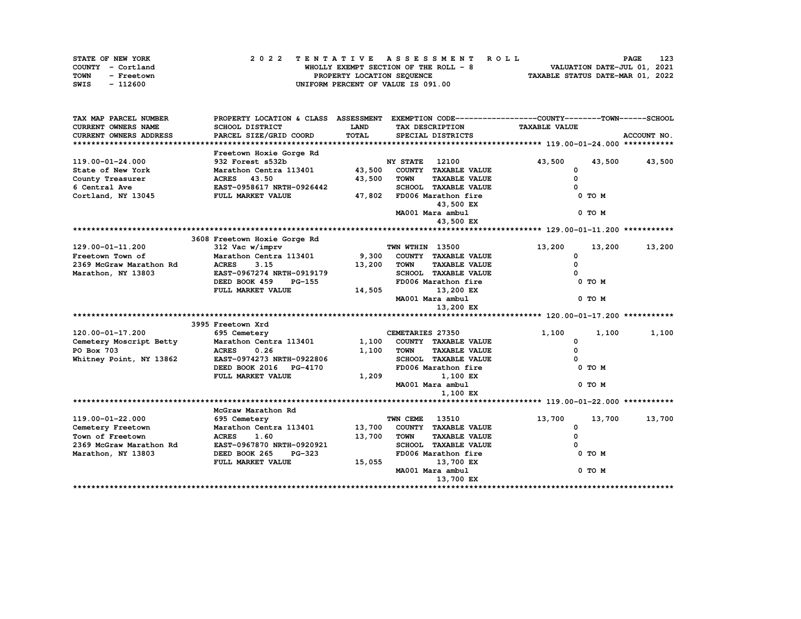| STATE OF NEW YORK  | 2022 TENTATIVE ASSESSMENT ROLL         | 123<br><b>PAGE</b>               |
|--------------------|----------------------------------------|----------------------------------|
| COUNTY - Cortland  | WHOLLY EXEMPT SECTION OF THE ROLL $-8$ | VALUATION DATE-JUL 01, 2021      |
| TOWN<br>- Freetown | PROPERTY LOCATION SEQUENCE             | TAXABLE STATUS DATE-MAR 01, 2022 |
| SWIS<br>- 112600   | UNIFORM PERCENT OF VALUE IS 091.00     |                                  |

| TAX MAP PARCEL NUMBER         |                                |             |                                     | PROPERTY LOCATION & CLASS ASSESSMENT EXEMPTION CODE----------------COUNTY-------TOWN------SCHOOL |             |
|-------------------------------|--------------------------------|-------------|-------------------------------------|--------------------------------------------------------------------------------------------------|-------------|
| <b>CURRENT OWNERS NAME</b>    | SCHOOL DISTRICT                | <b>LAND</b> | TAX DESCRIPTION                     | <b>TAXABLE VALUE</b>                                                                             |             |
| <b>CURRENT OWNERS ADDRESS</b> | PARCEL SIZE/GRID COORD         | TOTAL       | SPECIAL DISTRICTS                   |                                                                                                  | ACCOUNT NO. |
|                               |                                |             |                                     |                                                                                                  |             |
|                               | Freetown Hoxie Gorge Rd        |             |                                     |                                                                                                  |             |
| 119.00-01-24.000              | 932 Forest s532b               |             | <b>NY STATE</b><br>12100            | 43,500<br>43,500                                                                                 | 43,500      |
| State of New York             | Marathon Centra 113401         | 43,500      | COUNTY TAXABLE VALUE                | 0                                                                                                |             |
| County Treasurer              | <b>ACRES</b> 43.50             | 43,500      | <b>TOWN</b><br><b>TAXABLE VALUE</b> | 0                                                                                                |             |
| 6 Central Ave                 | EAST-0958617 NRTH-0926442      |             | SCHOOL TAXABLE VALUE                |                                                                                                  |             |
| Cortland, NY 13045            | FULL MARKET VALUE              | 47,802      | FD006 Marathon fire                 | 0 TO M                                                                                           |             |
|                               |                                |             | 43,500 EX                           |                                                                                                  |             |
|                               |                                |             | MA001 Mara ambul                    | 0 TO M                                                                                           |             |
|                               |                                |             | 43,500 EX                           |                                                                                                  |             |
|                               |                                |             |                                     |                                                                                                  |             |
|                               | 3608 Freetown Hoxie Gorge Rd   |             |                                     |                                                                                                  |             |
| 129.00-01-11.200              | 312 Vac w/imprv                |             | TWN WTHIN 13500                     | 13,200<br>13,200                                                                                 | 13,200      |
| Freetown Town of              | Marathon Centra 113401         | 9,300       | COUNTY TAXABLE VALUE                | 0                                                                                                |             |
| 2369 McGraw Marathon Rd       | <b>ACRES</b><br>3.15           | 13,200      | <b>TOWN</b><br><b>TAXABLE VALUE</b> | 0                                                                                                |             |
| Marathon, NY 13803            | EAST-0967274 NRTH-0919179      |             | SCHOOL TAXABLE VALUE                |                                                                                                  |             |
|                               | DEED BOOK 459<br><b>PG-155</b> |             | FD006 Marathon fire                 | 0 TO M                                                                                           |             |
|                               | FULL MARKET VALUE              | 14,505      | 13,200 EX                           |                                                                                                  |             |
|                               |                                |             | MA001 Mara ambul                    | 0 TO M                                                                                           |             |
|                               |                                |             | 13,200 EX                           |                                                                                                  |             |
|                               |                                |             |                                     |                                                                                                  |             |
|                               | 3995 Freetown Xrd              |             |                                     |                                                                                                  |             |
| 120.00-01-17.200              | 695 Cemetery                   |             | CEMETARIES 27350                    | 1,100<br>1,100                                                                                   | 1,100       |
| Cemetery Moscript Betty       | Marathon Centra 113401         | 1,100       | COUNTY TAXABLE VALUE                | 0                                                                                                |             |
| PO Box 703                    | <b>ACRES</b><br>0.26           | 1,100       | <b>TAXABLE VALUE</b><br><b>TOWN</b> | 0                                                                                                |             |
| Whitney Point, NY 13862       | EAST-0974273 NRTH-0922806      |             | SCHOOL TAXABLE VALUE                |                                                                                                  |             |
|                               | DEED BOOK 2016 PG-4170         |             | FD006 Marathon fire                 | 0 TO M                                                                                           |             |
|                               | FULL MARKET VALUE              | 1,209       | 1,100 EX                            |                                                                                                  |             |
|                               |                                |             | MA001 Mara ambul                    | 0 TO M                                                                                           |             |
|                               |                                |             | 1,100 EX                            |                                                                                                  |             |
|                               |                                |             |                                     |                                                                                                  |             |
|                               | McGraw Marathon Rd             |             |                                     |                                                                                                  |             |
| 119.00-01-22.000              | 695 Cemetery                   |             | TWN CEME<br>13510                   | 13,700<br>13,700                                                                                 | 13,700      |
| Cemetery Freetown             | Marathon Centra 113401         | 13,700      | COUNTY TAXABLE VALUE                | 0                                                                                                |             |
| Town of Freetown              | <b>ACRES</b><br>1.60           | 13,700      | <b>TOWN</b><br><b>TAXABLE VALUE</b> | $\Omega$                                                                                         |             |
| 2369 McGraw Marathon Rd       | EAST-0967870 NRTH-0920921      |             | SCHOOL TAXABLE VALUE                |                                                                                                  |             |
| Marathon, NY 13803            | DEED BOOK 265<br><b>PG-323</b> |             | FD006 Marathon fire                 | 0 TO M                                                                                           |             |
|                               | FULL MARKET VALUE              | 15,055      | 13,700 EX                           |                                                                                                  |             |
|                               |                                |             | MA001 Mara ambul                    | 0 TO M                                                                                           |             |
|                               |                                |             | 13,700 EX                           |                                                                                                  |             |
|                               |                                |             |                                     |                                                                                                  |             |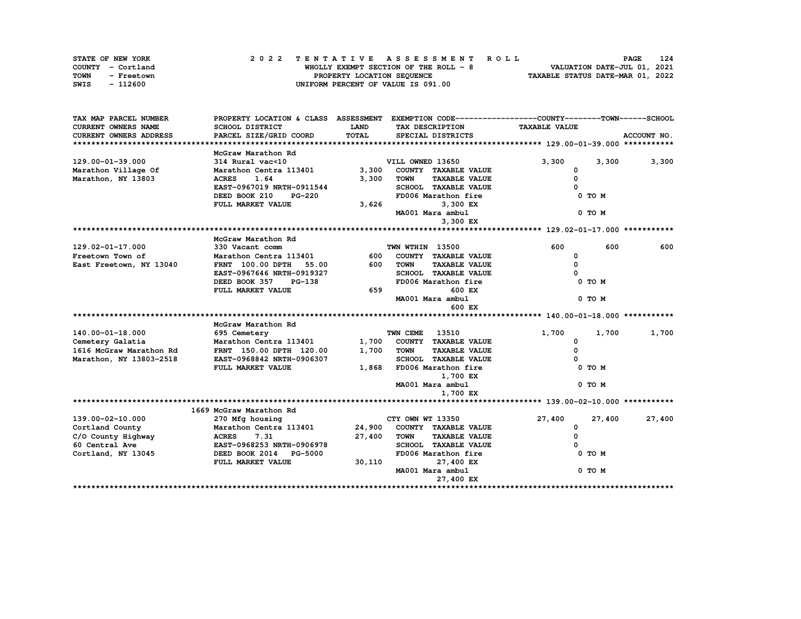| STATE OF NEW YORK  | 2022 TENTATIVE ASSESSMENT ROLL        | 124<br><b>PAGE</b>               |
|--------------------|---------------------------------------|----------------------------------|
| COUNTY - Cortland  | WHOLLY EXEMPT SECTION OF THE ROLL - 8 | VALUATION DATE-JUL 01, 2021      |
| TOWN<br>- Freetown | PROPERTY LOCATION SEQUENCE            | TAXABLE STATUS DATE-MAR 01, 2022 |
| SWIS<br>- 112600   | UNIFORM PERCENT OF VALUE IS 091.00    |                                  |

| TAX MAP PARCEL NUMBER      |                                                             |             |                                     | PROPERTY LOCATION & CLASS ASSESSMENT EXEMPTION CODE-----------------COUNTY-------TOWN------SCHOOL |             |
|----------------------------|-------------------------------------------------------------|-------------|-------------------------------------|---------------------------------------------------------------------------------------------------|-------------|
| <b>CURRENT OWNERS NAME</b> | SCHOOL DISTRICT                                             | <b>LAND</b> | TAX DESCRIPTION                     | <b>TAXABLE VALUE</b>                                                                              |             |
| CURRENT OWNERS ADDRESS     | PARCEL SIZE/GRID COORD                                      | TOTAL       | SPECIAL DISTRICTS                   |                                                                                                   | ACCOUNT NO. |
|                            |                                                             |             |                                     |                                                                                                   |             |
|                            | McGraw Marathon Rd                                          |             |                                     |                                                                                                   |             |
| 129.00-01-39.000           | 314 Rural vac<10                                            |             | VILL OWNED 13650                    | 3,300<br>3,300                                                                                    | 3,300       |
| Marathon Village Of        | Marathon Centra 113401                                      | 3,300       | COUNTY TAXABLE VALUE                | 0                                                                                                 |             |
| Marathon, NY 13803         | <b>ACRES</b><br>1.64                                        | 3,300       | <b>TAXABLE VALUE</b><br><b>TOWN</b> | 0                                                                                                 |             |
|                            | EAST-0967019 NRTH-0911544                                   |             | SCHOOL TAXABLE VALUE                |                                                                                                   |             |
|                            | DEED BOOK 210<br><b>PG-220</b>                              |             | FD006 Marathon fire                 | 0 TO M                                                                                            |             |
|                            | FULL MARKET VALUE                                           | 3,626       | 3,300 EX                            |                                                                                                   |             |
|                            |                                                             |             | MA001 Mara ambul                    | 0 TO M                                                                                            |             |
|                            |                                                             |             | 3,300 EX                            |                                                                                                   |             |
|                            |                                                             |             |                                     |                                                                                                   |             |
|                            | McGraw Marathon Rd                                          |             |                                     |                                                                                                   |             |
| $129.02 - 01 - 17.000$     | 330 Vacant comm                                             |             | TWN WTHIN 13500                     | 600<br>600                                                                                        | 600         |
| Freetown Town of           | Marathon Centra 113401                                      | 600         | COUNTY TAXABLE VALUE                | 0                                                                                                 |             |
| East Freetown, NY 13040    | FRNT 100.00 DPTH 55.00                                      | 600 -       | TOWN<br><b>TAXABLE VALUE</b>        | 0                                                                                                 |             |
|                            | EAST-0967646 NRTH-0919327                                   |             | SCHOOL TAXABLE VALUE                |                                                                                                   |             |
|                            | DEED BOOK 357<br><b>PG-138</b>                              |             | FD006 Marathon fire                 | 0 TO M                                                                                            |             |
|                            | FULL MARKET VALUE                                           | 659         | 600 EX                              |                                                                                                   |             |
|                            |                                                             |             | MA001 Mara ambul                    | 0 TO M                                                                                            |             |
|                            |                                                             |             | 600 EX                              |                                                                                                   |             |
|                            |                                                             |             |                                     |                                                                                                   |             |
|                            | McGraw Marathon Rd                                          |             |                                     |                                                                                                   |             |
| 140.00-01-18.000           | 695 Cemetery                                                |             | <b>TWN CEME 13510</b>               | 1,700<br>1,700                                                                                    | 1,700       |
| Cemetery Galatia           | Marathon Centra 113401                                      |             | 1,700 COUNTY TAXABLE VALUE          | 0                                                                                                 |             |
| 1616 McGraw Marathon Rd    | FRNT 150.00 DPTH 120.00                                     | 1,700       | <b>TAXABLE VALUE</b><br><b>TOWN</b> | 0                                                                                                 |             |
| Marathon, NY 13803-2518    | EAST-0968842 NRTH-0906307                                   |             | SCHOOL TAXABLE VALUE                |                                                                                                   |             |
|                            | FULL MARKET VALUE                                           |             | 1,868 FD006 Marathon fire           | 0 TO M                                                                                            |             |
|                            |                                                             |             | 1,700 EX                            |                                                                                                   |             |
|                            |                                                             |             | MA001 Mara ambul                    | 0 TO M                                                                                            |             |
|                            |                                                             |             | 1,700 EX                            |                                                                                                   |             |
|                            |                                                             |             |                                     |                                                                                                   |             |
|                            | 1669 McGraw Marathon Rd                                     |             |                                     |                                                                                                   |             |
| 139.00-02-10.000           | 270 Mfg housing                                             |             | CTY OWN WT 13350                    | 27,400<br>27,400                                                                                  | 27,400      |
| Cortland County            | Marathon Centra 113401 24,900 COUNTY TAXABLE VALUE          |             |                                     | $\mathbf{o}$                                                                                      |             |
| C/O County Highway         | <b>ACRES</b><br>7.31                                        | 27,400      | <b>TOWN</b><br><b>TAXABLE VALUE</b> | $\Omega$                                                                                          |             |
| 60 Central Ave             | <b>EAST-0968253 NRTH-0906978<br/>DEED BOOK 2014 PG-5000</b> |             | <b>SCHOOL TAXABLE VALUE</b>         |                                                                                                   |             |
| Cortland, NY 13045         | DEED BOOK 2014 PG-5000                                      |             | FD006 Marathon fire                 | 0 TO M                                                                                            |             |
|                            | FULL MARKET VALUE                                           | 30,110      | 27,400 EX                           |                                                                                                   |             |
|                            |                                                             |             | MA001 Mara ambul                    | 0 TO M                                                                                            |             |
|                            |                                                             |             | 27,400 EX                           |                                                                                                   |             |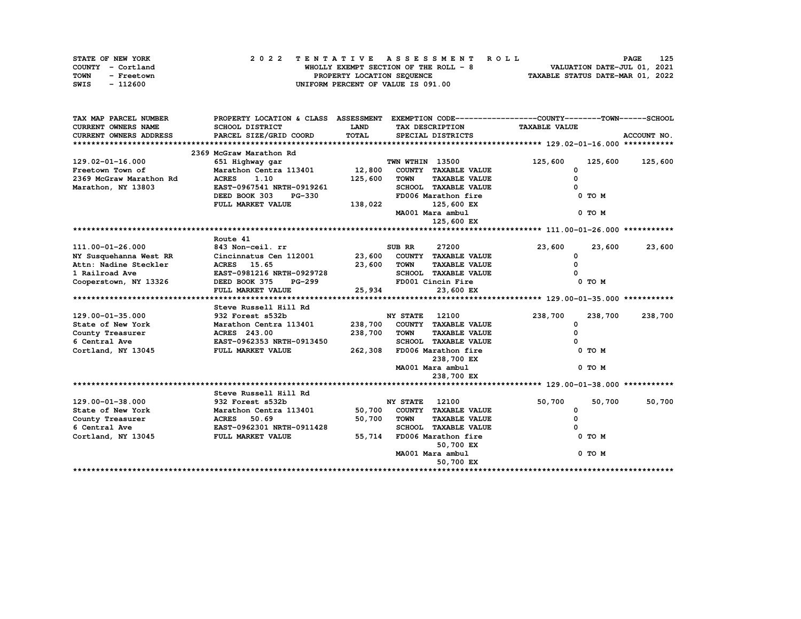| STATE OF NEW YORK  | 2022 TENTATIVE ASSESSMENT ROLL        | 125<br><b>PAGE</b>               |
|--------------------|---------------------------------------|----------------------------------|
| COUNTY - Cortland  | WHOLLY EXEMPT SECTION OF THE ROLL - 8 | VALUATION DATE-JUL 01, 2021      |
| TOWN<br>- Freetown | PROPERTY LOCATION SEQUENCE            | TAXABLE STATUS DATE-MAR 01, 2022 |
| SWIS<br>- 112600   | UNIFORM PERCENT OF VALUE IS 091.00    |                                  |

| TAX MAP PARCEL NUMBER      | PROPERTY LOCATION & CLASS ASSESSMENT EXEMPTION CODE-----------------COUNTY-------TOWN-----SCHOOL |             |                       |                      |                      |            |             |
|----------------------------|--------------------------------------------------------------------------------------------------|-------------|-----------------------|----------------------|----------------------|------------|-------------|
| <b>CURRENT OWNERS NAME</b> | SCHOOL DISTRICT                                                                                  | <b>LAND</b> |                       | TAX DESCRIPTION      | <b>TAXABLE VALUE</b> |            |             |
| CURRENT OWNERS ADDRESS     | PARCEL SIZE/GRID COORD                                                                           | TOTAL       |                       | SPECIAL DISTRICTS    |                      |            | ACCOUNT NO. |
|                            |                                                                                                  |             |                       |                      |                      |            |             |
|                            | 2369 McGraw Marathon Rd                                                                          |             |                       |                      |                      |            |             |
| 129.02-01-16.000           | 651 Highway gar                                                                                  |             | TWN WTHIN 13500       |                      | 125,600              | 125,600    | 125,600     |
| Freetown Town of           | Marathon Centra 113401 12,800                                                                    |             |                       | COUNTY TAXABLE VALUE | $\Omega$             |            |             |
| 2369 McGraw Marathon Rd    | <b>ACRES</b><br>1.10                                                                             | 125,600     | <b>TOWN</b>           | <b>TAXABLE VALUE</b> | $\Omega$             |            |             |
| Marathon, NY 13803         | EAST-0967541 NRTH-0919261                                                                        |             |                       | SCHOOL TAXABLE VALUE | $\Omega$             |            |             |
|                            | DEED BOOK 303<br><b>PG-330</b>                                                                   |             |                       | FD006 Marathon fire  |                      | 0 TO M     |             |
|                            | FULL MARKET VALUE                                                                                | 138,022     |                       | 125,600 EX           |                      |            |             |
|                            |                                                                                                  |             |                       | MA001 Mara ambul     |                      | 0 TO M     |             |
|                            |                                                                                                  |             |                       | 125,600 EX           |                      |            |             |
|                            |                                                                                                  |             |                       |                      |                      |            |             |
|                            | Route 41                                                                                         |             |                       |                      |                      |            |             |
| 111.00-01-26.000           | 843 Non-ceil. rr                                                                                 |             | SUB RR                | 27200                | 23,600               | 23,600     | 23,600      |
| NY Susquehanna West RR     | Cincinnatus Cen 112001                                                                           | 23,600      |                       | COUNTY TAXABLE VALUE | 0                    |            |             |
| Attn: Nadine Steckler      | <b>ACRES</b> 15.65                                                                               | 23,600      | TOWN                  | <b>TAXABLE VALUE</b> | 0                    |            |             |
| 1 Railroad Ave             | EAST-0981216 NRTH-0929728                                                                        |             |                       | SCHOOL TAXABLE VALUE |                      |            |             |
| Cooperstown, NY 13326      | DEED BOOK 375<br><b>PG-299</b>                                                                   |             |                       | FD001 Cincin Fire    |                      | 0 TO M     |             |
|                            | FULL MARKET VALUE                                                                                | 25,934      |                       | 23,600 EX            |                      |            |             |
|                            |                                                                                                  |             |                       |                      |                      |            |             |
|                            | Steve Russell Hill Rd                                                                            |             |                       |                      |                      |            |             |
| 129.00-01-35.000           | 932 Forest s532b                                                                                 |             | <b>NY STATE</b> 12100 |                      | 238,700              | 238,700    | 238,700     |
| State of New York          | Marathon Centra 113401                                                                           | 238,700     |                       | COUNTY TAXABLE VALUE | 0                    |            |             |
| County Treasurer           | <b>ACRES</b> 243.00                                                                              | 238,700     | <b>TOWN</b>           | <b>TAXABLE VALUE</b> | $\Omega$             |            |             |
| 6 Central Ave              | EAST-0962353 NRTH-0913450                                                                        |             |                       | SCHOOL TAXABLE VALUE |                      |            |             |
| Cortland, NY 13045         | FULL MARKET VALUE                                                                                | 262,308     |                       | FD006 Marathon fire  |                      | 0 TO M     |             |
|                            |                                                                                                  |             |                       | 238,700 EX           |                      |            |             |
|                            |                                                                                                  |             |                       | MA001 Mara ambul     |                      | 0 TO M     |             |
|                            |                                                                                                  |             |                       | 238,700 EX           |                      |            |             |
|                            |                                                                                                  |             |                       |                      |                      |            |             |
|                            | Steve Russell Hill Rd                                                                            |             |                       |                      |                      |            |             |
| 129.00-01-38.000           | 932 Forest s532b                                                                                 |             | <b>NY STATE</b> 12100 |                      | 50,700               | 50,700     | 50,700      |
| State of New York          | Marathon Centra 113401                                                                           | 50,700      |                       | COUNTY TAXABLE VALUE | 0                    |            |             |
| County Treasurer           | <b>ACRES</b><br>50.69                                                                            | 50,700      | <b>TOWN</b>           | <b>TAXABLE VALUE</b> | $\Omega$             |            |             |
| 6 Central Ave              | EAST-0962301 NRTH-0911428                                                                        |             |                       | SCHOOL TAXABLE VALUE |                      |            |             |
| Cortland, NY 13045         | FULL MARKET VALUE                                                                                | 55,714      |                       | FD006 Marathon fire  |                      | $0$ TO $M$ |             |
|                            |                                                                                                  |             |                       | 50,700 EX            |                      |            |             |
|                            |                                                                                                  |             |                       | MA001 Mara ambul     |                      | $0$ TO $M$ |             |
|                            |                                                                                                  |             |                       | 50,700 EX            |                      |            |             |
|                            |                                                                                                  |             |                       |                      |                      |            |             |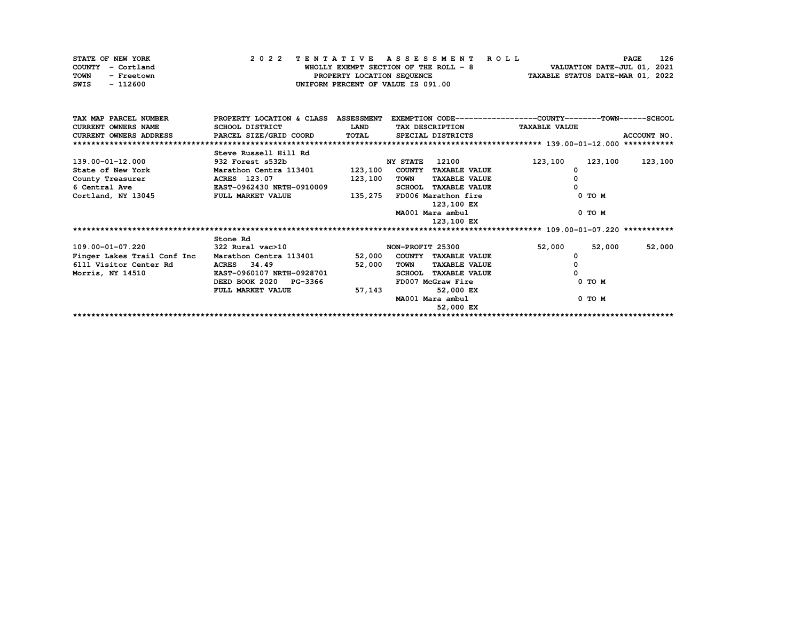| STATE OF NEW YORK  | 2022 TENTATIVE ASSESSMENT ROLL        | <b>PAGE</b>                      | 126 |
|--------------------|---------------------------------------|----------------------------------|-----|
| COUNTY - Cortland  | WHOLLY EXEMPT SECTION OF THE ROLL - 8 | VALUATION DATE-JUL 01, 2021      |     |
| TOWN<br>- Freetown | PROPERTY LOCATION SEQUENCE            | TAXABLE STATUS DATE-MAR 01, 2022 |     |
| - 112600<br>SWIS   | UNIFORM PERCENT OF VALUE IS 091.00    |                                  |     |

| TAX MAP PARCEL NUMBER         | PROPERTY LOCATION & CLASS ASSESSMENT |              |                  |                      | EXEMPTION CODE-----------------COUNTY-------TOWN-----SCHOOL |         |             |
|-------------------------------|--------------------------------------|--------------|------------------|----------------------|-------------------------------------------------------------|---------|-------------|
| <b>CURRENT OWNERS NAME</b>    | SCHOOL DISTRICT                      | <b>LAND</b>  |                  | TAX DESCRIPTION      | <b>TAXABLE VALUE</b>                                        |         |             |
| <b>CURRENT OWNERS ADDRESS</b> | PARCEL SIZE/GRID COORD               | <b>TOTAL</b> |                  | SPECIAL DISTRICTS    |                                                             |         | ACCOUNT NO. |
|                               |                                      |              |                  |                      |                                                             |         |             |
|                               | Steve Russell Hill Rd                |              |                  |                      |                                                             |         |             |
| 139.00-01-12.000              | 932 Forest s532b                     |              | <b>NY STATE</b>  | 12100                | 123,100                                                     | 123,100 | 123,100     |
| State of New York             | Marathon Centra 113401               | 123,100      |                  | COUNTY TAXABLE VALUE | 0                                                           |         |             |
| County Treasurer              | ACRES 123.07                         | 123,100      | TOWN             | <b>TAXABLE VALUE</b> |                                                             |         |             |
| 6 Central Ave                 | EAST-0962430 NRTH-0910009            |              | <b>SCHOOL</b>    | <b>TAXABLE VALUE</b> | 0                                                           |         |             |
| Cortland, NY 13045            | FULL MARKET VALUE                    | 135,275      |                  | FD006 Marathon fire  |                                                             | 0 TO M  |             |
|                               |                                      |              |                  | 123,100 EX           |                                                             |         |             |
|                               |                                      |              |                  | MA001 Mara ambul     |                                                             | 0 TO M  |             |
|                               |                                      |              |                  | 123,100 EX           |                                                             |         |             |
|                               |                                      |              |                  |                      |                                                             |         |             |
|                               | Stone Rd                             |              |                  |                      |                                                             |         |             |
|                               |                                      |              |                  |                      |                                                             |         |             |
| 109.00-01-07.220              | 322 Rural vac>10                     |              | NON-PROFIT 25300 |                      | 52,000                                                      | 52,000  | 52,000      |
| Finger Lakes Trail Conf Inc   | Marathon Centra 113401               | 52,000       |                  | COUNTY TAXABLE VALUE |                                                             |         |             |
| 6111 Visitor Center Rd        | ACRES 34.49                          | 52,000       | TOWN             | <b>TAXABLE VALUE</b> |                                                             |         |             |
| Morris, NY 14510              | EAST-0960107 NRTH-0928701            |              | <b>SCHOOL</b>    | <b>TAXABLE VALUE</b> |                                                             |         |             |
|                               | DEED BOOK 2020 PG-3366               |              |                  | FD007 McGraw Fire    |                                                             | 0 TO M  |             |
|                               | FULL MARKET VALUE                    | 57,143       |                  | 52,000 EX            |                                                             |         |             |
|                               |                                      |              |                  | MA001 Mara ambul     |                                                             | 0 TO M  |             |
|                               |                                      |              |                  | 52,000 EX            |                                                             |         |             |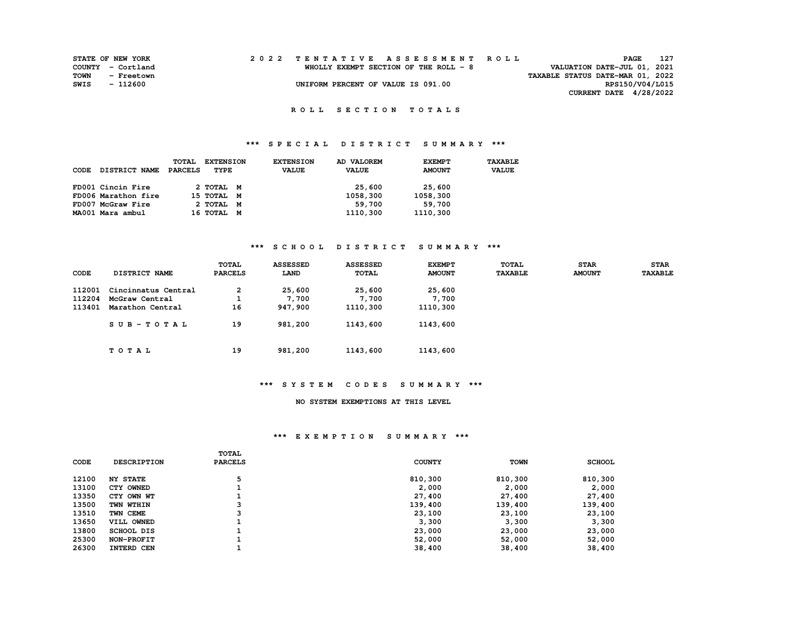|      | <b>STATE OF NEW YORK</b> |  | 2022 TENTATIVE ASSESSMENT ROLL         |                                  | PAGE                        | 127 |
|------|--------------------------|--|----------------------------------------|----------------------------------|-----------------------------|-----|
|      | COUNTY - Cortland        |  | WHOLLY EXEMPT SECTION OF THE ROLL $-8$ |                                  | VALUATION DATE-JUL 01, 2021 |     |
| TOWN | - Freetown               |  |                                        | TAXABLE STATUS DATE-MAR 01, 2022 |                             |     |
| SWIS | - 112600                 |  | UNIFORM PERCENT OF VALUE IS 091.00     |                                  | RPS150/V04/L015             |     |
|      |                          |  |                                        |                                  | CURRENT DATE 4/28/2022      |     |

## **\*\*\* S P E C I A L D I S T R I C T S U M M A R Y \*\*\***

| CODE | <b>DISTRICT NAME</b> | TOTAL<br>PARCELS | <b>EXTENSION</b><br>TYPE | <b>EXTENSION</b><br><b>VALUE</b> | AD VALOREM<br><b>VALUE</b> | <b>EXEMPT</b><br><b>AMOUNT</b> | TAXABLE<br><b>VALUE</b> |
|------|----------------------|------------------|--------------------------|----------------------------------|----------------------------|--------------------------------|-------------------------|
|      | FD001 Cincin Fire    |                  | 2 TOTAL M                |                                  | 25,600                     | 25,600                         |                         |
|      | FD006 Marathon fire  |                  | 15 TOTAL M               |                                  | 1058,300                   | 1058,300                       |                         |
|      | FD007 McGraw Fire    |                  | 2 TOTAL M                |                                  | 59,700                     | 59,700                         |                         |
|      | MA001 Mara ambul     |                  | 16 TOTAL M               |                                  | 1110,300                   | 1110,300                       |                         |

## **\*\*\* S C H O O L D I S T R I C T S U M M A R Y \*\*\***

| CODE   | DISTRICT NAME       | TOTAL<br><b>PARCELS</b> | <b>ASSESSED</b><br>LAND | <b>ASSESSED</b><br>TOTAL | <b>EXEMPT</b><br><b>AMOUNT</b> | TOTAL<br><b>TAXABLE</b> | <b>STAR</b><br><b>AMOUNT</b> | <b>STAR</b><br><b>TAXABLE</b> |
|--------|---------------------|-------------------------|-------------------------|--------------------------|--------------------------------|-------------------------|------------------------------|-------------------------------|
| 112001 | Cincinnatus Central | 2                       | 25,600                  | 25,600                   | 25,600                         |                         |                              |                               |
| 112204 | McGraw Central      |                         | 7,700                   | 7,700                    | 7,700                          |                         |                              |                               |
| 113401 | Marathon Central    | 16                      | 947,900                 | 1110,300                 | 1110,300                       |                         |                              |                               |
|        | SUB-TOTAL           | 19                      | 981,200                 | 1143,600                 | 1143,600                       |                         |                              |                               |
|        | TOTAL               | 19                      | 981,200                 | 1143,600                 | 1143,600                       |                         |                              |                               |

#### **\*\*\* S Y S T E M C O D E S S U M M A R Y \*\*\***

#### **NO SYSTEM EXEMPTIONS AT THIS LEVEL**

| <b>CODE</b> | <b>DESCRIPTION</b> | <b>TOTAL</b><br><b>PARCELS</b> | <b>COUNTY</b> | <b>TOWN</b> | <b>SCHOOL</b> |
|-------------|--------------------|--------------------------------|---------------|-------------|---------------|
| 12100       | <b>NY STATE</b>    |                                | 810,300       | 810,300     | 810,300       |
| 13100       | CTY OWNED          |                                | 2,000         | 2,000       | 2,000         |
| 13350       | CTY OWN WT         |                                | 27,400        | 27,400      | 27,400        |
| 13500       | TWN WTHIN          | ີ                              | 139,400       | 139,400     | 139,400       |
| 13510       | TWN CEME           |                                | 23,100        | 23,100      | 23,100        |
| 13650       | VILL OWNED         |                                | 3,300         | 3,300       | 3,300         |
| 13800       | SCHOOL DIS         |                                | 23,000        | 23,000      | 23,000        |
| 25300       | NON-PROFIT         |                                | 52,000        | 52,000      | 52,000        |
| 26300       | <b>INTERD CEN</b>  |                                | 38,400        | 38,400      | 38,400        |
|             |                    |                                |               |             |               |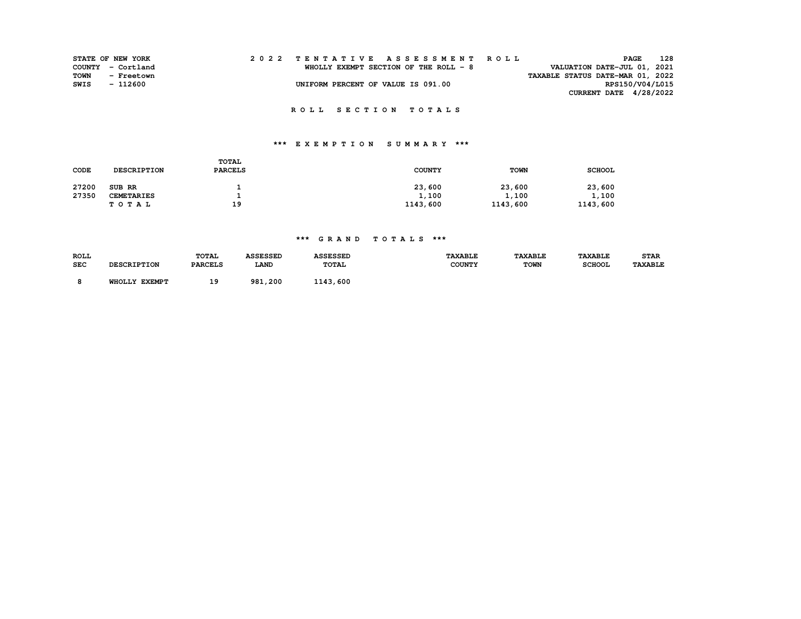|      | STATE OF NEW YORK | 2022 TENTATIVE ASSESSMENT ROLL        |                                  | 128<br>PAGE            |
|------|-------------------|---------------------------------------|----------------------------------|------------------------|
|      | COUNTY - Cortland | WHOLLY EXEMPT SECTION OF THE ROLL - 8 | VALUATION DATE-JUL 01, 2021      |                        |
| TOWN | - Freetown        |                                       | TAXABLE STATUS DATE-MAR 01, 2022 |                        |
| SWIS | - 112600          | UNIFORM PERCENT OF VALUE IS 091.00    |                                  | RPS150/V04/L015        |
|      |                   |                                       |                                  | CURRENT DATE 4/28/2022 |

## **\*\*\* E X E M P T I O N S U M M A R Y \*\*\***

| CODE  | <b>DESCRIPTION</b> | <b>TOTAL</b><br><b>PARCELS</b> | <b>COUNTY</b> | <b>TOWN</b> | <b>SCHOOL</b> |
|-------|--------------------|--------------------------------|---------------|-------------|---------------|
| 27200 | SUB RR             | -                              | 23,600        | 23,600      | 23,600        |
| 27350 | <b>CEMETARIES</b>  |                                | 1,100         | 1,100       | 1,100         |
|       | TOTAL              | 19                             | 1143,600      | 1143,600    | 1143,600      |

| <b>ROLL</b> | <b>DESCRIPTION</b> | <b>TOTAL</b>   | <b>ASSESSED</b> | <b>ASSESSED</b> | <b><i>TAXABLE</i></b> | <b><i>TAXABLE</i></b> | <b><i>TAXABLE</i></b> | <b>STAR</b>    |
|-------------|--------------------|----------------|-----------------|-----------------|-----------------------|-----------------------|-----------------------|----------------|
| <b>SEC</b>  |                    | <b>PARCELS</b> | <b>LAND</b>     | <b>TOTAL</b>    | <b>COUNTY</b>         | <b>TOWN</b>           | <b>SCHOOL</b>         | <b>TAXABLE</b> |
|             | WHOLLY EXEMPT      | 1 Q            | 981,200         | 1143,600        |                       |                       |                       |                |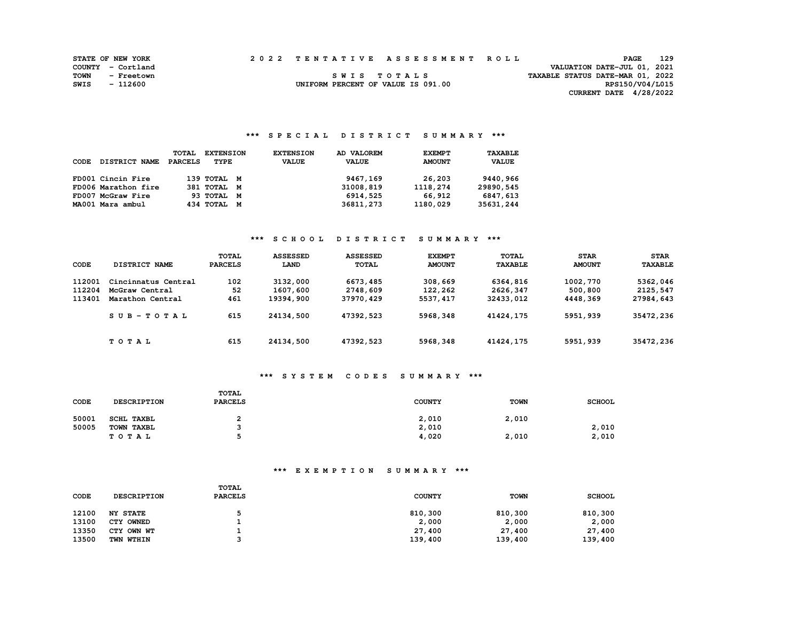| <b>STATE OF NEW YORK</b> |                   |  | 2022 TENTATIVE ASSESSMENT ROLL     | 129<br><b>PAGE</b>               |  |
|--------------------------|-------------------|--|------------------------------------|----------------------------------|--|
|                          | COUNTY - Cortland |  |                                    | VALUATION DATE-JUL 01, 2021      |  |
| TOWN                     | - Freetown        |  | SWIS TOTALS                        | TAXABLE STATUS DATE-MAR 01, 2022 |  |
| SWIS                     | - 112600          |  | UNIFORM PERCENT OF VALUE IS 091.00 | RPS150/V04/L015                  |  |
|                          |                   |  |                                    | CURRENT DATE 4/28/2022           |  |

#### **\*\*\* S P E C I A L D I S T R I C T S U M M A R Y \*\*\***

| CODE | <b>DISTRICT NAME</b> | <b>TOTAL</b><br>PARCELS | <b>EXTENSION</b><br>TYPE | <b>EXTENSION</b><br><b>VALUE</b> | AD VALOREM<br><b>VALUE</b> | <b>EXEMPT</b><br><b>AMOUNT</b> | TAXABLE<br><b>VALUE</b> |
|------|----------------------|-------------------------|--------------------------|----------------------------------|----------------------------|--------------------------------|-------------------------|
|      | FD001 Cincin Fire    |                         | 139 TOTAL M              |                                  | 9467,169                   | 26,203                         | 9440,966                |
|      | FD006 Marathon fire  |                         | 381 TOTAL M              |                                  | 31008,819                  | 1118,274                       | 29890,545               |
|      | FD007 McGraw Fire    |                         | 93 TOTAL M               |                                  | 6914,525                   | 66,912                         | 6847,613                |
|      | MA001 Mara ambul     |                         | 434 TOTAL M              |                                  | 36811,273                  | 1180,029                       | 35631,244               |

#### **\*\*\* S C H O O L D I S T R I C T S U M M A R Y \*\*\***

| CODE                       | DISTRICT NAME                                             | <b>TOTAL</b><br><b>PARCELS</b> | <b>ASSESSED</b><br>LAND           | <b>ASSESSED</b><br><b>TOTAL</b>   | <b>EXEMPT</b><br><b>AMOUNT</b>  | TOTAL<br><b>TAXABLE</b>           | <b>STAR</b><br><b>AMOUNT</b>    | <b>STAR</b><br><b>TAXABLE</b>     |
|----------------------------|-----------------------------------------------------------|--------------------------------|-----------------------------------|-----------------------------------|---------------------------------|-----------------------------------|---------------------------------|-----------------------------------|
| 112001<br>112204<br>113401 | Cincinnatus Central<br>McGraw Central<br>Marathon Central | 102<br>52<br>461               | 3132,000<br>1607,600<br>19394,900 | 6673,485<br>2748,609<br>37970,429 | 308,669<br>122,262<br>5537, 417 | 6364,816<br>2626,347<br>32433,012 | 1002,770<br>500,800<br>4448,369 | 5362,046<br>2125,547<br>27984,643 |
|                            | $SUB - TO T AL$                                           | 615                            | 24134,500                         | 47392,523                         | 5968,348                        | 41424,175                         | 5951,939                        | 35472,236                         |
|                            | TOTAL                                                     | 615                            | 24134,500                         | 47392,523                         | 5968,348                        | 41424,175                         | 5951,939                        | 35472,236                         |

#### **\*\*\* S Y S T E M C O D E S S U M M A R Y \*\*\***

| CODE  | <b>DESCRIPTION</b> | TOTAL<br><b>PARCELS</b> | <b>COUNTY</b> | <b>TOWN</b> | <b>SCHOOL</b> |
|-------|--------------------|-------------------------|---------------|-------------|---------------|
| 50001 | <b>SCHL TAXBL</b>  |                         | 2,010         | 2,010       |               |
| 50005 | TOWN TAXBL         |                         | 2,010         |             | 2,010         |
|       | TOTAL              |                         | 4,020         | 2,010       | 2,010         |

| CODE  | <b>DESCRIPTION</b> | TOTAL<br><b>PARCELS</b> | <b>COUNTY</b> | <b>TOWN</b> | <b>SCHOOL</b> |
|-------|--------------------|-------------------------|---------------|-------------|---------------|
| 12100 | <b>NY STATE</b>    |                         | 810,300       | 810,300     | 810,300       |
| 13100 | CTY OWNED          |                         | 2,000         | 2,000       | 2,000         |
| 13350 | CTY OWN WT         |                         | 27,400        | 27,400      | 27,400        |
| 13500 | <b>TWN WTHIN</b>   |                         | 139,400       | 139,400     | 139,400       |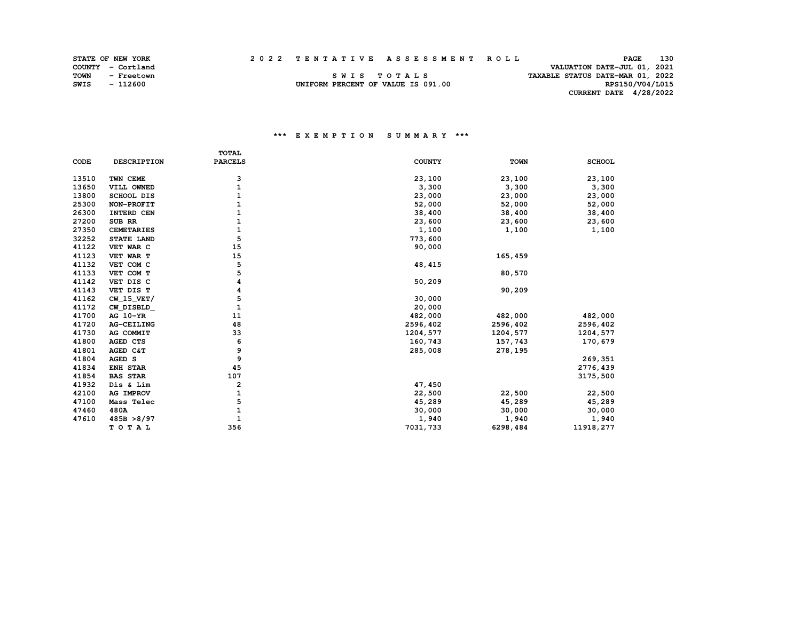**STATE OF NEW YORK 2 0 2 2 T E N T A T I V E A S S E S S M E N T R O L L PAGE 130 COUNTY - Cortland VALUATION DATE-JUL 01, 2021 TOWN - Freetown S W I S T O T A L S TAXABLE STATUS DATE-MAR 01, 2022 SWIS - 112600 UNIFORM PERCENT OF VALUE IS 091.00 RPS150/V04/L015 CURRENT DATE 4/28/2022** 

|       |                    | <b>TOTAL</b>   |               |             |               |
|-------|--------------------|----------------|---------------|-------------|---------------|
| CODE  | <b>DESCRIPTION</b> | <b>PARCELS</b> | <b>COUNTY</b> | <b>TOWN</b> | <b>SCHOOL</b> |
| 13510 | TWN CEME           | з              | 23,100        | 23,100      | 23,100        |
| 13650 | VILL OWNED         | 1              | 3,300         | 3,300       | 3,300         |
| 13800 | <b>SCHOOL DIS</b>  | 1              | 23,000        | 23,000      | 23,000        |
| 25300 | NON-PROFIT         | 1              | 52,000        | 52,000      | 52,000        |
| 26300 | INTERD CEN         |                | 38,400        | 38,400      | 38,400        |
| 27200 | SUB RR             | 1              | 23,600        | 23,600      | 23,600        |
| 27350 | <b>CEMETARIES</b>  | $\mathbf{1}$   | 1,100         | 1,100       | 1,100         |
| 32252 | STATE LAND         | 5              | 773,600       |             |               |
| 41122 | VET WAR C          | 15             | 90,000        |             |               |
| 41123 | VET WAR T          | 15             |               | 165,459     |               |
| 41132 | VET COM C          | 5              | 48, 415       |             |               |
| 41133 | VET COM T          | 5              |               | 80,570      |               |
| 41142 | VET DIS C          | 4              | 50,209        |             |               |
| 41143 | VET DIS T          | 4              |               | 90,209      |               |
| 41162 | $CW_15_VET/$       | 5              | 30,000        |             |               |
| 41172 | CW DISBLD          | $\mathbf{1}$   | 20,000        |             |               |
| 41700 | AG 10-YR           | 11             | 482,000       | 482,000     | 482,000       |
| 41720 | AG-CEILING         | 48             | 2596,402      | 2596,402    | 2596,402      |
| 41730 | AG COMMIT          | 33             | 1204,577      | 1204,577    | 1204,577      |
| 41800 | AGED CTS           | 6              | 160,743       | 157,743     | 170,679       |
| 41801 | AGED C&T           | 9              | 285,008       | 278,195     |               |
| 41804 | AGED S             | 9              |               |             | 269,351       |
| 41834 | ENH STAR           | 45             |               |             | 2776,439      |
| 41854 | <b>BAS STAR</b>    | 107            |               |             | 3175,500      |
| 41932 | Dis & Lim          | 2              | 47,450        |             |               |
| 42100 | AG IMPROV          | 1              | 22,500        | 22,500      | 22,500        |
| 47100 | Mass Telec         | 5              | 45,289        | 45,289      | 45,289        |
| 47460 | 480A               | 1              | 30,000        | 30,000      | 30,000        |
| 47610 | 485B > 8/97        | $\mathbf{1}$   | 1,940         | 1,940       | 1,940         |
|       | TOTAL              | 356            | 7031,733      | 6298,484    | 11918, 277    |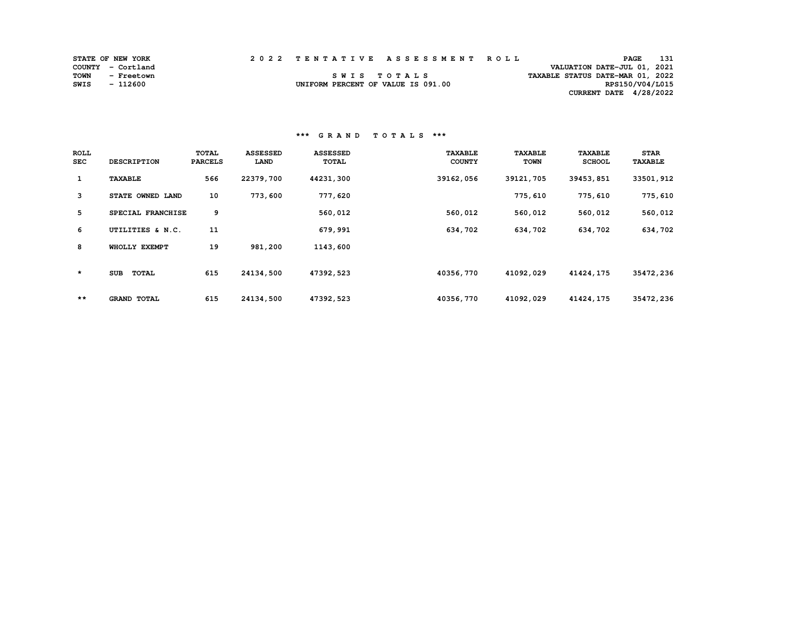|      | <b>STATE OF NEW YORK</b> | 2022 TENTATIVE ASSESSMENT ROLL     |             |  |                                  | <b>PAGE</b>     | 131 |
|------|--------------------------|------------------------------------|-------------|--|----------------------------------|-----------------|-----|
|      | COUNTY - Cortland        |                                    |             |  | VALUATION DATE-JUL 01, 2021      |                 |     |
| TOWN | - Freetown               |                                    | SWIS TOTALS |  | TAXABLE STATUS DATE-MAR 01, 2022 |                 |     |
| SWIS | - 112600                 | UNIFORM PERCENT OF VALUE IS 091.00 |             |  |                                  | RPS150/V04/L015 |     |
|      |                          |                                    |             |  | CURRENT DATE 4/28/2022           |                 |     |

| <b>ROLL</b><br><b>SEC</b> | <b>DESCRIPTION</b>         | TOTAL<br><b>PARCELS</b> | <b>ASSESSED</b><br>LAND | <b>ASSESSED</b><br>TOTAL | <b>TAXABLE</b><br><b>COUNTY</b> | <b>TAXABLE</b><br><b>TOWN</b> | <b>TAXABLE</b><br><b>SCHOOL</b> | <b>STAR</b><br><b>TAXABLE</b> |
|---------------------------|----------------------------|-------------------------|-------------------------|--------------------------|---------------------------------|-------------------------------|---------------------------------|-------------------------------|
| $\mathbf{1}$              | <b>TAXABLE</b>             | 566                     | 22379,700               | 44231,300                | 39162,056                       | 39121,705                     | 39453,851                       | 33501,912                     |
| 3                         | STATE OWNED LAND           | 10                      | 773,600                 | 777,620                  |                                 | 775,610                       | 775,610                         | 775,610                       |
| 5                         | SPECIAL FRANCHISE          | 9                       |                         | 560,012                  | 560,012                         | 560,012                       | 560,012                         | 560,012                       |
| 6                         | UTILITIES & N.C.           | 11                      |                         | 679,991                  | 634,702                         | 634,702                       | 634,702                         | 634,702                       |
| 8                         | WHOLLY EXEMPT              | 19                      | 981,200                 | 1143,600                 |                                 |                               |                                 |                               |
| $\star$                   | <b>TOTAL</b><br><b>SUB</b> | 615                     | 24134,500               | 47392,523                | 40356,770                       | 41092,029                     | 41424, 175                      | 35472,236                     |
| $***$                     | <b>GRAND TOTAL</b>         | 615                     | 24134,500               | 47392,523                | 40356,770                       | 41092,029                     | 41424, 175                      | 35472,236                     |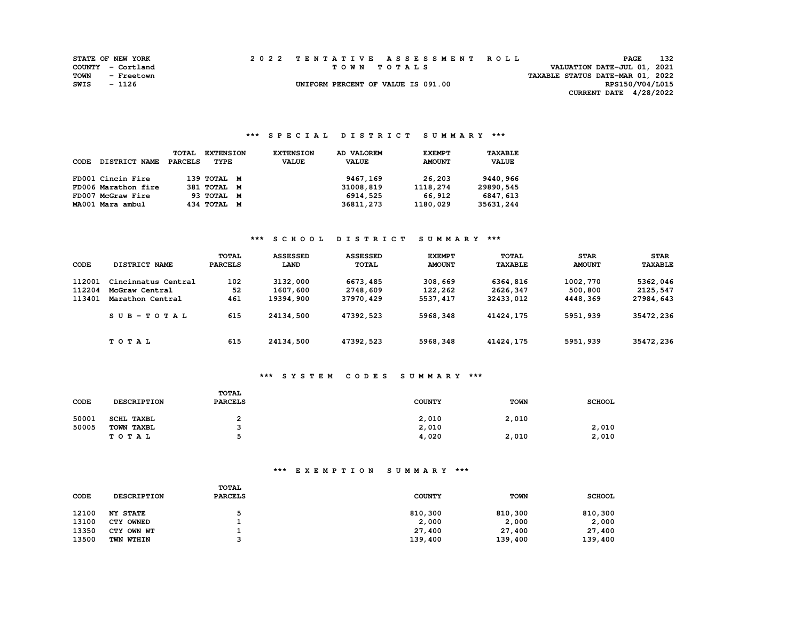|      | <b>STATE OF NEW YORK</b> |  | 2022 TENTATIVE ASSESSMENT ROLL     |                                  | PAGE            | - 132 |
|------|--------------------------|--|------------------------------------|----------------------------------|-----------------|-------|
|      | COUNTY - Cortland        |  | TOWN TOTALS                        | VALUATION DATE-JUL 01, 2021      |                 |       |
| TOWN | - Freetown               |  |                                    | TAXABLE STATUS DATE-MAR 01, 2022 |                 |       |
| SWIS | - 1126                   |  | UNIFORM PERCENT OF VALUE IS 091.00 |                                  | RPS150/V04/L015 |       |
|      |                          |  |                                    | <b>CURRENT DATE 4/28/2022</b>    |                 |       |

## **\*\*\* S P E C I A L D I S T R I C T S U M M A R Y \*\*\***

| CODE | <b>DISTRICT NAME</b> | TOTAL<br>PARCELS | <b>EXTENSION</b><br>TYPE | <b>EXTENSION</b><br><b>VALUE</b> | AD VALOREM<br><b>VALUE</b> | <b>EXEMPT</b><br><b>AMOUNT</b> | TAXABLE<br><b>VALUE</b> |
|------|----------------------|------------------|--------------------------|----------------------------------|----------------------------|--------------------------------|-------------------------|
|      | FD001 Cincin Fire    |                  | 139 TOTAL M              |                                  | 9467,169                   | 26,203                         | 9440,966                |
|      | FD006 Marathon fire  |                  | 381 TOTAL M              |                                  | 31008,819                  | 1118,274                       | 29890,545               |
|      | FD007 McGraw Fire    |                  | 93 TOTAL M               |                                  | 6914,525                   | 66,912                         | 6847,613                |
|      | MA001 Mara ambul     |                  | 434 TOTAL M              |                                  | 36811,273                  | 1180,029                       | 35631,244               |

## **\*\*\* S C H O O L D I S T R I C T S U M M A R Y \*\*\***

| CODE   | DISTRICT NAME       | TOTAL<br><b>PARCELS</b> | <b>ASSESSED</b><br>LAND | <b>ASSESSED</b><br><b>TOTAL</b> | <b>EXEMPT</b><br><b>AMOUNT</b> | <b>TOTAL</b><br><b>TAXABLE</b> | <b>STAR</b><br><b>AMOUNT</b> | <b>STAR</b><br><b>TAXABLE</b> |
|--------|---------------------|-------------------------|-------------------------|---------------------------------|--------------------------------|--------------------------------|------------------------------|-------------------------------|
| 112001 | Cincinnatus Central | 102                     | 3132,000                | 6673,485                        | 308,669                        | 6364,816                       | 1002,770                     | 5362,046                      |
| 112204 | McGraw Central      | 52                      | 1607,600                | 2748,609                        | 122,262                        | 2626,347                       | 500,800                      | 2125,547                      |
| 113401 | Marathon Central    | 461                     | 19394,900               | 37970,429                       | 5537, 417                      | 32433,012                      | 4448,369                     | 27984,643                     |
|        | $SUB-TOTAL$         | 615                     | 24134,500               | 47392,523                       | 5968,348                       | 41424,175                      | 5951,939                     | 35472,236                     |
|        | TOTAL               | 615                     | 24134,500               | 47392,523                       | 5968,348                       | 41424,175                      | 5951,939                     | 35472,236                     |

#### **\*\*\* S Y S T E M C O D E S S U M M A R Y \*\*\***

| CODE  | <b>DESCRIPTION</b> | TOTAL<br><b>PARCELS</b> | <b>COUNTY</b> | <b>TOWN</b> | <b>SCHOOL</b> |
|-------|--------------------|-------------------------|---------------|-------------|---------------|
| 50001 | <b>SCHL TAXBL</b>  |                         | 2,010         | 2,010       |               |
| 50005 | TOWN TAXBL         |                         | 2,010         |             | 2,010         |
|       | TOTAL              |                         | 4,020         | 2,010       | 2,010         |

| CODE  | <b>DESCRIPTION</b> | TOTAL<br><b>PARCELS</b> | <b>COUNTY</b> | <b>TOWN</b> | <b>SCHOOL</b> |
|-------|--------------------|-------------------------|---------------|-------------|---------------|
| 12100 | <b>NY STATE</b>    |                         | 810,300       | 810,300     | 810,300       |
| 13100 | CTY OWNED          |                         | 2,000         | 2,000       | 2,000         |
| 13350 | CTY OWN WT         |                         | 27,400        | 27,400      | 27,400        |
| 13500 | <b>TWN WTHIN</b>   |                         | 139,400       | 139,400     | 139,400       |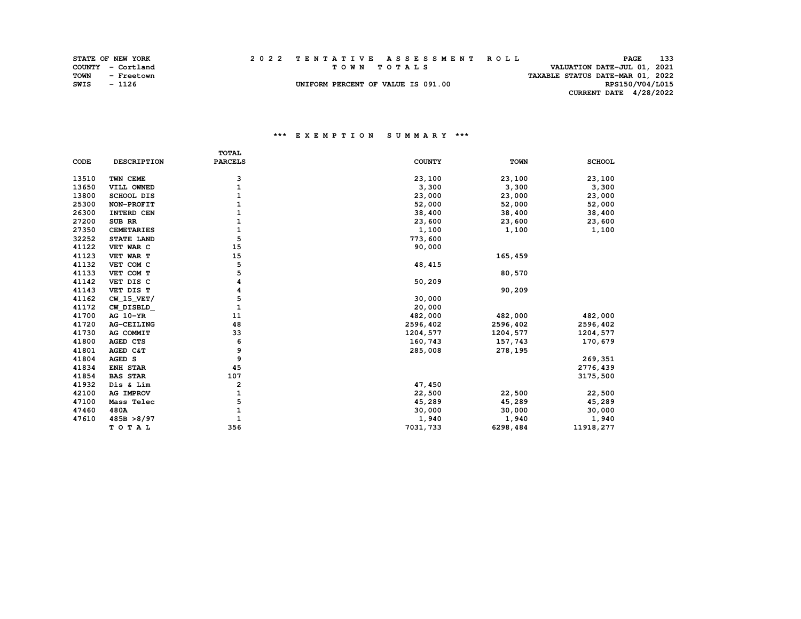|      | <b>STATE OF NEW YORK</b> |  | 2022 TENTATIVE ASSESSMENT ROLL     |                                  | PAGE                        | 133 |
|------|--------------------------|--|------------------------------------|----------------------------------|-----------------------------|-----|
|      | COUNTY - Cortland        |  | TOWN TOTALS                        |                                  | VALUATION DATE-JUL 01, 2021 |     |
| TOWN | - Freetown               |  |                                    | TAXABLE STATUS DATE-MAR 01, 2022 |                             |     |
| SWIS | - 1126                   |  | UNIFORM PERCENT OF VALUE IS 091.00 |                                  | RPS150/V04/L015             |     |
|      |                          |  |                                    |                                  | CURRENT DATE 4/28/2022      |     |

#### **\*\*\* E X E M P T I O N S U M M A R Y \*\*\***

|       |                    | <b>TOTAL</b>   |               |             |               |
|-------|--------------------|----------------|---------------|-------------|---------------|
| CODE  | <b>DESCRIPTION</b> | <b>PARCELS</b> | <b>COUNTY</b> | <b>TOWN</b> | <b>SCHOOL</b> |
| 13510 | TWN CEME           | 3              | 23,100        | 23,100      | 23,100        |
| 13650 | VILL OWNED         |                | 3,300         | 3,300       | 3,300         |
| 13800 | <b>SCHOOL DIS</b>  |                | 23,000        | 23,000      | 23,000        |
| 25300 | NON-PROFIT         |                | 52,000        | 52,000      | 52,000        |
| 26300 | INTERD CEN         |                | 38,400        | 38,400      | 38,400        |
| 27200 | SUB RR             |                | 23,600        | 23,600      | 23,600        |
| 27350 | <b>CEMETARIES</b>  | 1              | 1,100         | 1,100       | 1,100         |
| 32252 | STATE LAND         | 5              | 773,600       |             |               |
| 41122 | VET WAR C          | 15             | 90,000        |             |               |
| 41123 | VET WAR T          | 15             |               | 165,459     |               |
| 41132 | VET COM C          | 5              | 48, 415       |             |               |
| 41133 | VET COM T          | 5              |               | 80,570      |               |
| 41142 | VET DIS C          | 4              | 50,209        |             |               |
| 41143 | VET DIS T          | 4              |               | 90,209      |               |
| 41162 | $CW_15_VET/$       | 5              | 30,000        |             |               |
| 41172 | CW DISBLD          | 1              | 20,000        |             |               |
| 41700 | AG 10-YR           | 11             | 482,000       | 482,000     | 482,000       |
| 41720 | AG-CEILING         | 48             | 2596,402      | 2596,402    | 2596,402      |
| 41730 | AG COMMIT          | 33             | 1204,577      | 1204,577    | 1204,577      |
| 41800 | AGED CTS           | 6              | 160,743       | 157,743     | 170,679       |
| 41801 | AGED C&T           | 9              | 285,008       | 278,195     |               |
| 41804 | AGED S             | 9              |               |             | 269,351       |
| 41834 | <b>ENH STAR</b>    | 45             |               |             | 2776,439      |
| 41854 | <b>BAS STAR</b>    | 107            |               |             | 3175,500      |
| 41932 | Dis & Lim          | 2              | 47,450        |             |               |
| 42100 | AG IMPROV          |                | 22,500        | 22,500      | 22,500        |
| 47100 | Mass Telec         | 5              | 45,289        | 45,289      | 45,289        |
| 47460 | 480A               | $\mathbf{1}$   | 30,000        | 30,000      | 30,000        |
| 47610 | 485B > 8/97        |                | 1,940         | 1,940       | 1,940         |
|       | TOTAL              | 356            | 7031,733      | 6298,484    | 11918, 277    |